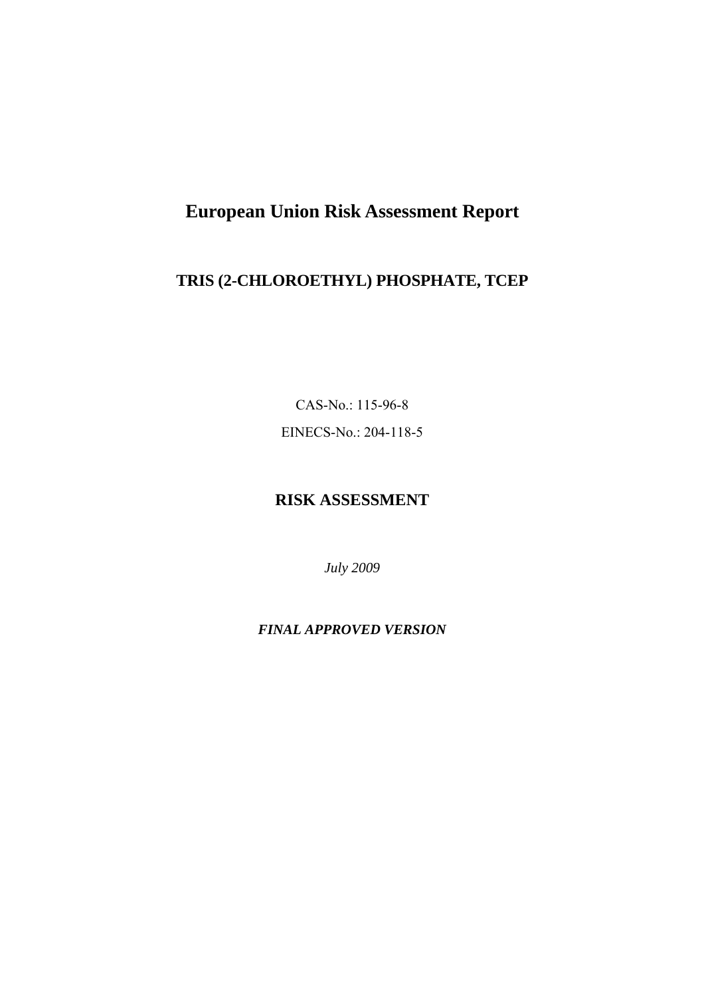# **European Union Risk Assessment Report**

# **TRIS (2-CHLOROETHYL) PHOSPHATE, TCEP**

CAS-No.: 115-96-8 EINECS-No.: 204-118-5

# **RISK ASSESSMENT**

*July 2009* 

# *FINAL APPROVED VERSION*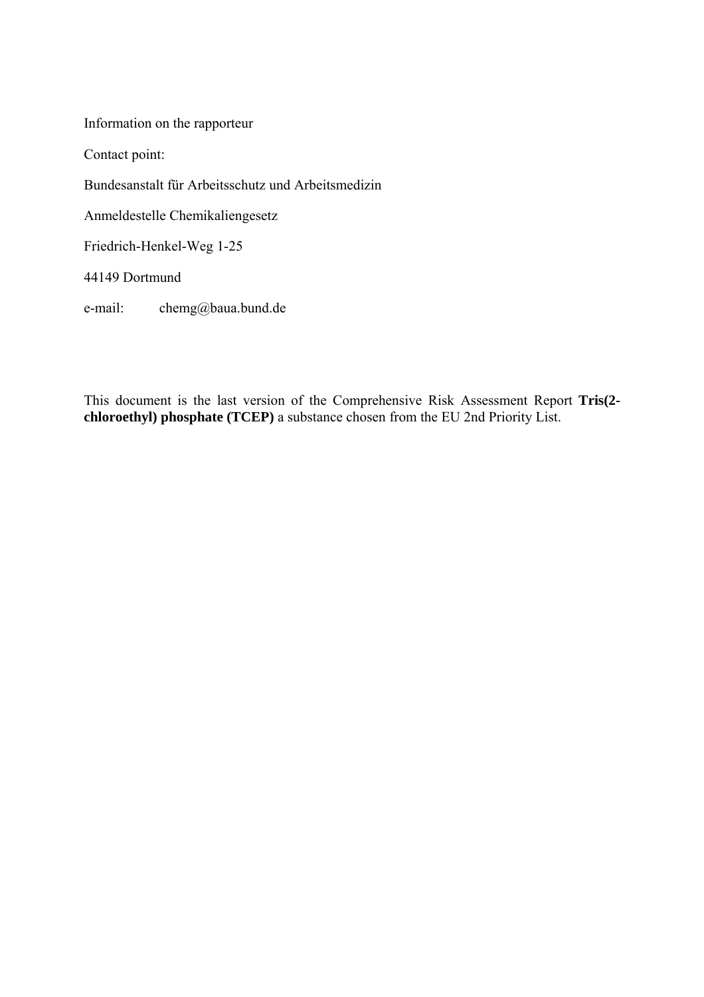Information on the rapporteur

Contact point:

Bundesanstalt für Arbeitsschutz und Arbeitsmedizin

Anmeldestelle Chemikaliengesetz

Friedrich-Henkel-Weg 1-25

44149 Dortmund

e-mail: chemg@baua.bund.de

This document is the last version of the Comprehensive Risk Assessment Report **Tris(2 chloroethyl) phosphate (TCEP)** a substance chosen from the EU 2nd Priority List.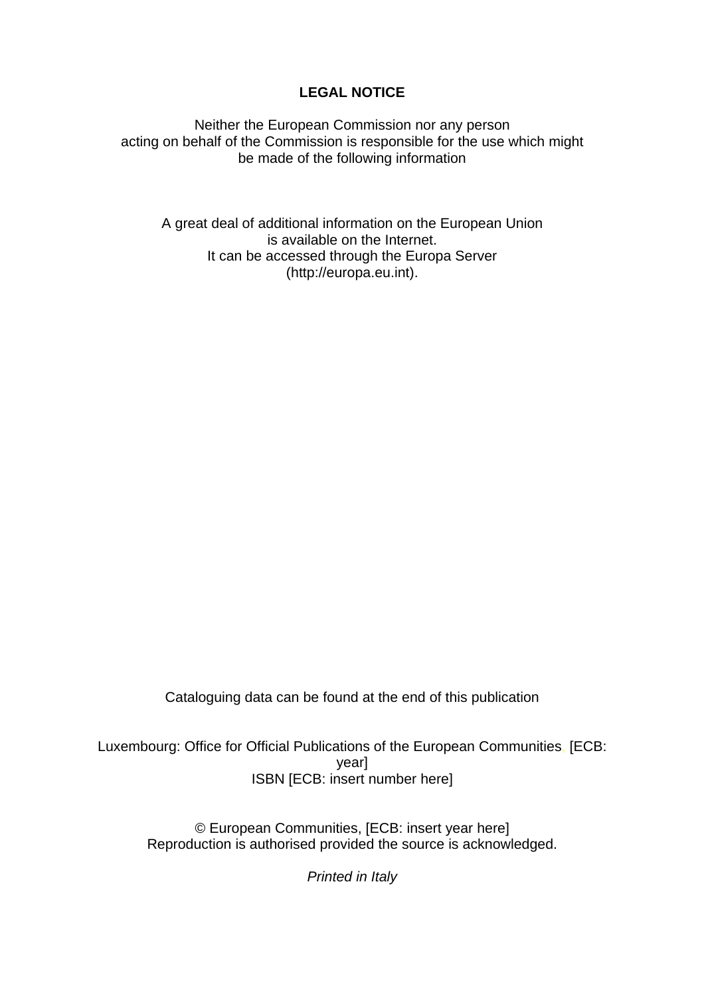# **LEGAL NOTICE**

Neither the European Commission nor any person acting on behalf of the Commission is responsible for the use which might be made of the following information

A great deal of additional information on the European Union is available on the Internet. It can be accessed through the Europa Server (http://europa.eu.int).

Cataloguing data can be found at the end of this publication

Luxembourg: Office for Official Publications of the European Communities, [ECB: year] ISBN [ECB: insert number here]

© European Communities, [ECB: insert year here] Reproduction is authorised provided the source is acknowledged.

*Printed in Italy*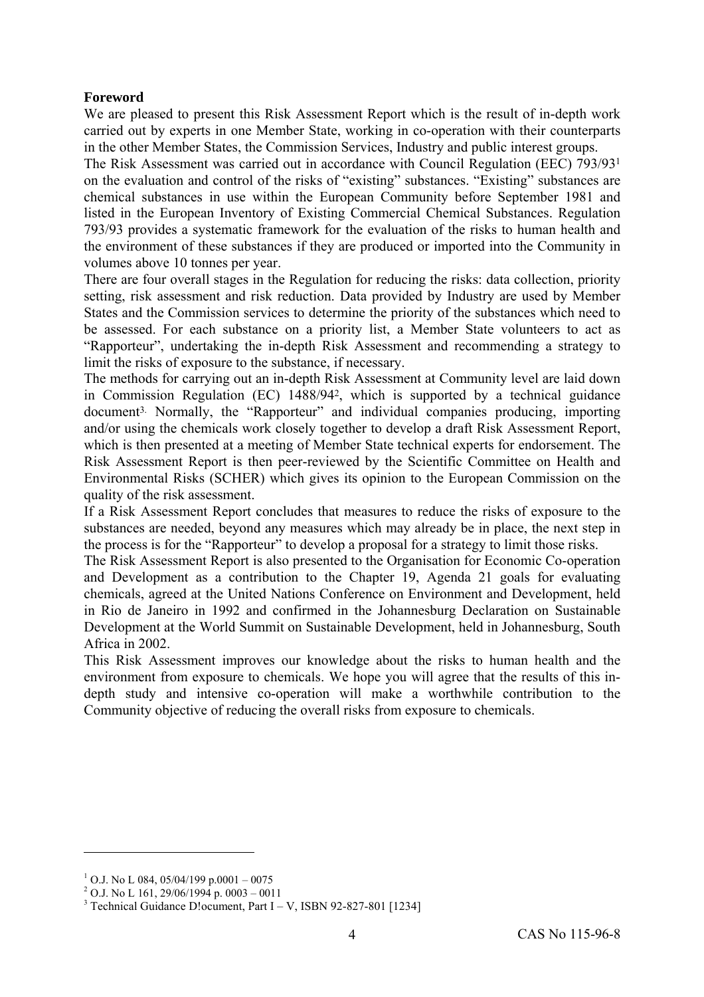## **Foreword**

We are pleased to present this Risk Assessment Report which is the result of in-depth work carried out by experts in one Member State, working in co-operation with their counterparts in the other Member States, the Commission Services, Industry and public interest groups.

The Risk Assessment was carried out in accordance with Council Regulation (EEC) 793/931 on the evaluation and control of the risks of "existing" substances. "Existing" substances are chemical substances in use within the European Community before September 1981 and listed in the European Inventory of Existing Commercial Chemical Substances. Regulation 793/93 provides a systematic framework for the evaluation of the risks to human health and the environment of these substances if they are produced or imported into the Community in volumes above 10 tonnes per year.

There are four overall stages in the Regulation for reducing the risks: data collection, priority setting, risk assessment and risk reduction. Data provided by Industry are used by Member States and the Commission services to determine the priority of the substances which need to be assessed. For each substance on a priority list, a Member State volunteers to act as "Rapporteur", undertaking the in-depth Risk Assessment and recommending a strategy to limit the risks of exposure to the substance, if necessary.

The methods for carrying out an in-depth Risk Assessment at Community level are laid down in Commission Regulation (EC) 1488/942, which is supported by a technical guidance document3. Normally, the "Rapporteur" and individual companies producing, importing and/or using the chemicals work closely together to develop a draft Risk Assessment Report, which is then presented at a meeting of Member State technical experts for endorsement. The Risk Assessment Report is then peer-reviewed by the Scientific Committee on Health and Environmental Risks (SCHER) which gives its opinion to the European Commission on the quality of the risk assessment.

If a Risk Assessment Report concludes that measures to reduce the risks of exposure to the substances are needed, beyond any measures which may already be in place, the next step in the process is for the "Rapporteur" to develop a proposal for a strategy to limit those risks.

The Risk Assessment Report is also presented to the Organisation for Economic Co-operation and Development as a contribution to the Chapter 19, Agenda 21 goals for evaluating chemicals, agreed at the United Nations Conference on Environment and Development, held in Rio de Janeiro in 1992 and confirmed in the Johannesburg Declaration on Sustainable Development at the World Summit on Sustainable Development, held in Johannesburg, South Africa in 2002.

This Risk Assessment improves our knowledge about the risks to human health and the environment from exposure to chemicals. We hope you will agree that the results of this indepth study and intensive co-operation will make a worthwhile contribution to the Community objective of reducing the overall risks from exposure to chemicals.

 $\overline{a}$ 

 $1$  O.J. No L 084, 05/04/199 p.0001 – 0075

 $^{2}$  O.J. No L 161, 29/06/1994 p. 0003 – 0011

 $3$  Technical Guidance D!ocument, Part I – V, ISBN 92-827-801 [1234]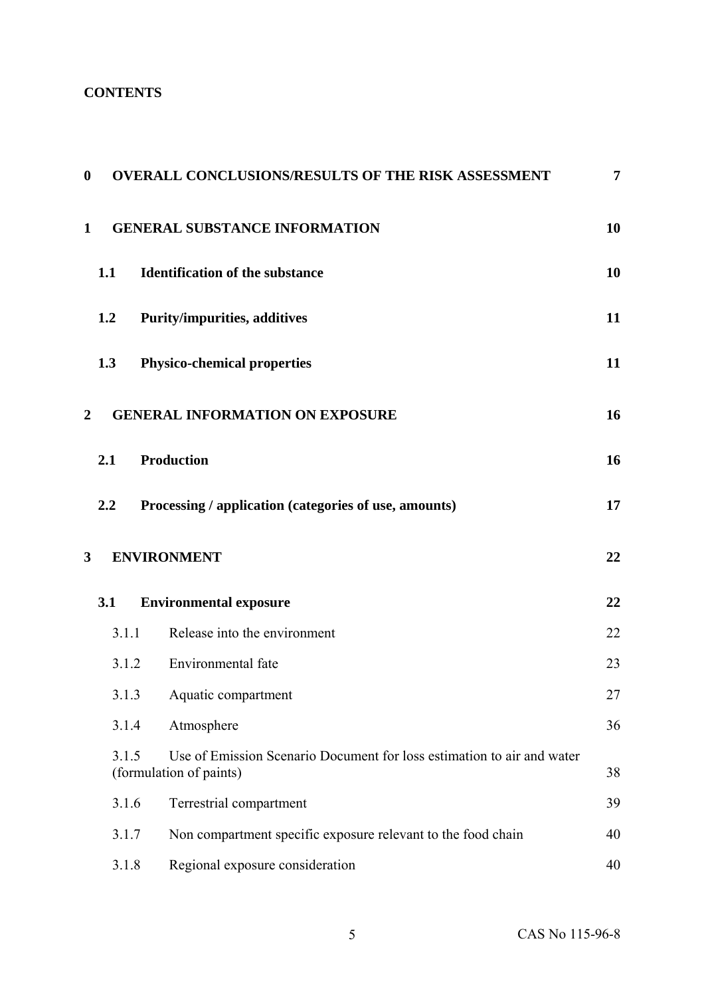# **CONTENTS**

| $\boldsymbol{0}$ |       | <b>OVERALL CONCLUSIONS/RESULTS OF THE RISK ASSESSMENT</b>                                         | $\overline{7}$ |
|------------------|-------|---------------------------------------------------------------------------------------------------|----------------|
| $\mathbf{1}$     |       | <b>GENERAL SUBSTANCE INFORMATION</b>                                                              | 10             |
|                  | 1.1   | <b>Identification of the substance</b>                                                            | 10             |
|                  | 1.2   | <b>Purity/impurities, additives</b>                                                               | 11             |
|                  | 1.3   | <b>Physico-chemical properties</b>                                                                | 11             |
| $\overline{2}$   |       | <b>GENERAL INFORMATION ON EXPOSURE</b>                                                            | 16             |
|                  | 2.1   | <b>Production</b>                                                                                 | 16             |
|                  | 2.2   | Processing / application (categories of use, amounts)                                             | 17             |
|                  |       |                                                                                                   |                |
| 3                |       | <b>ENVIRONMENT</b>                                                                                | 22             |
|                  | 3.1   | <b>Environmental exposure</b>                                                                     | 22             |
|                  | 3.1.1 | Release into the environment                                                                      | 22             |
|                  | 3.1.2 | Environmental fate                                                                                | 23             |
|                  | 3.1.3 | Aquatic compartment                                                                               | 27             |
|                  | 3.1.4 | Atmosphere                                                                                        | 36             |
|                  | 3.1.5 | Use of Emission Scenario Document for loss estimation to air and water<br>(formulation of paints) | 38             |
|                  | 3.1.6 | Terrestrial compartment                                                                           | 39             |
|                  | 3.1.7 | Non compartment specific exposure relevant to the food chain                                      | 40             |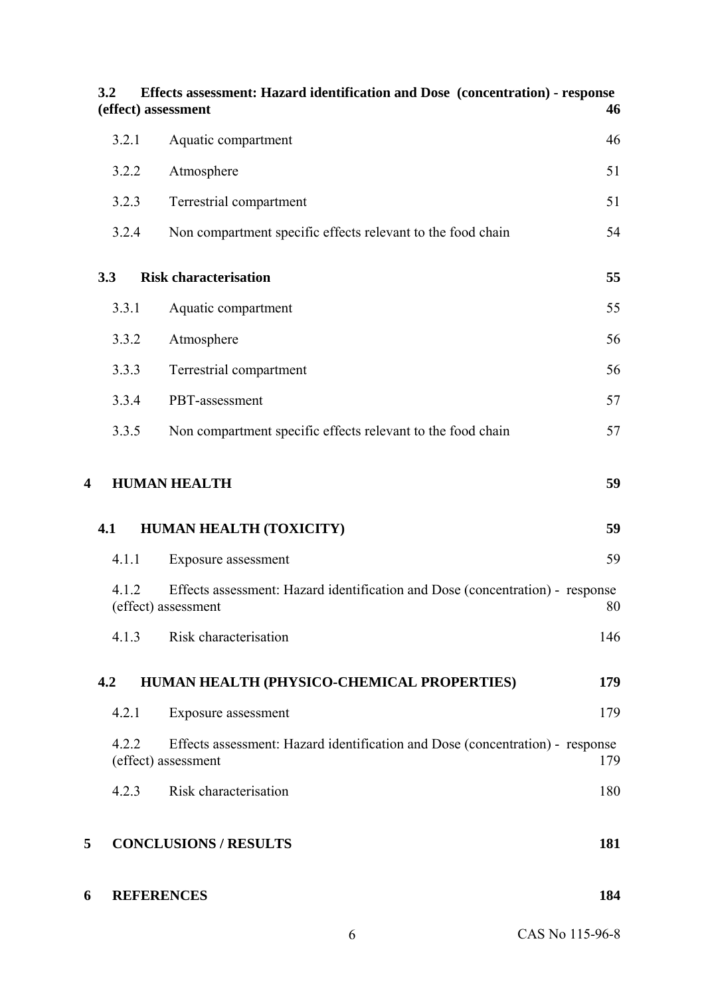|   | 3.2                   | Effects assessment: Hazard identification and Dose (concentration) - response<br>(effect) assessment                                                   | 46             |
|---|-----------------------|--------------------------------------------------------------------------------------------------------------------------------------------------------|----------------|
|   | 3.2.1                 | Aquatic compartment                                                                                                                                    | 46             |
|   | 3.2.2                 | Atmosphere                                                                                                                                             | 51             |
|   | 3.2.3                 | Terrestrial compartment                                                                                                                                | 51             |
|   | 3.2.4                 | Non compartment specific effects relevant to the food chain                                                                                            | 54             |
|   | 3.3                   | <b>Risk characterisation</b>                                                                                                                           | 55             |
|   | 3.3.1                 | Aquatic compartment                                                                                                                                    | 55             |
|   | 3.3.2                 | Atmosphere                                                                                                                                             | 56             |
|   | 3.3.3                 | Terrestrial compartment                                                                                                                                | 56             |
|   | 3.3.4                 | PBT-assessment                                                                                                                                         | 57             |
|   | 3.3.5                 | Non compartment specific effects relevant to the food chain                                                                                            | 57             |
|   | 4.1<br>4.1.1<br>4.1.2 | HUMAN HEALTH (TOXICITY)<br>Exposure assessment<br>Effects assessment: Hazard identification and Dose (concentration) - response<br>(effect) assessment | 59<br>59<br>80 |
|   | 4.1.3                 | Risk characterisation                                                                                                                                  | 146            |
|   | 4.2                   | HUMAN HEALTH (PHYSICO-CHEMICAL PROPERTIES)                                                                                                             | 179            |
|   | 4.2.1                 | Exposure assessment                                                                                                                                    | 179            |
|   | 4.2.2                 | Effects assessment: Hazard identification and Dose (concentration) - response<br>(effect) assessment                                                   | 179            |
|   | 4.2.3                 | Risk characterisation                                                                                                                                  | 180            |
| 5 |                       | <b>CONCLUSIONS / RESULTS</b>                                                                                                                           | 181            |
| 6 |                       | <b>REFERENCES</b>                                                                                                                                      | 184            |
|   |                       |                                                                                                                                                        |                |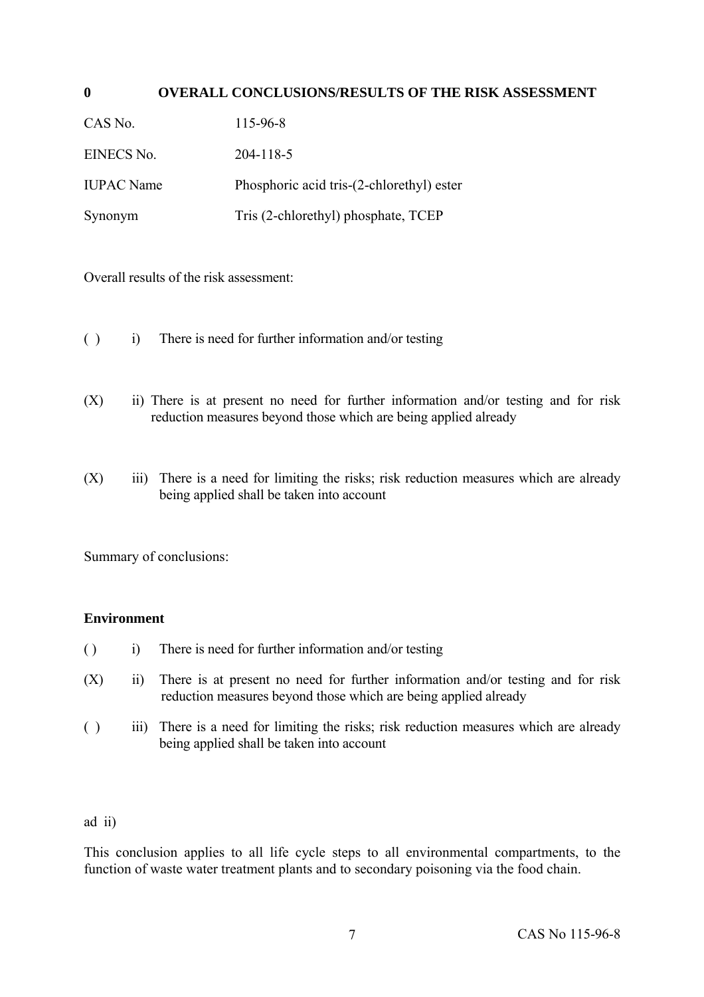### <span id="page-6-0"></span>**0 OVERALL CONCLUSIONS/RESULTS OF THE RISK ASSESSMENT**

| Synonym           | Tris (2-chlorethyl) phosphate, TCEP       |
|-------------------|-------------------------------------------|
| <b>IUPAC</b> Name | Phosphoric acid tris-(2-chlorethyl) ester |
| EINECS No.        | $204 - 118 - 5$                           |
| CAS No.           | 115-96-8                                  |

Overall results of the risk assessment:

- ( ) i) There is need for further information and/or testing
- $(X)$  ii) There is at present no need for further information and/or testing and for risk reduction measures beyond those which are being applied already
- $(X)$  iii) There is a need for limiting the risks; risk reduction measures which are already being applied shall be taken into account

Summary of conclusions:

### **Environment**

- ( ) i) There is need for further information and/or testing
- $(X)$  ii) There is at present no need for further information and/or testing and for risk reduction measures beyond those which are being applied already
- ( ) iii) There is a need for limiting the risks; risk reduction measures which are already being applied shall be taken into account

ad ii)

This conclusion applies to all life cycle steps to all environmental compartments, to the function of waste water treatment plants and to secondary poisoning via the food chain.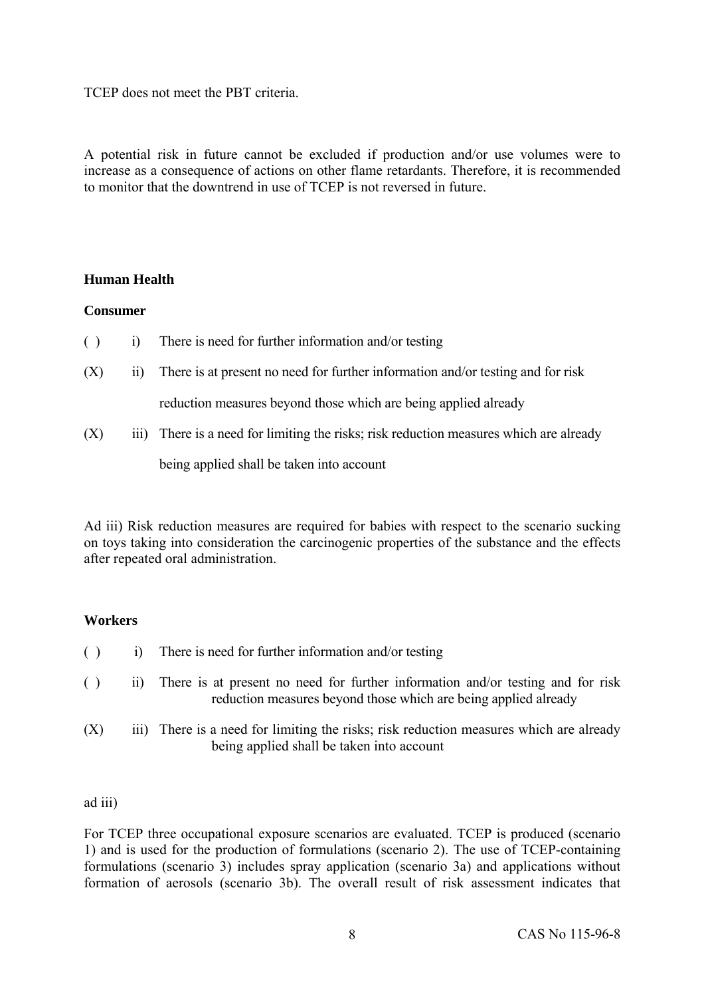TCEP does not meet the PBT criteria.

A potential risk in future cannot be excluded if production and/or use volumes were to increase as a consequence of actions on other flame retardants. Therefore, it is recommended to monitor that the downtrend in use of TCEP is not reversed in future.

### **Human Health**

### **Consumer**

- ( ) i) There is need for further information and/or testing
- $(X)$  ii) There is at present no need for further information and/or testing and for risk reduction measures beyond those which are being applied already
- $(X)$  iii) There is a need for limiting the risks; risk reduction measures which are already

being applied shall be taken into account

Ad iii) Risk reduction measures are required for babies with respect to the scenario sucking on toys taking into consideration the carcinogenic properties of the substance and the effects after repeated oral administration.

### **Workers**

- ( ) i) There is need for further information and/or testing
- ( ) ii) There is at present no need for further information and/or testing and for risk reduction measures beyond those which are being applied already
- $(X)$  iii) There is a need for limiting the risks; risk reduction measures which are already being applied shall be taken into account

ad iii)

For TCEP three occupational exposure scenarios are evaluated. TCEP is produced (scenario 1) and is used for the production of formulations (scenario 2). The use of TCEP-containing formulations (scenario 3) includes spray application (scenario 3a) and applications without formation of aerosols (scenario 3b). The overall result of risk assessment indicates that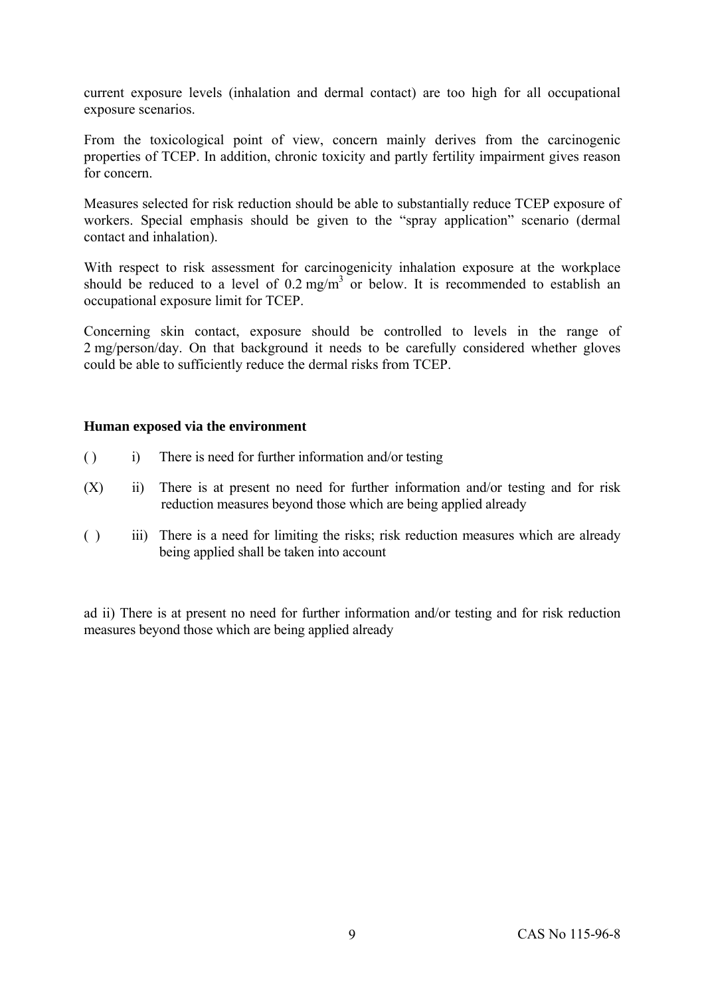current exposure levels (inhalation and dermal contact) are too high for all occupational exposure scenarios.

From the toxicological point of view, concern mainly derives from the carcinogenic properties of TCEP. In addition, chronic toxicity and partly fertility impairment gives reason for concern.

Measures selected for risk reduction should be able to substantially reduce TCEP exposure of workers. Special emphasis should be given to the "spray application" scenario (dermal contact and inhalation).

With respect to risk assessment for carcinogenicity inhalation exposure at the workplace should be reduced to a level of  $0.2 \text{ mg/m}^3$  or below. It is recommended to establish an occupational exposure limit for TCEP.

Concerning skin contact, exposure should be controlled to levels in the range of 2 mg/person/day. On that background it needs to be carefully considered whether gloves could be able to sufficiently reduce the dermal risks from TCEP.

#### **Human exposed via the environment**

- ( ) i) There is need for further information and/or testing
- $(X)$  ii) There is at present no need for further information and/or testing and for risk reduction measures beyond those which are being applied already
- ( ) iii) There is a need for limiting the risks; risk reduction measures which are already being applied shall be taken into account

ad ii) There is at present no need for further information and/or testing and for risk reduction measures beyond those which are being applied already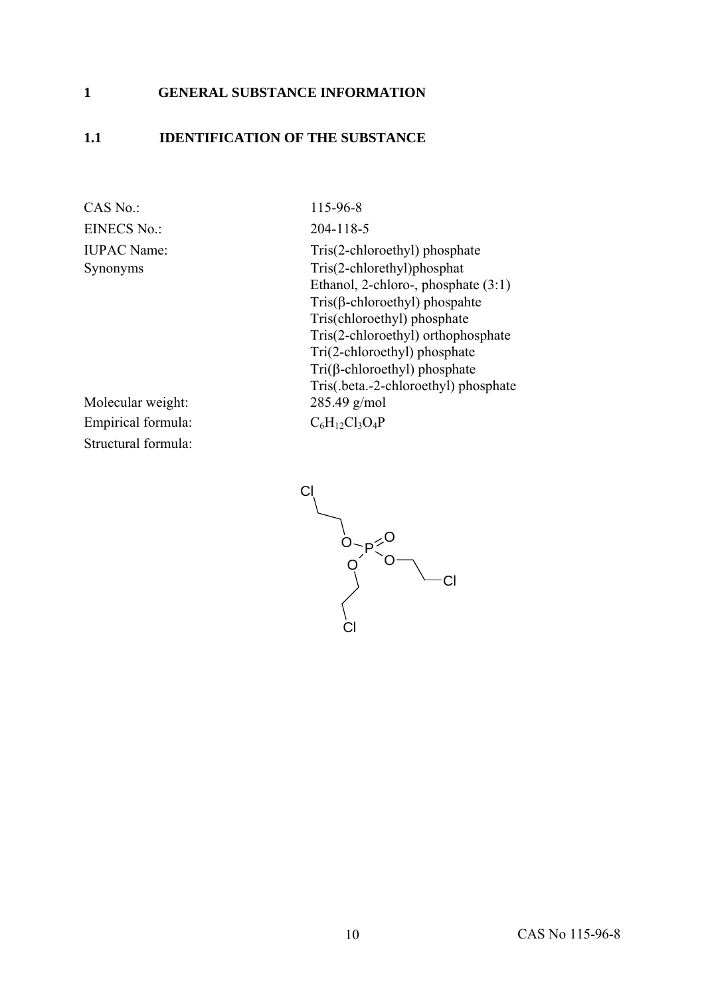#### <span id="page-9-0"></span>**1 GENERAL SUBSTANCE INFORMATION**

## <span id="page-9-1"></span>**1.1 IDENTIFICATION OF THE SUBSTANCE**

CAS No.: 115-96-8 EINECS No.: 204-118-5

IUPAC Name: Tris(2-chloroethyl) phosphate Synonyms Tris(2-chlorethyl)phosphat Ethanol, 2-chloro-, phosphate (3:1) Tris(β-chloroethyl) phospahte Tris(chloroethyl) phosphate Tris(2-chloroethyl) orthophosphate Tri(2-chloroethyl) phosphate Tri(β-chloroethyl) phosphate Tris(.beta.-2-chloroethyl) phosphate

Molecular weight: 285.49 g/mol Empirical formula:  $C_6H_{12}Cl_3O_4P$ Structural formula:

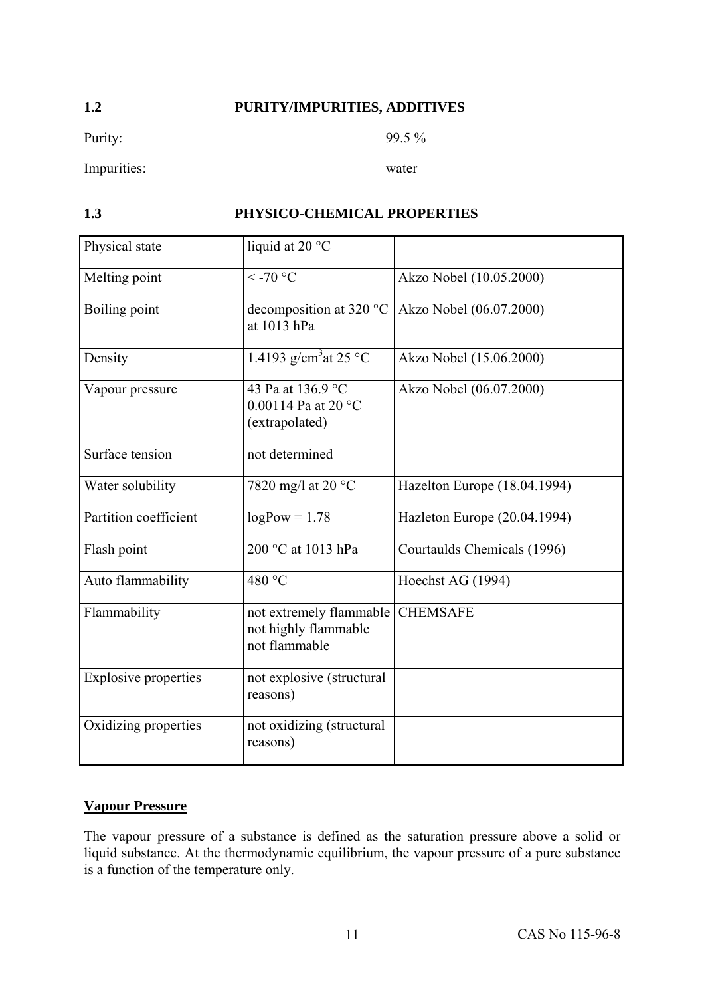## <span id="page-10-0"></span>**1.2 PURITY/IMPURITIES, ADDITIVES**

Purity: 99.5 %

Impurities: water

# <span id="page-10-1"></span>**1.3 PHYSICO-CHEMICAL PROPERTIES**

| Physical state              | liquid at 20 °C                                                  |                              |
|-----------------------------|------------------------------------------------------------------|------------------------------|
| Melting point               | $<$ -70 °C                                                       | Akzo Nobel (10.05.2000)      |
| Boiling point               | decomposition at 320 °C<br>at 1013 hPa                           | Akzo Nobel (06.07.2000)      |
| Density                     | 1.4193 g/cm <sup>3</sup> at 25 °C                                | Akzo Nobel (15.06.2000)      |
| Vapour pressure             | 43 Pa at 136.9 °C<br>0.00114 Pa at 20 °C<br>(extrapolated)       | Akzo Nobel (06.07.2000)      |
| Surface tension             | not determined                                                   |                              |
| Water solubility            | 7820 mg/l at 20 °C                                               | Hazelton Europe (18.04.1994) |
| Partition coefficient       | $logPow = 1.78$                                                  | Hazleton Europe (20.04.1994) |
| Flash point                 | 200 °C at 1013 hPa                                               | Courtaulds Chemicals (1996)  |
| Auto flammability           | 480 °C                                                           | Hoechst AG (1994)            |
| Flammability                | not extremely flammable<br>not highly flammable<br>not flammable | <b>CHEMSAFE</b>              |
| <b>Explosive properties</b> | not explosive (structural<br>reasons)                            |                              |
| Oxidizing properties        | not oxidizing (structural<br>reasons)                            |                              |

### **Vapour Pressure**

The vapour pressure of a substance is defined as the saturation pressure above a solid or liquid substance. At the thermodynamic equilibrium, the vapour pressure of a pure substance is a function of the temperature only.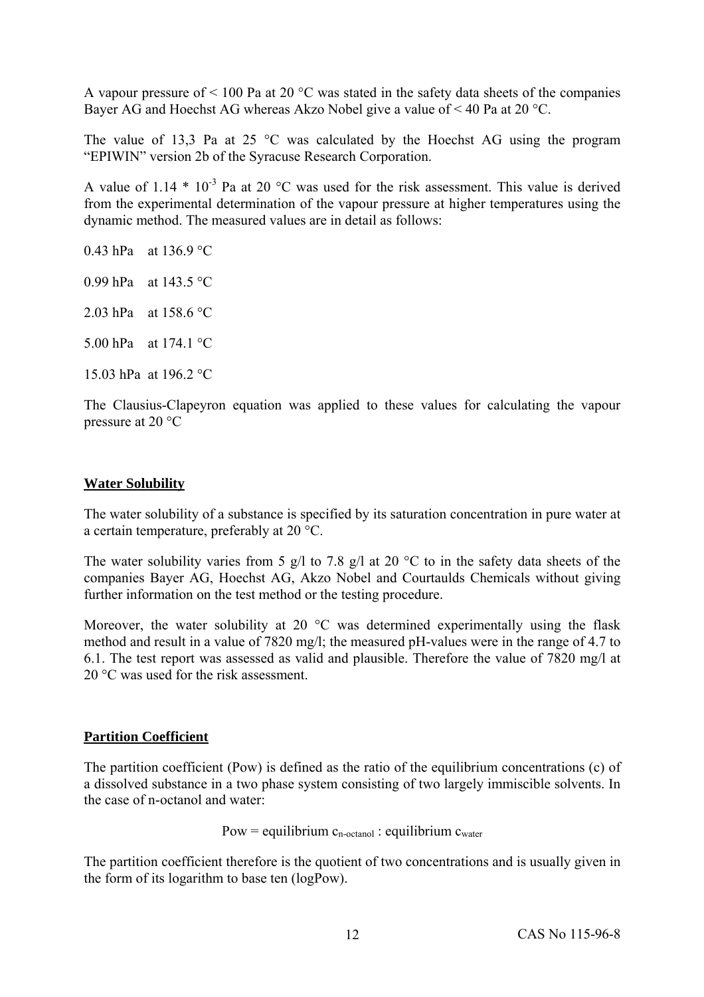A vapour pressure of  $\leq 100$  Pa at 20 °C was stated in the safety data sheets of the companies Bayer AG and Hoechst AG whereas Akzo Nobel give a value of < 40 Pa at 20 °C.

The value of 13,3 Pa at 25  $\degree$ C was calculated by the Hoechst AG using the program "EPIWIN" version 2b of the Syracuse Research Corporation.

A value of  $1.14 * 10^{-3}$  Pa at 20 °C was used for the risk assessment. This value is derived from the experimental determination of the vapour pressure at higher temperatures using the dynamic method. The measured values are in detail as follows:

0.43 hPa at 136.9 °C 0.99 hPa at 143.5 °C 2.03 hPa at 158.6 °C 5.00 hPa at 174.1 °C 15.03 hPa at 196.2 °C

The Clausius-Clapeyron equation was applied to these values for calculating the vapour pressure at 20 °C

# **Water Solubility**

The water solubility of a substance is specified by its saturation concentration in pure water at a certain temperature, preferably at 20 °C.

The water solubility varies from 5 g/l to 7.8 g/l at 20  $^{\circ}$ C to in the safety data sheets of the companies Bayer AG, Hoechst AG, Akzo Nobel and Courtaulds Chemicals without giving further information on the test method or the testing procedure.

Moreover, the water solubility at 20 °C was determined experimentally using the flask method and result in a value of 7820 mg/l; the measured pH-values were in the range of 4.7 to 6.1. The test report was assessed as valid and plausible. Therefore the value of 7820 mg/l at 20 °C was used for the risk assessment.

### **Partition Coefficient**

The partition coefficient (Pow) is defined as the ratio of the equilibrium concentrations (c) of a dissolved substance in a two phase system consisting of two largely immiscible solvents. In the case of n-octanol and water:

Pow = equilibrium  $c_{n\text{-octanol}}$ : equilibrium  $c_{\text{water}}$ 

The partition coefficient therefore is the quotient of two concentrations and is usually given in the form of its logarithm to base ten (logPow).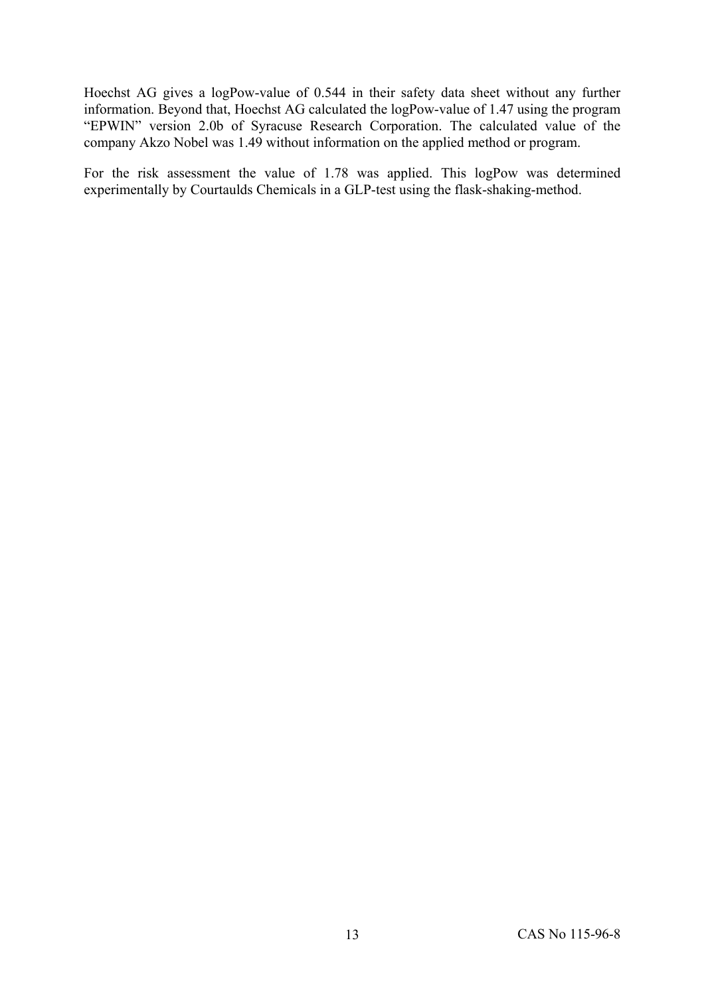Hoechst AG gives a logPow-value of 0.544 in their safety data sheet without any further information. Beyond that, Hoechst AG calculated the logPow-value of 1.47 using the program "EPWIN" version 2.0b of Syracuse Research Corporation. The calculated value of the company Akzo Nobel was 1.49 without information on the applied method or program.

For the risk assessment the value of 1.78 was applied. This logPow was determined experimentally by Courtaulds Chemicals in a GLP-test using the flask-shaking-method.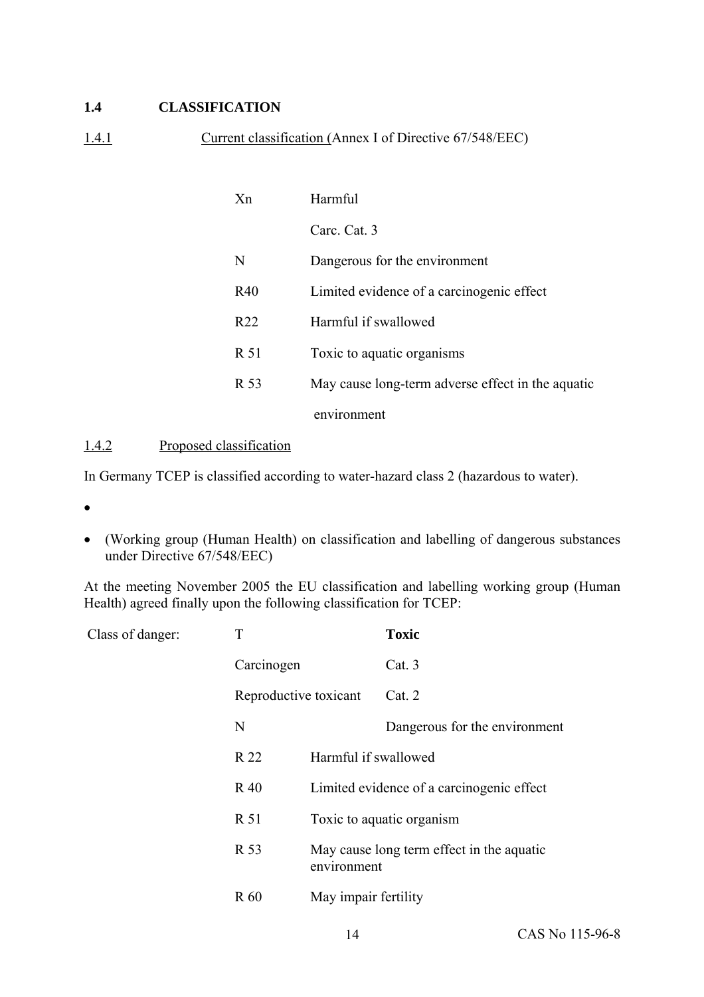## **1.4 CLASSIFICATION**

1.4.1 Current classification (Annex I of Directive 67/548/EEC)

| Xn              | Harmful                                           |
|-----------------|---------------------------------------------------|
|                 | Carc. Cat. 3                                      |
| N               | Dangerous for the environment                     |
| R40             | Limited evidence of a carcinogenic effect         |
| R <sub>22</sub> | Harmful if swallowed                              |
| R 51            | Toxic to aquatic organisms                        |
| R 53            | May cause long-term adverse effect in the aquatic |
|                 | environment                                       |

## 1.4.2 Proposed classification

In Germany TCEP is classified according to water-hazard class 2 (hazardous to water).

•

• (Working group (Human Health) on classification and labelling of dangerous substances under Directive 67/548/EEC)

At the meeting November 2005 the EU classification and labelling working group (Human Health) agreed finally upon the following classification for TCEP:

| Class of danger: | T                     |                      | <b>Toxic</b>                              |
|------------------|-----------------------|----------------------|-------------------------------------------|
|                  | Carcinogen            |                      | Cat.3                                     |
|                  | Reproductive toxicant |                      | Cat. 2                                    |
|                  | N                     |                      | Dangerous for the environment             |
|                  | R 22                  | Harmful if swallowed |                                           |
|                  | R 40                  |                      | Limited evidence of a carcinogenic effect |
|                  | R 51                  |                      | Toxic to aquatic organism                 |
|                  | R 53                  | environment          | May cause long term effect in the aquatic |
|                  | R 60                  | May impair fertility |                                           |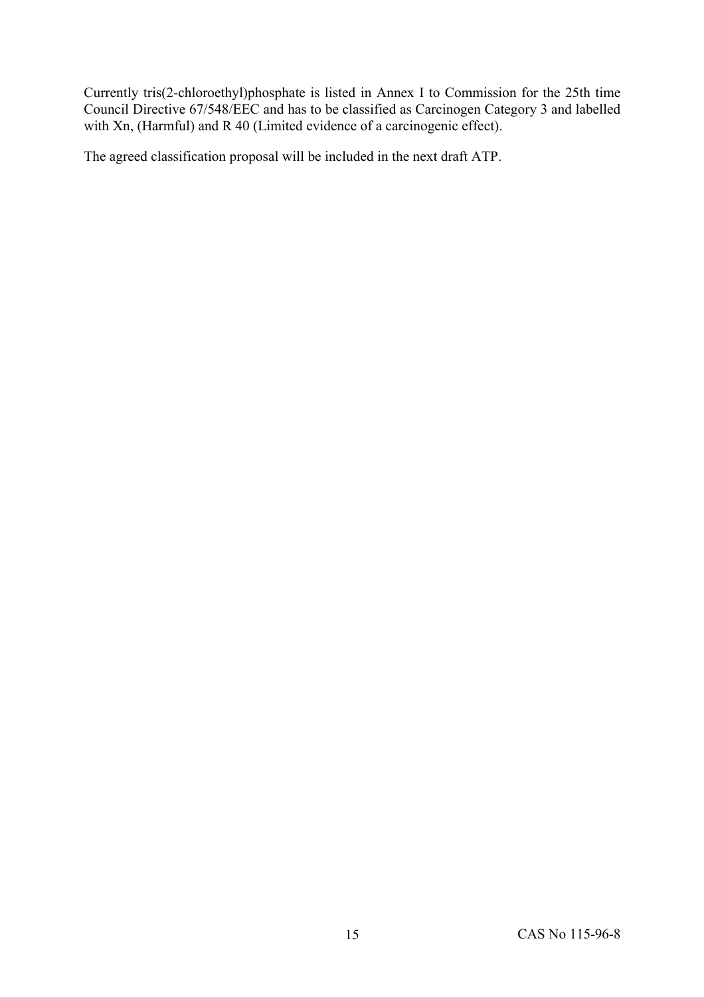Currently tris(2-chloroethyl)phosphate is listed in Annex I to Commission for the 25th time Council Directive 67/548/EEC and has to be classified as Carcinogen Category 3 and labelled with Xn, (Harmful) and R 40 (Limited evidence of a carcinogenic effect).

The agreed classification proposal will be included in the next draft ATP.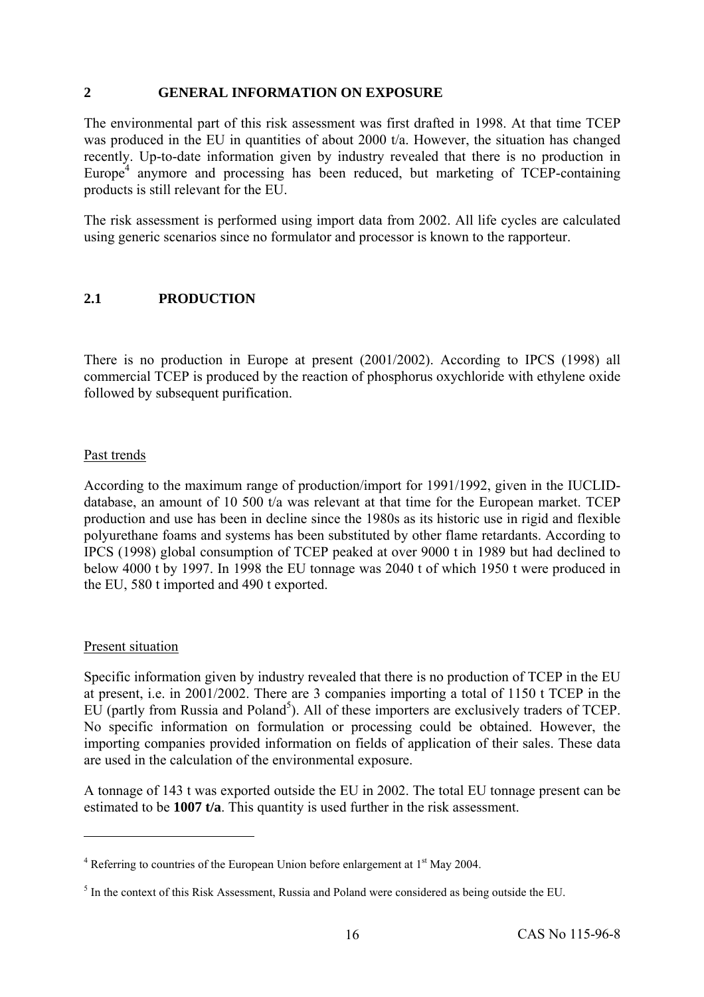#### <span id="page-15-0"></span>**2 GENERAL INFORMATION ON EXPOSURE**

The environmental part of this risk assessment was first drafted in 1998. At that time TCEP was produced in the EU in quantities of about 2000 t/a. However, the situation has changed recently. Up-to-date information given by industry revealed that there is no production in Europe<sup>4</sup> anymore and processing has been reduced, but marketing of TCEP-containing products is still relevant for the EU.

The risk assessment is performed using import data from 2002. All life cycles are calculated using generic scenarios since no formulator and processor is known to the rapporteur.

### <span id="page-15-1"></span>**2.1 PRODUCTION**

There is no production in Europe at present (2001/2002). According to IPCS (1998) all commercial TCEP is produced by the reaction of phosphorus oxychloride with ethylene oxide followed by subsequent purification.

### Past trends

According to the maximum range of production/import for 1991/1992, given in the IUCLIDdatabase, an amount of 10 500 t/a was relevant at that time for the European market. TCEP production and use has been in decline since the 1980s as its historic use in rigid and flexible polyurethane foams and systems has been substituted by other flame retardants. According to IPCS (1998) global consumption of TCEP peaked at over 9000 t in 1989 but had declined to below 4000 t by 1997. In 1998 the EU tonnage was 2040 t of which 1950 t were produced in the EU, 580 t imported and 490 t exported.

### Present situation

 $\overline{a}$ 

Specific information given by industry revealed that there is no production of TCEP in the EU at present, i.e. in 2001/2002. There are 3 companies importing a total of 1150 t TCEP in the  $E\dot{U}$  (partly from Russia and Poland<sup>5</sup>). All of these importers are exclusively traders of TCEP. No specific information on formulation or processing could be obtained. However, the importing companies provided information on fields of application of their sales. These data are used in the calculation of the environmental exposure.

A tonnage of 143 t was exported outside the EU in 2002. The total EU tonnage present can be estimated to be **1007 t/a**. This quantity is used further in the risk assessment.

<sup>&</sup>lt;sup>4</sup> Referring to countries of the European Union before enlargement at  $1<sup>st</sup>$  May 2004.

 $<sup>5</sup>$  In the context of this Risk Assessment, Russia and Poland were considered as being outside the EU.</sup>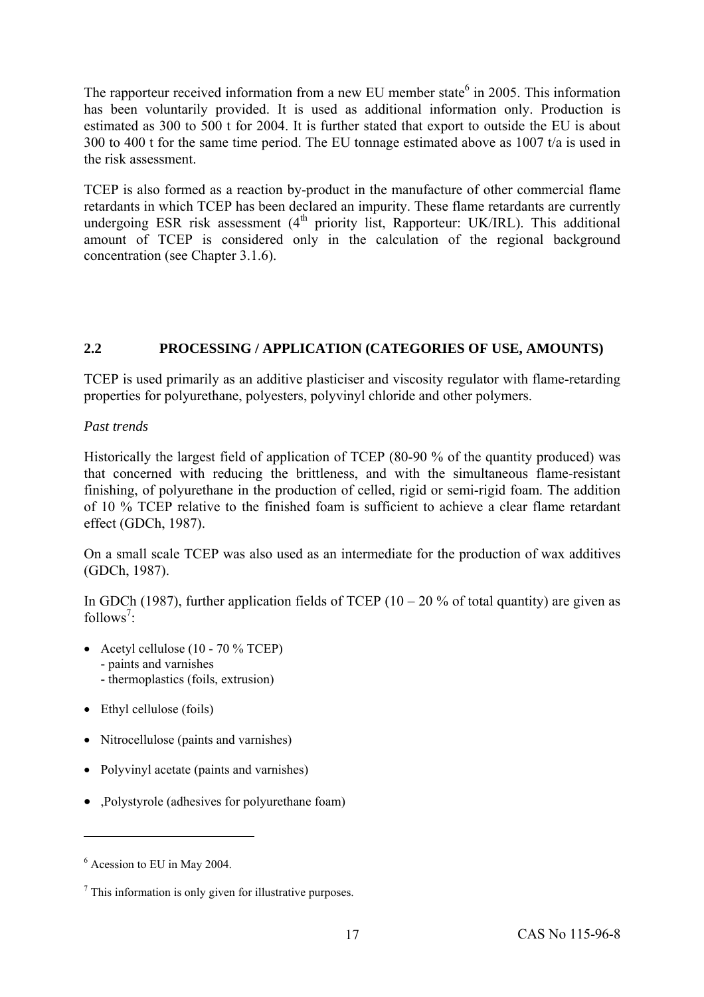The rapporteur received information from a new EU member state $6$  in 2005. This information has been voluntarily provided. It is used as additional information only. Production is estimated as 300 to 500 t for 2004. It is further stated that export to outside the EU is about 300 to 400 t for the same time period. The EU tonnage estimated above as 1007 t/a is used in the risk assessment.

TCEP is also formed as a reaction by-product in the manufacture of other commercial flame retardants in which TCEP has been declared an impurity. These flame retardants are currently undergoing ESR risk assessment  $(4<sup>th</sup>$  priority list, Rapporteur: UK/IRL). This additional amount of TCEP is considered only in the calculation of the regional background concentration (see Chapter 3.1.6).

# <span id="page-16-0"></span>**2.2 PROCESSING / APPLICATION (CATEGORIES OF USE, AMOUNTS)**

TCEP is used primarily as an additive plasticiser and viscosity regulator with flame-retarding properties for polyurethane, polyesters, polyvinyl chloride and other polymers.

*Past trends* 

Historically the largest field of application of TCEP (80-90 % of the quantity produced) was that concerned with reducing the brittleness, and with the simultaneous flame-resistant finishing, of polyurethane in the production of celled, rigid or semi-rigid foam. The addition of 10 % TCEP relative to the finished foam is sufficient to achieve a clear flame retardant effect (GDCh, 1987).

On a small scale TCEP was also used as an intermediate for the production of wax additives (GDCh, 1987).

In GDCh (1987), further application fields of TCEP (10 – 20 % of total quantity) are given as follows<sup>7</sup>:

- Acetyl cellulose  $(10 70\% \text{ TCEP})$ 
	- **-** paints and varnishes
	- **-** thermoplastics (foils, extrusion)
- Ethyl cellulose (foils)
- Nitrocellulose (paints and varnishes)
- Polyvinyl acetate (paints and varnishes)
- .Polystyrole (adhesives for polyurethane foam)

 $\overline{a}$ 

<sup>6</sup> Acession to EU in May 2004.

 $7$  This information is only given for illustrative purposes.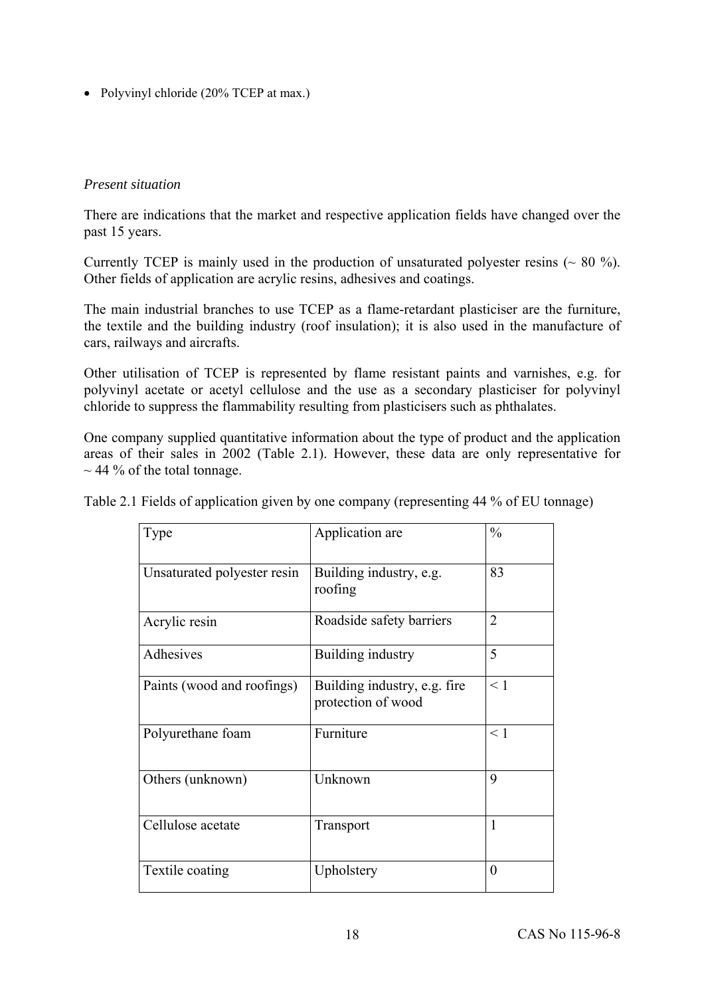• Polyvinyl chloride (20% TCEP at max.)

### *Present situation*

There are indications that the market and respective application fields have changed over the past 15 years.

Currently TCEP is mainly used in the production of unsaturated polyester resins  $( \sim 80 \%)$ . Other fields of application are acrylic resins, adhesives and coatings.

The main industrial branches to use TCEP as a flame-retardant plasticiser are the furniture, the textile and the building industry (roof insulation); it is also used in the manufacture of cars, railways and aircrafts.

Other utilisation of TCEP is represented by flame resistant paints and varnishes, e.g. for polyvinyl acetate or acetyl cellulose and the use as a secondary plasticiser for polyvinyl chloride to suppress the flammability resulting from plasticisers such as phthalates.

One company supplied quantitative information about the type of product and the application areas of their sales in 2002 (Table 2.1). However, these data are only representative for  $\sim$  44 % of the total tonnage.

| Table 2.1 Fields of application given by one company (representing 44 % of EU tonnage) |  |
|----------------------------------------------------------------------------------------|--|
|----------------------------------------------------------------------------------------|--|

| Type                        | Application are                                    | $\frac{0}{0}$  |
|-----------------------------|----------------------------------------------------|----------------|
| Unsaturated polyester resin | Building industry, e.g.<br>roofing                 | 83             |
| Acrylic resin               | Roadside safety barriers                           | $\overline{2}$ |
| Adhesives                   | Building industry                                  | 5              |
| Paints (wood and roofings)  | Building industry, e.g. fire<br>protection of wood | < 1            |
| Polyurethane foam           | Furniture                                          | < 1            |
| Others (unknown)            | Unknown                                            | 9              |
| Cellulose acetate           | Transport                                          | $\mathbf{1}$   |
| Textile coating             | Upholstery                                         | $\overline{0}$ |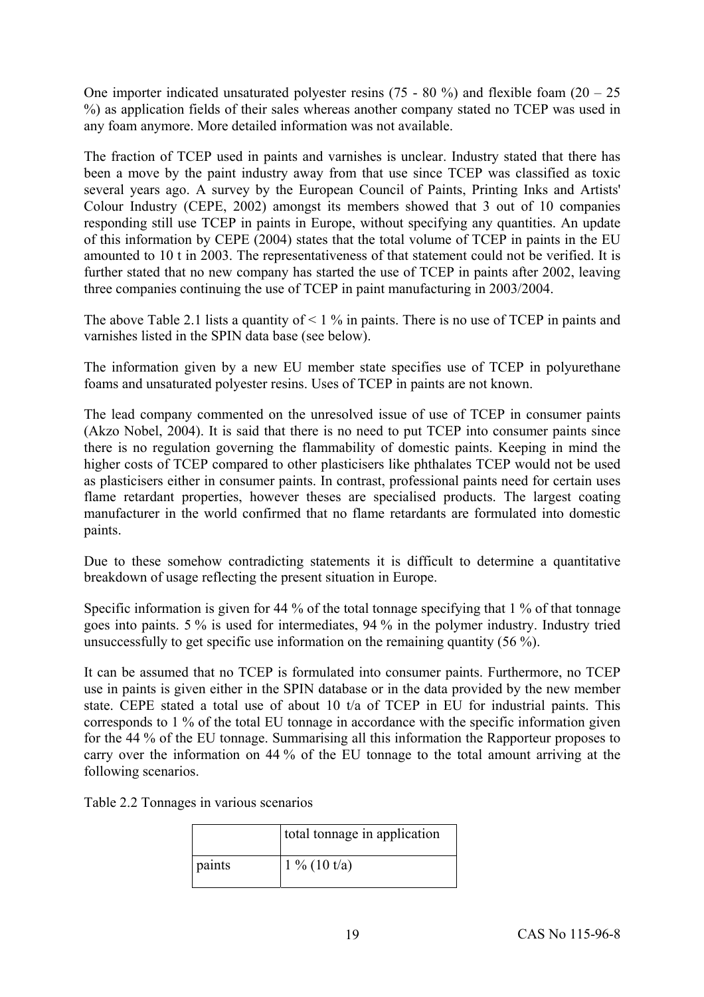One importer indicated unsaturated polyester resins  $(75 - 80\%)$  and flexible foam  $(20 - 25\%)$ %) as application fields of their sales whereas another company stated no TCEP was used in any foam anymore. More detailed information was not available.

The fraction of TCEP used in paints and varnishes is unclear. Industry stated that there has been a move by the paint industry away from that use since TCEP was classified as toxic several years ago. A survey by the European Council of Paints, Printing Inks and Artists' Colour Industry (CEPE, 2002) amongst its members showed that 3 out of 10 companies responding still use TCEP in paints in Europe, without specifying any quantities. An update of this information by CEPE (2004) states that the total volume of TCEP in paints in the EU amounted to 10 t in 2003. The representativeness of that statement could not be verified. It is further stated that no new company has started the use of TCEP in paints after 2002, leaving three companies continuing the use of TCEP in paint manufacturing in 2003/2004.

The above Table 2.1 lists a quantity of  $\leq 1$  % in paints. There is no use of TCEP in paints and varnishes listed in the SPIN data base (see below).

The information given by a new EU member state specifies use of TCEP in polyurethane foams and unsaturated polyester resins. Uses of TCEP in paints are not known.

The lead company commented on the unresolved issue of use of TCEP in consumer paints (Akzo Nobel, 2004). It is said that there is no need to put TCEP into consumer paints since there is no regulation governing the flammability of domestic paints. Keeping in mind the higher costs of TCEP compared to other plasticisers like phthalates TCEP would not be used as plasticisers either in consumer paints. In contrast, professional paints need for certain uses flame retardant properties, however theses are specialised products. The largest coating manufacturer in the world confirmed that no flame retardants are formulated into domestic paints.

Due to these somehow contradicting statements it is difficult to determine a quantitative breakdown of usage reflecting the present situation in Europe.

Specific information is given for 44 % of the total tonnage specifying that 1 % of that tonnage goes into paints. 5 % is used for intermediates, 94 % in the polymer industry. Industry tried unsuccessfully to get specific use information on the remaining quantity (56 %).

It can be assumed that no TCEP is formulated into consumer paints. Furthermore, no TCEP use in paints is given either in the SPIN database or in the data provided by the new member state. CEPE stated a total use of about 10 t/a of TCEP in EU for industrial paints. This corresponds to 1 % of the total EU tonnage in accordance with the specific information given for the 44 % of the EU tonnage. Summarising all this information the Rapporteur proposes to carry over the information on 44 % of the EU tonnage to the total amount arriving at the following scenarios.

Table 2.2 Tonnages in various scenarios

|        | total tonnage in application |
|--------|------------------------------|
| paints | $1\%$ (10 t/a)               |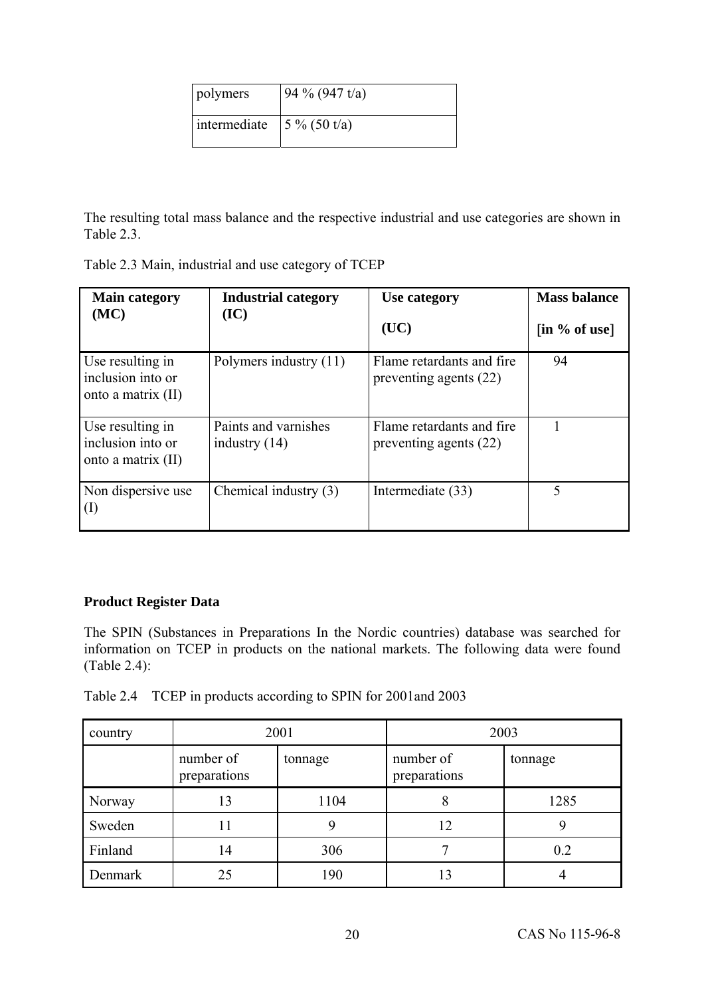| polymers     | 94 % (947 t/a)            |
|--------------|---------------------------|
| intermediate | $\frac{5\%}{50}$ (50 t/a) |

The resulting total mass balance and the respective industrial and use categories are shown in Table 2.3.

| Table 2.3 Main, industrial and use category of TCEP |  |  |  |
|-----------------------------------------------------|--|--|--|
|                                                     |  |  |  |

| <b>Main category</b><br>(MC)                                | <b>Industrial category</b><br>(IC)      | Use category<br>(UC)                                 | <b>Mass balance</b><br>[in % of use] |
|-------------------------------------------------------------|-----------------------------------------|------------------------------------------------------|--------------------------------------|
| Use resulting in<br>inclusion into or<br>onto a matrix (II) | Polymers industry (11)                  | Flame retardants and fire<br>preventing agents (22)  | 94                                   |
| Use resulting in<br>inclusion into or<br>onto a matrix (II) | Paints and varnishes<br>industry $(14)$ | Flame retardants and fire.<br>preventing agents (22) |                                      |
| Non dispersive use<br>(I)                                   | Chemical industry (3)                   | Intermediate (33)                                    | 5                                    |

# **Product Register Data**

The SPIN (Substances in Preparations In the Nordic countries) database was searched for information on TCEP in products on the national markets. The following data were found (Table 2.4):

| country | 2001                      |         | 2003                      |         |
|---------|---------------------------|---------|---------------------------|---------|
|         | number of<br>preparations | tonnage | number of<br>preparations | tonnage |
| Norway  | 13                        | 1104    | 8                         | 1285    |
| Sweden  | 11                        | 9       | 12                        | 9       |
| Finland | 14                        | 306     |                           | 0.2     |
| Denmark | 25                        | 190     | 13                        |         |

Table 2.4 TCEP in products according to SPIN for 2001and 2003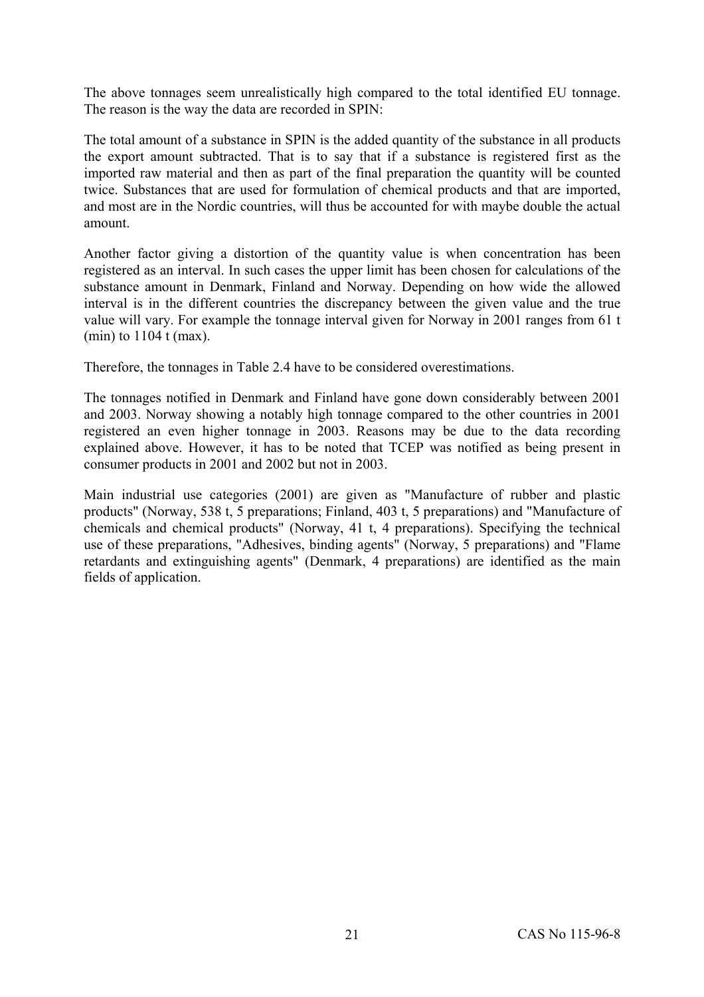The above tonnages seem unrealistically high compared to the total identified EU tonnage. The reason is the way the data are recorded in SPIN:

The total amount of a substance in SPIN is the added quantity of the substance in all products the export amount subtracted. That is to say that if a substance is registered first as the imported raw material and then as part of the final preparation the quantity will be counted twice. Substances that are used for formulation of chemical products and that are imported, and most are in the Nordic countries, will thus be accounted for with maybe double the actual amount.

Another factor giving a distortion of the quantity value is when concentration has been registered as an interval. In such cases the upper limit has been chosen for calculations of the substance amount in Denmark, Finland and Norway. Depending on how wide the allowed interval is in the different countries the discrepancy between the given value and the true value will vary. For example the tonnage interval given for Norway in 2001 ranges from 61 t (min) to 1104 t (max).

Therefore, the tonnages in Table 2.4 have to be considered overestimations.

The tonnages notified in Denmark and Finland have gone down considerably between 2001 and 2003. Norway showing a notably high tonnage compared to the other countries in 2001 registered an even higher tonnage in 2003. Reasons may be due to the data recording explained above. However, it has to be noted that TCEP was notified as being present in consumer products in 2001 and 2002 but not in 2003.

Main industrial use categories (2001) are given as "Manufacture of rubber and plastic products" (Norway, 538 t, 5 preparations; Finland, 403 t, 5 preparations) and "Manufacture of chemicals and chemical products" (Norway, 41 t, 4 preparations). Specifying the technical use of these preparations, "Adhesives, binding agents" (Norway, 5 preparations) and "Flame retardants and extinguishing agents" (Denmark, 4 preparations) are identified as the main fields of application.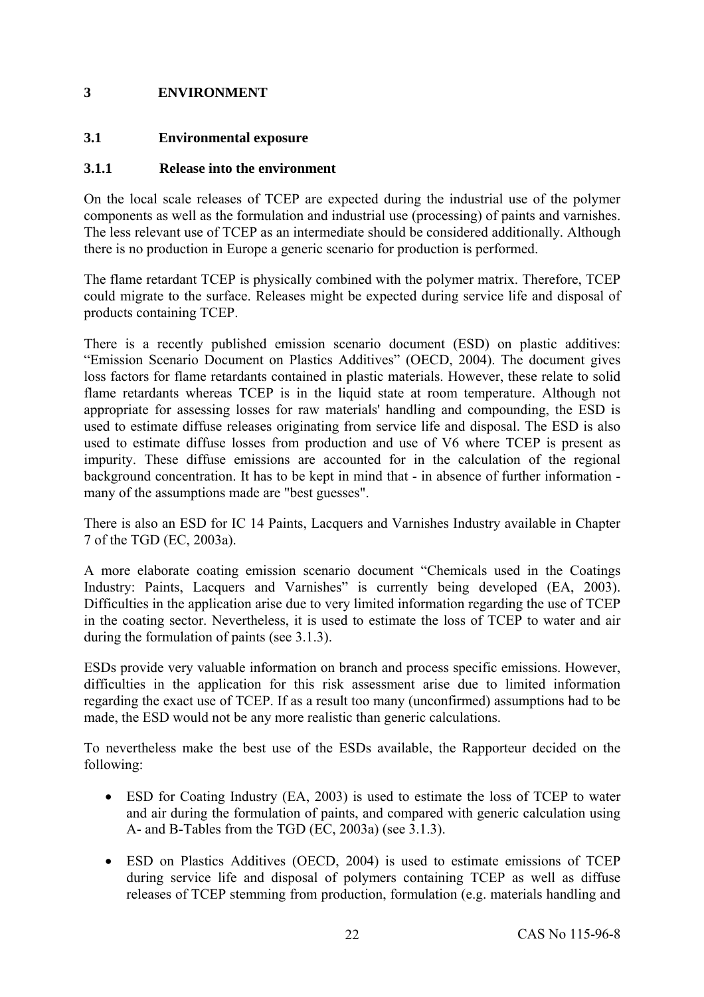# <span id="page-21-0"></span>**3 ENVIRONMENT**

# <span id="page-21-2"></span><span id="page-21-1"></span>**3.1 Environmental exposure**

### **3.1.1 Release into the environment**

On the local scale releases of TCEP are expected during the industrial use of the polymer components as well as the formulation and industrial use (processing) of paints and varnishes. The less relevant use of TCEP as an intermediate should be considered additionally. Although there is no production in Europe a generic scenario for production is performed.

The flame retardant TCEP is physically combined with the polymer matrix. Therefore, TCEP could migrate to the surface. Releases might be expected during service life and disposal of products containing TCEP.

There is a recently published emission scenario document (ESD) on plastic additives: "Emission Scenario Document on Plastics Additives" (OECD, 2004). The document gives loss factors for flame retardants contained in plastic materials. However, these relate to solid flame retardants whereas TCEP is in the liquid state at room temperature. Although not appropriate for assessing losses for raw materials' handling and compounding, the ESD is used to estimate diffuse releases originating from service life and disposal. The ESD is also used to estimate diffuse losses from production and use of V6 where TCEP is present as impurity. These diffuse emissions are accounted for in the calculation of the regional background concentration. It has to be kept in mind that - in absence of further information many of the assumptions made are "best guesses".

There is also an ESD for IC 14 Paints, Lacquers and Varnishes Industry available in Chapter 7 of the TGD (EC, 2003a).

A more elaborate coating emission scenario document "Chemicals used in the Coatings Industry: Paints, Lacquers and Varnishes" is currently being developed (EA, 2003). Difficulties in the application arise due to very limited information regarding the use of TCEP in the coating sector. Nevertheless, it is used to estimate the loss of TCEP to water and air during the formulation of paints (see 3.1.3).

ESDs provide very valuable information on branch and process specific emissions. However, difficulties in the application for this risk assessment arise due to limited information regarding the exact use of TCEP. If as a result too many (unconfirmed) assumptions had to be made, the ESD would not be any more realistic than generic calculations.

To nevertheless make the best use of the ESDs available, the Rapporteur decided on the following:

- ESD for Coating Industry (EA, 2003) is used to estimate the loss of TCEP to water and air during the formulation of paints, and compared with generic calculation using A- and B-Tables from the TGD (EC, 2003a) (see 3.1.3).
- ESD on Plastics Additives (OECD, 2004) is used to estimate emissions of TCEP during service life and disposal of polymers containing TCEP as well as diffuse releases of TCEP stemming from production, formulation (e.g. materials handling and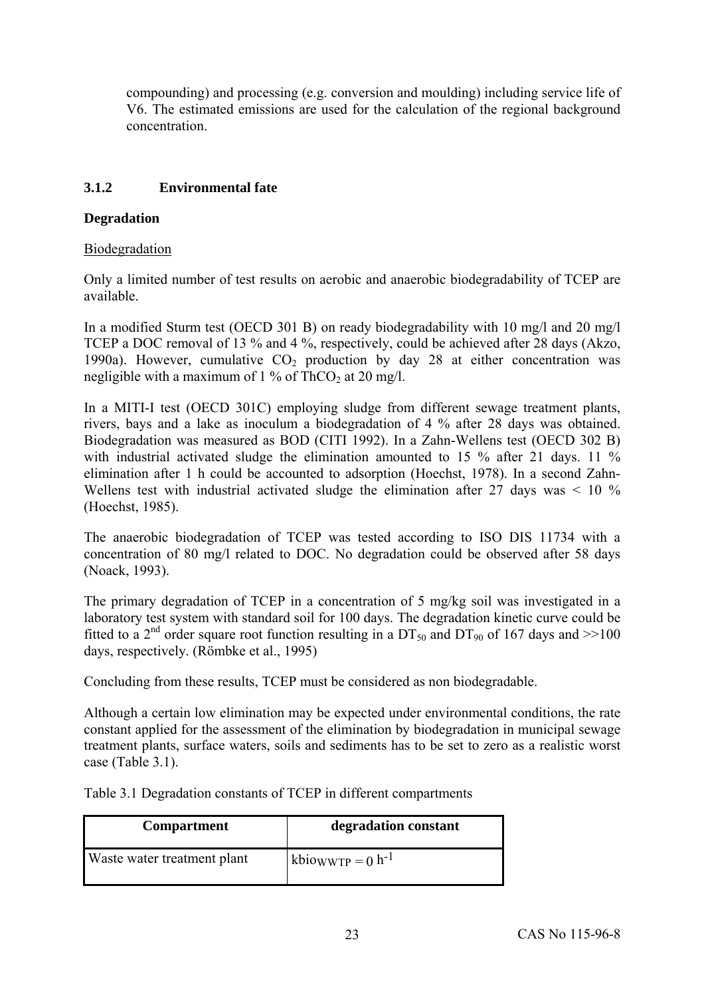compounding) and processing (e.g. conversion and moulding) including service life of V6. The estimated emissions are used for the calculation of the regional background concentration.

# <span id="page-22-0"></span>**3.1.2 Environmental fate**

# **Degradation**

# **Biodegradation**

Only a limited number of test results on aerobic and anaerobic biodegradability of TCEP are available.

In a modified Sturm test (OECD 301 B) on ready biodegradability with 10 mg/l and 20 mg/l TCEP a DOC removal of 13 % and 4 %, respectively, could be achieved after 28 days (Akzo, 1990a). However, cumulative  $CO<sub>2</sub>$  production by day 28 at either concentration was negligible with a maximum of 1 % of ThCO<sub>2</sub> at 20 mg/l.

In a MITI-I test (OECD 301C) employing sludge from different sewage treatment plants, rivers, bays and a lake as inoculum a biodegradation of 4 % after 28 days was obtained. Biodegradation was measured as BOD (CITI 1992). In a Zahn-Wellens test (OECD 302 B) with industrial activated sludge the elimination amounted to 15 % after 21 days. 11 % elimination after 1 h could be accounted to adsorption (Hoechst, 1978). In a second Zahn-Wellens test with industrial activated sludge the elimination after 27 days was  $\leq 10\%$ (Hoechst, 1985).

The anaerobic biodegradation of TCEP was tested according to ISO DIS 11734 with a concentration of 80 mg/l related to DOC. No degradation could be observed after 58 days (Noack, 1993).

The primary degradation of TCEP in a concentration of 5 mg/kg soil was investigated in a laboratory test system with standard soil for 100 days. The degradation kinetic curve could be fitted to a 2<sup>nd</sup> order square root function resulting in a DT<sub>50</sub> and DT<sub>90</sub> of 167 days and  $>>100$ days, respectively. (Römbke et al., 1995)

Concluding from these results, TCEP must be considered as non biodegradable.

Although a certain low elimination may be expected under environmental conditions, the rate constant applied for the assessment of the elimination by biodegradation in municipal sewage treatment plants, surface waters, soils and sediments has to be set to zero as a realistic worst case (Table 3.1).

Table 3.1 Degradation constants of TCEP in different compartments

| <b>Compartment</b>          | degradation constant                     |
|-----------------------------|------------------------------------------|
| Waste water treatment plant | kbioww <sub>TP</sub> = 0 h <sup>-1</sup> |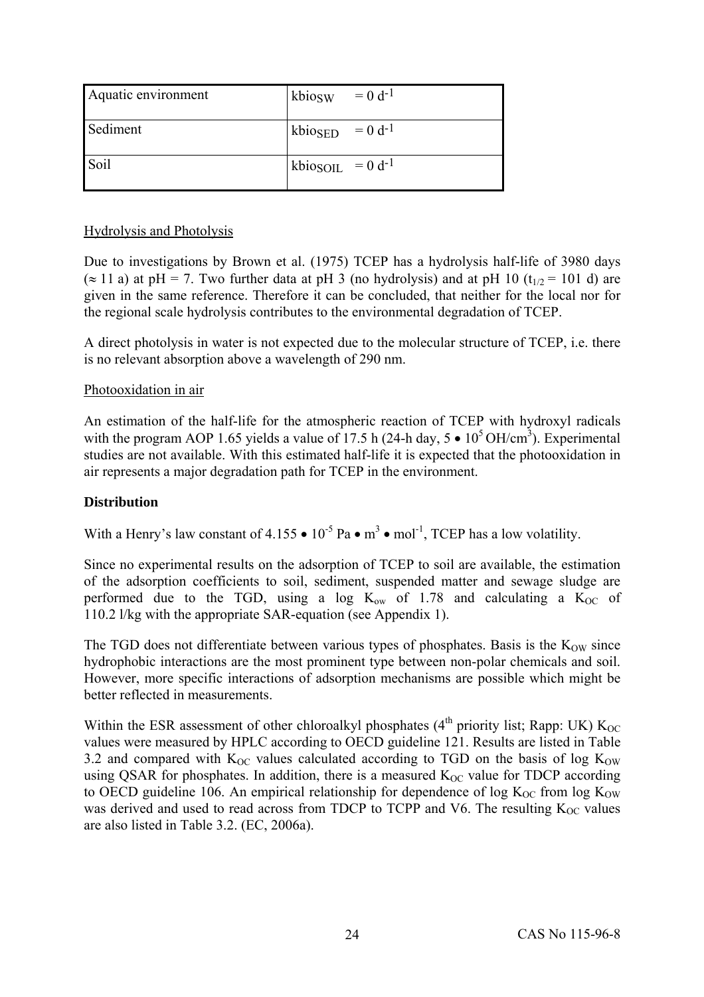| Aquatic environment | kbio <sub>SW</sub> = 0 d <sup>-1</sup>   |
|---------------------|------------------------------------------|
| Sediment            | kbio <sub>SED</sub> = $0 d^{-1}$         |
| Soil                | kbio <sub>SOIL</sub> = 0 d <sup>-1</sup> |

# Hydrolysis and Photolysis

Due to investigations by Brown et al. (1975) TCEP has a hydrolysis half-life of 3980 days  $(\approx 11 \text{ a})$  at pH = 7. Two further data at pH 3 (no hydrolysis) and at pH 10 (t<sub>1/2</sub> = 101 d) are given in the same reference. Therefore it can be concluded, that neither for the local nor for the regional scale hydrolysis contributes to the environmental degradation of TCEP.

A direct photolysis in water is not expected due to the molecular structure of TCEP, i.e. there is no relevant absorption above a wavelength of 290 nm.

### Photooxidation in air

An estimation of the half-life for the atmospheric reaction of TCEP with hydroxyl radicals with the program AOP 1.65 yields a value of 17.5 h (24-h day,  $5 \cdot 10^5 \text{OH/cm}^3$ ). Experimental studies are not available. With this estimated half-life it is expected that the photooxidation in air represents a major degradation path for TCEP in the environment.

### **Distribution**

With a Henry's law constant of 4.155 •  $10^{-5}$  Pa •  $m^3$  •  $mol^{-1}$ , TCEP has a low volatility.

Since no experimental results on the adsorption of TCEP to soil are available, the estimation of the adsorption coefficients to soil, sediment, suspended matter and sewage sludge are performed due to the TGD, using a log  $K_{ow}$  of 1.78 and calculating a  $K_{OC}$  of 110.2 l/kg with the appropriate SAR-equation (see Appendix 1).

The TGD does not differentiate between various types of phosphates. Basis is the  $K_{OW}$  since hydrophobic interactions are the most prominent type between non-polar chemicals and soil. However, more specific interactions of adsorption mechanisms are possible which might be better reflected in measurements.

Within the ESR assessment of other chloroalkyl phosphates  $(4<sup>th</sup>$  priority list; Rapp: UK) K<sub>OC</sub> values were measured by HPLC according to OECD guideline 121. Results are listed in Table 3.2 and compared with  $K_{OC}$  values calculated according to TGD on the basis of log  $K_{OW}$ using QSAR for phosphates. In addition, there is a measured  $K_{OC}$  value for TDCP according to OECD guideline 106. An empirical relationship for dependence of log  $K_{OC}$  from log  $K_{OW}$ was derived and used to read across from TDCP to TCPP and V6. The resulting  $K_{OC}$  values are also listed in Table 3.2. (EC, 2006a).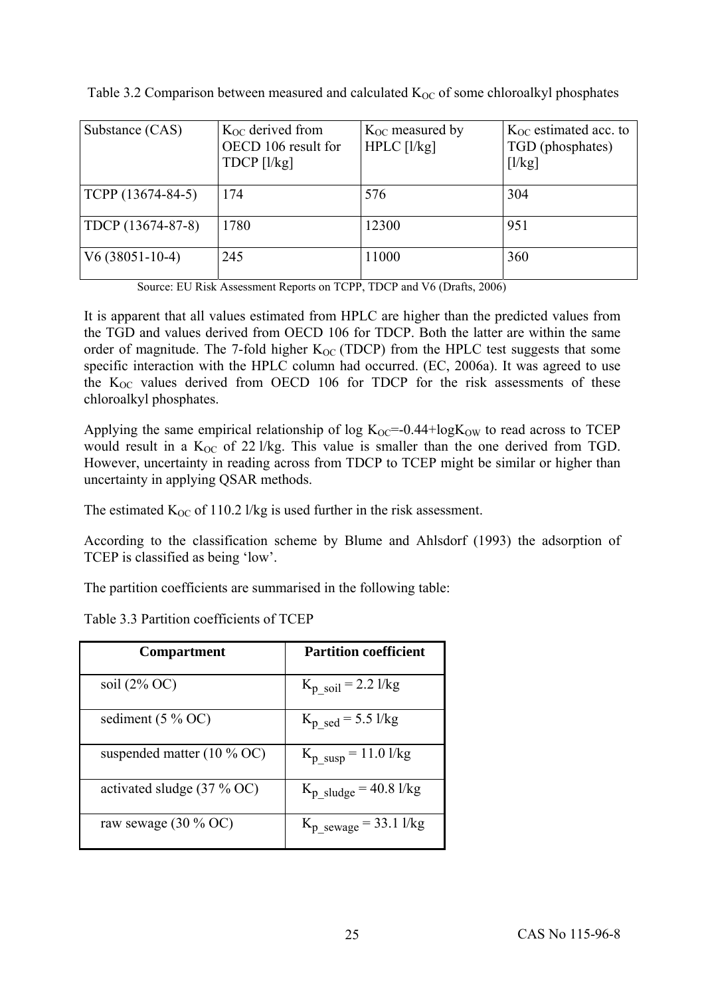| Substance (CAS)   | $K_{OC}$ derived from<br>OECD 106 result for<br>$TDCP$ [ $1/kg$ ] | $K_{OC}$ measured by<br>$HPLC$ [ $1/kg$ ] | $K_{OC}$ estimated acc. to<br>TGD (phosphates)<br>[1/kg] |
|-------------------|-------------------------------------------------------------------|-------------------------------------------|----------------------------------------------------------|
| TCPP (13674-84-5) | 174                                                               | 576                                       | 304                                                      |
| TDCP (13674-87-8) | 1780                                                              | 12300                                     | 951                                                      |
| $V6(38051-10-4)$  | 245                                                               | 11000                                     | 360                                                      |

Table 3.2 Comparison between measured and calculated  $K_{OC}$  of some chloroalkyl phosphates

Source: EU Risk Assessment Reports on TCPP, TDCP and V6 (Drafts, 2006)

It is apparent that all values estimated from HPLC are higher than the predicted values from the TGD and values derived from OECD 106 for TDCP. Both the latter are within the same order of magnitude. The 7-fold higher  $K_{OC}$  (TDCP) from the HPLC test suggests that some specific interaction with the HPLC column had occurred. (EC, 2006a). It was agreed to use the  $K_{OC}$  values derived from OECD 106 for TDCP for the risk assessments of these chloroalkyl phosphates.

Applying the same empirical relationship of log  $K_{OC} = -0.44 + \log K_{OW}$  to read across to TCEP would result in a  $K_{OC}$  of 22 l/kg. This value is smaller than the one derived from TGD. However, uncertainty in reading across from TDCP to TCEP might be similar or higher than uncertainty in applying QSAR methods.

The estimated  $K_{OC}$  of 110.2 l/kg is used further in the risk assessment.

According to the classification scheme by Blume and Ahlsdorf (1993) the adsorption of TCEP is classified as being 'low'.

The partition coefficients are summarised in the following table:

Table 3.3 Partition coefficients of TCEP

| <b>Compartment</b>           | <b>Partition coefficient</b>                            |
|------------------------------|---------------------------------------------------------|
| soil $(2\%$ OC)              | $K_{p}$ soil = 2.2 l/kg                                 |
| sediment $(5\%$ OC)          | $K_{p \text{ sed}} = 5.5 \frac{\text{1}}{\text{kg}}$    |
| suspended matter $(10\%$ OC) | $K_{p \text{ susp}} = 11.0 \frac{\text{1}}{\text{kg}}$  |
| activated sludge (37 % OC)   | $K_{p \text{sludge}} = 40.8 \frac{\text{l}}{\text{kg}}$ |
| raw sewage $(30\%$ OC)       | $K_{p}$ sewage = 33.1 l/kg                              |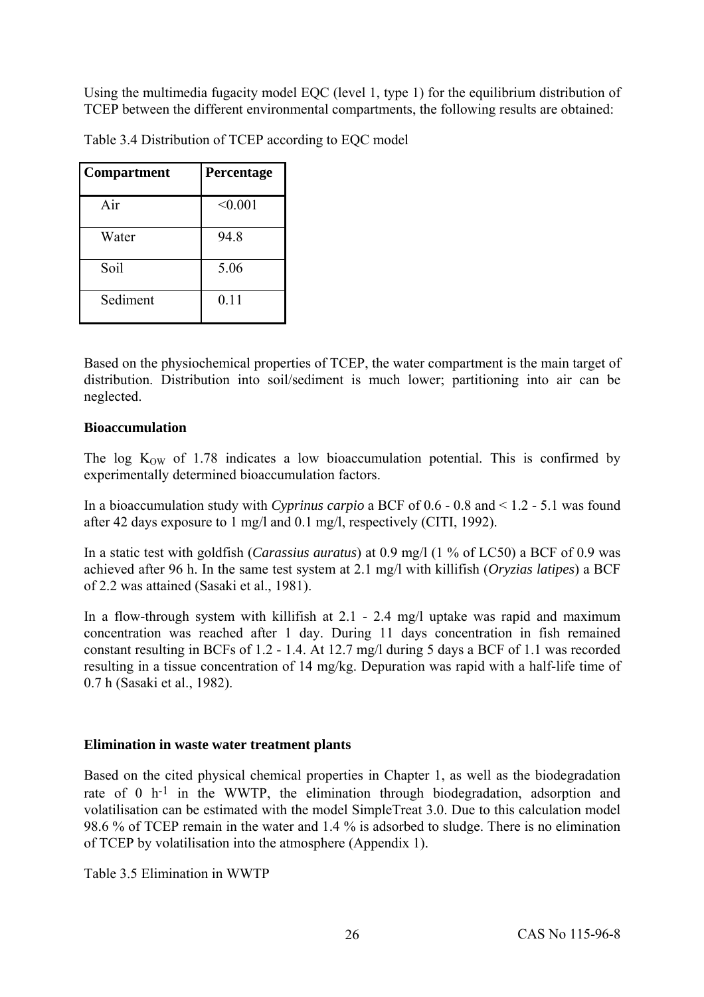Using the multimedia fugacity model EQC (level 1, type 1) for the equilibrium distribution of TCEP between the different environmental compartments, the following results are obtained:

| Table 3.4 Distribution of TCEP according to EQC model |  |  |
|-------------------------------------------------------|--|--|

| Compartment | Percentage |
|-------------|------------|
| Air         | < 0.001    |
| Water       | 94.8       |
| Soil        | 5.06       |
| Sediment    | 0.11       |

Based on the physiochemical properties of TCEP, the water compartment is the main target of distribution. Distribution into soil/sediment is much lower; partitioning into air can be neglected.

### **Bioaccumulation**

The log  $K<sub>OW</sub>$  of 1.78 indicates a low bioaccumulation potential. This is confirmed by experimentally determined bioaccumulation factors.

In a bioaccumulation study with *Cyprinus carpio* a BCF of 0.6 - 0.8 and < 1.2 - 5.1 was found after 42 days exposure to 1 mg/l and 0.1 mg/l, respectively (CITI, 1992).

In a static test with goldfish (*Carassius auratus*) at 0.9 mg/l (1 % of LC50) a BCF of 0.9 was achieved after 96 h. In the same test system at 2.1 mg/l with killifish (*Oryzias latipes*) a BCF of 2.2 was attained (Sasaki et al., 1981).

In a flow-through system with killifish at 2.1 - 2.4 mg/l uptake was rapid and maximum concentration was reached after 1 day. During 11 days concentration in fish remained constant resulting in BCFs of 1.2 - 1.4. At 12.7 mg/l during 5 days a BCF of 1.1 was recorded resulting in a tissue concentration of 14 mg/kg. Depuration was rapid with a half-life time of 0.7 h (Sasaki et al., 1982).

### **Elimination in waste water treatment plants**

Based on the cited physical chemical properties in Chapter 1, as well as the biodegradation rate of  $0$  h<sup>-1</sup> in the WWTP, the elimination through biodegradation, adsorption and volatilisation can be estimated with the model SimpleTreat 3.0. Due to this calculation model 98.6 % of TCEP remain in the water and 1.4 % is adsorbed to sludge. There is no elimination of TCEP by volatilisation into the atmosphere (Appendix 1).

Table 3.5 Elimination in WWTP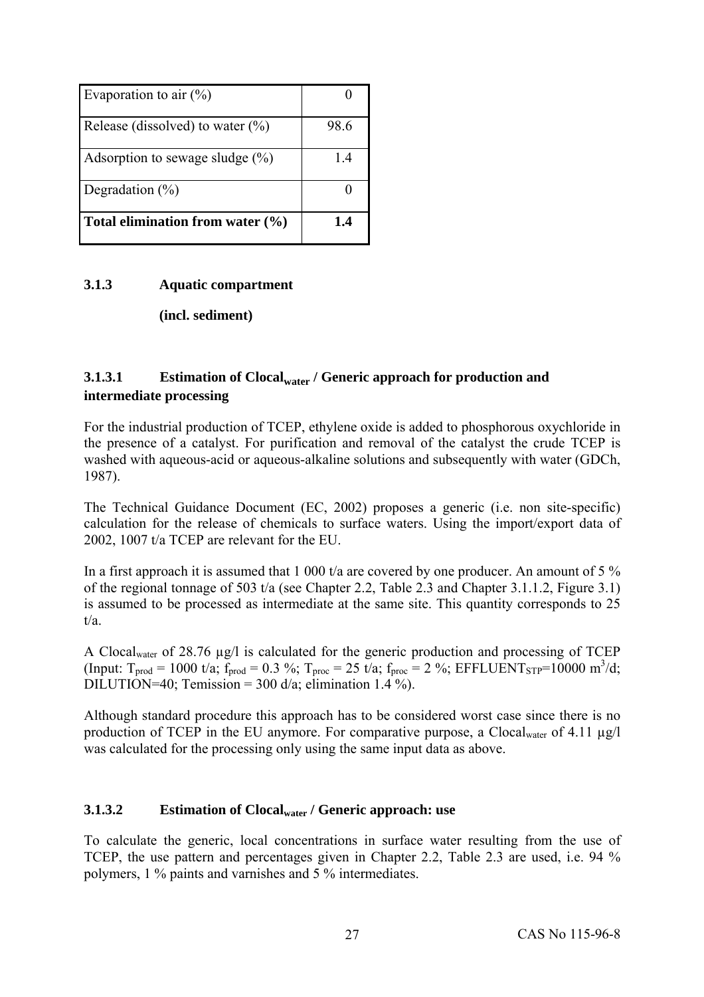| Evaporation to air $(\% )$           |      |
|--------------------------------------|------|
| Release (dissolved) to water $(\% )$ | 98.6 |
| Adsorption to sewage sludge $(\% )$  | I 4  |
| Degradation $(\% )$                  |      |
| Total elimination from water $(\% )$ |      |

# <span id="page-26-0"></span>**3.1.3 Aquatic compartment**

 **(incl. sediment)** 

# **3.1.3.1 Estimation of Clocal<sub>water</sub> / Generic approach for production and intermediate processing**

For the industrial production of TCEP, ethylene oxide is added to phosphorous oxychloride in the presence of a catalyst. For purification and removal of the catalyst the crude TCEP is washed with aqueous-acid or aqueous-alkaline solutions and subsequently with water (GDCh, 1987).

The Technical Guidance Document (EC, 2002) proposes a generic (i.e. non site-specific) calculation for the release of chemicals to surface waters. Using the import/export data of 2002, 1007 t/a TCEP are relevant for the EU.

In a first approach it is assumed that 1 000 t/a are covered by one producer. An amount of 5 % of the regional tonnage of 503 t/a (see Chapter 2.2, Table 2.3 and Chapter 3.1.1.2, Figure 3.1) is assumed to be processed as intermediate at the same site. This quantity corresponds to 25 t/a.

A Clocalwater of 28.76 µg/l is calculated for the generic production and processing of TCEP (Input: T<sub>prod</sub> = 1000 t/a; f<sub>prod</sub> = 0.3 %; T<sub>proc</sub> = 25 t/a; f<sub>proc</sub> = 2 %; EFFLUENT<sub>STP</sub>=10000 m<sup>3</sup>/d; DILUTION=40; Temission = 300 d/a; elimination 1.4 %).

Although standard procedure this approach has to be considered worst case since there is no production of TCEP in the EU anymore. For comparative purpose, a Clocal<sub>water</sub> of 4.11 µg/l was calculated for the processing only using the same input data as above.

# **3.1.3.2 Estimation of Clocalwater / Generic approach: use**

To calculate the generic, local concentrations in surface water resulting from the use of TCEP, the use pattern and percentages given in Chapter 2.2, Table 2.3 are used, i.e. 94 % polymers, 1 % paints and varnishes and 5 % intermediates.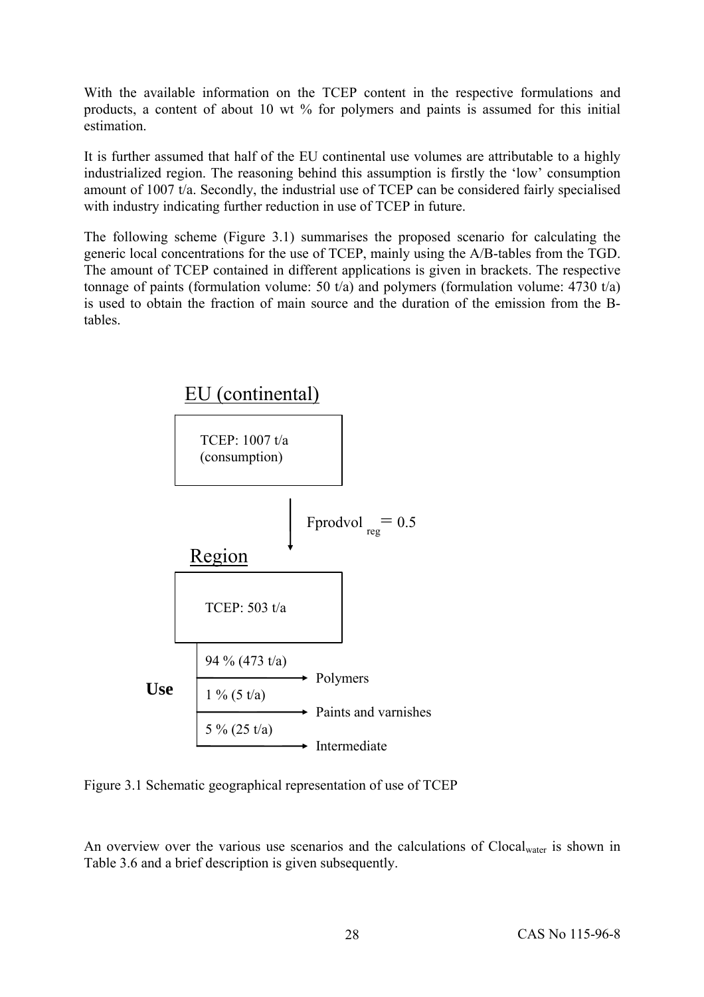With the available information on the TCEP content in the respective formulations and products, a content of about 10 wt % for polymers and paints is assumed for this initial estimation.

It is further assumed that half of the EU continental use volumes are attributable to a highly industrialized region. The reasoning behind this assumption is firstly the 'low' consumption amount of 1007 t/a. Secondly, the industrial use of TCEP can be considered fairly specialised with industry indicating further reduction in use of TCEP in future.

The following scheme (Figure 3.1) summarises the proposed scenario for calculating the generic local concentrations for the use of TCEP, mainly using the A/B-tables from the TGD. The amount of TCEP contained in different applications is given in brackets. The respective tonnage of paints (formulation volume: 50  $t/a$ ) and polymers (formulation volume: 4730  $t/a$ ) is used to obtain the fraction of main source and the duration of the emission from the Btables.



Figure 3.1 Schematic geographical representation of use of TCEP

An overview over the various use scenarios and the calculations of Clocal<sub>water</sub> is shown in Table 3.6 and a brief description is given subsequently.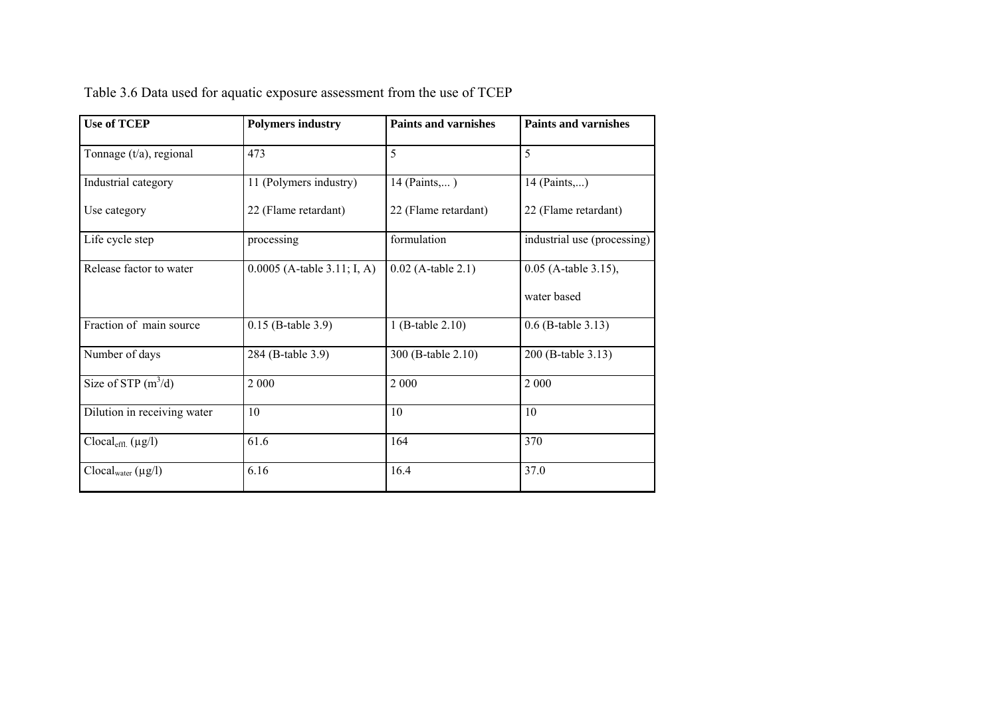| <b>Use of TCEP</b>                                 | <b>Polymers industry</b>      | <b>Paints and varnishes</b> | <b>Paints and varnishes</b>           |
|----------------------------------------------------|-------------------------------|-----------------------------|---------------------------------------|
| Tonnage $(t/a)$ , regional                         | 473                           | 5                           | 5                                     |
| Industrial category                                | 11 (Polymers industry)        | 14 (Paints,)                | 14 (Paints,)                          |
| Use category                                       | 22 (Flame retardant)          | 22 (Flame retardant)        | 22 (Flame retardant)                  |
| Life cycle step                                    | processing                    | formulation                 | industrial use (processing)           |
| Release factor to water                            | $0.0005$ (A-table 3.11; I, A) | $0.02$ (A-table 2.1)        | $0.05$ (A-table 3.15),<br>water based |
| Fraction of main source                            | $0.15$ (B-table 3.9)          | 1 (B-table 2.10)            | $0.6$ (B-table 3.13)                  |
| Number of days                                     | 284 (B-table 3.9)             | 300 (B-table 2.10)          | 200 (B-table 3.13)                    |
| Size of STP $(m^3/d)$                              | 2 000                         | 2 0 0 0                     | 2 0 0 0                               |
| Dilution in receiving water                        | 10                            | 10                          | 10                                    |
| $\text{Clocal}_{\text{effl}}$ (µg/l)               | 61.6                          | 164                         | 370                                   |
| $\text{Clocal}_{\text{water}}\left(\mu g/l\right)$ | 6.16                          | 16.4                        | 37.0                                  |

Table 3.6 Data used for aquatic exposure assessment from the use of TCEP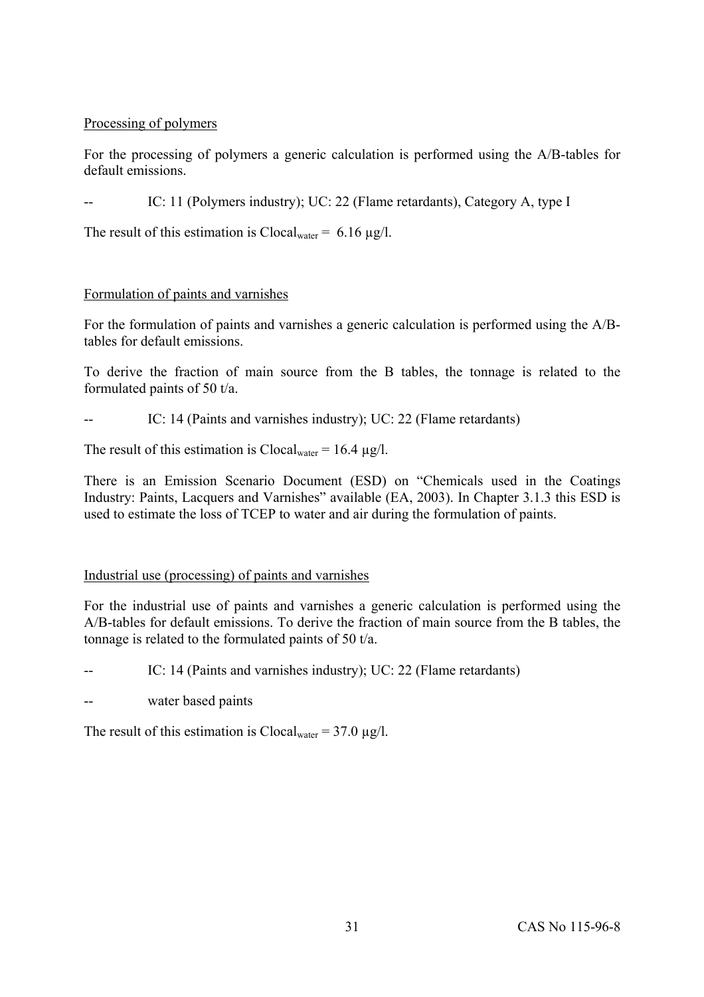# Processing of polymers

For the processing of polymers a generic calculation is performed using the A/B-tables for default emissions.

-- IC: 11 (Polymers industry); UC: 22 (Flame retardants), Category A, type I

The result of this estimation is  $\text{Clocal}_{\text{water}} = 6.16 \text{ µg/l}.$ 

# Formulation of paints and varnishes

For the formulation of paints and varnishes a generic calculation is performed using the A/Btables for default emissions.

To derive the fraction of main source from the B tables, the tonnage is related to the formulated paints of 50 t/a.

IC: 14 (Paints and varnishes industry); UC: 22 (Flame retardants)

The result of this estimation is  $Clocal_{water} = 16.4 \mu g/l$ .

There is an Emission Scenario Document (ESD) on "Chemicals used in the Coatings Industry: Paints, Lacquers and Varnishes" available (EA, 2003). In Chapter 3.1.3 this ESD is used to estimate the loss of TCEP to water and air during the formulation of paints.

# Industrial use (processing) of paints and varnishes

For the industrial use of paints and varnishes a generic calculation is performed using the A/B-tables for default emissions. To derive the fraction of main source from the B tables, the tonnage is related to the formulated paints of 50 t/a.

IC: 14 (Paints and varnishes industry); UC: 22 (Flame retardants)

water based paints

The result of this estimation is  $Clocal_{water} = 37.0 \mu g/l$ .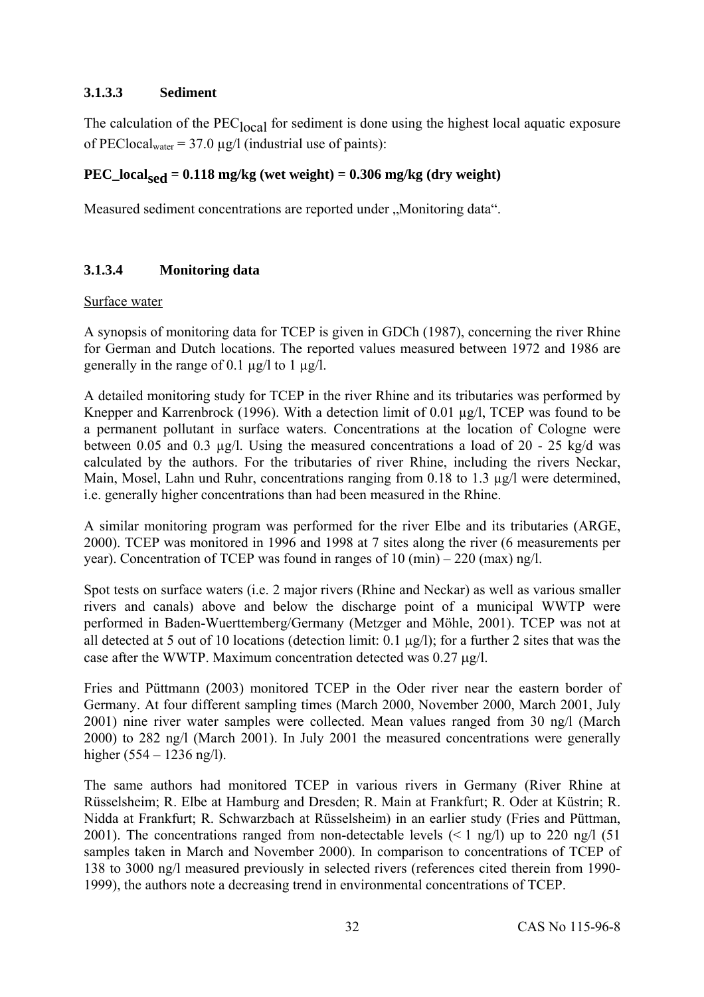## **3.1.3.3 Sediment**

The calculation of the  $PEC<sub>local</sub>$  for sediment is done using the highest local aquatic exposure of PEClocal<sub>water</sub> = 37.0  $\mu$ g/l (industrial use of paints):

# **PEC\_localsed = 0.118 mg/kg (wet weight) = 0.306 mg/kg (dry weight)**

Measured sediment concentrations are reported under "Monitoring data".

# **3.1.3.4 Monitoring data**

### Surface water

A synopsis of monitoring data for TCEP is given in GDCh (1987), concerning the river Rhine for German and Dutch locations. The reported values measured between 1972 and 1986 are generally in the range of 0.1  $\mu$ g/l to 1  $\mu$ g/l.

A detailed monitoring study for TCEP in the river Rhine and its tributaries was performed by Knepper and Karrenbrock (1996). With a detection limit of 0.01 µg/l, TCEP was found to be a permanent pollutant in surface waters. Concentrations at the location of Cologne were between 0.05 and 0.3  $\mu$ g/l. Using the measured concentrations a load of 20 - 25 kg/d was calculated by the authors. For the tributaries of river Rhine, including the rivers Neckar, Main, Mosel, Lahn und Ruhr, concentrations ranging from 0.18 to 1.3 µg/l were determined, i.e. generally higher concentrations than had been measured in the Rhine.

A similar monitoring program was performed for the river Elbe and its tributaries (ARGE, 2000). TCEP was monitored in 1996 and 1998 at 7 sites along the river (6 measurements per year). Concentration of TCEP was found in ranges of 10 (min) – 220 (max) ng/l.

Spot tests on surface waters (i.e. 2 major rivers (Rhine and Neckar) as well as various smaller rivers and canals) above and below the discharge point of a municipal WWTP were performed in Baden-Wuerttemberg/Germany (Metzger and Möhle, 2001). TCEP was not at all detected at 5 out of 10 locations (detection limit: 0.1 µg/l); for a further 2 sites that was the case after the WWTP. Maximum concentration detected was 0.27 µg/l.

Fries and Püttmann (2003) monitored TCEP in the Oder river near the eastern border of Germany. At four different sampling times (March 2000, November 2000, March 2001, July 2001) nine river water samples were collected. Mean values ranged from 30 ng/l (March 2000) to 282 ng/l (March 2001). In July 2001 the measured concentrations were generally higher (554 – 1236 ng/l).

The same authors had monitored TCEP in various rivers in Germany (River Rhine at Rüsselsheim; R. Elbe at Hamburg and Dresden; R. Main at Frankfurt; R. Oder at Küstrin; R. Nidda at Frankfurt; R. Schwarzbach at Rüsselsheim) in an earlier study (Fries and Püttman, 2001). The concentrations ranged from non-detectable levels  $(1 \text{ ng/l})$  up to 220 ng/l  $(51 \text{ g})$ samples taken in March and November 2000). In comparison to concentrations of TCEP of 138 to 3000 ng/l measured previously in selected rivers (references cited therein from 1990- 1999), the authors note a decreasing trend in environmental concentrations of TCEP.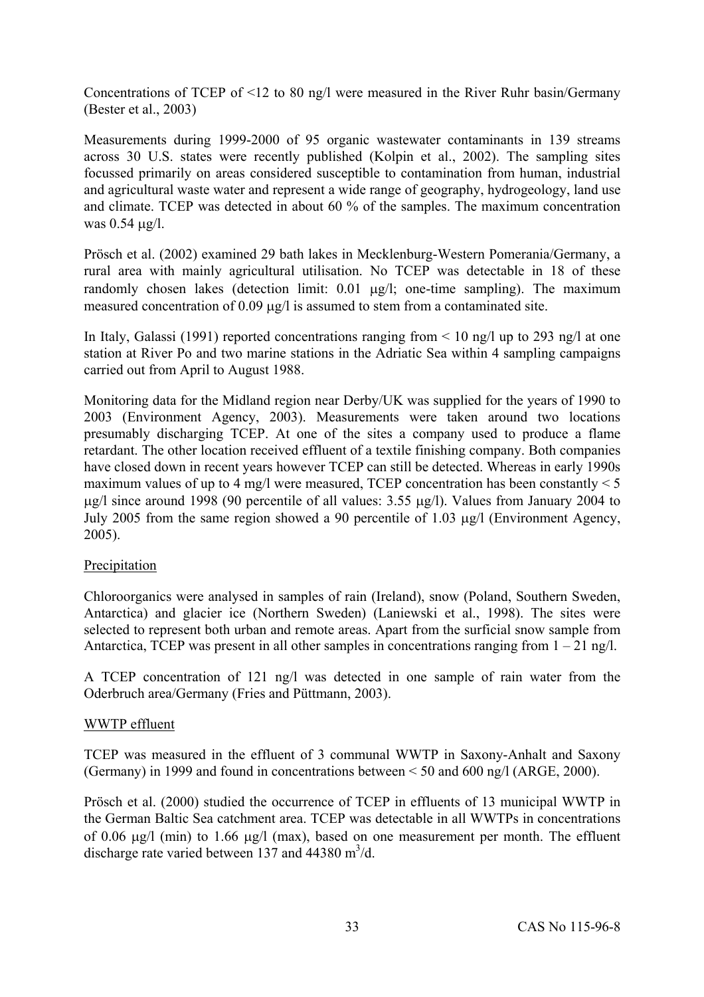Concentrations of TCEP of <12 to 80 ng/l were measured in the River Ruhr basin/Germany (Bester et al., 2003)

Measurements during 1999-2000 of 95 organic wastewater contaminants in 139 streams across 30 U.S. states were recently published (Kolpin et al., 2002). The sampling sites focussed primarily on areas considered susceptible to contamination from human, industrial and agricultural waste water and represent a wide range of geography, hydrogeology, land use and climate. TCEP was detected in about 60 % of the samples. The maximum concentration was 0.54 µg/l.

Prösch et al. (2002) examined 29 bath lakes in Mecklenburg-Western Pomerania/Germany, a rural area with mainly agricultural utilisation. No TCEP was detectable in 18 of these randomly chosen lakes (detection limit: 0.01 µg/l; one-time sampling). The maximum measured concentration of  $0.09 \mu\text{g/l}$  is assumed to stem from a contaminated site.

In Italy, Galassi (1991) reported concentrations ranging from  $\leq 10$  ng/l up to 293 ng/l at one station at River Po and two marine stations in the Adriatic Sea within 4 sampling campaigns carried out from April to August 1988.

Monitoring data for the Midland region near Derby/UK was supplied for the years of 1990 to 2003 (Environment Agency, 2003). Measurements were taken around two locations presumably discharging TCEP. At one of the sites a company used to produce a flame retardant. The other location received effluent of a textile finishing company. Both companies have closed down in recent years however TCEP can still be detected. Whereas in early 1990s maximum values of up to 4 mg/l were measured, TCEP concentration has been constantly  $\leq 5$ µg/l since around 1998 (90 percentile of all values: 3.55 µg/l). Values from January 2004 to July 2005 from the same region showed a 90 percentile of 1.03 µg/l (Environment Agency, 2005).

# Precipitation

Chloroorganics were analysed in samples of rain (Ireland), snow (Poland, Southern Sweden, Antarctica) and glacier ice (Northern Sweden) (Laniewski et al., 1998). The sites were selected to represent both urban and remote areas. Apart from the surficial snow sample from Antarctica, TCEP was present in all other samples in concentrations ranging from  $1 - 21$  ng/l.

A TCEP concentration of 121 ng/l was detected in one sample of rain water from the Oderbruch area/Germany (Fries and Püttmann, 2003).

### WWTP effluent

TCEP was measured in the effluent of 3 communal WWTP in Saxony-Anhalt and Saxony (Germany) in 1999 and found in concentrations between < 50 and 600 ng/l (ARGE, 2000).

Prösch et al. (2000) studied the occurrence of TCEP in effluents of 13 municipal WWTP in the German Baltic Sea catchment area. TCEP was detectable in all WWTPs in concentrations of 0.06 µg/l (min) to 1.66 µg/l (max), based on one measurement per month. The effluent discharge rate varied between 137 and 44380 m<sup>3</sup>/d.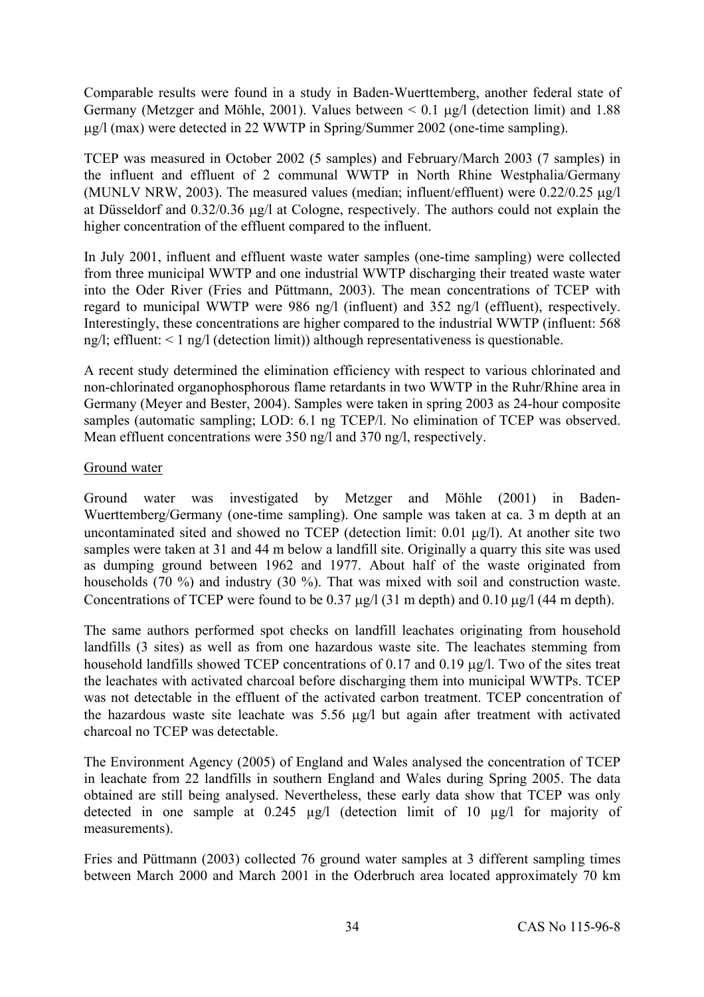Comparable results were found in a study in Baden-Wuerttemberg, another federal state of Germany (Metzger and Möhle, 2001). Values between  $\leq 0.1$  µg/l (detection limit) and 1.88 ug/l (max) were detected in 22 WWTP in Spring/Summer 2002 (one-time sampling).

TCEP was measured in October 2002 (5 samples) and February/March 2003 (7 samples) in the influent and effluent of 2 communal WWTP in North Rhine Westphalia/Germany (MUNLV NRW, 2003). The measured values (median; influent/effluent) were  $0.22/0.25 \mu g/l$ at Düsseldorf and 0.32/0.36 µg/l at Cologne, respectively. The authors could not explain the higher concentration of the effluent compared to the influent.

In July 2001, influent and effluent waste water samples (one-time sampling) were collected from three municipal WWTP and one industrial WWTP discharging their treated waste water into the Oder River (Fries and Püttmann, 2003). The mean concentrations of TCEP with regard to municipal WWTP were 986 ng/l (influent) and 352 ng/l (effluent), respectively. Interestingly, these concentrations are higher compared to the industrial WWTP (influent: 568 ng/l; effluent: < 1 ng/l (detection limit)) although representativeness is questionable.

A recent study determined the elimination efficiency with respect to various chlorinated and non-chlorinated organophosphorous flame retardants in two WWTP in the Ruhr/Rhine area in Germany (Meyer and Bester, 2004). Samples were taken in spring 2003 as 24-hour composite samples (automatic sampling; LOD: 6.1 ng TCEP/l. No elimination of TCEP was observed. Mean effluent concentrations were 350 ng/l and 370 ng/l, respectively.

# Ground water

Ground water was investigated by Metzger and Möhle (2001) in Baden-Wuerttemberg/Germany (one-time sampling). One sample was taken at ca. 3 m depth at an uncontaminated sited and showed no TCEP (detection limit: 0.01 µg/l). At another site two samples were taken at 31 and 44 m below a landfill site. Originally a quarry this site was used as dumping ground between 1962 and 1977. About half of the waste originated from households (70 %) and industry (30 %). That was mixed with soil and construction waste. Concentrations of TCEP were found to be 0.37 µg/l (31 m depth) and 0.10 µg/l (44 m depth).

The same authors performed spot checks on landfill leachates originating from household landfills (3 sites) as well as from one hazardous waste site. The leachates stemming from household landfills showed TCEP concentrations of 0.17 and 0.19 µg/l. Two of the sites treat the leachates with activated charcoal before discharging them into municipal WWTPs. TCEP was not detectable in the effluent of the activated carbon treatment. TCEP concentration of the hazardous waste site leachate was 5.56 µg/l but again after treatment with activated charcoal no TCEP was detectable.

The Environment Agency (2005) of England and Wales analysed the concentration of TCEP in leachate from 22 landfills in southern England and Wales during Spring 2005. The data obtained are still being analysed. Nevertheless, these early data show that TCEP was only detected in one sample at 0.245 µg/l (detection limit of 10 µg/l for majority of measurements).

Fries and Püttmann (2003) collected 76 ground water samples at 3 different sampling times between March 2000 and March 2001 in the Oderbruch area located approximately 70 km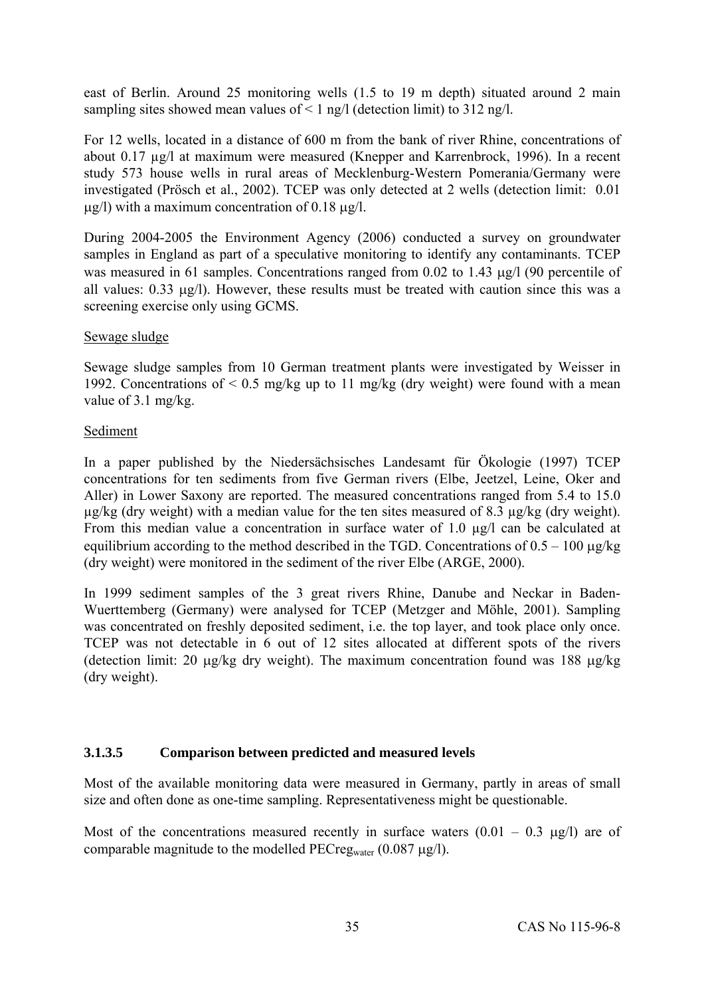east of Berlin. Around 25 monitoring wells (1.5 to 19 m depth) situated around 2 main sampling sites showed mean values of  $\leq 1$  ng/l (detection limit) to 312 ng/l.

For 12 wells, located in a distance of 600 m from the bank of river Rhine, concentrations of about 0.17 µg/l at maximum were measured (Knepper and Karrenbrock, 1996). In a recent study 573 house wells in rural areas of Mecklenburg-Western Pomerania/Germany were investigated (Prösch et al., 2002). TCEP was only detected at 2 wells (detection limit: 0.01  $\mu$ g/l) with a maximum concentration of 0.18  $\mu$ g/l.

During 2004-2005 the Environment Agency (2006) conducted a survey on groundwater samples in England as part of a speculative monitoring to identify any contaminants. TCEP was measured in 61 samples. Concentrations ranged from 0.02 to 1.43  $\mu$ g/l (90 percentile of all values: 0.33 µg/l). However, these results must be treated with caution since this was a screening exercise only using GCMS.

### Sewage sludge

Sewage sludge samples from 10 German treatment plants were investigated by Weisser in 1992. Concentrations of  $\leq 0.5$  mg/kg up to 11 mg/kg (dry weight) were found with a mean value of 3.1 mg/kg.

### Sediment

In a paper published by the Niedersächsisches Landesamt für Ökologie (1997) TCEP concentrations for ten sediments from five German rivers (Elbe, Jeetzel, Leine, Oker and Aller) in Lower Saxony are reported. The measured concentrations ranged from 5.4 to 15.0 µg/kg (dry weight) with a median value for the ten sites measured of 8.3 µg/kg (dry weight). From this median value a concentration in surface water of 1.0 µg/l can be calculated at equilibrium according to the method described in the TGD. Concentrations of  $0.5 - 100 \mu g/kg$ (dry weight) were monitored in the sediment of the river Elbe (ARGE, 2000).

In 1999 sediment samples of the 3 great rivers Rhine, Danube and Neckar in Baden-Wuerttemberg (Germany) were analysed for TCEP (Metzger and Möhle, 2001). Sampling was concentrated on freshly deposited sediment, i.e. the top layer, and took place only once. TCEP was not detectable in 6 out of 12 sites allocated at different spots of the rivers (detection limit: 20  $\mu$ g/kg dry weight). The maximum concentration found was 188  $\mu$ g/kg (dry weight).

# **3.1.3.5 Comparison between predicted and measured levels**

Most of the available monitoring data were measured in Germany, partly in areas of small size and often done as one-time sampling. Representativeness might be questionable.

Most of the concentrations measured recently in surface waters  $(0.01 - 0.3 \mu g/l)$  are of comparable magnitude to the modelled  $\text{PECreg}_{\text{water}}$  (0.087  $\mu$ g/l).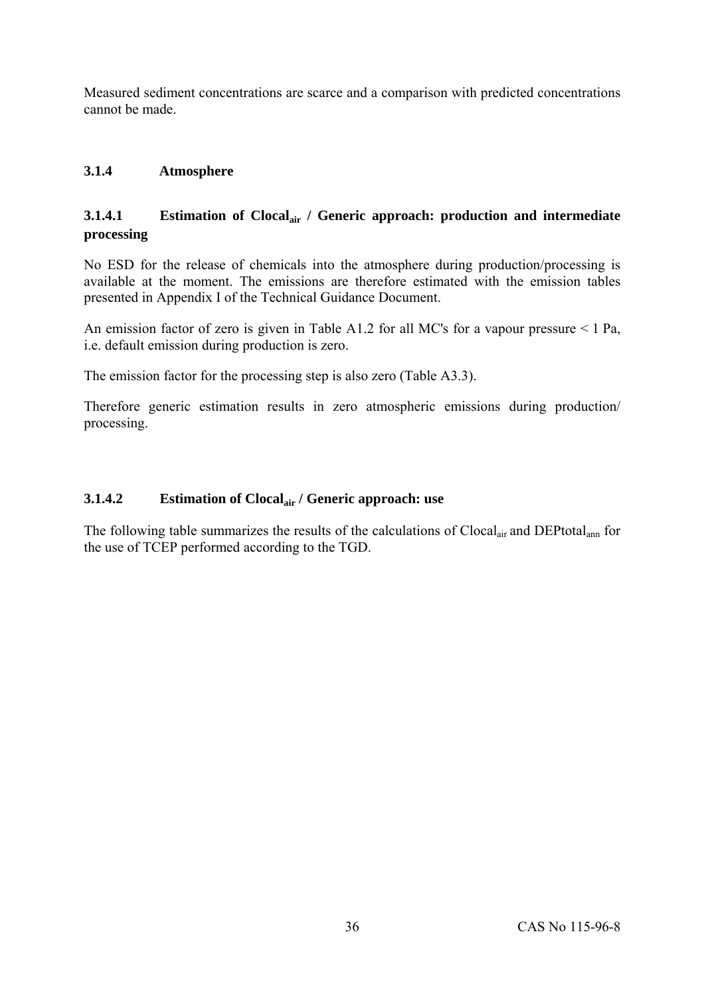Measured sediment concentrations are scarce and a comparison with predicted concentrations cannot be made.

### <span id="page-35-0"></span>**3.1.4 Atmosphere**

# **3.1.4.1 Estimation of Clocalair / Generic approach: production and intermediate processing**

No ESD for the release of chemicals into the atmosphere during production/processing is available at the moment. The emissions are therefore estimated with the emission tables presented in Appendix I of the Technical Guidance Document.

An emission factor of zero is given in Table A1.2 for all MC's for a vapour pressure < 1 Pa, i.e. default emission during production is zero.

The emission factor for the processing step is also zero (Table A3.3).

Therefore generic estimation results in zero atmospheric emissions during production/ processing.

# **3.1.4.2 Estimation of Clocalair / Generic approach: use**

The following table summarizes the results of the calculations of Clocal<sub>air</sub> and DEPtotal<sub>ann</sub> for the use of TCEP performed according to the TGD.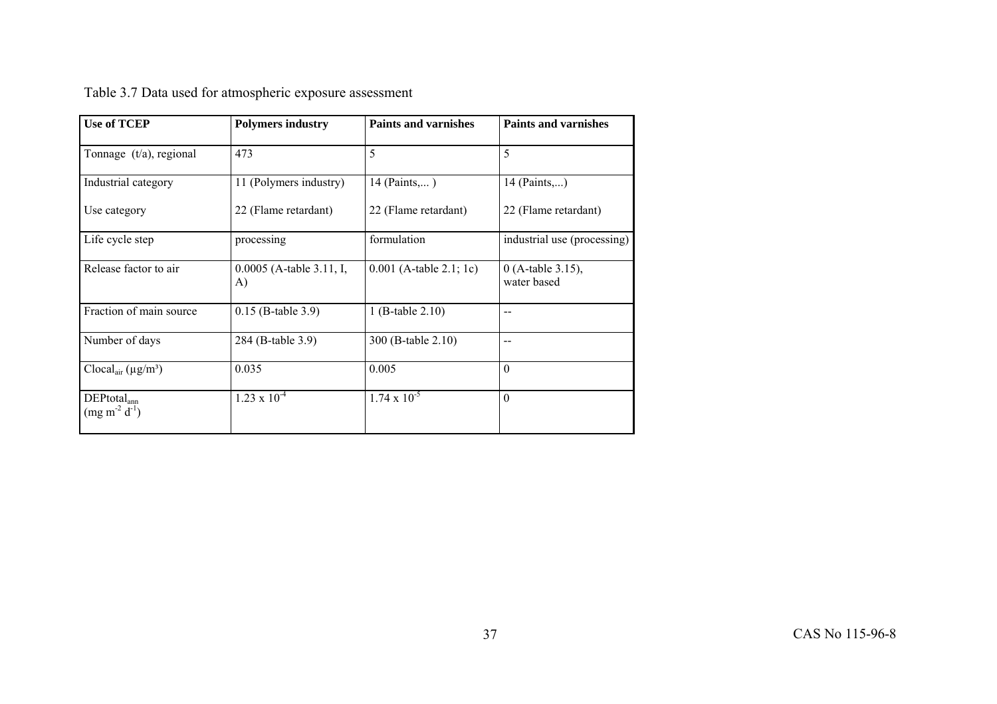Table 3.7 Data used for atmospheric exposure assessment

| <b>Use of TCEP</b>                                       | <b>Polymers industry</b>       | <b>Paints and varnishes</b> | <b>Paints and varnishes</b>        |
|----------------------------------------------------------|--------------------------------|-----------------------------|------------------------------------|
| Tonnage $(t/a)$ , regional                               | 473                            | 5                           | 5                                  |
| Industrial category                                      | 11 (Polymers industry)         | 14 (Paints,)                | 14 (Paints,)                       |
| Use category                                             | 22 (Flame retardant)           | 22 (Flame retardant)        | 22 (Flame retardant)               |
| Life cycle step                                          | processing                     | formulation                 | industrial use (processing)        |
| Release factor to air                                    | 0.0005 (A-table 3.11, I,<br>A) | $0.001$ (A-table 2.1; 1c)   | $0$ (A-table 3.15),<br>water based |
| Fraction of main source                                  | $0.15$ (B-table 3.9)           | 1 (B-table $2.10$ )         |                                    |
| Number of days                                           | 284 (B-table 3.9)              | 300 (B-table 2.10)          | $-$                                |
| $\text{Clocal}_{\text{air}}\left(\mu\text{g/m}^3\right)$ | 0.035                          | 0.005                       | $\mathbf{0}$                       |
| $DEPtotal_{ann}$<br>$(mg m-2 d-1)$                       | $1.23 \times 10^{-4}$          | $1.74 \times 10^{-5}$       | $\mathbf{0}$                       |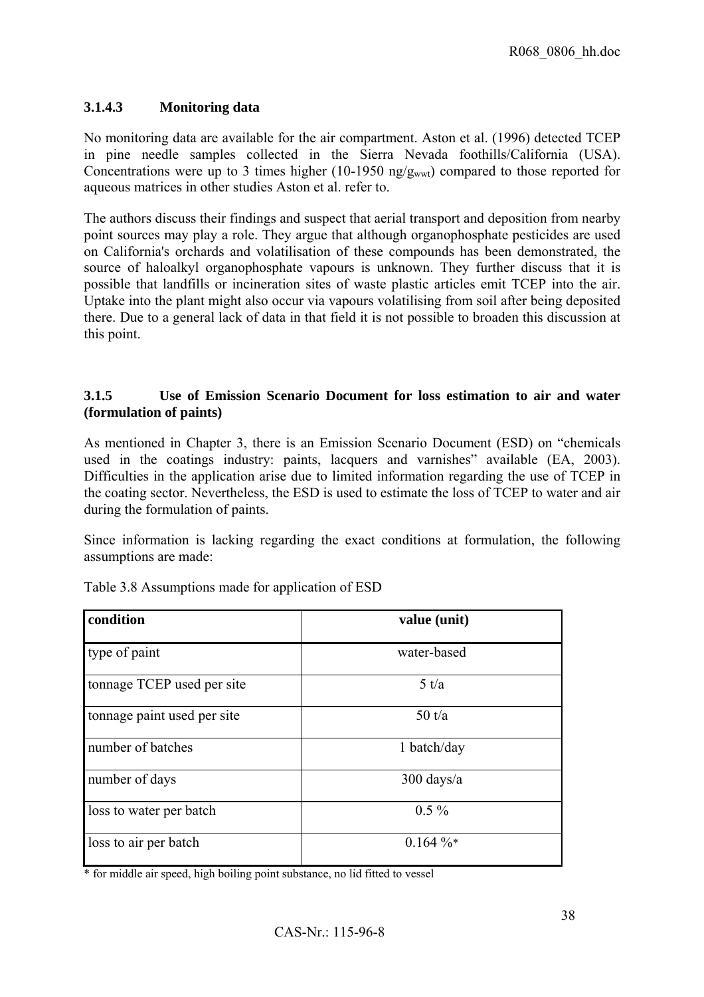# **3.1.4.3 Monitoring data**

No monitoring data are available for the air compartment. Aston et al. (1996) detected TCEP in pine needle samples collected in the Sierra Nevada foothills/California (USA). Concentrations were up to 3 times higher (10-1950 ng/g<sub>wwt</sub>) compared to those reported for aqueous matrices in other studies Aston et al. refer to.

The authors discuss their findings and suspect that aerial transport and deposition from nearby point sources may play a role. They argue that although organophosphate pesticides are used on California's orchards and volatilisation of these compounds has been demonstrated, the source of haloalkyl organophosphate vapours is unknown. They further discuss that it is possible that landfills or incineration sites of waste plastic articles emit TCEP into the air. Uptake into the plant might also occur via vapours volatilising from soil after being deposited there. Due to a general lack of data in that field it is not possible to broaden this discussion at this point.

## **3.1.5 Use of Emission Scenario Document for loss estimation to air and water (formulation of paints)**

As mentioned in Chapter 3, there is an Emission Scenario Document (ESD) on "chemicals used in the coatings industry: paints, lacquers and varnishes" available (EA, 2003). Difficulties in the application arise due to limited information regarding the use of TCEP in the coating sector. Nevertheless, the ESD is used to estimate the loss of TCEP to water and air during the formulation of paints.

Since information is lacking regarding the exact conditions at formulation, the following assumptions are made:

| condition                   | value (unit)         |
|-----------------------------|----------------------|
| type of paint               | water-based          |
| tonnage TCEP used per site  | 5 t/a                |
| tonnage paint used per site | $50 \frac{t}{a}$     |
| number of batches           | 1 batch/day          |
| number of days              | $300 \text{ days/a}$ |
| loss to water per batch     | $0.5\%$              |
| loss to air per batch       | $0.164\%*$           |

Table 3.8 Assumptions made for application of ESD

\* for middle air speed, high boiling point substance, no lid fitted to vessel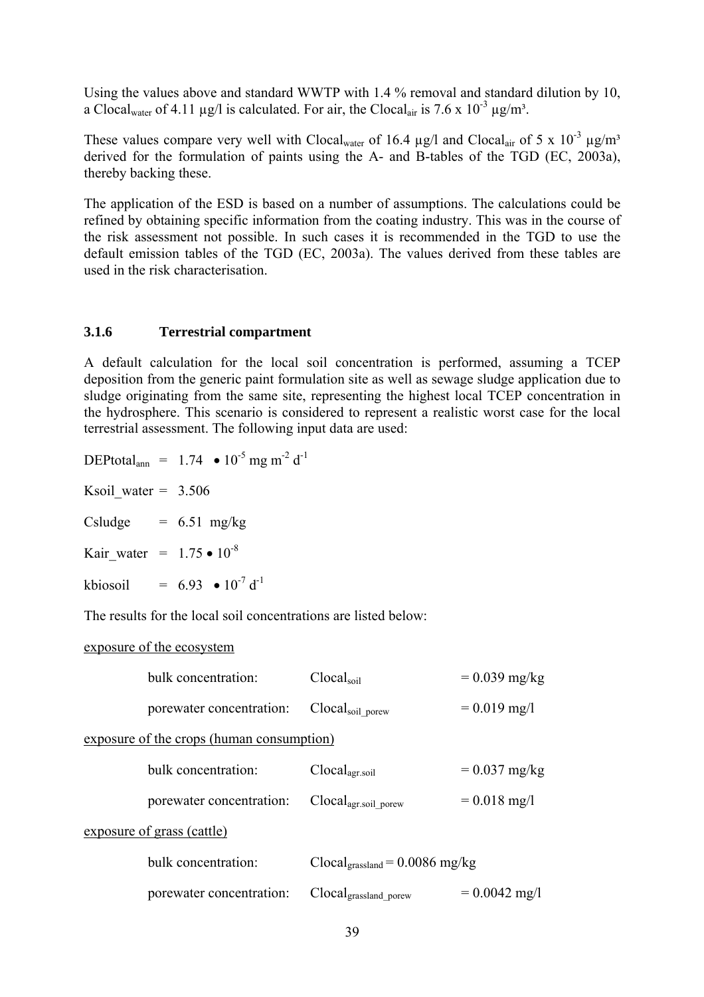Using the values above and standard WWTP with 1.4 % removal and standard dilution by 10, a Clocal<sub>water</sub> of 4.11 µg/l is calculated. For air, the Clocal<sub>air</sub> is 7.6 x 10<sup>-3</sup> µg/m<sup>3</sup>.

These values compare very well with Clocal<sub>water</sub> of 16.4  $\mu$ g/l and Clocal<sub>air</sub> of 5 x 10<sup>-3</sup>  $\mu$ g/m<sup>3</sup> derived for the formulation of paints using the A- and B-tables of the TGD (EC, 2003a), thereby backing these.

The application of the ESD is based on a number of assumptions. The calculations could be refined by obtaining specific information from the coating industry. This was in the course of the risk assessment not possible. In such cases it is recommended in the TGD to use the default emission tables of the TGD (EC, 2003a). The values derived from these tables are used in the risk characterisation.

#### **3.1.6 Terrestrial compartment**

A default calculation for the local soil concentration is performed, assuming a TCEP deposition from the generic paint formulation site as well as sewage sludge application due to sludge originating from the same site, representing the highest local TCEP concentration in the hydrosphere. This scenario is considered to represent a realistic worst case for the local terrestrial assessment. The following input data are used:

DEPtotal<sub>ann</sub> = 1.74 •  $10^{-5}$  mg m<sup>-2</sup> d<sup>-1</sup>

Ksoil water  $= 3.506$ 

Csludge  $= 6.51$  mg/kg

Kair water =  $1.75 \cdot 10^{-8}$ 

kbiosoil = 6.93  $\bullet 10^{-7} d^{-1}$ 

The results for the local soil concentrations are listed below:

#### exposure of the ecosystem

| bulk concentration:                       | Clocal <sub>soil</sub>                            | $= 0.039$ mg/kg |
|-------------------------------------------|---------------------------------------------------|-----------------|
| porewater concentration:                  | Clocal <sub>soil</sub> porew                      | $= 0.019$ mg/l  |
| exposure of the crops (human consumption) |                                                   |                 |
| bulk concentration:                       | Clocal <sub>agr. soil</sub>                       | $= 0.037$ mg/kg |
| porewater concentration:                  | $\text{Clocal}_{\text{agr.soil}}$ porew           | $= 0.018$ mg/l  |
| exposure of grass (cattle)                |                                                   |                 |
| bulk concentration:                       | $\text{Clocal}_{\text{grassland}}$ = 0.0086 mg/kg |                 |
| porewater concentration:                  | Clocal <sub>grassland_porew</sub>                 | $= 0.0042$ mg/l |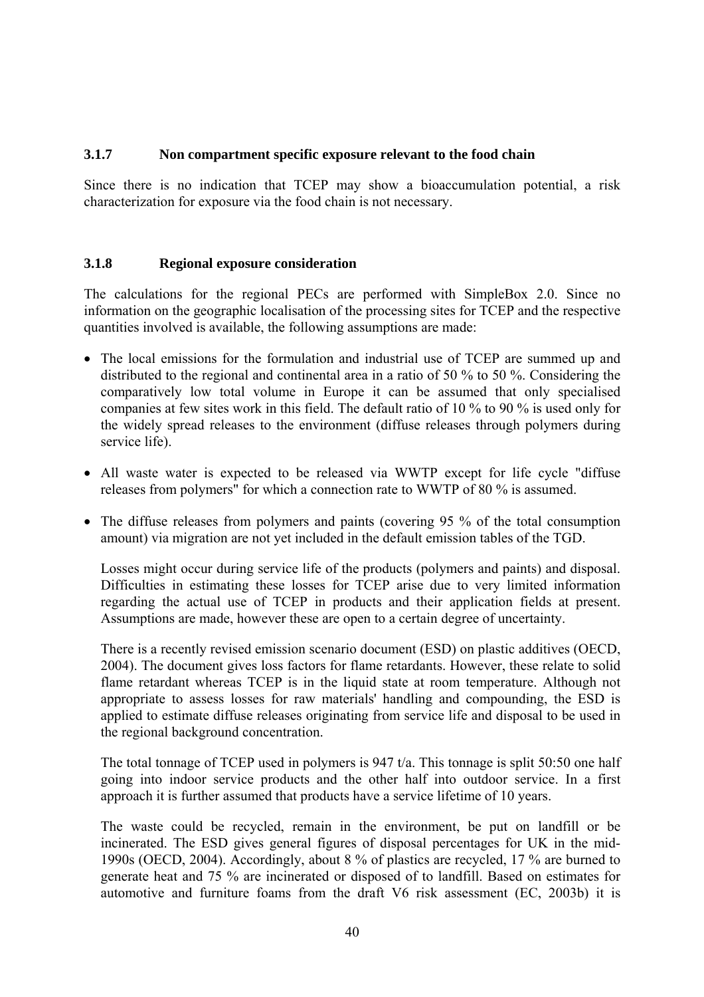### **3.1.7 Non compartment specific exposure relevant to the food chain**

Since there is no indication that TCEP may show a bioaccumulation potential, a risk characterization for exposure via the food chain is not necessary.

### **3.1.8 Regional exposure consideration**

The calculations for the regional PECs are performed with SimpleBox 2.0. Since no information on the geographic localisation of the processing sites for TCEP and the respective quantities involved is available, the following assumptions are made:

- The local emissions for the formulation and industrial use of TCEP are summed up and distributed to the regional and continental area in a ratio of 50 % to 50 %. Considering the comparatively low total volume in Europe it can be assumed that only specialised companies at few sites work in this field. The default ratio of 10 % to 90 % is used only for the widely spread releases to the environment (diffuse releases through polymers during service life).
- All waste water is expected to be released via WWTP except for life cycle "diffuse releases from polymers" for which a connection rate to WWTP of 80 % is assumed.
- The diffuse releases from polymers and paints (covering 95 % of the total consumption amount) via migration are not yet included in the default emission tables of the TGD.

Losses might occur during service life of the products (polymers and paints) and disposal. Difficulties in estimating these losses for TCEP arise due to very limited information regarding the actual use of TCEP in products and their application fields at present. Assumptions are made, however these are open to a certain degree of uncertainty.

There is a recently revised emission scenario document (ESD) on plastic additives (OECD, 2004). The document gives loss factors for flame retardants. However, these relate to solid flame retardant whereas TCEP is in the liquid state at room temperature. Although not appropriate to assess losses for raw materials' handling and compounding, the ESD is applied to estimate diffuse releases originating from service life and disposal to be used in the regional background concentration.

The total tonnage of TCEP used in polymers is 947 t/a. This tonnage is split 50:50 one half going into indoor service products and the other half into outdoor service. In a first approach it is further assumed that products have a service lifetime of 10 years.

The waste could be recycled, remain in the environment, be put on landfill or be incinerated. The ESD gives general figures of disposal percentages for UK in the mid-1990s (OECD, 2004). Accordingly, about 8 % of plastics are recycled, 17 % are burned to generate heat and 75 % are incinerated or disposed of to landfill. Based on estimates for automotive and furniture foams from the draft V6 risk assessment (EC, 2003b) it is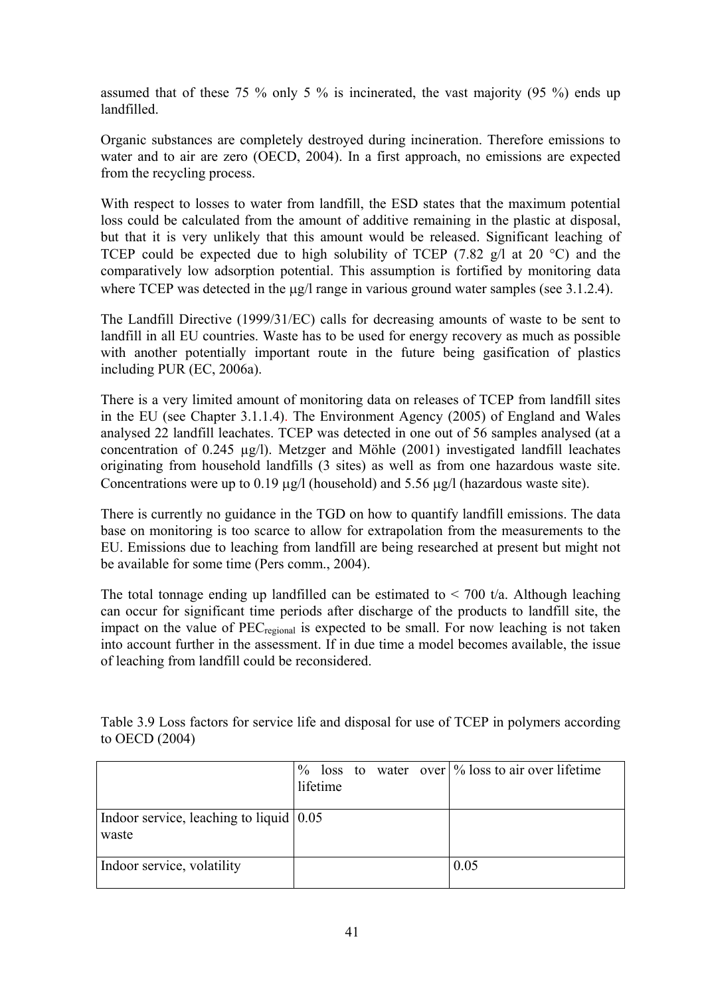assumed that of these 75 % only 5 % is incinerated, the vast majority (95 %) ends up landfilled.

Organic substances are completely destroyed during incineration. Therefore emissions to water and to air are zero (OECD, 2004). In a first approach, no emissions are expected from the recycling process.

With respect to losses to water from landfill, the ESD states that the maximum potential loss could be calculated from the amount of additive remaining in the plastic at disposal, but that it is very unlikely that this amount would be released. Significant leaching of TCEP could be expected due to high solubility of TCEP (7.82  $g/$ l at 20 °C) and the comparatively low adsorption potential. This assumption is fortified by monitoring data where TCEP was detected in the  $\mu$ g/l range in various ground water samples (see 3.1.2.4).

The Landfill Directive (1999/31/EC) calls for decreasing amounts of waste to be sent to landfill in all EU countries. Waste has to be used for energy recovery as much as possible with another potentially important route in the future being gasification of plastics including PUR (EC, 2006a).

There is a very limited amount of monitoring data on releases of TCEP from landfill sites in the EU (see Chapter 3.1.1.4). The Environment Agency (2005) of England and Wales analysed 22 landfill leachates. TCEP was detected in one out of 56 samples analysed (at a concentration of 0.245 µg/l). Metzger and Möhle (2001) investigated landfill leachates originating from household landfills (3 sites) as well as from one hazardous waste site. Concentrations were up to 0.19  $\mu$ g/l (household) and 5.56  $\mu$ g/l (hazardous waste site).

There is currently no guidance in the TGD on how to quantify landfill emissions. The data base on monitoring is too scarce to allow for extrapolation from the measurements to the EU. Emissions due to leaching from landfill are being researched at present but might not be available for some time (Pers comm., 2004).

The total tonnage ending up landfilled can be estimated to  $\leq$  700 t/a. Although leaching can occur for significant time periods after discharge of the products to landfill site, the impact on the value of PEC<sub>regional</sub> is expected to be small. For now leaching is not taken into account further in the assessment. If in due time a model becomes available, the issue of leaching from landfill could be reconsidered.

Table 3.9 Loss factors for service life and disposal for use of TCEP in polymers according to OECD (2004)

|                                             |          |  | $\%$ loss to water over $\%$ loss to air over lifetime |
|---------------------------------------------|----------|--|--------------------------------------------------------|
|                                             | lifetime |  |                                                        |
|                                             |          |  |                                                        |
| Indoor service, leaching to liquid $(0.05)$ |          |  |                                                        |
| waste                                       |          |  |                                                        |
|                                             |          |  |                                                        |
| Indoor service, volatility                  |          |  | 0.05                                                   |
|                                             |          |  |                                                        |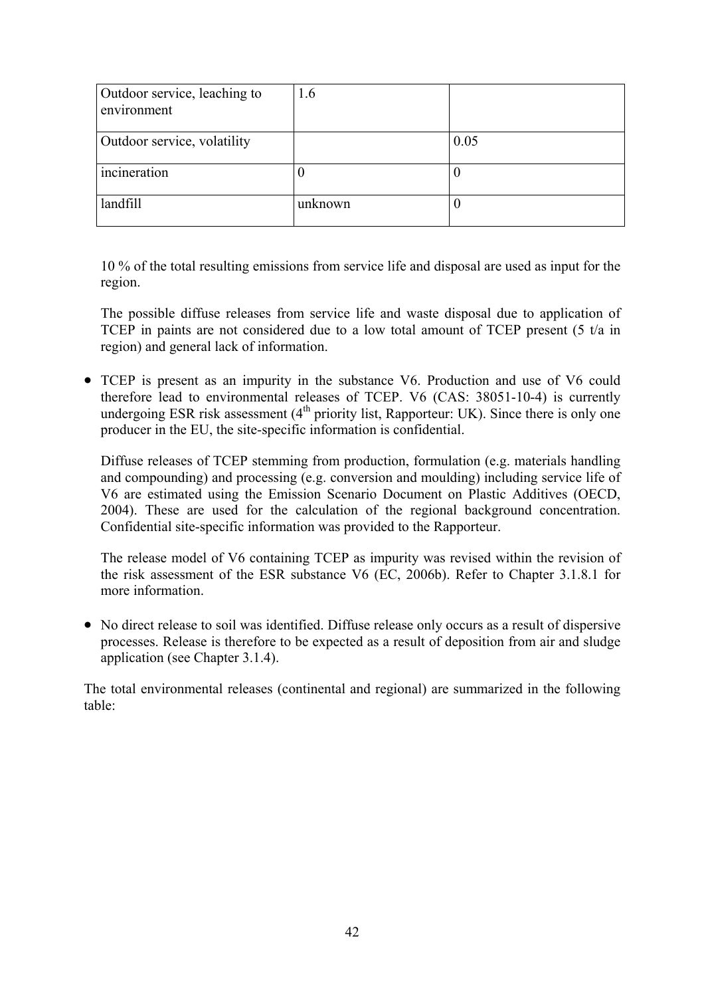| Outdoor service, leaching to<br>environment | 1.6     |      |
|---------------------------------------------|---------|------|
| Outdoor service, volatility                 |         | 0.05 |
| incineration                                |         |      |
| landfill                                    | unknown |      |

10 % of the total resulting emissions from service life and disposal are used as input for the region.

The possible diffuse releases from service life and waste disposal due to application of TCEP in paints are not considered due to a low total amount of TCEP present (5 t/a in region) and general lack of information.

• TCEP is present as an impurity in the substance V6. Production and use of V6 could therefore lead to environmental releases of TCEP. V6 (CAS: 38051-10-4) is currently undergoing ESR risk assessment  $(4<sup>th</sup>$  priority list, Rapporteur: UK). Since there is only one producer in the EU, the site-specific information is confidential.

Diffuse releases of TCEP stemming from production, formulation (e.g. materials handling and compounding) and processing (e.g. conversion and moulding) including service life of V6 are estimated using the Emission Scenario Document on Plastic Additives (OECD, 2004). These are used for the calculation of the regional background concentration. Confidential site-specific information was provided to the Rapporteur.

The release model of V6 containing TCEP as impurity was revised within the revision of the risk assessment of the ESR substance V6 (EC, 2006b). Refer to Chapter [3.1.8.1](#page-42-0) for more information.

• No direct release to soil was identified. Diffuse release only occurs as a result of dispersive processes. Release is therefore to be expected as a result of deposition from air and sludge application (see Chapter 3.1.4).

The total environmental releases (continental and regional) are summarized in the following table: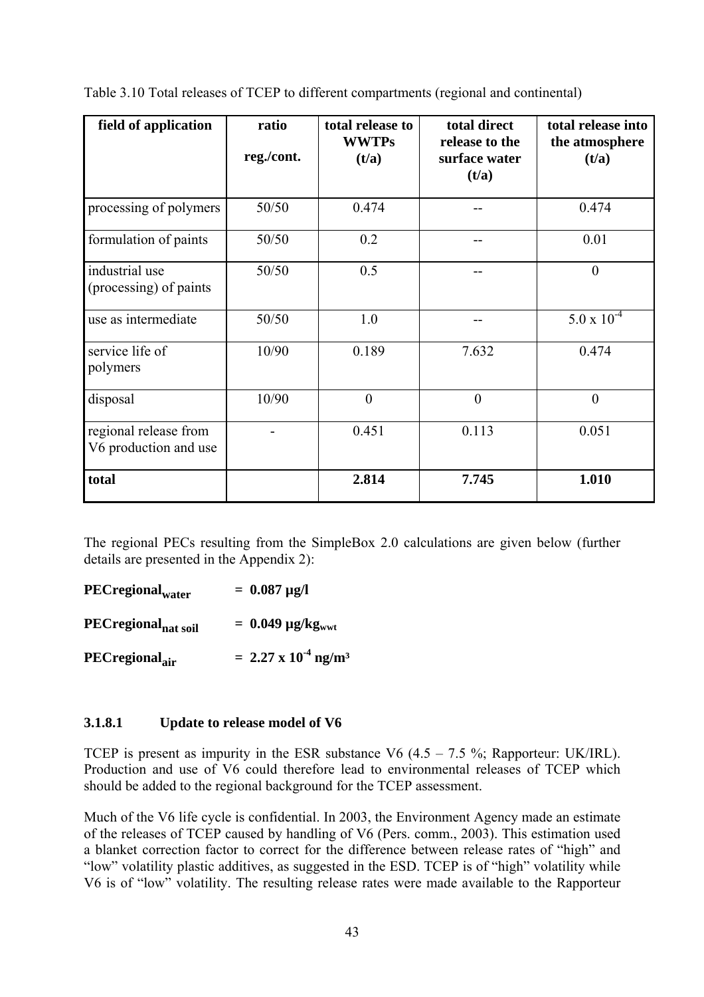| field of application                           | ratio<br>reg./cont. | total release to<br><b>WWTPs</b><br>(t/a) | total direct<br>release to the<br>surface water<br>(t/a) | total release into<br>the atmosphere<br>(t/a) |
|------------------------------------------------|---------------------|-------------------------------------------|----------------------------------------------------------|-----------------------------------------------|
| processing of polymers                         | 50/50               | 0.474                                     |                                                          | 0.474                                         |
| formulation of paints                          | 50/50               | 0.2                                       |                                                          | 0.01                                          |
| industrial use<br>(processing) of paints       | 50/50               | 0.5                                       |                                                          | $\theta$                                      |
| use as intermediate                            | 50/50               | 1.0                                       |                                                          | $5.0 \times 10^{-4}$                          |
| service life of<br>polymers                    | 10/90               | 0.189                                     | 7.632                                                    | 0.474                                         |
| disposal                                       | 10/90               | $\overline{0}$                            | $\overline{0}$                                           | $\overline{0}$                                |
| regional release from<br>V6 production and use |                     | 0.451                                     | 0.113                                                    | 0.051                                         |
| total                                          |                     | 2.814                                     | 7.745                                                    | 1.010                                         |

Table 3.10 Total releases of TCEP to different compartments (regional and continental)

The regional PECs resulting from the SimpleBox 2.0 calculations are given below (further details are presented in the Appendix 2):

| <b>PECregional</b> <sub>water</sub> | $= 0.087 \text{ µg/l}$                    |
|-------------------------------------|-------------------------------------------|
| PECregional <sub>nat soil</sub>     | $= 0.049 \,\mu g/kg_{wwt}$                |
| <b>PECregional</b> <sub>air</sub>   | $= 2.27 \times 10^{-4}$ ng/m <sup>3</sup> |

# <span id="page-42-0"></span>**3.1.8.1 Update to release model of V6**

TCEP is present as impurity in the ESR substance V6 (4.5 – 7.5 %; Rapporteur: UK/IRL). Production and use of V6 could therefore lead to environmental releases of TCEP which should be added to the regional background for the TCEP assessment.

Much of the V6 life cycle is confidential. In 2003, the Environment Agency made an estimate of the releases of TCEP caused by handling of V6 (Pers. comm., 2003). This estimation used a blanket correction factor to correct for the difference between release rates of "high" and "low" volatility plastic additives, as suggested in the ESD. TCEP is of "high" volatility while V6 is of "low" volatility. The resulting release rates were made available to the Rapporteur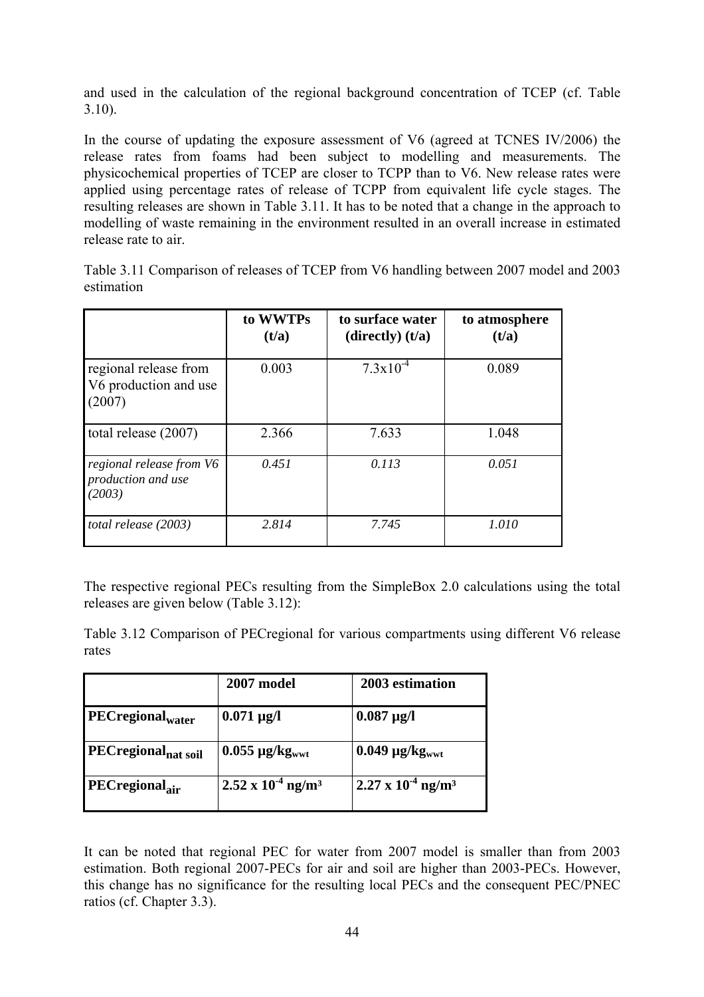and used in the calculation of the regional background concentration of TCEP (cf. Table 3.10).

In the course of updating the exposure assessment of V6 (agreed at TCNES IV/2006) the release rates from foams had been subject to modelling and measurements. The physicochemical properties of TCEP are closer to TCPP than to V6. New release rates were applied using percentage rates of release of TCPP from equivalent life cycle stages. The resulting releases are shown in Table 3.11. It has to be noted that a change in the approach to modelling of waste remaining in the environment resulted in an overall increase in estimated release rate to air.

| Table 3.11 Comparison of releases of TCEP from V6 handling between 2007 model and 2003 |  |  |  |
|----------------------------------------------------------------------------------------|--|--|--|
| estimation                                                                             |  |  |  |

|                                                                 | to WWTPs<br>(t/a) | to surface water<br>$(directly)$ $(t/a)$ | to atmosphere<br>(t/a) |
|-----------------------------------------------------------------|-------------------|------------------------------------------|------------------------|
| regional release from<br>V6 production and use<br>(2007)        | 0.003             | $7.3 \times 10^{-4}$                     | 0.089                  |
| total release (2007)                                            | 2.366             | 7.633                                    | 1.048                  |
| regional release from V6<br><i>production and use</i><br>(2003) | 0.451             | 0.113                                    | 0.051                  |
| total release $(2003)$                                          | 2.814             | 7.745                                    | 1.010                  |

The respective regional PECs resulting from the SimpleBox 2.0 calculations using the total releases are given below (Table 3.12):

Table 3.12 Comparison of PECregional for various compartments using different V6 release rates

|                                        | 2007 model                              | 2003 estimation                         |
|----------------------------------------|-----------------------------------------|-----------------------------------------|
| <b>PECregional</b> <sub>water</sub>    | $0.071 \,\mu g/l$                       | $0.087 \,\mu g/l$                       |
| <b>PECregional</b> <sub>nat soil</sub> | $0.055 \mu g/kgwwt$                     | $0.049 \mu g/kgwwt$                     |
| $\rm{PEC}$ regional <sub>air</sub>     | $2.52 \times 10^{-4}$ ng/m <sup>3</sup> | $2.27 \times 10^{-4}$ ng/m <sup>3</sup> |

It can be noted that regional PEC for water from 2007 model is smaller than from 2003 estimation. Both regional 2007-PECs for air and soil are higher than 2003-PECs. However, this change has no significance for the resulting local PECs and the consequent PEC/PNEC ratios (cf. Chapter 3.3).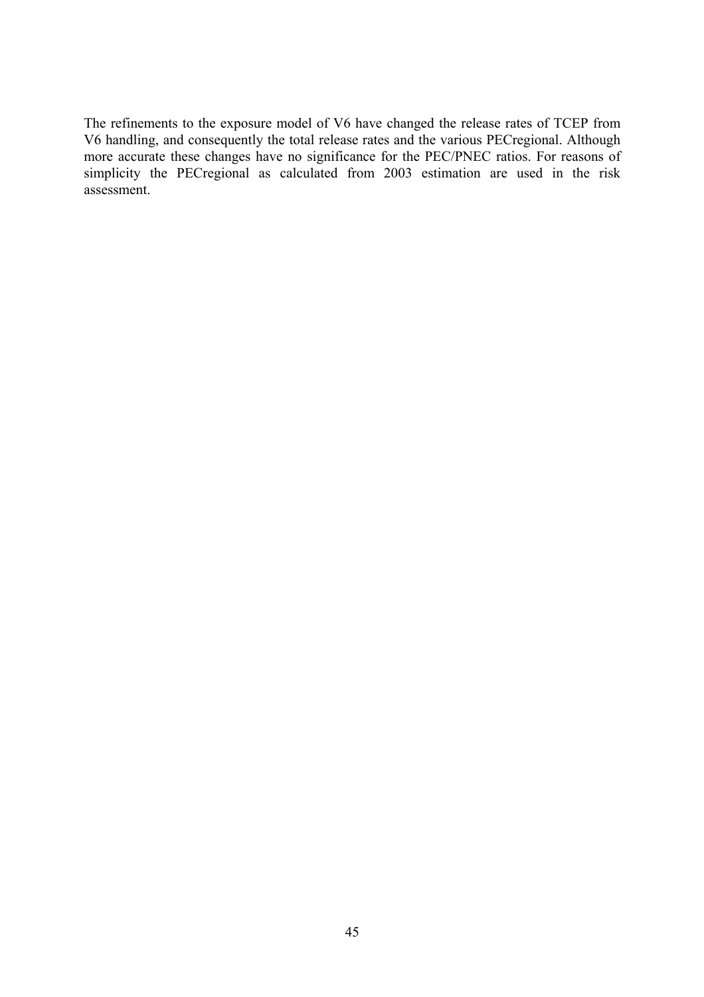The refinements to the exposure model of V6 have changed the release rates of TCEP from V6 handling, and consequently the total release rates and the various PECregional. Although more accurate these changes have no significance for the PEC/PNEC ratios. For reasons of simplicity the PECregional as calculated from 2003 estimation are used in the risk assessment.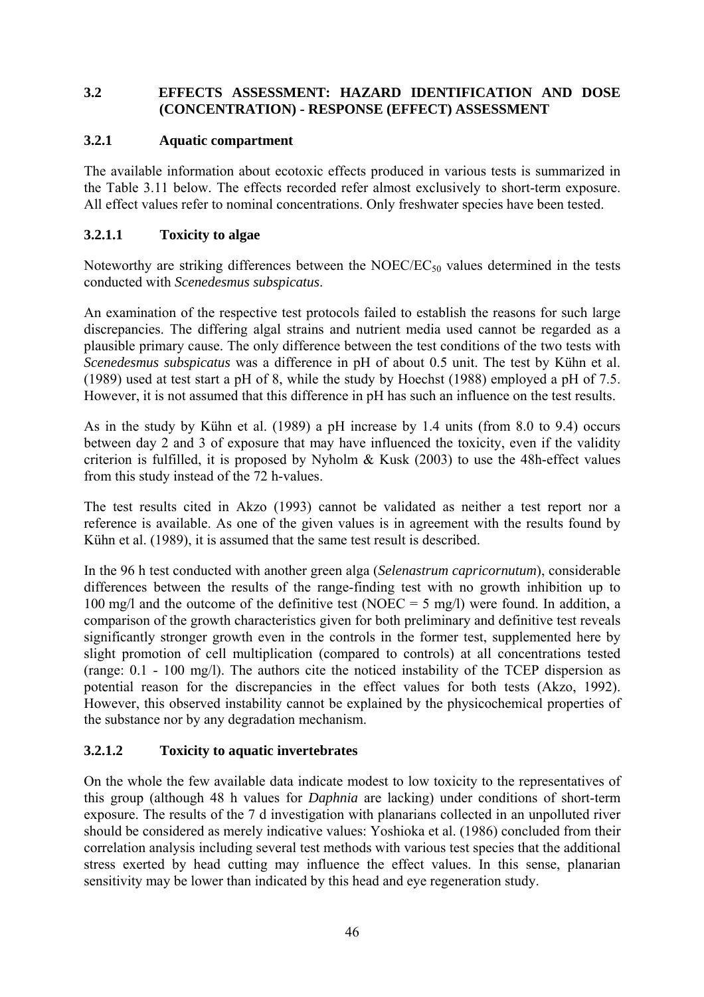# **3.2 EFFECTS ASSESSMENT: HAZARD IDENTIFICATION AND DOSE (CONCENTRATION) - RESPONSE (EFFECT) ASSESSMENT**

## **3.2.1 Aquatic compartment**

The available information about ecotoxic effects produced in various tests is summarized in the Table 3.11 below. The effects recorded refer almost exclusively to short-term exposure. All effect values refer to nominal concentrations. Only freshwater species have been tested.

# **3.2.1.1 Toxicity to algae**

Noteworthy are striking differences between the NOEC/EC<sub>50</sub> values determined in the tests conducted with *Scenedesmus subspicatus*.

An examination of the respective test protocols failed to establish the reasons for such large discrepancies. The differing algal strains and nutrient media used cannot be regarded as a plausible primary cause. The only difference between the test conditions of the two tests with *Scenedesmus subspicatus* was a difference in pH of about 0.5 unit. The test by Kühn et al. (1989) used at test start a pH of 8, while the study by Hoechst (1988) employed a pH of 7.5. However, it is not assumed that this difference in pH has such an influence on the test results.

As in the study by Kühn et al. (1989) a pH increase by 1.4 units (from 8.0 to 9.4) occurs between day 2 and 3 of exposure that may have influenced the toxicity, even if the validity criterion is fulfilled, it is proposed by Nyholm & Kusk (2003) to use the 48h-effect values from this study instead of the 72 h-values.

The test results cited in Akzo (1993) cannot be validated as neither a test report nor a reference is available. As one of the given values is in agreement with the results found by Kühn et al. (1989), it is assumed that the same test result is described.

In the 96 h test conducted with another green alga (*Selenastrum capricornutum*), considerable differences between the results of the range-finding test with no growth inhibition up to 100 mg/l and the outcome of the definitive test (NOEC = 5 mg/l) were found. In addition, a comparison of the growth characteristics given for both preliminary and definitive test reveals significantly stronger growth even in the controls in the former test, supplemented here by slight promotion of cell multiplication (compared to controls) at all concentrations tested (range: 0.1 - 100 mg/l). The authors cite the noticed instability of the TCEP dispersion as potential reason for the discrepancies in the effect values for both tests (Akzo, 1992). However, this observed instability cannot be explained by the physicochemical properties of the substance nor by any degradation mechanism.

## **3.2.1.2 Toxicity to aquatic invertebrates**

On the whole the few available data indicate modest to low toxicity to the representatives of this group (although 48 h values for *Daphnia* are lacking) under conditions of short-term exposure. The results of the 7 d investigation with planarians collected in an unpolluted river should be considered as merely indicative values: Yoshioka et al. (1986) concluded from their correlation analysis including several test methods with various test species that the additional stress exerted by head cutting may influence the effect values. In this sense, planarian sensitivity may be lower than indicated by this head and eye regeneration study.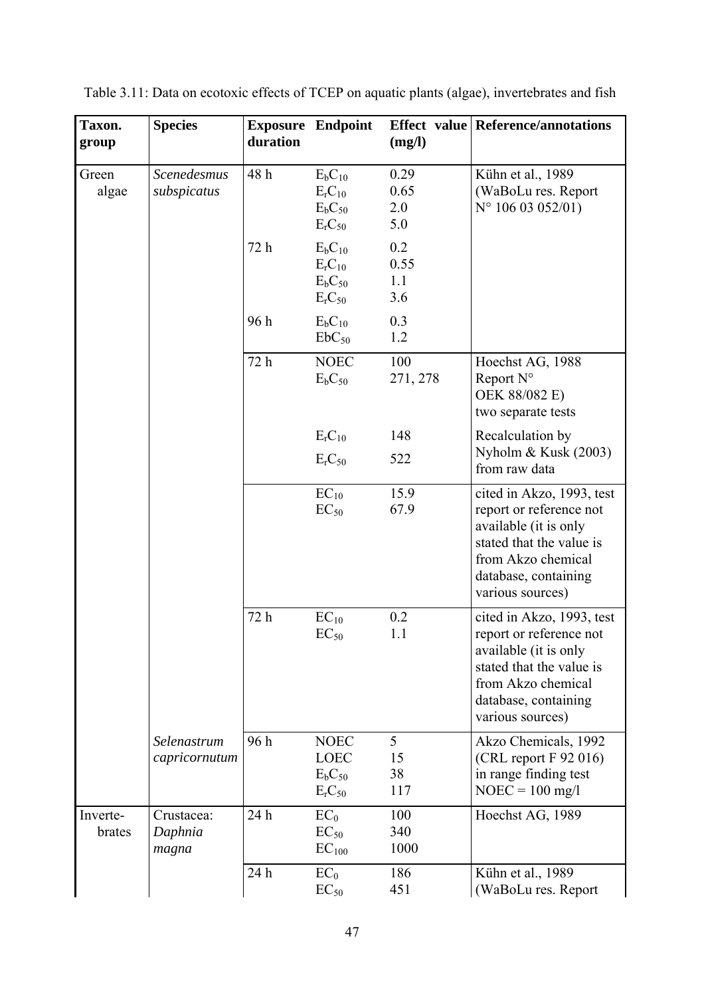| Taxon.<br>group    | <b>Species</b>                    | duration | <b>Exposure Endpoint</b>                                                                       | (mg/l)                     | <b>Effect</b> value Reference/annotations                                                                                                                                   |
|--------------------|-----------------------------------|----------|------------------------------------------------------------------------------------------------|----------------------------|-----------------------------------------------------------------------------------------------------------------------------------------------------------------------------|
| Green<br>algae     | <b>Scenedesmus</b><br>subspicatus | 48h      | $E_bC_{10}$<br>E <sub>r</sub> C <sub>10</sub><br>$E_bC_{50}$<br>E <sub>r</sub> C <sub>50</sub> | 0.29<br>0.65<br>2.0<br>5.0 | Kühn et al., 1989<br>(WaBoLu res. Report<br>$N^{\circ}$ 106 03 052/01)                                                                                                      |
|                    |                                   | 72 h     | $E_bC_{10}$<br>E <sub>r</sub> C <sub>10</sub><br>$E_bC_{50}$<br>E <sub>r</sub> C <sub>50</sub> | 0.2<br>0.55<br>1.1<br>3.6  |                                                                                                                                                                             |
|                    |                                   | 96 h     | $E_bC_{10}$<br>$EbC_{50}$                                                                      | 0.3<br>1.2                 |                                                                                                                                                                             |
|                    |                                   | 72 h     | <b>NOEC</b><br>$E_bC_{50}$                                                                     | 100<br>271, 278            | Hoechst AG, 1988<br>Report N°<br>OEK 88/082 E)<br>two separate tests                                                                                                        |
|                    |                                   |          | E <sub>r</sub> C <sub>10</sub><br>E <sub>r</sub> C <sub>50</sub>                               | 148<br>522                 | Recalculation by<br>Nyholm & Kusk (2003)<br>from raw data                                                                                                                   |
|                    |                                   |          | $EC_{10}$<br>$EC_{50}$                                                                         | 15.9<br>67.9               | cited in Akzo, 1993, test<br>report or reference not<br>available (it is only<br>stated that the value is<br>from Akzo chemical<br>database, containing<br>various sources) |
|                    |                                   | 72 h     | $EC_{10}$<br>$EC_{50}$                                                                         | 0.2<br>1.1                 | cited in Akzo, 1993, test<br>report or reference not<br>available (it is only<br>stated that the value is<br>from Akzo chemical<br>database, containing<br>various sources) |
|                    | Selenastrum<br>capricornutum      | 96 h     | <b>NOEC</b><br><b>LOEC</b><br>$E_bC_{50}$<br>E <sub>r</sub> C <sub>50</sub>                    | 5<br>15<br>38<br>117       | Akzo Chemicals, 1992<br>$(CRL$ report $F$ 92 016)<br>in range finding test<br>$NOEC = 100$ mg/l                                                                             |
| Inverte-<br>brates | Crustacea:<br>Daphnia<br>magna    | 24 h     | EC <sub>0</sub><br>$EC_{50}$<br>EC <sub>100</sub>                                              | 100<br>340<br>1000         | Hoechst AG, 1989                                                                                                                                                            |
|                    |                                   | 24 h     | EC <sub>0</sub><br>$EC_{50}$                                                                   | 186<br>451                 | Kühn et al., 1989<br>(WaBoLu res. Report                                                                                                                                    |

Table 3.11: Data on ecotoxic effects of TCEP on aquatic plants (algae), invertebrates and fish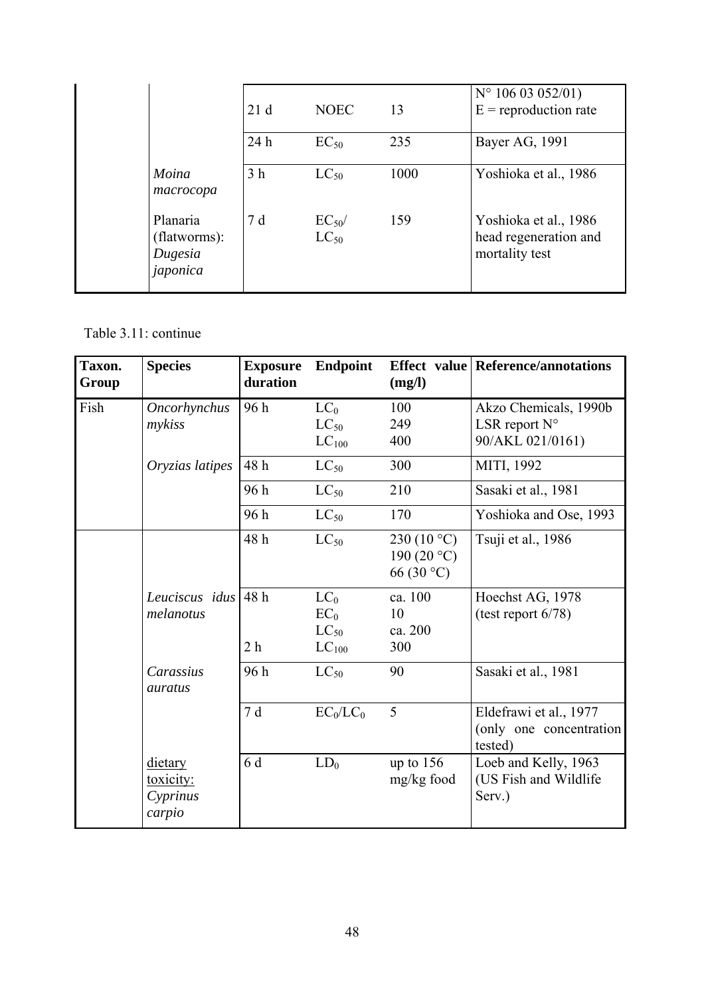|                                                 | 21 d           | <b>NOEC</b>             | 13   | $N^{\circ}$ 106 03 052/01)<br>$E =$ reproduction rate            |
|-------------------------------------------------|----------------|-------------------------|------|------------------------------------------------------------------|
|                                                 | 24h            | $EC_{50}$               | 235  | Bayer AG, 1991                                                   |
| Moina<br>macrocopa                              | 3 <sub>h</sub> | $LC_{50}$               | 1000 | Yoshioka et al., 1986                                            |
| Planaria<br>(flatworms):<br>Dugesia<br>japonica | 7 d            | $EC_{50}/$<br>$LC_{50}$ | 159  | Yoshioka et al., 1986<br>head regeneration and<br>mortality test |

# Table 3.11: continue

| Taxon.<br>Group | <b>Species</b>                                    | <b>Exposure</b><br>duration | <b>Endpoint</b>                             | (mg/l)                                       | <b>Effect</b> value Reference/annotations                           |
|-----------------|---------------------------------------------------|-----------------------------|---------------------------------------------|----------------------------------------------|---------------------------------------------------------------------|
| Fish            | Oncorhynchus<br>mykiss                            | 96 h                        | $LC_0$<br>$LC_{50}$<br>$LC_{100}$           | 100<br>249<br>400                            | Akzo Chemicals, 1990b<br>LSR report $N^{\circ}$<br>90/AKL 021/0161) |
|                 | Oryzias latipes                                   | 48h                         | $LC_{50}$                                   | 300                                          | MITI, 1992                                                          |
|                 |                                                   | 96 h                        | $LC_{50}$                                   | 210                                          | Sasaki et al., 1981                                                 |
|                 |                                                   | 96 h                        | $LC_{50}$                                   | 170                                          | Yoshioka and Ose, 1993                                              |
|                 |                                                   | 48h                         | $LC_{50}$                                   | 230 (10 °C)<br>190 $(20 °C)$<br>66 $(30 °C)$ | Tsuji et al., 1986                                                  |
|                 | Leuciscus idus<br>melanotus                       | 48 h<br>2 <sub>h</sub>      | $LC_0$<br>$EC_0$<br>$LC_{50}$<br>$LC_{100}$ | ca. 100<br>10<br>ca. 200<br>300              | Hoechst AG, 1978<br>(test report $6/78$ )                           |
|                 | Carassius<br>auratus                              | 96 h                        | $LC_{50}$                                   | 90                                           | Sasaki et al., 1981                                                 |
|                 |                                                   | 7d                          | $EC_0/LC_0$                                 | 5                                            | Eldefrawi et al., 1977<br>(only one concentration<br>tested)        |
|                 | <u>dietary</u><br>toxicity:<br>Cyprinus<br>carpio | 6 d                         | LD <sub>0</sub>                             | up to $156$<br>mg/kg food                    | Loeb and Kelly, 1963<br>(US Fish and Wildlife<br>Serv.)             |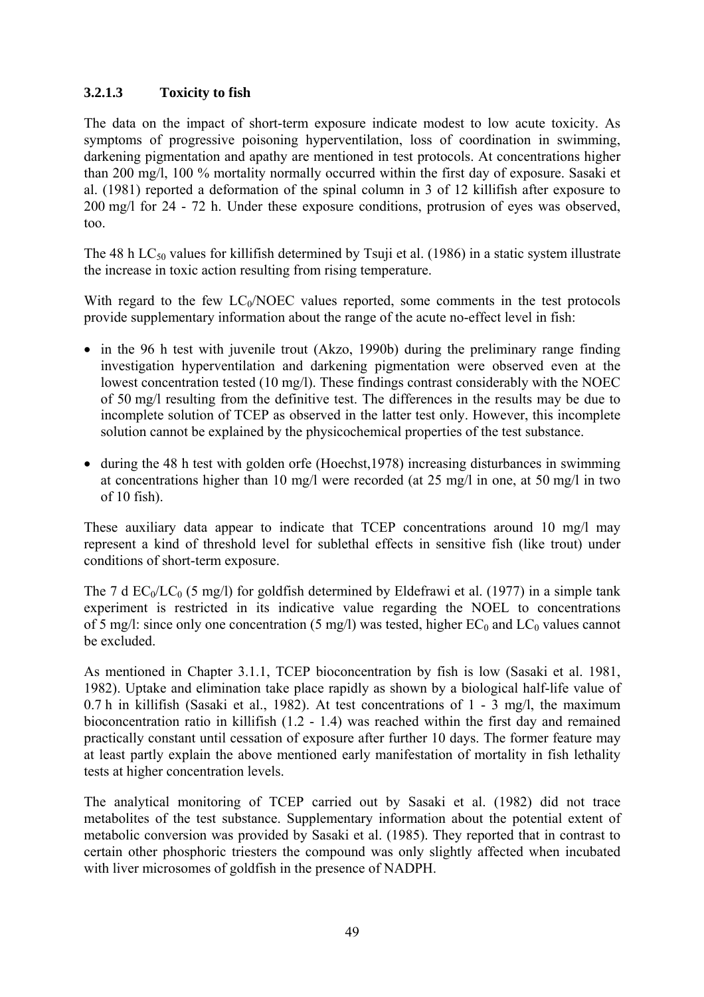# **3.2.1.3 Toxicity to fish**

The data on the impact of short-term exposure indicate modest to low acute toxicity. As symptoms of progressive poisoning hyperventilation, loss of coordination in swimming, darkening pigmentation and apathy are mentioned in test protocols. At concentrations higher than 200 mg/l, 100 % mortality normally occurred within the first day of exposure. Sasaki et al. (1981) reported a deformation of the spinal column in 3 of 12 killifish after exposure to 200 mg/l for 24 - 72 h. Under these exposure conditions, protrusion of eyes was observed, too.

The 48 h  $LC_{50}$  values for killifish determined by Tsuji et al. (1986) in a static system illustrate the increase in toxic action resulting from rising temperature.

With regard to the few  $LC_0/NOEC$  values reported, some comments in the test protocols provide supplementary information about the range of the acute no-effect level in fish:

- in the 96 h test with juvenile trout (Akzo, 1990b) during the preliminary range finding investigation hyperventilation and darkening pigmentation were observed even at the lowest concentration tested (10 mg/l). These findings contrast considerably with the NOEC of 50 mg/l resulting from the definitive test. The differences in the results may be due to incomplete solution of TCEP as observed in the latter test only. However, this incomplete solution cannot be explained by the physicochemical properties of the test substance.
- during the 48 h test with golden orfe (Hoechst,1978) increasing disturbances in swimming at concentrations higher than 10 mg/l were recorded (at 25 mg/l in one, at 50 mg/l in two of 10 fish).

These auxiliary data appear to indicate that TCEP concentrations around 10 mg/l may represent a kind of threshold level for sublethal effects in sensitive fish (like trout) under conditions of short-term exposure.

The 7 d  $EC_0/LC_0$  (5 mg/l) for goldfish determined by Eldefrawi et al. (1977) in a simple tank experiment is restricted in its indicative value regarding the NOEL to concentrations of 5 mg/l: since only one concentration (5 mg/l) was tested, higher  $EC_0$  and  $LC_0$  values cannot be excluded.

As mentioned in Chapter 3.1.1, TCEP bioconcentration by fish is low (Sasaki et al. 1981, 1982). Uptake and elimination take place rapidly as shown by a biological half-life value of 0.7 h in killifish (Sasaki et al., 1982). At test concentrations of 1 - 3 mg/l, the maximum bioconcentration ratio in killifish (1.2 - 1.4) was reached within the first day and remained practically constant until cessation of exposure after further 10 days. The former feature may at least partly explain the above mentioned early manifestation of mortality in fish lethality tests at higher concentration levels.

The analytical monitoring of TCEP carried out by Sasaki et al. (1982) did not trace metabolites of the test substance. Supplementary information about the potential extent of metabolic conversion was provided by Sasaki et al. (1985). They reported that in contrast to certain other phosphoric triesters the compound was only slightly affected when incubated with liver microsomes of goldfish in the presence of NADPH.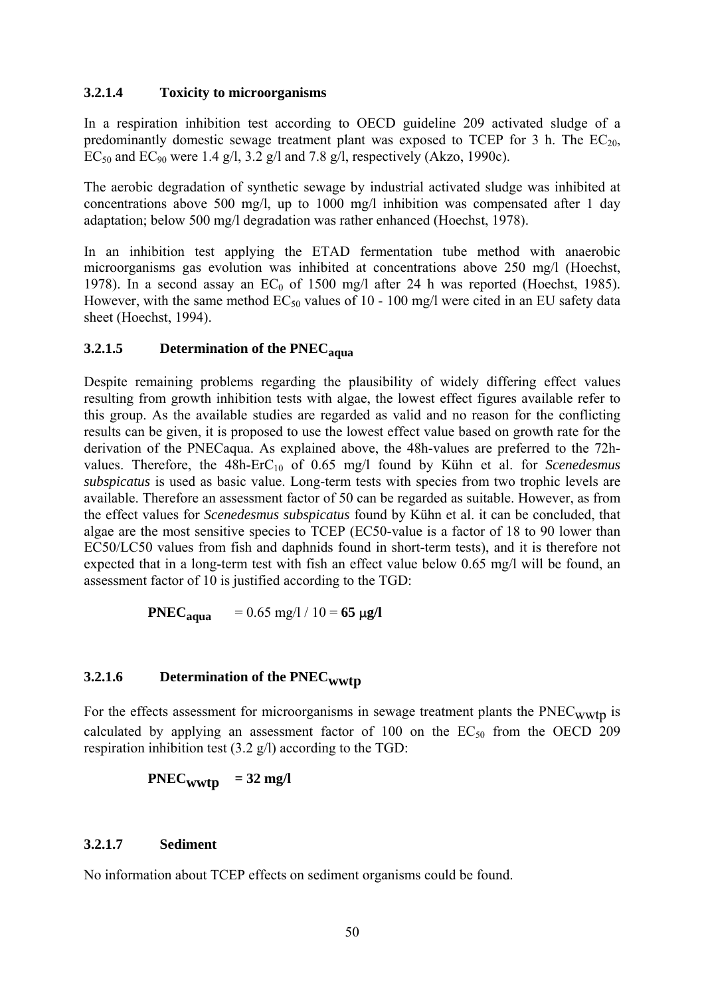## **3.2.1.4 Toxicity to microorganisms**

In a respiration inhibition test according to OECD guideline 209 activated sludge of a predominantly domestic sewage treatment plant was exposed to TCEP for 3 h. The  $EC_{20}$ ,  $EC_{50}$  and  $EC_{90}$  were 1.4 g/l, 3.2 g/l and 7.8 g/l, respectively (Akzo, 1990c).

The aerobic degradation of synthetic sewage by industrial activated sludge was inhibited at concentrations above 500 mg/l, up to 1000 mg/l inhibition was compensated after 1 day adaptation; below 500 mg/l degradation was rather enhanced (Hoechst, 1978).

In an inhibition test applying the ETAD fermentation tube method with anaerobic microorganisms gas evolution was inhibited at concentrations above 250 mg/l (Hoechst, 1978). In a second assay an  $EC_0$  of 1500 mg/l after 24 h was reported (Hoechst, 1985). However, with the same method  $EC_{50}$  values of 10 - 100 mg/l were cited in an EU safety data sheet (Hoechst, 1994).

# **3.2.1.5 Determination of the PNEC**<sub>aqua</sub>

Despite remaining problems regarding the plausibility of widely differing effect values resulting from growth inhibition tests with algae, the lowest effect figures available refer to this group. As the available studies are regarded as valid and no reason for the conflicting results can be given, it is proposed to use the lowest effect value based on growth rate for the derivation of the PNECaqua. As explained above, the 48h-values are preferred to the 72hvalues. Therefore, the 48h-ErC<sub>10</sub> of 0.65 mg/l found by Kühn et al. for *Scenedesmus subspicatus* is used as basic value. Long-term tests with species from two trophic levels are available. Therefore an assessment factor of 50 can be regarded as suitable. However, as from the effect values for *Scenedesmus subspicatus* found by Kühn et al. it can be concluded, that algae are the most sensitive species to TCEP (EC50-value is a factor of 18 to 90 lower than EC50/LC50 values from fish and daphnids found in short-term tests), and it is therefore not expected that in a long-term test with fish an effect value below 0.65 mg/l will be found, an assessment factor of 10 is justified according to the TGD:

**PNEC**<sub>agua</sub> = 
$$
0.65 \text{ mg}/1 / 10 = 65 \text{ µg/l}
$$

# **3.2.1.6 Determination of the PNECwwtp**

For the effects assessment for microorganisms in sewage treatment plants the  $PNEC<sub>www</sub>$  is calculated by applying an assessment factor of 100 on the  $EC_{50}$  from the OECD 209 respiration inhibition test (3.2 g/l) according to the TGD:

$$
PNEC_{WWtp} = 32 \text{ mg/l}
$$

# **3.2.1.7 Sediment**

No information about TCEP effects on sediment organisms could be found.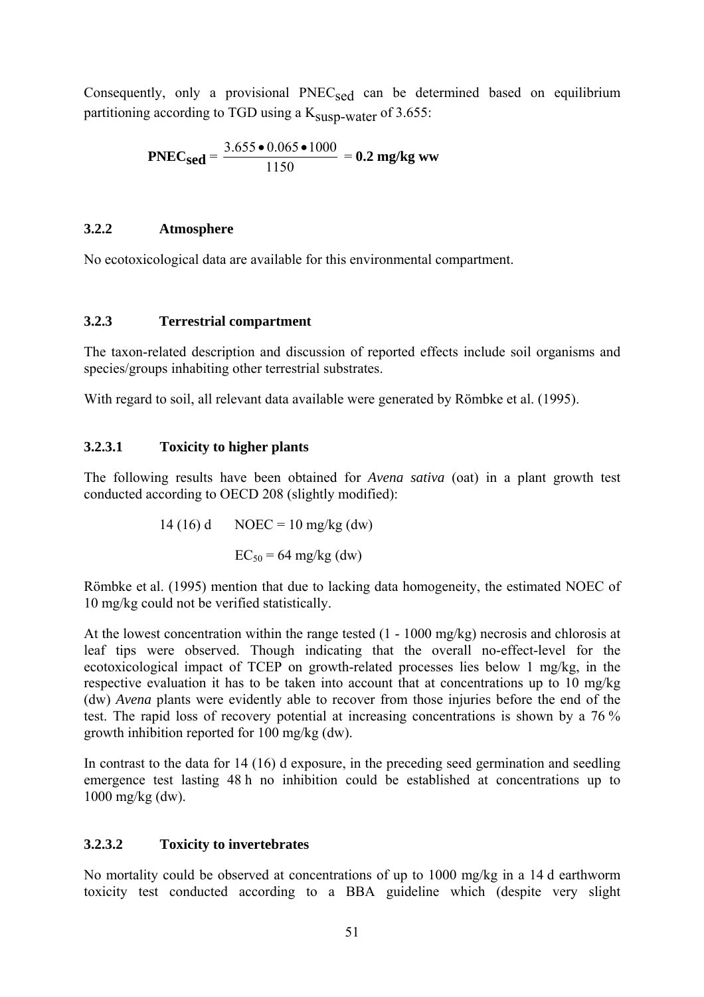Consequently, only a provisional  $PNEC_{\text{sed}}$  can be determined based on equilibrium partitioning according to TGD using a  $K_{\text{sun-water}}$  of 3.655:

PNEC<sub>sed</sub> = 
$$
\frac{3.655 \cdot 0.065 \cdot 1000}{1150} = 0.2 \text{ mg/kg}
$$

## **3.2.2 Atmosphere**

No ecotoxicological data are available for this environmental compartment.

## **3.2.3 Terrestrial compartment**

The taxon-related description and discussion of reported effects include soil organisms and species/groups inhabiting other terrestrial substrates.

With regard to soil, all relevant data available were generated by Römbke et al. (1995).

# **3.2.3.1 Toxicity to higher plants**

The following results have been obtained for *Avena sativa* (oat) in a plant growth test conducted according to OECD 208 (slightly modified):

14 (16) d  $NOEC = 10$  mg/kg (dw)

 $EC_{50} = 64$  mg/kg (dw)

Römbke et al. (1995) mention that due to lacking data homogeneity, the estimated NOEC of 10 mg/kg could not be verified statistically.

At the lowest concentration within the range tested (1 - 1000 mg/kg) necrosis and chlorosis at leaf tips were observed. Though indicating that the overall no-effect-level for the ecotoxicological impact of TCEP on growth-related processes lies below 1 mg/kg, in the respective evaluation it has to be taken into account that at concentrations up to 10 mg/kg (dw) *Avena* plants were evidently able to recover from those injuries before the end of the test. The rapid loss of recovery potential at increasing concentrations is shown by a 76 % growth inhibition reported for 100 mg/kg (dw).

In contrast to the data for 14 (16) d exposure, in the preceding seed germination and seedling emergence test lasting 48 h no inhibition could be established at concentrations up to 1000 mg/kg (dw).

# **3.2.3.2 Toxicity to invertebrates**

No mortality could be observed at concentrations of up to 1000 mg/kg in a 14 d earthworm toxicity test conducted according to a BBA guideline which (despite very slight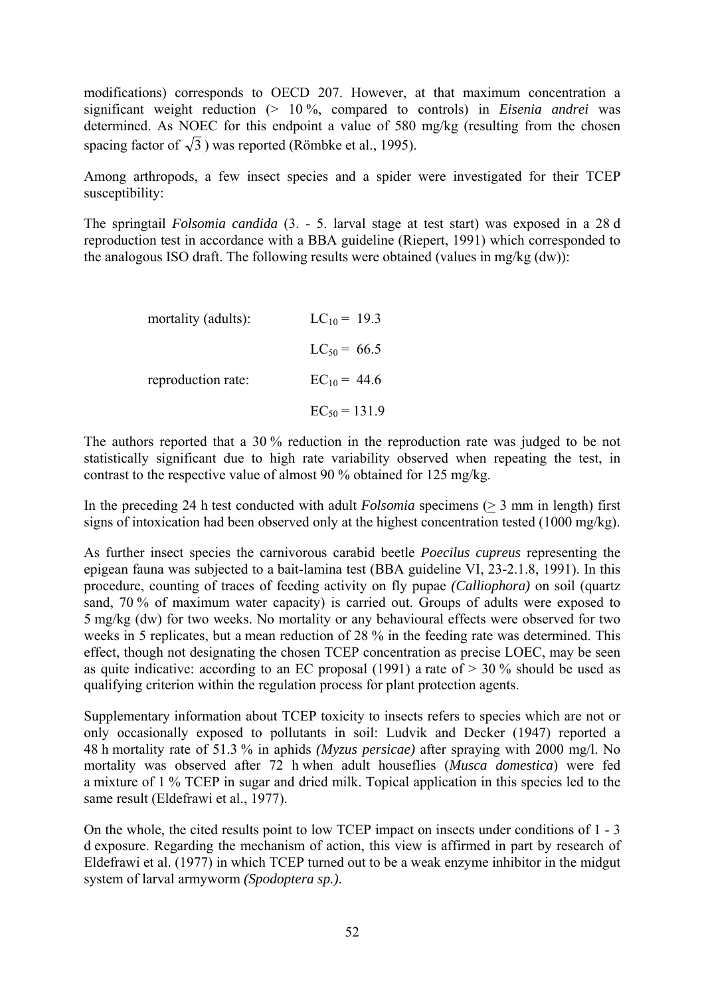modifications) corresponds to OECD 207. However, at that maximum concentration a significant weight reduction (> 10 %, compared to controls) in *Eisenia andrei* was determined. As NOEC for this endpoint a value of 580 mg/kg (resulting from the chosen spacing factor of  $\sqrt{3}$ ) was reported (Römbke et al., 1995).

Among arthropods, a few insect species and a spider were investigated for their TCEP susceptibility:

The springtail *Folsomia candida* (3. - 5. larval stage at test start) was exposed in a 28 d reproduction test in accordance with a BBA guideline (Riepert, 1991) which corresponded to the analogous ISO draft. The following results were obtained (values in mg/kg (dw)):

| mortality (adults): | $LC_{10} = 19.3$  |
|---------------------|-------------------|
|                     | $LC_{50} = 66.5$  |
| reproduction rate:  | $EC_{10} = 44.6$  |
|                     | $EC_{50} = 131.9$ |

The authors reported that a 30 % reduction in the reproduction rate was judged to be not statistically significant due to high rate variability observed when repeating the test, in contrast to the respective value of almost 90 % obtained for 125 mg/kg.

In the preceding 24 h test conducted with adult *Folsomia* specimens (> 3 mm in length) first signs of intoxication had been observed only at the highest concentration tested (1000 mg/kg).

As further insect species the carnivorous carabid beetle *Poecilus cupreus* representing the epigean fauna was subjected to a bait-lamina test (BBA guideline VI, 23-2.1.8, 1991). In this procedure, counting of traces of feeding activity on fly pupae *(Calliophora)* on soil (quartz sand, 70 % of maximum water capacity) is carried out. Groups of adults were exposed to 5 mg/kg (dw) for two weeks. No mortality or any behavioural effects were observed for two weeks in 5 replicates, but a mean reduction of 28 % in the feeding rate was determined. This effect, though not designating the chosen TCEP concentration as precise LOEC, may be seen as quite indicative: according to an EC proposal (1991) a rate of  $> 30\%$  should be used as qualifying criterion within the regulation process for plant protection agents.

Supplementary information about TCEP toxicity to insects refers to species which are not or only occasionally exposed to pollutants in soil: Ludvik and Decker (1947) reported a 48 h mortality rate of 51.3 % in aphids *(Myzus persicae)* after spraying with 2000 mg/l. No mortality was observed after 72 h when adult houseflies (*Musca domestica*) were fed a mixture of 1 % TCEP in sugar and dried milk. Topical application in this species led to the same result (Eldefrawi et al., 1977).

On the whole, the cited results point to low TCEP impact on insects under conditions of 1 - 3 d exposure. Regarding the mechanism of action, this view is affirmed in part by research of Eldefrawi et al. (1977) in which TCEP turned out to be a weak enzyme inhibitor in the midgut system of larval armyworm *(Spodoptera sp.)*.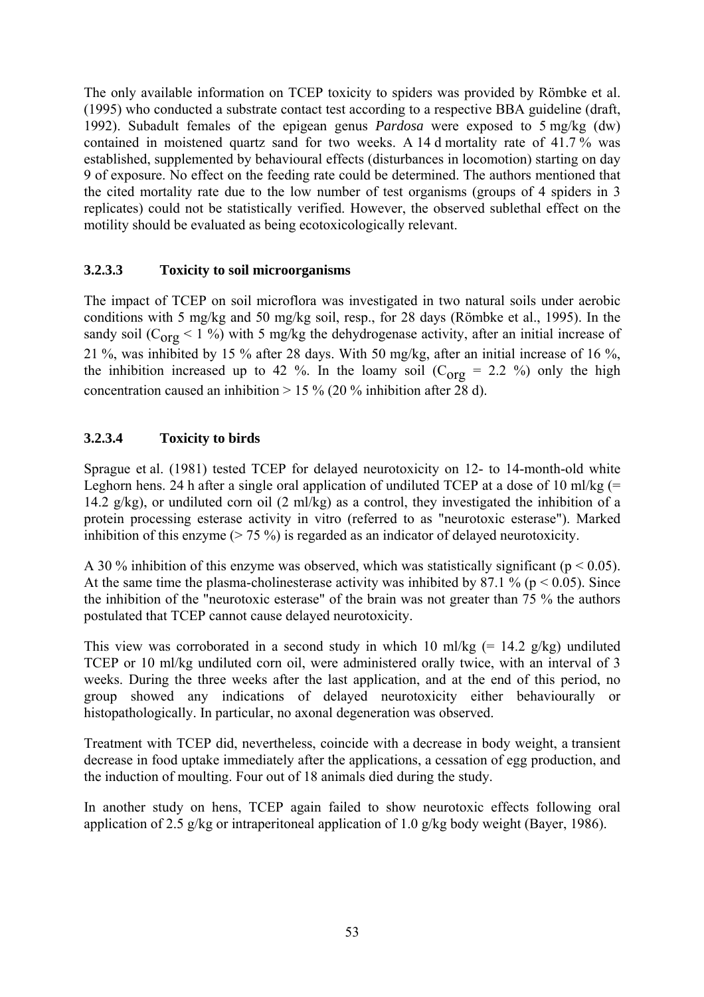The only available information on TCEP toxicity to spiders was provided by Römbke et al. (1995) who conducted a substrate contact test according to a respective BBA guideline (draft, 1992). Subadult females of the epigean genus *Pardosa* were exposed to 5 mg/kg (dw) contained in moistened quartz sand for two weeks. A 14 d mortality rate of 41.7 % was established, supplemented by behavioural effects (disturbances in locomotion) starting on day 9 of exposure. No effect on the feeding rate could be determined. The authors mentioned that the cited mortality rate due to the low number of test organisms (groups of 4 spiders in 3 replicates) could not be statistically verified. However, the observed sublethal effect on the motility should be evaluated as being ecotoxicologically relevant.

## **3.2.3.3 Toxicity to soil microorganisms**

The impact of TCEP on soil microflora was investigated in two natural soils under aerobic conditions with 5 mg/kg and 50 mg/kg soil, resp., for 28 days (Römbke et al., 1995). In the sandy soil ( $C_{\text{org}}$  < 1 %) with 5 mg/kg the dehydrogenase activity, after an initial increase of 21 %, was inhibited by 15 % after 28 days. With 50 mg/kg, after an initial increase of 16 %, the inhibition increased up to 42 %. In the loamy soil ( $C_{\text{org}} = 2.2$  %) only the high concentration caused an inhibition  $> 15 \%$  (20 % inhibition after 28 d).

# **3.2.3.4 Toxicity to birds**

Sprague et al. (1981) tested TCEP for delayed neurotoxicity on 12- to 14-month-old white Leghorn hens. 24 h after a single oral application of undiluted TCEP at a dose of 10 ml/kg (= 14.2 g/kg), or undiluted corn oil  $(2 \text{ ml/kg})$  as a control, they investigated the inhibition of a protein processing esterase activity in vitro (referred to as "neurotoxic esterase"). Marked inhibition of this enzyme  $(275\%)$  is regarded as an indicator of delayed neurotoxicity.

A 30 % inhibition of this enzyme was observed, which was statistically significant ( $p < 0.05$ ). At the same time the plasma-cholinesterase activity was inhibited by 87.1 % ( $p < 0.05$ ). Since the inhibition of the "neurotoxic esterase" of the brain was not greater than 75 % the authors postulated that TCEP cannot cause delayed neurotoxicity.

This view was corroborated in a second study in which 10 ml/kg  $(= 14.2 \text{ g/kg})$  undiluted TCEP or 10 ml/kg undiluted corn oil, were administered orally twice, with an interval of 3 weeks. During the three weeks after the last application, and at the end of this period, no group showed any indications of delayed neurotoxicity either behaviourally or histopathologically. In particular, no axonal degeneration was observed.

Treatment with TCEP did, nevertheless, coincide with a decrease in body weight, a transient decrease in food uptake immediately after the applications, a cessation of egg production, and the induction of moulting. Four out of 18 animals died during the study.

In another study on hens, TCEP again failed to show neurotoxic effects following oral application of 2.5 g/kg or intraperitoneal application of 1.0 g/kg body weight (Bayer, 1986).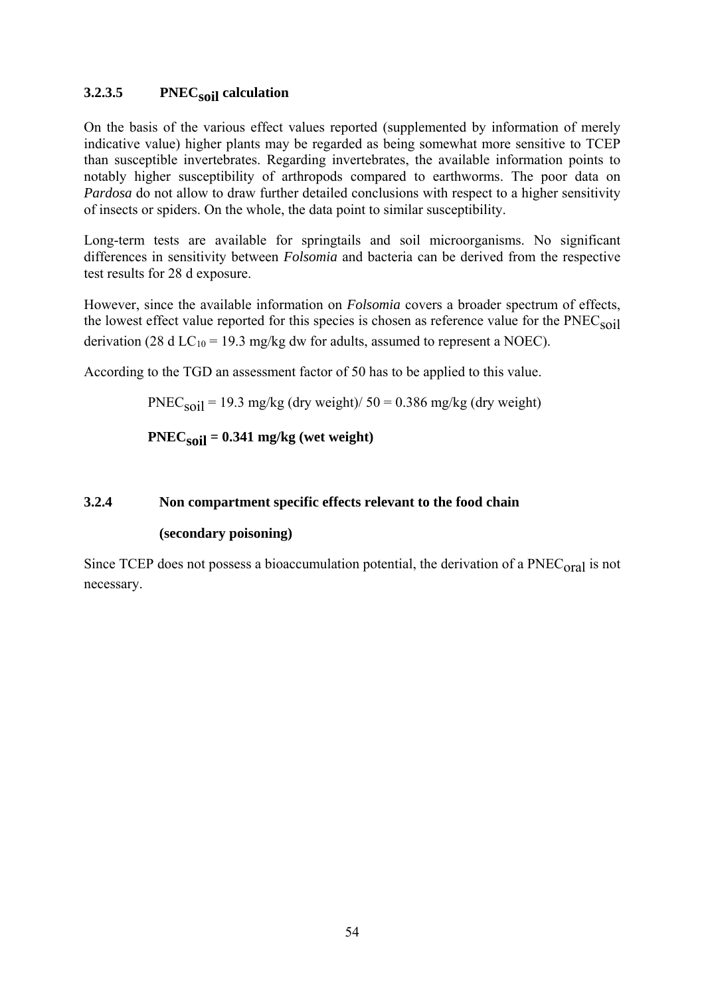## **3.2.3.5 PNECsoil calculation**

On the basis of the various effect values reported (supplemented by information of merely indicative value) higher plants may be regarded as being somewhat more sensitive to TCEP than susceptible invertebrates. Regarding invertebrates, the available information points to notably higher susceptibility of arthropods compared to earthworms. The poor data on *Pardosa* do not allow to draw further detailed conclusions with respect to a higher sensitivity of insects or spiders. On the whole, the data point to similar susceptibility.

Long-term tests are available for springtails and soil microorganisms. No significant differences in sensitivity between *Folsomia* and bacteria can be derived from the respective test results for 28 d exposure.

However, since the available information on *Folsomia* covers a broader spectrum of effects, the lowest effect value reported for this species is chosen as reference value for the  $\text{PNEC}_{\text{solid}}$ derivation (28 d LC<sub>10</sub> = 19.3 mg/kg dw for adults, assumed to represent a NOEC).

According to the TGD an assessment factor of 50 has to be applied to this value.

PNEC<sub>soil</sub> = 19.3 mg/kg (dry weight)/  $50 = 0.386$  mg/kg (dry weight)

 **PNECsoil = 0.341 mg/kg (wet weight)** 

# **3.2.4 Non compartment specific effects relevant to the food chain**

## **(secondary poisoning)**

Since TCEP does not possess a bioaccumulation potential, the derivation of a PNEC<sub>Oral</sub> is not necessary.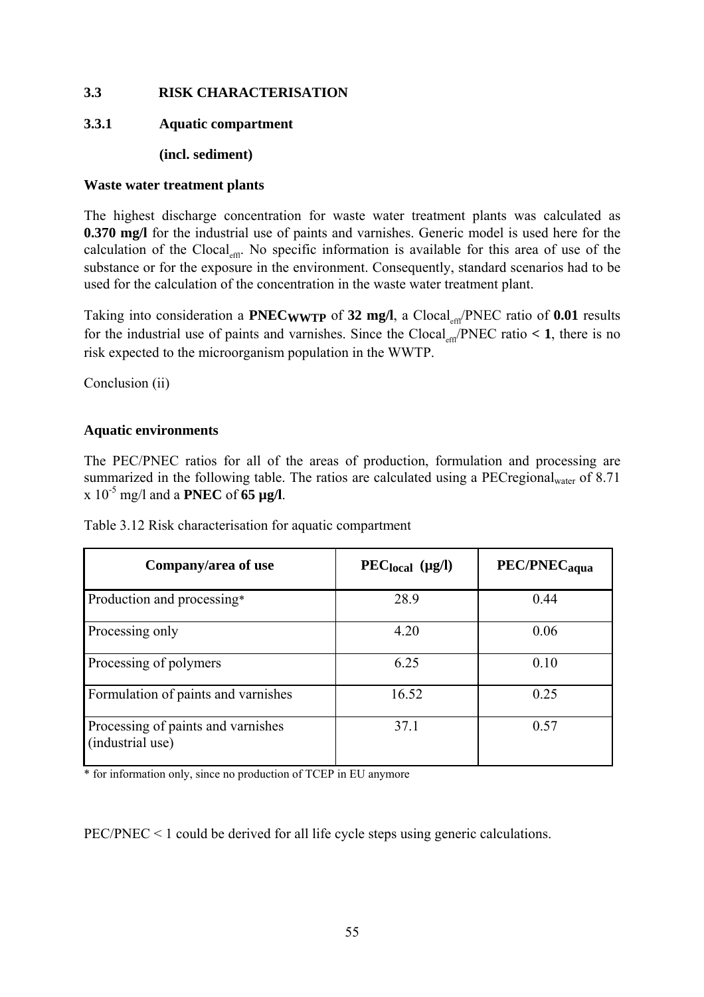## **3.3 RISK CHARACTERISATION**

### **3.3.1 Aquatic compartment**

 **(incl. sediment)** 

### **Waste water treatment plants**

The highest discharge concentration for waste water treatment plants was calculated as **0.370 mg/l** for the industrial use of paints and varnishes. Generic model is used here for the calculation of the Clocal<sub>effl</sub>. No specific information is available for this area of use of the substance or for the exposure in the environment. Consequently, standard scenarios had to be used for the calculation of the concentration in the waste water treatment plant.

Taking into consideration a PNEC<sub>WWTP</sub> of 32 mg/l, a Clocal<sub>effl</sub>/PNEC ratio of 0.01 results for the industrial use of paints and varnishes. Since the  $Clocal_{\text{eff}}/PNEC$  ratio  $< 1$ , there is no risk expected to the microorganism population in the WWTP.

Conclusion (ii)

## **Aquatic environments**

The PEC/PNEC ratios for all of the areas of production, formulation and processing are summarized in the following table. The ratios are calculated using a PECregional<sub>water</sub> of 8.71  $x 10^{-5}$  mg/l and a **PNEC** of 65 ug/l.

| Company/area of use                                    | $PEClocal$ (µg/l) | PEC/PNEC <sub>aqua</sub> |
|--------------------------------------------------------|-------------------|--------------------------|
| Production and processing*                             | 28.9              | 0.44                     |
| Processing only                                        | 4.20              | 0.06                     |
| Processing of polymers                                 | 6.25              | 0.10                     |
| Formulation of paints and varnishes                    | 16.52             | 0.25                     |
| Processing of paints and varnishes<br>(industrial use) | 37.1              | 0.57                     |

Table 3.12 Risk characterisation for aquatic compartment

\* for information only, since no production of TCEP in EU anymore

PEC/PNEC < 1 could be derived for all life cycle steps using generic calculations.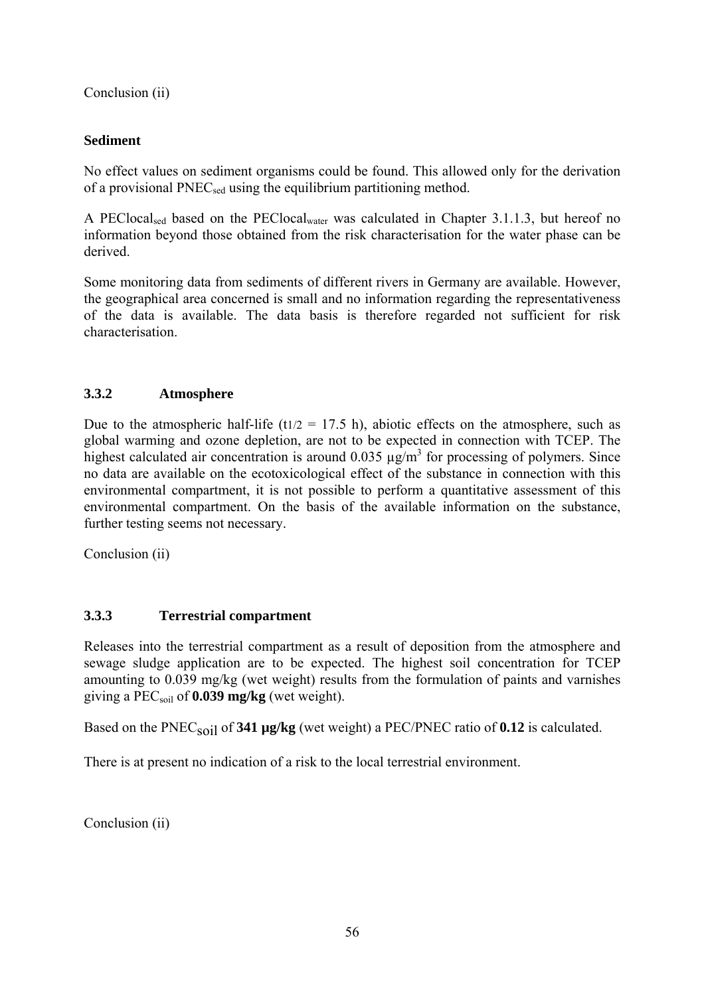Conclusion (ii)

# **Sediment**

No effect values on sediment organisms could be found. This allowed only for the derivation of a provisional PNECsed using the equilibrium partitioning method.

A PEClocalsed based on the PEClocalwater was calculated in Chapter 3.1.1.3, but hereof no information beyond those obtained from the risk characterisation for the water phase can be derived.

Some monitoring data from sediments of different rivers in Germany are available. However, the geographical area concerned is small and no information regarding the representativeness of the data is available. The data basis is therefore regarded not sufficient for risk characterisation.

## **3.3.2 Atmosphere**

Due to the atmospheric half-life (t1/2 = 17.5 h), abiotic effects on the atmosphere, such as global warming and ozone depletion, are not to be expected in connection with TCEP. The highest calculated air concentration is around  $0.035 \mu g/m^3$  for processing of polymers. Since no data are available on the ecotoxicological effect of the substance in connection with this environmental compartment, it is not possible to perform a quantitative assessment of this environmental compartment. On the basis of the available information on the substance, further testing seems not necessary.

Conclusion (ii)

# **3.3.3 Terrestrial compartment**

Releases into the terrestrial compartment as a result of deposition from the atmosphere and sewage sludge application are to be expected. The highest soil concentration for TCEP amounting to 0.039 mg/kg (wet weight) results from the formulation of paints and varnishes giving a PECsoil of **0.039 mg/kg** (wet weight).

Based on the PNEC<sub>soil</sub> of 341  $\mu$ g/kg (wet weight) a PEC/PNEC ratio of **0.12** is calculated.

There is at present no indication of a risk to the local terrestrial environment.

Conclusion (ii)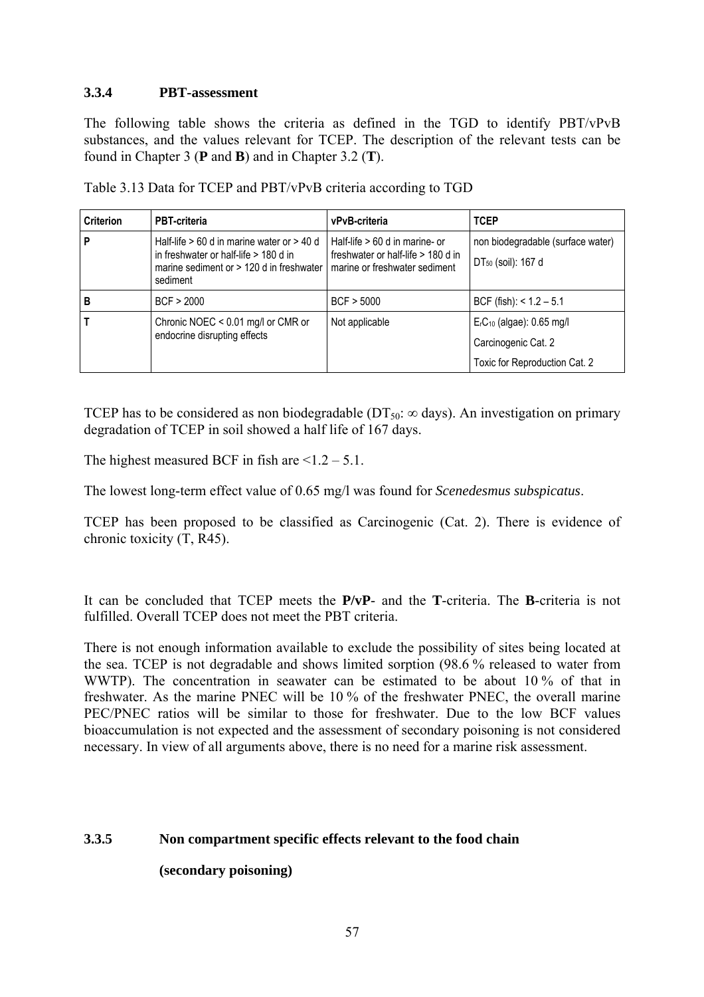## **3.3.4 PBT-assessment**

The following table shows the criteria as defined in the TGD to identify PBT/vPvB substances, and the values relevant for TCEP. The description of the relevant tests can be found in Chapter 3 (**P** and **B**) and in Chapter 3.2 (**T**).

| <b>Criterion</b> | <b>PBT-criteria</b>                                                                                                                             | vPvB-criteria                                                                                           | <b>TCEP</b>                                                                      |
|------------------|-------------------------------------------------------------------------------------------------------------------------------------------------|---------------------------------------------------------------------------------------------------------|----------------------------------------------------------------------------------|
| l P              | Half-life $> 60$ d in marine water or $> 40$ d<br>in freshwater or half-life > 180 d in<br>marine sediment or > 120 d in freshwater<br>sediment | Half-life $> 60$ d in marine- or<br>freshwater or half-life > 180 d in<br>marine or freshwater sediment | non biodegradable (surface water)<br>DT <sub>50</sub> (soil): 167 d              |
| B                | BCF > 2000                                                                                                                                      | BCF > 5000                                                                                              | BCF (fish): $< 1.2 - 5.1$                                                        |
| ١T               | Chronic NOEC < 0.01 mg/l or CMR or<br>endocrine disrupting effects                                                                              | Not applicable                                                                                          | $E10$ (algae): 0.65 mg/l<br>Carcinogenic Cat. 2<br>Toxic for Reproduction Cat. 2 |

Table 3.13 Data for TCEP and PBT/vPvB criteria according to TGD

TCEP has to be considered as non biodegradable ( $DT_{50}$ :  $\infty$  days). An investigation on primary degradation of TCEP in soil showed a half life of 167 days.

The highest measured BCF in fish are  $\leq 1.2 - 5.1$ .

The lowest long-term effect value of 0.65 mg/l was found for *Scenedesmus subspicatus*.

TCEP has been proposed to be classified as Carcinogenic (Cat. 2). There is evidence of chronic toxicity (T, R45).

It can be concluded that TCEP meets the **P/vP**- and the **T**-criteria. The **B**-criteria is not fulfilled. Overall TCEP does not meet the PBT criteria.

There is not enough information available to exclude the possibility of sites being located at the sea. TCEP is not degradable and shows limited sorption (98.6 % released to water from WWTP). The concentration in seawater can be estimated to be about 10 % of that in freshwater. As the marine PNEC will be 10 % of the freshwater PNEC, the overall marine PEC/PNEC ratios will be similar to those for freshwater. Due to the low BCF values bioaccumulation is not expected and the assessment of secondary poisoning is not considered necessary. In view of all arguments above, there is no need for a marine risk assessment.

### **3.3.5 Non compartment specific effects relevant to the food chain**

**(secondary poisoning)**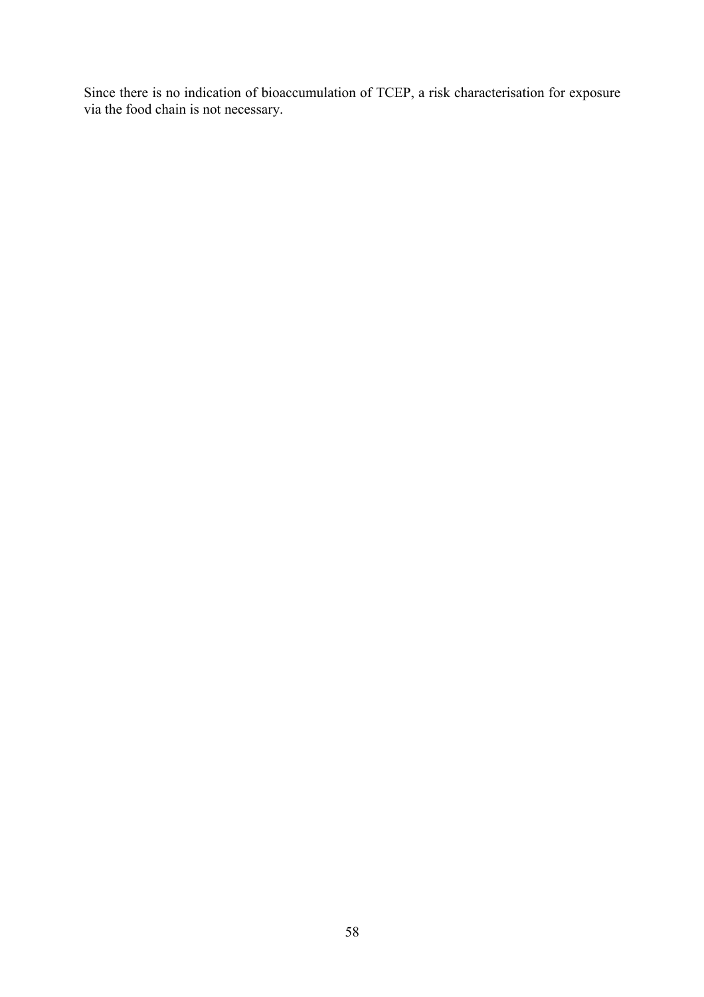Since there is no indication of bioaccumulation of TCEP, a risk characterisation for exposure via the food chain is not necessary.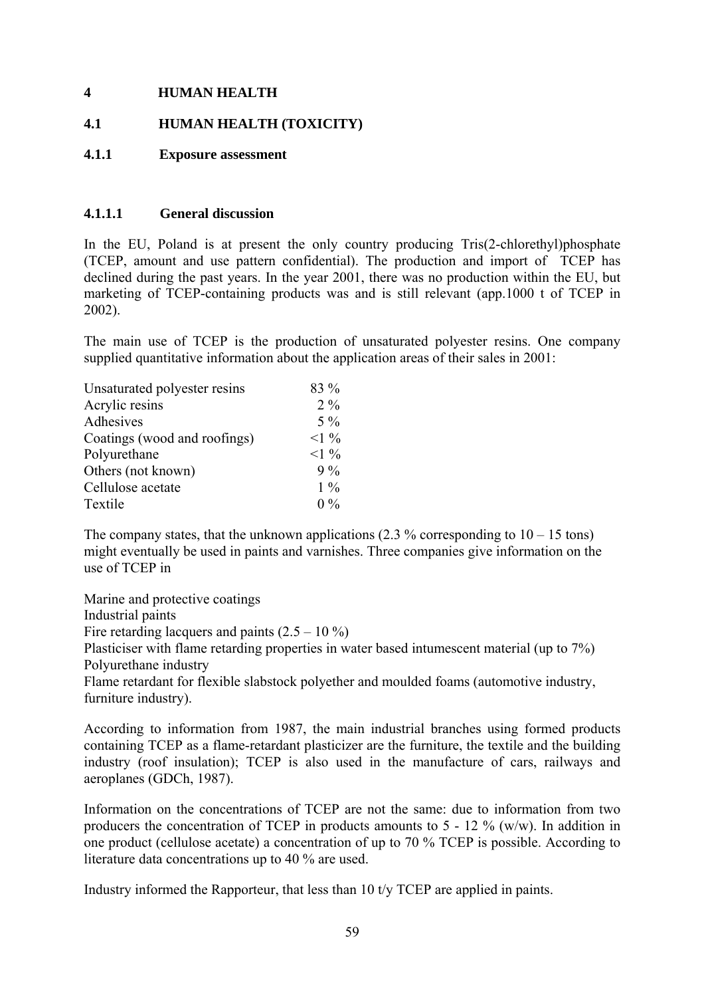## **4 HUMAN HEALTH**

## **4.1 HUMAN HEALTH (TOXICITY)**

### **4.1.1 Exposure assessment**

#### **4.1.1.1 General discussion**

In the EU, Poland is at present the only country producing Tris(2-chlorethyl)phosphate (TCEP, amount and use pattern confidential). The production and import of TCEP has declined during the past years. In the year 2001, there was no production within the EU, but marketing of TCEP-containing products was and is still relevant (app.1000 t of TCEP in 2002).

The main use of TCEP is the production of unsaturated polyester resins. One company supplied quantitative information about the application areas of their sales in 2001:

| Unsaturated polyester resins | 83 %  |
|------------------------------|-------|
| Acrylic resins               | $2\%$ |
| Adhesives                    | $5\%$ |
| Coatings (wood and roofings) | $1\%$ |
| Polyurethane                 | $1\%$ |
| Others (not known)           | $9\%$ |
| Cellulose acetate            | $1\%$ |
| Textile                      | $0\%$ |

The company states, that the unknown applications (2.3 % corresponding to  $10-15$  tons) might eventually be used in paints and varnishes. Three companies give information on the use of TCEP in

Marine and protective coatings Industrial paints Fire retarding lacquers and paints  $(2.5 - 10\%)$ Plasticiser with flame retarding properties in water based intumescent material (up to 7%) Polyurethane industry Flame retardant for flexible slabstock polyether and moulded foams (automotive industry, furniture industry).

According to information from 1987, the main industrial branches using formed products containing TCEP as a flame-retardant plasticizer are the furniture, the textile and the building industry (roof insulation); TCEP is also used in the manufacture of cars, railways and aeroplanes (GDCh, 1987).

Information on the concentrations of TCEP are not the same: due to information from two producers the concentration of TCEP in products amounts to 5 - 12 % (w/w). In addition in one product (cellulose acetate) a concentration of up to 70 % TCEP is possible. According to literature data concentrations up to 40 % are used.

Industry informed the Rapporteur, that less than 10 t/y TCEP are applied in paints.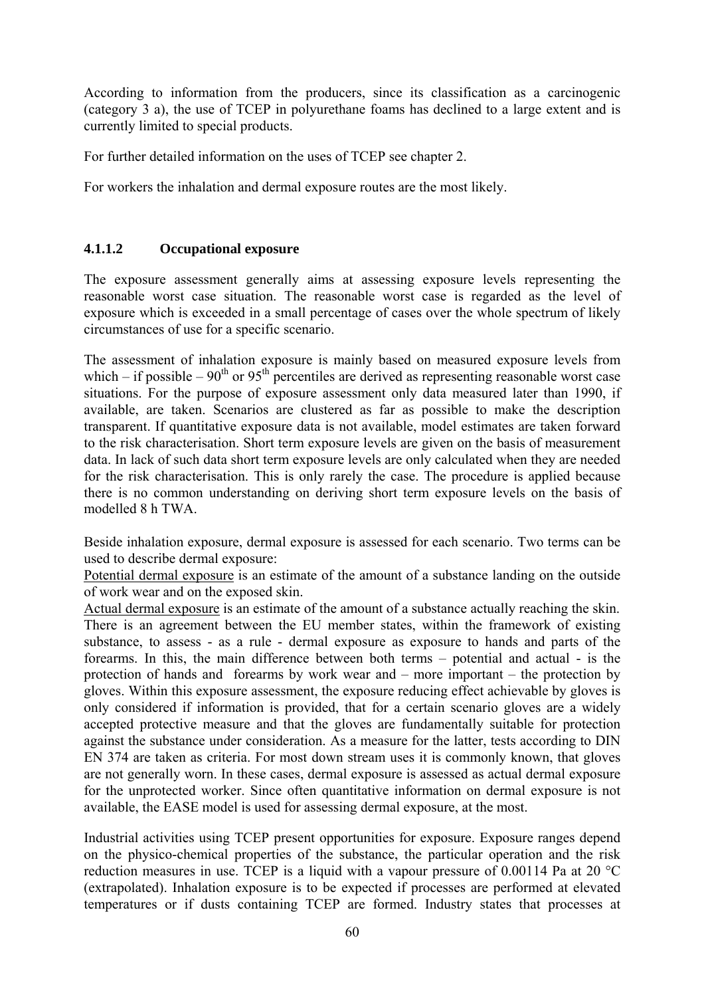According to information from the producers, since its classification as a carcinogenic (category 3 a), the use of TCEP in polyurethane foams has declined to a large extent and is currently limited to special products.

For further detailed information on the uses of TCEP see chapter 2.

For workers the inhalation and dermal exposure routes are the most likely.

## **4.1.1.2 Occupational exposure**

The exposure assessment generally aims at assessing exposure levels representing the reasonable worst case situation. The reasonable worst case is regarded as the level of exposure which is exceeded in a small percentage of cases over the whole spectrum of likely circumstances of use for a specific scenario.

The assessment of inhalation exposure is mainly based on measured exposure levels from which – if possible –  $90^{th}$  or  $95^{th}$  percentiles are derived as representing reasonable worst case situations. For the purpose of exposure assessment only data measured later than 1990, if available, are taken. Scenarios are clustered as far as possible to make the description transparent. If quantitative exposure data is not available, model estimates are taken forward to the risk characterisation. Short term exposure levels are given on the basis of measurement data. In lack of such data short term exposure levels are only calculated when they are needed for the risk characterisation. This is only rarely the case. The procedure is applied because there is no common understanding on deriving short term exposure levels on the basis of modelled 8 h TWA.

Beside inhalation exposure, dermal exposure is assessed for each scenario. Two terms can be used to describe dermal exposure:

Potential dermal exposure is an estimate of the amount of a substance landing on the outside of work wear and on the exposed skin.

Actual dermal exposure is an estimate of the amount of a substance actually reaching the skin. There is an agreement between the EU member states, within the framework of existing substance, to assess - as a rule - dermal exposure as exposure to hands and parts of the forearms. In this, the main difference between both terms – potential and actual - is the protection of hands and forearms by work wear and – more important – the protection by gloves. Within this exposure assessment, the exposure reducing effect achievable by gloves is only considered if information is provided, that for a certain scenario gloves are a widely accepted protective measure and that the gloves are fundamentally suitable for protection against the substance under consideration. As a measure for the latter, tests according to DIN EN 374 are taken as criteria. For most down stream uses it is commonly known, that gloves are not generally worn. In these cases, dermal exposure is assessed as actual dermal exposure for the unprotected worker. Since often quantitative information on dermal exposure is not available, the EASE model is used for assessing dermal exposure, at the most.

Industrial activities using TCEP present opportunities for exposure. Exposure ranges depend on the physico-chemical properties of the substance, the particular operation and the risk reduction measures in use. TCEP is a liquid with a vapour pressure of 0.00114 Pa at 20 °C (extrapolated). Inhalation exposure is to be expected if processes are performed at elevated temperatures or if dusts containing TCEP are formed. Industry states that processes at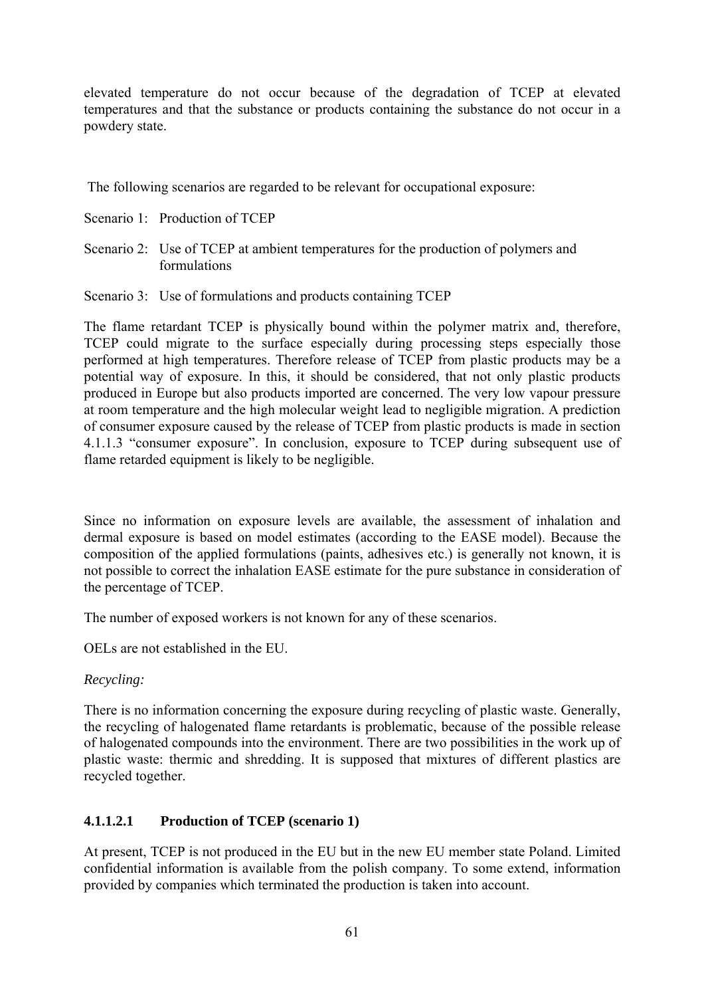elevated temperature do not occur because of the degradation of TCEP at elevated temperatures and that the substance or products containing the substance do not occur in a powdery state.

The following scenarios are regarded to be relevant for occupational exposure:

- Scenario 1: Production of TCEP
- Scenario 2: Use of TCEP at ambient temperatures for the production of polymers and formulations
- Scenario 3: Use of formulations and products containing TCEP

The flame retardant TCEP is physically bound within the polymer matrix and, therefore, TCEP could migrate to the surface especially during processing steps especially those performed at high temperatures. Therefore release of TCEP from plastic products may be a potential way of exposure. In this, it should be considered, that not only plastic products produced in Europe but also products imported are concerned. The very low vapour pressure at room temperature and the high molecular weight lead to negligible migration. A prediction of consumer exposure caused by the release of TCEP from plastic products is made in section 4.1.1.3 "consumer exposure". In conclusion, exposure to TCEP during subsequent use of flame retarded equipment is likely to be negligible.

Since no information on exposure levels are available, the assessment of inhalation and dermal exposure is based on model estimates (according to the EASE model). Because the composition of the applied formulations (paints, adhesives etc.) is generally not known, it is not possible to correct the inhalation EASE estimate for the pure substance in consideration of the percentage of TCEP.

The number of exposed workers is not known for any of these scenarios.

OELs are not established in the EU.

*Recycling:* 

There is no information concerning the exposure during recycling of plastic waste. Generally, the recycling of halogenated flame retardants is problematic, because of the possible release of halogenated compounds into the environment. There are two possibilities in the work up of plastic waste: thermic and shredding. It is supposed that mixtures of different plastics are recycled together.

# **4.1.1.2.1 Production of TCEP (scenario 1)**

At present, TCEP is not produced in the EU but in the new EU member state Poland. Limited confidential information is available from the polish company. To some extend, information provided by companies which terminated the production is taken into account.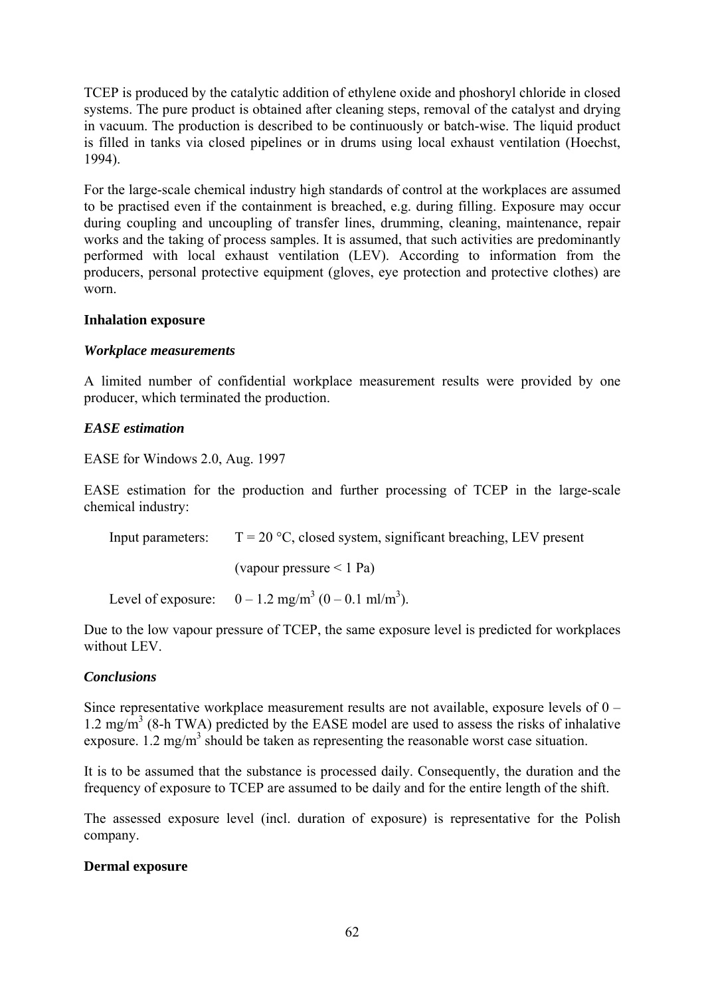TCEP is produced by the catalytic addition of ethylene oxide and phoshoryl chloride in closed systems. The pure product is obtained after cleaning steps, removal of the catalyst and drying in vacuum. The production is described to be continuously or batch-wise. The liquid product is filled in tanks via closed pipelines or in drums using local exhaust ventilation (Hoechst, 1994).

For the large-scale chemical industry high standards of control at the workplaces are assumed to be practised even if the containment is breached, e.g. during filling. Exposure may occur during coupling and uncoupling of transfer lines, drumming, cleaning, maintenance, repair works and the taking of process samples. It is assumed, that such activities are predominantly performed with local exhaust ventilation (LEV). According to information from the producers, personal protective equipment (gloves, eye protection and protective clothes) are worn.

### **Inhalation exposure**

### *Workplace measurements*

A limited number of confidential workplace measurement results were provided by one producer, which terminated the production.

### *EASE estimation*

EASE for Windows 2.0, Aug. 1997

EASE estimation for the production and further processing of TCEP in the large-scale chemical industry:

| Input parameters: $T = 20 \degree C$ , closed system, significant breaching, LEV present |
|------------------------------------------------------------------------------------------|
| (vapour pressure $\leq 1$ Pa)                                                            |
| Level of exposure: $0 - 1.2$ mg/m <sup>3</sup> $(0 - 0.1$ ml/m <sup>3</sup> ).           |

Due to the low vapour pressure of TCEP, the same exposure level is predicted for workplaces without LEV.

## *Conclusions*

Since representative workplace measurement results are not available, exposure levels of  $0 1.2 \text{ mg/m}^3$  (8-h TWA) predicted by the EASE model are used to assess the risks of inhalative exposure.  $1.2 \text{ mg/m}^3$  should be taken as representing the reasonable worst case situation.

It is to be assumed that the substance is processed daily. Consequently, the duration and the frequency of exposure to TCEP are assumed to be daily and for the entire length of the shift.

The assessed exposure level (incl. duration of exposure) is representative for the Polish company.

## **Dermal exposure**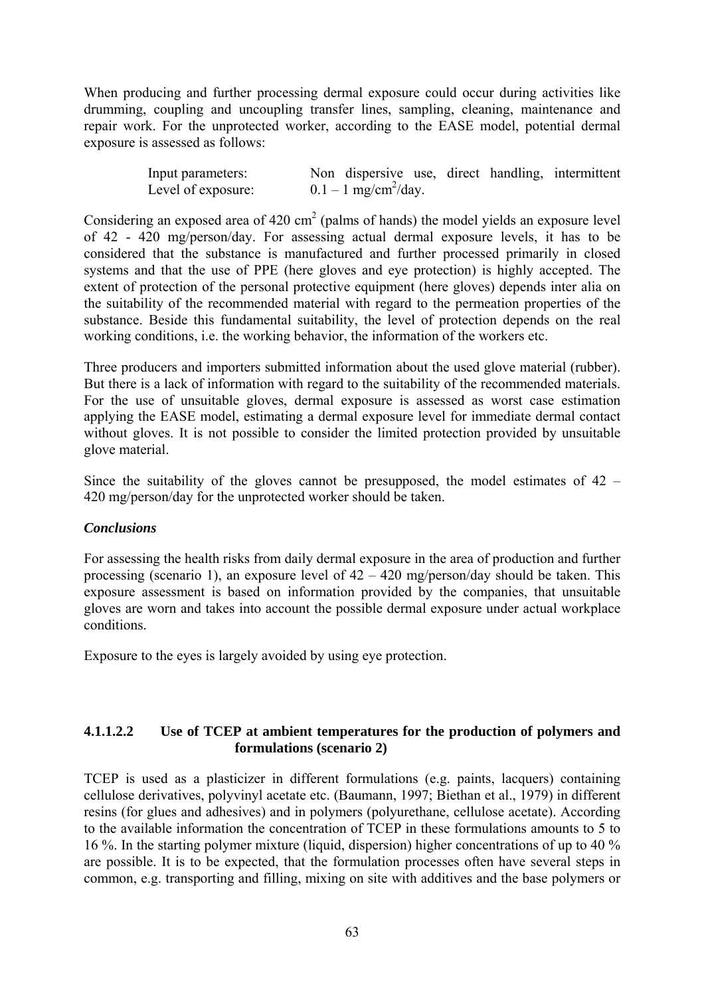When producing and further processing dermal exposure could occur during activities like drumming, coupling and uncoupling transfer lines, sampling, cleaning, maintenance and repair work. For the unprotected worker, according to the EASE model, potential dermal exposure is assessed as follows:

| Input parameters:  | Non dispersive use, direct handling, intermittent |  |  |
|--------------------|---------------------------------------------------|--|--|
| Level of exposure: | $0.1 - 1$ mg/cm <sup>2</sup> /day.                |  |  |

Considering an exposed area of  $420 \text{ cm}^2$  (palms of hands) the model yields an exposure level of 42 - 420 mg/person/day. For assessing actual dermal exposure levels, it has to be considered that the substance is manufactured and further processed primarily in closed systems and that the use of PPE (here gloves and eye protection) is highly accepted. The extent of protection of the personal protective equipment (here gloves) depends inter alia on the suitability of the recommended material with regard to the permeation properties of the substance. Beside this fundamental suitability, the level of protection depends on the real working conditions, i.e. the working behavior, the information of the workers etc.

Three producers and importers submitted information about the used glove material (rubber). But there is a lack of information with regard to the suitability of the recommended materials. For the use of unsuitable gloves, dermal exposure is assessed as worst case estimation applying the EASE model, estimating a dermal exposure level for immediate dermal contact without gloves. It is not possible to consider the limited protection provided by unsuitable glove material.

Since the suitability of the gloves cannot be presupposed, the model estimates of 42 – 420 mg/person/day for the unprotected worker should be taken.

## *Conclusions*

For assessing the health risks from daily dermal exposure in the area of production and further processing (scenario 1), an exposure level of  $42 - 420$  mg/person/day should be taken. This exposure assessment is based on information provided by the companies, that unsuitable gloves are worn and takes into account the possible dermal exposure under actual workplace conditions.

Exposure to the eyes is largely avoided by using eye protection.

## **4.1.1.2.2 Use of TCEP at ambient temperatures for the production of polymers and formulations (scenario 2)**

TCEP is used as a plasticizer in different formulations (e.g. paints, lacquers) containing cellulose derivatives, polyvinyl acetate etc. (Baumann, 1997; Biethan et al., 1979) in different resins (for glues and adhesives) and in polymers (polyurethane, cellulose acetate). According to the available information the concentration of TCEP in these formulations amounts to 5 to 16 %. In the starting polymer mixture (liquid, dispersion) higher concentrations of up to 40 % are possible. It is to be expected, that the formulation processes often have several steps in common, e.g. transporting and filling, mixing on site with additives and the base polymers or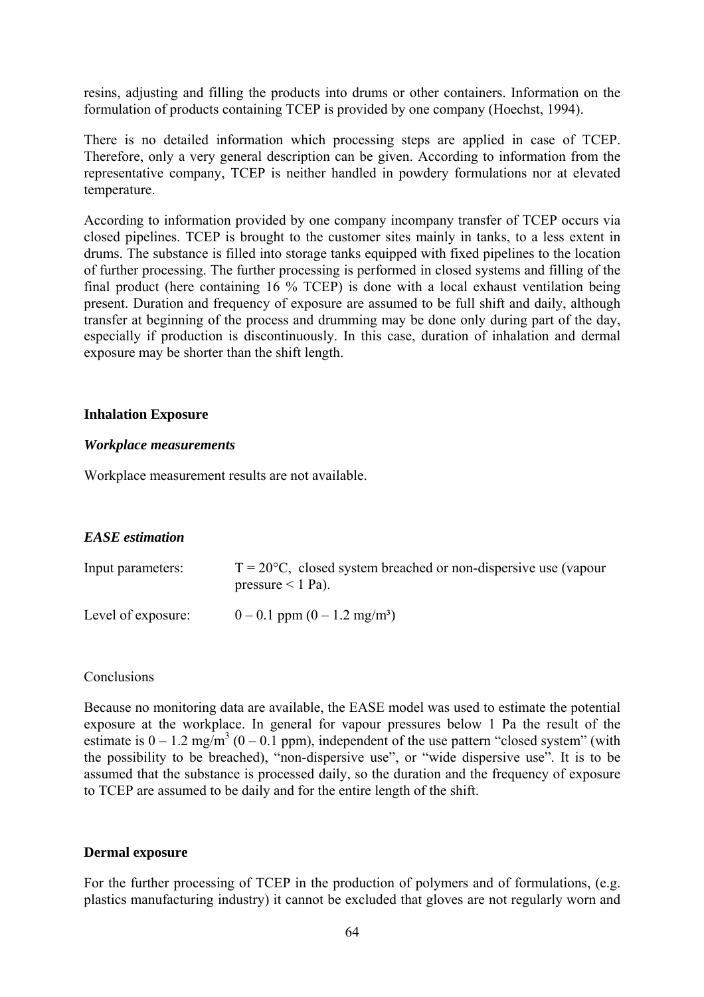resins, adjusting and filling the products into drums or other containers. Information on the formulation of products containing TCEP is provided by one company (Hoechst, 1994).

There is no detailed information which processing steps are applied in case of TCEP. Therefore, only a very general description can be given. According to information from the representative company, TCEP is neither handled in powdery formulations nor at elevated temperature.

According to information provided by one company incompany transfer of TCEP occurs via closed pipelines. TCEP is brought to the customer sites mainly in tanks, to a less extent in drums. The substance is filled into storage tanks equipped with fixed pipelines to the location of further processing. The further processing is performed in closed systems and filling of the final product (here containing 16 % TCEP) is done with a local exhaust ventilation being present. Duration and frequency of exposure are assumed to be full shift and daily, although transfer at beginning of the process and drumming may be done only during part of the day, especially if production is discontinuously. In this case, duration of inhalation and dermal exposure may be shorter than the shift length.

### **Inhalation Exposure**

#### *Workplace measurements*

Workplace measurement results are not available.

### *EASE estimation*

| Input parameters:  | $T = 20^{\circ}$ C, closed system breached or non-dispersive use (vapour<br>pressure $\leq 1$ Pa). |
|--------------------|----------------------------------------------------------------------------------------------------|
| Level of exposure: | $0 - 0.1$ ppm $(0 - 1.2$ mg/m <sup>3</sup> )                                                       |

#### Conclusions

Because no monitoring data are available, the EASE model was used to estimate the potential exposure at the workplace. In general for vapour pressures below 1 Pa the result of the estimate is  $0 - 1.2$  mg/m<sup>3</sup> ( $0 - 0.1$  ppm), independent of the use pattern "closed system" (with the possibility to be breached), "non-dispersive use", or "wide dispersive use". It is to be assumed that the substance is processed daily, so the duration and the frequency of exposure to TCEP are assumed to be daily and for the entire length of the shift.

### **Dermal exposure**

For the further processing of TCEP in the production of polymers and of formulations, (e.g. plastics manufacturing industry) it cannot be excluded that gloves are not regularly worn and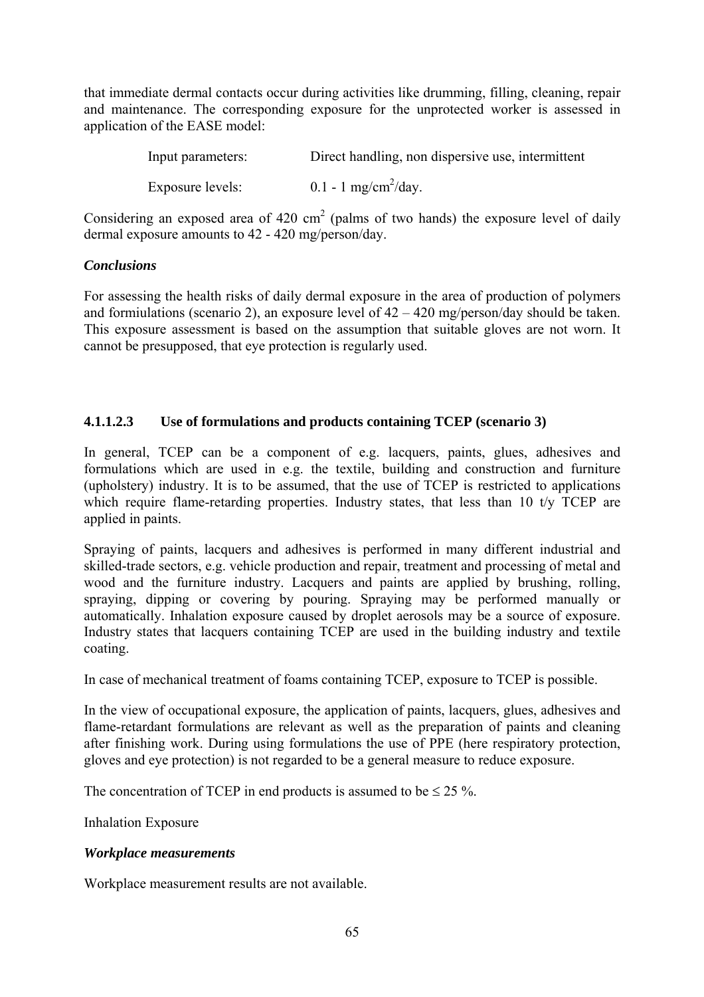that immediate dermal contacts occur during activities like drumming, filling, cleaning, repair and maintenance. The corresponding exposure for the unprotected worker is assessed in application of the EASE model:

| Input parameters: | Direct handling, non dispersive use, intermittent |  |
|-------------------|---------------------------------------------------|--|
| Exposure levels:  | 0.1 - 1 mg/cm <sup>2</sup> /day.                  |  |

Considering an exposed area of 420 cm<sup>2</sup> (palms of two hands) the exposure level of daily dermal exposure amounts to 42 - 420 mg/person/day.

## *Conclusions*

For assessing the health risks of daily dermal exposure in the area of production of polymers and formiulations (scenario 2), an exposure level of  $42 - 420$  mg/person/day should be taken. This exposure assessment is based on the assumption that suitable gloves are not worn. It cannot be presupposed, that eye protection is regularly used.

## **4.1.1.2.3 Use of formulations and products containing TCEP (scenario 3)**

In general, TCEP can be a component of e.g. lacquers, paints, glues, adhesives and formulations which are used in e.g. the textile, building and construction and furniture (upholstery) industry. It is to be assumed, that the use of TCEP is restricted to applications which require flame-retarding properties. Industry states, that less than 10 t/y TCEP are applied in paints.

Spraying of paints, lacquers and adhesives is performed in many different industrial and skilled-trade sectors, e.g. vehicle production and repair, treatment and processing of metal and wood and the furniture industry. Lacquers and paints are applied by brushing, rolling, spraying, dipping or covering by pouring. Spraying may be performed manually or automatically. Inhalation exposure caused by droplet aerosols may be a source of exposure. Industry states that lacquers containing TCEP are used in the building industry and textile coating.

In case of mechanical treatment of foams containing TCEP, exposure to TCEP is possible.

In the view of occupational exposure, the application of paints, lacquers, glues, adhesives and flame-retardant formulations are relevant as well as the preparation of paints and cleaning after finishing work. During using formulations the use of PPE (here respiratory protection, gloves and eye protection) is not regarded to be a general measure to reduce exposure.

The concentration of TCEP in end products is assumed to be  $\leq 25$  %.

Inhalation Exposure

## *Workplace measurements*

Workplace measurement results are not available.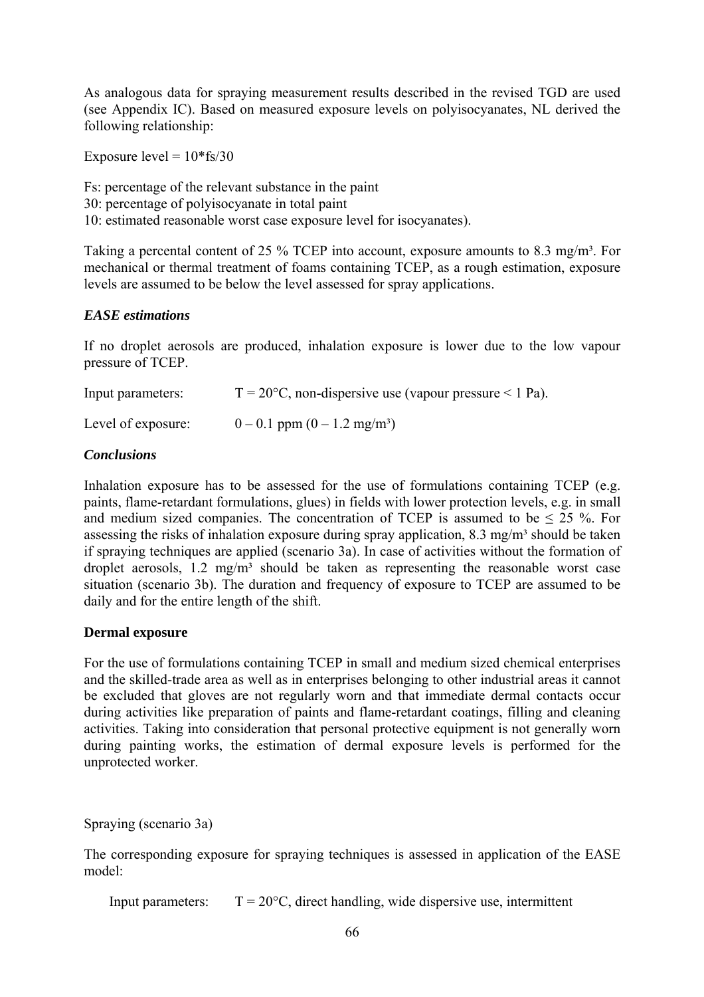As analogous data for spraying measurement results described in the revised TGD are used (see Appendix IC). Based on measured exposure levels on polyisocyanates, NL derived the following relationship:

Exposure level =  $10*fs/30$ 

Fs: percentage of the relevant substance in the paint

- 30: percentage of polyisocyanate in total paint
- 10: estimated reasonable worst case exposure level for isocyanates).

Taking a percental content of 25 % TCEP into account, exposure amounts to 8.3 mg/m<sup>3</sup>. For mechanical or thermal treatment of foams containing TCEP, as a rough estimation, exposure levels are assumed to be below the level assessed for spray applications.

### *EASE estimations*

If no droplet aerosols are produced, inhalation exposure is lower due to the low vapour pressure of TCEP.

| Input parameters:  | $T = 20^{\circ}C$ , non-dispersive use (vapour pressure < 1 Pa). |
|--------------------|------------------------------------------------------------------|
| Level of exposure: | $0 - 0.1$ ppm $(0 - 1.2$ mg/m <sup>3</sup> )                     |

## *Conclusions*

Inhalation exposure has to be assessed for the use of formulations containing TCEP (e.g. paints, flame-retardant formulations, glues) in fields with lower protection levels, e.g. in small and medium sized companies. The concentration of TCEP is assumed to be  $\leq 25$  %. For assessing the risks of inhalation exposure during spray application,  $8.3 \text{ mg/m}^3$  should be taken if spraying techniques are applied (scenario 3a). In case of activities without the formation of droplet aerosols,  $1.2 \text{ mg/m}^3$  should be taken as representing the reasonable worst case situation (scenario 3b). The duration and frequency of exposure to TCEP are assumed to be daily and for the entire length of the shift.

### **Dermal exposure**

For the use of formulations containing TCEP in small and medium sized chemical enterprises and the skilled-trade area as well as in enterprises belonging to other industrial areas it cannot be excluded that gloves are not regularly worn and that immediate dermal contacts occur during activities like preparation of paints and flame-retardant coatings, filling and cleaning activities. Taking into consideration that personal protective equipment is not generally worn during painting works, the estimation of dermal exposure levels is performed for the unprotected worker.

Spraying (scenario 3a)

The corresponding exposure for spraying techniques is assessed in application of the EASE model:

Input parameters:  $T = 20^{\circ}C$ , direct handling, wide dispersive use, intermittent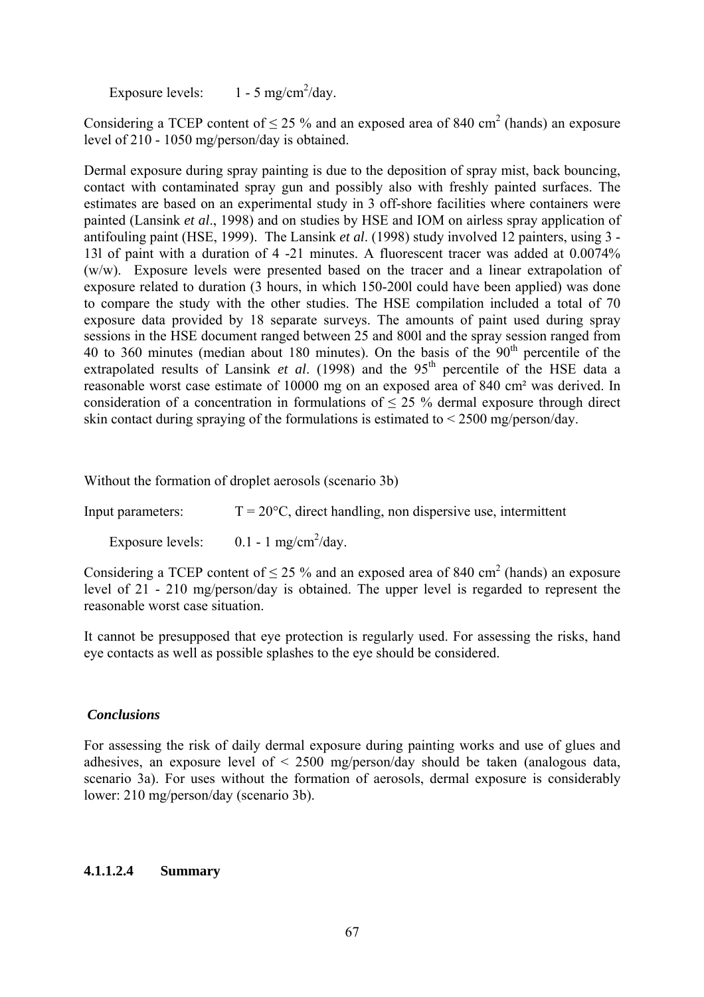Exposure levels:  $1 - 5$  mg/cm<sup>2</sup>/day.

Considering a TCEP content of  $\leq 25$  % and an exposed area of 840 cm<sup>2</sup> (hands) an exposure level of 210 - 1050 mg/person/day is obtained.

Dermal exposure during spray painting is due to the deposition of spray mist, back bouncing, contact with contaminated spray gun and possibly also with freshly painted surfaces. The estimates are based on an experimental study in 3 off-shore facilities where containers were painted (Lansink *et al*., 1998) and on studies by HSE and IOM on airless spray application of antifouling paint (HSE, 1999). The Lansink *et al*. (1998) study involved 12 painters, using 3 - 13l of paint with a duration of 4 -21 minutes. A fluorescent tracer was added at 0.0074% (w/w). Exposure levels were presented based on the tracer and a linear extrapolation of exposure related to duration (3 hours, in which 150-200l could have been applied) was done to compare the study with the other studies. The HSE compilation included a total of 70 exposure data provided by 18 separate surveys. The amounts of paint used during spray sessions in the HSE document ranged between 25 and 800l and the spray session ranged from 40 to 360 minutes (median about 180 minutes). On the basis of the  $90<sup>th</sup>$  percentile of the extrapolated results of Lansink *et al.* (1998) and the 95<sup>th</sup> percentile of the HSE data a reasonable worst case estimate of 10000 mg on an exposed area of 840 cm² was derived. In consideration of a concentration in formulations of  $\leq$  25 % dermal exposure through direct skin contact during spraying of the formulations is estimated to < 2500 mg/person/day.

Without the formation of droplet aerosols (scenario 3b)

| Input parameters: | $T = 20^{\circ}$ C, direct handling, non dispersive use, intermittent |
|-------------------|-----------------------------------------------------------------------|
| Exposure levels:  | 0.1 - 1 mg/cm <sup>2</sup> /day.                                      |

Considering a TCEP content of  $\leq 25$  % and an exposed area of 840 cm<sup>2</sup> (hands) an exposure level of 21 - 210 mg/person/day is obtained. The upper level is regarded to represent the reasonable worst case situation.

It cannot be presupposed that eye protection is regularly used. For assessing the risks, hand eye contacts as well as possible splashes to the eye should be considered.

### *Conclusions*

For assessing the risk of daily dermal exposure during painting works and use of glues and adhesives, an exposure level of < 2500 mg/person/day should be taken (analogous data, scenario 3a). For uses without the formation of aerosols, dermal exposure is considerably lower: 210 mg/person/day (scenario 3b).

### **4.1.1.2.4 Summary**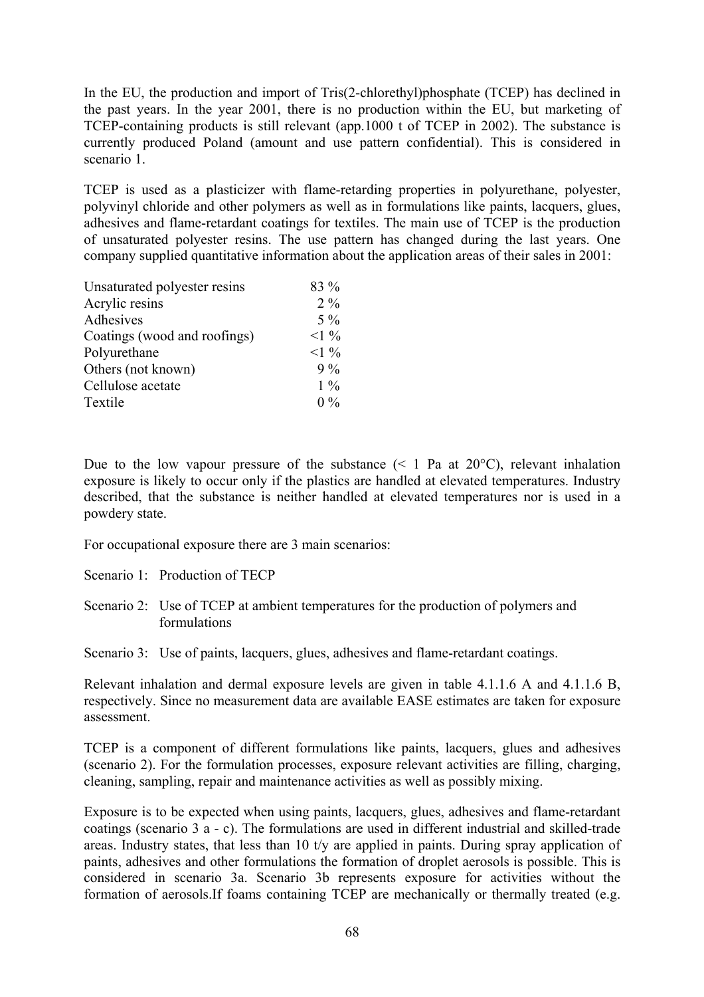In the EU, the production and import of Tris(2-chlorethyl)phosphate (TCEP) has declined in the past years. In the year 2001, there is no production within the EU, but marketing of TCEP-containing products is still relevant (app.1000 t of TCEP in 2002). The substance is currently produced Poland (amount and use pattern confidential). This is considered in scenario 1.

TCEP is used as a plasticizer with flame-retarding properties in polyurethane, polyester, polyvinyl chloride and other polymers as well as in formulations like paints, lacquers, glues, adhesives and flame-retardant coatings for textiles. The main use of TCEP is the production of unsaturated polyester resins. The use pattern has changed during the last years. One company supplied quantitative information about the application areas of their sales in 2001:

| Unsaturated polyester resins | 83 %   |
|------------------------------|--------|
| Acrylic resins               | $2\%$  |
| Adhesives                    | $5\%$  |
| Coatings (wood and roofings) | $<1\%$ |
| Polyurethane                 | $<1\%$ |
| Others (not known)           | $9\%$  |
| Cellulose acetate            | $1\%$  |
| Textile                      | $0\%$  |

Due to the low vapour pressure of the substance  $(< 1$  Pa at 20 $^{\circ}$ C), relevant inhalation exposure is likely to occur only if the plastics are handled at elevated temperatures. Industry described, that the substance is neither handled at elevated temperatures nor is used in a powdery state.

For occupational exposure there are 3 main scenarios:

- Scenario 1: Production of TECP
- Scenario 2: Use of TCEP at ambient temperatures for the production of polymers and formulations

Scenario 3: Use of paints, lacquers, glues, adhesives and flame-retardant coatings.

Relevant inhalation and dermal exposure levels are given in table 4.1.1.6 A and 4.1.1.6 B, respectively. Since no measurement data are available EASE estimates are taken for exposure assessment.

TCEP is a component of different formulations like paints, lacquers, glues and adhesives (scenario 2). For the formulation processes, exposure relevant activities are filling, charging, cleaning, sampling, repair and maintenance activities as well as possibly mixing.

Exposure is to be expected when using paints, lacquers, glues, adhesives and flame-retardant coatings (scenario 3 a - c). The formulations are used in different industrial and skilled-trade areas. Industry states, that less than 10 t/y are applied in paints. During spray application of paints, adhesives and other formulations the formation of droplet aerosols is possible. This is considered in scenario 3a. Scenario 3b represents exposure for activities without the formation of aerosols.If foams containing TCEP are mechanically or thermally treated (e.g.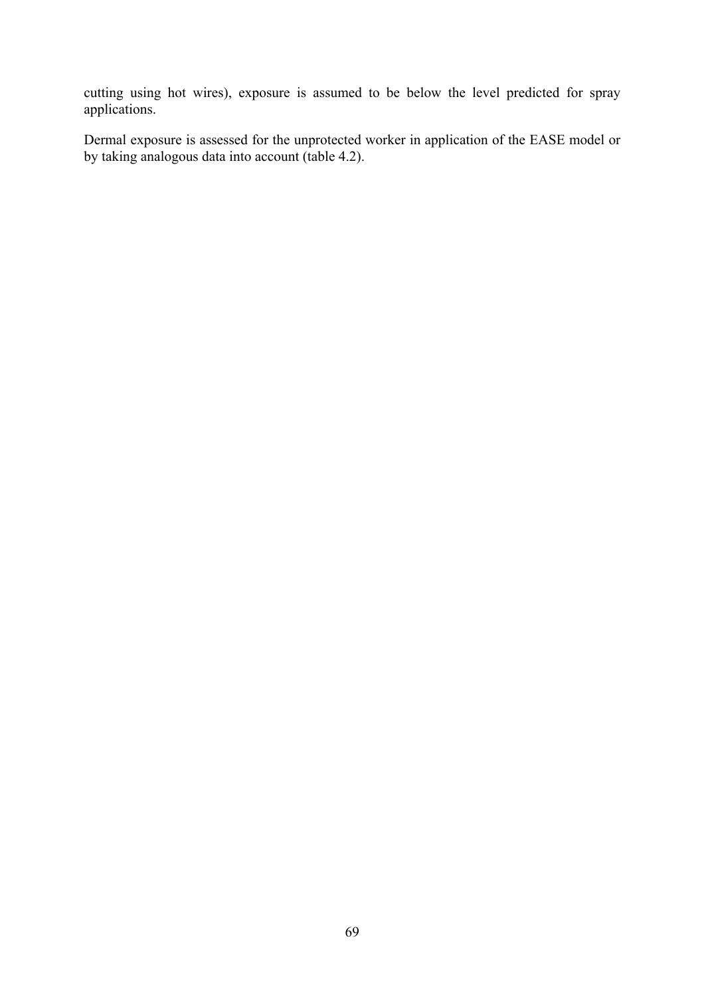cutting using hot wires), exposure is assumed to be below the level predicted for spray applications.

Dermal exposure is assessed for the unprotected worker in application of the EASE model or by taking analogous data into account (table 4.2).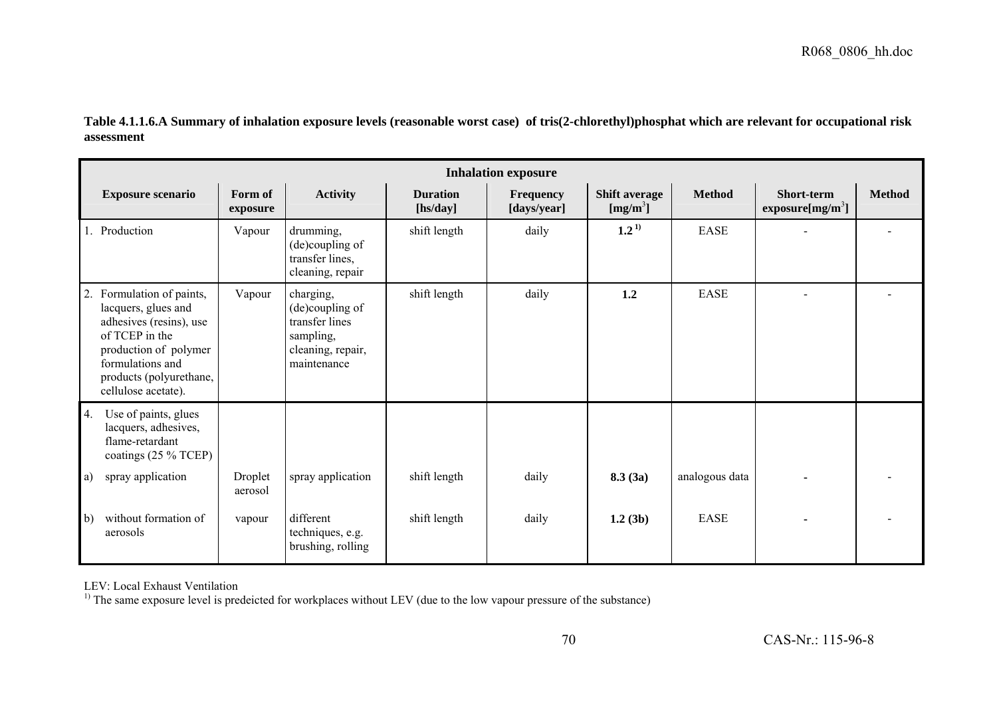**Table 4.1.1.6.A Summary of inhalation exposure levels (reasonable worst case) of tris(2-chlorethyl)phosphat which are relevant for occupational risk assessment**

| <b>Inhalation exposure</b> |                                                                                                                                                                                           |                     |                                                                                                 |                             |                          |                                       |                |                                            |               |  |  |  |
|----------------------------|-------------------------------------------------------------------------------------------------------------------------------------------------------------------------------------------|---------------------|-------------------------------------------------------------------------------------------------|-----------------------------|--------------------------|---------------------------------------|----------------|--------------------------------------------|---------------|--|--|--|
|                            | <b>Exposure scenario</b>                                                                                                                                                                  | Form of<br>exposure | <b>Activity</b>                                                                                 | <b>Duration</b><br>[hs/day] | Frequency<br>[days/year] | Shift average<br>[mg/m <sup>3</sup> ] | <b>Method</b>  | Short-term<br>exposure[mg/m <sup>3</sup> ] | <b>Method</b> |  |  |  |
|                            | 1. Production                                                                                                                                                                             | Vapour              | drumming,<br>(de)coupling of<br>transfer lines,<br>cleaning, repair                             | shift length                | daily                    | $1.2^{11}$                            | <b>EASE</b>    |                                            |               |  |  |  |
| 2.                         | Formulation of paints,<br>lacquers, glues and<br>adhesives (resins), use<br>of TCEP in the<br>production of polymer<br>formulations and<br>products (polyurethane,<br>cellulose acetate). | Vapour              | charging,<br>(de)coupling of<br>transfer lines<br>sampling,<br>cleaning, repair,<br>maintenance | shift length                | daily                    | 1.2                                   | <b>EASE</b>    |                                            |               |  |  |  |
| 4.                         | Use of paints, glues<br>lacquers, adhesives,<br>flame-retardant<br>coatings $(25 % TCEP)$                                                                                                 |                     |                                                                                                 |                             |                          |                                       |                |                                            |               |  |  |  |
| a)                         | spray application                                                                                                                                                                         | Droplet<br>aerosol  | spray application                                                                               | shift length                | daily                    | 8.3(3a)                               | analogous data |                                            |               |  |  |  |
| $\mathsf{b}$               | without formation of<br>aerosols                                                                                                                                                          | vapour              | different<br>techniques, e.g.<br>brushing, rolling                                              | shift length                | daily                    | 1.2(3b)                               | <b>EASE</b>    |                                            |               |  |  |  |

LEV: Local Exhaust Ventilation<br><sup>1)</sup> The same exposure level is predeicted for workplaces without LEV (due to the low vapour pressure of the substance)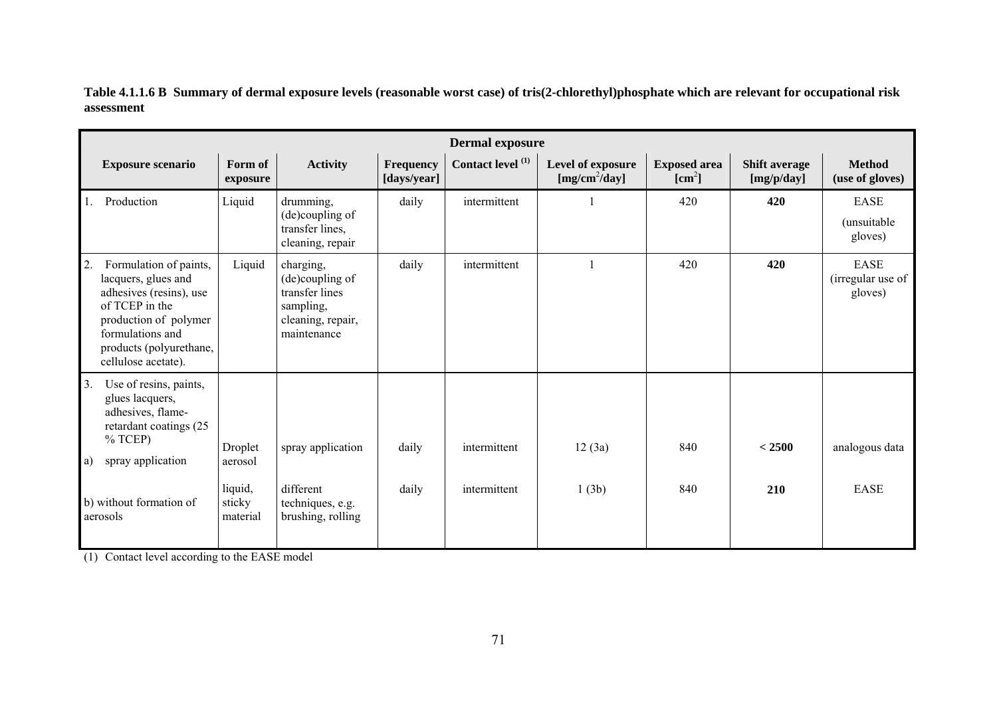**Table 4.1.1.6 B Summary of dermal exposure levels (reasonable worst case) of tris(2-chlorethyl)phosphate which are relevant for occupational risk assessment** 

| <b>Dermal exposure</b>                                                                                                                                                                          |                               |                                                                                                 |                          |                   |                                      |                                 |                                    |                                             |  |  |  |  |
|-------------------------------------------------------------------------------------------------------------------------------------------------------------------------------------------------|-------------------------------|-------------------------------------------------------------------------------------------------|--------------------------|-------------------|--------------------------------------|---------------------------------|------------------------------------|---------------------------------------------|--|--|--|--|
| <b>Exposure scenario</b>                                                                                                                                                                        | Form of<br>exposure           | <b>Activity</b>                                                                                 | Frequency<br>[days/year] | Contact level (1) | Level of exposure<br>$[mg/cm^2/day]$ | <b>Exposed</b> area<br>$[cm^2]$ | <b>Shift average</b><br>[mg/p/day] | <b>Method</b><br>(use of gloves)            |  |  |  |  |
| Production<br>1.                                                                                                                                                                                | Liquid                        | drumming,<br>(de)coupling of<br>transfer lines,<br>cleaning, repair                             | daily                    | intermittent      |                                      | 420                             | 420                                | <b>EASE</b><br>(unsuitable)<br>gloves)      |  |  |  |  |
| 2.<br>Formulation of paints,<br>lacquers, glues and<br>adhesives (resins), use<br>of TCEP in the<br>production of polymer<br>formulations and<br>products (polyurethane,<br>cellulose acetate). | Liquid                        | charging,<br>(de)coupling of<br>transfer lines<br>sampling,<br>cleaning, repair,<br>maintenance | daily                    | intermittent      |                                      | 420                             | 420                                | <b>EASE</b><br>(irregular use of<br>gloves) |  |  |  |  |
| 3.<br>Use of resins, paints,<br>glues lacquers,<br>adhesives, flame-<br>retardant coatings (25<br>$%$ TCEP)<br>spray application<br>a)                                                          | Droplet<br>aerosol            | spray application                                                                               | daily                    | intermittent      | 12(3a)                               | 840                             | < 2500                             | analogous data                              |  |  |  |  |
| b) without formation of<br>aerosols                                                                                                                                                             | liquid,<br>sticky<br>material | different<br>techniques, e.g.<br>brushing, rolling                                              | daily                    | intermittent      | 1(3b)                                | 840                             | 210                                | <b>EASE</b>                                 |  |  |  |  |

(1) Contact level according to the EASE model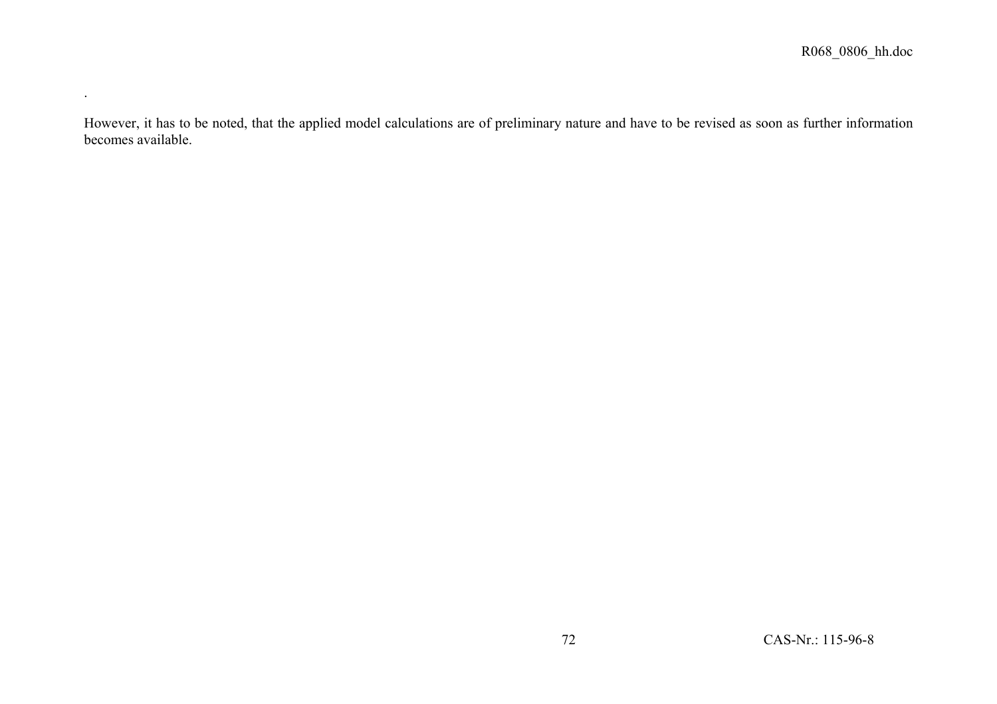However, it has to be noted, that the applied model calculations are of preliminary nature and have to be revised as soon as further information becomes available.

.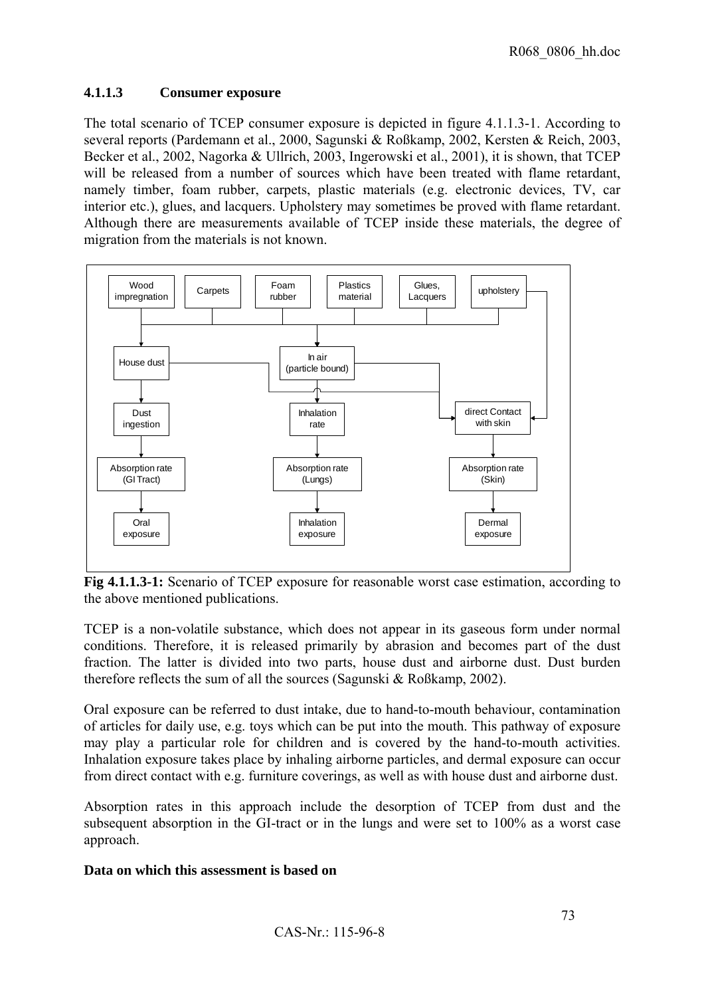## **4.1.1.3 Consumer exposure**

The total scenario of TCEP consumer exposure is depicted in figure 4.1.1.3-1. According to several reports (Pardemann et al., 2000, Sagunski & Roßkamp, 2002, Kersten & Reich, 2003, Becker et al., 2002, Nagorka & Ullrich, 2003, Ingerowski et al., 2001), it is shown, that TCEP will be released from a number of sources which have been treated with flame retardant, namely timber, foam rubber, carpets, plastic materials (e.g. electronic devices, TV, car interior etc.), glues, and lacquers. Upholstery may sometimes be proved with flame retardant. Although there are measurements available of TCEP inside these materials, the degree of migration from the materials is not known.



**Fig 4.1.1.3-1:** Scenario of TCEP exposure for reasonable worst case estimation, according to the above mentioned publications.

TCEP is a non-volatile substance, which does not appear in its gaseous form under normal conditions. Therefore, it is released primarily by abrasion and becomes part of the dust fraction. The latter is divided into two parts, house dust and airborne dust. Dust burden therefore reflects the sum of all the sources (Sagunski & Roßkamp, 2002).

Oral exposure can be referred to dust intake, due to hand-to-mouth behaviour, contamination of articles for daily use, e.g. toys which can be put into the mouth. This pathway of exposure may play a particular role for children and is covered by the hand-to-mouth activities. Inhalation exposure takes place by inhaling airborne particles, and dermal exposure can occur from direct contact with e.g. furniture coverings, as well as with house dust and airborne dust.

Absorption rates in this approach include the desorption of TCEP from dust and the subsequent absorption in the GI-tract or in the lungs and were set to 100% as a worst case approach.

#### **Data on which this assessment is based on**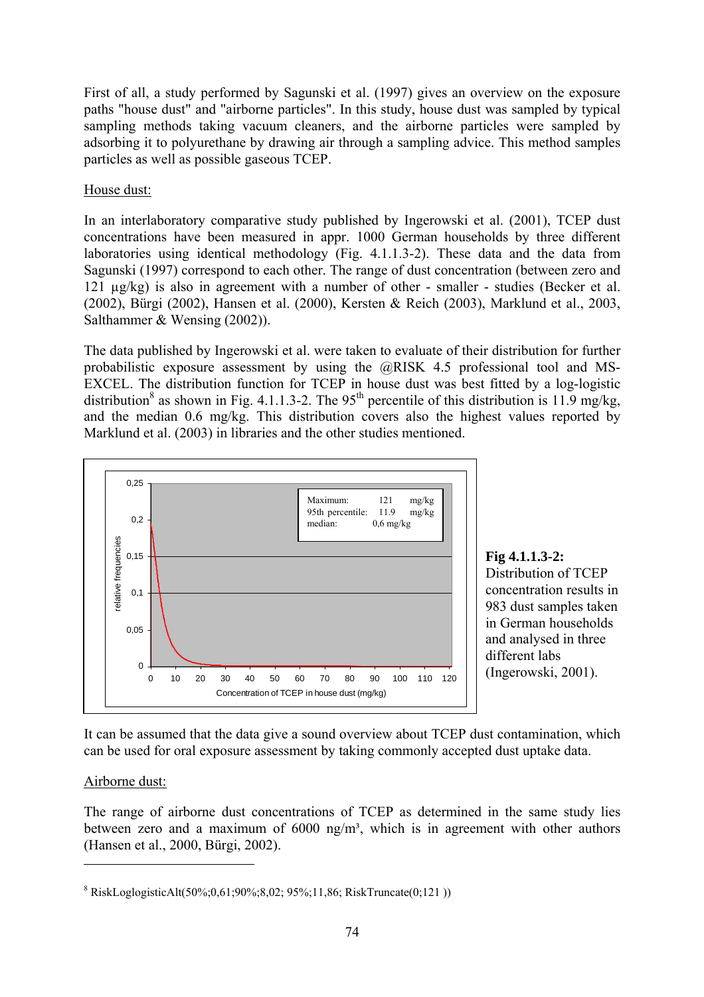First of all, a study performed by Sagunski et al. (1997) gives an overview on the exposure paths "house dust" and "airborne particles". In this study, house dust was sampled by typical sampling methods taking vacuum cleaners, and the airborne particles were sampled by adsorbing it to polyurethane by drawing air through a sampling advice. This method samples particles as well as possible gaseous TCEP.

## House dust:

In an interlaboratory comparative study published by Ingerowski et al. (2001), TCEP dust concentrations have been measured in appr. 1000 German households by three different laboratories using identical methodology (Fig. 4.1.1.3-2). These data and the data from Sagunski (1997) correspond to each other. The range of dust concentration (between zero and 121 µg/kg) is also in agreement with a number of other - smaller - studies (Becker et al. (2002), Bürgi (2002), Hansen et al. (2000), Kersten & Reich (2003), Marklund et al., 2003, Salthammer & Wensing (2002)).

The data published by Ingerowski et al. were taken to evaluate of their distribution for further probabilistic exposure assessment by using the @RISK 4.5 professional tool and MS-EXCEL. The distribution function for TCEP in house dust was best fitted by a log-logistic distribution<sup>8</sup> as shown in Fig. 4.1.1.3-2. The 95<sup>th</sup> percentile of this distribution is 11.9 mg/kg, and the median 0.6 mg/kg. This distribution covers also the highest values reported by Marklund et al. (2003) in libraries and the other studies mentioned.





It can be assumed that the data give a sound overview about TCEP dust contamination, which can be used for oral exposure assessment by taking commonly accepted dust uptake data.

## Airborne dust:

 $\overline{a}$ 

The range of airborne dust concentrations of TCEP as determined in the same study lies between zero and a maximum of 6000 ng/m<sup>3</sup>, which is in agreement with other authors (Hansen et al., 2000, Bürgi, 2002).

<sup>&</sup>lt;sup>8</sup> RiskLoglogisticAlt(50%;0,61;90%;8,02; 95%;11,86; RiskTruncate(0;121))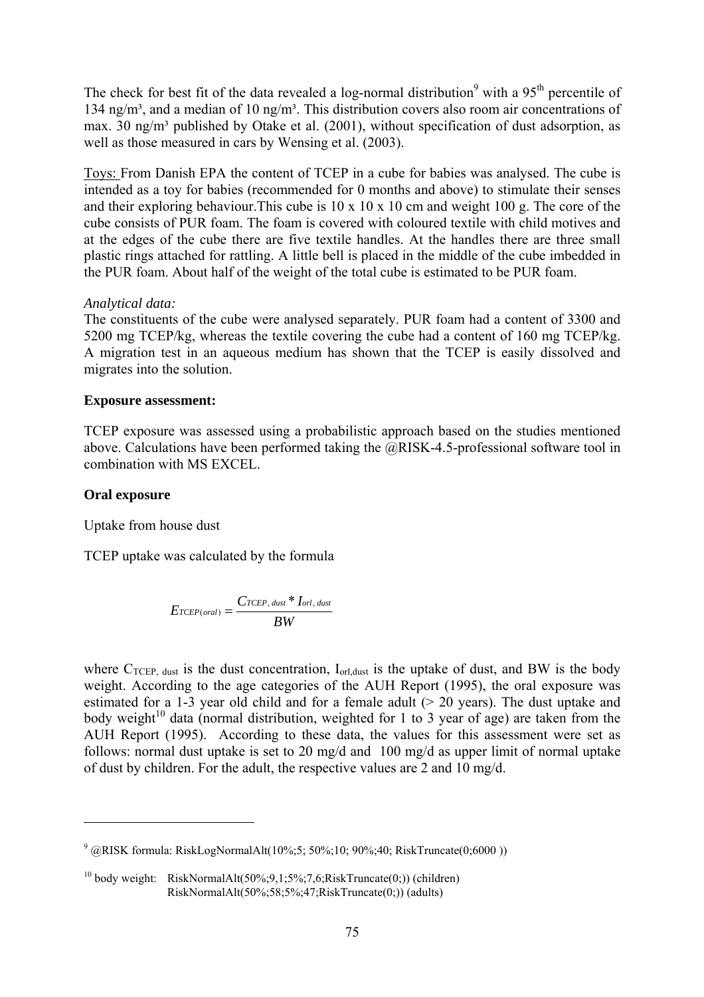The check for best fit of the data revealed a log-normal distribution<sup>9</sup> with a  $95<sup>th</sup>$  percentile of 134 ng/m<sup>3</sup>, and a median of 10 ng/m<sup>3</sup>. This distribution covers also room air concentrations of max. 30 ng/m<sup>3</sup> published by Otake et al.  $(2001)$ , without specification of dust adsorption, as well as those measured in cars by Wensing et al. (2003).

Toys: From Danish EPA the content of TCEP in a cube for babies was analysed. The cube is intended as a toy for babies (recommended for 0 months and above) to stimulate their senses and their exploring behaviour.This cube is 10 x 10 x 10 cm and weight 100 g. The core of the cube consists of PUR foam. The foam is covered with coloured textile with child motives and at the edges of the cube there are five textile handles. At the handles there are three small plastic rings attached for rattling. A little bell is placed in the middle of the cube imbedded in the PUR foam. About half of the weight of the total cube is estimated to be PUR foam.

#### *Analytical data:*

The constituents of the cube were analysed separately. PUR foam had a content of 3300 and 5200 mg TCEP/kg, whereas the textile covering the cube had a content of 160 mg TCEP/kg. A migration test in an aqueous medium has shown that the TCEP is easily dissolved and migrates into the solution.

#### **Exposure assessment:**

TCEP exposure was assessed using a probabilistic approach based on the studies mentioned above. Calculations have been performed taking the @RISK-4.5-professional software tool in combination with MS EXCEL.

## **Oral exposure**

 $\overline{a}$ 

Uptake from house dust

TCEP uptake was calculated by the formula

$$
ETCEP(oral) = \frac{CTCEP, dust * Ior1, dust}{BW}
$$

where  $C_{\text{TCEP, dust}}$  is the dust concentration,  $I_{\text{orl,dust}}$  is the uptake of dust, and BW is the body weight. According to the age categories of the AUH Report (1995), the oral exposure was estimated for a 1-3 year old child and for a female adult (> 20 years). The dust uptake and body weight<sup>10</sup> data (normal distribution, weighted for 1 to 3 year of age) are taken from the AUH Report (1995). According to these data, the values for this assessment were set as follows: normal dust uptake is set to 20 mg/d and 100 mg/d as upper limit of normal uptake of dust by children. For the adult, the respective values are 2 and 10 mg/d.

 $^{9}$  @RISK formula: RiskLogNormalAlt(10%;5; 50%;10; 90%;40; RiskTruncate(0;6000))

<sup>&</sup>lt;sup>10</sup> body weight: RiskNormalAlt(50%;9,1;5%;7,6;RiskTruncate(0;)) (children)  $RiskNormalAlt(50\%:58:5\%:47:RiskTruncate(0))$  (adults)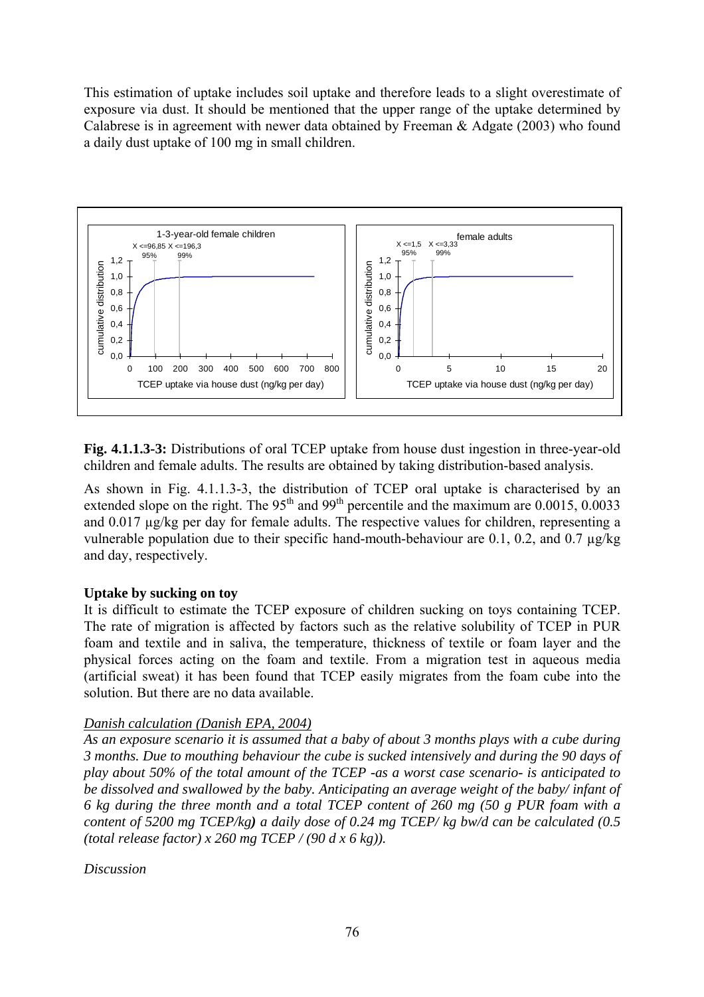This estimation of uptake includes soil uptake and therefore leads to a slight overestimate of exposure via dust. It should be mentioned that the upper range of the uptake determined by Calabrese is in agreement with newer data obtained by Freeman & Adgate (2003) who found a daily dust uptake of 100 mg in small children.



**Fig. 4.1.1.3-3:** Distributions of oral TCEP uptake from house dust ingestion in three-year-old children and female adults. The results are obtained by taking distribution-based analysis.

As shown in Fig. 4.1.1.3-3, the distribution of TCEP oral uptake is characterised by an extended slope on the right. The 95<sup>th</sup> and 99<sup>th</sup> percentile and the maximum are 0.0015, 0.0033 and 0.017 µg/kg per day for female adults. The respective values for children, representing a vulnerable population due to their specific hand-mouth-behaviour are  $0.1$ ,  $0.2$ , and  $0.7 \mu$ g/kg and day, respectively.

#### **Uptake by sucking on toy**

It is difficult to estimate the TCEP exposure of children sucking on toys containing TCEP. The rate of migration is affected by factors such as the relative solubility of TCEP in PUR foam and textile and in saliva, the temperature, thickness of textile or foam layer and the physical forces acting on the foam and textile. From a migration test in aqueous media (artificial sweat) it has been found that TCEP easily migrates from the foam cube into the solution. But there are no data available.

## *Danish calculation (Danish EPA, 2004)*

*As an exposure scenario it is assumed that a baby of about 3 months plays with a cube during 3 months. Due to mouthing behaviour the cube is sucked intensively and during the 90 days of play about 50% of the total amount of the TCEP -as a worst case scenario- is anticipated to be dissolved and swallowed by the baby. Anticipating an average weight of the baby/ infant of 6 kg during the three month and a total TCEP content of 260 mg (50 g PUR foam with a content of 5200 mg TCEP/kg) a daily dose of 0.24 mg TCEP/ kg bw/d can be calculated (0.5 (total release factor) x 260 mg TCEP / (90 d x 6 kg)).* 

#### *Discussion*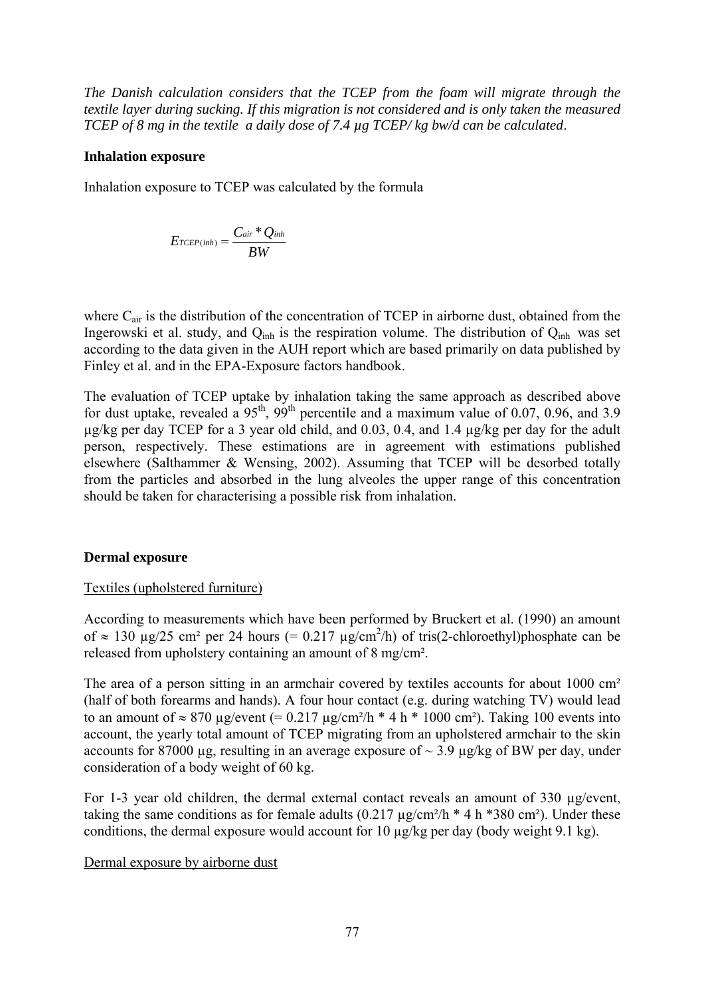*The Danish calculation considers that the TCEP from the foam will migrate through the textile layer during sucking. If this migration is not considered and is only taken the measured TCEP of 8 mg in the textile a daily dose of 7.4 µg TCEP/ kg bw/d can be calculated*.

#### **Inhalation exposure**

Inhalation exposure to TCEP was calculated by the formula

$$
E_{TCEP(int)} = \frac{C_{air} * Q_{inh}}{BW}
$$

where  $C_{\text{air}}$  is the distribution of the concentration of TCEP in airborne dust, obtained from the Ingerowski et al. study, and  $Q_{inh}$  is the respiration volume. The distribution of  $Q_{inh}$  was set according to the data given in the AUH report which are based primarily on data published by Finley et al. and in the EPA-Exposure factors handbook.

The evaluation of TCEP uptake by inhalation taking the same approach as described above for dust uptake, revealed a  $95<sup>th</sup>$ ,  $99<sup>th</sup>$  percentile and a maximum value of 0.07, 0.96, and 3.9 µg/kg per day TCEP for a 3 year old child, and 0.03, 0.4, and 1.4 µg/kg per day for the adult person, respectively. These estimations are in agreement with estimations published elsewhere (Salthammer & Wensing, 2002). Assuming that TCEP will be desorbed totally from the particles and absorbed in the lung alveoles the upper range of this concentration should be taken for characterising a possible risk from inhalation.

## **Dermal exposure**

## Textiles (upholstered furniture)

According to measurements which have been performed by Bruckert et al. (1990) an amount of  $\approx$  130 µg/25 cm<sup>2</sup> per 24 hours (= 0.217 µg/cm<sup>2</sup>/h) of tris(2-chloroethyl)phosphate can be released from upholstery containing an amount of 8 mg/cm².

The area of a person sitting in an armchair covered by textiles accounts for about 1000 cm<sup>2</sup> (half of both forearms and hands). A four hour contact (e.g. during watching TV) would lead to an amount of  $\approx 870$  µg/event (= 0.217 µg/cm<sup>2</sup>/h  $*$  4 h  $*$  1000 cm<sup>2</sup>). Taking 100 events into account, the yearly total amount of TCEP migrating from an upholstered armchair to the skin accounts for 87000 µg, resulting in an average exposure of  $\sim$  3.9 µg/kg of BW per day, under consideration of a body weight of 60 kg.

For 1-3 year old children, the dermal external contact reveals an amount of 330 µg/event, taking the same conditions as for female adults  $(0.217 \mu g/cm^2/h * 4 h * 380 cm^2)$ . Under these conditions, the dermal exposure would account for 10 µg/kg per day (body weight 9.1 kg).

#### Dermal exposure by airborne dust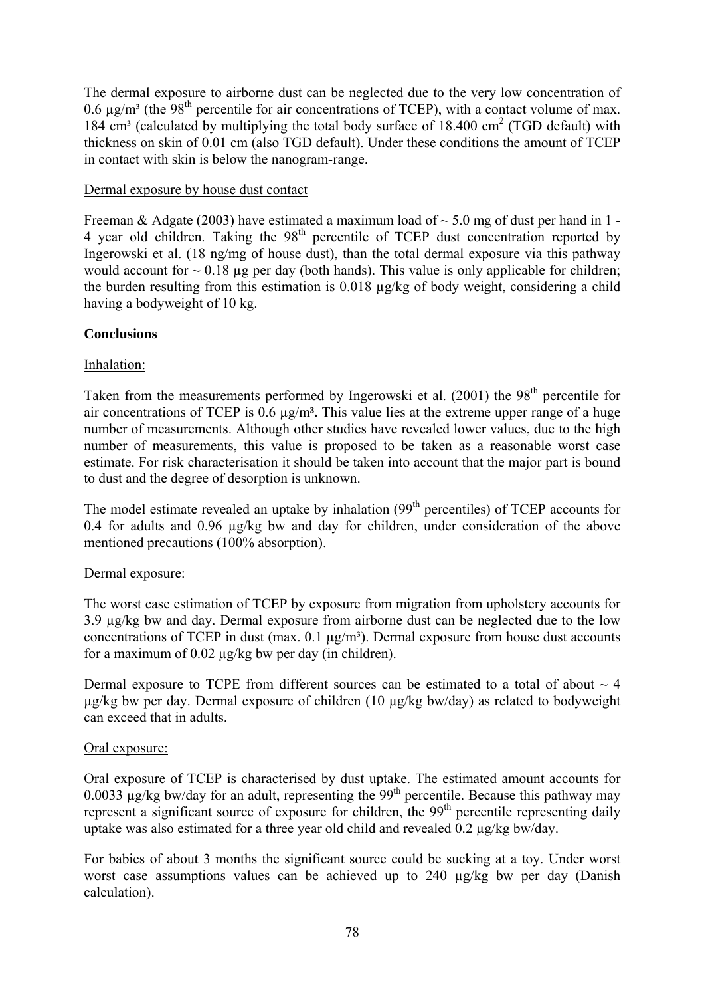The dermal exposure to airborne dust can be neglected due to the very low concentration of 0.6  $\mu$ g/m<sup>3</sup> (the 98<sup>th</sup> percentile for air concentrations of TCEP), with a contact volume of max. 184 cm<sup>3</sup> (calculated by multiplying the total body surface of 18.400 cm<sup>2</sup> (TGD default) with thickness on skin of 0.01 cm (also TGD default). Under these conditions the amount of TCEP in contact with skin is below the nanogram-range.

## Dermal exposure by house dust contact

Freeman & Adgate (2003) have estimated a maximum load of  $\sim$  5.0 mg of dust per hand in 1 -4 year old children. Taking the  $98<sup>th</sup>$  percentile of TCEP dust concentration reported by Ingerowski et al. (18 ng/mg of house dust), than the total dermal exposure via this pathway would account for  $\sim 0.18$  µg per day (both hands). This value is only applicable for children; the burden resulting from this estimation is 0.018 µg/kg of body weight, considering a child having a bodyweight of 10 kg.

## **Conclusions**

## Inhalation:

Taken from the measurements performed by Ingerowski et al.  $(2001)$  the  $98<sup>th</sup>$  percentile for air concentrations of TCEP is 0.6 µg/m**³.** This value lies at the extreme upper range of a huge number of measurements. Although other studies have revealed lower values, due to the high number of measurements, this value is proposed to be taken as a reasonable worst case estimate. For risk characterisation it should be taken into account that the major part is bound to dust and the degree of desorption is unknown.

The model estimate revealed an uptake by inhalation  $(99<sup>th</sup>$  percentiles) of TCEP accounts for 0.4 for adults and 0.96 µg/kg bw and day for children, under consideration of the above mentioned precautions (100% absorption).

## Dermal exposure:

The worst case estimation of TCEP by exposure from migration from upholstery accounts for 3.9 µg/kg bw and day. Dermal exposure from airborne dust can be neglected due to the low concentrations of TCEP in dust (max.  $0.1 \mu g/m<sup>3</sup>$ ). Dermal exposure from house dust accounts for a maximum of 0.02 µg/kg bw per day (in children).

Dermal exposure to TCPE from different sources can be estimated to a total of about  $\sim$  4 µg/kg bw per day. Dermal exposure of children (10 µg/kg bw/day) as related to bodyweight can exceed that in adults.

## Oral exposure:

Oral exposure of TCEP is characterised by dust uptake. The estimated amount accounts for 0.0033  $\mu$ g/kg bw/day for an adult, representing the 99<sup>th</sup> percentile. Because this pathway may represent a significant source of exposure for children, the  $99<sup>th</sup>$  percentile representing daily uptake was also estimated for a three year old child and revealed 0.2 µg/kg bw/day.

For babies of about 3 months the significant source could be sucking at a toy. Under worst worst case assumptions values can be achieved up to 240 µg/kg bw per day (Danish calculation).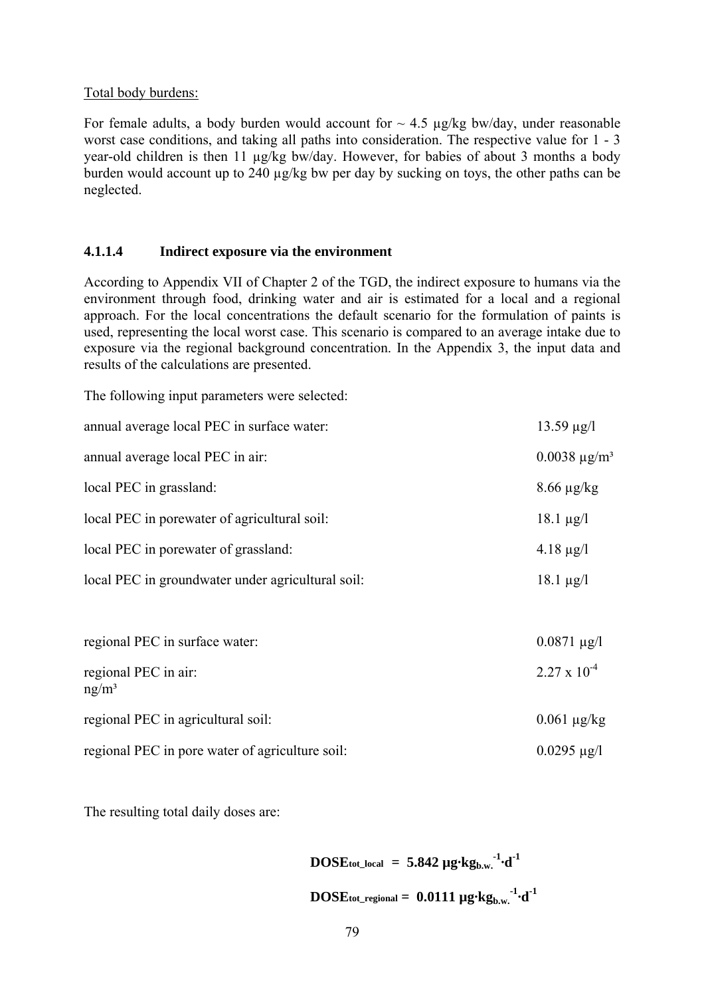#### Total body burdens:

For female adults, a body burden would account for  $\sim$  4.5 µg/kg bw/day, under reasonable worst case conditions, and taking all paths into consideration. The respective value for 1 - 3 year-old children is then 11 µg/kg bw/day. However, for babies of about 3 months a body burden would account up to 240 µg/kg bw per day by sucking on toys, the other paths can be neglected.

## **4.1.1.4 Indirect exposure via the environment**

According to Appendix VII of Chapter 2 of the TGD, the indirect exposure to humans via the environment through food, drinking water and air is estimated for a local and a regional approach. For the local concentrations the default scenario for the formulation of paints is used, representing the local worst case. This scenario is compared to an average intake due to exposure via the regional background concentration. In the Appendix 3, the input data and results of the calculations are presented.

The following input parameters were selected:

| annual average local PEC in surface water:        | $13.59 \mu g/l$       |
|---------------------------------------------------|-----------------------|
| annual average local PEC in air:                  | $0.0038 \mu g/m^3$    |
| local PEC in grassland:                           | $8.66 \mu g/kg$       |
| local PEC in porewater of agricultural soil:      | $18.1 \mu g/l$        |
| local PEC in porewater of grassland:              | $4.18 \mu g/l$        |
| local PEC in groundwater under agricultural soil: | $18.1 \mu g/l$        |
|                                                   |                       |
| regional PEC in surface water:                    | $0.0871 \mu g/l$      |
| regional PEC in air:<br>$ng/m^3$                  | $2.27 \times 10^{-4}$ |
| regional PEC in agricultural soil:                | $0.061 \mu g/kg$      |
| regional PEC in pore water of agriculture soil:   | $0.0295 \mu g/l$      |

The resulting total daily doses are:

$$
DOSE_{tot\_local} = 5.842 \mu g \cdot kg_{b.w.}^{-1} \cdot d^{-1}
$$

$$
DOSE_{tot\_regional} = 0.0111 \mu g \cdot kg_{b.w.}^{-1} \cdot d^{-1}
$$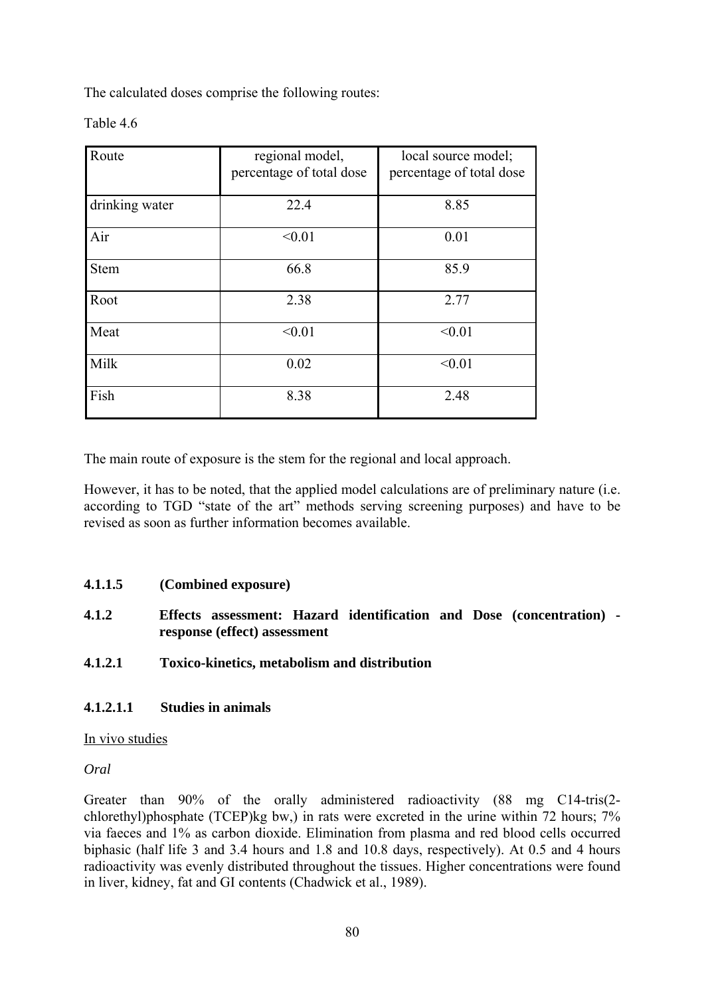The calculated doses comprise the following routes:

| Route          | regional model,<br>percentage of total dose | local source model;<br>percentage of total dose |
|----------------|---------------------------------------------|-------------------------------------------------|
| drinking water | 22.4                                        | 8.85                                            |
| Air            | < 0.01                                      | 0.01                                            |
| <b>Stem</b>    | 66.8                                        | 85.9                                            |
| Root           | 2.38                                        | 2.77                                            |
| Meat           | < 0.01                                      | < 0.01                                          |
| Milk           | 0.02                                        | < 0.01                                          |
| Fish           | 8.38                                        | 2.48                                            |

Table 4.6

The main route of exposure is the stem for the regional and local approach.

However, it has to be noted, that the applied model calculations are of preliminary nature (i.e. according to TGD "state of the art" methods serving screening purposes) and have to be revised as soon as further information becomes available.

## **4.1.1.5 (Combined exposure)**

- **4.1.2 Effects assessment: Hazard identification and Dose (concentration) response (effect) assessment**
- **4.1.2.1 Toxico-kinetics, metabolism and distribution**

## **4.1.2.1.1 Studies in animals**

## In vivo studies

## *Oral*

Greater than 90% of the orally administered radioactivity (88 mg C14-tris(2 chlorethyl)phosphate (TCEP)kg bw,) in rats were excreted in the urine within 72 hours; 7% via faeces and 1% as carbon dioxide. Elimination from plasma and red blood cells occurred biphasic (half life 3 and 3.4 hours and 1.8 and 10.8 days, respectively). At 0.5 and 4 hours radioactivity was evenly distributed throughout the tissues. Higher concentrations were found in liver, kidney, fat and GI contents (Chadwick et al., 1989).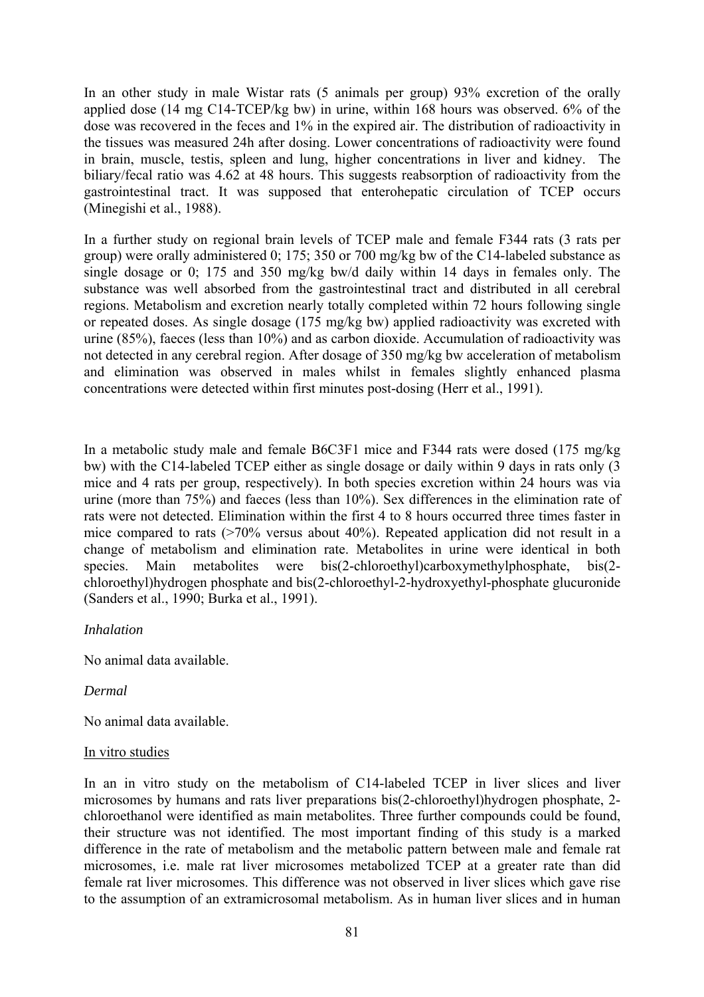In an other study in male Wistar rats (5 animals per group) 93% excretion of the orally applied dose (14 mg C14-TCEP/kg bw) in urine, within 168 hours was observed. 6% of the dose was recovered in the feces and 1% in the expired air. The distribution of radioactivity in the tissues was measured 24h after dosing. Lower concentrations of radioactivity were found in brain, muscle, testis, spleen and lung, higher concentrations in liver and kidney. The biliary/fecal ratio was 4.62 at 48 hours. This suggests reabsorption of radioactivity from the gastrointestinal tract. It was supposed that enterohepatic circulation of TCEP occurs (Minegishi et al., 1988).

In a further study on regional brain levels of TCEP male and female F344 rats (3 rats per group) were orally administered 0; 175; 350 or 700 mg/kg bw of the C14-labeled substance as single dosage or 0; 175 and 350 mg/kg bw/d daily within 14 days in females only. The substance was well absorbed from the gastrointestinal tract and distributed in all cerebral regions. Metabolism and excretion nearly totally completed within 72 hours following single or repeated doses. As single dosage (175 mg/kg bw) applied radioactivity was excreted with urine (85%), faeces (less than 10%) and as carbon dioxide. Accumulation of radioactivity was not detected in any cerebral region. After dosage of 350 mg/kg bw acceleration of metabolism and elimination was observed in males whilst in females slightly enhanced plasma concentrations were detected within first minutes post-dosing (Herr et al., 1991).

In a metabolic study male and female B6C3F1 mice and F344 rats were dosed (175 mg/kg bw) with the C14-labeled TCEP either as single dosage or daily within 9 days in rats only (3 mice and 4 rats per group, respectively). In both species excretion within 24 hours was via urine (more than 75%) and faeces (less than 10%). Sex differences in the elimination rate of rats were not detected. Elimination within the first 4 to 8 hours occurred three times faster in mice compared to rats (>70% versus about 40%). Repeated application did not result in a change of metabolism and elimination rate. Metabolites in urine were identical in both species. Main metabolites were bis(2-chloroethyl)carboxymethylphosphate, bis(2chloroethyl)hydrogen phosphate and bis(2-chloroethyl-2-hydroxyethyl-phosphate glucuronide (Sanders et al., 1990; Burka et al., 1991).

#### *Inhalation*

No animal data available.

#### *Dermal*

No animal data available.

#### In vitro studies

In an in vitro study on the metabolism of C14-labeled TCEP in liver slices and liver microsomes by humans and rats liver preparations bis(2-chloroethyl)hydrogen phosphate, 2 chloroethanol were identified as main metabolites. Three further compounds could be found, their structure was not identified. The most important finding of this study is a marked difference in the rate of metabolism and the metabolic pattern between male and female rat microsomes, i.e. male rat liver microsomes metabolized TCEP at a greater rate than did female rat liver microsomes. This difference was not observed in liver slices which gave rise to the assumption of an extramicrosomal metabolism. As in human liver slices and in human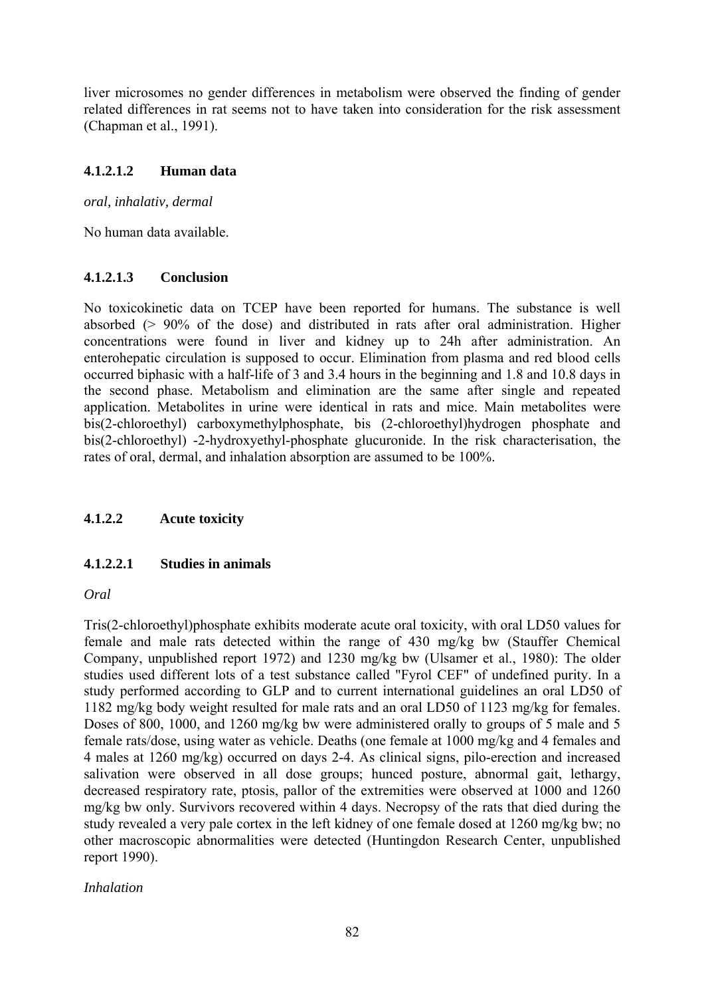liver microsomes no gender differences in metabolism were observed the finding of gender related differences in rat seems not to have taken into consideration for the risk assessment (Chapman et al., 1991).

## **4.1.2.1.2 Human data**

*oral, inhalativ, dermal* 

No human data available.

## **4.1.2.1.3 Conclusion**

No toxicokinetic data on TCEP have been reported for humans. The substance is well absorbed (> 90% of the dose) and distributed in rats after oral administration. Higher concentrations were found in liver and kidney up to 24h after administration. An enterohepatic circulation is supposed to occur. Elimination from plasma and red blood cells occurred biphasic with a half-life of 3 and 3.4 hours in the beginning and 1.8 and 10.8 days in the second phase. Metabolism and elimination are the same after single and repeated application. Metabolites in urine were identical in rats and mice. Main metabolites were bis(2-chloroethyl) carboxymethylphosphate, bis (2-chloroethyl)hydrogen phosphate and bis(2-chloroethyl) -2-hydroxyethyl-phosphate glucuronide. In the risk characterisation, the rates of oral, dermal, and inhalation absorption are assumed to be 100%.

## **4.1.2.2 Acute toxicity**

## **4.1.2.2.1 Studies in animals**

#### *Oral*

Tris(2-chloroethyl)phosphate exhibits moderate acute oral toxicity, with oral LD50 values for female and male rats detected within the range of 430 mg/kg bw (Stauffer Chemical Company, unpublished report 1972) and 1230 mg/kg bw (Ulsamer et al., 1980): The older studies used different lots of a test substance called "Fyrol CEF" of undefined purity. In a study performed according to GLP and to current international guidelines an oral LD50 of 1182 mg/kg body weight resulted for male rats and an oral LD50 of 1123 mg/kg for females. Doses of 800, 1000, and 1260 mg/kg bw were administered orally to groups of 5 male and 5 female rats/dose, using water as vehicle. Deaths (one female at 1000 mg/kg and 4 females and 4 males at 1260 mg/kg) occurred on days 2-4. As clinical signs, pilo-erection and increased salivation were observed in all dose groups; hunced posture, abnormal gait, lethargy, decreased respiratory rate, ptosis, pallor of the extremities were observed at 1000 and 1260 mg/kg bw only. Survivors recovered within 4 days. Necropsy of the rats that died during the study revealed a very pale cortex in the left kidney of one female dosed at 1260 mg/kg bw; no other macroscopic abnormalities were detected (Huntingdon Research Center, unpublished report 1990).

*Inhalation*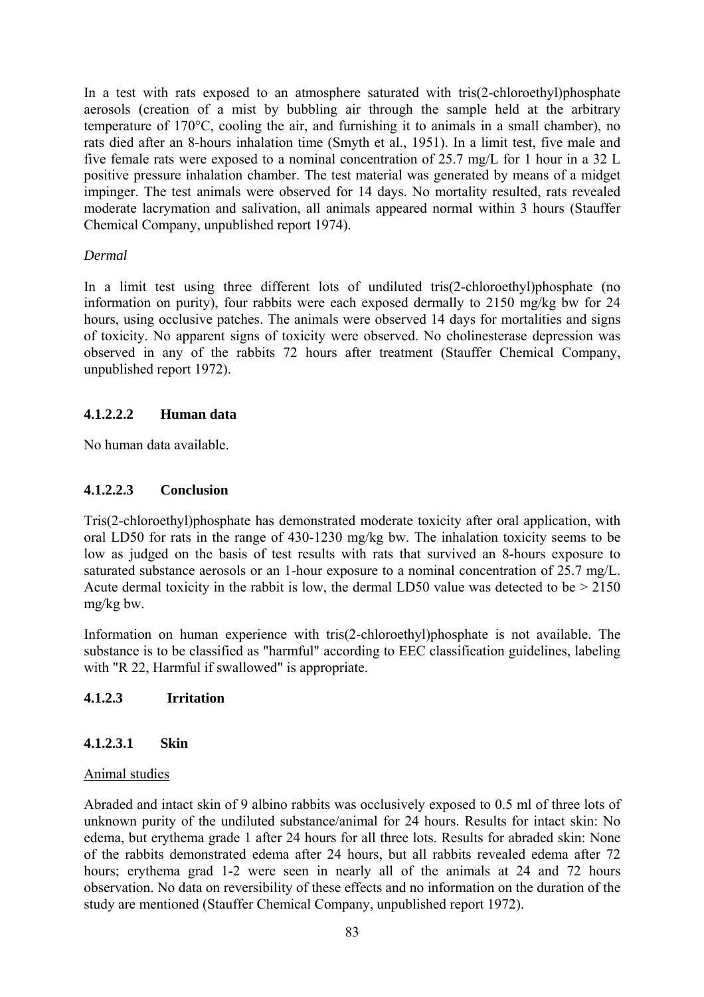In a test with rats exposed to an atmosphere saturated with tris(2-chloroethyl)phosphate aerosols (creation of a mist by bubbling air through the sample held at the arbitrary temperature of 170°C, cooling the air, and furnishing it to animals in a small chamber), no rats died after an 8-hours inhalation time (Smyth et al., 1951). In a limit test, five male and five female rats were exposed to a nominal concentration of 25.7 mg/L for 1 hour in a 32 L positive pressure inhalation chamber. The test material was generated by means of a midget impinger. The test animals were observed for 14 days. No mortality resulted, rats revealed moderate lacrymation and salivation, all animals appeared normal within 3 hours (Stauffer Chemical Company, unpublished report 1974).

#### *Dermal*

In a limit test using three different lots of undiluted tris(2-chloroethyl)phosphate (no information on purity), four rabbits were each exposed dermally to 2150 mg/kg bw for 24 hours, using occlusive patches. The animals were observed 14 days for mortalities and signs of toxicity. No apparent signs of toxicity were observed. No cholinesterase depression was observed in any of the rabbits 72 hours after treatment (Stauffer Chemical Company, unpublished report 1972).

## **4.1.2.2.2 Human data**

No human data available.

## **4.1.2.2.3 Conclusion**

Tris(2-chloroethyl)phosphate has demonstrated moderate toxicity after oral application, with oral LD50 for rats in the range of 430-1230 mg/kg bw. The inhalation toxicity seems to be low as judged on the basis of test results with rats that survived an 8-hours exposure to saturated substance aerosols or an 1-hour exposure to a nominal concentration of 25.7 mg/L. Acute dermal toxicity in the rabbit is low, the dermal LD50 value was detected to be > 2150 mg/kg bw.

Information on human experience with tris(2-chloroethyl)phosphate is not available. The substance is to be classified as "harmful" according to EEC classification guidelines, labeling with "R 22, Harmful if swallowed" is appropriate.

## **4.1.2.3 Irritation**

## **4.1.2.3.1 Skin**

## Animal studies

Abraded and intact skin of 9 albino rabbits was occlusively exposed to 0.5 ml of three lots of unknown purity of the undiluted substance/animal for 24 hours. Results for intact skin: No edema, but erythema grade 1 after 24 hours for all three lots. Results for abraded skin: None of the rabbits demonstrated edema after 24 hours, but all rabbits revealed edema after 72 hours; erythema grad 1-2 were seen in nearly all of the animals at 24 and 72 hours observation. No data on reversibility of these effects and no information on the duration of the study are mentioned (Stauffer Chemical Company, unpublished report 1972).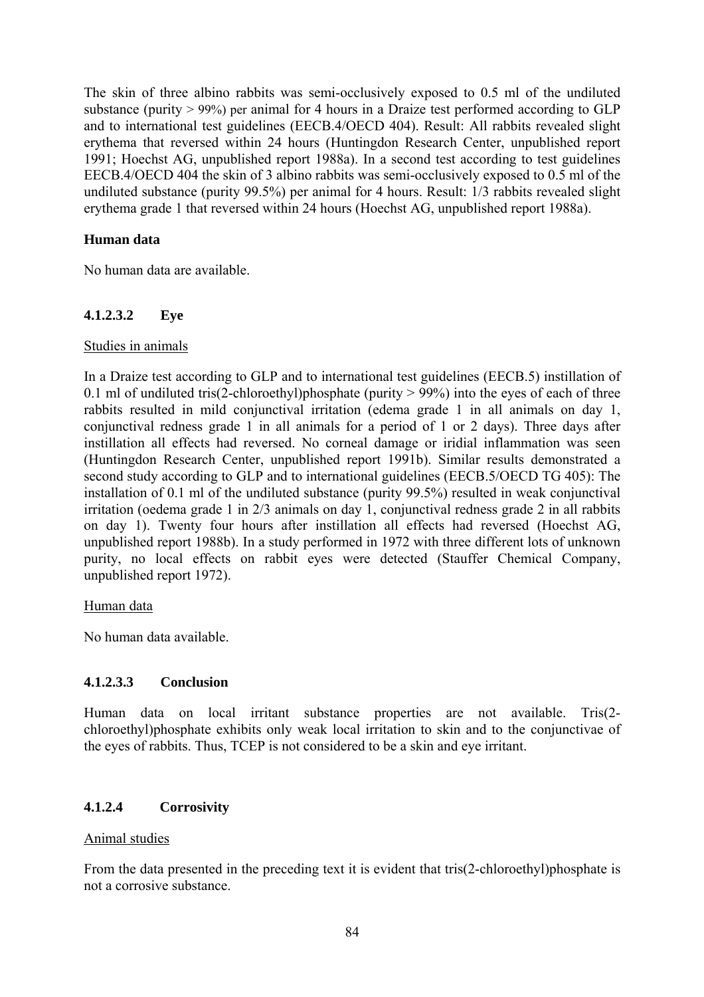The skin of three albino rabbits was semi-occlusively exposed to 0.5 ml of the undiluted substance (purity > 99%) per animal for 4 hours in a Draize test performed according to GLP and to international test guidelines (EECB.4/OECD 404). Result: All rabbits revealed slight erythema that reversed within 24 hours (Huntingdon Research Center, unpublished report 1991; Hoechst AG, unpublished report 1988a). In a second test according to test guidelines EECB.4/OECD 404 the skin of 3 albino rabbits was semi-occlusively exposed to 0.5 ml of the undiluted substance (purity 99.5%) per animal for 4 hours. Result: 1/3 rabbits revealed slight erythema grade 1 that reversed within 24 hours (Hoechst AG, unpublished report 1988a).

## **Human data**

No human data are available.

## **4.1.2.3.2 Eye**

#### Studies in animals

In a Draize test according to GLP and to international test guidelines (EECB.5) instillation of 0.1 ml of undiluted tris(2-chloroethyl)phosphate (purity  $> 99\%$ ) into the eyes of each of three rabbits resulted in mild conjunctival irritation (edema grade 1 in all animals on day 1, conjunctival redness grade 1 in all animals for a period of 1 or 2 days). Three days after instillation all effects had reversed. No corneal damage or iridial inflammation was seen (Huntingdon Research Center, unpublished report 1991b). Similar results demonstrated a second study according to GLP and to international guidelines (EECB.5/OECD TG 405): The installation of 0.1 ml of the undiluted substance (purity 99.5%) resulted in weak conjunctival irritation (oedema grade 1 in 2/3 animals on day 1, conjunctival redness grade 2 in all rabbits on day 1). Twenty four hours after instillation all effects had reversed (Hoechst AG, unpublished report 1988b). In a study performed in 1972 with three different lots of unknown purity, no local effects on rabbit eyes were detected (Stauffer Chemical Company, unpublished report 1972).

#### Human data

No human data available.

## **4.1.2.3.3 Conclusion**

Human data on local irritant substance properties are not available. Tris(2 chloroethyl)phosphate exhibits only weak local irritation to skin and to the conjunctivae of the eyes of rabbits. Thus, TCEP is not considered to be a skin and eye irritant.

## **4.1.2.4 Corrosivity**

#### Animal studies

From the data presented in the preceding text it is evident that tris(2-chloroethyl)phosphate is not a corrosive substance.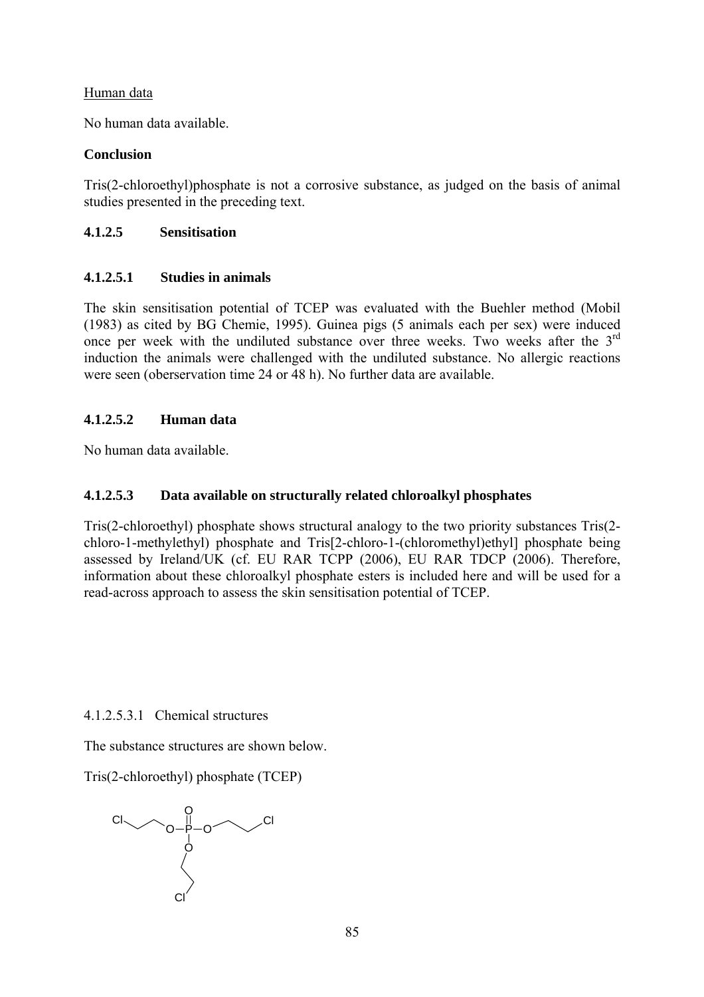#### Human data

No human data available.

#### **Conclusion**

Tris(2-chloroethyl)phosphate is not a corrosive substance, as judged on the basis of animal studies presented in the preceding text.

#### **4.1.2.5 Sensitisation**

## **4.1.2.5.1 Studies in animals**

The skin sensitisation potential of TCEP was evaluated with the Buehler method (Mobil (1983) as cited by BG Chemie, 1995). Guinea pigs (5 animals each per sex) were induced once per week with the undiluted substance over three weeks. Two weeks after the 3<sup>rd</sup> induction the animals were challenged with the undiluted substance. No allergic reactions were seen (oberservation time 24 or 48 h). No further data are available.

## **4.1.2.5.2 Human data**

No human data available.

## **4.1.2.5.3 Data available on structurally related chloroalkyl phosphates**

Tris(2-chloroethyl) phosphate shows structural analogy to the two priority substances Tris(2 chloro-1-methylethyl) phosphate and Tris[2-chloro-1-(chloromethyl)ethyl] phosphate being assessed by Ireland/UK (cf. EU RAR TCPP (2006), EU RAR TDCP (2006). Therefore, information about these chloroalkyl phosphate esters is included here and will be used for a read-across approach to assess the skin sensitisation potential of TCEP.

## 4.1.2.5.3.1 Chemical structures

The substance structures are shown below.

Tris(2-chloroethyl) phosphate (TCEP)

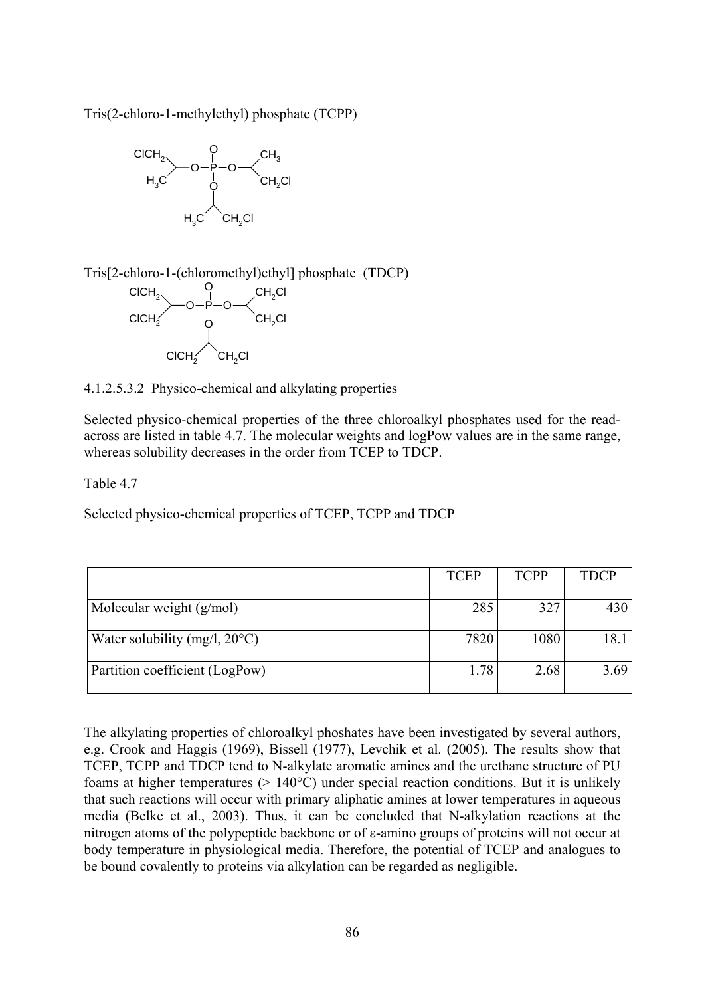Tris(2-chloro-1-methylethyl) phosphate (TCPP)



Tris[2-chloro-1-(chloromethyl)ethyl] phosphate (TDCP)



4.1.2.5.3.2 Physico-chemical and alkylating properties

Selected physico-chemical properties of the three chloroalkyl phosphates used for the readacross are listed in table 4.7. The molecular weights and logPow values are in the same range, whereas solubility decreases in the order from TCEP to TDCP.

Table 4.7

Selected physico-chemical properties of TCEP, TCPP and TDCP

|                                         | <b>TCEP</b> | <b>TCPP</b> | <b>TDCP</b> |
|-----------------------------------------|-------------|-------------|-------------|
| Molecular weight $(g/mol)$              | 285         | 327         | 430         |
| Water solubility (mg/l, $20^{\circ}$ C) | 7820        | 1080        | 18.1        |
| Partition coefficient (LogPow)          | 1.78        | 2.68        | 3.69        |

The alkylating properties of chloroalkyl phoshates have been investigated by several authors, e.g. Crook and Haggis (1969), Bissell (1977), Levchik et al. (2005). The results show that TCEP, TCPP and TDCP tend to N-alkylate aromatic amines and the urethane structure of PU foams at higher temperatures (> 140°C) under special reaction conditions. But it is unlikely that such reactions will occur with primary aliphatic amines at lower temperatures in aqueous media (Belke et al., 2003). Thus, it can be concluded that N-alkylation reactions at the nitrogen atoms of the polypeptide backbone or of ε-amino groups of proteins will not occur at body temperature in physiological media. Therefore, the potential of TCEP and analogues to be bound covalently to proteins via alkylation can be regarded as negligible.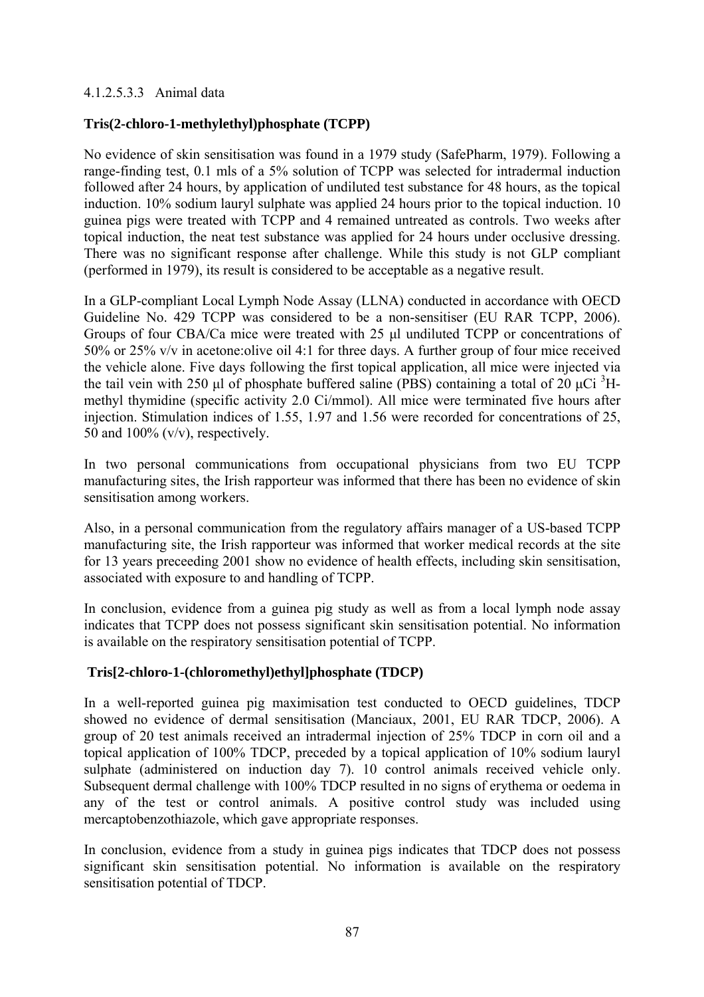#### 4.1.2.5.3.3 Animal data

#### **Tris(2-chloro-1-methylethyl)phosphate (TCPP)**

No evidence of skin sensitisation was found in a 1979 study (SafePharm, 1979). Following a range-finding test, 0.1 mls of a 5% solution of TCPP was selected for intradermal induction followed after 24 hours, by application of undiluted test substance for 48 hours, as the topical induction. 10% sodium lauryl sulphate was applied 24 hours prior to the topical induction. 10 guinea pigs were treated with TCPP and 4 remained untreated as controls. Two weeks after topical induction, the neat test substance was applied for 24 hours under occlusive dressing. There was no significant response after challenge. While this study is not GLP compliant (performed in 1979), its result is considered to be acceptable as a negative result.

In a GLP-compliant Local Lymph Node Assay (LLNA) conducted in accordance with OECD Guideline No. 429 TCPP was considered to be a non-sensitiser (EU RAR TCPP, 2006). Groups of four CBA/Ca mice were treated with 25 µl undiluted TCPP or concentrations of 50% or 25% v/v in acetone:olive oil 4:1 for three days. A further group of four mice received the vehicle alone. Five days following the first topical application, all mice were injected via the tail vein with 250  $\mu$ l of phosphate buffered saline (PBS) containing a total of 20  $\mu$ Ci<sup>3</sup>Hmethyl thymidine (specific activity 2.0 Ci/mmol). All mice were terminated five hours after injection. Stimulation indices of 1.55, 1.97 and 1.56 were recorded for concentrations of 25, 50 and  $100\%$  (v/v), respectively.

In two personal communications from occupational physicians from two EU TCPP manufacturing sites, the Irish rapporteur was informed that there has been no evidence of skin sensitisation among workers.

Also, in a personal communication from the regulatory affairs manager of a US-based TCPP manufacturing site, the Irish rapporteur was informed that worker medical records at the site for 13 years preceeding 2001 show no evidence of health effects, including skin sensitisation, associated with exposure to and handling of TCPP.

In conclusion, evidence from a guinea pig study as well as from a local lymph node assay indicates that TCPP does not possess significant skin sensitisation potential. No information is available on the respiratory sensitisation potential of TCPP.

#### **Tris[2-chloro-1-(chloromethyl)ethyl]phosphate (TDCP)**

In a well-reported guinea pig maximisation test conducted to OECD guidelines, TDCP showed no evidence of dermal sensitisation (Manciaux, 2001, EU RAR TDCP, 2006). A group of 20 test animals received an intradermal injection of 25% TDCP in corn oil and a topical application of 100% TDCP, preceded by a topical application of 10% sodium lauryl sulphate (administered on induction day 7). 10 control animals received vehicle only. Subsequent dermal challenge with 100% TDCP resulted in no signs of erythema or oedema in any of the test or control animals. A positive control study was included using mercaptobenzothiazole, which gave appropriate responses.

In conclusion, evidence from a study in guinea pigs indicates that TDCP does not possess significant skin sensitisation potential. No information is available on the respiratory sensitisation potential of TDCP.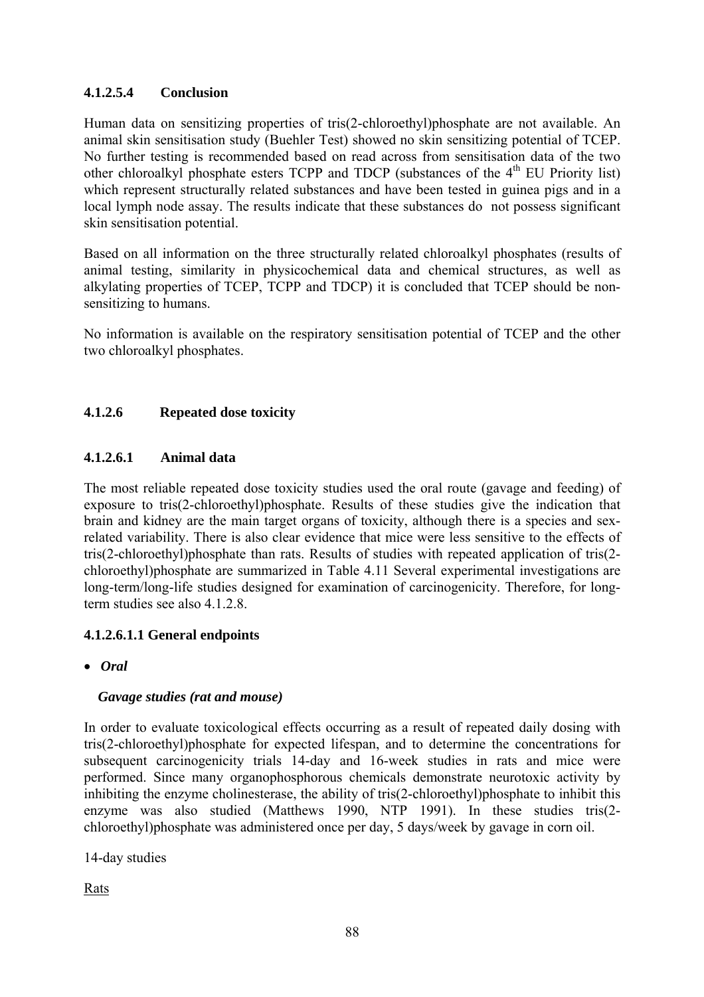## **4.1.2.5.4 Conclusion**

Human data on sensitizing properties of tris(2-chloroethyl)phosphate are not available. An animal skin sensitisation study (Buehler Test) showed no skin sensitizing potential of TCEP. No further testing is recommended based on read across from sensitisation data of the two other chloroalkyl phosphate esters TCPP and TDCP (substances of the  $4<sup>th</sup>$  EU Priority list) which represent structurally related substances and have been tested in guinea pigs and in a local lymph node assay. The results indicate that these substances do not possess significant skin sensitisation potential.

Based on all information on the three structurally related chloroalkyl phosphates (results of animal testing, similarity in physicochemical data and chemical structures, as well as alkylating properties of TCEP, TCPP and TDCP) it is concluded that TCEP should be nonsensitizing to humans.

No information is available on the respiratory sensitisation potential of TCEP and the other two chloroalkyl phosphates.

## **4.1.2.6 Repeated dose toxicity**

## **4.1.2.6.1 Animal data**

The most reliable repeated dose toxicity studies used the oral route (gavage and feeding) of exposure to tris(2-chloroethyl)phosphate. Results of these studies give the indication that brain and kidney are the main target organs of toxicity, although there is a species and sexrelated variability. There is also clear evidence that mice were less sensitive to the effects of tris(2-chloroethyl)phosphate than rats. Results of studies with repeated application of tris(2 chloroethyl)phosphate are summarized in Table 4.11 Several experimental investigations are long-term/long-life studies designed for examination of carcinogenicity. Therefore, for longterm studies see also 4.1.2.8.

## **4.1.2.6.1.1 General endpoints**

• *Oral* 

## *Gavage studies (rat and mouse)*

In order to evaluate toxicological effects occurring as a result of repeated daily dosing with tris(2-chloroethyl)phosphate for expected lifespan, and to determine the concentrations for subsequent carcinogenicity trials 14-day and 16-week studies in rats and mice were performed. Since many organophosphorous chemicals demonstrate neurotoxic activity by inhibiting the enzyme cholinesterase, the ability of tris(2-chloroethyl)phosphate to inhibit this enzyme was also studied (Matthews 1990, NTP 1991). In these studies tris(2 chloroethyl)phosphate was administered once per day, 5 days/week by gavage in corn oil.

14-day studies

Rats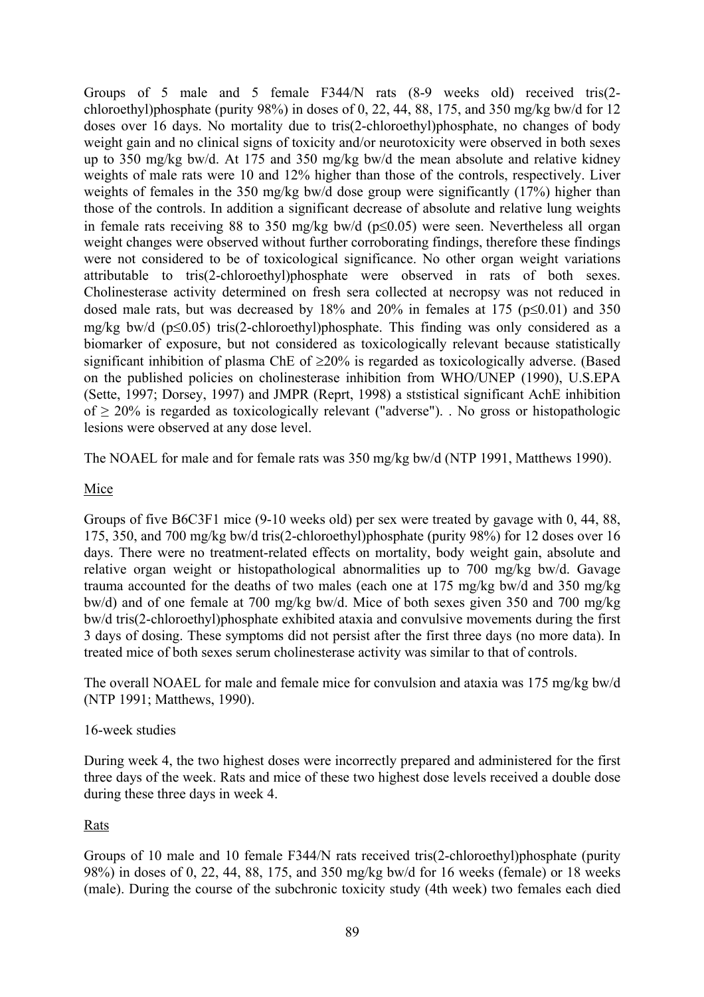Groups of 5 male and 5 female F344/N rats (8-9 weeks old) received tris(2 chloroethyl)phosphate (purity 98%) in doses of 0, 22, 44, 88, 175, and 350 mg/kg bw/d for 12 doses over 16 days. No mortality due to tris(2-chloroethyl)phosphate, no changes of body weight gain and no clinical signs of toxicity and/or neurotoxicity were observed in both sexes up to 350 mg/kg bw/d. At 175 and 350 mg/kg bw/d the mean absolute and relative kidney weights of male rats were 10 and 12% higher than those of the controls, respectively. Liver weights of females in the 350 mg/kg bw/d dose group were significantly (17%) higher than those of the controls. In addition a significant decrease of absolute and relative lung weights in female rats receiving 88 to 350 mg/kg bw/d (p≤0.05) were seen. Nevertheless all organ weight changes were observed without further corroborating findings, therefore these findings were not considered to be of toxicological significance. No other organ weight variations attributable to tris(2-chloroethyl)phosphate were observed in rats of both sexes. Cholinesterase activity determined on fresh sera collected at necropsy was not reduced in dosed male rats, but was decreased by 18% and 20% in females at 175 ( $p \le 0.01$ ) and 350 mg/kg bw/d (p≤0.05) tris(2-chloroethyl)phosphate. This finding was only considered as a biomarker of exposure, but not considered as toxicologically relevant because statistically significant inhibition of plasma ChE of ≥20% is regarded as toxicologically adverse. (Based on the published policies on cholinesterase inhibition from WHO/UNEP (1990), U.S.EPA (Sette, 1997; Dorsey, 1997) and JMPR (Reprt, 1998) a ststistical significant AchE inhibition of  $> 20\%$  is regarded as toxicologically relevant ("adverse"). . No gross or histopathologic lesions were observed at any dose level.

The NOAEL for male and for female rats was 350 mg/kg bw/d (NTP 1991, Matthews 1990).

#### Mice

Groups of five B6C3F1 mice (9-10 weeks old) per sex were treated by gavage with 0, 44, 88, 175, 350, and 700 mg/kg bw/d tris(2-chloroethyl)phosphate (purity 98%) for 12 doses over 16 days. There were no treatment-related effects on mortality, body weight gain, absolute and relative organ weight or histopathological abnormalities up to 700 mg/kg bw/d. Gavage trauma accounted for the deaths of two males (each one at 175 mg/kg bw/d and 350 mg/kg bw/d) and of one female at 700 mg/kg bw/d. Mice of both sexes given 350 and 700 mg/kg bw/d tris(2-chloroethyl)phosphate exhibited ataxia and convulsive movements during the first 3 days of dosing. These symptoms did not persist after the first three days (no more data). In treated mice of both sexes serum cholinesterase activity was similar to that of controls.

The overall NOAEL for male and female mice for convulsion and ataxia was 175 mg/kg bw/d (NTP 1991; Matthews, 1990).

## 16-week studies

During week 4, the two highest doses were incorrectly prepared and administered for the first three days of the week. Rats and mice of these two highest dose levels received a double dose during these three days in week 4.

## Rats

Groups of 10 male and 10 female F344/N rats received tris(2-chloroethyl)phosphate (purity 98%) in doses of 0, 22, 44, 88, 175, and 350 mg/kg bw/d for 16 weeks (female) or 18 weeks (male). During the course of the subchronic toxicity study (4th week) two females each died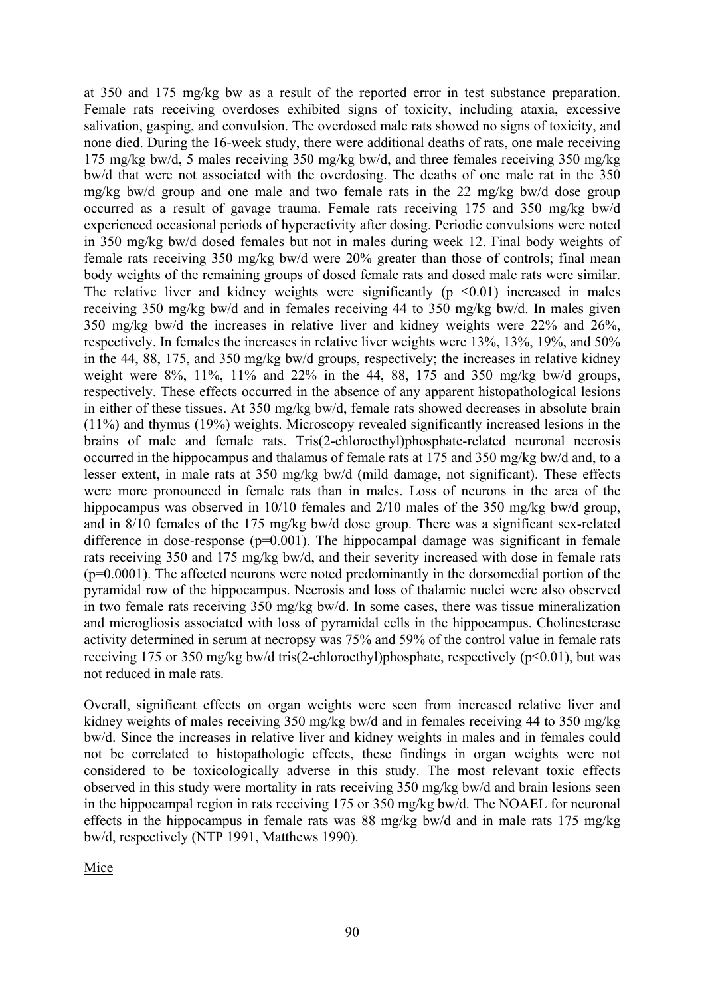at 350 and 175 mg/kg bw as a result of the reported error in test substance preparation. Female rats receiving overdoses exhibited signs of toxicity, including ataxia, excessive salivation, gasping, and convulsion. The overdosed male rats showed no signs of toxicity, and none died. During the 16-week study, there were additional deaths of rats, one male receiving 175 mg/kg bw/d, 5 males receiving 350 mg/kg bw/d, and three females receiving 350 mg/kg bw/d that were not associated with the overdosing. The deaths of one male rat in the 350 mg/kg bw/d group and one male and two female rats in the 22 mg/kg bw/d dose group occurred as a result of gavage trauma. Female rats receiving 175 and 350 mg/kg bw/d experienced occasional periods of hyperactivity after dosing. Periodic convulsions were noted in 350 mg/kg bw/d dosed females but not in males during week 12. Final body weights of female rats receiving 350 mg/kg bw/d were 20% greater than those of controls; final mean body weights of the remaining groups of dosed female rats and dosed male rats were similar. The relative liver and kidney weights were significantly ( $p \le 0.01$ ) increased in males receiving 350 mg/kg bw/d and in females receiving 44 to 350 mg/kg bw/d. In males given 350 mg/kg bw/d the increases in relative liver and kidney weights were 22% and 26%, respectively. In females the increases in relative liver weights were 13%, 13%, 19%, and 50% in the 44, 88, 175, and 350 mg/kg bw/d groups, respectively; the increases in relative kidney weight were 8%, 11%, 11% and 22% in the 44, 88, 175 and 350 mg/kg bw/d groups, respectively. These effects occurred in the absence of any apparent histopathological lesions in either of these tissues. At 350 mg/kg bw/d, female rats showed decreases in absolute brain (11%) and thymus (19%) weights. Microscopy revealed significantly increased lesions in the brains of male and female rats. Tris(2-chloroethyl)phosphate-related neuronal necrosis occurred in the hippocampus and thalamus of female rats at 175 and 350 mg/kg bw/d and, to a lesser extent, in male rats at 350 mg/kg bw/d (mild damage, not significant). These effects were more pronounced in female rats than in males. Loss of neurons in the area of the hippocampus was observed in 10/10 females and 2/10 males of the 350 mg/kg bw/d group, and in 8/10 females of the 175 mg/kg bw/d dose group. There was a significant sex-related difference in dose-response  $(p=0.001)$ . The hippocampal damage was significant in female rats receiving 350 and 175 mg/kg bw/d, and their severity increased with dose in female rats (p=0.0001). The affected neurons were noted predominantly in the dorsomedial portion of the pyramidal row of the hippocampus. Necrosis and loss of thalamic nuclei were also observed in two female rats receiving 350 mg/kg bw/d. In some cases, there was tissue mineralization and microgliosis associated with loss of pyramidal cells in the hippocampus. Cholinesterase activity determined in serum at necropsy was 75% and 59% of the control value in female rats receiving 175 or 350 mg/kg bw/d tris(2-chloroethyl)phosphate, respectively (p≤0.01), but was not reduced in male rats.

Overall, significant effects on organ weights were seen from increased relative liver and kidney weights of males receiving 350 mg/kg bw/d and in females receiving 44 to 350 mg/kg bw/d. Since the increases in relative liver and kidney weights in males and in females could not be correlated to histopathologic effects, these findings in organ weights were not considered to be toxicologically adverse in this study. The most relevant toxic effects observed in this study were mortality in rats receiving 350 mg/kg bw/d and brain lesions seen in the hippocampal region in rats receiving 175 or 350 mg/kg bw/d. The NOAEL for neuronal effects in the hippocampus in female rats was 88 mg/kg bw/d and in male rats 175 mg/kg bw/d, respectively (NTP 1991, Matthews 1990).

Mice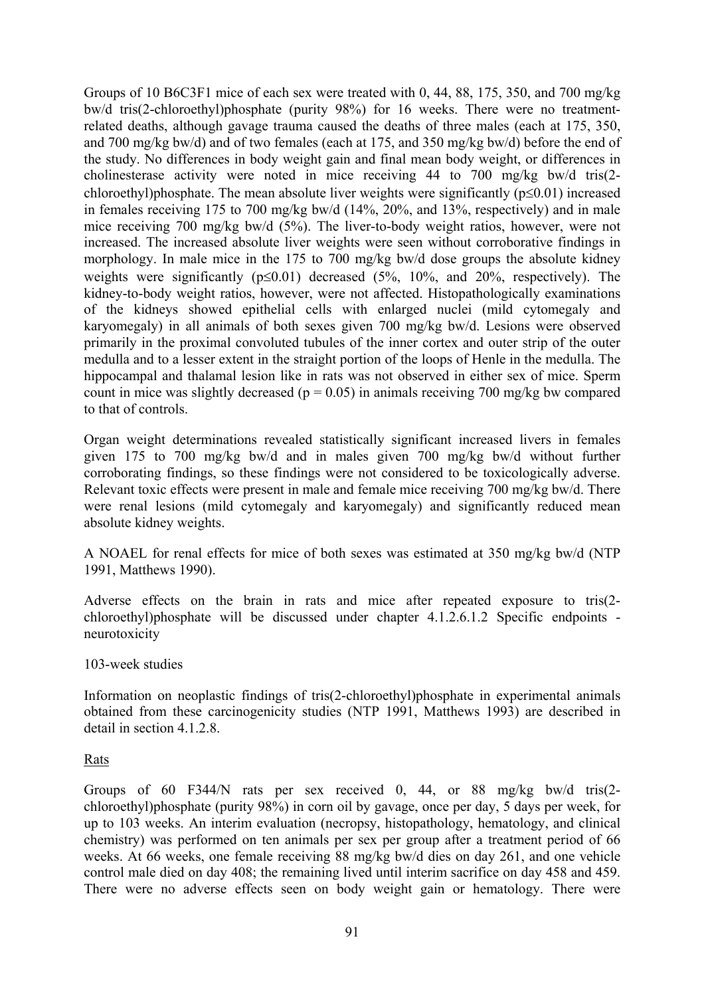Groups of 10 B6C3F1 mice of each sex were treated with 0, 44, 88, 175, 350, and 700 mg/kg bw/d tris(2-chloroethyl)phosphate (purity 98%) for 16 weeks. There were no treatmentrelated deaths, although gavage trauma caused the deaths of three males (each at 175, 350, and 700 mg/kg bw/d) and of two females (each at 175, and 350 mg/kg bw/d) before the end of the study. No differences in body weight gain and final mean body weight, or differences in cholinesterase activity were noted in mice receiving 44 to 700 mg/kg bw/d tris(2 chloroethyl)phosphate. The mean absolute liver weights were significantly (p≤0.01) increased in females receiving 175 to 700 mg/kg bw/d (14%, 20%, and 13%, respectively) and in male mice receiving 700 mg/kg bw/d (5%). The liver-to-body weight ratios, however, were not increased. The increased absolute liver weights were seen without corroborative findings in morphology. In male mice in the 175 to 700 mg/kg bw/d dose groups the absolute kidney weights were significantly (p≤0.01) decreased (5%, 10%, and 20%, respectively). The kidney-to-body weight ratios, however, were not affected. Histopathologically examinations of the kidneys showed epithelial cells with enlarged nuclei (mild cytomegaly and karyomegaly) in all animals of both sexes given 700 mg/kg bw/d. Lesions were observed primarily in the proximal convoluted tubules of the inner cortex and outer strip of the outer medulla and to a lesser extent in the straight portion of the loops of Henle in the medulla. The hippocampal and thalamal lesion like in rats was not observed in either sex of mice. Sperm count in mice was slightly decreased ( $p = 0.05$ ) in animals receiving 700 mg/kg bw compared to that of controls.

Organ weight determinations revealed statistically significant increased livers in females given 175 to 700 mg/kg bw/d and in males given 700 mg/kg bw/d without further corroborating findings, so these findings were not considered to be toxicologically adverse. Relevant toxic effects were present in male and female mice receiving 700 mg/kg bw/d. There were renal lesions (mild cytomegaly and karyomegaly) and significantly reduced mean absolute kidney weights.

A NOAEL for renal effects for mice of both sexes was estimated at 350 mg/kg bw/d (NTP 1991, Matthews 1990).

Adverse effects on the brain in rats and mice after repeated exposure to tris(2 chloroethyl)phosphate will be discussed under chapter 4.1.2.6.1.2 Specific endpoints neurotoxicity

103-week studies

Information on neoplastic findings of tris(2-chloroethyl)phosphate in experimental animals obtained from these carcinogenicity studies (NTP 1991, Matthews 1993) are described in detail in section 4.1.2.8.

Rats

Groups of 60 F344/N rats per sex received 0, 44, or 88 mg/kg bw/d tris(2 chloroethyl)phosphate (purity 98%) in corn oil by gavage, once per day, 5 days per week, for up to 103 weeks. An interim evaluation (necropsy, histopathology, hematology, and clinical chemistry) was performed on ten animals per sex per group after a treatment period of 66 weeks. At 66 weeks, one female receiving 88 mg/kg bw/d dies on day 261, and one vehicle control male died on day 408; the remaining lived until interim sacrifice on day 458 and 459. There were no adverse effects seen on body weight gain or hematology. There were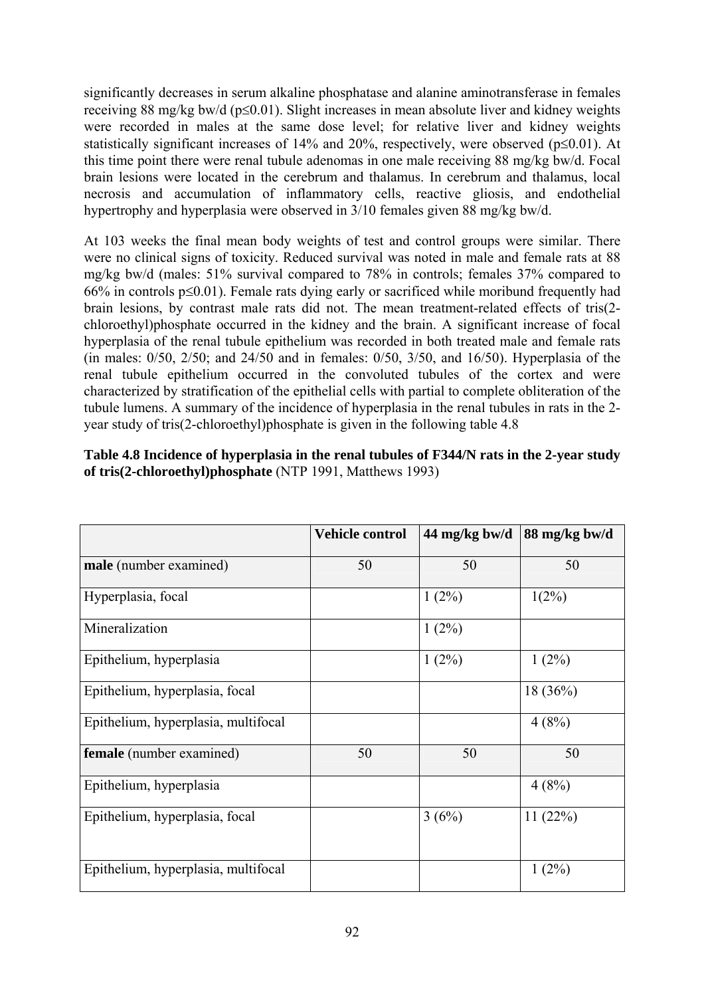significantly decreases in serum alkaline phosphatase and alanine aminotransferase in females receiving 88 mg/kg bw/d (p≤0.01). Slight increases in mean absolute liver and kidney weights were recorded in males at the same dose level; for relative liver and kidney weights statistically significant increases of 14% and 20%, respectively, were observed (p≤0.01). At this time point there were renal tubule adenomas in one male receiving 88 mg/kg bw/d. Focal brain lesions were located in the cerebrum and thalamus. In cerebrum and thalamus, local necrosis and accumulation of inflammatory cells, reactive gliosis, and endothelial hypertrophy and hyperplasia were observed in 3/10 females given 88 mg/kg bw/d.

At 103 weeks the final mean body weights of test and control groups were similar. There were no clinical signs of toxicity. Reduced survival was noted in male and female rats at 88 mg/kg bw/d (males: 51% survival compared to 78% in controls; females 37% compared to 66% in controls p≤0.01). Female rats dying early or sacrificed while moribund frequently had brain lesions, by contrast male rats did not. The mean treatment-related effects of tris(2 chloroethyl)phosphate occurred in the kidney and the brain. A significant increase of focal hyperplasia of the renal tubule epithelium was recorded in both treated male and female rats (in males:  $0/50$ ,  $2/50$ ; and  $24/50$  and in females:  $0/50$ ,  $3/50$ , and  $16/50$ ). Hyperplasia of the renal tubule epithelium occurred in the convoluted tubules of the cortex and were characterized by stratification of the epithelial cells with partial to complete obliteration of the tubule lumens. A summary of the incidence of hyperplasia in the renal tubules in rats in the 2 year study of tris(2-chloroethyl)phosphate is given in the following table 4.8

| Table 4.8 Incidence of hyperplasia in the renal tubules of F344/N rats in the 2-year study |
|--------------------------------------------------------------------------------------------|
| of tris(2-chloroethyl)phosphate (NTP 1991, Matthews 1993)                                  |

|                                     | <b>Vehicle control</b> | 44 mg/kg bw/d | 88 mg/kg bw/d |
|-------------------------------------|------------------------|---------------|---------------|
| male (number examined)              | 50                     | 50            | 50            |
| Hyperplasia, focal                  |                        | $1(2\%)$      | $1(2\%)$      |
| Mineralization                      |                        | $1(2\%)$      |               |
| Epithelium, hyperplasia             |                        | $1(2\%)$      | $1(2\%)$      |
| Epithelium, hyperplasia, focal      |                        |               | $18(36\%)$    |
| Epithelium, hyperplasia, multifocal |                        |               | 4(8%)         |
| female (number examined)            | 50                     | 50            | 50            |
| Epithelium, hyperplasia             |                        |               | 4(8%)         |
| Epithelium, hyperplasia, focal      |                        | 3(6%)         | 11(22%)       |
| Epithelium, hyperplasia, multifocal |                        |               | $1(2\%)$      |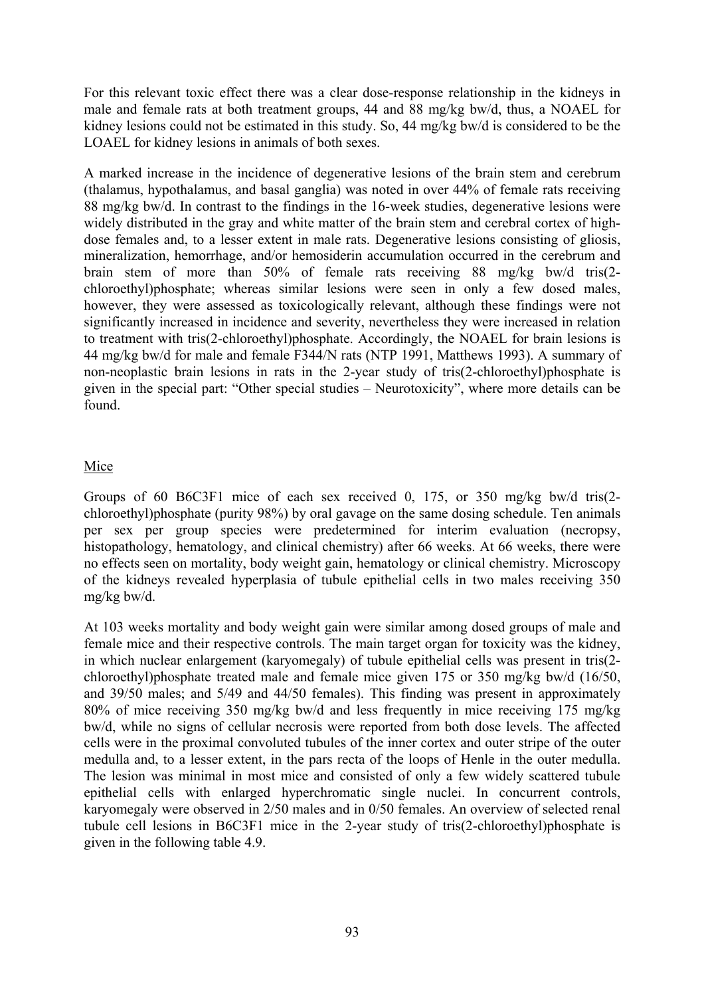For this relevant toxic effect there was a clear dose-response relationship in the kidneys in male and female rats at both treatment groups, 44 and 88 mg/kg bw/d, thus, a NOAEL for kidney lesions could not be estimated in this study. So, 44 mg/kg bw/d is considered to be the LOAEL for kidney lesions in animals of both sexes.

A marked increase in the incidence of degenerative lesions of the brain stem and cerebrum (thalamus, hypothalamus, and basal ganglia) was noted in over 44% of female rats receiving 88 mg/kg bw/d. In contrast to the findings in the 16-week studies, degenerative lesions were widely distributed in the gray and white matter of the brain stem and cerebral cortex of highdose females and, to a lesser extent in male rats. Degenerative lesions consisting of gliosis, mineralization, hemorrhage, and/or hemosiderin accumulation occurred in the cerebrum and brain stem of more than 50% of female rats receiving 88 mg/kg bw/d tris(2 chloroethyl)phosphate; whereas similar lesions were seen in only a few dosed males, however, they were assessed as toxicologically relevant, although these findings were not significantly increased in incidence and severity, nevertheless they were increased in relation to treatment with tris(2-chloroethyl)phosphate. Accordingly, the NOAEL for brain lesions is 44 mg/kg bw/d for male and female F344/N rats (NTP 1991, Matthews 1993). A summary of non-neoplastic brain lesions in rats in the 2-year study of tris(2-chloroethyl)phosphate is given in the special part: "Other special studies – Neurotoxicity", where more details can be found.

## Mice

Groups of 60 B6C3F1 mice of each sex received 0, 175, or 350 mg/kg bw/d tris(2 chloroethyl)phosphate (purity 98%) by oral gavage on the same dosing schedule. Ten animals per sex per group species were predetermined for interim evaluation (necropsy, histopathology, hematology, and clinical chemistry) after 66 weeks. At 66 weeks, there were no effects seen on mortality, body weight gain, hematology or clinical chemistry. Microscopy of the kidneys revealed hyperplasia of tubule epithelial cells in two males receiving 350 mg/kg bw/d.

At 103 weeks mortality and body weight gain were similar among dosed groups of male and female mice and their respective controls. The main target organ for toxicity was the kidney, in which nuclear enlargement (karyomegaly) of tubule epithelial cells was present in tris(2 chloroethyl)phosphate treated male and female mice given 175 or 350 mg/kg bw/d (16/50, and 39/50 males; and 5/49 and 44/50 females). This finding was present in approximately 80% of mice receiving 350 mg/kg bw/d and less frequently in mice receiving 175 mg/kg bw/d, while no signs of cellular necrosis were reported from both dose levels. The affected cells were in the proximal convoluted tubules of the inner cortex and outer stripe of the outer medulla and, to a lesser extent, in the pars recta of the loops of Henle in the outer medulla. The lesion was minimal in most mice and consisted of only a few widely scattered tubule epithelial cells with enlarged hyperchromatic single nuclei. In concurrent controls, karyomegaly were observed in 2/50 males and in 0/50 females. An overview of selected renal tubule cell lesions in B6C3F1 mice in the 2-year study of tris(2-chloroethyl)phosphate is given in the following table 4.9.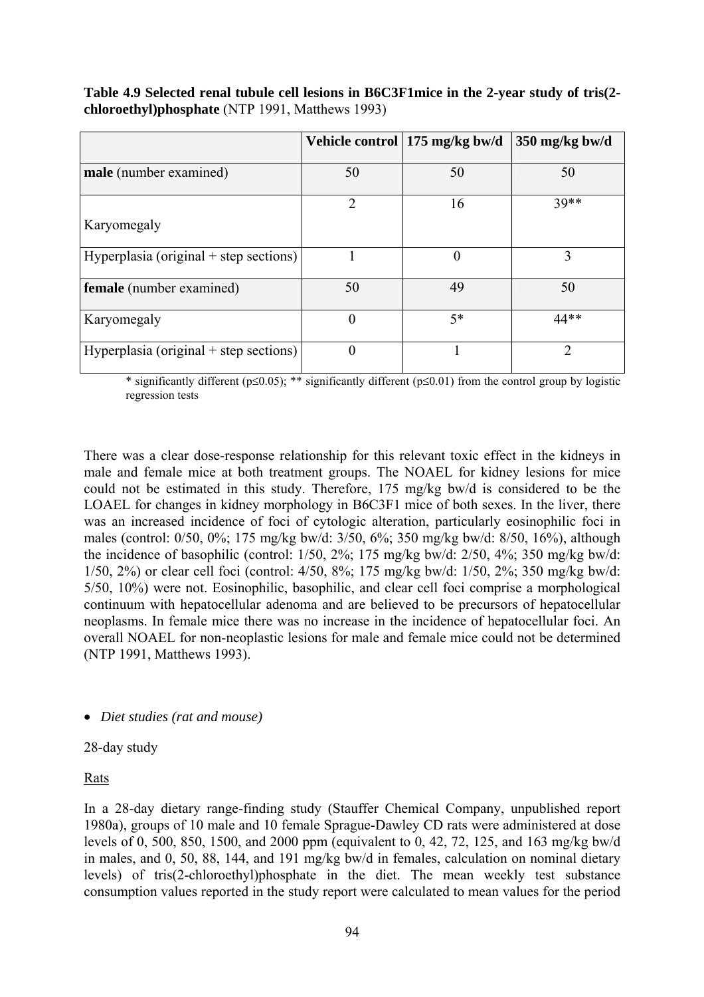|                                          |                | Vehicle control   175 mg/kg bw/d | $350$ mg/kg bw/d |
|------------------------------------------|----------------|----------------------------------|------------------|
| male (number examined)                   | 50             | 50                               | 50               |
|                                          | $\mathfrak{D}$ | 16                               | $30**$           |
| Karyomegaly                              |                |                                  |                  |
| Hyperplasia (original $+$ step sections) |                | $\theta$                         | 3                |
| female (number examined)                 | 50             | 49                               | 50               |
| Karyomegaly                              | $\overline{0}$ | $5*$                             | 44**             |
| Hyperplasia (original $+$ step sections) | $\theta$       |                                  | 2                |

**Table 4.9 Selected renal tubule cell lesions in B6C3F1mice in the 2-year study of tris(2 chloroethyl)phosphate** (NTP 1991, Matthews 1993)

\* significantly different (p≤0.05); \*\* significantly different (p≤0.01) from the control group by logistic regression tests

There was a clear dose-response relationship for this relevant toxic effect in the kidneys in male and female mice at both treatment groups. The NOAEL for kidney lesions for mice could not be estimated in this study. Therefore, 175 mg/kg bw/d is considered to be the LOAEL for changes in kidney morphology in B6C3F1 mice of both sexes. In the liver, there was an increased incidence of foci of cytologic alteration, particularly eosinophilic foci in males (control: 0/50, 0%; 175 mg/kg bw/d: 3/50, 6%; 350 mg/kg bw/d: 8/50, 16%), although the incidence of basophilic (control: 1/50, 2%; 175 mg/kg bw/d: 2/50, 4%; 350 mg/kg bw/d: 1/50, 2%) or clear cell foci (control: 4/50, 8%; 175 mg/kg bw/d: 1/50, 2%; 350 mg/kg bw/d: 5/50, 10%) were not. Eosinophilic, basophilic, and clear cell foci comprise a morphological continuum with hepatocellular adenoma and are believed to be precursors of hepatocellular neoplasms. In female mice there was no increase in the incidence of hepatocellular foci. An overall NOAEL for non-neoplastic lesions for male and female mice could not be determined (NTP 1991, Matthews 1993).

• *Diet studies (rat and mouse)*

28-day study

Rats

In a 28-day dietary range-finding study (Stauffer Chemical Company, unpublished report 1980a), groups of 10 male and 10 female Sprague-Dawley CD rats were administered at dose levels of 0, 500, 850, 1500, and 2000 ppm (equivalent to 0, 42, 72, 125, and 163 mg/kg bw/d in males, and 0, 50, 88, 144, and 191 mg/kg bw/d in females, calculation on nominal dietary levels) of tris(2-chloroethyl)phosphate in the diet. The mean weekly test substance consumption values reported in the study report were calculated to mean values for the period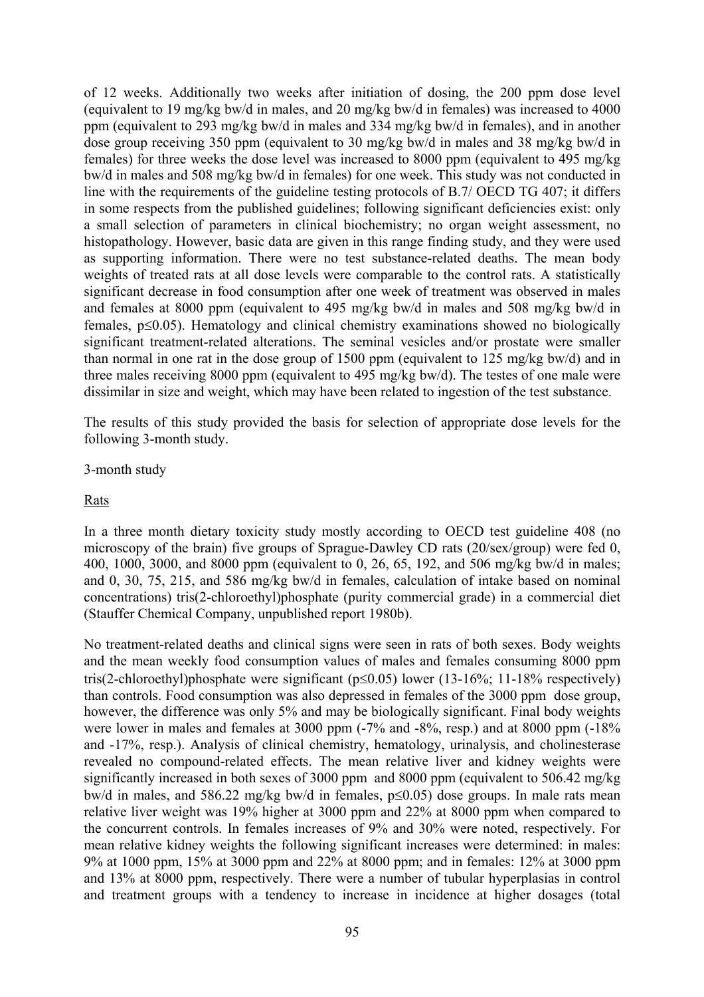of 12 weeks. Additionally two weeks after initiation of dosing, the 200 ppm dose level (equivalent to 19 mg/kg bw/d in males, and 20 mg/kg bw/d in females) was increased to 4000 ppm (equivalent to 293 mg/kg bw/d in males and 334 mg/kg bw/d in females), and in another dose group receiving 350 ppm (equivalent to 30 mg/kg bw/d in males and 38 mg/kg bw/d in females) for three weeks the dose level was increased to 8000 ppm (equivalent to 495 mg/kg bw/d in males and 508 mg/kg bw/d in females) for one week. This study was not conducted in line with the requirements of the guideline testing protocols of B.7/ OECD TG 407; it differs in some respects from the published guidelines; following significant deficiencies exist: only a small selection of parameters in clinical biochemistry; no organ weight assessment, no histopathology. However, basic data are given in this range finding study, and they were used as supporting information. There were no test substance-related deaths. The mean body weights of treated rats at all dose levels were comparable to the control rats. A statistically significant decrease in food consumption after one week of treatment was observed in males and females at 8000 ppm (equivalent to 495 mg/kg bw/d in males and 508 mg/kg bw/d in females, p≤0.05). Hematology and clinical chemistry examinations showed no biologically significant treatment-related alterations. The seminal vesicles and/or prostate were smaller than normal in one rat in the dose group of 1500 ppm (equivalent to 125 mg/kg bw/d) and in three males receiving 8000 ppm (equivalent to 495 mg/kg bw/d). The testes of one male were dissimilar in size and weight, which may have been related to ingestion of the test substance.

The results of this study provided the basis for selection of appropriate dose levels for the following 3-month study.

3-month study

Rats

In a three month dietary toxicity study mostly according to OECD test guideline 408 (no microscopy of the brain) five groups of Sprague-Dawley CD rats (20/sex/group) were fed 0, 400, 1000, 3000, and 8000 ppm (equivalent to 0, 26, 65, 192, and 506 mg/kg bw/d in males; and 0, 30, 75, 215, and 586 mg/kg bw/d in females, calculation of intake based on nominal concentrations) tris(2-chloroethyl)phosphate (purity commercial grade) in a commercial diet (Stauffer Chemical Company, unpublished report 1980b).

No treatment-related deaths and clinical signs were seen in rats of both sexes. Body weights and the mean weekly food consumption values of males and females consuming 8000 ppm tris(2-chloroethyl)phosphate were significant (p≤0.05) lower (13-16%; 11-18% respectively) than controls. Food consumption was also depressed in females of the 3000 ppm dose group, however, the difference was only 5% and may be biologically significant. Final body weights were lower in males and females at 3000 ppm (-7% and -8%, resp.) and at 8000 ppm (-18% and -17%, resp.). Analysis of clinical chemistry, hematology, urinalysis, and cholinesterase revealed no compound-related effects. The mean relative liver and kidney weights were significantly increased in both sexes of 3000 ppm and 8000 ppm (equivalent to 506.42 mg/kg bw/d in males, and 586.22 mg/kg bw/d in females, p≤0.05) dose groups. In male rats mean relative liver weight was 19% higher at 3000 ppm and 22% at 8000 ppm when compared to the concurrent controls. In females increases of 9% and 30% were noted, respectively. For mean relative kidney weights the following significant increases were determined: in males: 9% at 1000 ppm, 15% at 3000 ppm and 22% at 8000 ppm; and in females: 12% at 3000 ppm and 13% at 8000 ppm, respectively. There were a number of tubular hyperplasias in control and treatment groups with a tendency to increase in incidence at higher dosages (total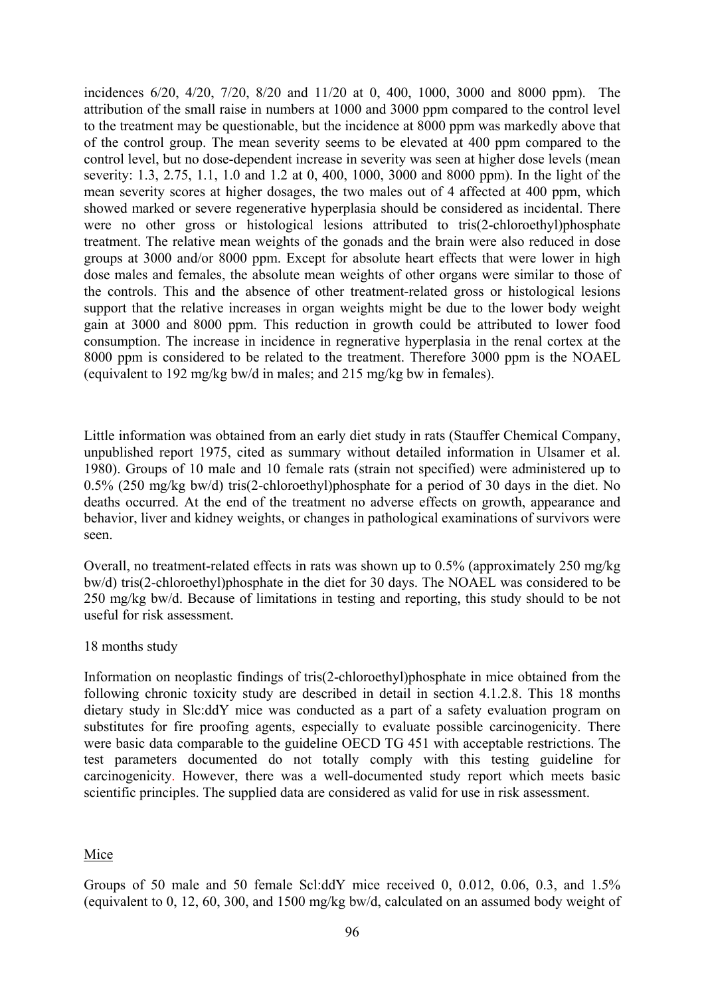incidences 6/20, 4/20, 7/20, 8/20 and 11/20 at 0, 400, 1000, 3000 and 8000 ppm). The attribution of the small raise in numbers at 1000 and 3000 ppm compared to the control level to the treatment may be questionable, but the incidence at 8000 ppm was markedly above that of the control group. The mean severity seems to be elevated at 400 ppm compared to the control level, but no dose-dependent increase in severity was seen at higher dose levels (mean severity: 1.3, 2.75, 1.1, 1.0 and 1.2 at 0, 400, 1000, 3000 and 8000 ppm). In the light of the mean severity scores at higher dosages, the two males out of 4 affected at 400 ppm, which showed marked or severe regenerative hyperplasia should be considered as incidental. There were no other gross or histological lesions attributed to tris(2-chloroethyl)phosphate treatment. The relative mean weights of the gonads and the brain were also reduced in dose groups at 3000 and/or 8000 ppm. Except for absolute heart effects that were lower in high dose males and females, the absolute mean weights of other organs were similar to those of the controls. This and the absence of other treatment-related gross or histological lesions support that the relative increases in organ weights might be due to the lower body weight gain at 3000 and 8000 ppm. This reduction in growth could be attributed to lower food consumption. The increase in incidence in regnerative hyperplasia in the renal cortex at the 8000 ppm is considered to be related to the treatment. Therefore 3000 ppm is the NOAEL (equivalent to 192 mg/kg bw/d in males; and 215 mg/kg bw in females).

Little information was obtained from an early diet study in rats (Stauffer Chemical Company, unpublished report 1975, cited as summary without detailed information in Ulsamer et al. 1980). Groups of 10 male and 10 female rats (strain not specified) were administered up to 0.5% (250 mg/kg bw/d) tris(2-chloroethyl)phosphate for a period of 30 days in the diet. No deaths occurred. At the end of the treatment no adverse effects on growth, appearance and behavior, liver and kidney weights, or changes in pathological examinations of survivors were seen.

Overall, no treatment-related effects in rats was shown up to 0.5% (approximately 250 mg/kg bw/d) tris(2-chloroethyl)phosphate in the diet for 30 days. The NOAEL was considered to be 250 mg/kg bw/d. Because of limitations in testing and reporting, this study should to be not useful for risk assessment.

#### 18 months study

Information on neoplastic findings of tris(2-chloroethyl)phosphate in mice obtained from the following chronic toxicity study are described in detail in section 4.1.2.8. This 18 months dietary study in Slc:ddY mice was conducted as a part of a safety evaluation program on substitutes for fire proofing agents, especially to evaluate possible carcinogenicity. There were basic data comparable to the guideline OECD TG 451 with acceptable restrictions. The test parameters documented do not totally comply with this testing guideline for carcinogenicity. However, there was a well-documented study report which meets basic scientific principles. The supplied data are considered as valid for use in risk assessment.

## Mice

Groups of 50 male and 50 female Scl:ddY mice received 0, 0.012, 0.06, 0.3, and 1.5% (equivalent to 0, 12, 60, 300, and 1500 mg/kg bw/d, calculated on an assumed body weight of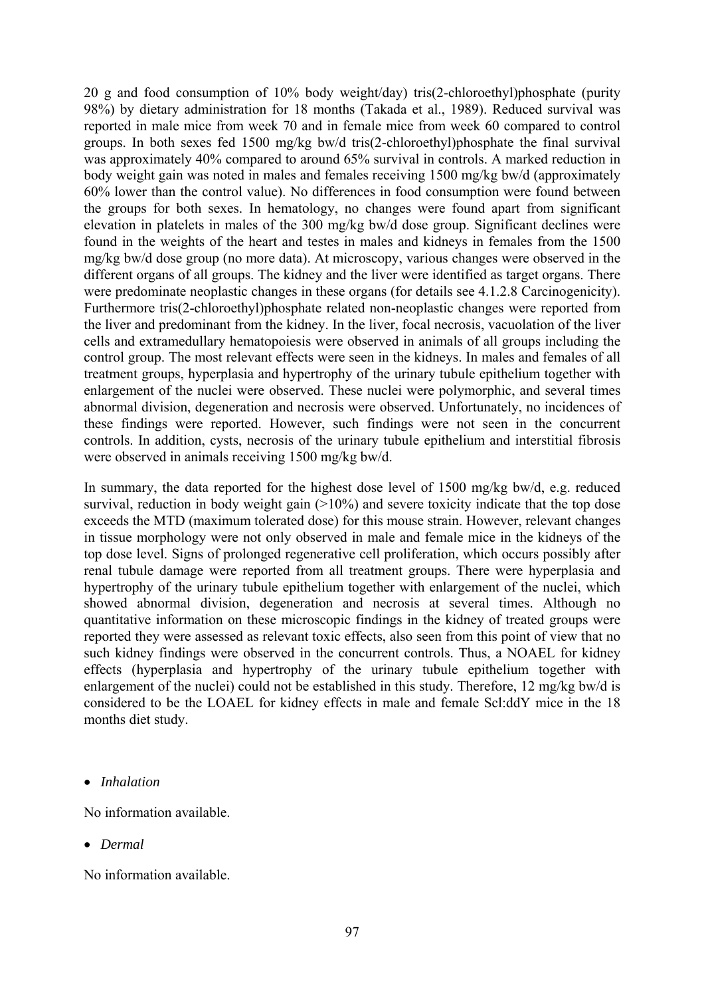20 g and food consumption of 10% body weight/day) tris(2-chloroethyl)phosphate (purity 98%) by dietary administration for 18 months (Takada et al., 1989). Reduced survival was reported in male mice from week 70 and in female mice from week 60 compared to control groups. In both sexes fed 1500 mg/kg bw/d tris(2-chloroethyl)phosphate the final survival was approximately 40% compared to around 65% survival in controls. A marked reduction in body weight gain was noted in males and females receiving 1500 mg/kg bw/d (approximately 60% lower than the control value). No differences in food consumption were found between the groups for both sexes. In hematology, no changes were found apart from significant elevation in platelets in males of the 300 mg/kg bw/d dose group. Significant declines were found in the weights of the heart and testes in males and kidneys in females from the 1500 mg/kg bw/d dose group (no more data). At microscopy, various changes were observed in the different organs of all groups. The kidney and the liver were identified as target organs. There were predominate neoplastic changes in these organs (for details see 4.1.2.8 Carcinogenicity). Furthermore tris(2-chloroethyl)phosphate related non-neoplastic changes were reported from the liver and predominant from the kidney. In the liver, focal necrosis, vacuolation of the liver cells and extramedullary hematopoiesis were observed in animals of all groups including the control group. The most relevant effects were seen in the kidneys. In males and females of all treatment groups, hyperplasia and hypertrophy of the urinary tubule epithelium together with enlargement of the nuclei were observed. These nuclei were polymorphic, and several times abnormal division, degeneration and necrosis were observed. Unfortunately, no incidences of these findings were reported. However, such findings were not seen in the concurrent controls. In addition, cysts, necrosis of the urinary tubule epithelium and interstitial fibrosis were observed in animals receiving 1500 mg/kg bw/d.

In summary, the data reported for the highest dose level of 1500 mg/kg bw/d, e.g. reduced survival, reduction in body weight gain  $(>10\%)$  and severe toxicity indicate that the top dose exceeds the MTD (maximum tolerated dose) for this mouse strain. However, relevant changes in tissue morphology were not only observed in male and female mice in the kidneys of the top dose level. Signs of prolonged regenerative cell proliferation, which occurs possibly after renal tubule damage were reported from all treatment groups. There were hyperplasia and hypertrophy of the urinary tubule epithelium together with enlargement of the nuclei, which showed abnormal division, degeneration and necrosis at several times. Although no quantitative information on these microscopic findings in the kidney of treated groups were reported they were assessed as relevant toxic effects, also seen from this point of view that no such kidney findings were observed in the concurrent controls. Thus, a NOAEL for kidney effects (hyperplasia and hypertrophy of the urinary tubule epithelium together with enlargement of the nuclei) could not be established in this study. Therefore, 12 mg/kg bw/d is considered to be the LOAEL for kidney effects in male and female Scl:ddY mice in the 18 months diet study.

• *Inhalation* 

No information available.

• *Dermal*

No information available.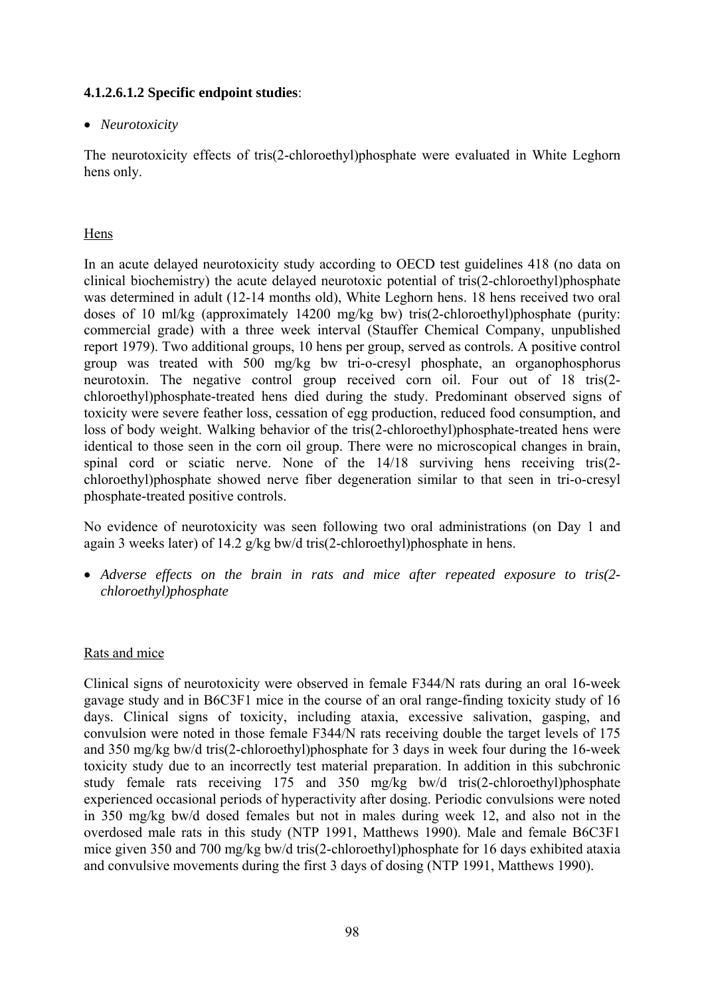#### **4.1.2.6.1.2 Specific endpoint studies**:

## • *Neurotoxicity*

The neurotoxicity effects of tris(2-chloroethyl)phosphate were evaluated in White Leghorn hens only.

## Hens

In an acute delayed neurotoxicity study according to OECD test guidelines 418 (no data on clinical biochemistry) the acute delayed neurotoxic potential of tris(2-chloroethyl)phosphate was determined in adult (12-14 months old), White Leghorn hens. 18 hens received two oral doses of 10 ml/kg (approximately 14200 mg/kg bw) tris(2-chloroethyl)phosphate (purity: commercial grade) with a three week interval (Stauffer Chemical Company, unpublished report 1979). Two additional groups, 10 hens per group, served as controls. A positive control group was treated with 500 mg/kg bw tri-o-cresyl phosphate, an organophosphorus neurotoxin. The negative control group received corn oil. Four out of 18 tris(2 chloroethyl)phosphate-treated hens died during the study. Predominant observed signs of toxicity were severe feather loss, cessation of egg production, reduced food consumption, and loss of body weight. Walking behavior of the tris(2-chloroethyl)phosphate-treated hens were identical to those seen in the corn oil group. There were no microscopical changes in brain, spinal cord or sciatic nerve. None of the 14/18 surviving hens receiving tris(2 chloroethyl)phosphate showed nerve fiber degeneration similar to that seen in tri-o-cresyl phosphate-treated positive controls.

No evidence of neurotoxicity was seen following two oral administrations (on Day 1 and again 3 weeks later) of 14.2 g/kg bw/d tris(2-chloroethyl)phosphate in hens.

• *Adverse effects on the brain in rats and mice after repeated exposure to tris(2 chloroethyl)phosphate* 

## Rats and mice

Clinical signs of neurotoxicity were observed in female F344/N rats during an oral 16-week gavage study and in B6C3F1 mice in the course of an oral range-finding toxicity study of 16 days. Clinical signs of toxicity, including ataxia, excessive salivation, gasping, and convulsion were noted in those female F344/N rats receiving double the target levels of 175 and 350 mg/kg bw/d tris(2-chloroethyl)phosphate for 3 days in week four during the 16-week toxicity study due to an incorrectly test material preparation. In addition in this subchronic study female rats receiving 175 and 350 mg/kg bw/d tris(2-chloroethyl)phosphate experienced occasional periods of hyperactivity after dosing. Periodic convulsions were noted in 350 mg/kg bw/d dosed females but not in males during week 12, and also not in the overdosed male rats in this study (NTP 1991, Matthews 1990). Male and female B6C3F1 mice given 350 and 700 mg/kg bw/d tris(2-chloroethyl)phosphate for 16 days exhibited ataxia and convulsive movements during the first 3 days of dosing (NTP 1991, Matthews 1990).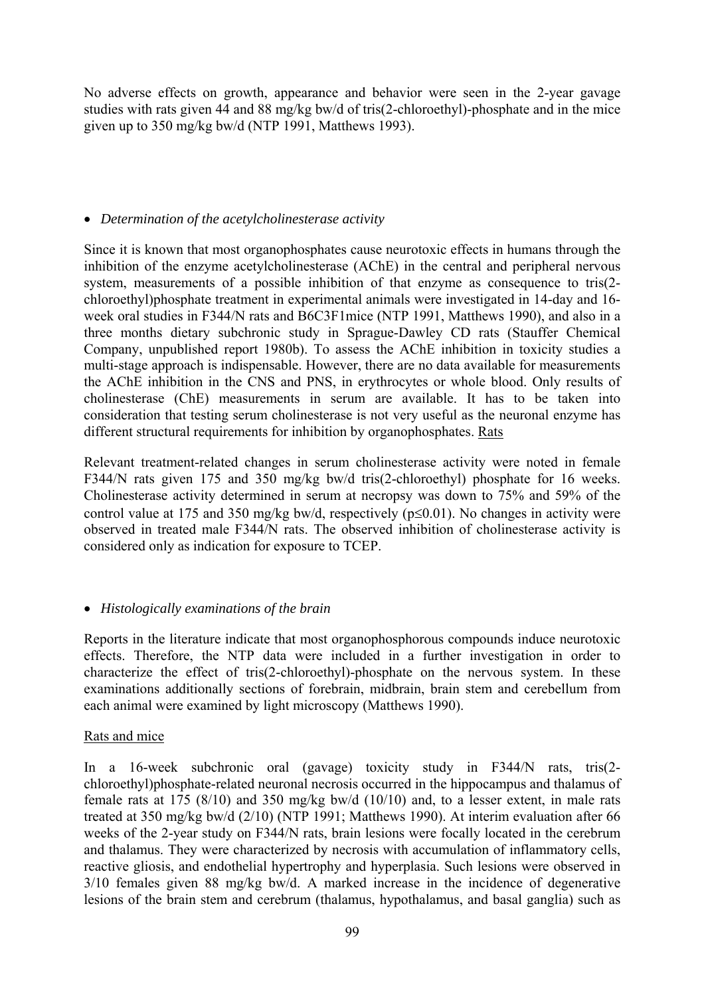No adverse effects on growth, appearance and behavior were seen in the 2-year gavage studies with rats given 44 and 88 mg/kg bw/d of tris(2-chloroethyl)-phosphate and in the mice given up to 350 mg/kg bw/d (NTP 1991, Matthews 1993).

#### • *Determination of the acetylcholinesterase activity*

Since it is known that most organophosphates cause neurotoxic effects in humans through the inhibition of the enzyme acetylcholinesterase (AChE) in the central and peripheral nervous system, measurements of a possible inhibition of that enzyme as consequence to tris(2 chloroethyl)phosphate treatment in experimental animals were investigated in 14-day and 16 week oral studies in F344/N rats and B6C3F1mice (NTP 1991, Matthews 1990), and also in a three months dietary subchronic study in Sprague-Dawley CD rats (Stauffer Chemical Company, unpublished report 1980b). To assess the AChE inhibition in toxicity studies a multi-stage approach is indispensable. However, there are no data available for measurements the AChE inhibition in the CNS and PNS, in erythrocytes or whole blood. Only results of cholinesterase (ChE) measurements in serum are available. It has to be taken into consideration that testing serum cholinesterase is not very useful as the neuronal enzyme has different structural requirements for inhibition by organophosphates. Rats

Relevant treatment-related changes in serum cholinesterase activity were noted in female F344/N rats given 175 and 350 mg/kg bw/d tris(2-chloroethyl) phosphate for 16 weeks. Cholinesterase activity determined in serum at necropsy was down to 75% and 59% of the control value at 175 and 350 mg/kg bw/d, respectively ( $p \le 0.01$ ). No changes in activity were observed in treated male F344/N rats. The observed inhibition of cholinesterase activity is considered only as indication for exposure to TCEP.

## • *Histologically examinations of the brain*

Reports in the literature indicate that most organophosphorous compounds induce neurotoxic effects. Therefore, the NTP data were included in a further investigation in order to characterize the effect of tris(2-chloroethyl)-phosphate on the nervous system. In these examinations additionally sections of forebrain, midbrain, brain stem and cerebellum from each animal were examined by light microscopy (Matthews 1990).

## Rats and mice

In a 16-week subchronic oral (gavage) toxicity study in F344/N rats, tris(2 chloroethyl)phosphate-related neuronal necrosis occurred in the hippocampus and thalamus of female rats at 175 (8/10) and 350 mg/kg bw/d (10/10) and, to a lesser extent, in male rats treated at 350 mg/kg bw/d (2/10) (NTP 1991; Matthews 1990). At interim evaluation after 66 weeks of the 2-year study on F344/N rats, brain lesions were focally located in the cerebrum and thalamus. They were characterized by necrosis with accumulation of inflammatory cells, reactive gliosis, and endothelial hypertrophy and hyperplasia. Such lesions were observed in 3/10 females given 88 mg/kg bw/d. A marked increase in the incidence of degenerative lesions of the brain stem and cerebrum (thalamus, hypothalamus, and basal ganglia) such as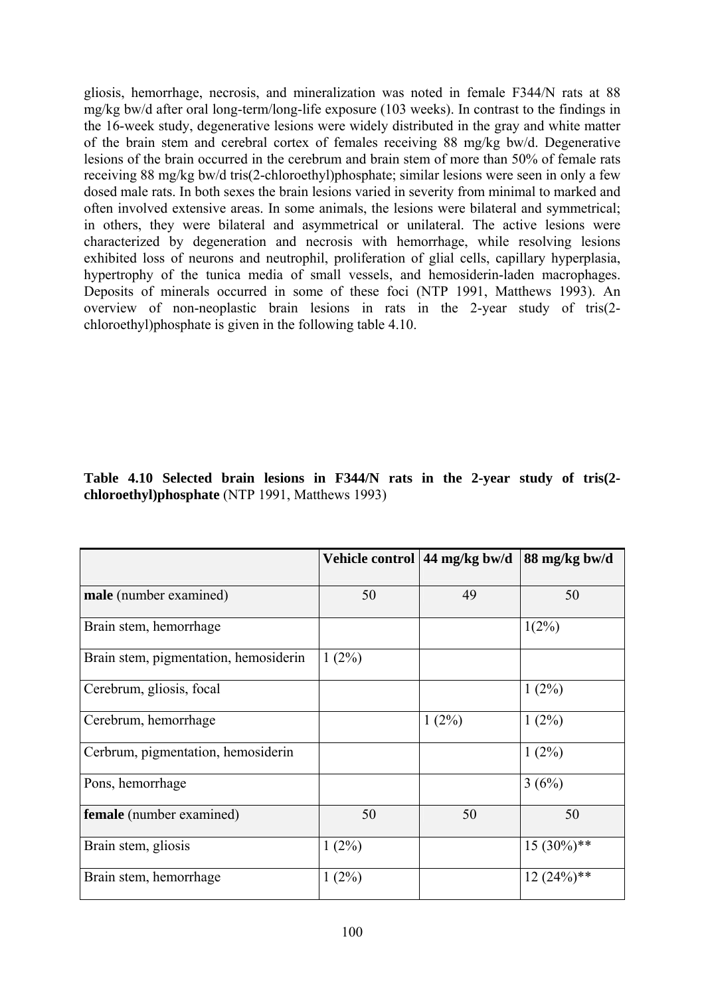gliosis, hemorrhage, necrosis, and mineralization was noted in female F344/N rats at 88 mg/kg bw/d after oral long-term/long-life exposure (103 weeks). In contrast to the findings in the 16-week study, degenerative lesions were widely distributed in the gray and white matter of the brain stem and cerebral cortex of females receiving 88 mg/kg bw/d. Degenerative lesions of the brain occurred in the cerebrum and brain stem of more than 50% of female rats receiving 88 mg/kg bw/d tris(2-chloroethyl)phosphate; similar lesions were seen in only a few dosed male rats. In both sexes the brain lesions varied in severity from minimal to marked and often involved extensive areas. In some animals, the lesions were bilateral and symmetrical; in others, they were bilateral and asymmetrical or unilateral. The active lesions were characterized by degeneration and necrosis with hemorrhage, while resolving lesions exhibited loss of neurons and neutrophil, proliferation of glial cells, capillary hyperplasia, hypertrophy of the tunica media of small vessels, and hemosiderin-laden macrophages. Deposits of minerals occurred in some of these foci (NTP 1991, Matthews 1993). An overview of non-neoplastic brain lesions in rats in the 2-year study of tris(2 chloroethyl)phosphate is given in the following table 4.10.

**Table 4.10 Selected brain lesions in F344/N rats in the 2-year study of tris(2 chloroethyl)phosphate** (NTP 1991, Matthews 1993)

|                                       | Vehicle control   44 mg/kg bw/d |          | 88 mg/kg bw/d |
|---------------------------------------|---------------------------------|----------|---------------|
| male (number examined)                | 50                              | 49       | 50            |
| Brain stem, hemorrhage                |                                 |          | $1(2\%)$      |
| Brain stem, pigmentation, hemosiderin | $1(2\%)$                        |          |               |
| Cerebrum, gliosis, focal              |                                 |          | $1(2\%)$      |
| Cerebrum, hemorrhage                  |                                 | $1(2\%)$ | $1(2\%)$      |
| Cerbrum, pigmentation, hemosiderin    |                                 |          | $1(2\%)$      |
| Pons, hemorrhage                      |                                 |          | 3(6%)         |
| female (number examined)              | 50                              | 50       | 50            |
| Brain stem, gliosis                   | $1(2\%)$                        |          | $15(30\%)$ ** |
| Brain stem, hemorrhage                | $1(2\%)$                        |          | $12(24%)$ **  |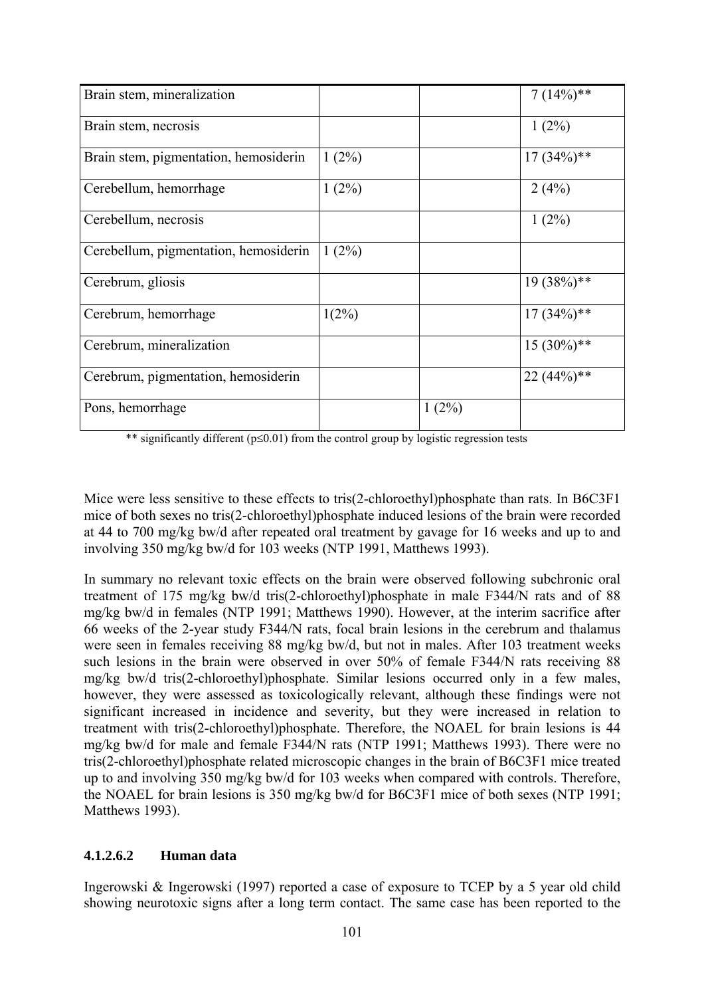| Brain stem, mineralization            |          |          | $7(14\%)$ **  |
|---------------------------------------|----------|----------|---------------|
| Brain stem, necrosis                  |          |          | $1(2\%)$      |
| Brain stem, pigmentation, hemosiderin | $1(2\%)$ |          | $17(34\%)$ ** |
| Cerebellum, hemorrhage                | $1(2\%)$ |          | 2(4%)         |
| Cerebellum, necrosis                  |          |          | $1(2\%)$      |
| Cerebellum, pigmentation, hemosiderin | $1(2\%)$ |          |               |
| Cerebrum, gliosis                     |          |          | $19(38\%)$ ** |
| Cerebrum, hemorrhage                  | $1(2\%)$ |          | $17(34\%)$ ** |
| Cerebrum, mineralization              |          |          | $15(30\%)$ ** |
| Cerebrum, pigmentation, hemosiderin   |          |          | $22(44%)$ **  |
| Pons, hemorrhage                      |          | $1(2\%)$ |               |

\*\* significantly different (p≤0.01) from the control group by logistic regression tests

Mice were less sensitive to these effects to tris(2-chloroethyl)phosphate than rats. In B6C3F1 mice of both sexes no tris(2-chloroethyl)phosphate induced lesions of the brain were recorded at 44 to 700 mg/kg bw/d after repeated oral treatment by gavage for 16 weeks and up to and involving 350 mg/kg bw/d for 103 weeks (NTP 1991, Matthews 1993).

In summary no relevant toxic effects on the brain were observed following subchronic oral treatment of 175 mg/kg bw/d tris(2-chloroethyl)phosphate in male F344/N rats and of 88 mg/kg bw/d in females (NTP 1991; Matthews 1990). However, at the interim sacrifice after 66 weeks of the 2-year study F344/N rats, focal brain lesions in the cerebrum and thalamus were seen in females receiving 88 mg/kg bw/d, but not in males. After 103 treatment weeks such lesions in the brain were observed in over 50% of female F344/N rats receiving 88 mg/kg bw/d tris(2-chloroethyl)phosphate. Similar lesions occurred only in a few males, however, they were assessed as toxicologically relevant, although these findings were not significant increased in incidence and severity, but they were increased in relation to treatment with tris(2-chloroethyl)phosphate. Therefore, the NOAEL for brain lesions is 44 mg/kg bw/d for male and female F344/N rats (NTP 1991; Matthews 1993). There were no tris(2-chloroethyl)phosphate related microscopic changes in the brain of B6C3F1 mice treated up to and involving 350 mg/kg bw/d for 103 weeks when compared with controls. Therefore, the NOAEL for brain lesions is 350 mg/kg bw/d for B6C3F1 mice of both sexes (NTP 1991; Matthews 1993).

## **4.1.2.6.2 Human data**

Ingerowski & Ingerowski (1997) reported a case of exposure to TCEP by a 5 year old child showing neurotoxic signs after a long term contact. The same case has been reported to the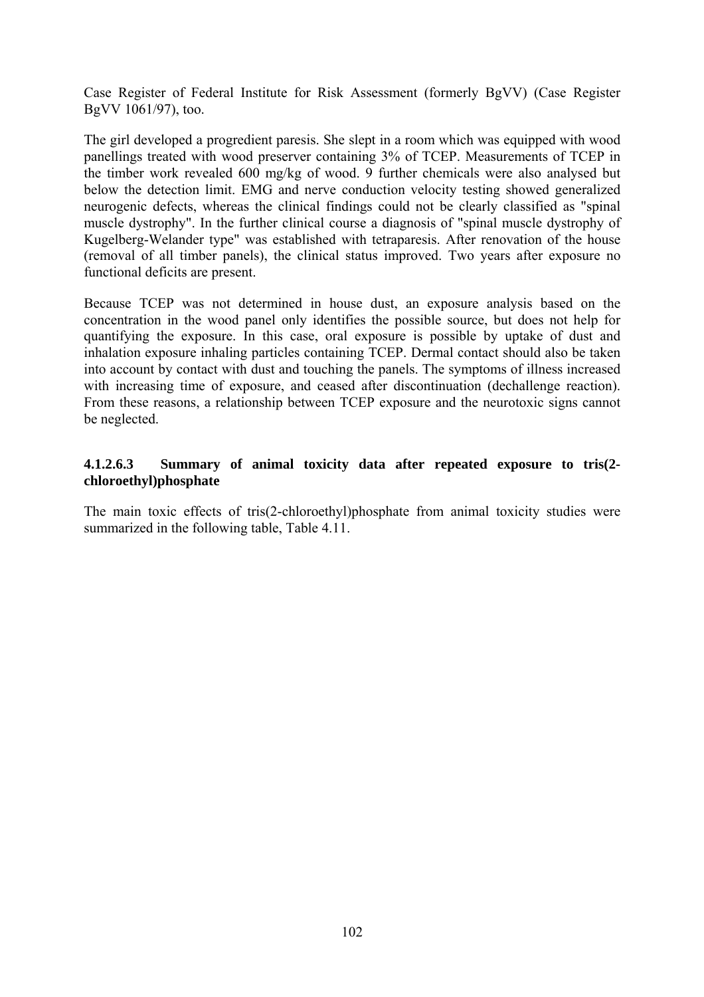Case Register of Federal Institute for Risk Assessment (formerly BgVV) (Case Register BgVV 1061/97), too.

The girl developed a progredient paresis. She slept in a room which was equipped with wood panellings treated with wood preserver containing 3% of TCEP. Measurements of TCEP in the timber work revealed 600 mg/kg of wood. 9 further chemicals were also analysed but below the detection limit. EMG and nerve conduction velocity testing showed generalized neurogenic defects, whereas the clinical findings could not be clearly classified as "spinal muscle dystrophy". In the further clinical course a diagnosis of "spinal muscle dystrophy of Kugelberg-Welander type" was established with tetraparesis. After renovation of the house (removal of all timber panels), the clinical status improved. Two years after exposure no functional deficits are present.

Because TCEP was not determined in house dust, an exposure analysis based on the concentration in the wood panel only identifies the possible source, but does not help for quantifying the exposure. In this case, oral exposure is possible by uptake of dust and inhalation exposure inhaling particles containing TCEP. Dermal contact should also be taken into account by contact with dust and touching the panels. The symptoms of illness increased with increasing time of exposure, and ceased after discontinuation (dechallenge reaction). From these reasons, a relationship between TCEP exposure and the neurotoxic signs cannot be neglected.

## **4.1.2.6.3 Summary of animal toxicity data after repeated exposure to tris(2 chloroethyl)phosphate**

The main toxic effects of tris(2-chloroethyl)phosphate from animal toxicity studies were summarized in the following table, Table 4.11.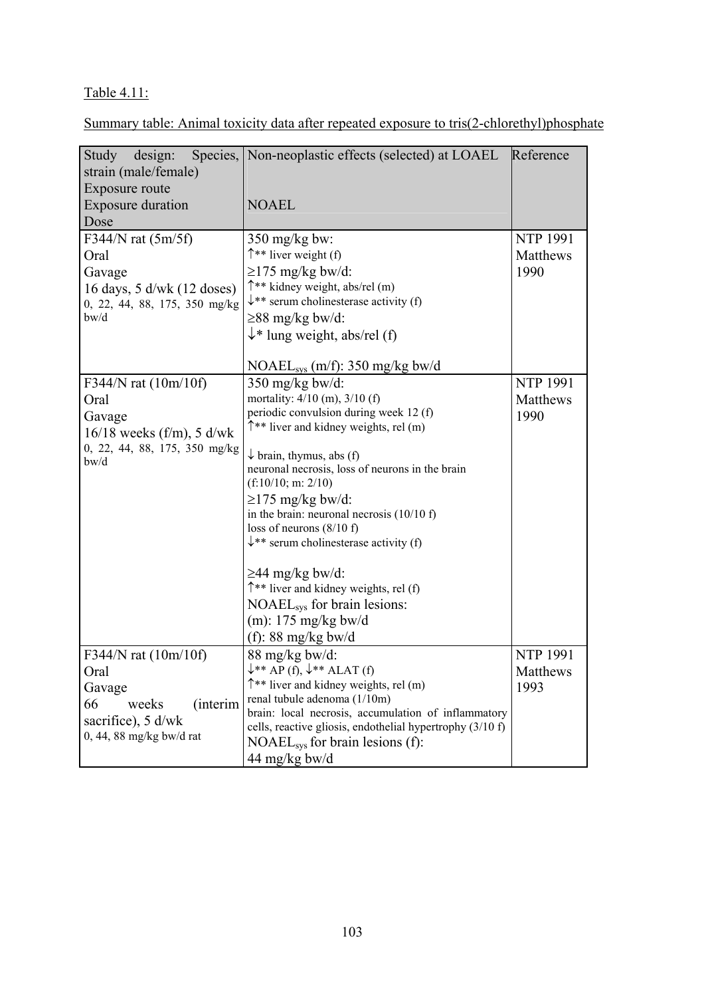## Table 4.11:

# Summary table: Animal toxicity data after repeated exposure to tris(2-chlorethyl)phosphate

| <b>Study</b><br>Species,<br>design:<br>strain (male/female) | Non-neoplastic effects (selected) at LOAEL                                             | Reference       |
|-------------------------------------------------------------|----------------------------------------------------------------------------------------|-----------------|
| Exposure route                                              |                                                                                        |                 |
| <b>Exposure duration</b>                                    | <b>NOAEL</b>                                                                           |                 |
| Dose                                                        |                                                                                        |                 |
| F344/N rat $(5m/5f)$                                        | $350 \text{ mg/kg}$ bw:                                                                | <b>NTP 1991</b> |
| Oral                                                        | ↑** liver weight (f)                                                                   | Matthews        |
| Gavage                                                      | $\geq$ 175 mg/kg bw/d:                                                                 | 1990            |
| 16 days, 5 d/wk (12 doses)                                  | ↑ ** kidney weight, abs/rel (m)                                                        |                 |
| 0, 22, 44, 88, 175, 350 mg/kg                               | $\downarrow$ ** serum cholinesterase activity (f)                                      |                 |
| bw/d                                                        | $\geq$ 88 mg/kg bw/d:                                                                  |                 |
|                                                             | $\downarrow^*$ lung weight, abs/rel (f)                                                |                 |
|                                                             | $NOAEL_{sys}$ (m/f): 350 mg/kg bw/d                                                    |                 |
| F344/N rat $(10m/10f)$                                      | 350 mg/kg bw/d:                                                                        | <b>NTP 1991</b> |
| Oral                                                        | mortality: 4/10 (m), 3/10 (f)                                                          | Matthews        |
| Gavage                                                      | periodic convulsion during week 12 (f)                                                 | 1990            |
| $16/18$ weeks $(f/m)$ , 5 d/wk                              | $\uparrow$ ** liver and kidney weights, rel (m)                                        |                 |
| 0, 22, 44, 88, 175, 350 mg/kg                               |                                                                                        |                 |
| bw/d                                                        | $\downarrow$ brain, thymus, abs (f)<br>neuronal necrosis, loss of neurons in the brain |                 |
|                                                             | (f:10/10; m: 2/10)                                                                     |                 |
|                                                             | $\geq$ 175 mg/kg bw/d:                                                                 |                 |
|                                                             | in the brain: neuronal necrosis $(10/10 f)$                                            |                 |
|                                                             | loss of neurons $(8/10 f)$                                                             |                 |
|                                                             | $\downarrow$ ** serum cholinesterase activity (f)                                      |                 |
|                                                             | $\geq$ 44 mg/kg bw/d:                                                                  |                 |
|                                                             | <sup>1**</sup> liver and kidney weights, rel (f)                                       |                 |
|                                                             | NOAEL <sub>sys</sub> for brain lesions:                                                |                 |
|                                                             | $(m)$ : 175 mg/kg bw/d                                                                 |                 |
|                                                             | (f): 88 mg/kg bw/d                                                                     |                 |
| F344/N rat $(10m/10f)$                                      | 88 mg/kg bw/d:                                                                         | <b>NTP 1991</b> |
| Oral                                                        | $\downarrow$ ** AP (f), $\downarrow$ ** ALAT (f)                                       | Matthews        |
| Gavage                                                      | <sup>1**</sup> liver and kidney weights, rel (m)                                       | 1993            |
| 66<br><i>(interim)</i><br>weeks                             | renal tubule adenoma (1/10m)                                                           |                 |
| sacrifice), 5 d/wk                                          | brain: local necrosis, accumulation of inflammatory                                    |                 |
| 0, 44, 88 mg/kg bw/d rat                                    | cells, reactive gliosis, endothelial hypertrophy (3/10 f)                              |                 |
|                                                             | $NOAEL_{sys}$ for brain lesions (f):                                                   |                 |
|                                                             | 44 mg/kg bw/d                                                                          |                 |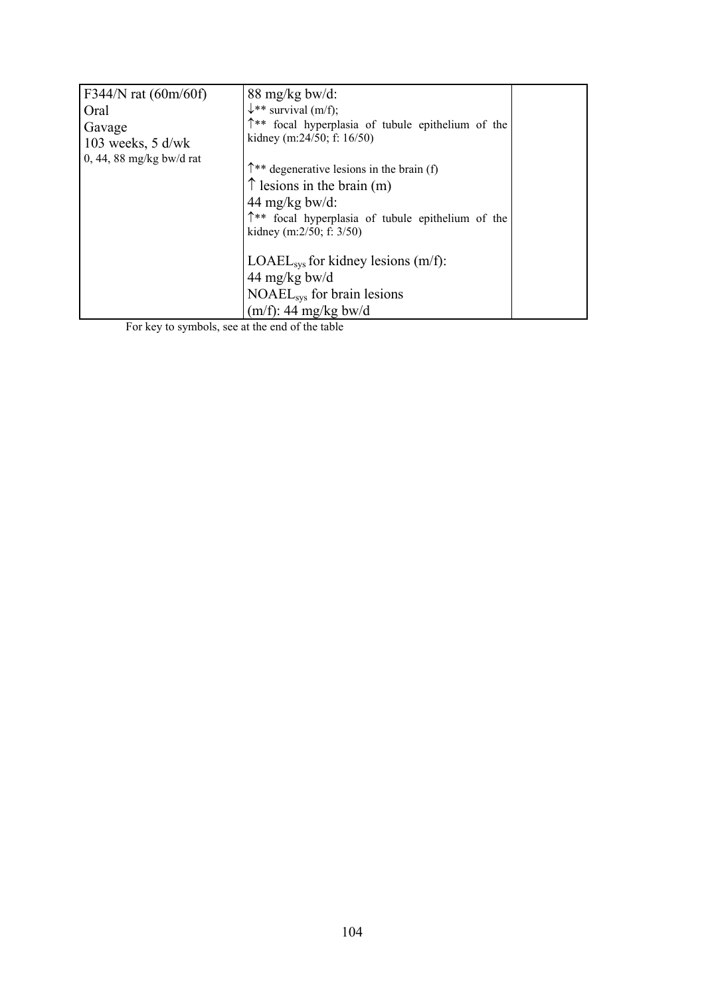| F344/N rat $(60m/60f)$      | $88 \text{ mg/kg}$ bw/d:                                      |  |
|-----------------------------|---------------------------------------------------------------|--|
| Oral                        | $\downarrow^{**}$ survival (m/f);                             |  |
| Gavage                      | $\uparrow^{**}$ focal hyperplasia of tubule epithelium of the |  |
| 103 weeks, $5 \frac{d}{wk}$ | kidney (m: $24/50$ ; f: 16/50)                                |  |
| 0, 44, 88 mg/kg bw/d rat    |                                                               |  |
|                             | $\uparrow$ ** degenerative lesions in the brain (f)           |  |
|                             | $\uparrow$ lesions in the brain (m)                           |  |
|                             | 44 mg/kg bw/d:                                                |  |
|                             | $\uparrow$ ** focal hyperplasia of tubule epithelium of the   |  |
|                             | kidney (m: $2/50$ ; f: $3/50$ )                               |  |
|                             |                                                               |  |
|                             | $LOAELsys$ for kidney lesions (m/f):                          |  |
|                             | 44 mg/kg bw/d                                                 |  |
|                             | $NOAELsys$ for brain lesions                                  |  |
|                             | $(m/f)$ : 44 mg/kg bw/d                                       |  |

For key to symbols, see at the end of the table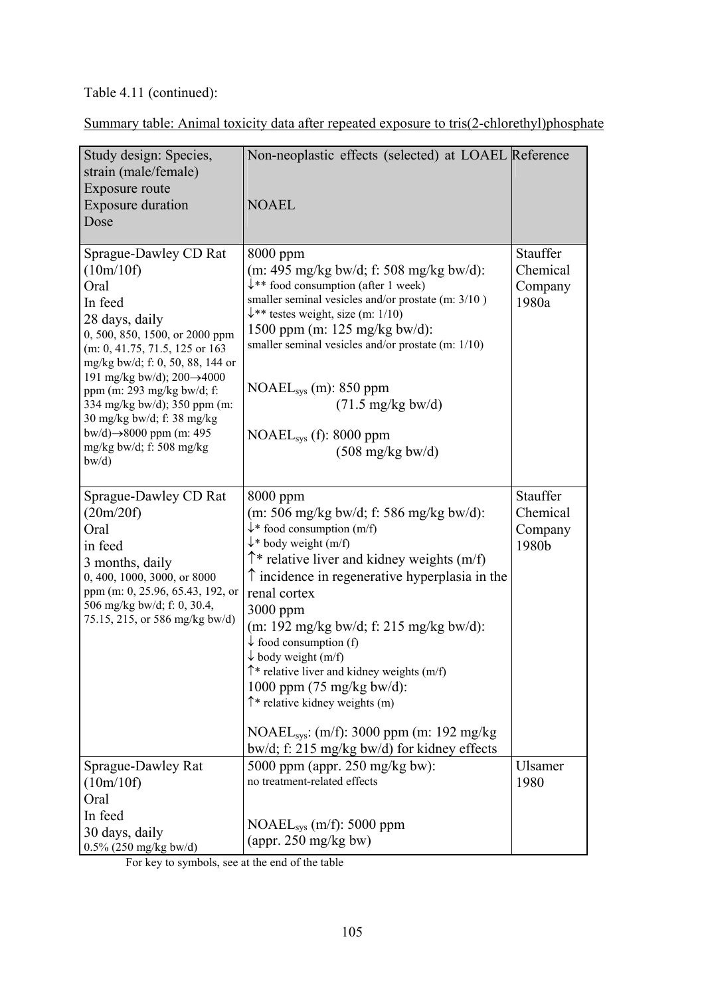# Table 4.11 (continued):

| Summary table: Animal toxicity data after repeated exposure to tris(2-chlorethyl)phosphate |  |  |  |  |
|--------------------------------------------------------------------------------------------|--|--|--|--|
|                                                                                            |  |  |  |  |

| Study design: Species,<br>strain (male/female)<br>Exposure route      | Non-neoplastic effects (selected) at LOAEL Reference                                       |                  |
|-----------------------------------------------------------------------|--------------------------------------------------------------------------------------------|------------------|
| <b>Exposure duration</b>                                              | <b>NOAEL</b>                                                                               |                  |
| Dose                                                                  |                                                                                            |                  |
|                                                                       |                                                                                            |                  |
| Sprague-Dawley CD Rat                                                 | 8000 ppm                                                                                   | Stauffer         |
| (10m/10f)                                                             | $(m: 495 \text{ mg/kg}$ bw/d; f: 508 mg/kg bw/d):                                          | Chemical         |
| Oral                                                                  | $\downarrow$ ** food consumption (after 1 week)                                            | Company          |
| In feed                                                               | smaller seminal vesicles and/or prostate (m: 3/10)                                         | 1980a            |
| 28 days, daily                                                        | $\downarrow$ ** testes weight, size (m: 1/10)                                              |                  |
| 0, 500, 850, 1500, or 2000 ppm                                        | 1500 ppm (m: 125 mg/kg bw/d):                                                              |                  |
| $(m: 0, 41.75, 71.5, 125 \text{ or } 163)$                            | smaller seminal vesicles and/or prostate (m: 1/10)                                         |                  |
| mg/kg bw/d; f: 0, 50, 88, 144 or                                      |                                                                                            |                  |
| 191 mg/kg bw/d); $200 \rightarrow 4000$<br>ppm (m: 293 mg/kg bw/d; f: | $NOAELsys$ (m): 850 ppm                                                                    |                  |
| 334 mg/kg bw/d); 350 ppm (m:                                          | $(71.5 \text{ mg/kg bw/d})$                                                                |                  |
| 30 mg/kg bw/d; f: 38 mg/kg                                            |                                                                                            |                  |
| $bw/d) \rightarrow 8000$ ppm (m: 495                                  | NOAEL <sub>sys</sub> (f): 8000 ppm                                                         |                  |
| mg/kg bw/d; f: 508 mg/kg                                              | $(508 \text{ mg/kg}$ bw/d)                                                                 |                  |
| $b$ w/d $)$                                                           |                                                                                            |                  |
|                                                                       |                                                                                            | Stauffer         |
| Sprague-Dawley CD Rat                                                 | 8000 ppm                                                                                   | Chemical         |
| (20m/20f)<br>Oral                                                     | $(m: 506 \text{ mg/kg}$ bw/d; f: 586 mg/kg bw/d):<br>$\downarrow^*$ food consumption (m/f) |                  |
| in feed                                                               | $\downarrow^*$ body weight (m/f)                                                           | Company<br>1980b |
|                                                                       | $\uparrow$ relative liver and kidney weights (m/f)                                         |                  |
| 3 months, daily<br>0, 400, 1000, 3000, or 8000                        | $\uparrow$ incidence in regenerative hyperplasia in the                                    |                  |
| ppm (m: 0, 25.96, 65.43, 192, or                                      | renal cortex                                                                               |                  |
| 506 mg/kg bw/d; f: 0, 30.4,                                           | 3000 ppm                                                                                   |                  |
| 75.15, 215, or 586 mg/kg bw/d)                                        | $(m: 192 \text{ mg/kg bw/d}; f: 215 \text{ mg/kg bw/d}):$                                  |                  |
|                                                                       | $\downarrow$ food consumption (f)                                                          |                  |
|                                                                       | $\downarrow$ body weight (m/f)                                                             |                  |
|                                                                       | $\uparrow$ relative liver and kidney weights (m/f)                                         |                  |
|                                                                       | 1000 ppm $(75 \text{ mg/kg bw/d})$ :                                                       |                  |
|                                                                       | $\uparrow$ relative kidney weights (m)                                                     |                  |
|                                                                       |                                                                                            |                  |
|                                                                       | $NOAELsys: (m/f): 3000 ppm (m: 192 mg/kg)$<br>bw/d; f: 215 mg/kg bw/d) for kidney effects  |                  |
|                                                                       | 5000 ppm (appr. 250 mg/kg bw):                                                             | Ulsamer          |
| Sprague-Dawley Rat<br>(10m/10f)                                       | no treatment-related effects                                                               | 1980             |
| Oral                                                                  |                                                                                            |                  |
| In feed                                                               |                                                                                            |                  |
| 30 days, daily                                                        | $NOAELsys$ (m/f): 5000 ppm                                                                 |                  |
| 0.5% (250 mg/kg bw/d)                                                 | (appr. 250 mg/kg bw)                                                                       |                  |

For key to symbols, see at the end of the table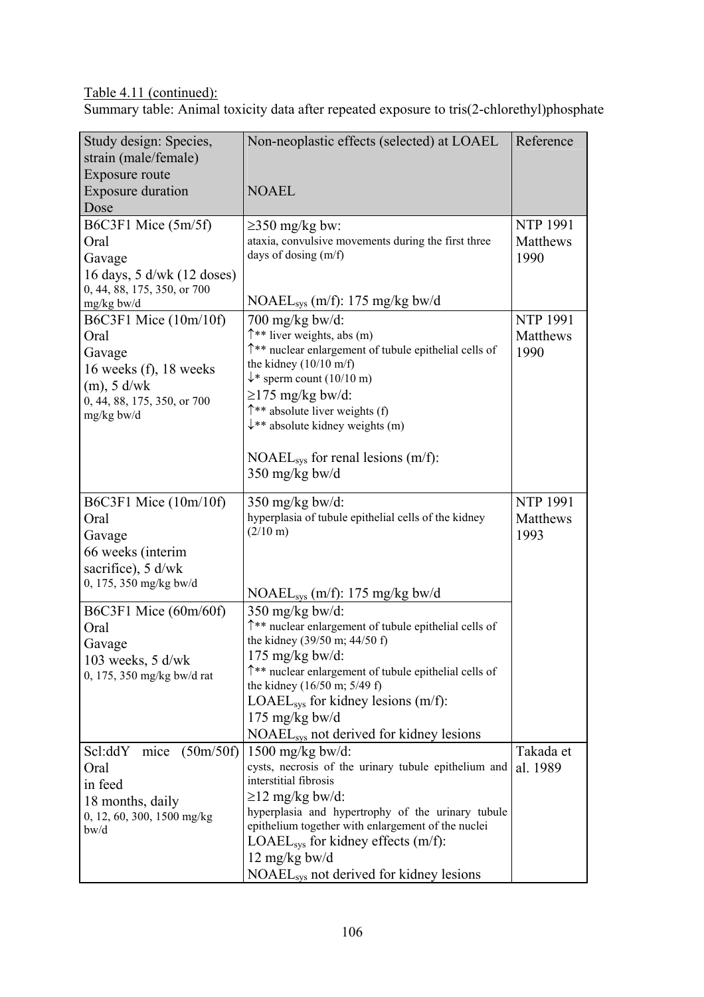Table 4.11 (continued):

Summary table: Animal toxicity data after repeated exposure to tris(2-chlorethyl)phosphate

| Study design: Species,<br>strain (male/female)<br>Exposure route                                                                      | Non-neoplastic effects (selected) at LOAEL                                                                                                                                                                                                                                                                                                                                           | Reference                           |
|---------------------------------------------------------------------------------------------------------------------------------------|--------------------------------------------------------------------------------------------------------------------------------------------------------------------------------------------------------------------------------------------------------------------------------------------------------------------------------------------------------------------------------------|-------------------------------------|
| <b>Exposure duration</b><br>Dose                                                                                                      | <b>NOAEL</b>                                                                                                                                                                                                                                                                                                                                                                         |                                     |
| B6C3F1 Mice (5m/5f)<br>Oral<br>Gavage<br>16 days, 5 d/wk (12 doses)<br>0, 44, 88, 175, 350, or 700<br>mg/kg bw/d                      | $\geq$ 350 mg/kg bw:<br>ataxia, convulsive movements during the first three<br>days of dosing $(m/f)$<br>NOAEL <sub>sys</sub> (m/f): 175 mg/kg bw/d                                                                                                                                                                                                                                  | <b>NTP 1991</b><br>Matthews<br>1990 |
| B6C3F1 Mice (10m/10f)<br>Oral<br>Gavage<br>16 weeks $(f)$ , 18 weeks<br>$(m)$ , 5 d/wk<br>0, 44, 88, 175, 350, or 700<br>$mg/kg$ bw/d | 700 mg/kg bw/d:<br>$\uparrow$ ** liver weights, abs (m)<br>$\uparrow$ ** nuclear enlargement of tubule epithelial cells of<br>the kidney (10/10 m/f)<br>$\downarrow^*$ sperm count (10/10 m)<br>$\geq$ 175 mg/kg bw/d:<br>$\uparrow$ ** absolute liver weights (f)<br>$\downarrow$ ** absolute kidney weights (m)<br>$NOAELsys$ for renal lesions (m/f):<br>$350 \text{ mg/kg}$ bw/d | <b>NTP 1991</b><br>Matthews<br>1990 |
| B6C3F1 Mice (10m/10f)<br>Oral<br>Gavage<br>66 weeks (interim<br>sacrifice), 5 d/wk<br>0, 175, 350 mg/kg bw/d                          | 350 mg/kg bw/d:<br>hyperplasia of tubule epithelial cells of the kidney<br>$(2/10 \text{ m})$<br>$NOAEL_{sys}$ (m/f): 175 mg/kg bw/d                                                                                                                                                                                                                                                 | <b>NTP 1991</b><br>Matthews<br>1993 |
| B6C3F1 Mice (60m/60f)<br>Oral<br>Gavage<br>103 weeks, 5 d/wk<br>0, 175, 350 mg/kg bw/d rat                                            | 350 mg/kg bw/d:<br><sup>1**</sup> nuclear enlargement of tubule epithelial cells of<br>the kidney (39/50 m; 44/50 f)<br>175 mg/kg bw/d:<br><sup>1**</sup> nuclear enlargement of tubule epithelial cells of<br>the kidney $(16/50 \text{ m}; 5/49 \text{ f})$<br>$LOAELsys$ for kidney lesions (m/f):<br>175 mg/kg bw/d<br>NOAEL <sub>sys</sub> not derived for kidney lesions       |                                     |
| (50m/50f)<br>Scl:ddY<br>mice<br>Oral<br>in feed<br>18 months, daily<br>0, 12, 60, 300, 1500 mg/kg<br>$b$ w/d                          | $1500$ mg/kg bw/d:<br>cysts, necrosis of the urinary tubule epithelium and<br>interstitial fibrosis<br>$\geq$ 12 mg/kg bw/d:<br>hyperplasia and hypertrophy of the urinary tubule<br>epithelium together with enlargement of the nuclei<br>$LOAELsys$ for kidney effects (m/f):<br>$12 \text{ mg/kg}$ bw/d<br>NOAEL <sub>sys</sub> not derived for kidney lesions                    | Takada et<br>al. 1989               |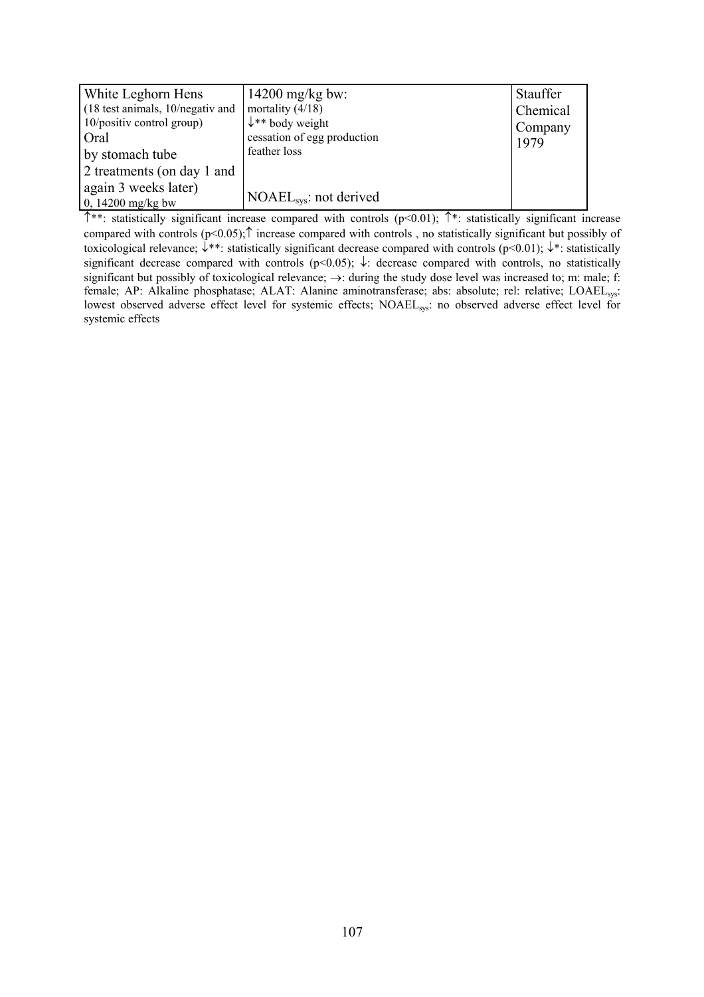| White Leghorn Hens<br>(18 test animals, 10/negativ and<br>10/positiv control group)<br>Oral<br>by stomach tube | 14200 mg/kg bw:<br>mortality $(4/18)$<br>$\downarrow^{**}$ body weight<br>cessation of egg production<br>feather loss | Stauffer<br>Chemical<br>Company<br>1979 |
|----------------------------------------------------------------------------------------------------------------|-----------------------------------------------------------------------------------------------------------------------|-----------------------------------------|
| 2 treatments (on day 1 and                                                                                     |                                                                                                                       |                                         |
| again 3 weeks later)<br>0, 14200 mg/kg bw                                                                      | NOAEL <sub>sys</sub> : not derived                                                                                    |                                         |

↑\*\*: statistically significant increase compared with controls (p<0.01); ↑\*: statistically significant increase compared with controls (p<0.05);↑ increase compared with controls , no statistically significant but possibly of toxicological relevance;  $\bar{\downarrow}$ \*\*: statistically significant decrease compared with controls (p<0.01);  $\bar{\downarrow}$ \*: statistically significant decrease compared with controls (p<0.05);  $\downarrow$ : decrease compared with controls, no statistically significant but possibly of toxicological relevance; →: during the study dose level was increased to; m: male; f: female; AP: Alkaline phosphatase; ALAT: Alanine aminotransferase; abs: absolute; rel: relative; LOAEL<sub>sys</sub>: lowest observed adverse effect level for systemic effects; NOAEL<sub>sys</sub>: no observed adverse effect level for systemic effects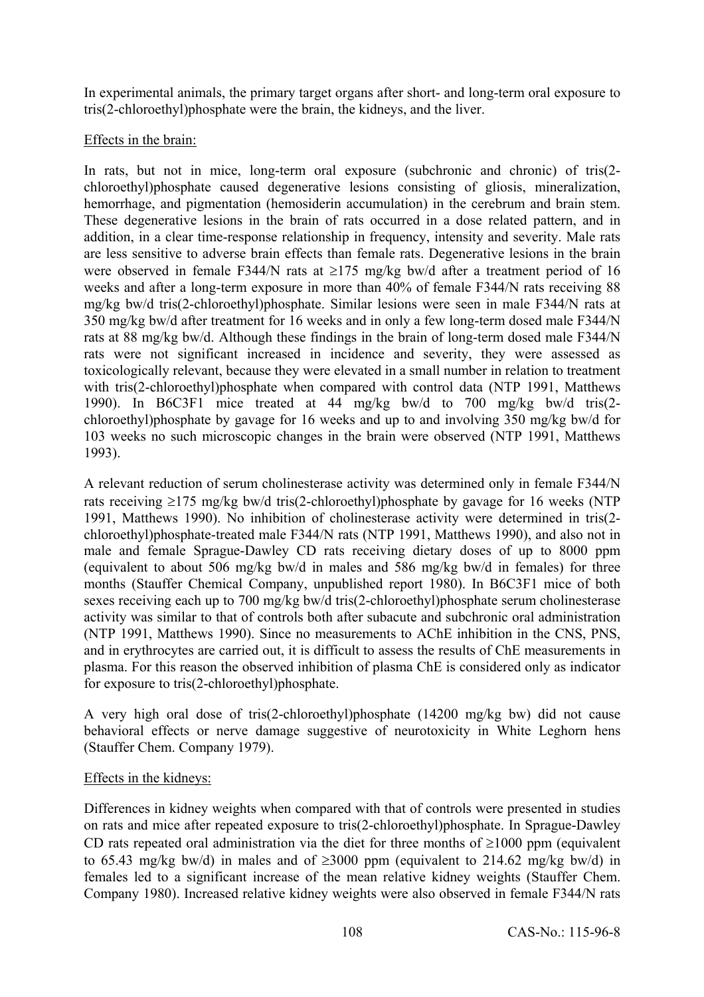In experimental animals, the primary target organs after short- and long-term oral exposure to tris(2-chloroethyl)phosphate were the brain, the kidneys, and the liver.

## Effects in the brain:

In rats, but not in mice, long-term oral exposure (subchronic and chronic) of tris(2 chloroethyl)phosphate caused degenerative lesions consisting of gliosis, mineralization, hemorrhage, and pigmentation (hemosiderin accumulation) in the cerebrum and brain stem. These degenerative lesions in the brain of rats occurred in a dose related pattern, and in addition, in a clear time-response relationship in frequency, intensity and severity. Male rats are less sensitive to adverse brain effects than female rats. Degenerative lesions in the brain were observed in female F344/N rats at ≥175 mg/kg bw/d after a treatment period of 16 weeks and after a long-term exposure in more than 40% of female F344/N rats receiving 88 mg/kg bw/d tris(2-chloroethyl)phosphate. Similar lesions were seen in male F344/N rats at 350 mg/kg bw/d after treatment for 16 weeks and in only a few long-term dosed male F344/N rats at 88 mg/kg bw/d. Although these findings in the brain of long-term dosed male F344/N rats were not significant increased in incidence and severity, they were assessed as toxicologically relevant, because they were elevated in a small number in relation to treatment with tris(2-chloroethyl)phosphate when compared with control data (NTP 1991, Matthews 1990). In B6C3F1 mice treated at 44 mg/kg bw/d to 700 mg/kg bw/d tris(2 chloroethyl)phosphate by gavage for 16 weeks and up to and involving 350 mg/kg bw/d for 103 weeks no such microscopic changes in the brain were observed (NTP 1991, Matthews 1993).

A relevant reduction of serum cholinesterase activity was determined only in female F344/N rats receiving ≥175 mg/kg bw/d tris(2-chloroethyl)phosphate by gavage for 16 weeks (NTP 1991, Matthews 1990). No inhibition of cholinesterase activity were determined in tris(2 chloroethyl)phosphate-treated male F344/N rats (NTP 1991, Matthews 1990), and also not in male and female Sprague-Dawley CD rats receiving dietary doses of up to 8000 ppm (equivalent to about 506 mg/kg bw/d in males and 586 mg/kg bw/d in females) for three months (Stauffer Chemical Company, unpublished report 1980). In B6C3F1 mice of both sexes receiving each up to 700 mg/kg bw/d tris(2-chloroethyl)phosphate serum cholinesterase activity was similar to that of controls both after subacute and subchronic oral administration (NTP 1991, Matthews 1990). Since no measurements to AChE inhibition in the CNS, PNS, and in erythrocytes are carried out, it is difficult to assess the results of ChE measurements in plasma. For this reason the observed inhibition of plasma ChE is considered only as indicator for exposure to tris(2-chloroethyl)phosphate.

A very high oral dose of tris(2-chloroethyl)phosphate (14200 mg/kg bw) did not cause behavioral effects or nerve damage suggestive of neurotoxicity in White Leghorn hens (Stauffer Chem. Company 1979).

## Effects in the kidneys:

Differences in kidney weights when compared with that of controls were presented in studies on rats and mice after repeated exposure to tris(2-chloroethyl)phosphate. In Sprague-Dawley CD rats repeated oral administration via the diet for three months of  $\geq 1000$  ppm (equivalent to 65.43 mg/kg bw/d) in males and of  $\geq 3000$  ppm (equivalent to 214.62 mg/kg bw/d) in females led to a significant increase of the mean relative kidney weights (Stauffer Chem. Company 1980). Increased relative kidney weights were also observed in female F344/N rats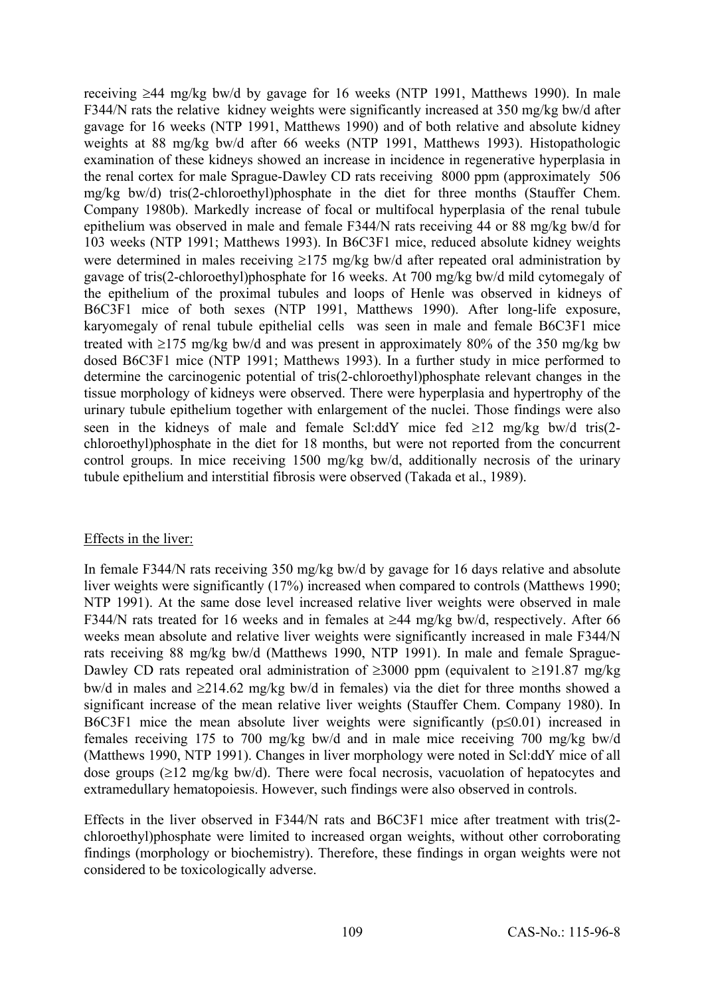receiving ≥44 mg/kg bw/d by gavage for 16 weeks (NTP 1991, Matthews 1990). In male F344/N rats the relative kidney weights were significantly increased at 350 mg/kg bw/d after gavage for 16 weeks (NTP 1991, Matthews 1990) and of both relative and absolute kidney weights at 88 mg/kg bw/d after 66 weeks (NTP 1991, Matthews 1993). Histopathologic examination of these kidneys showed an increase in incidence in regenerative hyperplasia in the renal cortex for male Sprague-Dawley CD rats receiving 8000 ppm (approximately 506 mg/kg bw/d) tris(2-chloroethyl)phosphate in the diet for three months (Stauffer Chem. Company 1980b). Markedly increase of focal or multifocal hyperplasia of the renal tubule epithelium was observed in male and female F344/N rats receiving 44 or 88 mg/kg bw/d for 103 weeks (NTP 1991; Matthews 1993). In B6C3F1 mice, reduced absolute kidney weights were determined in males receiving ≥175 mg/kg bw/d after repeated oral administration by gavage of tris(2-chloroethyl)phosphate for 16 weeks. At 700 mg/kg bw/d mild cytomegaly of the epithelium of the proximal tubules and loops of Henle was observed in kidneys of B6C3F1 mice of both sexes (NTP 1991, Matthews 1990). After long-life exposure, karyomegaly of renal tubule epithelial cells was seen in male and female B6C3F1 mice treated with  $\geq$ 175 mg/kg bw/d and was present in approximately 80% of the 350 mg/kg bw dosed B6C3F1 mice (NTP 1991; Matthews 1993). In a further study in mice performed to determine the carcinogenic potential of tris(2-chloroethyl)phosphate relevant changes in the tissue morphology of kidneys were observed. There were hyperplasia and hypertrophy of the urinary tubule epithelium together with enlargement of the nuclei. Those findings were also seen in the kidneys of male and female Scl:ddY mice fed  $\geq 12$  mg/kg bw/d tris(2chloroethyl)phosphate in the diet for 18 months, but were not reported from the concurrent control groups. In mice receiving 1500 mg/kg bw/d, additionally necrosis of the urinary tubule epithelium and interstitial fibrosis were observed (Takada et al., 1989).

#### Effects in the liver:

In female F344/N rats receiving 350 mg/kg bw/d by gavage for 16 days relative and absolute liver weights were significantly (17%) increased when compared to controls (Matthews 1990; NTP 1991). At the same dose level increased relative liver weights were observed in male F344/N rats treated for 16 weeks and in females at ≥44 mg/kg bw/d, respectively. After 66 weeks mean absolute and relative liver weights were significantly increased in male F344/N rats receiving 88 mg/kg bw/d (Matthews 1990, NTP 1991). In male and female Sprague-Dawley CD rats repeated oral administration of  $\geq 3000$  ppm (equivalent to  $\geq 191.87$  mg/kg bw/d in males and ≥214.62 mg/kg bw/d in females) via the diet for three months showed a significant increase of the mean relative liver weights (Stauffer Chem. Company 1980). In B6C3F1 mice the mean absolute liver weights were significantly (p≤0.01) increased in females receiving 175 to 700 mg/kg bw/d and in male mice receiving 700 mg/kg bw/d (Matthews 1990, NTP 1991). Changes in liver morphology were noted in Scl:ddY mice of all dose groups  $(\geq 12 \text{ mg/kg bw/d})$ . There were focal necrosis, vacuolation of hepatocytes and extramedullary hematopoiesis. However, such findings were also observed in controls.

Effects in the liver observed in F344/N rats and B6C3F1 mice after treatment with tris(2 chloroethyl)phosphate were limited to increased organ weights, without other corroborating findings (morphology or biochemistry). Therefore, these findings in organ weights were not considered to be toxicologically adverse.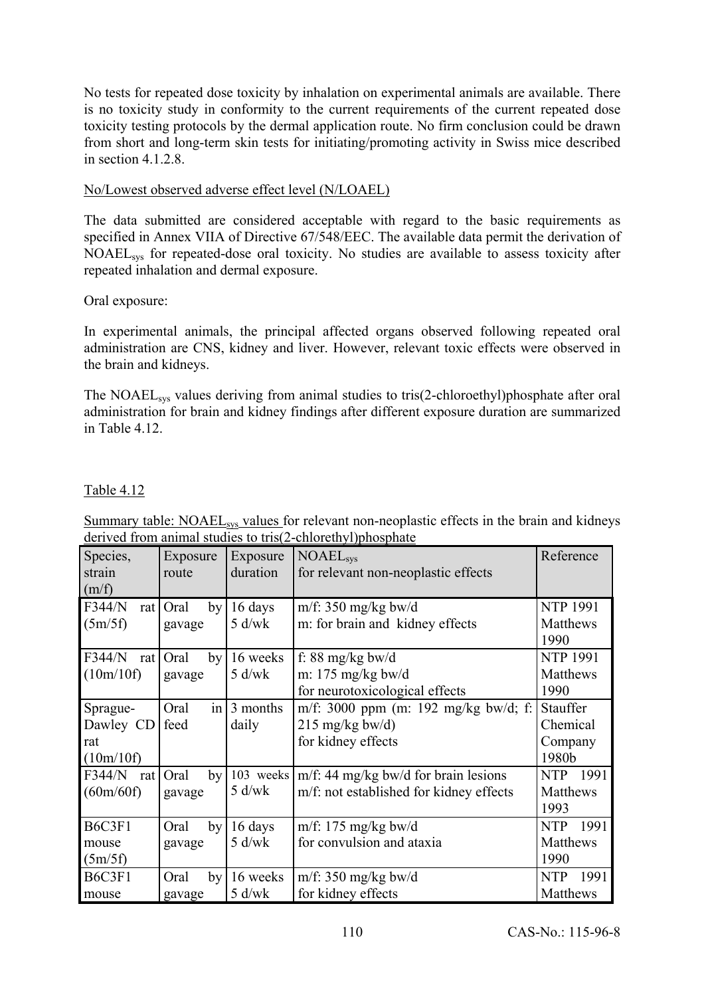No tests for repeated dose toxicity by inhalation on experimental animals are available. There is no toxicity study in conformity to the current requirements of the current repeated dose toxicity testing protocols by the dermal application route. No firm conclusion could be drawn from short and long-term skin tests for initiating/promoting activity in Swiss mice described in section 4.1.2.8.

### No/Lowest observed adverse effect level (N/LOAEL)

The data submitted are considered acceptable with regard to the basic requirements as specified in Annex VIIA of Directive 67/548/EEC. The available data permit the derivation of NOAELsys for repeated-dose oral toxicity. No studies are available to assess toxicity after repeated inhalation and dermal exposure.

### Oral exposure:

In experimental animals, the principal affected organs observed following repeated oral administration are CNS, kidney and liver. However, relevant toxic effects were observed in the brain and kidneys.

The NOAELsys values deriving from animal studies to tris(2-chloroethyl)phosphate after oral administration for brain and kidney findings after different exposure duration are summarized in Table 4.12.

# Table 4.12

| Species,<br>strain<br>(m/f) | Exposure<br>route       | Exposure<br>duration | <b>NOAEL</b> <sub>svs</sub><br>for relevant non-neoplastic effects | Reference          |
|-----------------------------|-------------------------|----------------------|--------------------------------------------------------------------|--------------------|
| F344/N<br>rat l             | by<br>Oral              | 16 days              | m/f: $350 \text{ mg/kg}$ bw/d                                      | <b>NTP 1991</b>    |
| (5m/5f)                     | gavage                  | $5$ d/wk             | m: for brain and kidney effects                                    | Matthews<br>1990   |
| F344/N<br>rat               | by <sub>l</sub><br>Oral | 16 weeks             | f: 88 mg/kg bw/d                                                   | <b>NTP 1991</b>    |
| (10m/10f)                   | gavage                  | $5$ d/wk             | m: 175 mg/kg bw/d                                                  | Matthews           |
|                             |                         |                      | for neurotoxicological effects                                     | 1990               |
| Sprague-                    | in<br>Oral              | 3 months             | m/f: 3000 ppm (m: 192 mg/kg bw/d; f:                               | <b>Stauffer</b>    |
| Dawley CD                   | feed                    | daily                | $215 \text{ mg/kg}$ bw/d)                                          | Chemical           |
| rat                         |                         |                      | for kidney effects                                                 | Company            |
| (10m/10f)                   |                         |                      |                                                                    | 1980b              |
| F344/N<br>rat               | by<br>Oral              | 103 weeks            | m/f: 44 mg/kg bw/d for brain lesions                               | <b>NTP</b><br>1991 |
| (60m/60f)                   | gavage                  | 5 d/wk               | m/f: not established for kidney effects                            | Matthews           |
|                             |                         |                      |                                                                    | 1993               |
| <b>B6C3F1</b>               | by<br>Oral              | 16 days              | m/f: $175$ mg/kg bw/d                                              | <b>NTP</b><br>1991 |
| mouse                       | gavage                  | $5$ d/wk             | for convulsion and ataxia                                          | Matthews           |
| (5m/5f)                     |                         |                      |                                                                    | 1990               |
| <b>B6C3F1</b>               | Oral<br>by <sub>l</sub> | 16 weeks             | m/f: 350 mg/kg bw/d                                                | 1991<br><b>NTP</b> |
| mouse                       | gavage                  | $5$ d/wk             | for kidney effects                                                 | Matthews           |

Summary table: NOAEL<sub>sys</sub> values for relevant non-neoplastic effects in the brain and kidneys derived from animal studies to tris(2-chlorethyl)phosphate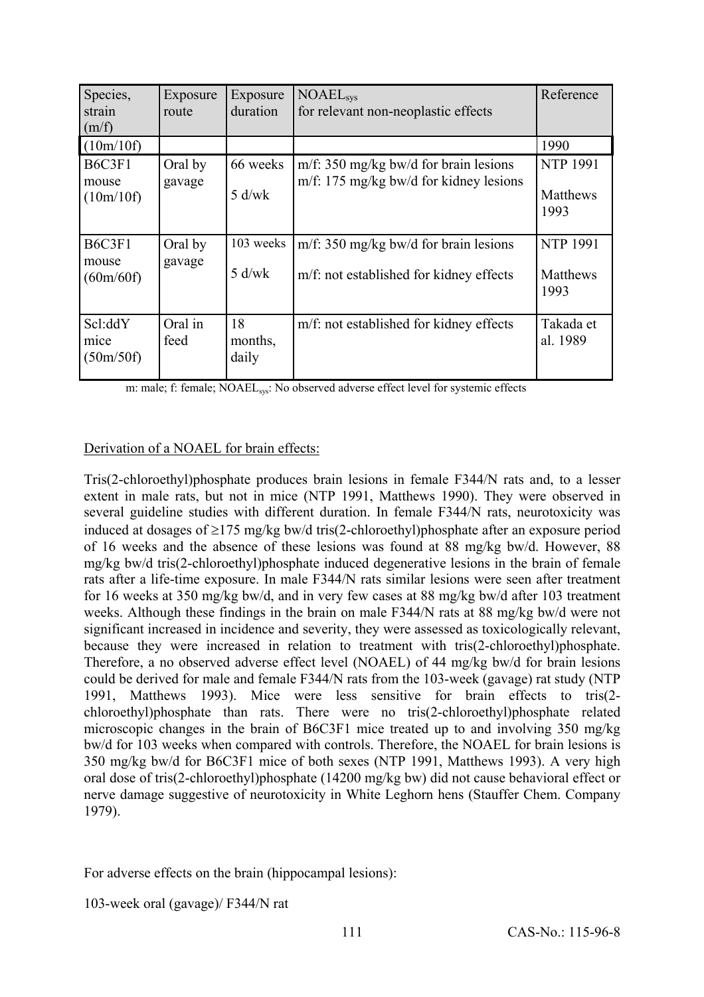| Species,<br>strain<br>(m/f)         | Exposure<br>route | Exposure<br>duration          | <b>NOAEL</b> <sub>sys</sub><br>for relevant non-neoplastic effects               | Reference                           |
|-------------------------------------|-------------------|-------------------------------|----------------------------------------------------------------------------------|-------------------------------------|
| (10m/10f)                           |                   |                               |                                                                                  | 1990                                |
| <b>B6C3F1</b><br>mouse<br>(10m/10f) | Oral by<br>gavage | 66 weeks<br>5 d/wk            | m/f: 350 mg/kg bw/d for brain lesions<br>m/f: 175 mg/kg bw/d for kidney lesions  | <b>NTP 1991</b><br>Matthews<br>1993 |
| <b>B6C3F1</b><br>mouse<br>(60m/60f) | Oral by<br>gavage | 103 weeks<br>$5 \frac{d}{wk}$ | m/f: 350 mg/kg bw/d for brain lesions<br>m/f: not established for kidney effects | <b>NTP 1991</b><br>Matthews<br>1993 |
| Scl:ddY<br>mice<br>(50m/50f)        | Oral in<br>feed   | 18<br>months,<br>daily        | m/f: not established for kidney effects                                          | Takada et<br>al. 1989               |

m: male; f: female; NOAEL<sub>sys</sub>: No observed adverse effect level for systemic effects

### Derivation of a NOAEL for brain effects:

Tris(2-chloroethyl)phosphate produces brain lesions in female F344/N rats and, to a lesser extent in male rats, but not in mice (NTP 1991, Matthews 1990). They were observed in several guideline studies with different duration. In female F344/N rats, neurotoxicity was induced at dosages of ≥175 mg/kg bw/d tris(2-chloroethyl)phosphate after an exposure period of 16 weeks and the absence of these lesions was found at 88 mg/kg bw/d. However, 88 mg/kg bw/d tris(2-chloroethyl)phosphate induced degenerative lesions in the brain of female rats after a life-time exposure. In male F344/N rats similar lesions were seen after treatment for 16 weeks at 350 mg/kg bw/d, and in very few cases at 88 mg/kg bw/d after 103 treatment weeks. Although these findings in the brain on male F344/N rats at 88 mg/kg bw/d were not significant increased in incidence and severity, they were assessed as toxicologically relevant, because they were increased in relation to treatment with tris(2-chloroethyl)phosphate. Therefore, a no observed adverse effect level (NOAEL) of 44 mg/kg bw/d for brain lesions could be derived for male and female F344/N rats from the 103-week (gavage) rat study (NTP 1991, Matthews 1993). Mice were less sensitive for brain effects to tris(2 chloroethyl)phosphate than rats. There were no tris(2-chloroethyl)phosphate related microscopic changes in the brain of B6C3F1 mice treated up to and involving 350 mg/kg bw/d for 103 weeks when compared with controls. Therefore, the NOAEL for brain lesions is 350 mg/kg bw/d for B6C3F1 mice of both sexes (NTP 1991, Matthews 1993). A very high oral dose of tris(2-chloroethyl)phosphate (14200 mg/kg bw) did not cause behavioral effect or nerve damage suggestive of neurotoxicity in White Leghorn hens (Stauffer Chem. Company 1979).

For adverse effects on the brain (hippocampal lesions):

103-week oral (gavage)/ F344/N rat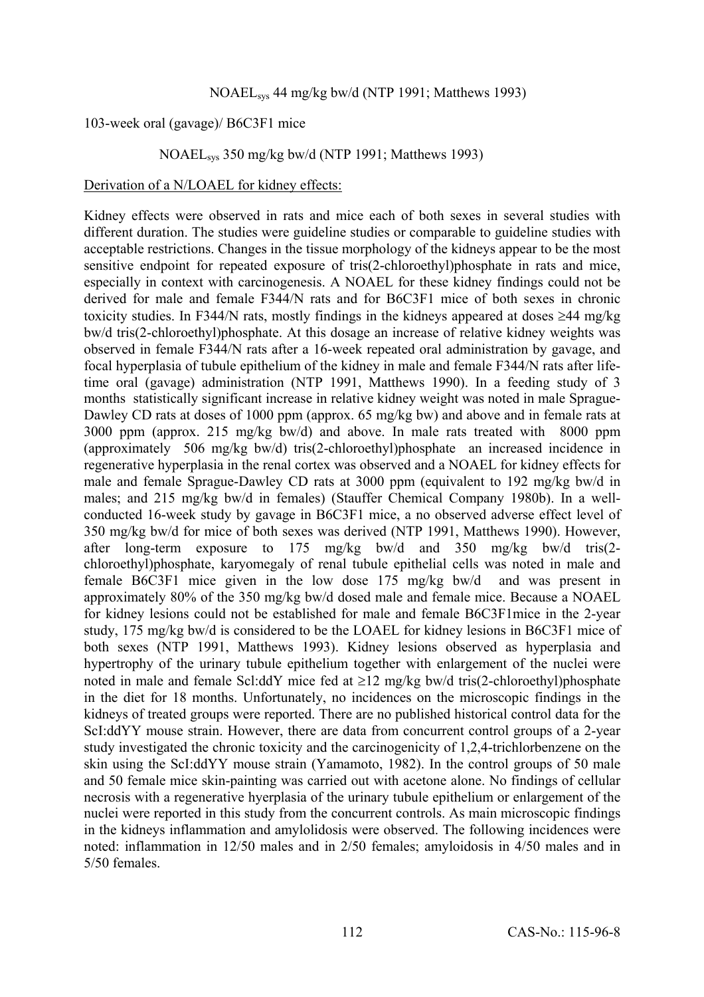NOAELsys 44 mg/kg bw/d (NTP 1991; Matthews 1993)

103-week oral (gavage)/ B6C3F1 mice

#### NOAELsys 350 mg/kg bw/d (NTP 1991; Matthews 1993)

#### Derivation of a N/LOAEL for kidney effects:

Kidney effects were observed in rats and mice each of both sexes in several studies with different duration. The studies were guideline studies or comparable to guideline studies with acceptable restrictions. Changes in the tissue morphology of the kidneys appear to be the most sensitive endpoint for repeated exposure of tris(2-chloroethyl)phosphate in rats and mice, especially in context with carcinogenesis. A NOAEL for these kidney findings could not be derived for male and female F344/N rats and for B6C3F1 mice of both sexes in chronic toxicity studies. In F344/N rats, mostly findings in the kidneys appeared at doses ≥44 mg/kg bw/d tris(2-chloroethyl)phosphate. At this dosage an increase of relative kidney weights was observed in female F344/N rats after a 16-week repeated oral administration by gavage, and focal hyperplasia of tubule epithelium of the kidney in male and female F344/N rats after lifetime oral (gavage) administration (NTP 1991, Matthews 1990). In a feeding study of 3 months statistically significant increase in relative kidney weight was noted in male Sprague-Dawley CD rats at doses of 1000 ppm (approx. 65 mg/kg bw) and above and in female rats at 3000 ppm (approx. 215 mg/kg bw/d) and above. In male rats treated with 8000 ppm (approximately 506 mg/kg bw/d) tris(2-chloroethyl)phosphate an increased incidence in regenerative hyperplasia in the renal cortex was observed and a NOAEL for kidney effects for male and female Sprague-Dawley CD rats at 3000 ppm (equivalent to 192 mg/kg bw/d in males; and 215 mg/kg bw/d in females) (Stauffer Chemical Company 1980b). In a wellconducted 16-week study by gavage in B6C3F1 mice, a no observed adverse effect level of 350 mg/kg bw/d for mice of both sexes was derived (NTP 1991, Matthews 1990). However, after long-term exposure to 175 mg/kg bw/d and 350 mg/kg bw/d tris(2 chloroethyl)phosphate, karyomegaly of renal tubule epithelial cells was noted in male and female B6C3F1 mice given in the low dose 175 mg/kg bw/d and was present in approximately 80% of the 350 mg/kg bw/d dosed male and female mice. Because a NOAEL for kidney lesions could not be established for male and female B6C3F1mice in the 2-year study, 175 mg/kg bw/d is considered to be the LOAEL for kidney lesions in B6C3F1 mice of both sexes (NTP 1991, Matthews 1993). Kidney lesions observed as hyperplasia and hypertrophy of the urinary tubule epithelium together with enlargement of the nuclei were noted in male and female Scl:ddY mice fed at ≥12 mg/kg bw/d tris(2-chloroethyl)phosphate in the diet for 18 months. Unfortunately, no incidences on the microscopic findings in the kidneys of treated groups were reported. There are no published historical control data for the ScI:ddYY mouse strain. However, there are data from concurrent control groups of a 2-year study investigated the chronic toxicity and the carcinogenicity of 1,2,4-trichlorbenzene on the skin using the ScI:ddYY mouse strain (Yamamoto, 1982). In the control groups of 50 male and 50 female mice skin-painting was carried out with acetone alone. No findings of cellular necrosis with a regenerative hyerplasia of the urinary tubule epithelium or enlargement of the nuclei were reported in this study from the concurrent controls. As main microscopic findings in the kidneys inflammation and amylolidosis were observed. The following incidences were noted: inflammation in 12/50 males and in 2/50 females; amyloidosis in 4/50 males and in 5/50 females.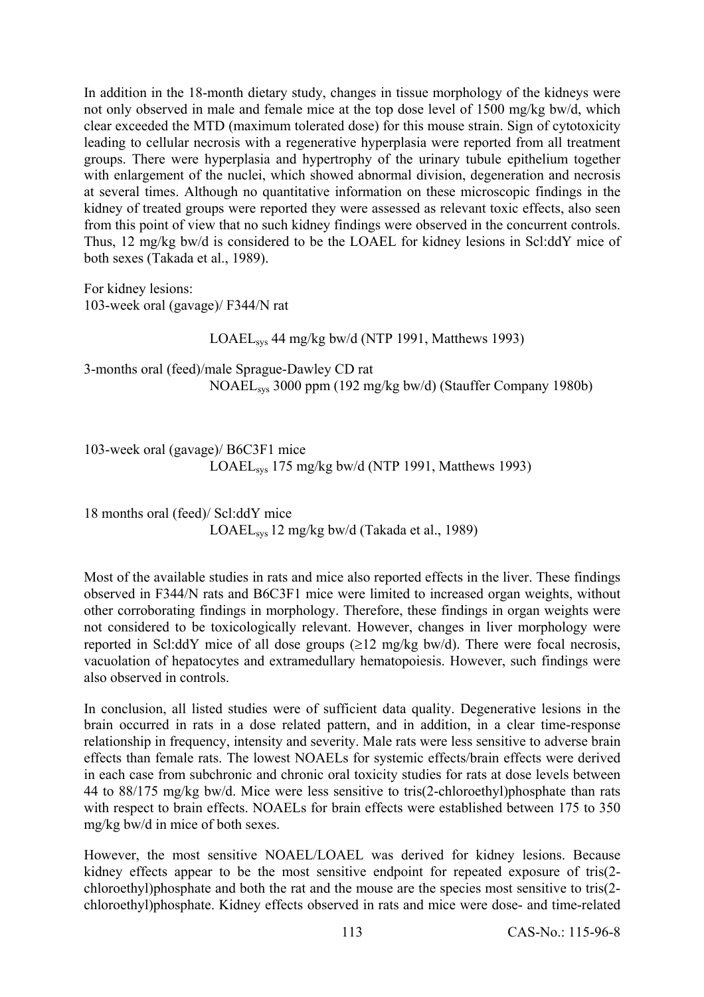In addition in the 18-month dietary study, changes in tissue morphology of the kidneys were not only observed in male and female mice at the top dose level of 1500 mg/kg bw/d, which clear exceeded the MTD (maximum tolerated dose) for this mouse strain. Sign of cytotoxicity leading to cellular necrosis with a regenerative hyperplasia were reported from all treatment groups. There were hyperplasia and hypertrophy of the urinary tubule epithelium together with enlargement of the nuclei, which showed abnormal division, degeneration and necrosis at several times. Although no quantitative information on these microscopic findings in the kidney of treated groups were reported they were assessed as relevant toxic effects, also seen from this point of view that no such kidney findings were observed in the concurrent controls. Thus, 12 mg/kg bw/d is considered to be the LOAEL for kidney lesions in Scl:ddY mice of both sexes (Takada et al., 1989).

For kidney lesions: 103-week oral (gavage)/ F344/N rat

# LOAELsys 44 mg/kg bw/d (NTP 1991, Matthews 1993)

3-months oral (feed)/male Sprague-Dawley CD rat NOAELsys 3000 ppm (192 mg/kg bw/d) (Stauffer Company 1980b)

103-week oral (gavage)/ B6C3F1 mice LOAELsys 175 mg/kg bw/d (NTP 1991, Matthews 1993)

18 months oral (feed)/ Scl:ddY mice LOAELsys 12 mg/kg bw/d (Takada et al., 1989)

Most of the available studies in rats and mice also reported effects in the liver. These findings observed in F344/N rats and B6C3F1 mice were limited to increased organ weights, without other corroborating findings in morphology. Therefore, these findings in organ weights were not considered to be toxicologically relevant. However, changes in liver morphology were reported in Scl:ddY mice of all dose groups  $(\geq 12 \text{ me/kg bw/d})$ . There were focal necrosis, vacuolation of hepatocytes and extramedullary hematopoiesis. However, such findings were also observed in controls.

In conclusion, all listed studies were of sufficient data quality. Degenerative lesions in the brain occurred in rats in a dose related pattern, and in addition, in a clear time-response relationship in frequency, intensity and severity. Male rats were less sensitive to adverse brain effects than female rats. The lowest NOAELs for systemic effects/brain effects were derived in each case from subchronic and chronic oral toxicity studies for rats at dose levels between 44 to 88/175 mg/kg bw/d. Mice were less sensitive to tris(2-chloroethyl)phosphate than rats with respect to brain effects. NOAELs for brain effects were established between 175 to 350 mg/kg bw/d in mice of both sexes.

However, the most sensitive NOAEL/LOAEL was derived for kidney lesions. Because kidney effects appear to be the most sensitive endpoint for repeated exposure of tris(2 chloroethyl)phosphate and both the rat and the mouse are the species most sensitive to tris(2 chloroethyl)phosphate. Kidney effects observed in rats and mice were dose- and time-related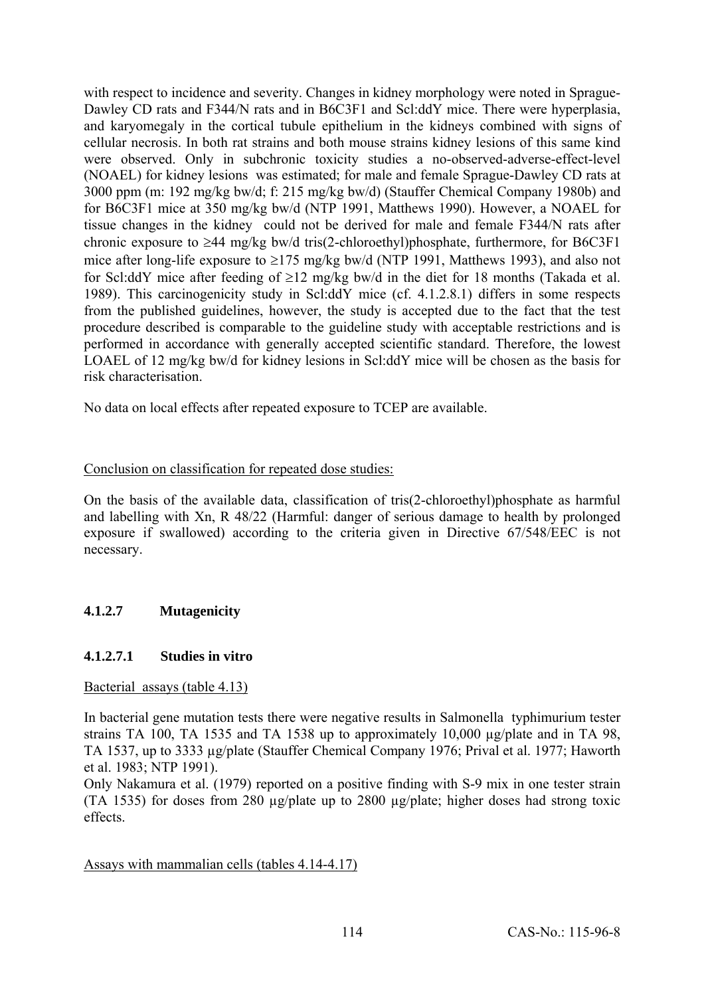with respect to incidence and severity. Changes in kidney morphology were noted in Sprague-Dawley CD rats and F344/N rats and in B6C3F1 and Scl:ddY mice. There were hyperplasia, and karyomegaly in the cortical tubule epithelium in the kidneys combined with signs of cellular necrosis. In both rat strains and both mouse strains kidney lesions of this same kind were observed. Only in subchronic toxicity studies a no-observed-adverse-effect-level (NOAEL) for kidney lesions was estimated; for male and female Sprague-Dawley CD rats at 3000 ppm (m: 192 mg/kg bw/d; f: 215 mg/kg bw/d) (Stauffer Chemical Company 1980b) and for B6C3F1 mice at 350 mg/kg bw/d (NTP 1991, Matthews 1990). However, a NOAEL for tissue changes in the kidney could not be derived for male and female F344/N rats after chronic exposure to ≥44 mg/kg bw/d tris(2-chloroethyl)phosphate, furthermore, for B6C3F1 mice after long-life exposure to  $\geq$ 175 mg/kg bw/d (NTP 1991, Matthews 1993), and also not for Scl:ddY mice after feeding of  $\geq$ 12 mg/kg bw/d in the diet for 18 months (Takada et al. 1989). This carcinogenicity study in Scl:ddY mice (cf. 4.1.2.8.1) differs in some respects from the published guidelines, however, the study is accepted due to the fact that the test procedure described is comparable to the guideline study with acceptable restrictions and is performed in accordance with generally accepted scientific standard. Therefore, the lowest LOAEL of 12 mg/kg bw/d for kidney lesions in Scl:ddY mice will be chosen as the basis for risk characterisation.

No data on local effects after repeated exposure to TCEP are available.

# Conclusion on classification for repeated dose studies:

On the basis of the available data, classification of tris(2-chloroethyl)phosphate as harmful and labelling with Xn, R 48/22 (Harmful: danger of serious damage to health by prolonged exposure if swallowed) according to the criteria given in Directive 67/548/EEC is not necessary.

# **4.1.2.7 Mutagenicity**

# **4.1.2.7.1 Studies in vitro**

### Bacterial assays (table 4.13)

In bacterial gene mutation tests there were negative results in Salmonella typhimurium tester strains TA 100, TA 1535 and TA 1538 up to approximately 10,000  $\mu$ g/plate and in TA 98. TA 1537, up to 3333 µg/plate (Stauffer Chemical Company 1976; Prival et al. 1977; Haworth et al. 1983; NTP 1991).

Only Nakamura et al. (1979) reported on a positive finding with S-9 mix in one tester strain (TA 1535) for doses from 280 µg/plate up to 2800 µg/plate; higher doses had strong toxic effects.

### Assays with mammalian cells (tables 4.14-4.17)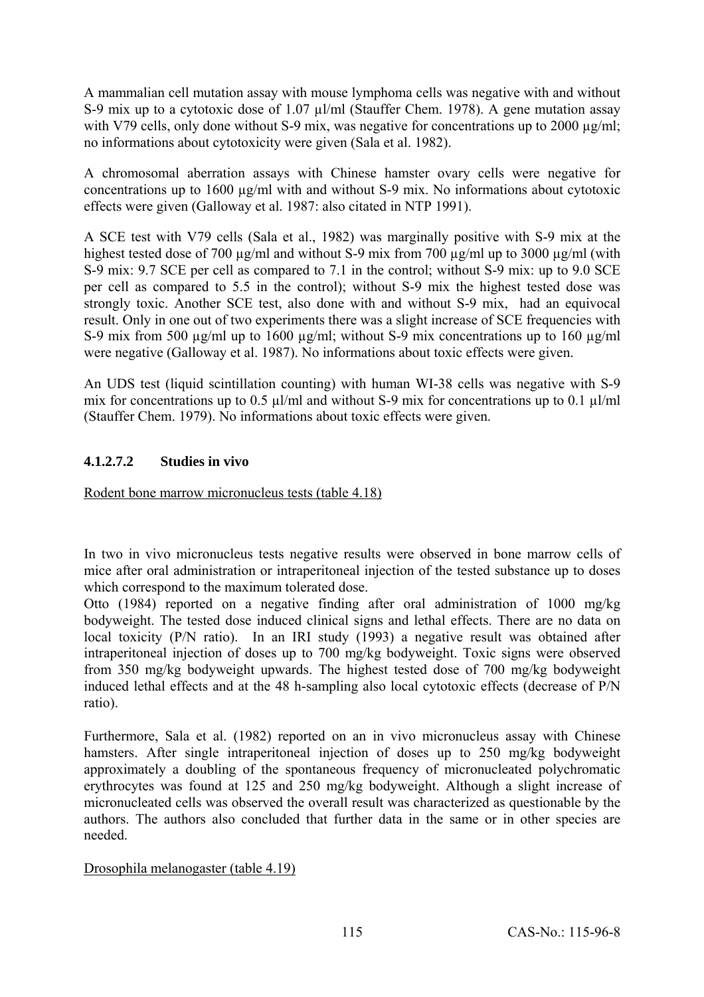A mammalian cell mutation assay with mouse lymphoma cells was negative with and without S-9 mix up to a cytotoxic dose of 1.07  $\mu$ l/ml (Stauffer Chem. 1978). A gene mutation assay with V79 cells, only done without S-9 mix, was negative for concentrations up to 2000  $\mu$ g/ml; no informations about cytotoxicity were given (Sala et al. 1982).

A chromosomal aberration assays with Chinese hamster ovary cells were negative for concentrations up to 1600 µg/ml with and without S-9 mix. No informations about cytotoxic effects were given (Galloway et al. 1987: also citated in NTP 1991).

A SCE test with V79 cells (Sala et al., 1982) was marginally positive with S-9 mix at the highest tested dose of 700  $\mu$ g/ml and without S-9 mix from 700  $\mu$ g/ml up to 3000  $\mu$ g/ml (with S-9 mix: 9.7 SCE per cell as compared to 7.1 in the control; without S-9 mix: up to 9.0 SCE per cell as compared to 5.5 in the control); without S-9 mix the highest tested dose was strongly toxic. Another SCE test, also done with and without S-9 mix, had an equivocal result. Only in one out of two experiments there was a slight increase of SCE frequencies with S-9 mix from 500  $\mu$ g/ml up to 1600  $\mu$ g/ml; without S-9 mix concentrations up to 160  $\mu$ g/ml were negative (Galloway et al. 1987). No informations about toxic effects were given.

An UDS test (liquid scintillation counting) with human WI-38 cells was negative with S-9 mix for concentrations up to 0.5  $\mu$ l/ml and without S-9 mix for concentrations up to 0.1  $\mu$ l/ml (Stauffer Chem. 1979). No informations about toxic effects were given.

# **4.1.2.7.2 Studies in vivo**

Rodent bone marrow micronucleus tests (table 4.18)

In two in vivo micronucleus tests negative results were observed in bone marrow cells of mice after oral administration or intraperitoneal injection of the tested substance up to doses which correspond to the maximum tolerated dose.

Otto (1984) reported on a negative finding after oral administration of 1000 mg/kg bodyweight. The tested dose induced clinical signs and lethal effects. There are no data on local toxicity (P/N ratio). In an IRI study (1993) a negative result was obtained after intraperitoneal injection of doses up to 700 mg/kg bodyweight. Toxic signs were observed from 350 mg/kg bodyweight upwards. The highest tested dose of 700 mg/kg bodyweight induced lethal effects and at the 48 h-sampling also local cytotoxic effects (decrease of P/N ratio).

Furthermore, Sala et al. (1982) reported on an in vivo micronucleus assay with Chinese hamsters. After single intraperitoneal injection of doses up to 250 mg/kg bodyweight approximately a doubling of the spontaneous frequency of micronucleated polychromatic erythrocytes was found at 125 and 250 mg/kg bodyweight. Although a slight increase of micronucleated cells was observed the overall result was characterized as questionable by the authors. The authors also concluded that further data in the same or in other species are needed.

Drosophila melanogaster (table 4.19)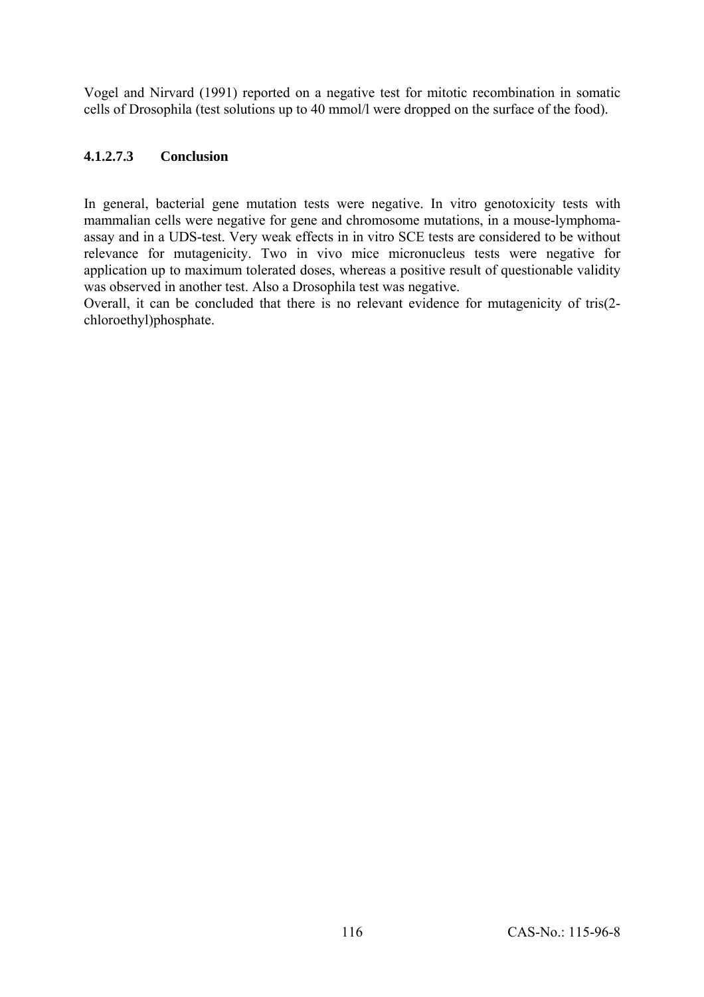Vogel and Nirvard (1991) reported on a negative test for mitotic recombination in somatic cells of Drosophila (test solutions up to 40 mmol/l were dropped on the surface of the food).

### **4.1.2.7.3 Conclusion**

In general, bacterial gene mutation tests were negative. In vitro genotoxicity tests with mammalian cells were negative for gene and chromosome mutations, in a mouse-lymphomaassay and in a UDS-test. Very weak effects in in vitro SCE tests are considered to be without relevance for mutagenicity. Two in vivo mice micronucleus tests were negative for application up to maximum tolerated doses, whereas a positive result of questionable validity was observed in another test. Also a Drosophila test was negative.

Overall, it can be concluded that there is no relevant evidence for mutagenicity of tris(2 chloroethyl)phosphate.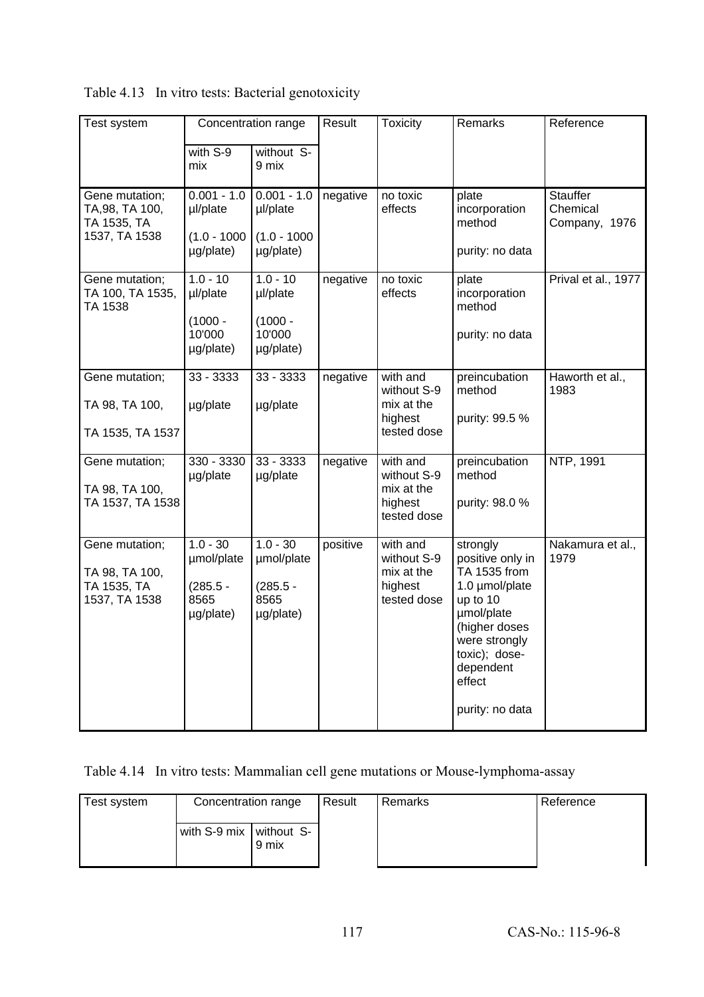| Test system                                                       |                                                             | Concentration range                                         | Result   | <b>Toxicity</b>                                                 | Remarks                                                                                                                                                                               | Reference                                    |
|-------------------------------------------------------------------|-------------------------------------------------------------|-------------------------------------------------------------|----------|-----------------------------------------------------------------|---------------------------------------------------------------------------------------------------------------------------------------------------------------------------------------|----------------------------------------------|
|                                                                   | with S-9<br>mix                                             | without S-<br>9 mix                                         |          |                                                                 |                                                                                                                                                                                       |                                              |
| Gene mutation;<br>TA, 98, TA 100,<br>TA 1535, TA<br>1537, TA 1538 | $0.001 - 1.0$<br>µl/plate<br>$(1.0 - 1000$<br>µg/plate)     | $0.001 - 1.0$<br>µl/plate<br>$(1.0 - 1000$<br>µg/plate)     | negative | no toxic<br>effects                                             | plate<br>incorporation<br>method<br>purity: no data                                                                                                                                   | <b>Stauffer</b><br>Chemical<br>Company, 1976 |
| Gene mutation;<br>TA 100, TA 1535,<br>TA 1538                     | $1.0 - 10$<br>µl/plate<br>$(1000 -$<br>10'000<br>µg/plate)  | $1.0 - 10$<br>µl/plate<br>$(1000 -$<br>10'000<br>µg/plate)  | negative | no toxic<br>effects                                             | plate<br>incorporation<br>method<br>purity: no data                                                                                                                                   | Prival et al., 1977                          |
| Gene mutation;<br>TA 98, TA 100,<br>TA 1535, TA 1537              | 33 - 3333<br>µg/plate                                       | 33 - 3333<br>µg/plate                                       | negative | with and<br>without S-9<br>mix at the<br>highest<br>tested dose | preincubation<br>method<br>purity: 99.5 %                                                                                                                                             | Haworth et al.,<br>1983                      |
| Gene mutation;<br>TA 98, TA 100,<br>TA 1537, TA 1538              | 330 - 3330<br>µg/plate                                      | 33 - 3333<br>µg/plate                                       | negative | with and<br>without S-9<br>mix at the<br>highest<br>tested dose | preincubation<br>method<br>purity: 98.0 %                                                                                                                                             | NTP, 1991                                    |
| Gene mutation;<br>TA 98, TA 100,<br>TA 1535, TA<br>1537, TA 1538  | $1.0 - 30$<br>µmol/plate<br>$(285.5 -$<br>8565<br>µg/plate) | $1.0 - 30$<br>umol/plate<br>$(285.5 -$<br>8565<br>µg/plate) | positive | with and<br>without S-9<br>mix at the<br>highest<br>tested dose | strongly<br>positive only in<br>TA 1535 from<br>1.0 µmol/plate<br>up to 10<br>µmol/plate<br>(higher doses<br>were strongly<br>toxic); dose-<br>dependent<br>effect<br>purity: no data | Nakamura et al.,<br>1979                     |

Table 4.13 In vitro tests: Bacterial genotoxicity

# Table 4.14 In vitro tests: Mammalian cell gene mutations or Mouse-lymphoma-assay

| Test system | Concentration range       |       | Result | Remarks | Reference |
|-------------|---------------------------|-------|--------|---------|-----------|
|             | with S-9 mix   without S- | 9 mix |        |         |           |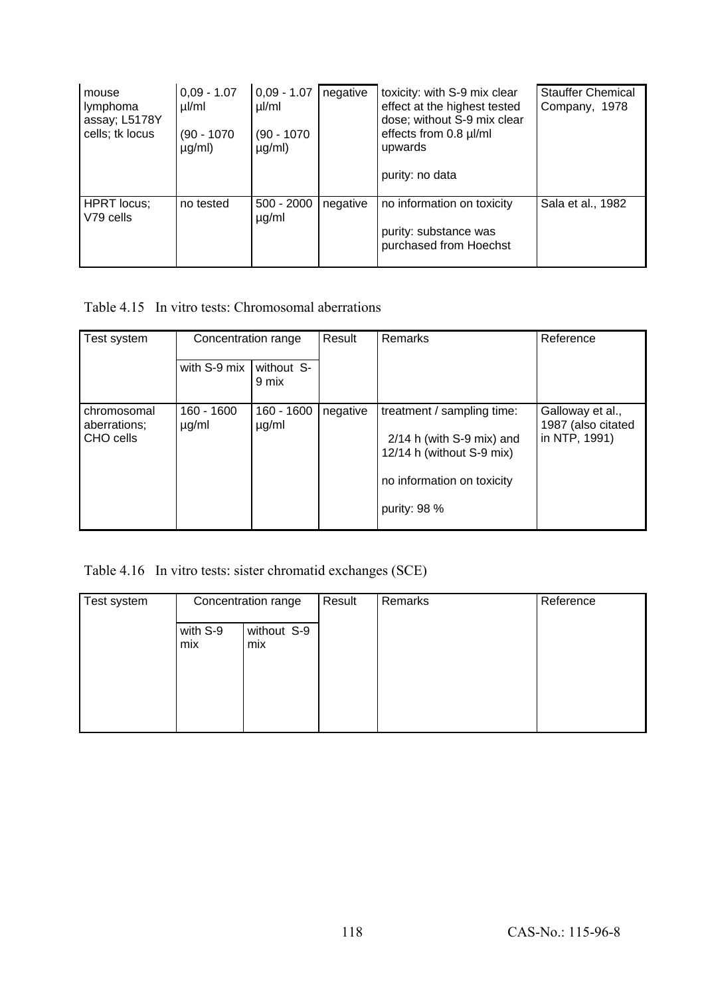| <b>mouse</b><br>lymphoma<br>assay; L5178Y<br>cells; tk locus | $0,09 - 1.07$<br>$\mu$ /ml<br>$(90 - 1070)$<br>$\mu$ g/ml) | $0,09 - 1.07$<br>$\mu$ l/ml<br>$(90 - 1070)$<br>$\mu$ g/ml) | negative | toxicity: with S-9 mix clear<br>effect at the highest tested<br>dose; without S-9 mix clear<br>effects from 0.8 µl/ml<br>upwards<br>purity: no data | <b>Stauffer Chemical</b><br>Company, 1978 |
|--------------------------------------------------------------|------------------------------------------------------------|-------------------------------------------------------------|----------|-----------------------------------------------------------------------------------------------------------------------------------------------------|-------------------------------------------|
|                                                              |                                                            |                                                             |          |                                                                                                                                                     |                                           |
| HPRT locus;<br>V79 cells                                     | no tested                                                  | $500 - 2000$<br>$\mu$ g/ml                                  | negative | no information on toxicity                                                                                                                          | Sala et al., 1982                         |
|                                                              |                                                            |                                                             |          | purity: substance was<br>purchased from Hoechst                                                                                                     |                                           |

Table 4.15 In vitro tests: Chromosomal aberrations

| Test system                              | Concentration range<br>with S-9 mix<br>without S-<br>9 mix |                     | Result   | Remarks                                                                                                                              | Reference                                               |
|------------------------------------------|------------------------------------------------------------|---------------------|----------|--------------------------------------------------------------------------------------------------------------------------------------|---------------------------------------------------------|
|                                          |                                                            |                     |          |                                                                                                                                      |                                                         |
| chromosomal<br>aberrations;<br>CHO cells | 160 - 1600<br>$\mu$ g/ml                                   | 160 - 1600<br>µg/ml | negative | treatment / sampling time:<br>$2/14$ h (with S-9 mix) and<br>12/14 h (without S-9 mix)<br>no information on toxicity<br>purity: 98 % | Galloway et al.,<br>1987 (also citated<br>in NTP, 1991) |

Table 4.16 In vitro tests: sister chromatid exchanges (SCE)

| Test system | Concentration range |                    | Result | Remarks | Reference |
|-------------|---------------------|--------------------|--------|---------|-----------|
|             | with S-9<br>mix     | without S-9<br>mix |        |         |           |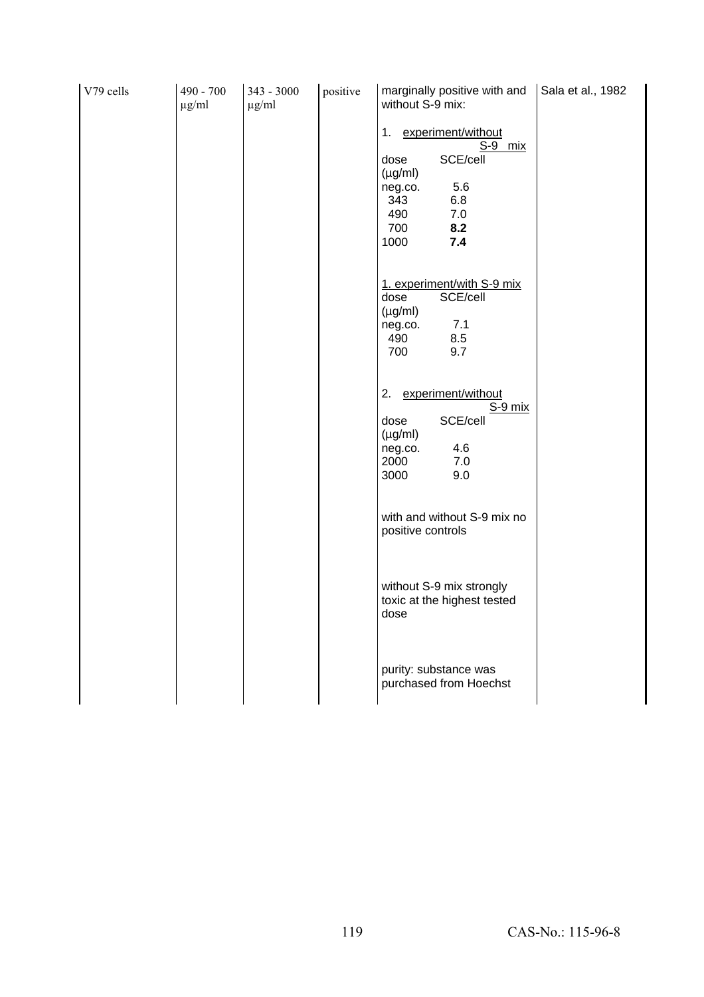| V79 cells | 490 - 700<br>$\mu g/ml$ | $343 - 3000$<br>$\mu$ g/ml | positive | marginally positive with and<br>without S-9 mix:                                                                                                   | Sala et al., 1982 |
|-----------|-------------------------|----------------------------|----------|----------------------------------------------------------------------------------------------------------------------------------------------------|-------------------|
|           |                         |                            |          | experiment/without<br>1.<br>S-9 mix<br>SCE/cell<br>dose<br>$(\mu g/ml)$<br>5.6<br>neg.co.<br>343<br>6.8<br>490<br>7.0<br>700<br>8.2<br>1000<br>7.4 |                   |
|           |                         |                            |          | 1. experiment/with S-9 mix<br>SCE/cell<br>dose<br>$(\mu g/ml)$<br>neg.co.<br>7.1<br>8.5<br>490<br>700<br>9.7                                       |                   |
|           |                         |                            |          | 2. experiment/without<br>S-9 mix<br>SCE/cell<br>dose<br>$(\mu g/ml)$<br>4.6<br>neg.co.<br>2000<br>7.0<br>3000<br>9.0                               |                   |
|           |                         |                            |          | with and without S-9 mix no<br>positive controls                                                                                                   |                   |
|           |                         |                            |          | without S-9 mix strongly<br>toxic at the highest tested<br>dose                                                                                    |                   |
|           |                         |                            |          | purity: substance was<br>purchased from Hoechst                                                                                                    |                   |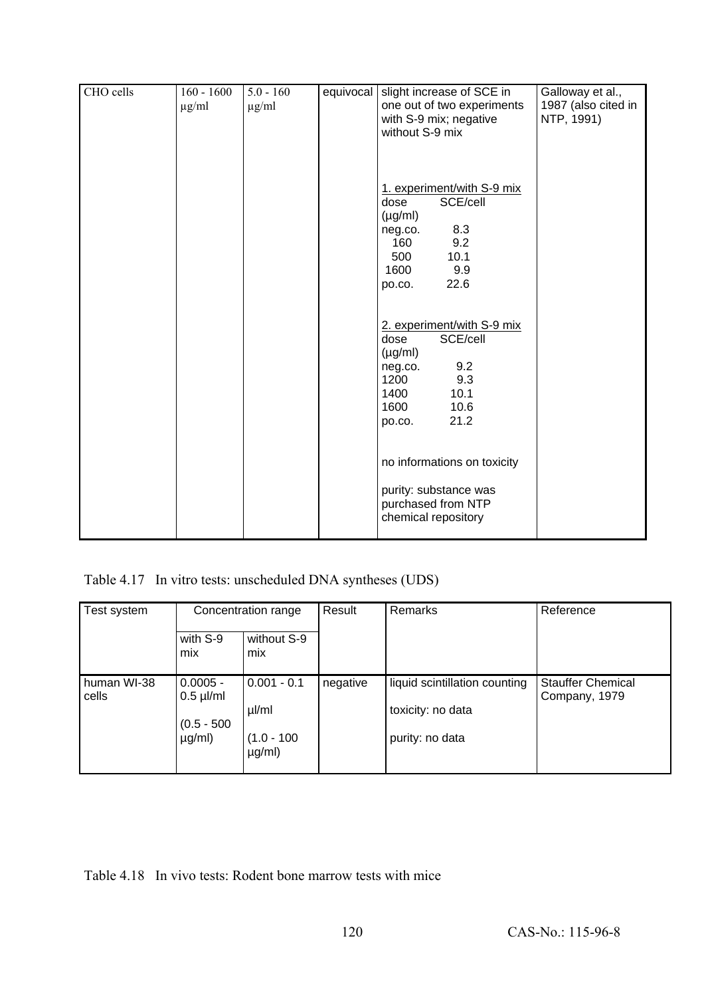| CHO cells | $160 - 1600$<br>$\mu$ g/ml | $5.0 - 160$<br>$\mu$ g/ml | equivocal | slight increase of SCE in<br>one out of two experiments<br>with S-9 mix; negative<br>without S-9 mix                                              | Galloway et al.,<br>1987 (also cited in<br>NTP, 1991) |
|-----------|----------------------------|---------------------------|-----------|---------------------------------------------------------------------------------------------------------------------------------------------------|-------------------------------------------------------|
|           |                            |                           |           | 1. experiment/with S-9 mix<br>SCE/cell<br>dose<br>$(\mu g/ml)$<br>8.3<br>neg.co.<br>9.2<br>160<br>10.1<br>500<br>1600<br>9.9<br>22.6<br>po.co.    |                                                       |
|           |                            |                           |           | 2. experiment/with S-9 mix<br>SCE/cell<br>dose<br>$(\mu g/ml)$<br>9.2<br>neg.co.<br>1200<br>9.3<br>1400<br>10.1<br>1600<br>10.6<br>21.2<br>po.co. |                                                       |
|           |                            |                           |           | no informations on toxicity<br>purity: substance was<br>purchased from NTP<br>chemical repository                                                 |                                                       |

Table 4.17 In vitro tests: unscheduled DNA syntheses (UDS)

| Test system   | Concentration range |                              | Result   | <b>Remarks</b>                | Reference                |
|---------------|---------------------|------------------------------|----------|-------------------------------|--------------------------|
|               | with S-9<br>mix     | without S-9<br>mix           |          |                               |                          |
| human WI-38   | $0.0005 -$          | $0.001 - 0.1$                | negative | liquid scintillation counting | <b>Stauffer Chemical</b> |
| cells         | $0.5$ µl/ml         |                              |          |                               | Company, 1979            |
|               |                     | $\mu$ /ml                    |          | toxicity: no data             |                          |
| $(0.5 - 500)$ |                     |                              |          |                               |                          |
|               | $\mu$ g/ml)         | $(1.0 - 100)$<br>$\mu$ g/ml) |          | purity: no data               |                          |

Table 4.18 In vivo tests: Rodent bone marrow tests with mice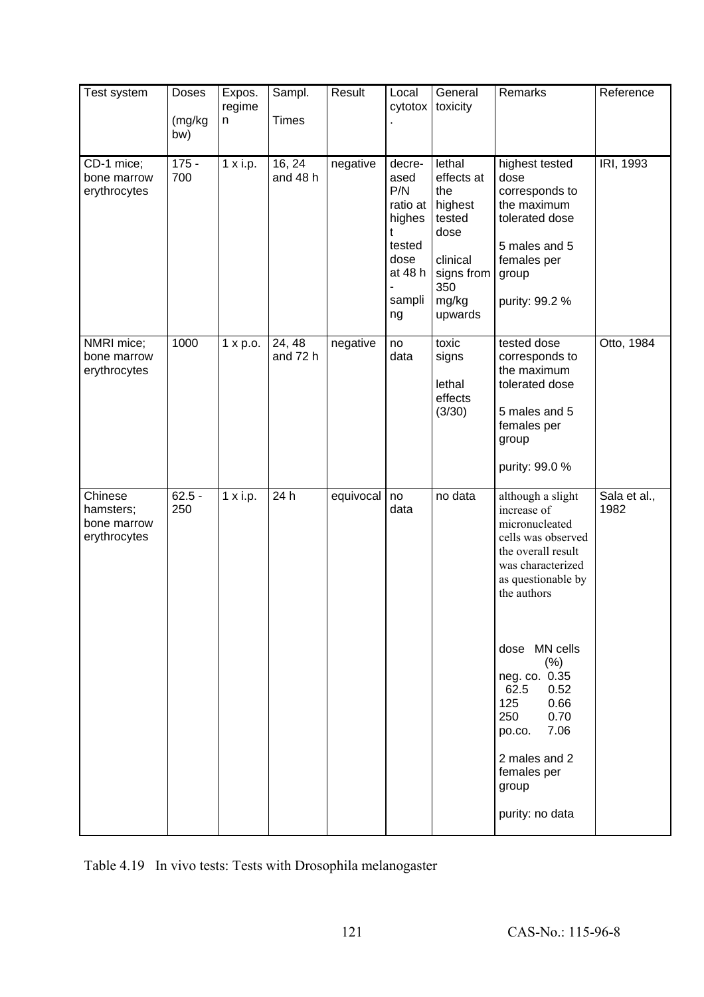| Test system                                         | Doses<br>(mg/kg<br>bw) | Expos.<br>regime<br>n      | Sampl.<br><b>Times</b> | Result    | Local<br>cytotox                                                                              | General<br>toxicity                                                                                           | Remarks                                                                                                                                                                                                                                                                                                                        | Reference            |
|-----------------------------------------------------|------------------------|----------------------------|------------------------|-----------|-----------------------------------------------------------------------------------------------|---------------------------------------------------------------------------------------------------------------|--------------------------------------------------------------------------------------------------------------------------------------------------------------------------------------------------------------------------------------------------------------------------------------------------------------------------------|----------------------|
| CD-1 mice;<br>bone marrow<br>erythrocytes           | $175 -$<br>700         | $\overline{1 \times i.p.}$ | 16, 24<br>and 48 h     | negative  | decre-<br>ased<br>P/N<br>ratio at<br>highes<br>t<br>tested<br>dose<br>at 48 h<br>sampli<br>ng | lethal<br>effects at<br>the<br>highest<br>tested<br>dose<br>clinical<br>signs from<br>350<br>mg/kg<br>upwards | highest tested<br>dose<br>corresponds to<br>the maximum<br>tolerated dose<br>5 males and 5<br>females per<br>group<br>purity: 99.2 %                                                                                                                                                                                           | IRI, 1993            |
| NMRI mice;<br>bone marrow<br>erythrocytes           | 1000                   | 1 x p.o.                   | 24, 48<br>and 72 h     | negative  | no<br>data                                                                                    | toxic<br>signs<br>lethal<br>effects<br>(3/30)                                                                 | tested dose<br>corresponds to<br>the maximum<br>tolerated dose<br>5 males and 5<br>females per<br>group<br>purity: 99.0 %                                                                                                                                                                                                      | Otto, 1984           |
| Chinese<br>hamsters;<br>bone marrow<br>erythrocytes | $62.5 -$<br>250        | $1 \times i.p.$            | 24 h                   | equivocal | no<br>data                                                                                    | no data                                                                                                       | although a slight<br>increase of<br>micronucleated<br>cells was observed<br>the overall result<br>was characterized<br>as questionable by<br>the authors<br>dose MN cells<br>(% )<br>neg. co. 0.35<br>62.5<br>0.52<br>125<br>0.66<br>250<br>0.70<br>7.06<br>po.co.<br>2 males and 2<br>females per<br>group<br>purity: no data | Sala et al.,<br>1982 |

Table 4.19 In vivo tests: Tests with Drosophila melanogaster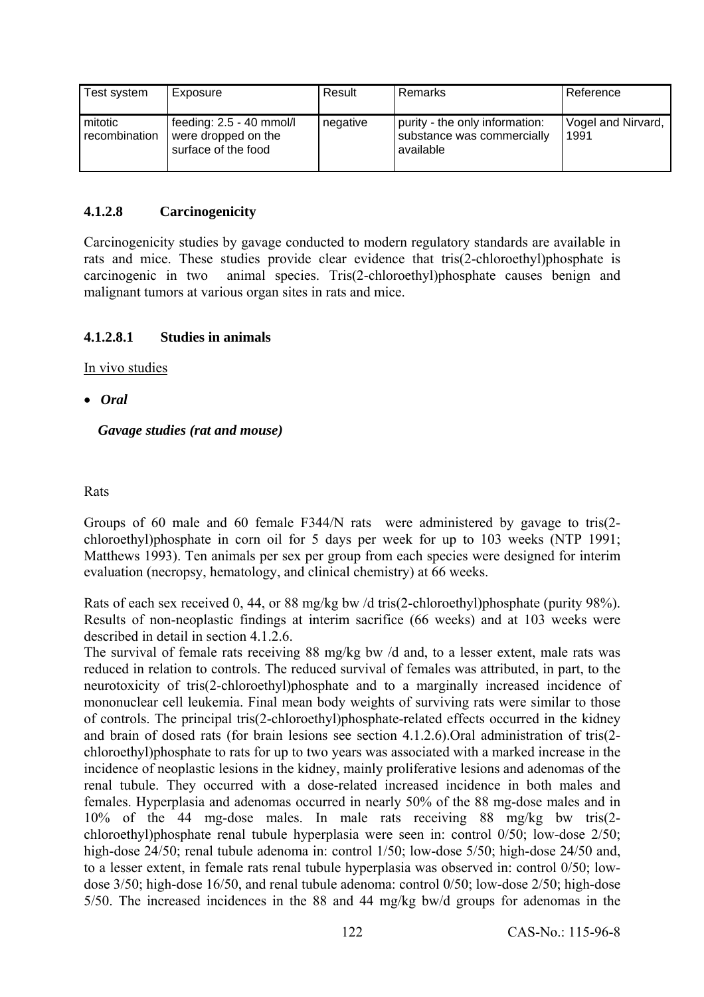| Test system              | Exposure                                                                 | Result   | Remarks                                                                   | Reference                  |
|--------------------------|--------------------------------------------------------------------------|----------|---------------------------------------------------------------------------|----------------------------|
| mitotic<br>recombination | feeding: $2.5 - 40$ mmol/l<br>were dropped on the<br>surface of the food | negative | purity - the only information:<br>substance was commercially<br>available | Vogel and Nirvard,<br>1991 |

### **4.1.2.8 Carcinogenicity**

Carcinogenicity studies by gavage conducted to modern regulatory standards are available in rats and mice. These studies provide clear evidence that tris(2-chloroethyl)phosphate is carcinogenic in two animal species. Tris(2-chloroethyl)phosphate causes benign and malignant tumors at various organ sites in rats and mice.

### **4.1.2.8.1 Studies in animals**

In vivo studies

• *Oral* 

### *Gavage studies (rat and mouse)*

#### Rats

Groups of 60 male and 60 female F344/N rats were administered by gavage to tris(2 chloroethyl)phosphate in corn oil for 5 days per week for up to 103 weeks (NTP 1991; Matthews 1993). Ten animals per sex per group from each species were designed for interim evaluation (necropsy, hematology, and clinical chemistry) at 66 weeks.

Rats of each sex received 0, 44, or 88 mg/kg bw /d tris(2-chloroethyl)phosphate (purity 98%). Results of non-neoplastic findings at interim sacrifice (66 weeks) and at 103 weeks were described in detail in section 4.1.2.6.

The survival of female rats receiving 88 mg/kg bw /d and, to a lesser extent, male rats was reduced in relation to controls. The reduced survival of females was attributed, in part, to the neurotoxicity of tris(2-chloroethyl)phosphate and to a marginally increased incidence of mononuclear cell leukemia. Final mean body weights of surviving rats were similar to those of controls. The principal tris(2-chloroethyl)phosphate-related effects occurred in the kidney and brain of dosed rats (for brain lesions see section 4.1.2.6).Oral administration of tris(2 chloroethyl)phosphate to rats for up to two years was associated with a marked increase in the incidence of neoplastic lesions in the kidney, mainly proliferative lesions and adenomas of the renal tubule. They occurred with a dose-related increased incidence in both males and females. Hyperplasia and adenomas occurred in nearly 50% of the 88 mg-dose males and in 10% of the 44 mg-dose males. In male rats receiving 88 mg/kg bw tris(2 chloroethyl)phosphate renal tubule hyperplasia were seen in: control 0/50; low-dose 2/50; high-dose 24/50; renal tubule adenoma in: control 1/50; low-dose 5/50; high-dose 24/50 and, to a lesser extent, in female rats renal tubule hyperplasia was observed in: control 0/50; lowdose 3/50; high-dose 16/50, and renal tubule adenoma: control 0/50; low-dose 2/50; high-dose 5/50. The increased incidences in the 88 and 44 mg/kg bw/d groups for adenomas in the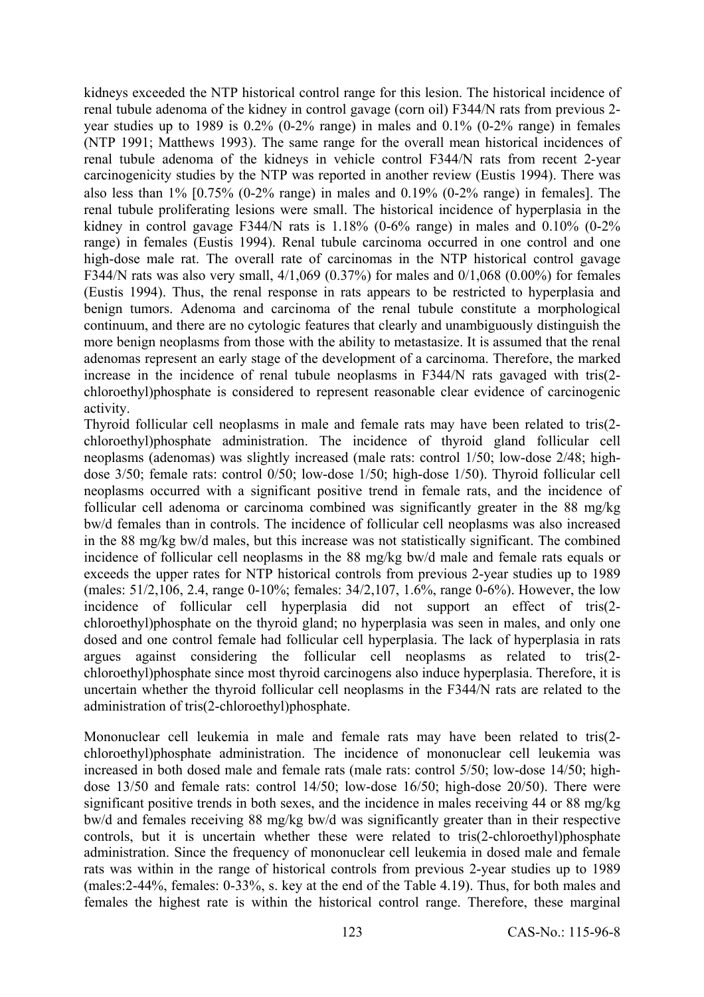kidneys exceeded the NTP historical control range for this lesion. The historical incidence of renal tubule adenoma of the kidney in control gavage (corn oil) F344/N rats from previous 2 year studies up to 1989 is 0.2% (0-2% range) in males and 0.1% (0-2% range) in females (NTP 1991; Matthews 1993). The same range for the overall mean historical incidences of renal tubule adenoma of the kidneys in vehicle control F344/N rats from recent 2-year carcinogenicity studies by the NTP was reported in another review (Eustis 1994). There was also less than  $1\%$  [0.75% (0-2% range) in males and 0.19% (0-2% range) in females]. The renal tubule proliferating lesions were small. The historical incidence of hyperplasia in the kidney in control gavage F344/N rats is  $1.18\%$  (0-6% range) in males and 0.10% (0-2% range) in females (Eustis 1994). Renal tubule carcinoma occurred in one control and one high-dose male rat. The overall rate of carcinomas in the NTP historical control gavage F344/N rats was also very small, 4/1,069 (0.37%) for males and 0/1,068 (0.00%) for females (Eustis 1994). Thus, the renal response in rats appears to be restricted to hyperplasia and benign tumors. Adenoma and carcinoma of the renal tubule constitute a morphological continuum, and there are no cytologic features that clearly and unambiguously distinguish the more benign neoplasms from those with the ability to metastasize. It is assumed that the renal adenomas represent an early stage of the development of a carcinoma. Therefore, the marked increase in the incidence of renal tubule neoplasms in F344/N rats gavaged with tris(2 chloroethyl)phosphate is considered to represent reasonable clear evidence of carcinogenic activity.

Thyroid follicular cell neoplasms in male and female rats may have been related to tris(2 chloroethyl)phosphate administration. The incidence of thyroid gland follicular cell neoplasms (adenomas) was slightly increased (male rats: control 1/50; low-dose 2/48; highdose 3/50; female rats: control 0/50; low-dose 1/50; high-dose 1/50). Thyroid follicular cell neoplasms occurred with a significant positive trend in female rats, and the incidence of follicular cell adenoma or carcinoma combined was significantly greater in the 88 mg/kg bw/d females than in controls. The incidence of follicular cell neoplasms was also increased in the 88 mg/kg bw/d males, but this increase was not statistically significant. The combined incidence of follicular cell neoplasms in the 88 mg/kg bw/d male and female rats equals or exceeds the upper rates for NTP historical controls from previous 2-year studies up to 1989 (males: 51/2,106, 2.4, range 0-10%; females: 34/2,107, 1.6%, range 0-6%). However, the low incidence of follicular cell hyperplasia did not support an effect of tris(2 chloroethyl)phosphate on the thyroid gland; no hyperplasia was seen in males, and only one dosed and one control female had follicular cell hyperplasia. The lack of hyperplasia in rats argues against considering the follicular cell neoplasms as related to tris(2 chloroethyl)phosphate since most thyroid carcinogens also induce hyperplasia. Therefore, it is uncertain whether the thyroid follicular cell neoplasms in the F344/N rats are related to the administration of tris(2-chloroethyl)phosphate.

Mononuclear cell leukemia in male and female rats may have been related to tris(2 chloroethyl)phosphate administration. The incidence of mononuclear cell leukemia was increased in both dosed male and female rats (male rats: control 5/50; low-dose 14/50; highdose 13/50 and female rats: control 14/50; low-dose 16/50; high-dose 20/50). There were significant positive trends in both sexes, and the incidence in males receiving 44 or 88 mg/kg bw/d and females receiving 88 mg/kg bw/d was significantly greater than in their respective controls, but it is uncertain whether these were related to tris(2-chloroethyl)phosphate administration. Since the frequency of mononuclear cell leukemia in dosed male and female rats was within in the range of historical controls from previous 2-year studies up to 1989 (males:2-44%, females: 0-33%, s. key at the end of the Table 4.19). Thus, for both males and females the highest rate is within the historical control range. Therefore, these marginal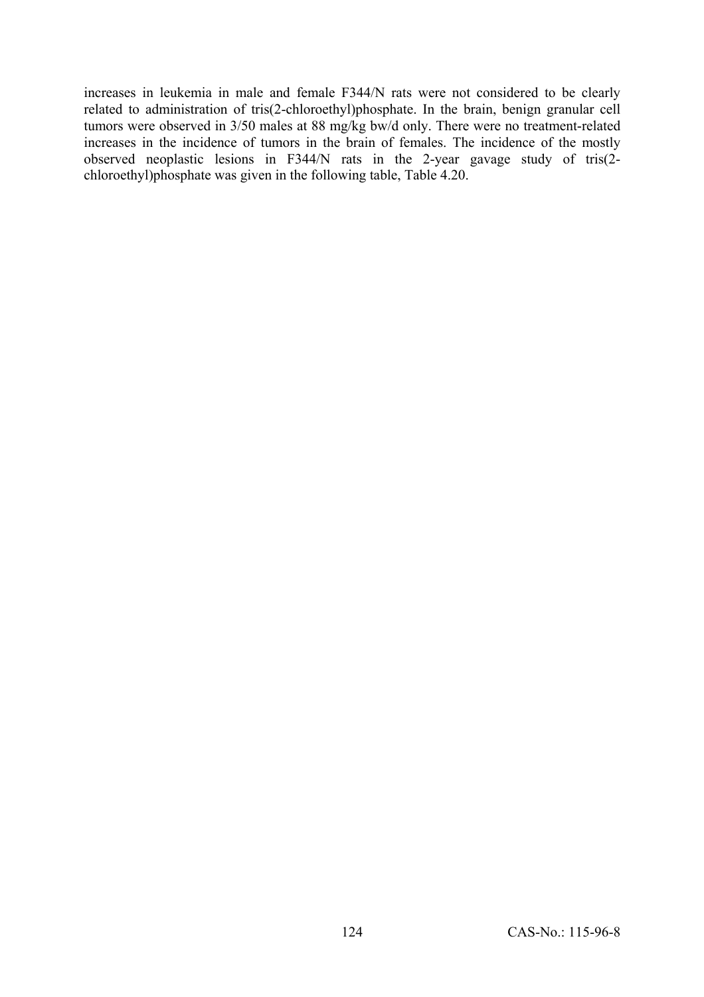increases in leukemia in male and female F344/N rats were not considered to be clearly related to administration of tris(2-chloroethyl)phosphate. In the brain, benign granular cell tumors were observed in 3/50 males at 88 mg/kg bw/d only. There were no treatment-related increases in the incidence of tumors in the brain of females. The incidence of the mostly observed neoplastic lesions in F344/N rats in the 2-year gavage study of tris(2 chloroethyl)phosphate was given in the following table, Table 4.20.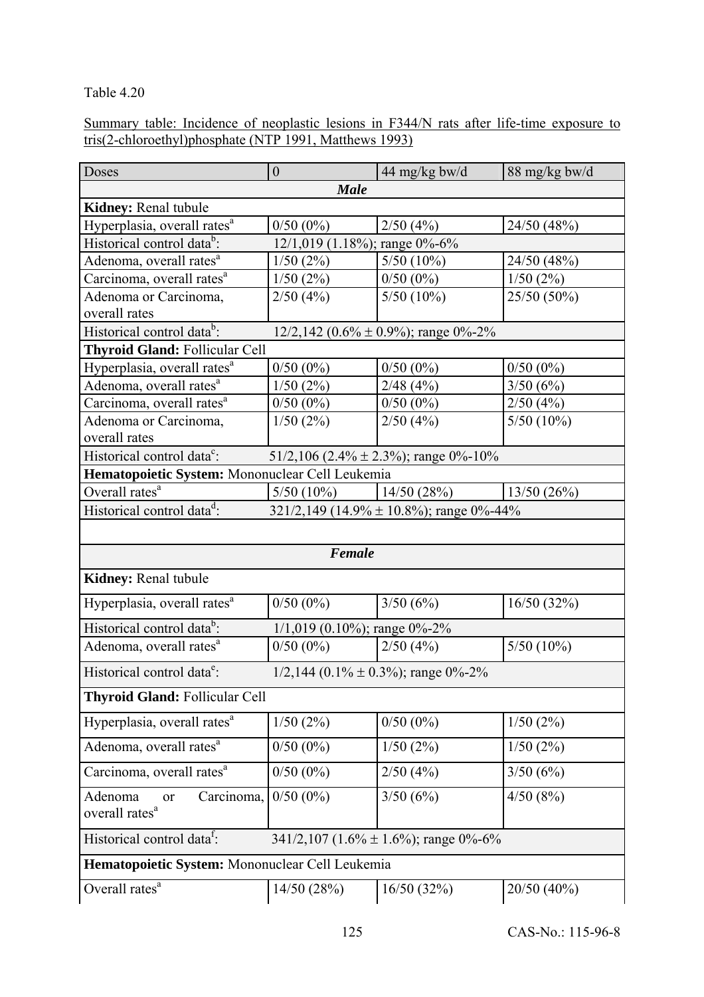# Table 4.20

### Summary table: Incidence of neoplastic lesions in F344/N rats after life-time exposure to tris(2-chloroethyl)phosphate (NTP 1991, Matthews 1993)

| Doses                                                     | $\mathbf{0}$                                                                       | 44 mg/kg bw/d                               | 88 mg/kg bw/d |  |  |  |  |
|-----------------------------------------------------------|------------------------------------------------------------------------------------|---------------------------------------------|---------------|--|--|--|--|
| <b>Male</b>                                               |                                                                                    |                                             |               |  |  |  |  |
| <b>Kidney: Renal tubule</b>                               |                                                                                    |                                             |               |  |  |  |  |
| Hyperplasia, overall rates <sup>a</sup>                   | $0/50(0\%)$                                                                        | 2/50(4%)                                    | 24/50 (48%)   |  |  |  |  |
| Historical control data <sup>b</sup> :                    | 12/1,019 (1.18%); range 0%-6%                                                      |                                             |               |  |  |  |  |
| Adenoma, overall rates <sup>a</sup>                       | 1/50(2%)                                                                           | $5/50(10\%)$                                | 24/50 (48%)   |  |  |  |  |
| Carcinoma, overall rates <sup>a</sup>                     | 1/50(2%)                                                                           | $0/50(0\%)$                                 | 1/50(2%)      |  |  |  |  |
| Adenoma or Carcinoma,                                     | 2/50(4%)                                                                           | $5/50(10\%)$                                | $25/50(50\%)$ |  |  |  |  |
| overall rates                                             |                                                                                    |                                             |               |  |  |  |  |
| Historical control data <sup>b</sup> :                    |                                                                                    | $12/2,142$ (0.6% $\pm$ 0.9%); range 0%-2%   |               |  |  |  |  |
| <b>Thyroid Gland: Follicular Cell</b>                     |                                                                                    |                                             |               |  |  |  |  |
| Hyperplasia, overall rates <sup>a</sup>                   | $0/50(0\%)$                                                                        | $0/50(0\%)$                                 | $0/50(0\%)$   |  |  |  |  |
| Adenoma, overall rates <sup>a</sup>                       | 1/50(2%)                                                                           | $2/48$ (4%)                                 | 3/50(6%)      |  |  |  |  |
| Carcinoma, overall rates <sup>a</sup>                     | $0/50(0\%)$                                                                        | $0/50(0\%)$                                 | 2/50(4%)      |  |  |  |  |
| Adenoma or Carcinoma,                                     | 1/50(2%)                                                                           | 2/50(4%)                                    | $5/50(10\%)$  |  |  |  |  |
| overall rates                                             |                                                                                    |                                             |               |  |  |  |  |
|                                                           | Historical control data <sup>c</sup> :<br>51/2,106 (2.4% $\pm$ 2.3%); range 0%-10% |                                             |               |  |  |  |  |
| Hematopoietic System: Mononuclear Cell Leukemia           |                                                                                    |                                             |               |  |  |  |  |
| Overall rates <sup>a</sup>                                | $5/50(10\%)$                                                                       | 14/50(28%)                                  | 13/50(26%)    |  |  |  |  |
| Historical control data <sup>d</sup> :                    |                                                                                    | 321/2,149 (14.9% $\pm$ 10.8%); range 0%-44% |               |  |  |  |  |
|                                                           |                                                                                    |                                             |               |  |  |  |  |
|                                                           | Female                                                                             |                                             |               |  |  |  |  |
| <b>Kidney: Renal tubule</b>                               |                                                                                    |                                             |               |  |  |  |  |
| Hyperplasia, overall rates <sup>a</sup>                   | $0/50(0\%)$                                                                        | 3/50(6%)                                    | 16/50 (32%)   |  |  |  |  |
| Historical control data <sup>b</sup> :                    | $1/1,019$ (0.10%); range 0%-2%                                                     |                                             |               |  |  |  |  |
| Adenoma, overall rates <sup>a</sup>                       | $0/50(0\%)$                                                                        | 2/50(4%)                                    | $5/50(10\%)$  |  |  |  |  |
| Historical control data <sup>e</sup> :                    |                                                                                    | $1/2$ , 144 (0.1% ± 0.3%); range 0%-2%      |               |  |  |  |  |
| Thyroid Gland: Follicular Cell                            |                                                                                    |                                             |               |  |  |  |  |
| Hyperplasia, overall rates <sup>a</sup>                   | 1/50(2%)                                                                           | $0/50(0\%)$                                 | 1/50(2%)      |  |  |  |  |
| Adenoma, overall rates <sup>a</sup>                       | $0/50(0\%)$                                                                        | 1/50(2%)                                    | 1/50(2%)      |  |  |  |  |
| Carcinoma, overall rates <sup>a</sup>                     | $0/50(0\%)$                                                                        | 2/50(4%)                                    | 3/50(6%)      |  |  |  |  |
| Adenoma<br>Carcinoma,<br>or<br>overall rates <sup>a</sup> | $0/50(0\%)$                                                                        | 3/50(6%)                                    | 4/50(8%)      |  |  |  |  |
| Historical control data <sup>1</sup> :                    | 341/2,107 (1.6% $\pm$ 1.6%); range 0%-6%                                           |                                             |               |  |  |  |  |
| Hematopoietic System: Mononuclear Cell Leukemia           |                                                                                    |                                             |               |  |  |  |  |
| Overall rates <sup>a</sup>                                | 14/50(28%)                                                                         | 16/50(32%)                                  | 20/50 (40%)   |  |  |  |  |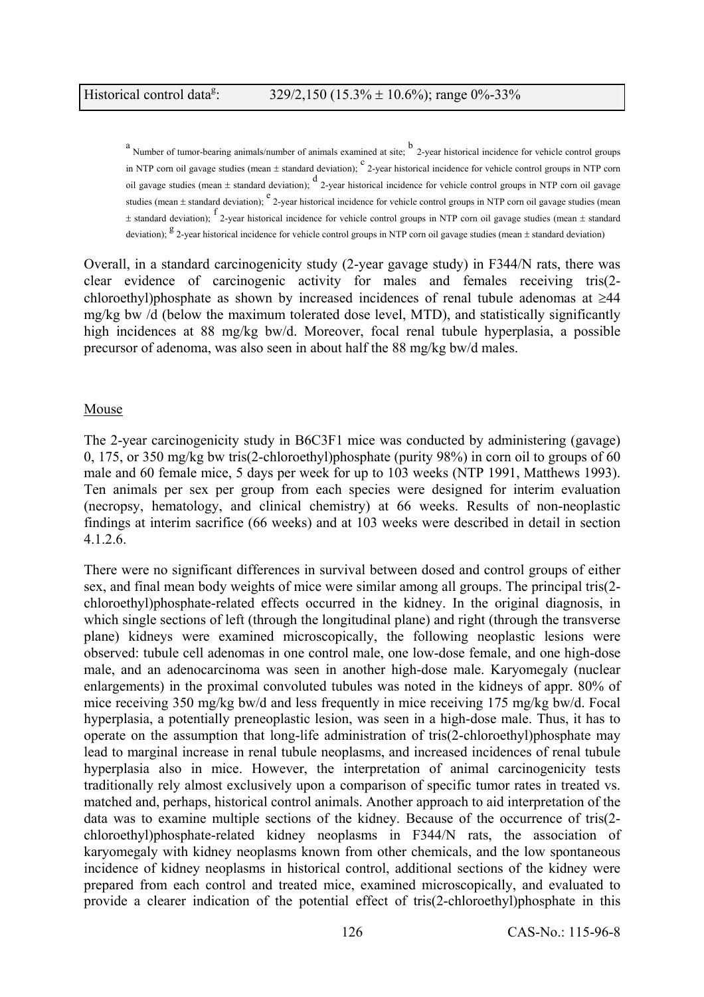<sup>a</sup> Number of tumor-bearing animals/number of animals examined at site; <sup>b</sup> 2-year historical incidence for vehicle control groups in NTP corn oil gavage studies (mean  $\pm$  standard deviation); <sup>c</sup> 2-year historical incidence for vehicle control groups in NTP corn oil gavage studies (mean  $\pm$  standard deviation);  $\frac{d}{dx}$  2-year historical incidence for vehicle control groups in NTP corn oil gavage studies (mean  $\pm$  standard deviation); <sup>e</sup> 2-year historical incidence for vehicle control groups in NTP corn oil gavage studies (mean  $\pm$  standard deviation);  $\frac{f}{2}$ -year historical incidence for vehicle control groups in NTP corn oil gavage studies (mean  $\pm$  standard deviation);  $g^{g}$  2-year historical incidence for vehicle control groups in NTP corn oil gavage studies (mean  $\pm$  standard deviation)

Overall, in a standard carcinogenicity study (2-year gavage study) in F344/N rats, there was clear evidence of carcinogenic activity for males and females receiving tris(2 chloroethyl)phosphate as shown by increased incidences of renal tubule adenomas at ≥44 mg/kg bw /d (below the maximum tolerated dose level, MTD), and statistically significantly high incidences at 88 mg/kg bw/d. Moreover, focal renal tubule hyperplasia, a possible precursor of adenoma, was also seen in about half the 88 mg/kg bw/d males.

#### Mouse

The 2-year carcinogenicity study in B6C3F1 mice was conducted by administering (gavage) 0, 175, or 350 mg/kg bw tris(2-chloroethyl)phosphate (purity 98%) in corn oil to groups of 60 male and 60 female mice, 5 days per week for up to 103 weeks (NTP 1991, Matthews 1993). Ten animals per sex per group from each species were designed for interim evaluation (necropsy, hematology, and clinical chemistry) at 66 weeks. Results of non-neoplastic findings at interim sacrifice (66 weeks) and at 103 weeks were described in detail in section 4.1.2.6.

There were no significant differences in survival between dosed and control groups of either sex, and final mean body weights of mice were similar among all groups. The principal tris(2 chloroethyl)phosphate-related effects occurred in the kidney. In the original diagnosis, in which single sections of left (through the longitudinal plane) and right (through the transverse plane) kidneys were examined microscopically, the following neoplastic lesions were observed: tubule cell adenomas in one control male, one low-dose female, and one high-dose male, and an adenocarcinoma was seen in another high-dose male. Karyomegaly (nuclear enlargements) in the proximal convoluted tubules was noted in the kidneys of appr. 80% of mice receiving 350 mg/kg bw/d and less frequently in mice receiving 175 mg/kg bw/d. Focal hyperplasia, a potentially preneoplastic lesion, was seen in a high-dose male. Thus, it has to operate on the assumption that long-life administration of tris(2-chloroethyl)phosphate may lead to marginal increase in renal tubule neoplasms, and increased incidences of renal tubule hyperplasia also in mice. However, the interpretation of animal carcinogenicity tests traditionally rely almost exclusively upon a comparison of specific tumor rates in treated vs. matched and, perhaps, historical control animals. Another approach to aid interpretation of the data was to examine multiple sections of the kidney. Because of the occurrence of tris(2 chloroethyl)phosphate-related kidney neoplasms in F344/N rats, the association of karyomegaly with kidney neoplasms known from other chemicals, and the low spontaneous incidence of kidney neoplasms in historical control, additional sections of the kidney were prepared from each control and treated mice, examined microscopically, and evaluated to provide a clearer indication of the potential effect of tris(2-chloroethyl)phosphate in this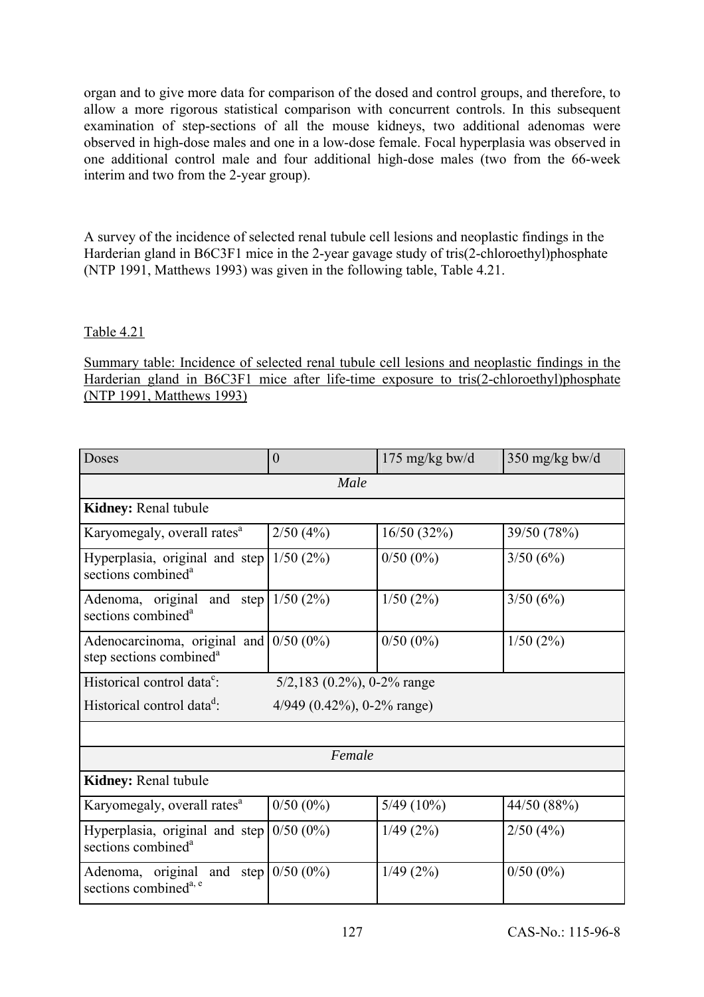organ and to give more data for comparison of the dosed and control groups, and therefore, to allow a more rigorous statistical comparison with concurrent controls. In this subsequent examination of step-sections of all the mouse kidneys, two additional adenomas were observed in high-dose males and one in a low-dose female. Focal hyperplasia was observed in one additional control male and four additional high-dose males (two from the 66-week interim and two from the 2-year group).

A survey of the incidence of selected renal tubule cell lesions and neoplastic findings in the Harderian gland in B6C3F1 mice in the 2-year gavage study of tris(2-chloroethyl)phosphate (NTP 1991, Matthews 1993) was given in the following table, Table 4.21.

#### Table 4.21

Summary table: Incidence of selected renal tubule cell lesions and neoplastic findings in the Harderian gland in B6C3F1 mice after life-time exposure to tris(2-chloroethyl)phosphate (NTP 1991, Matthews 1993)

| Doses                                                                           | $\overline{0}$               | 175 mg/kg bw/d | $350 \text{ mg/kg}$ bw/d |  |  |  |
|---------------------------------------------------------------------------------|------------------------------|----------------|--------------------------|--|--|--|
| Male                                                                            |                              |                |                          |  |  |  |
| Kidney: Renal tubule                                                            |                              |                |                          |  |  |  |
| Karyomegaly, overall rates <sup>a</sup>                                         | 2/50(4%)                     | 16/50(32%)     | 39/50 (78%)              |  |  |  |
| Hyperplasia, original and step<br>sections combined <sup>a</sup>                | 1/50(2%)                     | $0/50(0\%)$    | 3/50(6%)                 |  |  |  |
| Adenoma, original and step<br>sections combined <sup>a</sup>                    | 1/50(2%)                     | 1/50(2%)       | 3/50(6%)                 |  |  |  |
| Adenocarcinoma, original and $0/50$ (0%)<br>step sections combined <sup>a</sup> |                              | $0/50(0\%)$    | 1/50(2%)                 |  |  |  |
| Historical control data <sup>c</sup> :                                          | $5/2,183$ (0.2%), 0-2% range |                |                          |  |  |  |
| Historical control data <sup>d</sup> :                                          | 4/949 (0.42%), 0-2% range)   |                |                          |  |  |  |
|                                                                                 |                              |                |                          |  |  |  |
| Female                                                                          |                              |                |                          |  |  |  |
| Kidney: Renal tubule                                                            |                              |                |                          |  |  |  |
| Karyomegaly, overall rates <sup>a</sup>                                         | $0/50(0\%)$                  | $5/49(10\%)$   | 44/50 (88%)              |  |  |  |
| Hyperplasia, original and step<br>sections combined <sup>a</sup>                | $0/50(0\%)$                  | 1/49(2%)       | 2/50(4%)                 |  |  |  |
| Adenoma, original and step $0/50$ (0%)<br>sections combined <sup>a, e</sup>     |                              | 1/49(2%)       | $0/50(0\%)$              |  |  |  |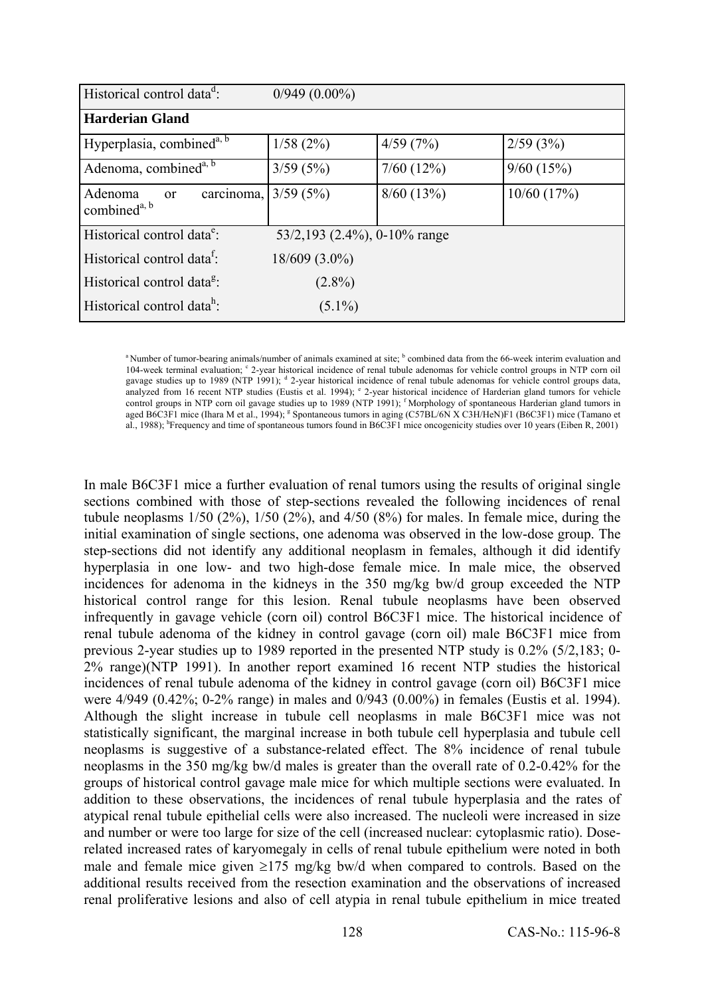| Historical control data <sup>d</sup> :                             | $0/949(0.00\%)$              |              |               |  |  |  |
|--------------------------------------------------------------------|------------------------------|--------------|---------------|--|--|--|
| <b>Harderian Gland</b>                                             |                              |              |               |  |  |  |
| Hyperplasia, combined <sup>a, b</sup>                              | 1/58(2%)                     | 4/59(7%)     | 2/59(3%)      |  |  |  |
| Adenoma, combined <sup>a, b</sup>                                  | 3/59(5%)                     | $7/60$ (12%) | 9/60(15%)     |  |  |  |
| carcinoma,<br>Adenoma<br><sub>or</sub><br>combined <sup>a, b</sup> | 3/59(5%)                     | 8/60(13%)    | $10/60$ (17%) |  |  |  |
| Historical control data <sup>e</sup> :                             | 53/2,193 (2.4%), 0-10% range |              |               |  |  |  |
| Historical control data <sup>f</sup> :                             | $18/609(3.0\%)$              |              |               |  |  |  |
| Historical control data <sup>g</sup> :                             | $(2.8\%)$                    |              |               |  |  |  |
| Historical control data <sup>h</sup> :                             | $(5.1\%)$                    |              |               |  |  |  |

<sup>&</sup>lt;sup>a</sup> Number of tumor-bearing animals/number of animals examined at site; <sup>b</sup> combined data from the 66-week interim evaluation and 104-week terminal evaluation; <sup>c</sup> 2-year historical incidence of renal tubule adenomas for vehicle control groups in NTP corn oil gavage studies up to 1989 (NTP 1991); <sup>d</sup> 2-year historical incidence of renal tubule adenomas for vehicle control groups data, analyzed from 16 recent NTP studies (Eustis et al. 1994); <sup>e</sup> 2-year historical incidence of Harderian gland tumors for vehicle control groups in NTP corn oil gavage studies up to 1989 (NTP 1991); f Morphology of spontaneous Harderian gland tumors in aged B6C3F1 mice (Ihara M et al., 1994); <sup>g</sup> Spontaneous tumors in aging (C57BL/6N X C3H/HeN)F1 (B6C3F1) mice (Tamano et al., 1988); <sup>h</sup>Frequency and time of spontaneous tumors found in B6C3F1 mice oncogenicity studies over 10 years (Eiben R, 2001)

In male B6C3F1 mice a further evaluation of renal tumors using the results of original single sections combined with those of step-sections revealed the following incidences of renal tubule neoplasms  $1/50$  ( $2\%$ ),  $1/50$  ( $2\%$ ), and  $4/50$  ( $8\%$ ) for males. In female mice, during the initial examination of single sections, one adenoma was observed in the low-dose group. The step-sections did not identify any additional neoplasm in females, although it did identify hyperplasia in one low- and two high-dose female mice. In male mice, the observed incidences for adenoma in the kidneys in the 350 mg/kg bw/d group exceeded the NTP historical control range for this lesion. Renal tubule neoplasms have been observed infrequently in gavage vehicle (corn oil) control B6C3F1 mice. The historical incidence of renal tubule adenoma of the kidney in control gavage (corn oil) male B6C3F1 mice from previous 2-year studies up to 1989 reported in the presented NTP study is 0.2% (5/2,183; 0- 2% range)(NTP 1991). In another report examined 16 recent NTP studies the historical incidences of renal tubule adenoma of the kidney in control gavage (corn oil) B6C3F1 mice were 4/949 (0.42%; 0-2% range) in males and 0/943 (0.00%) in females (Eustis et al. 1994). Although the slight increase in tubule cell neoplasms in male B6C3F1 mice was not statistically significant, the marginal increase in both tubule cell hyperplasia and tubule cell neoplasms is suggestive of a substance-related effect. The 8% incidence of renal tubule neoplasms in the 350 mg/kg bw/d males is greater than the overall rate of 0.2-0.42% for the groups of historical control gavage male mice for which multiple sections were evaluated. In addition to these observations, the incidences of renal tubule hyperplasia and the rates of atypical renal tubule epithelial cells were also increased. The nucleoli were increased in size and number or were too large for size of the cell (increased nuclear: cytoplasmic ratio). Doserelated increased rates of karyomegaly in cells of renal tubule epithelium were noted in both male and female mice given  $\geq$ 175 mg/kg bw/d when compared to controls. Based on the additional results received from the resection examination and the observations of increased renal proliferative lesions and also of cell atypia in renal tubule epithelium in mice treated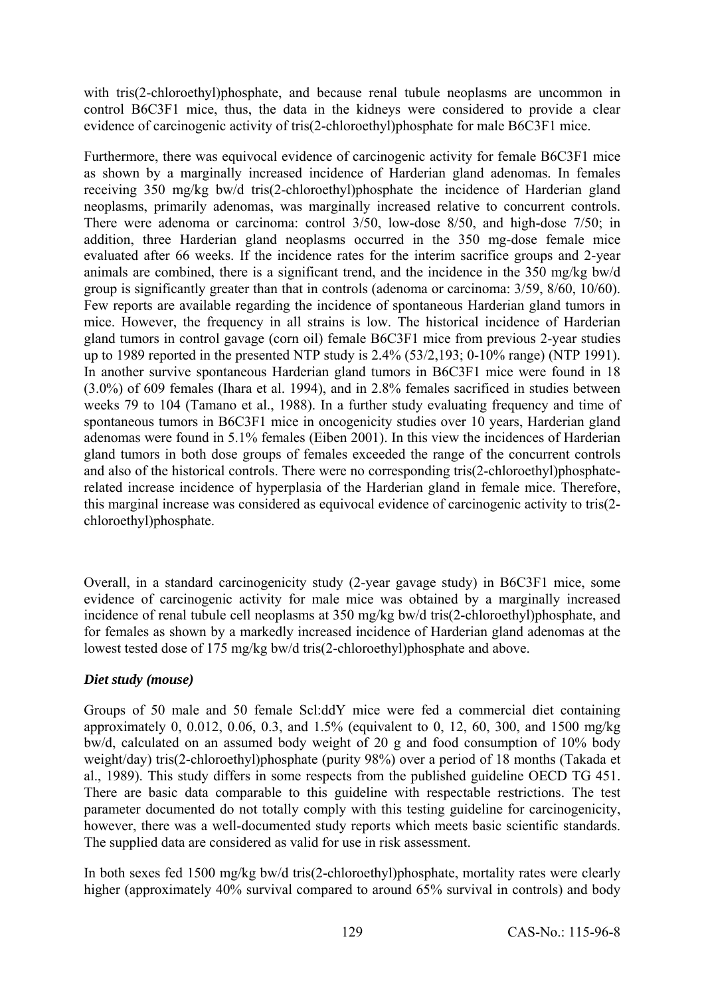with tris(2-chloroethyl)phosphate, and because renal tubule neoplasms are uncommon in control B6C3F1 mice, thus, the data in the kidneys were considered to provide a clear evidence of carcinogenic activity of tris(2-chloroethyl)phosphate for male B6C3F1 mice.

Furthermore, there was equivocal evidence of carcinogenic activity for female B6C3F1 mice as shown by a marginally increased incidence of Harderian gland adenomas. In females receiving 350 mg/kg bw/d tris(2-chloroethyl)phosphate the incidence of Harderian gland neoplasms, primarily adenomas, was marginally increased relative to concurrent controls. There were adenoma or carcinoma: control 3/50, low-dose 8/50, and high-dose 7/50; in addition, three Harderian gland neoplasms occurred in the 350 mg-dose female mice evaluated after 66 weeks. If the incidence rates for the interim sacrifice groups and 2-year animals are combined, there is a significant trend, and the incidence in the 350 mg/kg bw/d group is significantly greater than that in controls (adenoma or carcinoma: 3/59, 8/60, 10/60). Few reports are available regarding the incidence of spontaneous Harderian gland tumors in mice. However, the frequency in all strains is low. The historical incidence of Harderian gland tumors in control gavage (corn oil) female B6C3F1 mice from previous 2-year studies up to 1989 reported in the presented NTP study is 2.4% (53/2,193; 0-10% range) (NTP 1991). In another survive spontaneous Harderian gland tumors in B6C3F1 mice were found in 18 (3.0%) of 609 females (Ihara et al. 1994), and in 2.8% females sacrificed in studies between weeks 79 to 104 (Tamano et al., 1988). In a further study evaluating frequency and time of spontaneous tumors in B6C3F1 mice in oncogenicity studies over 10 years, Harderian gland adenomas were found in 5.1% females (Eiben 2001). In this view the incidences of Harderian gland tumors in both dose groups of females exceeded the range of the concurrent controls and also of the historical controls. There were no corresponding tris(2-chloroethyl)phosphaterelated increase incidence of hyperplasia of the Harderian gland in female mice. Therefore, this marginal increase was considered as equivocal evidence of carcinogenic activity to tris(2 chloroethyl)phosphate.

Overall, in a standard carcinogenicity study (2-year gavage study) in B6C3F1 mice, some evidence of carcinogenic activity for male mice was obtained by a marginally increased incidence of renal tubule cell neoplasms at 350 mg/kg bw/d tris(2-chloroethyl)phosphate, and for females as shown by a markedly increased incidence of Harderian gland adenomas at the lowest tested dose of 175 mg/kg bw/d tris(2-chloroethyl)phosphate and above.

# *Diet study (mouse)*

Groups of 50 male and 50 female Scl:ddY mice were fed a commercial diet containing approximately 0, 0.012, 0.06, 0.3, and 1.5% (equivalent to 0, 12, 60, 300, and 1500 mg/kg bw/d, calculated on an assumed body weight of 20 g and food consumption of 10% body weight/day) tris(2-chloroethyl)phosphate (purity 98%) over a period of 18 months (Takada et al., 1989). This study differs in some respects from the published guideline OECD TG 451. There are basic data comparable to this guideline with respectable restrictions. The test parameter documented do not totally comply with this testing guideline for carcinogenicity, however, there was a well-documented study reports which meets basic scientific standards. The supplied data are considered as valid for use in risk assessment.

In both sexes fed 1500 mg/kg bw/d tris(2-chloroethyl)phosphate, mortality rates were clearly higher (approximately 40% survival compared to around 65% survival in controls) and body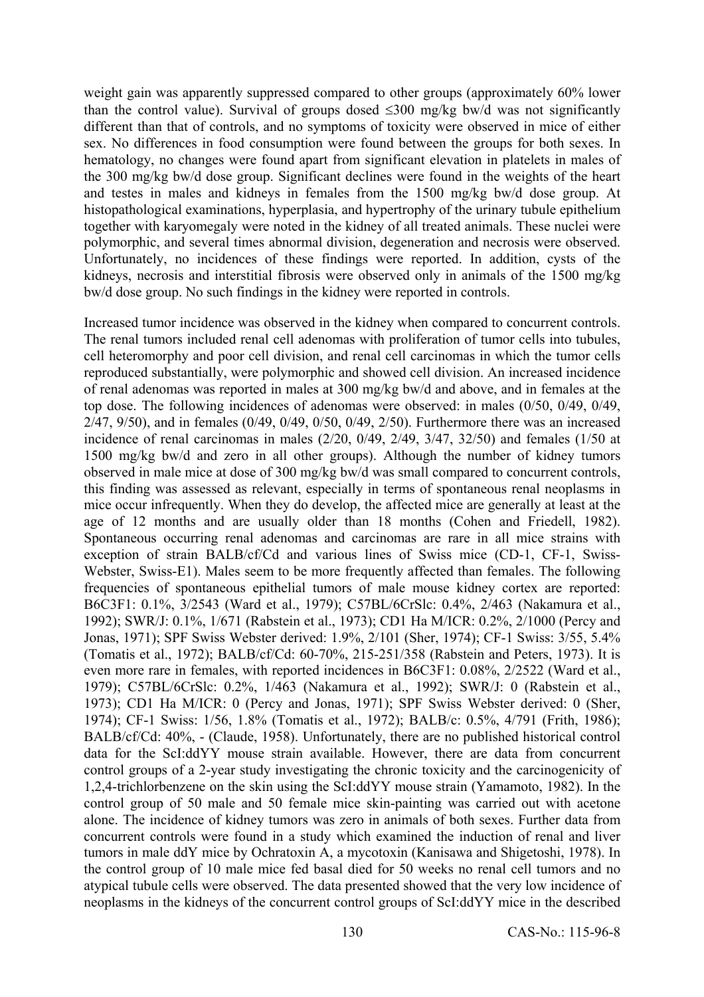weight gain was apparently suppressed compared to other groups (approximately 60% lower than the control value). Survival of groups dosed  $\leq 300$  mg/kg bw/d was not significantly different than that of controls, and no symptoms of toxicity were observed in mice of either sex. No differences in food consumption were found between the groups for both sexes. In hematology, no changes were found apart from significant elevation in platelets in males of the 300 mg/kg bw/d dose group. Significant declines were found in the weights of the heart and testes in males and kidneys in females from the 1500 mg/kg bw/d dose group. At histopathological examinations, hyperplasia, and hypertrophy of the urinary tubule epithelium together with karyomegaly were noted in the kidney of all treated animals. These nuclei were polymorphic, and several times abnormal division, degeneration and necrosis were observed. Unfortunately, no incidences of these findings were reported. In addition, cysts of the kidneys, necrosis and interstitial fibrosis were observed only in animals of the 1500 mg/kg bw/d dose group. No such findings in the kidney were reported in controls.

Increased tumor incidence was observed in the kidney when compared to concurrent controls. The renal tumors included renal cell adenomas with proliferation of tumor cells into tubules, cell heteromorphy and poor cell division, and renal cell carcinomas in which the tumor cells reproduced substantially, were polymorphic and showed cell division. An increased incidence of renal adenomas was reported in males at 300 mg/kg bw/d and above, and in females at the top dose. The following incidences of adenomas were observed: in males (0/50, 0/49, 0/49, 2/47, 9/50), and in females (0/49, 0/49, 0/50, 0/49, 2/50). Furthermore there was an increased incidence of renal carcinomas in males (2/20, 0/49, 2/49, 3/47, 32/50) and females (1/50 at 1500 mg/kg bw/d and zero in all other groups). Although the number of kidney tumors observed in male mice at dose of 300 mg/kg bw/d was small compared to concurrent controls, this finding was assessed as relevant, especially in terms of spontaneous renal neoplasms in mice occur infrequently. When they do develop, the affected mice are generally at least at the age of 12 months and are usually older than 18 months (Cohen and Friedell, 1982). Spontaneous occurring renal adenomas and carcinomas are rare in all mice strains with exception of strain BALB/cf/Cd and various lines of Swiss mice (CD-1, CF-1, Swiss-Webster, Swiss-E1). Males seem to be more frequently affected than females. The following frequencies of spontaneous epithelial tumors of male mouse kidney cortex are reported: B6C3F1: 0.1%, 3/2543 (Ward et al., 1979); C57BL/6CrSlc: 0.4%, 2/463 (Nakamura et al., 1992); SWR/J: 0.1%, 1/671 (Rabstein et al., 1973); CD1 Ha M/ICR: 0.2%, 2/1000 (Percy and Jonas, 1971); SPF Swiss Webster derived: 1.9%, 2/101 (Sher, 1974); CF-1 Swiss: 3/55, 5.4% (Tomatis et al., 1972); BALB/cf/Cd: 60-70%, 215-251/358 (Rabstein and Peters, 1973). It is even more rare in females, with reported incidences in B6C3F1: 0.08%, 2/2522 (Ward et al., 1979); C57BL/6CrSlc: 0.2%, 1/463 (Nakamura et al., 1992); SWR/J: 0 (Rabstein et al., 1973); CD1 Ha M/ICR: 0 (Percy and Jonas, 1971); SPF Swiss Webster derived: 0 (Sher, 1974); CF-1 Swiss: 1/56, 1.8% (Tomatis et al., 1972); BALB/c: 0.5%, 4/791 (Frith, 1986); BALB/cf/Cd: 40%, - (Claude, 1958). Unfortunately, there are no published historical control data for the ScI:ddYY mouse strain available. However, there are data from concurrent control groups of a 2-year study investigating the chronic toxicity and the carcinogenicity of 1,2,4-trichlorbenzene on the skin using the ScI:ddYY mouse strain (Yamamoto, 1982). In the control group of 50 male and 50 female mice skin-painting was carried out with acetone alone. The incidence of kidney tumors was zero in animals of both sexes. Further data from concurrent controls were found in a study which examined the induction of renal and liver tumors in male ddY mice by Ochratoxin A, a mycotoxin (Kanisawa and Shigetoshi, 1978). In the control group of 10 male mice fed basal died for 50 weeks no renal cell tumors and no atypical tubule cells were observed. The data presented showed that the very low incidence of neoplasms in the kidneys of the concurrent control groups of ScI:ddYY mice in the described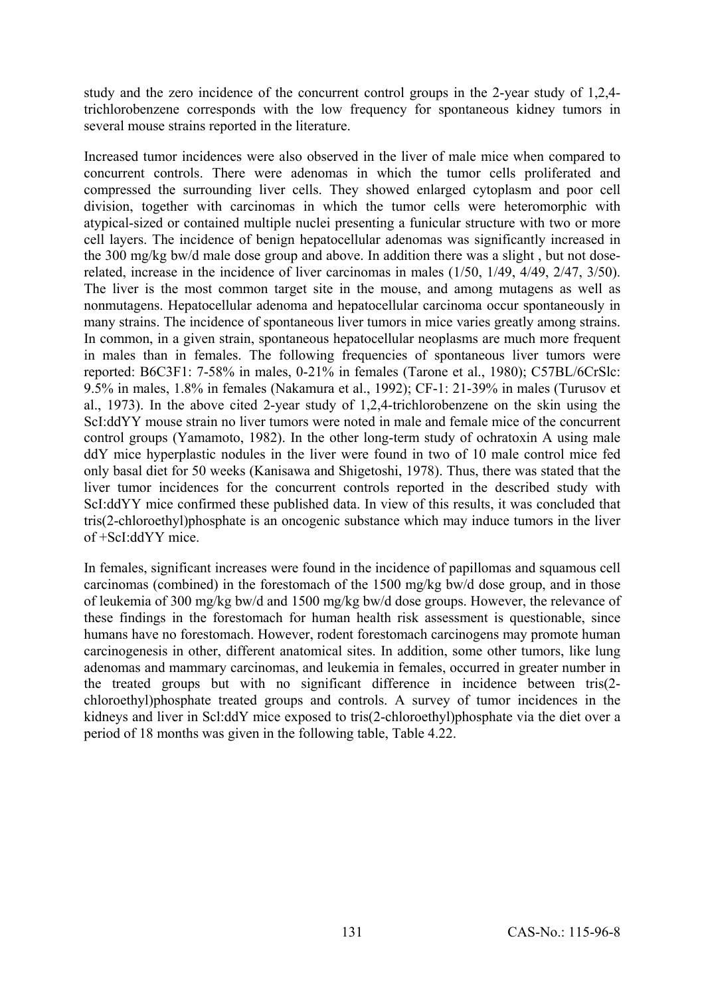study and the zero incidence of the concurrent control groups in the 2-year study of 1,2,4 trichlorobenzene corresponds with the low frequency for spontaneous kidney tumors in several mouse strains reported in the literature.

Increased tumor incidences were also observed in the liver of male mice when compared to concurrent controls. There were adenomas in which the tumor cells proliferated and compressed the surrounding liver cells. They showed enlarged cytoplasm and poor cell division, together with carcinomas in which the tumor cells were heteromorphic with atypical-sized or contained multiple nuclei presenting a funicular structure with two or more cell layers. The incidence of benign hepatocellular adenomas was significantly increased in the 300 mg/kg bw/d male dose group and above. In addition there was a slight , but not doserelated, increase in the incidence of liver carcinomas in males (1/50, 1/49, 4/49, 2/47, 3/50). The liver is the most common target site in the mouse, and among mutagens as well as nonmutagens. Hepatocellular adenoma and hepatocellular carcinoma occur spontaneously in many strains. The incidence of spontaneous liver tumors in mice varies greatly among strains. In common, in a given strain, spontaneous hepatocellular neoplasms are much more frequent in males than in females. The following frequencies of spontaneous liver tumors were reported: B6C3F1: 7-58% in males, 0-21% in females (Tarone et al., 1980); C57BL/6CrSlc: 9.5% in males, 1.8% in females (Nakamura et al., 1992); CF-1: 21-39% in males (Turusov et al., 1973). In the above cited 2-year study of 1,2,4-trichlorobenzene on the skin using the ScI:ddYY mouse strain no liver tumors were noted in male and female mice of the concurrent control groups (Yamamoto, 1982). In the other long-term study of ochratoxin A using male ddY mice hyperplastic nodules in the liver were found in two of 10 male control mice fed only basal diet for 50 weeks (Kanisawa and Shigetoshi, 1978). Thus, there was stated that the liver tumor incidences for the concurrent controls reported in the described study with ScI:ddYY mice confirmed these published data. In view of this results, it was concluded that tris(2-chloroethyl)phosphate is an oncogenic substance which may induce tumors in the liver of +ScI:ddYY mice.

In females, significant increases were found in the incidence of papillomas and squamous cell carcinomas (combined) in the forestomach of the 1500 mg/kg bw/d dose group, and in those of leukemia of 300 mg/kg bw/d and 1500 mg/kg bw/d dose groups. However, the relevance of these findings in the forestomach for human health risk assessment is questionable, since humans have no forestomach. However, rodent forestomach carcinogens may promote human carcinogenesis in other, different anatomical sites. In addition, some other tumors, like lung adenomas and mammary carcinomas, and leukemia in females, occurred in greater number in the treated groups but with no significant difference in incidence between tris(2 chloroethyl)phosphate treated groups and controls. A survey of tumor incidences in the kidneys and liver in Scl:ddY mice exposed to tris(2-chloroethyl)phosphate via the diet over a period of 18 months was given in the following table, Table 4.22.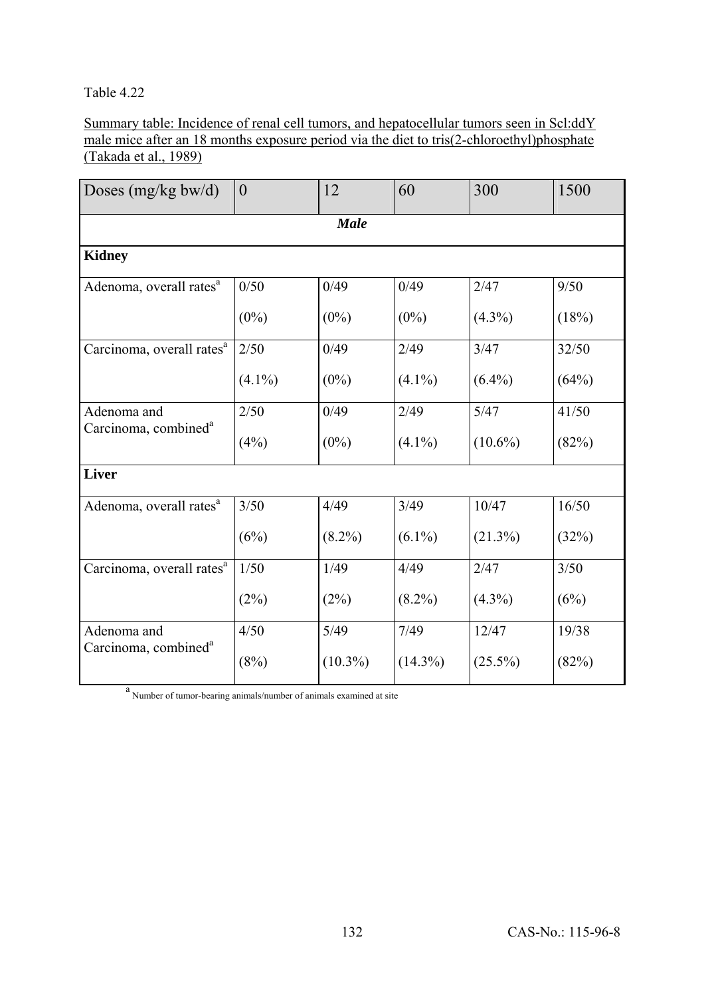### Table 4.22

# Summary table: Incidence of renal cell tumors, and hepatocellular tumors seen in Scl:ddY male mice after an 18 months exposure period via the diet to tris(2-chloroethyl)phosphate (Takada et al., 1989)

| Doses (mg/kg bw/d)                              | $\theta$  | 12         | 60         | 300        | 1500  |  |  |  |
|-------------------------------------------------|-----------|------------|------------|------------|-------|--|--|--|
| <b>Male</b>                                     |           |            |            |            |       |  |  |  |
| <b>Kidney</b>                                   |           |            |            |            |       |  |  |  |
| Adenoma, overall rates <sup>a</sup>             | 0/50      | 0/49       | 0/49       | 2/47       | 9/50  |  |  |  |
|                                                 | $(0\%)$   | $(0\%)$    | $(0\%)$    | $(4.3\%)$  | (18%) |  |  |  |
| Carcinoma, overall rates <sup>a</sup>           | 2/50      | 0/49       | 2/49       | 3/47       | 32/50 |  |  |  |
|                                                 | $(4.1\%)$ | $(0\%)$    | $(4.1\%)$  | $(6.4\%)$  | (64%) |  |  |  |
| Adenoma and                                     | 2/50      | 0/49       | 2/49       | 5/47       | 41/50 |  |  |  |
| Carcinoma, combined <sup>a</sup>                | (4%)      | $(0\%)$    | $(4.1\%)$  | $(10.6\%)$ | (82%) |  |  |  |
| <b>Liver</b>                                    |           |            |            |            |       |  |  |  |
| Adenoma, overall rates <sup>a</sup>             | 3/50      | 4/49       | 3/49       | 10/47      | 16/50 |  |  |  |
|                                                 | (6%)      | $(8.2\%)$  | $(6.1\%)$  | $(21.3\%)$ | (32%) |  |  |  |
| Carcinoma, overall rates <sup>a</sup>           | 1/50      | 1/49       | 4/49       | 2/47       | 3/50  |  |  |  |
|                                                 | (2%)      | (2%)       | $(8.2\%)$  | $(4.3\%)$  | (6%)  |  |  |  |
| Adenoma and<br>Carcinoma, combined <sup>a</sup> | 4/50      | 5/49       | 7/49       | 12/47      | 19/38 |  |  |  |
|                                                 | (8%)      | $(10.3\%)$ | $(14.3\%)$ | $(25.5\%)$ | (82%) |  |  |  |

a Number of tumor-bearing animals/number of animals examined at site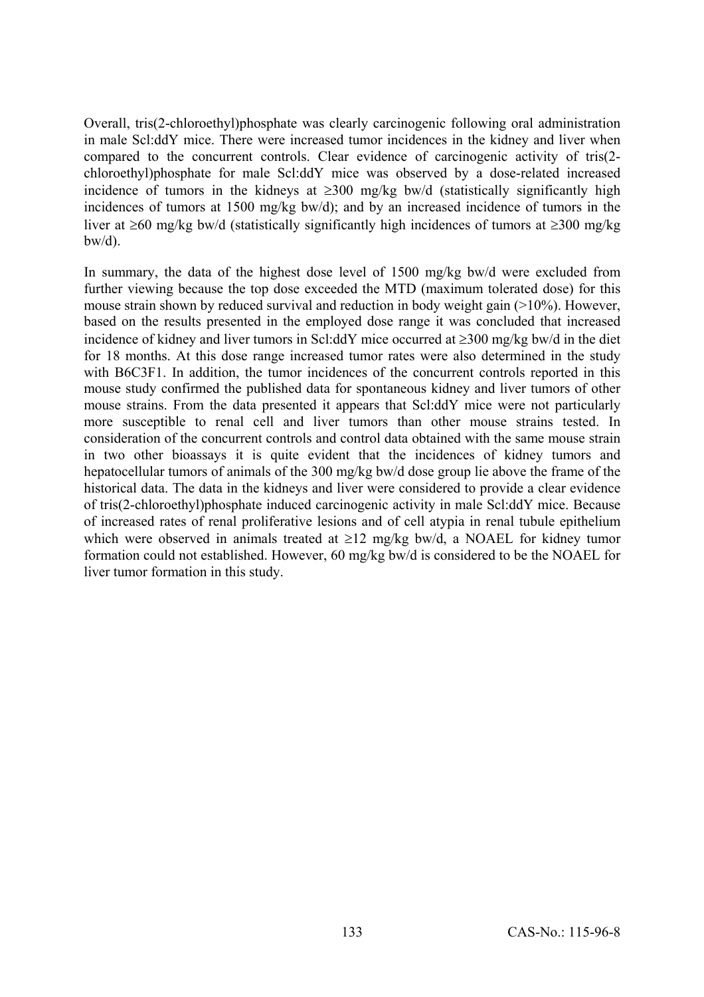Overall, tris(2-chloroethyl)phosphate was clearly carcinogenic following oral administration in male Scl:ddY mice. There were increased tumor incidences in the kidney and liver when compared to the concurrent controls. Clear evidence of carcinogenic activity of tris(2 chloroethyl)phosphate for male Scl:ddY mice was observed by a dose-related increased incidence of tumors in the kidneys at  $\geq 300$  mg/kg bw/d (statistically significantly high incidences of tumors at 1500 mg/kg bw/d); and by an increased incidence of tumors in the liver at ≥60 mg/kg bw/d (statistically significantly high incidences of tumors at ≥300 mg/kg  $b$ w/d).

In summary, the data of the highest dose level of 1500 mg/kg bw/d were excluded from further viewing because the top dose exceeded the MTD (maximum tolerated dose) for this mouse strain shown by reduced survival and reduction in body weight gain (>10%). However, based on the results presented in the employed dose range it was concluded that increased incidence of kidney and liver tumors in Scl:ddY mice occurred at ≥300 mg/kg bw/d in the diet for 18 months. At this dose range increased tumor rates were also determined in the study with B6C3F1. In addition, the tumor incidences of the concurrent controls reported in this mouse study confirmed the published data for spontaneous kidney and liver tumors of other mouse strains. From the data presented it appears that Scl:ddY mice were not particularly more susceptible to renal cell and liver tumors than other mouse strains tested. In consideration of the concurrent controls and control data obtained with the same mouse strain in two other bioassays it is quite evident that the incidences of kidney tumors and hepatocellular tumors of animals of the 300 mg/kg bw/d dose group lie above the frame of the historical data. The data in the kidneys and liver were considered to provide a clear evidence of tris(2-chloroethyl)phosphate induced carcinogenic activity in male Scl:ddY mice. Because of increased rates of renal proliferative lesions and of cell atypia in renal tubule epithelium which were observed in animals treated at  $\geq 12$  mg/kg bw/d, a NOAEL for kidney tumor formation could not established. However, 60 mg/kg bw/d is considered to be the NOAEL for liver tumor formation in this study.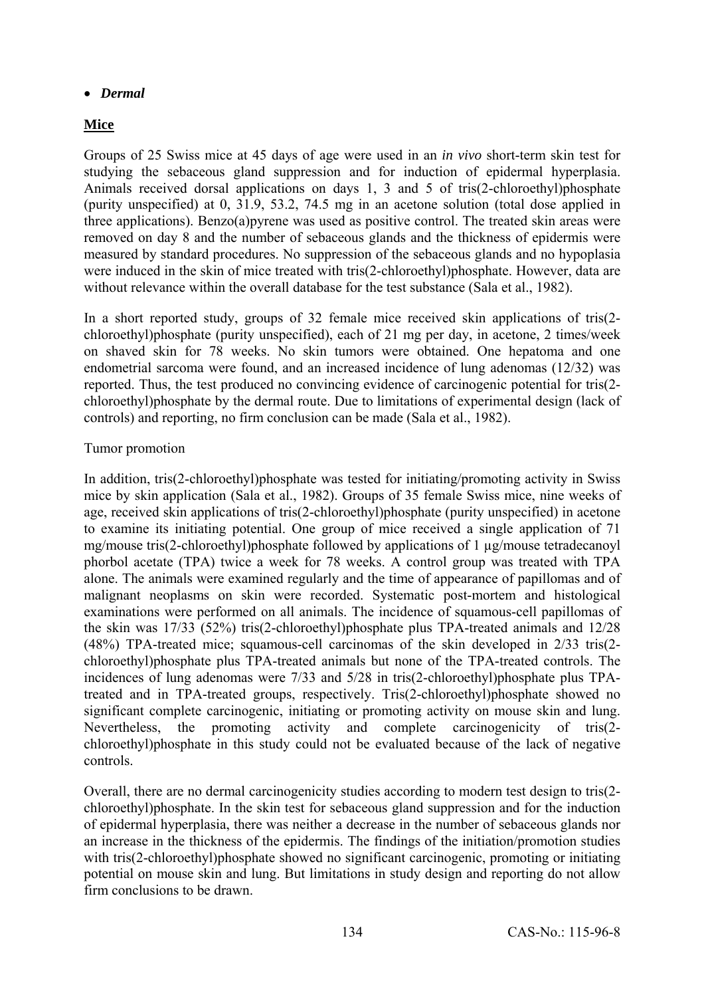### • *Dermal*

# **Mice**

Groups of 25 Swiss mice at 45 days of age were used in an *in vivo* short-term skin test for studying the sebaceous gland suppression and for induction of epidermal hyperplasia. Animals received dorsal applications on days 1, 3 and 5 of tris(2-chloroethyl)phosphate (purity unspecified) at 0, 31.9, 53.2, 74.5 mg in an acetone solution (total dose applied in three applications). Benzo(a)pyrene was used as positive control. The treated skin areas were removed on day 8 and the number of sebaceous glands and the thickness of epidermis were measured by standard procedures. No suppression of the sebaceous glands and no hypoplasia were induced in the skin of mice treated with tris(2-chloroethyl)phosphate. However, data are without relevance within the overall database for the test substance (Sala et al., 1982).

In a short reported study, groups of 32 female mice received skin applications of tris(2 chloroethyl)phosphate (purity unspecified), each of 21 mg per day, in acetone, 2 times/week on shaved skin for 78 weeks. No skin tumors were obtained. One hepatoma and one endometrial sarcoma were found, and an increased incidence of lung adenomas (12/32) was reported. Thus, the test produced no convincing evidence of carcinogenic potential for tris(2 chloroethyl)phosphate by the dermal route. Due to limitations of experimental design (lack of controls) and reporting, no firm conclusion can be made (Sala et al., 1982).

#### Tumor promotion

In addition, tris(2-chloroethyl)phosphate was tested for initiating/promoting activity in Swiss mice by skin application (Sala et al., 1982). Groups of 35 female Swiss mice, nine weeks of age, received skin applications of tris(2-chloroethyl)phosphate (purity unspecified) in acetone to examine its initiating potential. One group of mice received a single application of 71 mg/mouse tris(2-chloroethyl)phosphate followed by applications of 1 µg/mouse tetradecanoyl phorbol acetate (TPA) twice a week for 78 weeks. A control group was treated with TPA alone. The animals were examined regularly and the time of appearance of papillomas and of malignant neoplasms on skin were recorded. Systematic post-mortem and histological examinations were performed on all animals. The incidence of squamous-cell papillomas of the skin was 17/33 (52%) tris(2-chloroethyl)phosphate plus TPA-treated animals and 12/28 (48%) TPA-treated mice; squamous-cell carcinomas of the skin developed in 2/33 tris(2 chloroethyl)phosphate plus TPA-treated animals but none of the TPA-treated controls. The incidences of lung adenomas were 7/33 and 5/28 in tris(2-chloroethyl)phosphate plus TPAtreated and in TPA-treated groups, respectively. Tris(2-chloroethyl)phosphate showed no significant complete carcinogenic, initiating or promoting activity on mouse skin and lung. Nevertheless, the promoting activity and complete carcinogenicity of tris(2 chloroethyl)phosphate in this study could not be evaluated because of the lack of negative controls.

Overall, there are no dermal carcinogenicity studies according to modern test design to tris(2 chloroethyl)phosphate. In the skin test for sebaceous gland suppression and for the induction of epidermal hyperplasia, there was neither a decrease in the number of sebaceous glands nor an increase in the thickness of the epidermis. The findings of the initiation/promotion studies with tris(2-chloroethyl)phosphate showed no significant carcinogenic, promoting or initiating potential on mouse skin and lung. But limitations in study design and reporting do not allow firm conclusions to be drawn.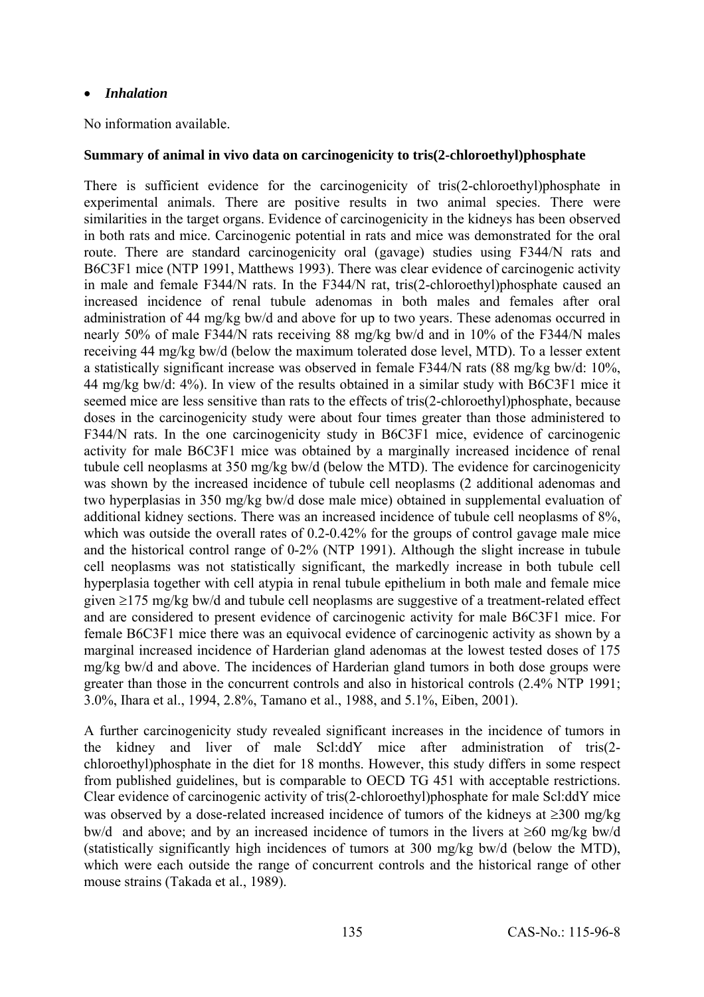#### • *Inhalation*

No information available.

#### **Summary of animal in vivo data on carcinogenicity to tris(2-chloroethyl)phosphate**

There is sufficient evidence for the carcinogenicity of tris(2-chloroethyl)phosphate in experimental animals. There are positive results in two animal species. There were similarities in the target organs. Evidence of carcinogenicity in the kidneys has been observed in both rats and mice. Carcinogenic potential in rats and mice was demonstrated for the oral route. There are standard carcinogenicity oral (gavage) studies using F344/N rats and B6C3F1 mice (NTP 1991, Matthews 1993). There was clear evidence of carcinogenic activity in male and female F344/N rats. In the F344/N rat, tris(2-chloroethyl)phosphate caused an increased incidence of renal tubule adenomas in both males and females after oral administration of 44 mg/kg bw/d and above for up to two years. These adenomas occurred in nearly 50% of male F344/N rats receiving 88 mg/kg bw/d and in 10% of the F344/N males receiving 44 mg/kg bw/d (below the maximum tolerated dose level, MTD). To a lesser extent a statistically significant increase was observed in female F344/N rats (88 mg/kg bw/d: 10%, 44 mg/kg bw/d: 4%). In view of the results obtained in a similar study with B6C3F1 mice it seemed mice are less sensitive than rats to the effects of tris(2-chloroethyl)phosphate, because doses in the carcinogenicity study were about four times greater than those administered to F344/N rats. In the one carcinogenicity study in B6C3F1 mice, evidence of carcinogenic activity for male B6C3F1 mice was obtained by a marginally increased incidence of renal tubule cell neoplasms at 350 mg/kg bw/d (below the MTD). The evidence for carcinogenicity was shown by the increased incidence of tubule cell neoplasms (2 additional adenomas and two hyperplasias in 350 mg/kg bw/d dose male mice) obtained in supplemental evaluation of additional kidney sections. There was an increased incidence of tubule cell neoplasms of 8%, which was outside the overall rates of 0.2-0.42% for the groups of control gavage male mice and the historical control range of 0-2% (NTP 1991). Although the slight increase in tubule cell neoplasms was not statistically significant, the markedly increase in both tubule cell hyperplasia together with cell atypia in renal tubule epithelium in both male and female mice given ≥175 mg/kg bw/d and tubule cell neoplasms are suggestive of a treatment-related effect and are considered to present evidence of carcinogenic activity for male B6C3F1 mice. For female B6C3F1 mice there was an equivocal evidence of carcinogenic activity as shown by a marginal increased incidence of Harderian gland adenomas at the lowest tested doses of 175 mg/kg bw/d and above. The incidences of Harderian gland tumors in both dose groups were greater than those in the concurrent controls and also in historical controls (2.4% NTP 1991; 3.0%, Ihara et al., 1994, 2.8%, Tamano et al., 1988, and 5.1%, Eiben, 2001).

A further carcinogenicity study revealed significant increases in the incidence of tumors in the kidney and liver of male Scl:ddY mice after administration of tris(2 chloroethyl)phosphate in the diet for 18 months. However, this study differs in some respect from published guidelines, but is comparable to OECD TG 451 with acceptable restrictions. Clear evidence of carcinogenic activity of tris(2-chloroethyl)phosphate for male Scl:ddY mice was observed by a dose-related increased incidence of tumors of the kidneys at ≥300 mg/kg bw/d and above; and by an increased incidence of tumors in the livers at ≥60 mg/kg bw/d (statistically significantly high incidences of tumors at 300 mg/kg bw/d (below the MTD), which were each outside the range of concurrent controls and the historical range of other mouse strains (Takada et al., 1989).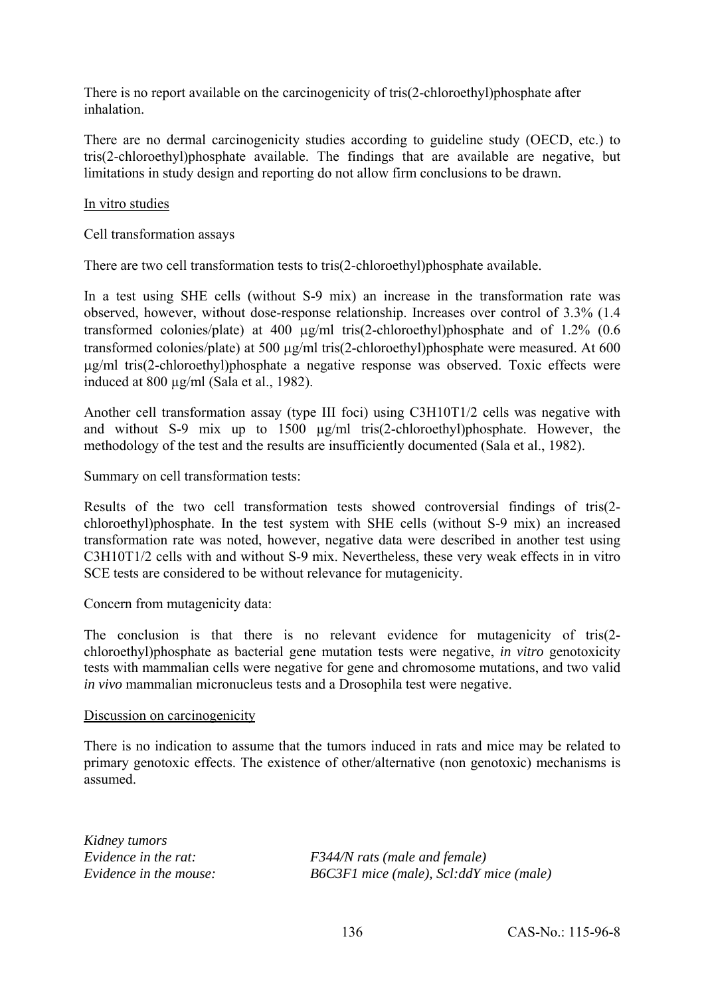There is no report available on the carcinogenicity of tris(2-chloroethyl)phosphate after inhalation.

There are no dermal carcinogenicity studies according to guideline study (OECD, etc.) to tris(2-chloroethyl)phosphate available. The findings that are available are negative, but limitations in study design and reporting do not allow firm conclusions to be drawn.

#### In vitro studies

Cell transformation assays

There are two cell transformation tests to tris(2-chloroethyl)phosphate available.

In a test using SHE cells (without S-9 mix) an increase in the transformation rate was observed, however, without dose-response relationship. Increases over control of 3.3% (1.4 transformed colonies/plate) at 400 µg/ml tris(2-chloroethyl)phosphate and of 1.2% (0.6 transformed colonies/plate) at 500 µg/ml tris(2-chloroethyl)phosphate were measured. At 600 µg/ml tris(2-chloroethyl)phosphate a negative response was observed. Toxic effects were induced at 800 µg/ml (Sala et al., 1982).

Another cell transformation assay (type III foci) using C3H10T1/2 cells was negative with and without S-9 mix up to 1500 µg/ml tris(2-chloroethyl)phosphate. However, the methodology of the test and the results are insufficiently documented (Sala et al., 1982).

Summary on cell transformation tests:

Results of the two cell transformation tests showed controversial findings of tris(2 chloroethyl)phosphate. In the test system with SHE cells (without S-9 mix) an increased transformation rate was noted, however, negative data were described in another test using C3H10T1/2 cells with and without S-9 mix. Nevertheless, these very weak effects in in vitro SCE tests are considered to be without relevance for mutagenicity.

Concern from mutagenicity data:

The conclusion is that there is no relevant evidence for mutagenicity of tris(2 chloroethyl)phosphate as bacterial gene mutation tests were negative, *in vitro* genotoxicity tests with mammalian cells were negative for gene and chromosome mutations, and two valid *in vivo* mammalian micronucleus tests and a Drosophila test were negative.

#### Discussion on carcinogenicity

There is no indication to assume that the tumors induced in rats and mice may be related to primary genotoxic effects. The existence of other/alternative (non genotoxic) mechanisms is assumed.

*Kidney tumors* 

*Evidence in the rat: F344/N rats (male and female) Evidence in the mouse: B6C3F1 mice (male), Scl:ddY mice (male)*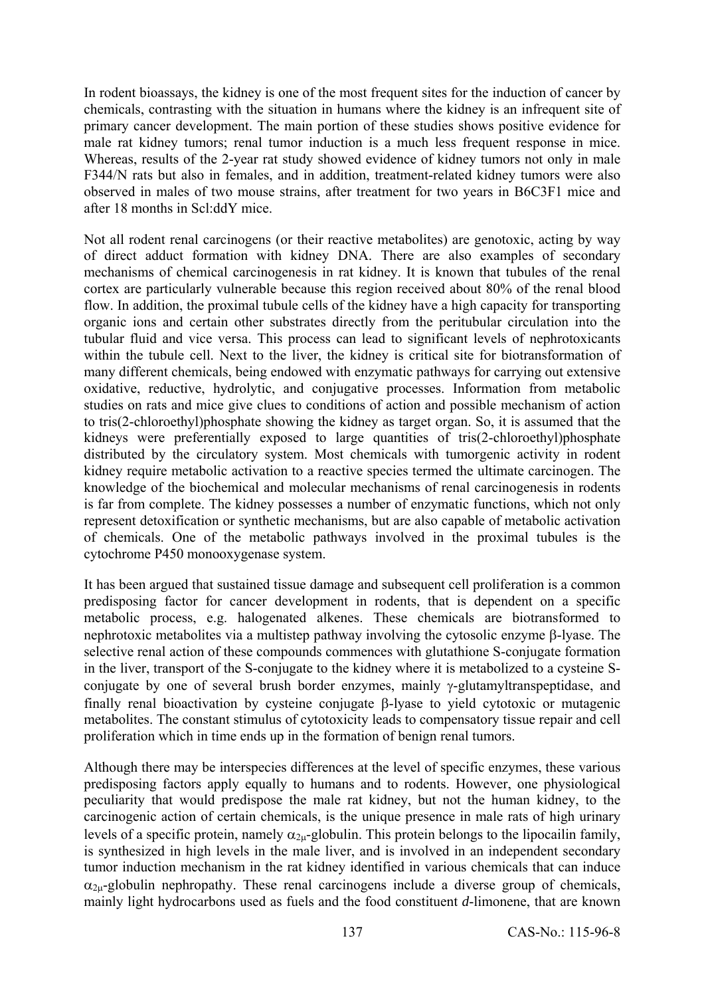In rodent bioassays, the kidney is one of the most frequent sites for the induction of cancer by chemicals, contrasting with the situation in humans where the kidney is an infrequent site of primary cancer development. The main portion of these studies shows positive evidence for male rat kidney tumors; renal tumor induction is a much less frequent response in mice. Whereas, results of the 2-year rat study showed evidence of kidney tumors not only in male F344/N rats but also in females, and in addition, treatment-related kidney tumors were also observed in males of two mouse strains, after treatment for two years in B6C3F1 mice and after 18 months in Scl:ddY mice.

Not all rodent renal carcinogens (or their reactive metabolites) are genotoxic, acting by way of direct adduct formation with kidney DNA. There are also examples of secondary mechanisms of chemical carcinogenesis in rat kidney. It is known that tubules of the renal cortex are particularly vulnerable because this region received about 80% of the renal blood flow. In addition, the proximal tubule cells of the kidney have a high capacity for transporting organic ions and certain other substrates directly from the peritubular circulation into the tubular fluid and vice versa. This process can lead to significant levels of nephrotoxicants within the tubule cell. Next to the liver, the kidney is critical site for biotransformation of many different chemicals, being endowed with enzymatic pathways for carrying out extensive oxidative, reductive, hydrolytic, and conjugative processes. Information from metabolic studies on rats and mice give clues to conditions of action and possible mechanism of action to tris(2-chloroethyl)phosphate showing the kidney as target organ. So, it is assumed that the kidneys were preferentially exposed to large quantities of tris(2-chloroethyl)phosphate distributed by the circulatory system. Most chemicals with tumorgenic activity in rodent kidney require metabolic activation to a reactive species termed the ultimate carcinogen. The knowledge of the biochemical and molecular mechanisms of renal carcinogenesis in rodents is far from complete. The kidney possesses a number of enzymatic functions, which not only represent detoxification or synthetic mechanisms, but are also capable of metabolic activation of chemicals. One of the metabolic pathways involved in the proximal tubules is the cytochrome P450 monooxygenase system.

It has been argued that sustained tissue damage and subsequent cell proliferation is a common predisposing factor for cancer development in rodents, that is dependent on a specific metabolic process, e.g. halogenated alkenes. These chemicals are biotransformed to nephrotoxic metabolites via a multistep pathway involving the cytosolic enzyme β-lyase. The selective renal action of these compounds commences with glutathione S-conjugate formation in the liver, transport of the S-conjugate to the kidney where it is metabolized to a cysteine Sconjugate by one of several brush border enzymes, mainly γ-glutamyltranspeptidase, and finally renal bioactivation by cysteine conjugate β-lyase to yield cytotoxic or mutagenic metabolites. The constant stimulus of cytotoxicity leads to compensatory tissue repair and cell proliferation which in time ends up in the formation of benign renal tumors.

Although there may be interspecies differences at the level of specific enzymes, these various predisposing factors apply equally to humans and to rodents. However, one physiological peculiarity that would predispose the male rat kidney, but not the human kidney, to the carcinogenic action of certain chemicals, is the unique presence in male rats of high urinary levels of a specific protein, namely  $\alpha_{2\mu}$ -globulin. This protein belongs to the lipocailin family, is synthesized in high levels in the male liver, and is involved in an independent secondary tumor induction mechanism in the rat kidney identified in various chemicals that can induce  $\alpha_{2u}$ -globulin nephropathy. These renal carcinogens include a diverse group of chemicals, mainly light hydrocarbons used as fuels and the food constituent *d*-limonene, that are known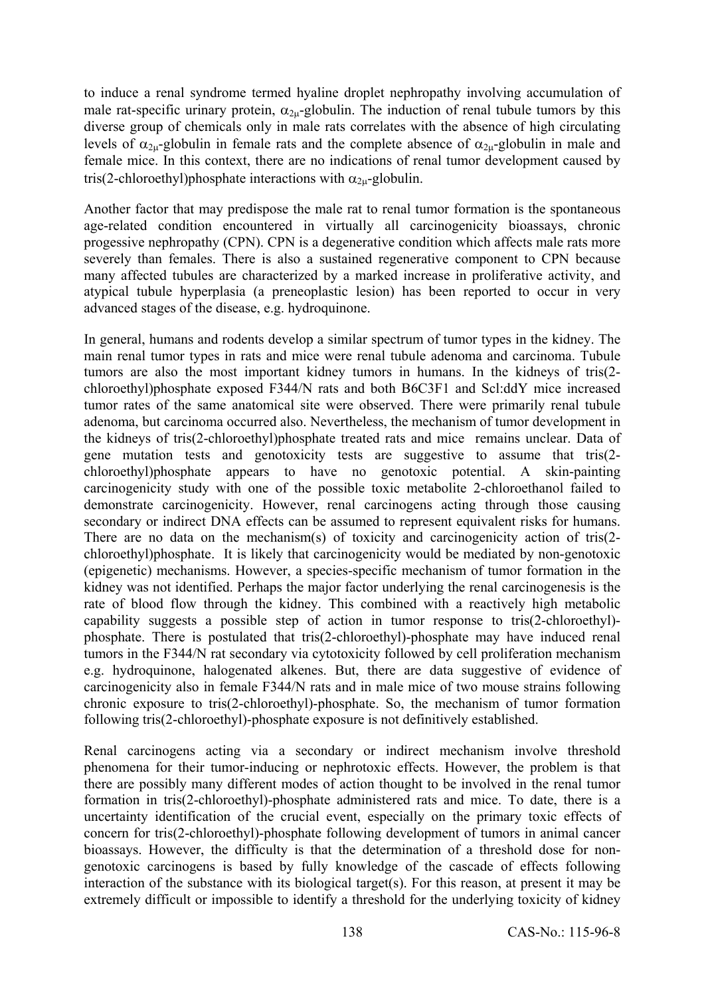to induce a renal syndrome termed hyaline droplet nephropathy involving accumulation of male rat-specific urinary protein,  $\alpha_{2u}$ -globulin. The induction of renal tubule tumors by this diverse group of chemicals only in male rats correlates with the absence of high circulating levels of  $\alpha_{2u}$ -globulin in female rats and the complete absence of  $\alpha_{2u}$ -globulin in male and female mice. In this context, there are no indications of renal tumor development caused by tris(2-chloroethyl)phosphate interactions with  $\alpha_{2}$ -globulin.

Another factor that may predispose the male rat to renal tumor formation is the spontaneous age-related condition encountered in virtually all carcinogenicity bioassays, chronic progessive nephropathy (CPN). CPN is a degenerative condition which affects male rats more severely than females. There is also a sustained regenerative component to CPN because many affected tubules are characterized by a marked increase in proliferative activity, and atypical tubule hyperplasia (a preneoplastic lesion) has been reported to occur in very advanced stages of the disease, e.g. hydroquinone.

In general, humans and rodents develop a similar spectrum of tumor types in the kidney. The main renal tumor types in rats and mice were renal tubule adenoma and carcinoma. Tubule tumors are also the most important kidney tumors in humans. In the kidneys of tris(2 chloroethyl)phosphate exposed F344/N rats and both B6C3F1 and Scl:ddY mice increased tumor rates of the same anatomical site were observed. There were primarily renal tubule adenoma, but carcinoma occurred also. Nevertheless, the mechanism of tumor development in the kidneys of tris(2-chloroethyl)phosphate treated rats and mice remains unclear. Data of gene mutation tests and genotoxicity tests are suggestive to assume that tris(2 chloroethyl)phosphate appears to have no genotoxic potential. A skin-painting carcinogenicity study with one of the possible toxic metabolite 2-chloroethanol failed to demonstrate carcinogenicity. However, renal carcinogens acting through those causing secondary or indirect DNA effects can be assumed to represent equivalent risks for humans. There are no data on the mechanism(s) of toxicity and carcinogenicity action of tris(2chloroethyl)phosphate. It is likely that carcinogenicity would be mediated by non-genotoxic (epigenetic) mechanisms. However, a species-specific mechanism of tumor formation in the kidney was not identified. Perhaps the major factor underlying the renal carcinogenesis is the rate of blood flow through the kidney. This combined with a reactively high metabolic capability suggests a possible step of action in tumor response to tris(2-chloroethyl) phosphate. There is postulated that tris(2-chloroethyl)-phosphate may have induced renal tumors in the F344/N rat secondary via cytotoxicity followed by cell proliferation mechanism e.g. hydroquinone, halogenated alkenes. But, there are data suggestive of evidence of carcinogenicity also in female F344/N rats and in male mice of two mouse strains following chronic exposure to tris(2-chloroethyl)-phosphate. So, the mechanism of tumor formation following tris(2-chloroethyl)-phosphate exposure is not definitively established.

Renal carcinogens acting via a secondary or indirect mechanism involve threshold phenomena for their tumor-inducing or nephrotoxic effects. However, the problem is that there are possibly many different modes of action thought to be involved in the renal tumor formation in tris(2-chloroethyl)-phosphate administered rats and mice. To date, there is a uncertainty identification of the crucial event, especially on the primary toxic effects of concern for tris(2-chloroethyl)-phosphate following development of tumors in animal cancer bioassays. However, the difficulty is that the determination of a threshold dose for nongenotoxic carcinogens is based by fully knowledge of the cascade of effects following interaction of the substance with its biological target(s). For this reason, at present it may be extremely difficult or impossible to identify a threshold for the underlying toxicity of kidney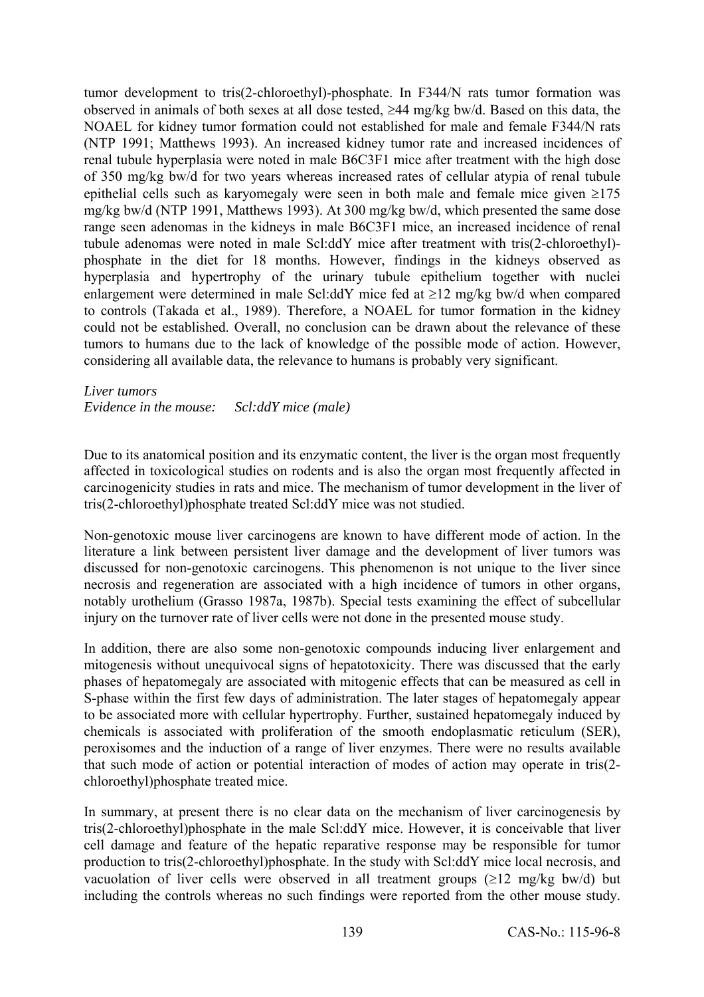tumor development to tris(2-chloroethyl)-phosphate. In F344/N rats tumor formation was observed in animals of both sexes at all dose tested, ≥44 mg/kg bw/d. Based on this data, the NOAEL for kidney tumor formation could not established for male and female F344/N rats (NTP 1991; Matthews 1993). An increased kidney tumor rate and increased incidences of renal tubule hyperplasia were noted in male B6C3F1 mice after treatment with the high dose of 350 mg/kg bw/d for two years whereas increased rates of cellular atypia of renal tubule epithelial cells such as karyomegaly were seen in both male and female mice given  $\geq$ 175 mg/kg bw/d (NTP 1991, Matthews 1993). At 300 mg/kg bw/d, which presented the same dose range seen adenomas in the kidneys in male B6C3F1 mice, an increased incidence of renal tubule adenomas were noted in male Scl:ddY mice after treatment with tris(2-chloroethyl) phosphate in the diet for 18 months. However, findings in the kidneys observed as hyperplasia and hypertrophy of the urinary tubule epithelium together with nuclei enlargement were determined in male Scl:ddY mice fed at ≥12 mg/kg bw/d when compared to controls (Takada et al., 1989). Therefore, a NOAEL for tumor formation in the kidney could not be established. Overall, no conclusion can be drawn about the relevance of these tumors to humans due to the lack of knowledge of the possible mode of action. However, considering all available data, the relevance to humans is probably very significant.

#### *Liver tumors*

*Evidence in the mouse: Scl:ddY mice (male)* 

Due to its anatomical position and its enzymatic content, the liver is the organ most frequently affected in toxicological studies on rodents and is also the organ most frequently affected in carcinogenicity studies in rats and mice. The mechanism of tumor development in the liver of tris(2-chloroethyl)phosphate treated Scl:ddY mice was not studied.

Non-genotoxic mouse liver carcinogens are known to have different mode of action. In the literature a link between persistent liver damage and the development of liver tumors was discussed for non-genotoxic carcinogens. This phenomenon is not unique to the liver since necrosis and regeneration are associated with a high incidence of tumors in other organs, notably urothelium (Grasso 1987a, 1987b). Special tests examining the effect of subcellular injury on the turnover rate of liver cells were not done in the presented mouse study.

In addition, there are also some non-genotoxic compounds inducing liver enlargement and mitogenesis without unequivocal signs of hepatotoxicity. There was discussed that the early phases of hepatomegaly are associated with mitogenic effects that can be measured as cell in S-phase within the first few days of administration. The later stages of hepatomegaly appear to be associated more with cellular hypertrophy. Further, sustained hepatomegaly induced by chemicals is associated with proliferation of the smooth endoplasmatic reticulum (SER), peroxisomes and the induction of a range of liver enzymes. There were no results available that such mode of action or potential interaction of modes of action may operate in tris(2 chloroethyl)phosphate treated mice.

In summary, at present there is no clear data on the mechanism of liver carcinogenesis by tris(2-chloroethyl)phosphate in the male Scl:ddY mice. However, it is conceivable that liver cell damage and feature of the hepatic reparative response may be responsible for tumor production to tris(2-chloroethyl)phosphate. In the study with Scl:ddY mice local necrosis, and vacuolation of liver cells were observed in all treatment groups ( $\geq 12$  mg/kg bw/d) but including the controls whereas no such findings were reported from the other mouse study.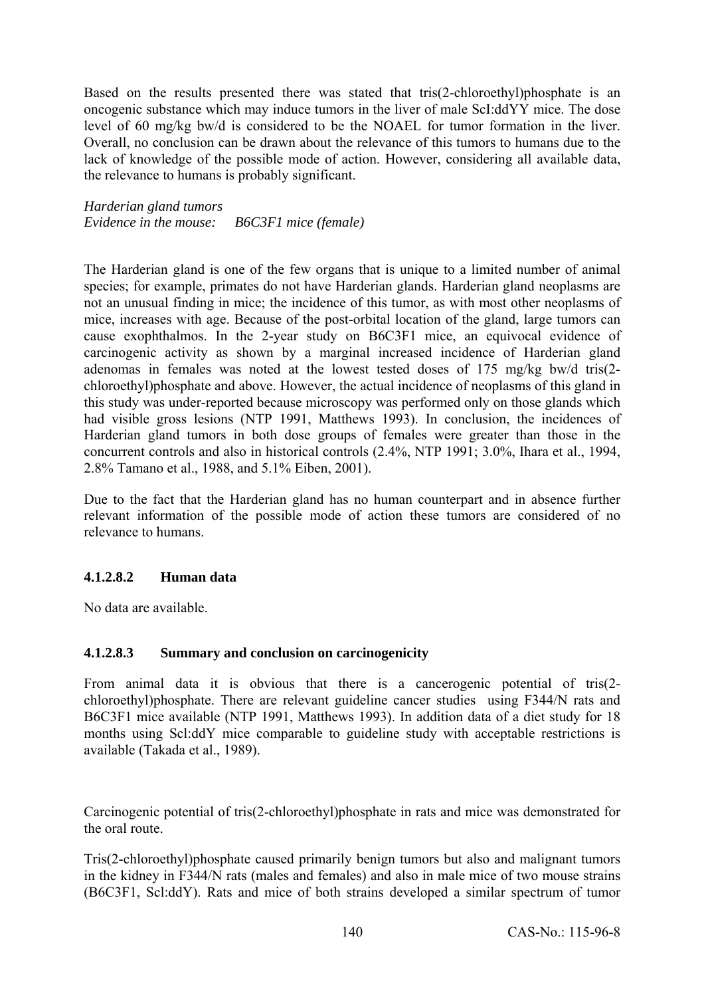Based on the results presented there was stated that tris(2-chloroethyl)phosphate is an oncogenic substance which may induce tumors in the liver of male ScI:ddYY mice. The dose level of 60 mg/kg bw/d is considered to be the NOAEL for tumor formation in the liver. Overall, no conclusion can be drawn about the relevance of this tumors to humans due to the lack of knowledge of the possible mode of action. However, considering all available data, the relevance to humans is probably significant.

*Harderian gland tumors Evidence in the mouse: B6C3F1 mice (female)* 

The Harderian gland is one of the few organs that is unique to a limited number of animal species; for example, primates do not have Harderian glands. Harderian gland neoplasms are not an unusual finding in mice; the incidence of this tumor, as with most other neoplasms of mice, increases with age. Because of the post-orbital location of the gland, large tumors can cause exophthalmos. In the 2-year study on B6C3F1 mice, an equivocal evidence of carcinogenic activity as shown by a marginal increased incidence of Harderian gland adenomas in females was noted at the lowest tested doses of 175 mg/kg bw/d tris(2 chloroethyl)phosphate and above. However, the actual incidence of neoplasms of this gland in this study was under-reported because microscopy was performed only on those glands which had visible gross lesions (NTP 1991, Matthews 1993). In conclusion, the incidences of Harderian gland tumors in both dose groups of females were greater than those in the concurrent controls and also in historical controls (2.4%, NTP 1991; 3.0%, Ihara et al., 1994, 2.8% Tamano et al., 1988, and 5.1% Eiben, 2001).

Due to the fact that the Harderian gland has no human counterpart and in absence further relevant information of the possible mode of action these tumors are considered of no relevance to humans.

### **4.1.2.8.2 Human data**

No data are available.

### **4.1.2.8.3 Summary and conclusion on carcinogenicity**

From animal data it is obvious that there is a cancerogenic potential of tris(2 chloroethyl)phosphate. There are relevant guideline cancer studies using F344/N rats and B6C3F1 mice available (NTP 1991, Matthews 1993). In addition data of a diet study for 18 months using Scl:ddY mice comparable to guideline study with acceptable restrictions is available (Takada et al., 1989).

Carcinogenic potential of tris(2-chloroethyl)phosphate in rats and mice was demonstrated for the oral route.

Tris(2-chloroethyl)phosphate caused primarily benign tumors but also and malignant tumors in the kidney in F344/N rats (males and females) and also in male mice of two mouse strains (B6C3F1, Scl:ddY). Rats and mice of both strains developed a similar spectrum of tumor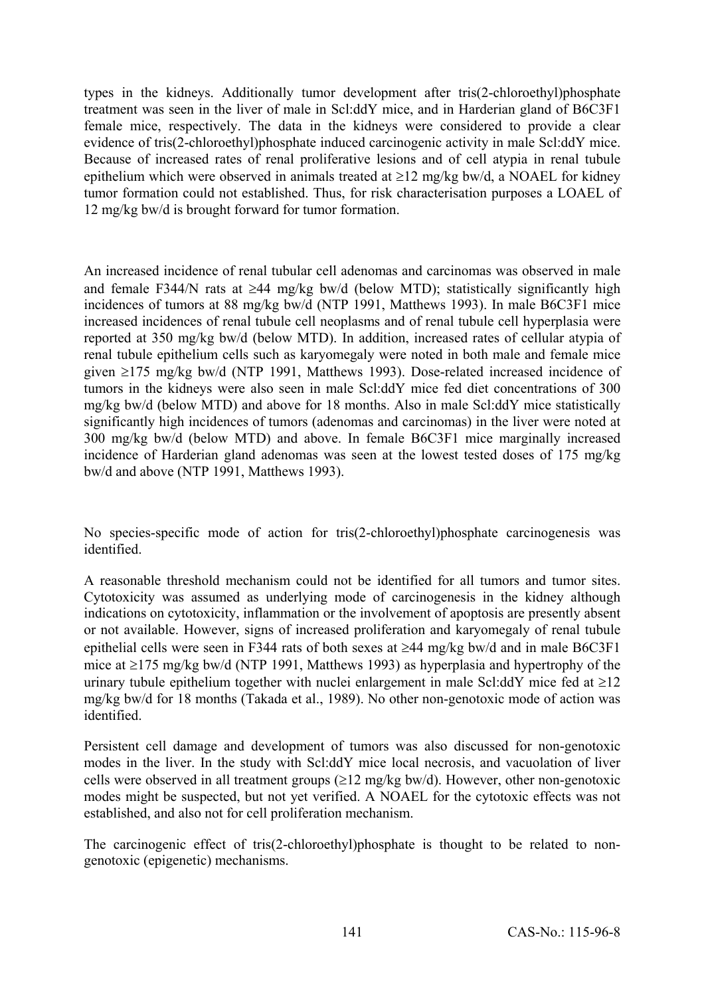types in the kidneys. Additionally tumor development after tris(2-chloroethyl)phosphate treatment was seen in the liver of male in Scl:ddY mice, and in Harderian gland of B6C3F1 female mice, respectively. The data in the kidneys were considered to provide a clear evidence of tris(2-chloroethyl)phosphate induced carcinogenic activity in male Scl:ddY mice. Because of increased rates of renal proliferative lesions and of cell atypia in renal tubule epithelium which were observed in animals treated at  $\geq 12$  mg/kg bw/d, a NOAEL for kidney tumor formation could not established. Thus, for risk characterisation purposes a LOAEL of 12 mg/kg bw/d is brought forward for tumor formation.

An increased incidence of renal tubular cell adenomas and carcinomas was observed in male and female F344/N rats at  $\geq 44$  mg/kg bw/d (below MTD); statistically significantly high incidences of tumors at 88 mg/kg bw/d (NTP 1991, Matthews 1993). In male B6C3F1 mice increased incidences of renal tubule cell neoplasms and of renal tubule cell hyperplasia were reported at 350 mg/kg bw/d (below MTD). In addition, increased rates of cellular atypia of renal tubule epithelium cells such as karyomegaly were noted in both male and female mice given ≥175 mg/kg bw/d (NTP 1991, Matthews 1993). Dose-related increased incidence of tumors in the kidneys were also seen in male Scl:ddY mice fed diet concentrations of 300 mg/kg bw/d (below MTD) and above for 18 months. Also in male Scl:ddY mice statistically significantly high incidences of tumors (adenomas and carcinomas) in the liver were noted at 300 mg/kg bw/d (below MTD) and above. In female B6C3F1 mice marginally increased incidence of Harderian gland adenomas was seen at the lowest tested doses of 175 mg/kg bw/d and above (NTP 1991, Matthews 1993).

No species-specific mode of action for tris(2-chloroethyl)phosphate carcinogenesis was identified.

A reasonable threshold mechanism could not be identified for all tumors and tumor sites. Cytotoxicity was assumed as underlying mode of carcinogenesis in the kidney although indications on cytotoxicity, inflammation or the involvement of apoptosis are presently absent or not available. However, signs of increased proliferation and karyomegaly of renal tubule epithelial cells were seen in F344 rats of both sexes at ≥44 mg/kg bw/d and in male B6C3F1 mice at ≥175 mg/kg bw/d (NTP 1991, Matthews 1993) as hyperplasia and hypertrophy of the urinary tubule epithelium together with nuclei enlargement in male Scl:ddY mice fed at  $\geq$ 12 mg/kg bw/d for 18 months (Takada et al., 1989). No other non-genotoxic mode of action was identified.

Persistent cell damage and development of tumors was also discussed for non-genotoxic modes in the liver. In the study with Scl:ddY mice local necrosis, and vacuolation of liver cells were observed in all treatment groups  $(\geq 12 \text{ mg/kg bw/d})$ . However, other non-genotoxic modes might be suspected, but not yet verified. A NOAEL for the cytotoxic effects was not established, and also not for cell proliferation mechanism.

The carcinogenic effect of tris(2-chloroethyl)phosphate is thought to be related to nongenotoxic (epigenetic) mechanisms.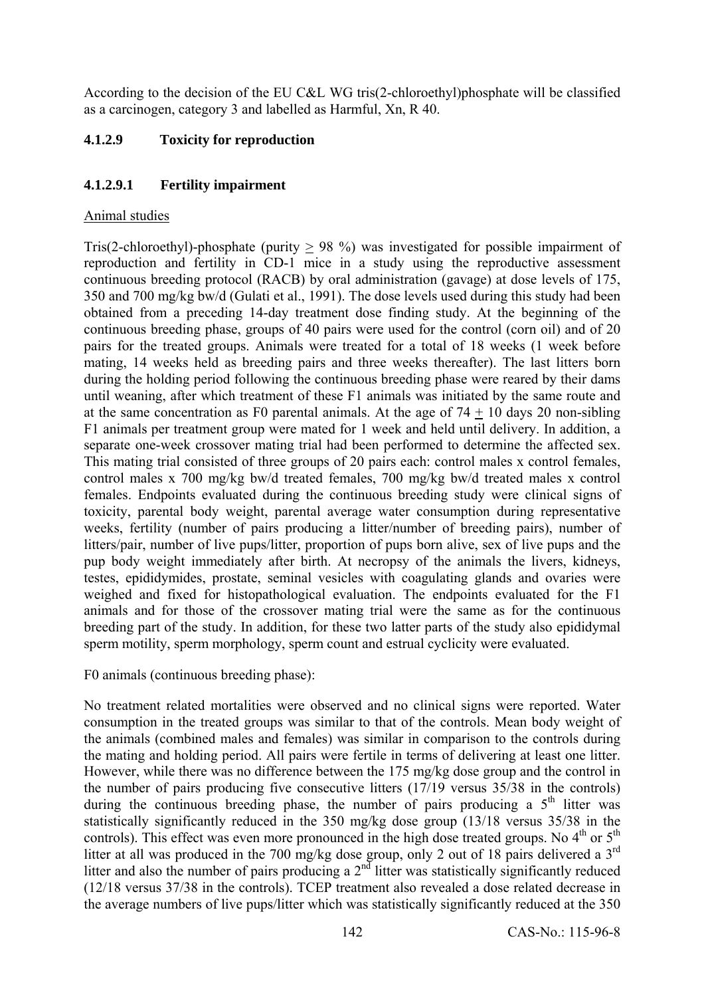According to the decision of the EU C&L WG tris(2-chloroethyl)phosphate will be classified as a carcinogen, category 3 and labelled as Harmful, Xn, R 40.

# **4.1.2.9 Toxicity for reproduction**

# **4.1.2.9.1 Fertility impairment**

# Animal studies

Tris(2-chloroethyl)-phosphate (purity  $\geq$  98 %) was investigated for possible impairment of reproduction and fertility in CD-1 mice in a study using the reproductive assessment continuous breeding protocol (RACB) by oral administration (gavage) at dose levels of 175, 350 and 700 mg/kg bw/d (Gulati et al., 1991). The dose levels used during this study had been obtained from a preceding 14-day treatment dose finding study. At the beginning of the continuous breeding phase, groups of 40 pairs were used for the control (corn oil) and of 20 pairs for the treated groups. Animals were treated for a total of 18 weeks (1 week before mating, 14 weeks held as breeding pairs and three weeks thereafter). The last litters born during the holding period following the continuous breeding phase were reared by their dams until weaning, after which treatment of these F1 animals was initiated by the same route and at the same concentration as F0 parental animals. At the age of  $74 + 10$  days 20 non-sibling F1 animals per treatment group were mated for 1 week and held until delivery. In addition, a separate one-week crossover mating trial had been performed to determine the affected sex. This mating trial consisted of three groups of 20 pairs each: control males x control females, control males x 700 mg/kg bw/d treated females, 700 mg/kg bw/d treated males x control females. Endpoints evaluated during the continuous breeding study were clinical signs of toxicity, parental body weight, parental average water consumption during representative weeks, fertility (number of pairs producing a litter/number of breeding pairs), number of litters/pair, number of live pups/litter, proportion of pups born alive, sex of live pups and the pup body weight immediately after birth. At necropsy of the animals the livers, kidneys, testes, epididymides, prostate, seminal vesicles with coagulating glands and ovaries were weighed and fixed for histopathological evaluation. The endpoints evaluated for the F1 animals and for those of the crossover mating trial were the same as for the continuous breeding part of the study. In addition, for these two latter parts of the study also epididymal sperm motility, sperm morphology, sperm count and estrual cyclicity were evaluated.

F0 animals (continuous breeding phase):

No treatment related mortalities were observed and no clinical signs were reported. Water consumption in the treated groups was similar to that of the controls. Mean body weight of the animals (combined males and females) was similar in comparison to the controls during the mating and holding period. All pairs were fertile in terms of delivering at least one litter. However, while there was no difference between the 175 mg/kg dose group and the control in the number of pairs producing five consecutive litters (17/19 versus 35/38 in the controls) during the continuous breeding phase, the number of pairs producing a  $5<sup>th</sup>$  litter was statistically significantly reduced in the 350 mg/kg dose group (13/18 versus 35/38 in the controls). This effect was even more pronounced in the high dose treated groups. No  $4<sup>th</sup>$  or  $5<sup>th</sup>$ litter at all was produced in the 700 mg/kg dose group, only 2 out of 18 pairs delivered a 3<sup>rd</sup> litter and also the number of pairs producing a  $2<sup>nd</sup>$  litter was statistically significantly reduced (12/18 versus 37/38 in the controls). TCEP treatment also revealed a dose related decrease in the average numbers of live pups/litter which was statistically significantly reduced at the 350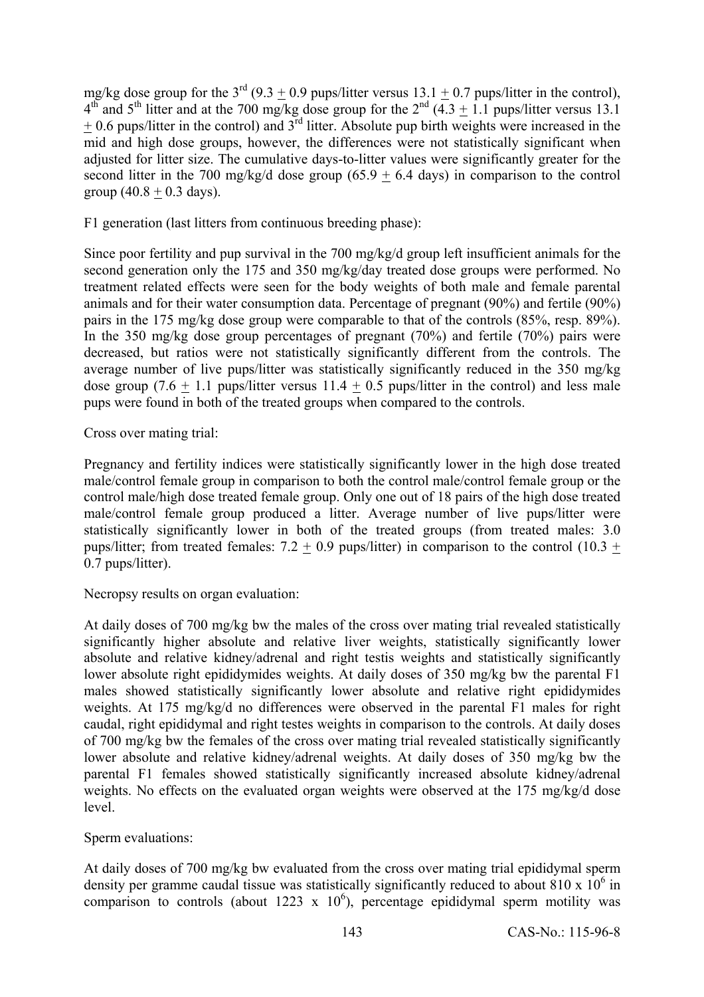mg/kg dose group for the 3<sup>rd</sup> (9.3  $\pm$  0.9 pups/litter versus 13.1  $\pm$  0.7 pups/litter in the control),  $4<sup>th</sup>$  and 5<sup>th</sup> litter and at the 700 mg/kg dose group for the  $2<sup>nd</sup>$  (4.3 + 1.1 pups/litter versus 13.1)  $+ 0.6$  pups/litter in the control) and  $3^{rd}$  litter. Absolute pup birth weights were increased in the mid and high dose groups, however, the differences were not statistically significant when adjusted for litter size. The cumulative days-to-litter values were significantly greater for the second litter in the 700 mg/kg/d dose group  $(65.9 + 6.4$  days) in comparison to the control group  $(40.8 + 0.3$  days).

F1 generation (last litters from continuous breeding phase):

Since poor fertility and pup survival in the 700 mg/kg/d group left insufficient animals for the second generation only the 175 and 350 mg/kg/day treated dose groups were performed. No treatment related effects were seen for the body weights of both male and female parental animals and for their water consumption data. Percentage of pregnant (90%) and fertile (90%) pairs in the 175 mg/kg dose group were comparable to that of the controls (85%, resp. 89%). In the 350 mg/kg dose group percentages of pregnant (70%) and fertile (70%) pairs were decreased, but ratios were not statistically significantly different from the controls. The average number of live pups/litter was statistically significantly reduced in the 350 mg/kg dose group (7.6  $\pm$  1.1 pups/litter versus 11.4  $\pm$  0.5 pups/litter in the control) and less male pups were found in both of the treated groups when compared to the controls.

Cross over mating trial:

Pregnancy and fertility indices were statistically significantly lower in the high dose treated male/control female group in comparison to both the control male/control female group or the control male/high dose treated female group. Only one out of 18 pairs of the high dose treated male/control female group produced a litter. Average number of live pups/litter were statistically significantly lower in both of the treated groups (from treated males: 3.0 pups/litter; from treated females:  $7.2 + 0.9$  pups/litter) in comparison to the control  $(10.3 +$ 0.7 pups/litter).

Necropsy results on organ evaluation:

At daily doses of 700 mg/kg bw the males of the cross over mating trial revealed statistically significantly higher absolute and relative liver weights, statistically significantly lower absolute and relative kidney/adrenal and right testis weights and statistically significantly lower absolute right epididymides weights. At daily doses of 350 mg/kg bw the parental F1 males showed statistically significantly lower absolute and relative right epididymides weights. At 175 mg/kg/d no differences were observed in the parental F1 males for right caudal, right epididymal and right testes weights in comparison to the controls. At daily doses of 700 mg/kg bw the females of the cross over mating trial revealed statistically significantly lower absolute and relative kidney/adrenal weights. At daily doses of 350 mg/kg bw the parental F1 females showed statistically significantly increased absolute kidney/adrenal weights. No effects on the evaluated organ weights were observed at the 175 mg/kg/d dose level.

Sperm evaluations:

At daily doses of 700 mg/kg bw evaluated from the cross over mating trial epididymal sperm density per gramme caudal tissue was statistically significantly reduced to about 810 x  $10<sup>6</sup>$  in comparison to controls (about 1223 x  $10<sup>6</sup>$ ), percentage epididymal sperm motility was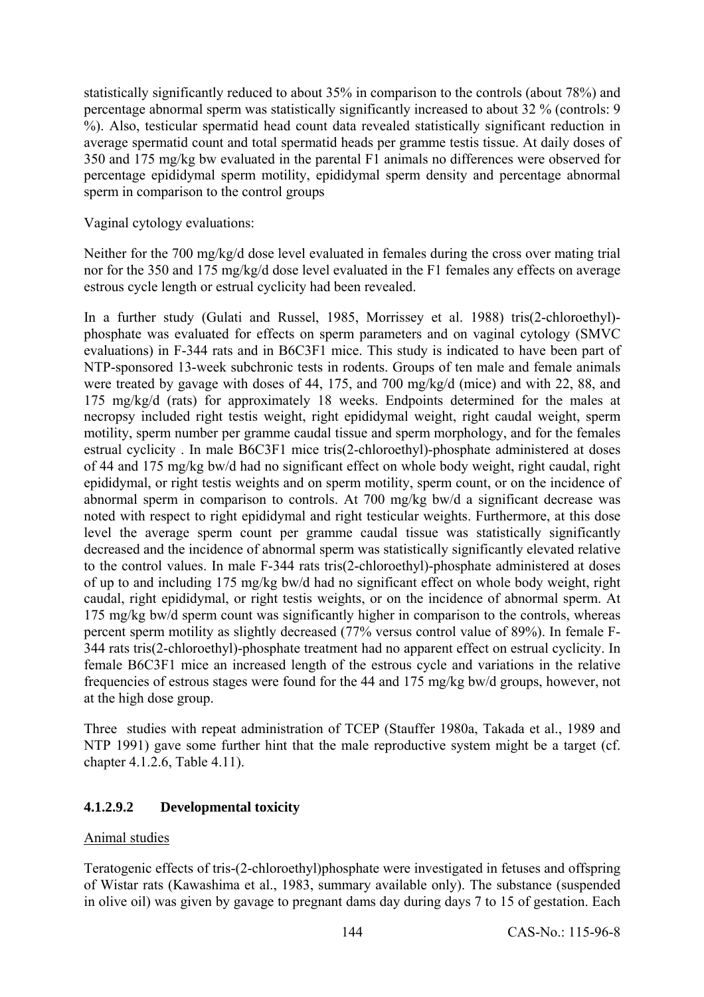statistically significantly reduced to about 35% in comparison to the controls (about 78%) and percentage abnormal sperm was statistically significantly increased to about 32 % (controls: 9 %). Also, testicular spermatid head count data revealed statistically significant reduction in average spermatid count and total spermatid heads per gramme testis tissue. At daily doses of 350 and 175 mg/kg bw evaluated in the parental F1 animals no differences were observed for percentage epididymal sperm motility, epididymal sperm density and percentage abnormal sperm in comparison to the control groups

Vaginal cytology evaluations:

Neither for the 700 mg/kg/d dose level evaluated in females during the cross over mating trial nor for the 350 and 175 mg/kg/d dose level evaluated in the F1 females any effects on average estrous cycle length or estrual cyclicity had been revealed.

In a further study (Gulati and Russel, 1985, Morrissey et al. 1988) tris(2-chloroethyl) phosphate was evaluated for effects on sperm parameters and on vaginal cytology (SMVC evaluations) in F-344 rats and in B6C3F1 mice. This study is indicated to have been part of NTP-sponsored 13-week subchronic tests in rodents. Groups of ten male and female animals were treated by gavage with doses of 44, 175, and 700 mg/kg/d (mice) and with 22, 88, and 175 mg/kg/d (rats) for approximately 18 weeks. Endpoints determined for the males at necropsy included right testis weight, right epididymal weight, right caudal weight, sperm motility, sperm number per gramme caudal tissue and sperm morphology, and for the females estrual cyclicity . In male B6C3F1 mice tris(2-chloroethyl)-phosphate administered at doses of 44 and 175 mg/kg bw/d had no significant effect on whole body weight, right caudal, right epididymal, or right testis weights and on sperm motility, sperm count, or on the incidence of abnormal sperm in comparison to controls. At 700 mg/kg bw/d a significant decrease was noted with respect to right epididymal and right testicular weights. Furthermore, at this dose level the average sperm count per gramme caudal tissue was statistically significantly decreased and the incidence of abnormal sperm was statistically significantly elevated relative to the control values. In male F-344 rats tris(2-chloroethyl)-phosphate administered at doses of up to and including 175 mg/kg bw/d had no significant effect on whole body weight, right caudal, right epididymal, or right testis weights, or on the incidence of abnormal sperm. At 175 mg/kg bw/d sperm count was significantly higher in comparison to the controls, whereas percent sperm motility as slightly decreased (77% versus control value of 89%). In female F-344 rats tris(2-chloroethyl)-phosphate treatment had no apparent effect on estrual cyclicity. In female B6C3F1 mice an increased length of the estrous cycle and variations in the relative frequencies of estrous stages were found for the 44 and 175 mg/kg bw/d groups, however, not at the high dose group.

Three studies with repeat administration of TCEP (Stauffer 1980a, Takada et al., 1989 and NTP 1991) gave some further hint that the male reproductive system might be a target (cf. chapter 4.1.2.6, Table 4.11).

# **4.1.2.9.2 Developmental toxicity**

# Animal studies

Teratogenic effects of tris-(2-chloroethyl)phosphate were investigated in fetuses and offspring of Wistar rats (Kawashima et al., 1983, summary available only). The substance (suspended in olive oil) was given by gavage to pregnant dams day during days 7 to 15 of gestation. Each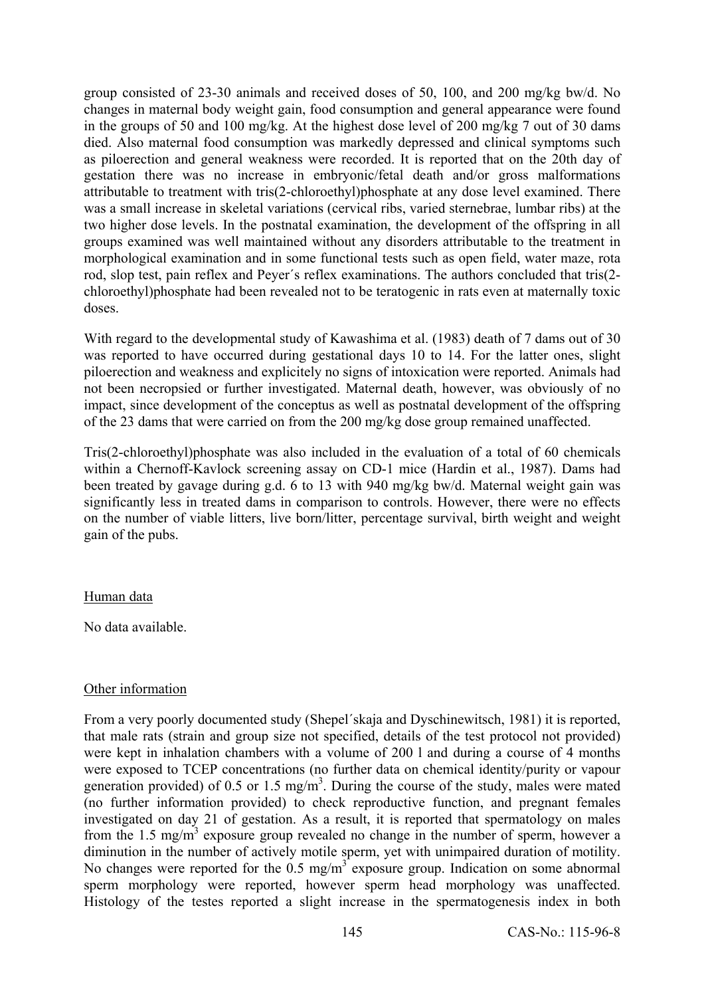group consisted of 23-30 animals and received doses of 50, 100, and 200 mg/kg bw/d. No changes in maternal body weight gain, food consumption and general appearance were found in the groups of 50 and 100 mg/kg. At the highest dose level of 200 mg/kg 7 out of 30 dams died. Also maternal food consumption was markedly depressed and clinical symptoms such as piloerection and general weakness were recorded. It is reported that on the 20th day of gestation there was no increase in embryonic/fetal death and/or gross malformations attributable to treatment with tris(2-chloroethyl)phosphate at any dose level examined. There was a small increase in skeletal variations (cervical ribs, varied sternebrae, lumbar ribs) at the two higher dose levels. In the postnatal examination, the development of the offspring in all groups examined was well maintained without any disorders attributable to the treatment in morphological examination and in some functional tests such as open field, water maze, rota rod, slop test, pain reflex and Peyer´s reflex examinations. The authors concluded that tris(2 chloroethyl)phosphate had been revealed not to be teratogenic in rats even at maternally toxic doses.

With regard to the developmental study of Kawashima et al. (1983) death of 7 dams out of 30 was reported to have occurred during gestational days 10 to 14. For the latter ones, slight piloerection and weakness and explicitely no signs of intoxication were reported. Animals had not been necropsied or further investigated. Maternal death, however, was obviously of no impact, since development of the conceptus as well as postnatal development of the offspring of the 23 dams that were carried on from the 200 mg/kg dose group remained unaffected.

Tris(2-chloroethyl)phosphate was also included in the evaluation of a total of 60 chemicals within a Chernoff-Kavlock screening assay on CD-1 mice (Hardin et al., 1987). Dams had been treated by gavage during g.d. 6 to 13 with 940 mg/kg bw/d. Maternal weight gain was significantly less in treated dams in comparison to controls. However, there were no effects on the number of viable litters, live born/litter, percentage survival, birth weight and weight gain of the pubs.

### Human data

No data available.

### Other information

From a very poorly documented study (Shepel´skaja and Dyschinewitsch, 1981) it is reported, that male rats (strain and group size not specified, details of the test protocol not provided) were kept in inhalation chambers with a volume of 200 l and during a course of 4 months were exposed to TCEP concentrations (no further data on chemical identity/purity or vapour generation provided) of 0.5 or 1.5 mg/m<sup>3</sup>. During the course of the study, males were mated (no further information provided) to check reproductive function, and pregnant females investigated on day 21 of gestation. As a result, it is reported that spermatology on males from the 1.5 mg/m<sup>3</sup> exposure group revealed no change in the number of sperm, however a diminution in the number of actively motile sperm, yet with unimpaired duration of motility. No changes were reported for the  $0.5 \text{ mg/m}^3$  exposure group. Indication on some abnormal sperm morphology were reported, however sperm head morphology was unaffected. Histology of the testes reported a slight increase in the spermatogenesis index in both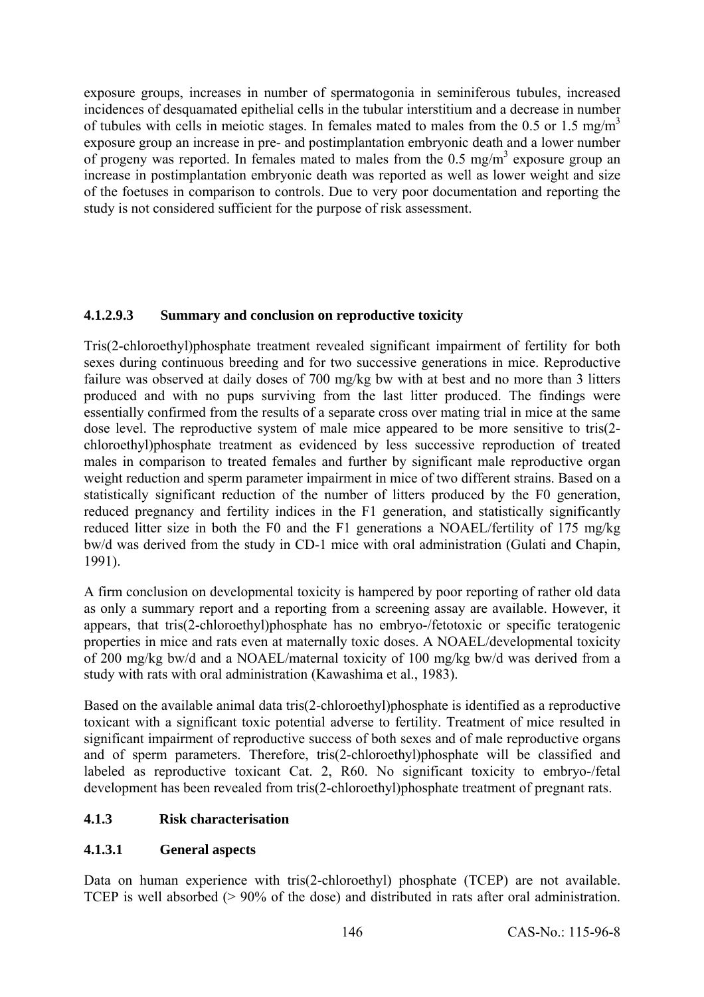exposure groups, increases in number of spermatogonia in seminiferous tubules, increased incidences of desquamated epithelial cells in the tubular interstitium and a decrease in number of tubules with cells in meiotic stages. In females mated to males from the 0.5 or 1.5 mg/m<sup>3</sup> exposure group an increase in pre- and postimplantation embryonic death and a lower number of progeny was reported. In females mated to males from the  $0.5 \text{ mg/m}^3$  exposure group an increase in postimplantation embryonic death was reported as well as lower weight and size of the foetuses in comparison to controls. Due to very poor documentation and reporting the study is not considered sufficient for the purpose of risk assessment.

## **4.1.2.9.3 Summary and conclusion on reproductive toxicity**

Tris(2-chloroethyl)phosphate treatment revealed significant impairment of fertility for both sexes during continuous breeding and for two successive generations in mice. Reproductive failure was observed at daily doses of 700 mg/kg bw with at best and no more than 3 litters produced and with no pups surviving from the last litter produced. The findings were essentially confirmed from the results of a separate cross over mating trial in mice at the same dose level. The reproductive system of male mice appeared to be more sensitive to tris(2 chloroethyl)phosphate treatment as evidenced by less successive reproduction of treated males in comparison to treated females and further by significant male reproductive organ weight reduction and sperm parameter impairment in mice of two different strains. Based on a statistically significant reduction of the number of litters produced by the F0 generation, reduced pregnancy and fertility indices in the F1 generation, and statistically significantly reduced litter size in both the F0 and the F1 generations a NOAEL/fertility of 175 mg/kg bw/d was derived from the study in CD-1 mice with oral administration (Gulati and Chapin, 1991).

A firm conclusion on developmental toxicity is hampered by poor reporting of rather old data as only a summary report and a reporting from a screening assay are available. However, it appears, that tris(2-chloroethyl)phosphate has no embryo-/fetotoxic or specific teratogenic properties in mice and rats even at maternally toxic doses. A NOAEL/developmental toxicity of 200 mg/kg bw/d and a NOAEL/maternal toxicity of 100 mg/kg bw/d was derived from a study with rats with oral administration (Kawashima et al., 1983).

Based on the available animal data tris(2-chloroethyl)phosphate is identified as a reproductive toxicant with a significant toxic potential adverse to fertility. Treatment of mice resulted in significant impairment of reproductive success of both sexes and of male reproductive organs and of sperm parameters. Therefore, tris(2-chloroethyl)phosphate will be classified and labeled as reproductive toxicant Cat. 2, R60. No significant toxicity to embryo-/fetal development has been revealed from tris(2-chloroethyl)phosphate treatment of pregnant rats.

# **4.1.3 Risk characterisation**

# **4.1.3.1 General aspects**

Data on human experience with tris(2-chloroethyl) phosphate (TCEP) are not available. TCEP is well absorbed (> 90% of the dose) and distributed in rats after oral administration.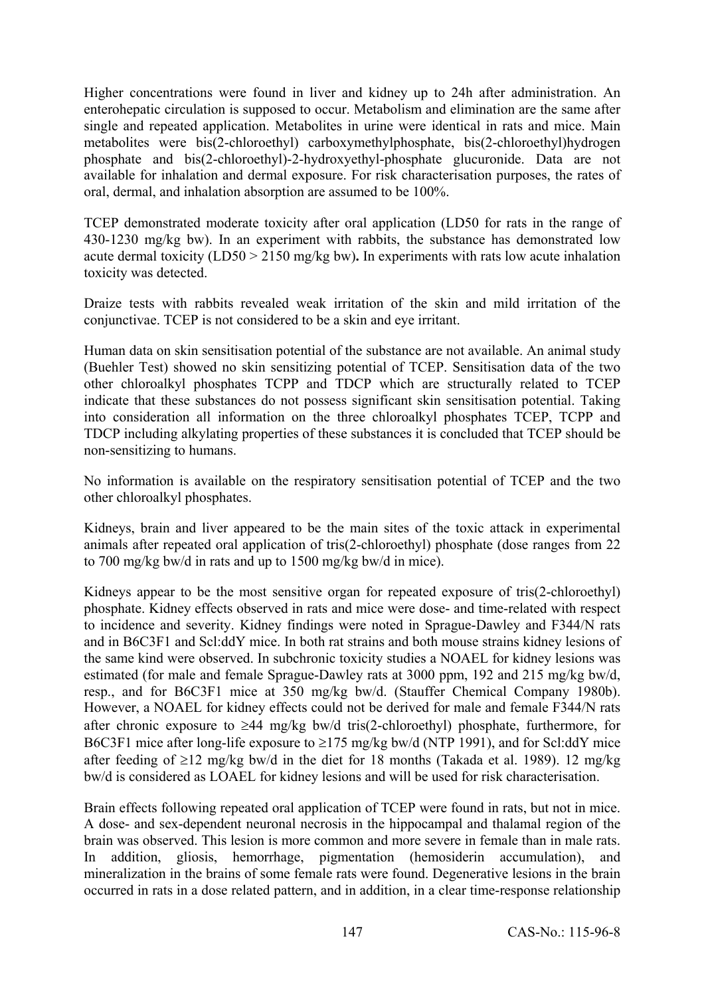Higher concentrations were found in liver and kidney up to 24h after administration. An enterohepatic circulation is supposed to occur. Metabolism and elimination are the same after single and repeated application. Metabolites in urine were identical in rats and mice. Main metabolites were bis(2-chloroethyl) carboxymethylphosphate, bis(2-chloroethyl)hydrogen phosphate and bis(2-chloroethyl)-2-hydroxyethyl-phosphate glucuronide. Data are not available for inhalation and dermal exposure. For risk characterisation purposes, the rates of oral, dermal, and inhalation absorption are assumed to be 100%.

TCEP demonstrated moderate toxicity after oral application (LD50 for rats in the range of 430-1230 mg/kg bw). In an experiment with rabbits, the substance has demonstrated low acute dermal toxicity (LD50 > 2150 mg/kg bw)**.** In experiments with rats low acute inhalation toxicity was detected.

Draize tests with rabbits revealed weak irritation of the skin and mild irritation of the conjunctivae. TCEP is not considered to be a skin and eye irritant.

Human data on skin sensitisation potential of the substance are not available. An animal study (Buehler Test) showed no skin sensitizing potential of TCEP. Sensitisation data of the two other chloroalkyl phosphates TCPP and TDCP which are structurally related to TCEP indicate that these substances do not possess significant skin sensitisation potential. Taking into consideration all information on the three chloroalkyl phosphates TCEP, TCPP and TDCP including alkylating properties of these substances it is concluded that TCEP should be non-sensitizing to humans.

No information is available on the respiratory sensitisation potential of TCEP and the two other chloroalkyl phosphates.

Kidneys, brain and liver appeared to be the main sites of the toxic attack in experimental animals after repeated oral application of tris(2-chloroethyl) phosphate (dose ranges from 22 to 700 mg/kg bw/d in rats and up to 1500 mg/kg bw/d in mice).

Kidneys appear to be the most sensitive organ for repeated exposure of tris(2-chloroethyl) phosphate. Kidney effects observed in rats and mice were dose- and time-related with respect to incidence and severity. Kidney findings were noted in Sprague-Dawley and F344/N rats and in B6C3F1 and Scl:ddY mice. In both rat strains and both mouse strains kidney lesions of the same kind were observed. In subchronic toxicity studies a NOAEL for kidney lesions was estimated (for male and female Sprague-Dawley rats at 3000 ppm, 192 and 215 mg/kg bw/d, resp., and for B6C3F1 mice at 350 mg/kg bw/d. (Stauffer Chemical Company 1980b). However, a NOAEL for kidney effects could not be derived for male and female F344/N rats after chronic exposure to  $\geq 44$  mg/kg bw/d tris(2-chloroethyl) phosphate, furthermore, for B6C3F1 mice after long-life exposure to ≥175 mg/kg bw/d (NTP 1991), and for Scl:ddY mice after feeding of ≥12 mg/kg bw/d in the diet for 18 months (Takada et al. 1989). 12 mg/kg bw/d is considered as LOAEL for kidney lesions and will be used for risk characterisation.

Brain effects following repeated oral application of TCEP were found in rats, but not in mice. A dose- and sex-dependent neuronal necrosis in the hippocampal and thalamal region of the brain was observed. This lesion is more common and more severe in female than in male rats. In addition, gliosis, hemorrhage, pigmentation (hemosiderin accumulation), and mineralization in the brains of some female rats were found. Degenerative lesions in the brain occurred in rats in a dose related pattern, and in addition, in a clear time-response relationship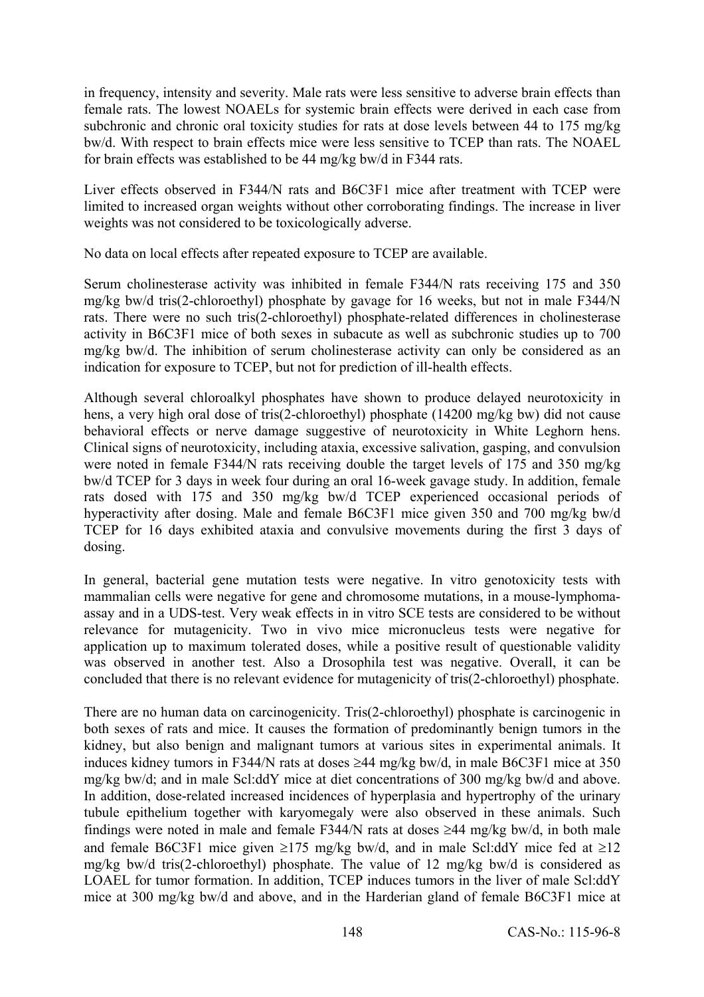in frequency, intensity and severity. Male rats were less sensitive to adverse brain effects than female rats. The lowest NOAELs for systemic brain effects were derived in each case from subchronic and chronic oral toxicity studies for rats at dose levels between 44 to 175 mg/kg bw/d. With respect to brain effects mice were less sensitive to TCEP than rats. The NOAEL for brain effects was established to be 44 mg/kg bw/d in F344 rats.

Liver effects observed in F344/N rats and B6C3F1 mice after treatment with TCEP were limited to increased organ weights without other corroborating findings. The increase in liver weights was not considered to be toxicologically adverse.

No data on local effects after repeated exposure to TCEP are available.

Serum cholinesterase activity was inhibited in female F344/N rats receiving 175 and 350 mg/kg bw/d tris(2-chloroethyl) phosphate by gavage for 16 weeks, but not in male F344/N rats. There were no such tris(2-chloroethyl) phosphate-related differences in cholinesterase activity in B6C3F1 mice of both sexes in subacute as well as subchronic studies up to 700 mg/kg bw/d. The inhibition of serum cholinesterase activity can only be considered as an indication for exposure to TCEP, but not for prediction of ill-health effects.

Although several chloroalkyl phosphates have shown to produce delayed neurotoxicity in hens, a very high oral dose of tris(2-chloroethyl) phosphate (14200 mg/kg bw) did not cause behavioral effects or nerve damage suggestive of neurotoxicity in White Leghorn hens. Clinical signs of neurotoxicity, including ataxia, excessive salivation, gasping, and convulsion were noted in female F344/N rats receiving double the target levels of 175 and 350 mg/kg bw/d TCEP for 3 days in week four during an oral 16-week gavage study. In addition, female rats dosed with 175 and 350 mg/kg bw/d TCEP experienced occasional periods of hyperactivity after dosing. Male and female B6C3F1 mice given 350 and 700 mg/kg bw/d TCEP for 16 days exhibited ataxia and convulsive movements during the first 3 days of dosing.

In general, bacterial gene mutation tests were negative. In vitro genotoxicity tests with mammalian cells were negative for gene and chromosome mutations, in a mouse-lymphomaassay and in a UDS-test. Very weak effects in in vitro SCE tests are considered to be without relevance for mutagenicity. Two in vivo mice micronucleus tests were negative for application up to maximum tolerated doses, while a positive result of questionable validity was observed in another test. Also a Drosophila test was negative. Overall, it can be concluded that there is no relevant evidence for mutagenicity of tris(2-chloroethyl) phosphate.

There are no human data on carcinogenicity. Tris(2-chloroethyl) phosphate is carcinogenic in both sexes of rats and mice. It causes the formation of predominantly benign tumors in the kidney, but also benign and malignant tumors at various sites in experimental animals. It induces kidney tumors in F344/N rats at doses ≥44 mg/kg bw/d, in male B6C3F1 mice at 350 mg/kg bw/d; and in male Scl:ddY mice at diet concentrations of 300 mg/kg bw/d and above. In addition, dose-related increased incidences of hyperplasia and hypertrophy of the urinary tubule epithelium together with karyomegaly were also observed in these animals. Such findings were noted in male and female F344/N rats at doses  $\geq 44$  mg/kg bw/d, in both male and female B6C3F1 mice given  $\geq$ 175 mg/kg bw/d, and in male Scl:ddY mice fed at  $\geq$ 12 mg/kg bw/d tris(2-chloroethyl) phosphate. The value of 12 mg/kg bw/d is considered as LOAEL for tumor formation. In addition, TCEP induces tumors in the liver of male Scl:ddY mice at 300 mg/kg bw/d and above, and in the Harderian gland of female B6C3F1 mice at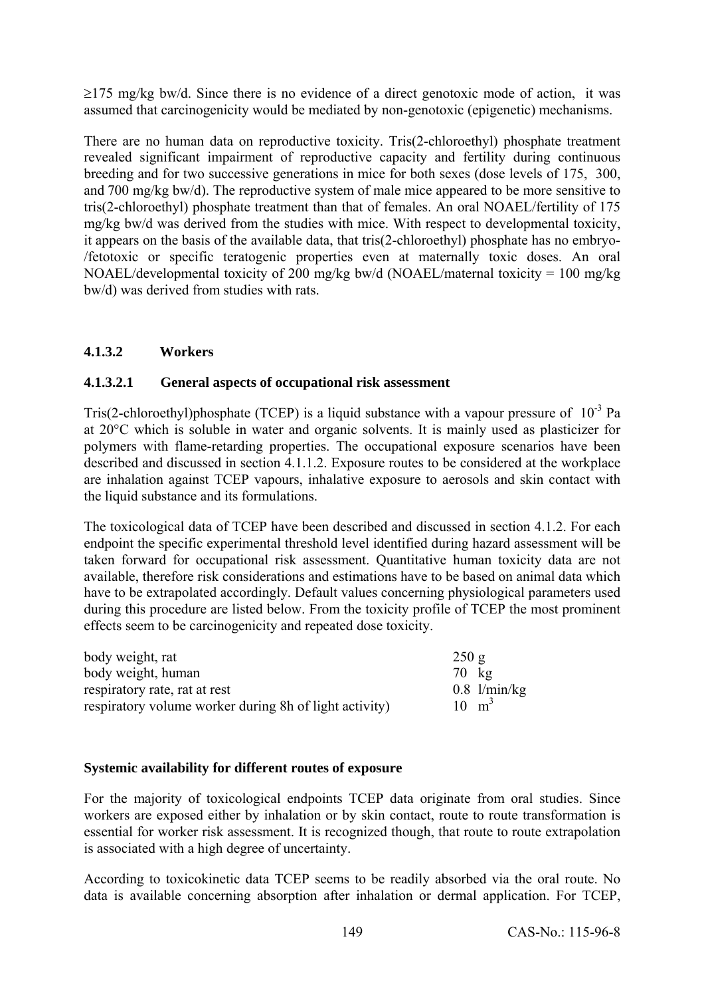$\geq$ 175 mg/kg bw/d. Since there is no evidence of a direct genotoxic mode of action, it was assumed that carcinogenicity would be mediated by non-genotoxic (epigenetic) mechanisms.

There are no human data on reproductive toxicity. Tris(2-chloroethyl) phosphate treatment revealed significant impairment of reproductive capacity and fertility during continuous breeding and for two successive generations in mice for both sexes (dose levels of 175, 300, and 700 mg/kg bw/d). The reproductive system of male mice appeared to be more sensitive to tris(2-chloroethyl) phosphate treatment than that of females. An oral NOAEL/fertility of 175 mg/kg bw/d was derived from the studies with mice. With respect to developmental toxicity, it appears on the basis of the available data, that tris(2-chloroethyl) phosphate has no embryo- /fetotoxic or specific teratogenic properties even at maternally toxic doses. An oral NOAEL/developmental toxicity of 200 mg/kg bw/d (NOAEL/maternal toxicity = 100 mg/kg bw/d) was derived from studies with rats.

## **4.1.3.2 Workers**

### **4.1.3.2.1 General aspects of occupational risk assessment**

Tris(2-chloroethyl)phosphate (TCEP) is a liquid substance with a vapour pressure of  $10^{-3}$  Pa at 20°C which is soluble in water and organic solvents. It is mainly used as plasticizer for polymers with flame-retarding properties. The occupational exposure scenarios have been described and discussed in section 4.1.1.2. Exposure routes to be considered at the workplace are inhalation against TCEP vapours, inhalative exposure to aerosols and skin contact with the liquid substance and its formulations.

The toxicological data of TCEP have been described and discussed in section 4.1.2. For each endpoint the specific experimental threshold level identified during hazard assessment will be taken forward for occupational risk assessment. Quantitative human toxicity data are not available, therefore risk considerations and estimations have to be based on animal data which have to be extrapolated accordingly. Default values concerning physiological parameters used during this procedure are listed below. From the toxicity profile of TCEP the most prominent effects seem to be carcinogenicity and repeated dose toxicity.

| body weight, rat                                       | 250 g            |                |
|--------------------------------------------------------|------------------|----------------|
| body weight, human                                     | $70 \text{ kg}$  |                |
| respiratory rate, rat at rest                          |                  | $0.8$ l/min/kg |
| respiratory volume worker during 8h of light activity) | $10 \text{ m}^3$ |                |

### **Systemic availability for different routes of exposure**

For the majority of toxicological endpoints TCEP data originate from oral studies. Since workers are exposed either by inhalation or by skin contact, route to route transformation is essential for worker risk assessment. It is recognized though, that route to route extrapolation is associated with a high degree of uncertainty.

According to toxicokinetic data TCEP seems to be readily absorbed via the oral route. No data is available concerning absorption after inhalation or dermal application. For TCEP,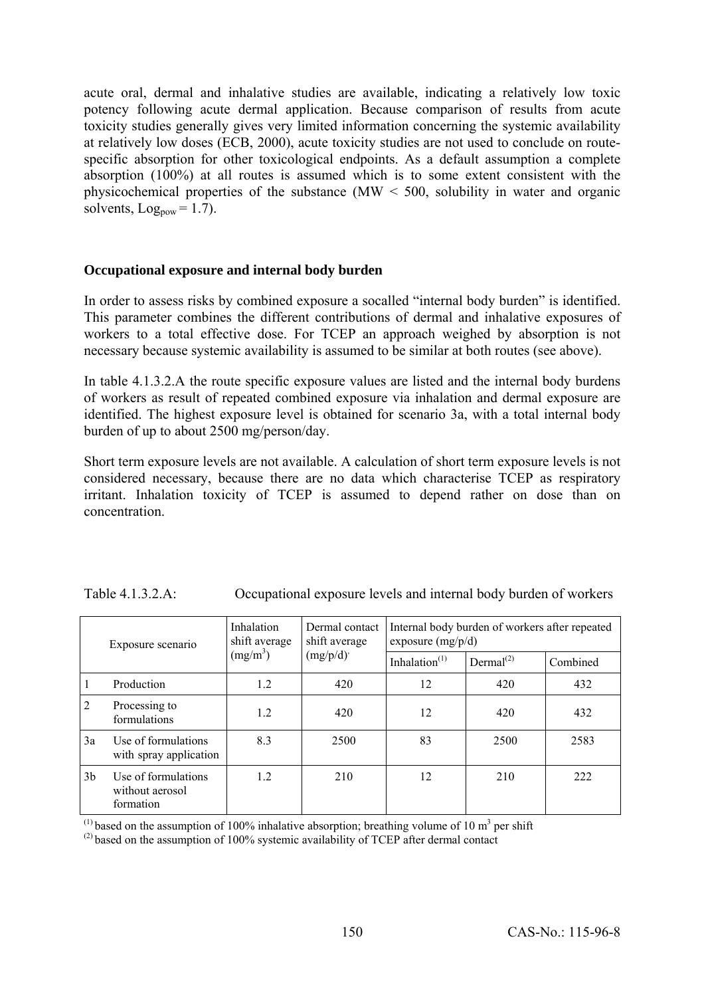acute oral, dermal and inhalative studies are available, indicating a relatively low toxic potency following acute dermal application. Because comparison of results from acute toxicity studies generally gives very limited information concerning the systemic availability at relatively low doses (ECB, 2000), acute toxicity studies are not used to conclude on routespecific absorption for other toxicological endpoints. As a default assumption a complete absorption (100%) at all routes is assumed which is to some extent consistent with the physicochemical properties of the substance (MW < 500, solubility in water and organic solvents,  $Log<sub>now</sub> = 1.7$ ).

#### **Occupational exposure and internal body burden**

In order to assess risks by combined exposure a socalled "internal body burden" is identified. This parameter combines the different contributions of dermal and inhalative exposures of workers to a total effective dose. For TCEP an approach weighed by absorption is not necessary because systemic availability is assumed to be similar at both routes (see above).

In table 4.1.3.2.A the route specific exposure values are listed and the internal body burdens of workers as result of repeated combined exposure via inhalation and dermal exposure are identified. The highest exposure level is obtained for scenario 3a, with a total internal body burden of up to about 2500 mg/person/day.

Short term exposure levels are not available. A calculation of short term exposure levels is not considered necessary, because there are no data which characterise TCEP as respiratory irritant. Inhalation toxicity of TCEP is assumed to depend rather on dose than on concentration.

| Table 4.1.3.2.A: | Occupational exposure levels and internal body burden of workers |  |  |  |  |  |  |  |
|------------------|------------------------------------------------------------------|--|--|--|--|--|--|--|
|------------------|------------------------------------------------------------------|--|--|--|--|--|--|--|

|    | Exposure scenario                                   | <b>Inhalation</b><br>shift average | Dermal contact<br>shift average | Internal body burden of workers after repeated<br>exposure $(mg/p/d)$ |                       |          |  |  |  |
|----|-----------------------------------------------------|------------------------------------|---------------------------------|-----------------------------------------------------------------------|-----------------------|----------|--|--|--|
|    |                                                     | $(mg/m^3)$                         | (mg/p/d)                        | Inhalation $(1)$                                                      | Dermal <sup>(2)</sup> | Combined |  |  |  |
|    | Production                                          | 1.2                                | 420                             | 12                                                                    | 420                   | 432      |  |  |  |
| 2  | Processing to<br>formulations                       | 1.2                                | 420                             | 12                                                                    | 420                   | 432      |  |  |  |
| 3a | Use of formulations<br>with spray application       | 8.3                                | 2500                            | 83                                                                    | 2500                  | 2583     |  |  |  |
| 3b | Use of formulations<br>without aerosol<br>formation | 1.2                                | 210                             | 12                                                                    | 210                   | 222      |  |  |  |

<sup>(1)</sup> based on the assumption of 100% inhalative absorption; breathing volume of 10 m<sup>3</sup> per shift

 $^{(2)}$  based on the assumption of 100% systemic availability of TCEP after dermal contact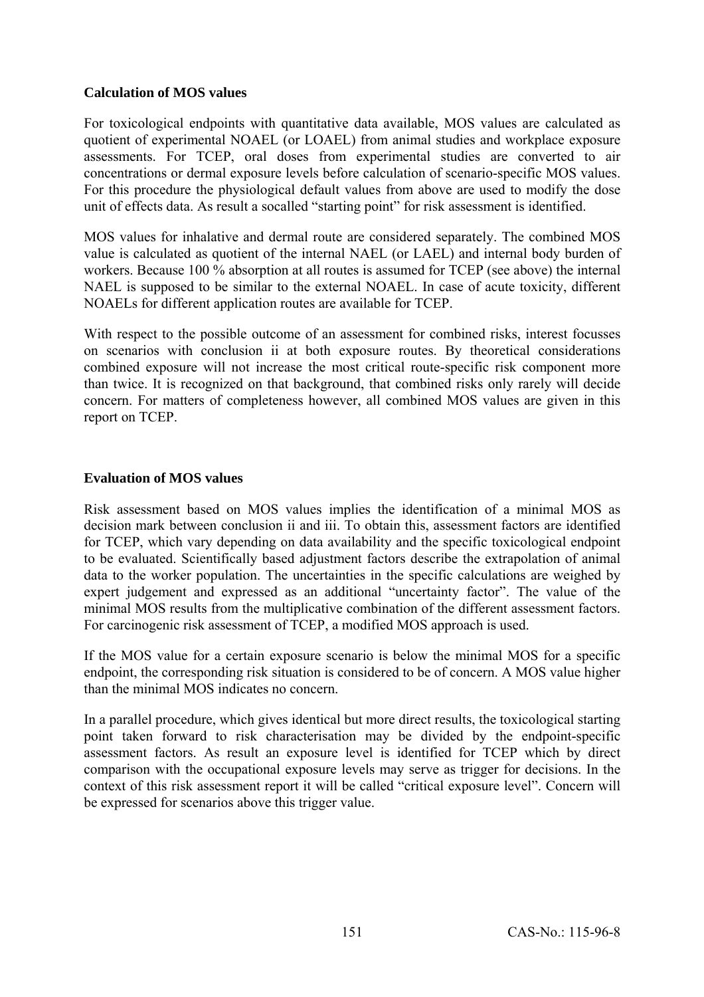#### **Calculation of MOS values**

For toxicological endpoints with quantitative data available, MOS values are calculated as quotient of experimental NOAEL (or LOAEL) from animal studies and workplace exposure assessments. For TCEP, oral doses from experimental studies are converted to air concentrations or dermal exposure levels before calculation of scenario-specific MOS values. For this procedure the physiological default values from above are used to modify the dose unit of effects data. As result a socalled "starting point" for risk assessment is identified.

MOS values for inhalative and dermal route are considered separately. The combined MOS value is calculated as quotient of the internal NAEL (or LAEL) and internal body burden of workers. Because 100 % absorption at all routes is assumed for TCEP (see above) the internal NAEL is supposed to be similar to the external NOAEL. In case of acute toxicity, different NOAELs for different application routes are available for TCEP.

With respect to the possible outcome of an assessment for combined risks, interest focusses on scenarios with conclusion ii at both exposure routes. By theoretical considerations combined exposure will not increase the most critical route-specific risk component more than twice. It is recognized on that background, that combined risks only rarely will decide concern. For matters of completeness however, all combined MOS values are given in this report on TCEP.

### **Evaluation of MOS values**

Risk assessment based on MOS values implies the identification of a minimal MOS as decision mark between conclusion ii and iii. To obtain this, assessment factors are identified for TCEP, which vary depending on data availability and the specific toxicological endpoint to be evaluated. Scientifically based adjustment factors describe the extrapolation of animal data to the worker population. The uncertainties in the specific calculations are weighed by expert judgement and expressed as an additional "uncertainty factor". The value of the minimal MOS results from the multiplicative combination of the different assessment factors. For carcinogenic risk assessment of TCEP, a modified MOS approach is used.

If the MOS value for a certain exposure scenario is below the minimal MOS for a specific endpoint, the corresponding risk situation is considered to be of concern. A MOS value higher than the minimal MOS indicates no concern.

In a parallel procedure, which gives identical but more direct results, the toxicological starting point taken forward to risk characterisation may be divided by the endpoint-specific assessment factors. As result an exposure level is identified for TCEP which by direct comparison with the occupational exposure levels may serve as trigger for decisions. In the context of this risk assessment report it will be called "critical exposure level". Concern will be expressed for scenarios above this trigger value.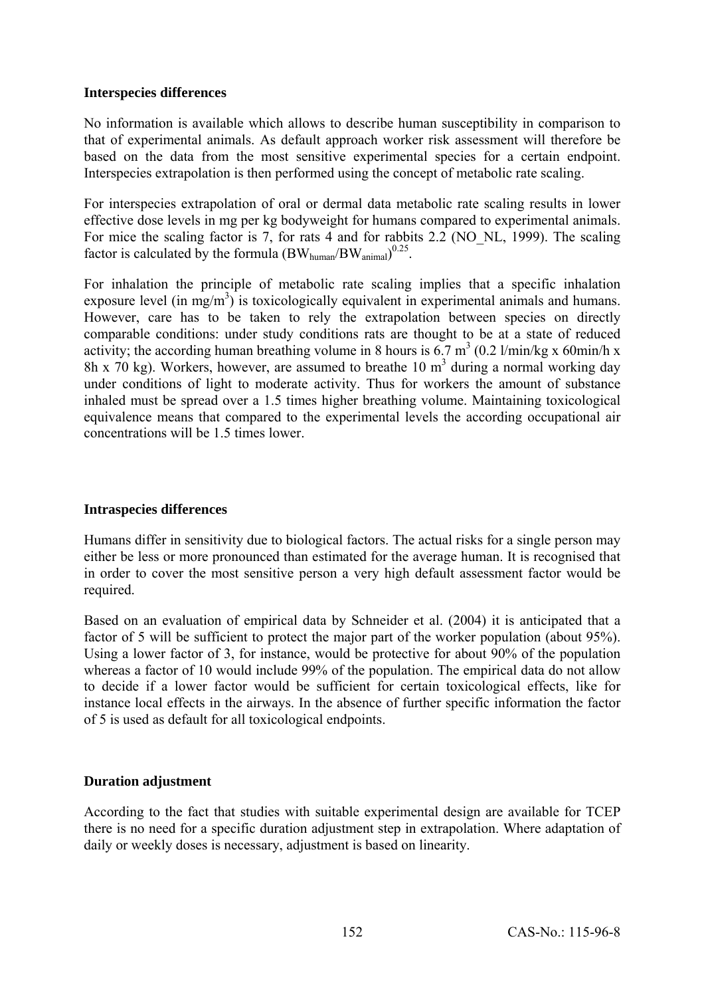#### **Interspecies differences**

No information is available which allows to describe human susceptibility in comparison to that of experimental animals. As default approach worker risk assessment will therefore be based on the data from the most sensitive experimental species for a certain endpoint. Interspecies extrapolation is then performed using the concept of metabolic rate scaling.

For interspecies extrapolation of oral or dermal data metabolic rate scaling results in lower effective dose levels in mg per kg bodyweight for humans compared to experimental animals. For mice the scaling factor is 7, for rats 4 and for rabbits 2.2 (NO\_NL, 1999). The scaling factor is calculated by the formula  $(BW_{human}/BW_{animal})^{0.25}$ .

For inhalation the principle of metabolic rate scaling implies that a specific inhalation exposure level (in  $mg/m<sup>3</sup>$ ) is toxicologically equivalent in experimental animals and humans. However, care has to be taken to rely the extrapolation between species on directly comparable conditions: under study conditions rats are thought to be at a state of reduced activity; the according human breathing volume in 8 hours is  $6.7 \text{ m}^3$  (0.2 l/min/kg x 60min/h x 8h x 70 kg). Workers, however, are assumed to breathe 10  $m<sup>3</sup>$  during a normal working day under conditions of light to moderate activity. Thus for workers the amount of substance inhaled must be spread over a 1.5 times higher breathing volume. Maintaining toxicological equivalence means that compared to the experimental levels the according occupational air concentrations will be 1.5 times lower.

### **Intraspecies differences**

Humans differ in sensitivity due to biological factors. The actual risks for a single person may either be less or more pronounced than estimated for the average human. It is recognised that in order to cover the most sensitive person a very high default assessment factor would be required.

Based on an evaluation of empirical data by Schneider et al. (2004) it is anticipated that a factor of 5 will be sufficient to protect the major part of the worker population (about 95%). Using a lower factor of 3, for instance, would be protective for about 90% of the population whereas a factor of 10 would include 99% of the population. The empirical data do not allow to decide if a lower factor would be sufficient for certain toxicological effects, like for instance local effects in the airways. In the absence of further specific information the factor of 5 is used as default for all toxicological endpoints.

### **Duration adjustment**

According to the fact that studies with suitable experimental design are available for TCEP there is no need for a specific duration adjustment step in extrapolation. Where adaptation of daily or weekly doses is necessary, adjustment is based on linearity.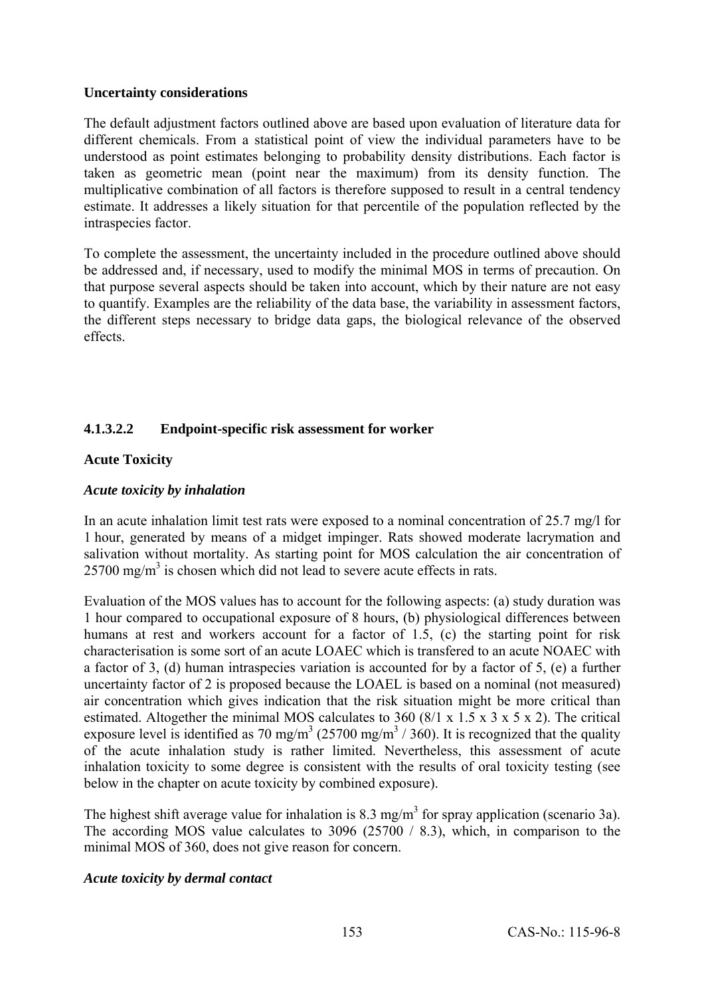#### **Uncertainty considerations**

The default adjustment factors outlined above are based upon evaluation of literature data for different chemicals. From a statistical point of view the individual parameters have to be understood as point estimates belonging to probability density distributions. Each factor is taken as geometric mean (point near the maximum) from its density function. The multiplicative combination of all factors is therefore supposed to result in a central tendency estimate. It addresses a likely situation for that percentile of the population reflected by the intraspecies factor.

To complete the assessment, the uncertainty included in the procedure outlined above should be addressed and, if necessary, used to modify the minimal MOS in terms of precaution. On that purpose several aspects should be taken into account, which by their nature are not easy to quantify. Examples are the reliability of the data base, the variability in assessment factors, the different steps necessary to bridge data gaps, the biological relevance of the observed effects.

## **4.1.3.2.2 Endpoint-specific risk assessment for worker**

### **Acute Toxicity**

### *Acute toxicity by inhalation*

In an acute inhalation limit test rats were exposed to a nominal concentration of 25.7 mg/l for 1 hour, generated by means of a midget impinger. Rats showed moderate lacrymation and salivation without mortality. As starting point for MOS calculation the air concentration of  $25700 \text{ mg/m}^3$  is chosen which did not lead to severe acute effects in rats.

Evaluation of the MOS values has to account for the following aspects: (a) study duration was 1 hour compared to occupational exposure of 8 hours, (b) physiological differences between humans at rest and workers account for a factor of 1.5, (c) the starting point for risk characterisation is some sort of an acute LOAEC which is transfered to an acute NOAEC with a factor of 3, (d) human intraspecies variation is accounted for by a factor of 5, (e) a further uncertainty factor of 2 is proposed because the LOAEL is based on a nominal (not measured) air concentration which gives indication that the risk situation might be more critical than estimated. Altogether the minimal MOS calculates to 360 (8/1 x 1.5 x 3 x 5 x 2). The critical exposure level is identified as 70 mg/m<sup>3</sup> (25700 mg/m<sup>3</sup> / 360). It is recognized that the quality of the acute inhalation study is rather limited. Nevertheless, this assessment of acute inhalation toxicity to some degree is consistent with the results of oral toxicity testing (see below in the chapter on acute toxicity by combined exposure).

The highest shift average value for inhalation is 8.3 mg/m<sup>3</sup> for spray application (scenario 3a). The according MOS value calculates to 3096 (25700 / 8.3), which, in comparison to the minimal MOS of 360, does not give reason for concern.

### *Acute toxicity by dermal contact*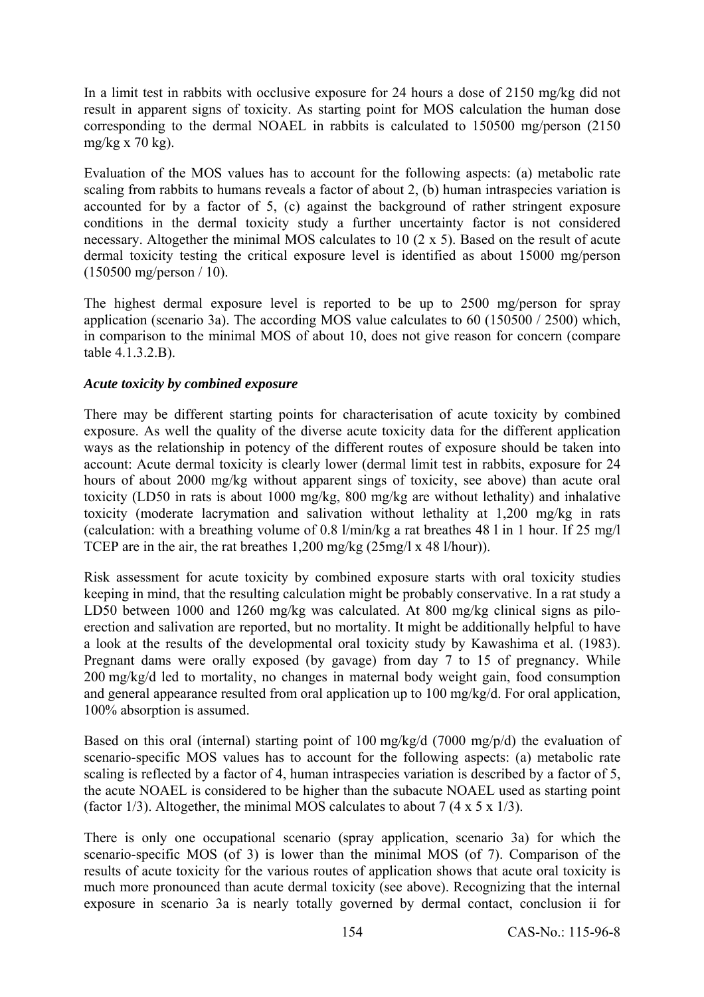In a limit test in rabbits with occlusive exposure for 24 hours a dose of 2150 mg/kg did not result in apparent signs of toxicity. As starting point for MOS calculation the human dose corresponding to the dermal NOAEL in rabbits is calculated to 150500 mg/person (2150 mg/kg x 70 kg).

Evaluation of the MOS values has to account for the following aspects: (a) metabolic rate scaling from rabbits to humans reveals a factor of about 2, (b) human intraspecies variation is accounted for by a factor of 5, (c) against the background of rather stringent exposure conditions in the dermal toxicity study a further uncertainty factor is not considered necessary. Altogether the minimal MOS calculates to 10 (2 x 5). Based on the result of acute dermal toxicity testing the critical exposure level is identified as about 15000 mg/person (150500 mg/person / 10).

The highest dermal exposure level is reported to be up to 2500 mg/person for spray application (scenario 3a). The according MOS value calculates to 60 (150500 / 2500) which, in comparison to the minimal MOS of about 10, does not give reason for concern (compare table 4.1.3.2.B).

### *Acute toxicity by combined exposure*

There may be different starting points for characterisation of acute toxicity by combined exposure. As well the quality of the diverse acute toxicity data for the different application ways as the relationship in potency of the different routes of exposure should be taken into account: Acute dermal toxicity is clearly lower (dermal limit test in rabbits, exposure for 24 hours of about 2000 mg/kg without apparent sings of toxicity, see above) than acute oral toxicity (LD50 in rats is about 1000 mg/kg, 800 mg/kg are without lethality) and inhalative toxicity (moderate lacrymation and salivation without lethality at 1,200 mg/kg in rats (calculation: with a breathing volume of 0.8 l/min/kg a rat breathes 48 l in 1 hour. If 25 mg/l TCEP are in the air, the rat breathes 1,200 mg/kg (25mg/l x 48 l/hour)).

Risk assessment for acute toxicity by combined exposure starts with oral toxicity studies keeping in mind, that the resulting calculation might be probably conservative. In a rat study a LD50 between 1000 and 1260 mg/kg was calculated. At 800 mg/kg clinical signs as piloerection and salivation are reported, but no mortality. It might be additionally helpful to have a look at the results of the developmental oral toxicity study by Kawashima et al. (1983). Pregnant dams were orally exposed (by gavage) from day 7 to 15 of pregnancy. While 200 mg/kg/d led to mortality, no changes in maternal body weight gain, food consumption and general appearance resulted from oral application up to 100 mg/kg/d. For oral application, 100% absorption is assumed.

Based on this oral (internal) starting point of 100 mg/kg/d (7000 mg/p/d) the evaluation of scenario-specific MOS values has to account for the following aspects: (a) metabolic rate scaling is reflected by a factor of 4, human intraspecies variation is described by a factor of 5, the acute NOAEL is considered to be higher than the subacute NOAEL used as starting point (factor 1/3). Altogether, the minimal MOS calculates to about 7  $(4 \times 5 \times 1/3)$ .

There is only one occupational scenario (spray application, scenario 3a) for which the scenario-specific MOS (of 3) is lower than the minimal MOS (of 7). Comparison of the results of acute toxicity for the various routes of application shows that acute oral toxicity is much more pronounced than acute dermal toxicity (see above). Recognizing that the internal exposure in scenario 3a is nearly totally governed by dermal contact, conclusion ii for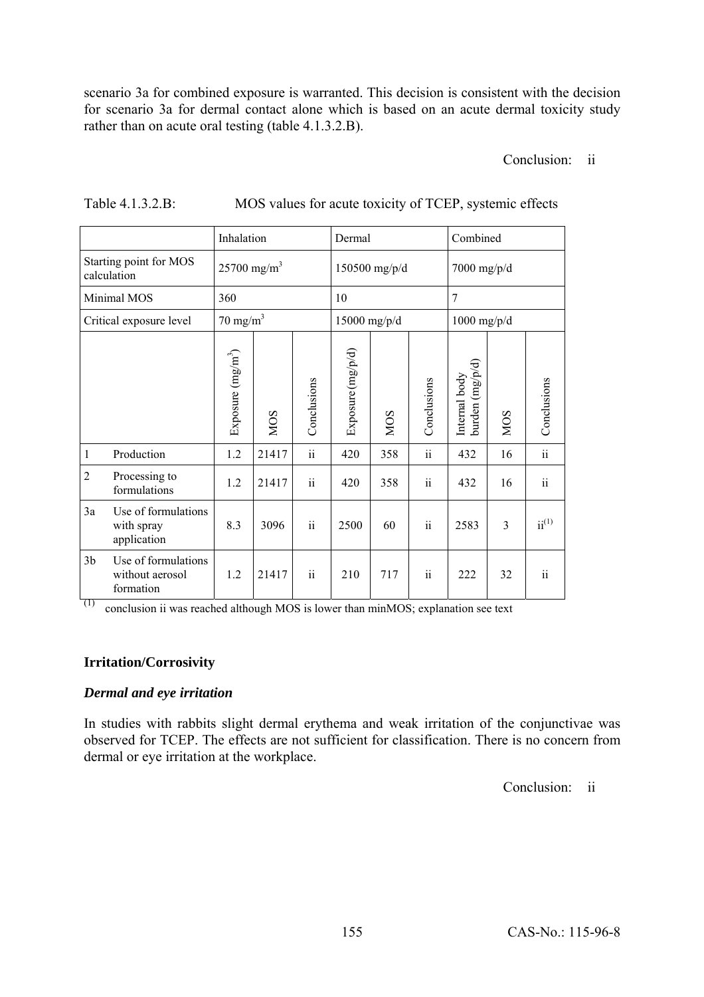scenario 3a for combined exposure is warranted. This decision is consistent with the decision for scenario 3a for dermal contact alone which is based on an acute dermal toxicity study rather than on acute oral testing (table 4.1.3.2.B).

Conclusion: ii

|                |                                                     |                           | Inhalation |                          | Dermal            |            |                 | Combined                              |            |                     |
|----------------|-----------------------------------------------------|---------------------------|------------|--------------------------|-------------------|------------|-----------------|---------------------------------------|------------|---------------------|
|                | Starting point for MOS<br>calculation               | $25700$ mg/m <sup>3</sup> |            |                          | 150500 mg/p/d     |            |                 | $7000$ mg/p/d                         |            |                     |
|                | Minimal MOS                                         | 360                       |            |                          | 10                |            |                 | $\overline{7}$                        |            |                     |
|                | Critical exposure level                             | $70 \text{ mg/m}^3$       |            |                          | $15000$ mg/p/d    |            |                 | $1000$ mg/p/d                         |            |                     |
|                |                                                     | Exposure $(mg/m^3)$       | <b>NOS</b> | Conclusions              | Exposure (mg/p/d) | <b>NOS</b> | Conclusions     | $b$ urden $(mg/p/d)$<br>Internal body | <b>NOS</b> | Conclusions         |
| 1              | Production                                          | 1.2                       | 21417      | $\overline{\textbf{ii}}$ | 420               | 358        | $\ddot{\rm ii}$ | 432                                   | 16         | $\ddot{\rm ii}$     |
| $\overline{2}$ | Processing to<br>formulations                       | 1.2                       | 21417      | $\ddot{\rm ii}$          | 420               | 358        | $\ddot{\rm ii}$ | 432                                   | 16         | $\rm ii$            |
| 3a             | Use of formulations<br>with spray<br>application    | 8.3                       | 3096       | $\ddot{\rm ii}$          | 2500              | 60         | $\ddot{\rm ii}$ | 2583                                  | 3          | $\mathbf{ii}^{(1)}$ |
| 3 <sub>b</sub> | Use of formulations<br>without aerosol<br>formation | 1.2                       | 21417      | $\ddot{\rm ii}$          | 210               | 717        | $\ddot{\rm ii}$ | 222                                   | 32         | $\ddot{\mathbf{i}}$ |

| Table 4.1.3.2.B: |  | MOS values for acute toxicity of TCEP, systemic effects |
|------------------|--|---------------------------------------------------------|
|------------------|--|---------------------------------------------------------|

 $(1)$  conclusion ii was reached although MOS is lower than minMOS; explanation see text

### **Irritation/Corrosivity**

### *Dermal and eye irritation*

In studies with rabbits slight dermal erythema and weak irritation of the conjunctivae was observed for TCEP. The effects are not sufficient for classification. There is no concern from dermal or eye irritation at the workplace.

Conclusion: ii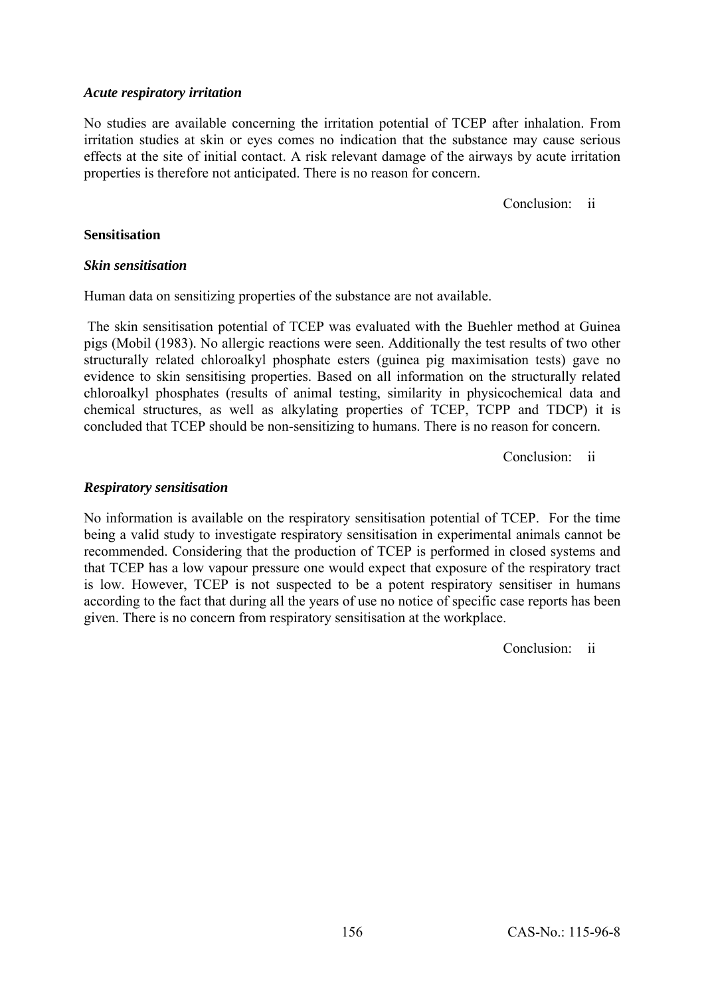#### *Acute respiratory irritation*

No studies are available concerning the irritation potential of TCEP after inhalation. From irritation studies at skin or eyes comes no indication that the substance may cause serious effects at the site of initial contact. A risk relevant damage of the airways by acute irritation properties is therefore not anticipated. There is no reason for concern.

Conclusion: ii

#### **Sensitisation**

#### *Skin sensitisation*

Human data on sensitizing properties of the substance are not available.

 The skin sensitisation potential of TCEP was evaluated with the Buehler method at Guinea pigs (Mobil (1983). No allergic reactions were seen. Additionally the test results of two other structurally related chloroalkyl phosphate esters (guinea pig maximisation tests) gave no evidence to skin sensitising properties. Based on all information on the structurally related chloroalkyl phosphates (results of animal testing, similarity in physicochemical data and chemical structures, as well as alkylating properties of TCEP, TCPP and TDCP) it is concluded that TCEP should be non-sensitizing to humans. There is no reason for concern.

Conclusion: ii

#### *Respiratory sensitisation*

No information is available on the respiratory sensitisation potential of TCEP. For the time being a valid study to investigate respiratory sensitisation in experimental animals cannot be recommended. Considering that the production of TCEP is performed in closed systems and that TCEP has a low vapour pressure one would expect that exposure of the respiratory tract is low. However, TCEP is not suspected to be a potent respiratory sensitiser in humans according to the fact that during all the years of use no notice of specific case reports has been given. There is no concern from respiratory sensitisation at the workplace.

Conclusion: ii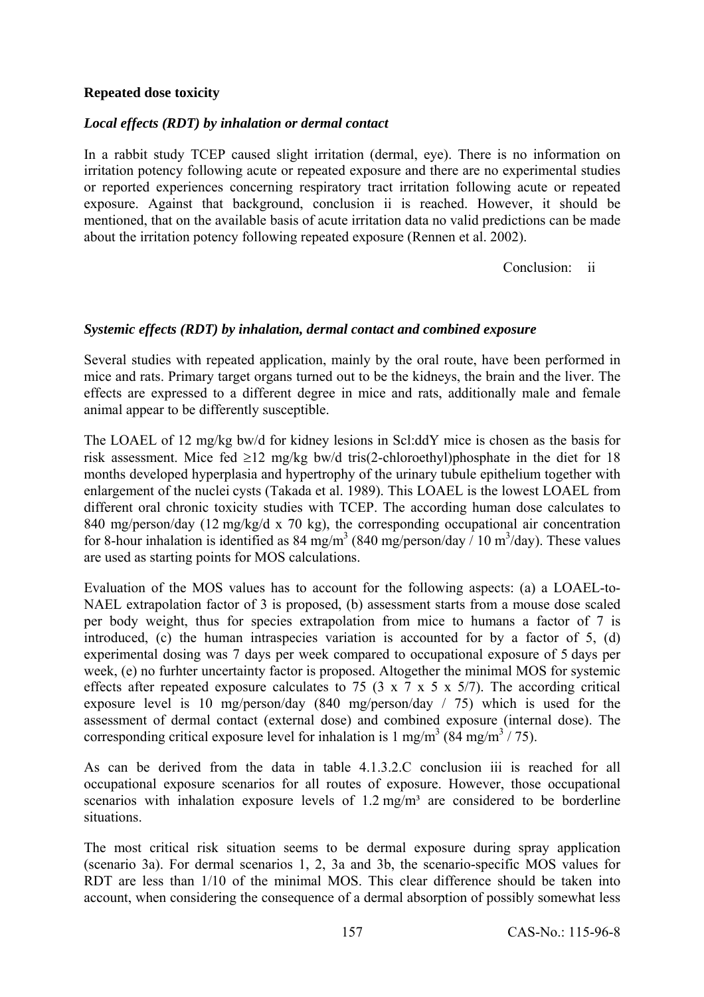#### **Repeated dose toxicity**

#### *Local effects (RDT) by inhalation or dermal contact*

In a rabbit study TCEP caused slight irritation (dermal, eye). There is no information on irritation potency following acute or repeated exposure and there are no experimental studies or reported experiences concerning respiratory tract irritation following acute or repeated exposure. Against that background, conclusion ii is reached. However, it should be mentioned, that on the available basis of acute irritation data no valid predictions can be made about the irritation potency following repeated exposure (Rennen et al. 2002).

Conclusion: ii

#### *Systemic effects (RDT) by inhalation, dermal contact and combined exposure*

Several studies with repeated application, mainly by the oral route, have been performed in mice and rats. Primary target organs turned out to be the kidneys, the brain and the liver. The effects are expressed to a different degree in mice and rats, additionally male and female animal appear to be differently susceptible.

The LOAEL of 12 mg/kg bw/d for kidney lesions in Scl:ddY mice is chosen as the basis for risk assessment. Mice fed  $\geq 12$  mg/kg bw/d tris(2-chloroethyl)phosphate in the diet for 18 months developed hyperplasia and hypertrophy of the urinary tubule epithelium together with enlargement of the nuclei cysts (Takada et al. 1989). This LOAEL is the lowest LOAEL from different oral chronic toxicity studies with TCEP. The according human dose calculates to 840 mg/person/day (12 mg/kg/d x 70 kg), the corresponding occupational air concentration for 8-hour inhalation is identified as  $84 \text{ mg/m}^3$  ( $840 \text{ mg/person/day} / 10 \text{ m}^3$ ) (day). These values are used as starting points for MOS calculations.

Evaluation of the MOS values has to account for the following aspects: (a) a LOAEL-to-NAEL extrapolation factor of 3 is proposed, (b) assessment starts from a mouse dose scaled per body weight, thus for species extrapolation from mice to humans a factor of 7 is introduced, (c) the human intraspecies variation is accounted for by a factor of 5, (d) experimental dosing was 7 days per week compared to occupational exposure of 5 days per week, (e) no furhter uncertainty factor is proposed. Altogether the minimal MOS for systemic effects after repeated exposure calculates to 75 (3 x 7 x 5 x 5/7). The according critical exposure level is 10 mg/person/day (840 mg/person/day / 75) which is used for the assessment of dermal contact (external dose) and combined exposure (internal dose). The corresponding critical exposure level for inhalation is 1 mg/m<sup>3</sup> (84 mg/m<sup>3</sup> / 75).

As can be derived from the data in table 4.1.3.2.C conclusion iii is reached for all occupational exposure scenarios for all routes of exposure. However, those occupational scenarios with inhalation exposure levels of  $1.2 \text{ mg/m}^3$  are considered to be borderline situations.

The most critical risk situation seems to be dermal exposure during spray application (scenario 3a). For dermal scenarios 1, 2, 3a and 3b, the scenario-specific MOS values for RDT are less than  $1/10$  of the minimal MOS. This clear difference should be taken into account, when considering the consequence of a dermal absorption of possibly somewhat less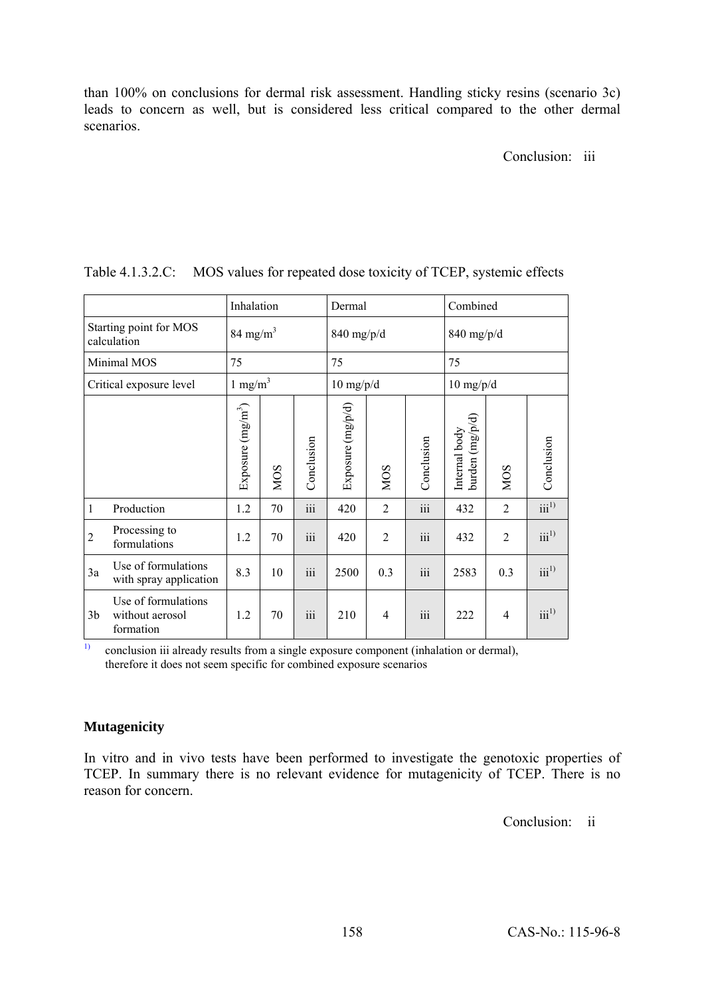than 100% on conclusions for dermal risk assessment. Handling sticky resins (scenario 3c) leads to concern as well, but is considered less critical compared to the other dermal scenarios.

Conclusion: iii

|                |                                                     | Inhalation           |            |            | Dermal            |                |            | Combined                              |                |                               |  |
|----------------|-----------------------------------------------------|----------------------|------------|------------|-------------------|----------------|------------|---------------------------------------|----------------|-------------------------------|--|
|                | Starting point for MOS<br>calculation               | 84 mg/m <sup>3</sup> |            |            |                   | $840$ mg/p/d   |            |                                       | $840$ mg/p/d   |                               |  |
|                | Minimal MOS                                         | 75                   |            |            | 75                |                |            | 75                                    |                |                               |  |
|                | Critical exposure level                             | 1 mg/m <sup>3</sup>  |            |            | $10$ mg/p/d       |                |            | $10 \text{ mg}/p/d$                   |                |                               |  |
|                |                                                     | Exposure $(mg/m^3)$  | <b>NOS</b> | Conclusion | Exposure (mg/p/d) | <b>NOS</b>     | Conclusion | $b$ urden $(mg/p/d)$<br>Internal body | <b>NOS</b>     | Conclusion                    |  |
| 1              | Production                                          | 1.2                  | 70         | iii        | 420               | 2              | iii        | 432                                   | $\overline{2}$ | $\mathrm{iii}^{1)}$           |  |
| $\overline{2}$ | Processing to<br>formulations                       | 1.2                  | 70         | iii        | 420               | $\overline{2}$ | iii        | 432                                   | $\overline{2}$ | iii <sup>1</sup>              |  |
| 3a             | Use of formulations<br>with spray application       | 8.3                  | 10         | iii        | 2500              | 0.3            | iii        | 2583                                  | 0.3            | $\overline{\mathbf{iii}}^{1}$ |  |
| 3b             | Use of formulations<br>without aerosol<br>formation | 1.2                  | 70         | iii        | 210               | 4              | iii        | 222                                   | $\overline{4}$ | $\overline{\mathbf{iii}}^{1}$ |  |

Table 4.1.3.2.C: MOS values for repeated dose toxicity of TCEP, systemic effects

<sup>1)</sup> conclusion iii already results from a single exposure component (inhalation or dermal), therefore it does not seem specific for combined exposure scenarios

### **Mutagenicity**

In vitro and in vivo tests have been performed to investigate the genotoxic properties of TCEP. In summary there is no relevant evidence for mutagenicity of TCEP. There is no reason for concern.

Conclusion: ii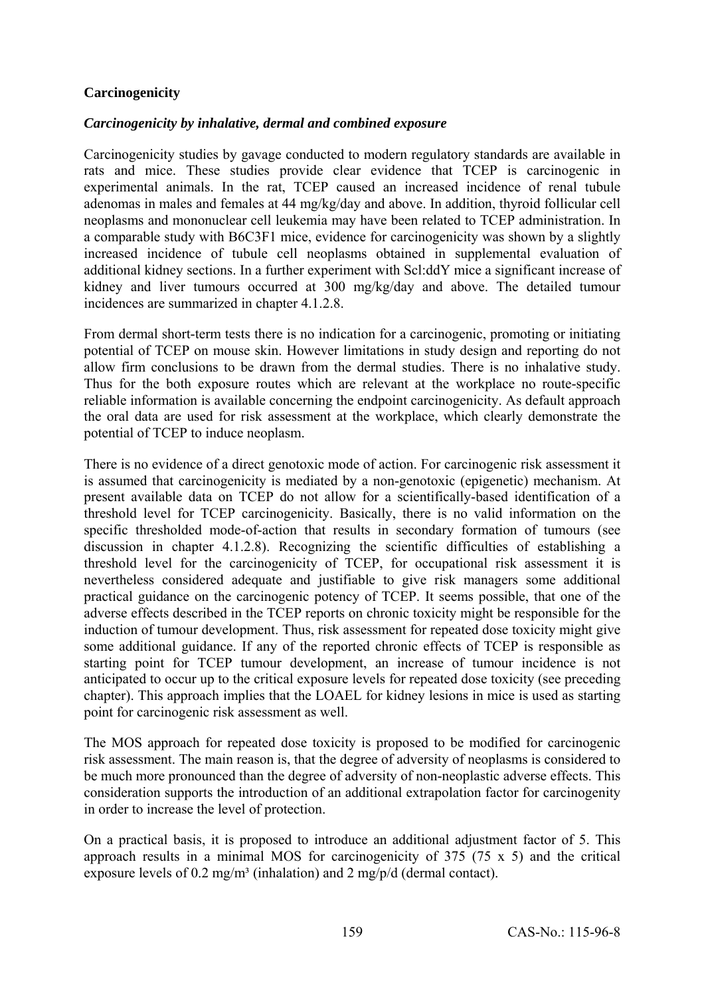#### **Carcinogenicity**

#### *Carcinogenicity by inhalative, dermal and combined exposure*

Carcinogenicity studies by gavage conducted to modern regulatory standards are available in rats and mice. These studies provide clear evidence that TCEP is carcinogenic in experimental animals. In the rat, TCEP caused an increased incidence of renal tubule adenomas in males and females at 44 mg/kg/day and above. In addition, thyroid follicular cell neoplasms and mononuclear cell leukemia may have been related to TCEP administration. In a comparable study with B6C3F1 mice, evidence for carcinogenicity was shown by a slightly increased incidence of tubule cell neoplasms obtained in supplemental evaluation of additional kidney sections. In a further experiment with Scl:ddY mice a significant increase of kidney and liver tumours occurred at 300 mg/kg/day and above. The detailed tumour incidences are summarized in chapter 4.1.2.8.

From dermal short-term tests there is no indication for a carcinogenic, promoting or initiating potential of TCEP on mouse skin. However limitations in study design and reporting do not allow firm conclusions to be drawn from the dermal studies. There is no inhalative study. Thus for the both exposure routes which are relevant at the workplace no route-specific reliable information is available concerning the endpoint carcinogenicity. As default approach the oral data are used for risk assessment at the workplace, which clearly demonstrate the potential of TCEP to induce neoplasm.

There is no evidence of a direct genotoxic mode of action. For carcinogenic risk assessment it is assumed that carcinogenicity is mediated by a non-genotoxic (epigenetic) mechanism. At present available data on TCEP do not allow for a scientifically-based identification of a threshold level for TCEP carcinogenicity. Basically, there is no valid information on the specific thresholded mode-of-action that results in secondary formation of tumours (see discussion in chapter 4.1.2.8). Recognizing the scientific difficulties of establishing a threshold level for the carcinogenicity of TCEP, for occupational risk assessment it is nevertheless considered adequate and justifiable to give risk managers some additional practical guidance on the carcinogenic potency of TCEP. It seems possible, that one of the adverse effects described in the TCEP reports on chronic toxicity might be responsible for the induction of tumour development. Thus, risk assessment for repeated dose toxicity might give some additional guidance. If any of the reported chronic effects of TCEP is responsible as starting point for TCEP tumour development, an increase of tumour incidence is not anticipated to occur up to the critical exposure levels for repeated dose toxicity (see preceding chapter). This approach implies that the LOAEL for kidney lesions in mice is used as starting point for carcinogenic risk assessment as well.

The MOS approach for repeated dose toxicity is proposed to be modified for carcinogenic risk assessment. The main reason is, that the degree of adversity of neoplasms is considered to be much more pronounced than the degree of adversity of non-neoplastic adverse effects. This consideration supports the introduction of an additional extrapolation factor for carcinogenity in order to increase the level of protection.

On a practical basis, it is proposed to introduce an additional adjustment factor of 5. This approach results in a minimal MOS for carcinogenicity of 375 (75 x 5) and the critical exposure levels of 0.2 mg/m<sup>3</sup> (inhalation) and 2 mg/p/d (dermal contact).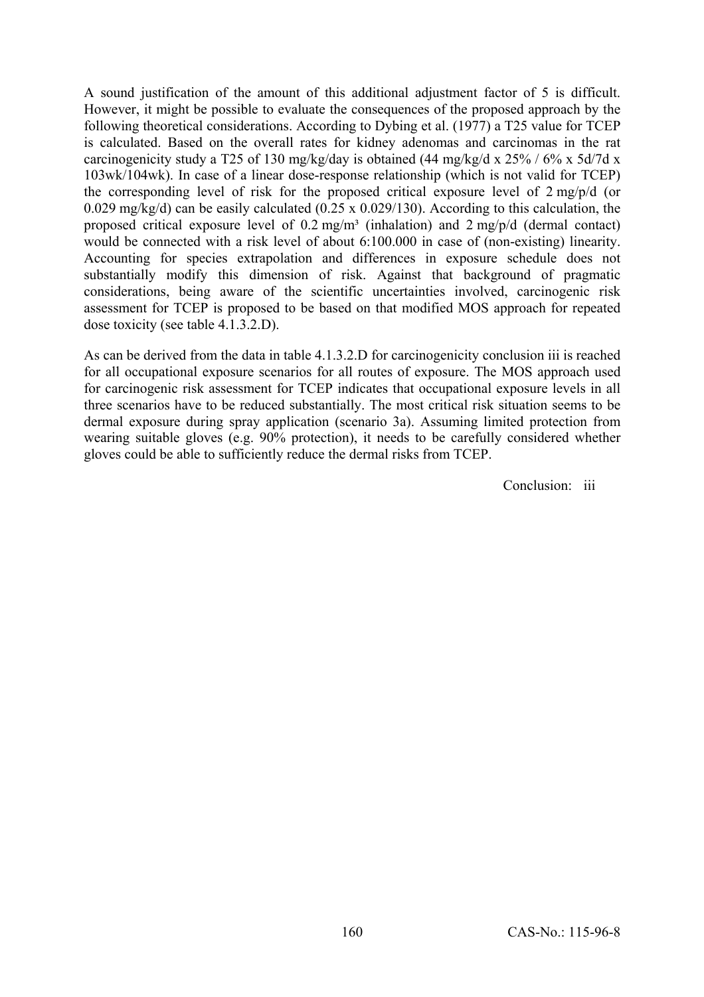A sound justification of the amount of this additional adjustment factor of 5 is difficult. However, it might be possible to evaluate the consequences of the proposed approach by the following theoretical considerations. According to Dybing et al. (1977) a T25 value for TCEP is calculated. Based on the overall rates for kidney adenomas and carcinomas in the rat carcinogenicity study a T25 of 130 mg/kg/day is obtained (44 mg/kg/d x 25% / 6% x 5d/7d x 103wk/104wk). In case of a linear dose-response relationship (which is not valid for TCEP) the corresponding level of risk for the proposed critical exposure level of 2 mg/p/d (or 0.029 mg/kg/d) can be easily calculated (0.25 x 0.029/130). According to this calculation, the proposed critical exposure level of  $0.2 \text{ mg/m}^3$  (inhalation) and  $2 \text{ mg/p}/d$  (dermal contact) would be connected with a risk level of about 6:100.000 in case of (non-existing) linearity. Accounting for species extrapolation and differences in exposure schedule does not substantially modify this dimension of risk. Against that background of pragmatic considerations, being aware of the scientific uncertainties involved, carcinogenic risk assessment for TCEP is proposed to be based on that modified MOS approach for repeated dose toxicity (see table 4.1.3.2.D).

As can be derived from the data in table 4.1.3.2.D for carcinogenicity conclusion iii is reached for all occupational exposure scenarios for all routes of exposure. The MOS approach used for carcinogenic risk assessment for TCEP indicates that occupational exposure levels in all three scenarios have to be reduced substantially. The most critical risk situation seems to be dermal exposure during spray application (scenario 3a). Assuming limited protection from wearing suitable gloves (e.g. 90% protection), it needs to be carefully considered whether gloves could be able to sufficiently reduce the dermal risks from TCEP.

Conclusion: iii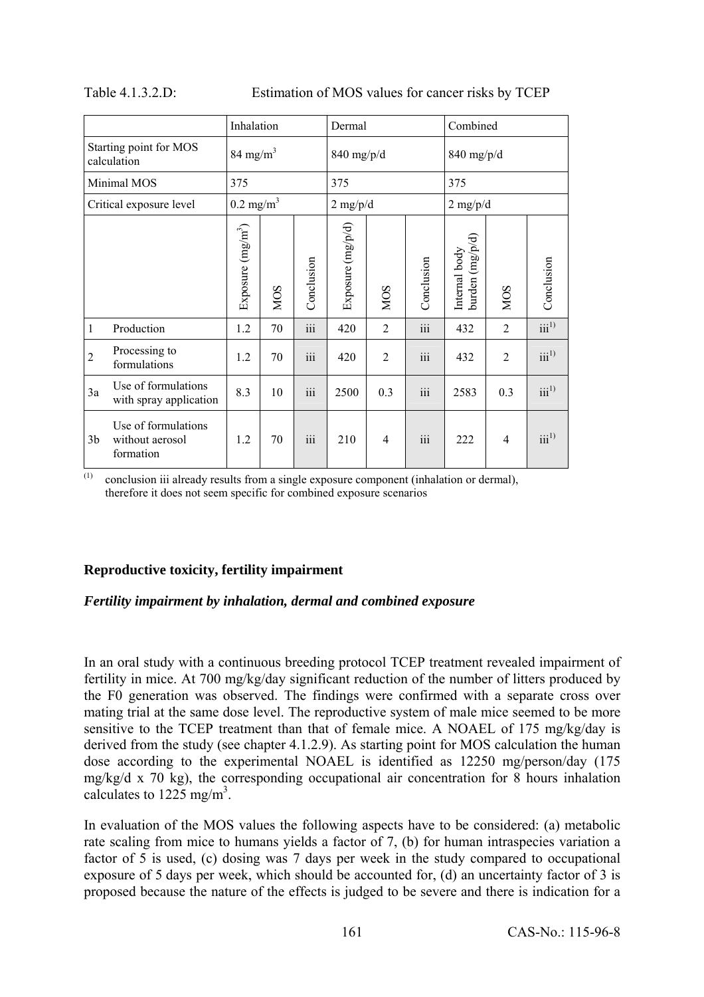|                |                                                     |                      | Inhalation |            |                    | Dermal         |            |                                     | Combined       |                               |  |  |
|----------------|-----------------------------------------------------|----------------------|------------|------------|--------------------|----------------|------------|-------------------------------------|----------------|-------------------------------|--|--|
|                | Starting point for MOS<br>calculation               | 84 mg/m <sup>3</sup> |            |            | $840$ mg/p/d       |                |            | $840$ mg/p/d                        |                |                               |  |  |
|                | Minimal MOS                                         | 375                  |            |            | 375                |                |            | 375                                 |                |                               |  |  |
|                | Critical exposure level                             | $0.2 \text{ mg/m}^3$ |            |            | $2 \text{ mg}/p/d$ |                |            | $2 \text{ mg}/p/d$                  |                |                               |  |  |
|                |                                                     | Exposure $(mg/m^3)$  | <b>NOS</b> | Conclusion | Exposure (mg/p/d)  | <b>NOS</b>     | Conclusion | $b$ urden (mg/p/d)<br>Internal body | <b>NOS</b>     | Conclusion                    |  |  |
| 1              | Production                                          | 1.2                  | 70         | iii        | 420                | $\overline{2}$ | iii        | 432                                 | $\overline{2}$ | iii <sup>1</sup>              |  |  |
| $\overline{2}$ | Processing to<br>formulations                       | 1.2                  | 70         | iii        | 420                | $\overline{2}$ | iii        | 432                                 | $\overline{2}$ | $\overline{\mathbf{iii}}^{1}$ |  |  |
| 3a             | Use of formulations<br>with spray application       | 8.3                  | 10         | iii        | 2500               | 0.3            | iii        | 2583                                | 0.3            | iii <sup>1</sup>              |  |  |
| 3 <sub>b</sub> | Use of formulations<br>without aerosol<br>formation | 1.2                  | 70         | iii        | 210                | $\overline{4}$ | iii        | 222                                 | $\overline{4}$ | $\overline{\mathbf{iii}}^{1}$ |  |  |

### Table 4.1.3.2.D: Estimation of MOS values for cancer risks by TCEP

 $(1)$  conclusion iii already results from a single exposure component (inhalation or dermal), therefore it does not seem specific for combined exposure scenarios

# **Reproductive toxicity, fertility impairment**

## *Fertility impairment by inhalation, dermal and combined exposure*

In an oral study with a continuous breeding protocol TCEP treatment revealed impairment of fertility in mice. At 700 mg/kg/day significant reduction of the number of litters produced by the F0 generation was observed. The findings were confirmed with a separate cross over mating trial at the same dose level. The reproductive system of male mice seemed to be more sensitive to the TCEP treatment than that of female mice. A NOAEL of 175 mg/kg/day is derived from the study (see chapter 4.1.2.9). As starting point for MOS calculation the human dose according to the experimental NOAEL is identified as 12250 mg/person/day (175 mg/kg/d x 70 kg), the corresponding occupational air concentration for 8 hours inhalation calculates to  $1225 \text{ mg/m}^3$ .

In evaluation of the MOS values the following aspects have to be considered: (a) metabolic rate scaling from mice to humans yields a factor of 7, (b) for human intraspecies variation a factor of 5 is used, (c) dosing was 7 days per week in the study compared to occupational exposure of 5 days per week, which should be accounted for, (d) an uncertainty factor of 3 is proposed because the nature of the effects is judged to be severe and there is indication for a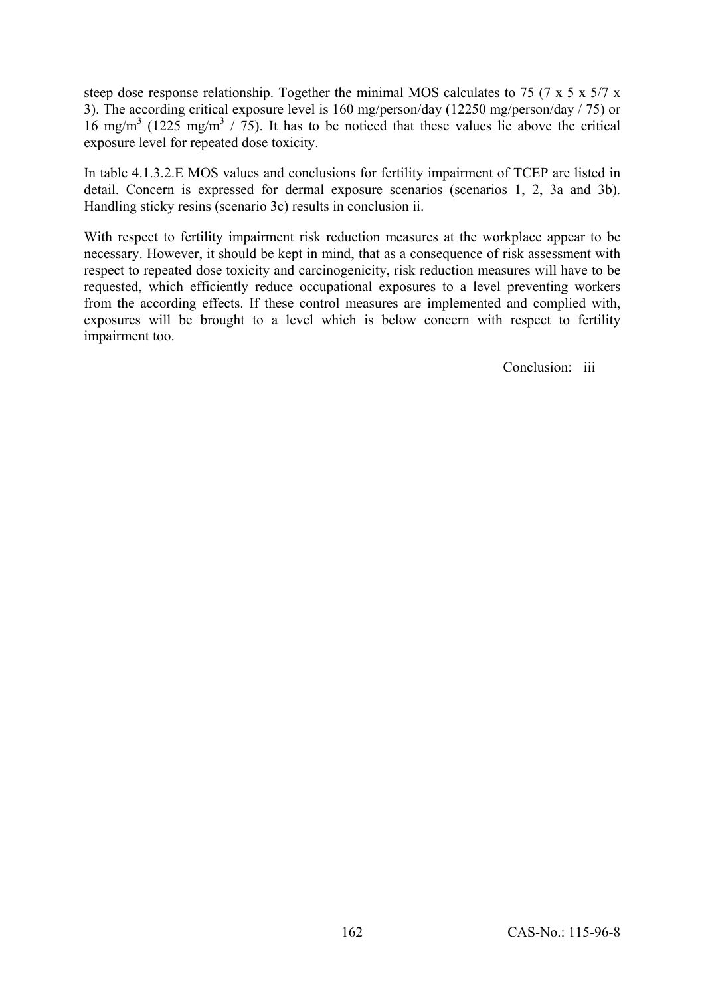steep dose response relationship. Together the minimal MOS calculates to 75 (7 x 5 x 5/7 x 3). The according critical exposure level is 160 mg/person/day (12250 mg/person/day / 75) or  $16 \text{ mg/m}^3$  (1225 mg/m<sup>3</sup> / 75). It has to be noticed that these values lie above the critical exposure level for repeated dose toxicity.

In table 4.1.3.2.E MOS values and conclusions for fertility impairment of TCEP are listed in detail. Concern is expressed for dermal exposure scenarios (scenarios 1, 2, 3a and 3b). Handling sticky resins (scenario 3c) results in conclusion ii.

With respect to fertility impairment risk reduction measures at the workplace appear to be necessary. However, it should be kept in mind, that as a consequence of risk assessment with respect to repeated dose toxicity and carcinogenicity, risk reduction measures will have to be requested, which efficiently reduce occupational exposures to a level preventing workers from the according effects. If these control measures are implemented and complied with, exposures will be brought to a level which is below concern with respect to fertility impairment too.

Conclusion: iii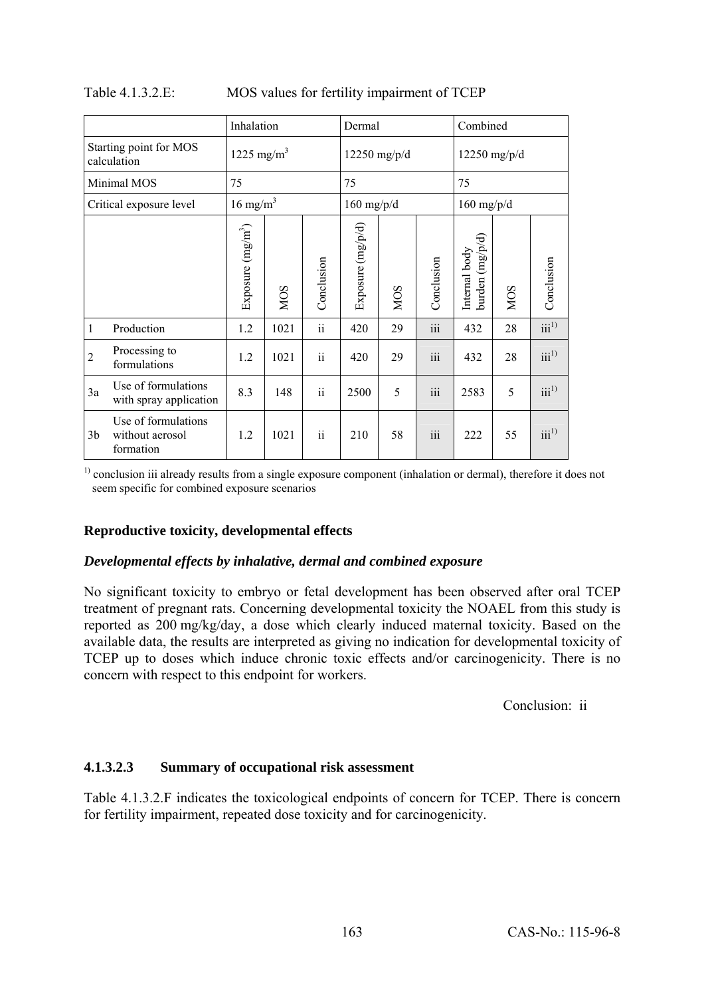|                |                                                     |                        | Inhalation |                 |                   | Dermal     |            |                                       | Combined   |                              |  |
|----------------|-----------------------------------------------------|------------------------|------------|-----------------|-------------------|------------|------------|---------------------------------------|------------|------------------------------|--|
|                | Starting point for MOS<br>calculation               | 1225 mg/m <sup>3</sup> |            |                 | $12250$ mg/p/d    |            |            | $12250$ mg/p/d                        |            |                              |  |
|                | Minimal MOS                                         | 75                     |            |                 | 75                |            |            | 75                                    |            |                              |  |
|                | Critical exposure level                             | $16 \text{ mg/m}^3$    |            |                 | $160$ mg/p/d      |            |            | $160$ mg/p/d                          |            |                              |  |
|                |                                                     | Exposure $(mg/m^3)$    | <b>NOS</b> | Conclusion      | Exposure (mg/p/d) | <b>NOS</b> | Conclusion | $b$ urden $(mg/p/d)$<br>Internal body | <b>NOS</b> | Conclusion                   |  |
| $\mathbf{1}$   | Production                                          | 1.2                    | 1021       | $\ddot{\rm ii}$ | 420               | 29         | iii        | 432                                   | 28         | $\overline{\text{iii}}^{1)}$ |  |
| $\overline{2}$ | Processing to<br>formulations                       | 1.2                    | 1021       | $\ddot{\rm ii}$ | 420               | 29         | iii        | 432                                   | 28         | iii <sup>1</sup>             |  |
| 3a             | Use of formulations<br>with spray application       | 8.3                    | 148        | $\ddot{\rm ii}$ | 2500              | 5          | iii        | 2583                                  | 5          | iii <sup>1</sup>             |  |
| 3b             | Use of formulations<br>without aerosol<br>formation | 1.2                    | 1021       | $\ddot{\rm n}$  | 210               | 58         | iii        | 222                                   | 55         | $\overline{\text{iii}}^{1}$  |  |

## Table 4.1.3.2.E: MOS values for fertility impairment of TCEP

 $1)$  conclusion iii already results from a single exposure component (inhalation or dermal), therefore it does not seem specific for combined exposure scenarios

#### **Reproductive toxicity, developmental effects**

#### *Developmental effects by inhalative, dermal and combined exposure*

No significant toxicity to embryo or fetal development has been observed after oral TCEP treatment of pregnant rats. Concerning developmental toxicity the NOAEL from this study is reported as 200 mg/kg/day, a dose which clearly induced maternal toxicity. Based on the available data, the results are interpreted as giving no indication for developmental toxicity of TCEP up to doses which induce chronic toxic effects and/or carcinogenicity. There is no concern with respect to this endpoint for workers.

Conclusion: ii

#### **4.1.3.2.3 Summary of occupational risk assessment**

Table 4.1.3.2.F indicates the toxicological endpoints of concern for TCEP. There is concern for fertility impairment, repeated dose toxicity and for carcinogenicity.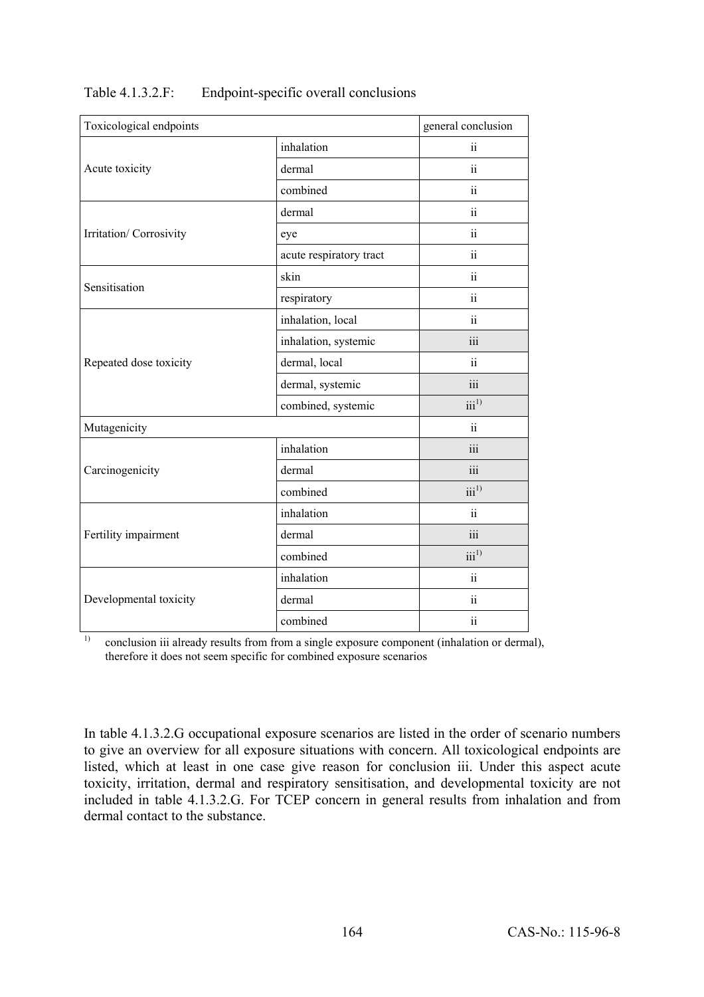| Toxicological endpoints |                         | general conclusion          |
|-------------------------|-------------------------|-----------------------------|
|                         | inhalation              | ii.                         |
| Acute toxicity          | dermal                  | $\ddot{\rm n}$              |
|                         | combined                | $\ddot{\rm n}$              |
|                         | dermal                  | $\ddot{\rm ii}$             |
| Irritation/ Corrosivity | eye                     | $\ddot{\rm n}$              |
|                         | acute respiratory tract | $\ddot{\rm n}$              |
| Sensitisation           | skin                    | $\ddot{\rm ii}$             |
|                         | respiratory             | $\ddot{\rm ii}$             |
|                         | inhalation, local       | $\ddot{\rm ii}$             |
|                         | inhalation, systemic    | iii                         |
| Repeated dose toxicity  | dermal, local           | $\ddot{\mathbf{n}}$         |
|                         | dermal, systemic        | iii                         |
|                         | combined, systemic      | $\overline{\text{iii}}^{1}$ |
| Mutagenicity            |                         | $\ddot{\rm ii}$             |
|                         | inhalation              | iii                         |
| Carcinogenicity         | dermal                  | iii                         |
|                         | combined                | $\overline{\text{iii}}^{1}$ |
|                         | inhalation              | $\ddot{\rm ii}$             |
| Fertility impairment    | dermal                  | iii                         |
|                         | combined                | iii <sup>1</sup>            |
|                         | inhalation              | $\overline{\textbf{ii}}$    |
| Developmental toxicity  | dermal                  | $\overline{\textbf{11}}$    |
|                         | combined                | $\ddot{\mathbf{i}}$         |

## Table 4.1.3.2.F: Endpoint-specific overall conclusions

<sup>1)</sup> conclusion iii already results from from a single exposure component (inhalation or dermal), therefore it does not seem specific for combined exposure scenarios

In table 4.1.3.2.G occupational exposure scenarios are listed in the order of scenario numbers to give an overview for all exposure situations with concern. All toxicological endpoints are listed, which at least in one case give reason for conclusion iii. Under this aspect acute toxicity, irritation, dermal and respiratory sensitisation, and developmental toxicity are not included in table 4.1.3.2.G. For TCEP concern in general results from inhalation and from dermal contact to the substance.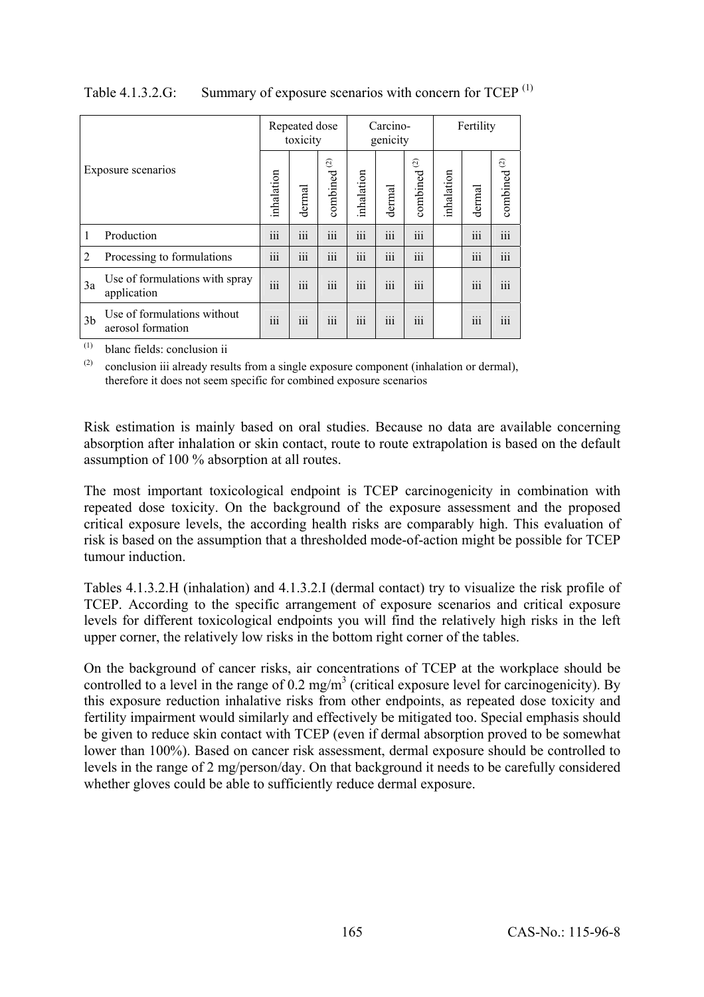| Exposure scenarios |                                                  | Repeated dose<br>toxicity |          |                     | Carcino-<br>genicity |          |                     | Fertility  |                  |                |
|--------------------|--------------------------------------------------|---------------------------|----------|---------------------|----------------------|----------|---------------------|------------|------------------|----------------|
|                    |                                                  | inhalation                | dermal   | $\odot$<br>combined | inhalation           | dermal   | $\odot$<br>combined | inhalation | dermal           | combined $(2)$ |
| 1                  | Production                                       | .<br>111                  | iii      | .<br>111            | $\cdots$<br>111      | .<br>111 | iii                 |            | .<br>111         | iii            |
| 2                  | Processing to formulations                       | .<br>111                  | .<br>111 | .<br>111            | .<br>111             | .<br>111 | .<br>111            |            | .<br>111         | .<br>111       |
| 3a                 | Use of formulations with spray<br>application    | $\ddots$<br>111           | iii      | .<br>111            | .<br>111             | .<br>111 | iii                 |            | .<br>111         | iii            |
| 3 <sub>b</sub>     | Use of formulations without<br>aerosol formation | .<br>111                  | .<br>111 | $\ddotsc$<br>111    | iii                  | iii      | iii                 |            | $\ddotsc$<br>111 | iii            |

## Table 4.1.3.2.G: Summary of exposure scenarios with concern for TCEP  $<sup>(1)</sup>$ </sup>

 $(1)$  blanc fields: conclusion ii

 $(2)$  conclusion iii already results from a single exposure component (inhalation or dermal), therefore it does not seem specific for combined exposure scenarios

Risk estimation is mainly based on oral studies. Because no data are available concerning absorption after inhalation or skin contact, route to route extrapolation is based on the default assumption of 100 % absorption at all routes.

The most important toxicological endpoint is TCEP carcinogenicity in combination with repeated dose toxicity. On the background of the exposure assessment and the proposed critical exposure levels, the according health risks are comparably high. This evaluation of risk is based on the assumption that a thresholded mode-of-action might be possible for TCEP tumour induction.

Tables 4.1.3.2.H (inhalation) and 4.1.3.2.I (dermal contact) try to visualize the risk profile of TCEP. According to the specific arrangement of exposure scenarios and critical exposure levels for different toxicological endpoints you will find the relatively high risks in the left upper corner, the relatively low risks in the bottom right corner of the tables.

On the background of cancer risks, air concentrations of TCEP at the workplace should be controlled to a level in the range of 0.2 mg/m<sup>3</sup> (critical exposure level for carcinogenicity). By this exposure reduction inhalative risks from other endpoints, as repeated dose toxicity and fertility impairment would similarly and effectively be mitigated too. Special emphasis should be given to reduce skin contact with TCEP (even if dermal absorption proved to be somewhat lower than 100%). Based on cancer risk assessment, dermal exposure should be controlled to levels in the range of 2 mg/person/day. On that background it needs to be carefully considered whether gloves could be able to sufficiently reduce dermal exposure.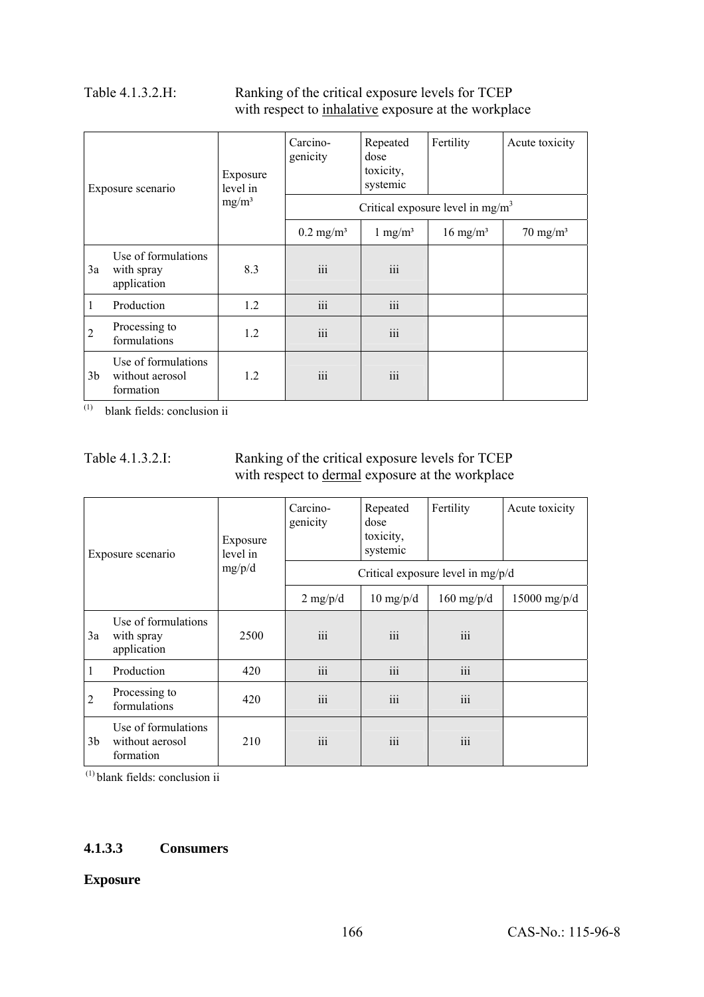#### Table 4.1.3.2.H: Ranking of the critical exposure levels for TCEP with respect to inhalative exposure at the workplace

| Exposure scenario |                                                     | Exposure<br>level in | Carcino-<br>genicity    | Repeated<br>dose<br>toxicity,<br>systemic | Fertility           | Acute toxicity      |  |  |  |  |  |
|-------------------|-----------------------------------------------------|----------------------|-------------------------|-------------------------------------------|---------------------|---------------------|--|--|--|--|--|
|                   |                                                     | $mg/m^3$             |                         | Critical exposure level in $mg/m3$        |                     |                     |  |  |  |  |  |
|                   |                                                     |                      | $0.2$ mg/m <sup>3</sup> | $1 \text{ mg/m}^3$                        | $16 \text{ mg/m}^3$ | $70 \text{ mg/m}^3$ |  |  |  |  |  |
| 3a                | Use of formulations<br>with spray<br>application    | 8.3                  | iii                     | iii                                       |                     |                     |  |  |  |  |  |
| $\mathbf{1}$      | Production                                          | 1.2                  | $\cdots$<br>111         | $\cdots$<br>111                           |                     |                     |  |  |  |  |  |
| 2                 | Processing to<br>formulations                       | 1.2                  | iii                     | iii                                       |                     |                     |  |  |  |  |  |
| 3b                | Use of formulations<br>without aerosol<br>formation | 1.2                  | .<br>111                | $\cdots$<br>111                           |                     |                     |  |  |  |  |  |

(1) blank fields: conclusion ii

## Table 4.1.3.2.I: Ranking of the critical exposure levels for TCEP with respect to dermal exposure at the workplace

| Exposure scenario |                                                     | Exposure<br>level in | Carcino-<br>genicity | Repeated<br>dose<br>toxicity,<br>systemic | Fertility                         | Acute toxicity |
|-------------------|-----------------------------------------------------|----------------------|----------------------|-------------------------------------------|-----------------------------------|----------------|
|                   |                                                     | mg/p/d               |                      |                                           | Critical exposure level in mg/p/d |                |
|                   |                                                     |                      | $2 \text{ mg}/p/d$   | $10 \text{ mg}/p/d$                       | $160$ mg/p/d                      | $15000$ mg/p/d |
| 3a                | Use of formulations<br>with spray<br>application    | 2500                 | iii                  | iii                                       | iii                               |                |
| 1                 | Production                                          | 420                  | iii                  | iii                                       | iii                               |                |
| $\overline{2}$    | Processing to<br>formulations                       | 420                  | iii                  | iii                                       | iii                               |                |
| 3b                | Use of formulations<br>without aerosol<br>formation | 210                  | iii                  | $\cdots$<br>111                           | $\ddots$<br>111                   |                |

(1) blank fields: conclusion ii

### **4.1.3.3 Consumers**

**Exposure**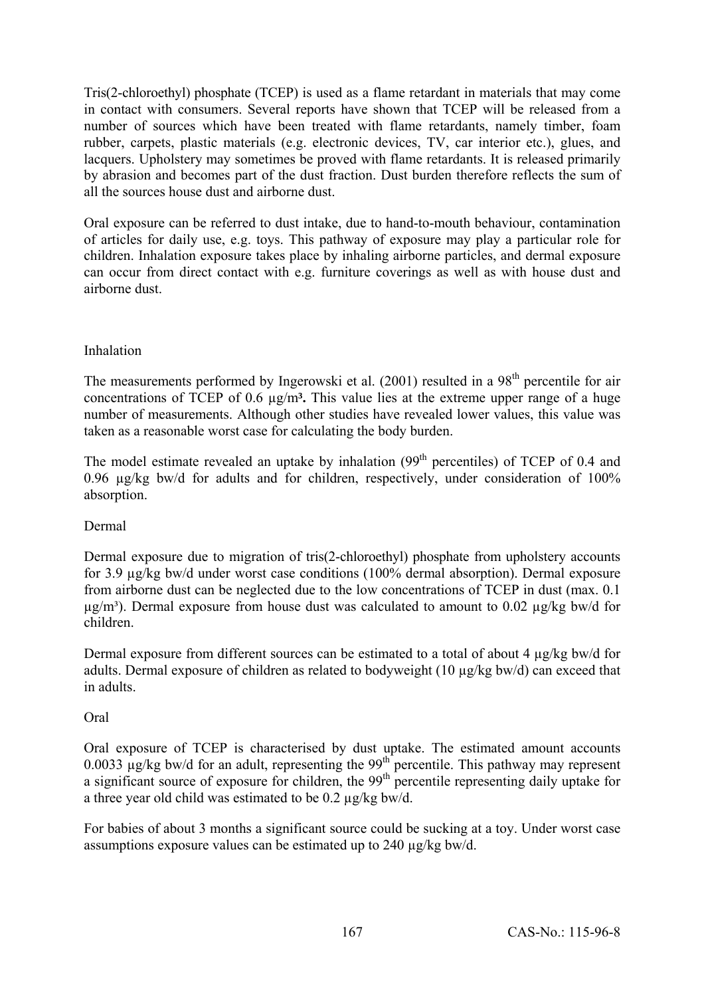Tris(2-chloroethyl) phosphate (TCEP) is used as a flame retardant in materials that may come in contact with consumers. Several reports have shown that TCEP will be released from a number of sources which have been treated with flame retardants, namely timber, foam rubber, carpets, plastic materials (e.g. electronic devices, TV, car interior etc.), glues, and lacquers. Upholstery may sometimes be proved with flame retardants. It is released primarily by abrasion and becomes part of the dust fraction. Dust burden therefore reflects the sum of all the sources house dust and airborne dust.

Oral exposure can be referred to dust intake, due to hand-to-mouth behaviour, contamination of articles for daily use, e.g. toys. This pathway of exposure may play a particular role for children. Inhalation exposure takes place by inhaling airborne particles, and dermal exposure can occur from direct contact with e.g. furniture coverings as well as with house dust and airborne dust.

### Inhalation

The measurements performed by Ingerowski et al. (2001) resulted in a 98<sup>th</sup> percentile for air concentrations of TCEP of 0.6 µg/m**³.** This value lies at the extreme upper range of a huge number of measurements. Although other studies have revealed lower values, this value was taken as a reasonable worst case for calculating the body burden.

The model estimate revealed an uptake by inhalation  $(99<sup>th</sup>$  percentiles) of TCEP of 0.4 and 0.96 µg/kg bw/d for adults and for children, respectively, under consideration of 100% absorption.

### Dermal

Dermal exposure due to migration of tris(2-chloroethyl) phosphate from upholstery accounts for 3.9 µg/kg bw/d under worst case conditions (100% dermal absorption). Dermal exposure from airborne dust can be neglected due to the low concentrations of TCEP in dust (max. 0.1  $\mu$ g/m<sup>3</sup>). Dermal exposure from house dust was calculated to amount to 0.02  $\mu$ g/kg bw/d for children.

Dermal exposure from different sources can be estimated to a total of about 4 µg/kg bw/d for adults. Dermal exposure of children as related to bodyweight (10 µg/kg bw/d) can exceed that in adults.

### Oral

Oral exposure of TCEP is characterised by dust uptake. The estimated amount accounts 0.0033  $\mu$ g/kg bw/d for an adult, representing the 99<sup>th</sup> percentile. This pathway may represent a significant source of exposure for children, the 99<sup>th</sup> percentile representing daily uptake for a three year old child was estimated to be 0.2 µg/kg bw/d.

For babies of about 3 months a significant source could be sucking at a toy. Under worst case assumptions exposure values can be estimated up to 240 µg/kg bw/d.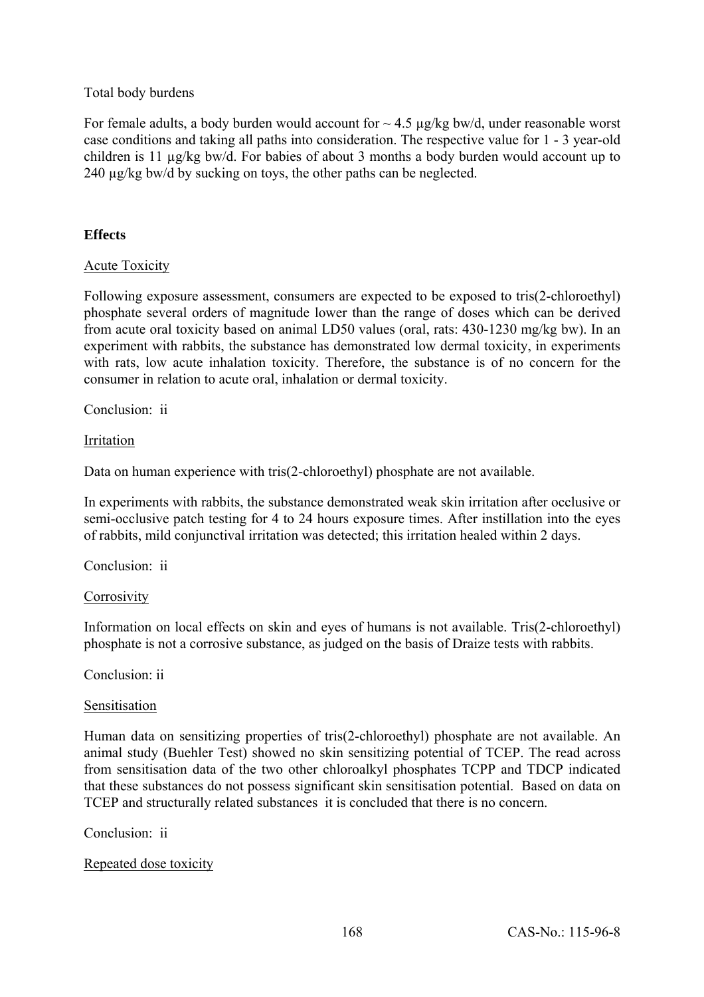#### Total body burdens

For female adults, a body burden would account for  $\sim$  4.5  $\mu$ g/kg bw/d, under reasonable worst case conditions and taking all paths into consideration. The respective value for 1 - 3 year-old children is 11 µg/kg bw/d. For babies of about 3 months a body burden would account up to 240 µg/kg bw/d by sucking on toys, the other paths can be neglected.

#### **Effects**

#### Acute Toxicity

Following exposure assessment, consumers are expected to be exposed to tris(2-chloroethyl) phosphate several orders of magnitude lower than the range of doses which can be derived from acute oral toxicity based on animal LD50 values (oral, rats: 430-1230 mg/kg bw). In an experiment with rabbits, the substance has demonstrated low dermal toxicity, in experiments with rats, low acute inhalation toxicity. Therefore, the substance is of no concern for the consumer in relation to acute oral, inhalation or dermal toxicity.

Conclusion: ii

#### Irritation

Data on human experience with tris(2-chloroethyl) phosphate are not available.

In experiments with rabbits, the substance demonstrated weak skin irritation after occlusive or semi-occlusive patch testing for 4 to 24 hours exposure times. After instillation into the eyes of rabbits, mild conjunctival irritation was detected; this irritation healed within 2 days.

Conclusion: ii

#### **Corrosivity**

Information on local effects on skin and eyes of humans is not available. Tris(2-chloroethyl) phosphate is not a corrosive substance, as judged on the basis of Draize tests with rabbits.

Conclusion: ii

#### Sensitisation

Human data on sensitizing properties of tris(2-chloroethyl) phosphate are not available. An animal study (Buehler Test) showed no skin sensitizing potential of TCEP. The read across from sensitisation data of the two other chloroalkyl phosphates TCPP and TDCP indicated that these substances do not possess significant skin sensitisation potential. Based on data on TCEP and structurally related substances it is concluded that there is no concern.

Conclusion: ii

### Repeated dose toxicity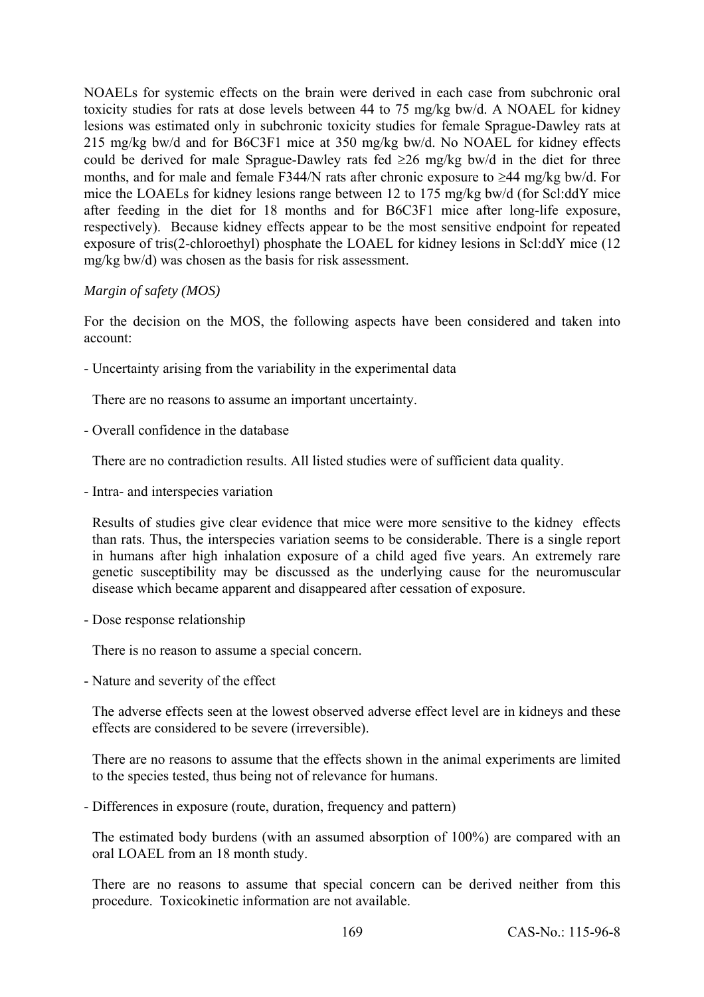NOAELs for systemic effects on the brain were derived in each case from subchronic oral toxicity studies for rats at dose levels between 44 to 75 mg/kg bw/d. A NOAEL for kidney lesions was estimated only in subchronic toxicity studies for female Sprague-Dawley rats at 215 mg/kg bw/d and for B6C3F1 mice at 350 mg/kg bw/d. No NOAEL for kidney effects could be derived for male Sprague-Dawley rats fed  $\geq 26$  mg/kg bw/d in the diet for three months, and for male and female F344/N rats after chronic exposure to ≥44 mg/kg bw/d. For mice the LOAELs for kidney lesions range between 12 to 175 mg/kg bw/d (for Scl:ddY mice after feeding in the diet for 18 months and for B6C3F1 mice after long-life exposure, respectively). Because kidney effects appear to be the most sensitive endpoint for repeated exposure of tris(2-chloroethyl) phosphate the LOAEL for kidney lesions in Scl:ddY mice (12 mg/kg bw/d) was chosen as the basis for risk assessment.

#### *Margin of safety (MOS)*

For the decision on the MOS, the following aspects have been considered and taken into account:

- Uncertainty arising from the variability in the experimental data

There are no reasons to assume an important uncertainty.

- Overall confidence in the database

There are no contradiction results. All listed studies were of sufficient data quality.

- Intra- and interspecies variation

Results of studies give clear evidence that mice were more sensitive to the kidney effects than rats. Thus, the interspecies variation seems to be considerable. There is a single report in humans after high inhalation exposure of a child aged five years. An extremely rare genetic susceptibility may be discussed as the underlying cause for the neuromuscular disease which became apparent and disappeared after cessation of exposure.

- Dose response relationship

There is no reason to assume a special concern.

- Nature and severity of the effect

The adverse effects seen at the lowest observed adverse effect level are in kidneys and these effects are considered to be severe (irreversible).

There are no reasons to assume that the effects shown in the animal experiments are limited to the species tested, thus being not of relevance for humans.

- Differences in exposure (route, duration, frequency and pattern)

 The estimated body burdens (with an assumed absorption of 100%) are compared with an oral LOAEL from an 18 month study.

 There are no reasons to assume that special concern can be derived neither from this procedure. Toxicokinetic information are not available.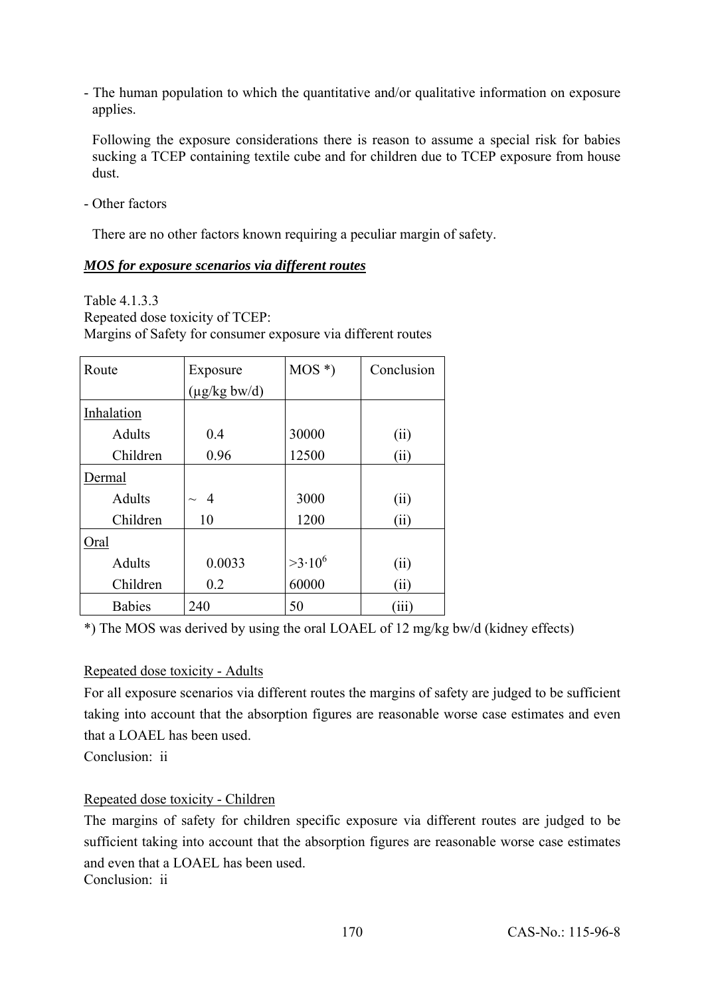- The human population to which the quantitative and/or qualitative information on exposure applies.

 Following the exposure considerations there is reason to assume a special risk for babies sucking a TCEP containing textile cube and for children due to TCEP exposure from house dust.

- Other factors

There are no other factors known requiring a peculiar margin of safety.

#### *MOS for exposure scenarios via different routes*

Table 4.1.3.3

Repeated dose toxicity of TCEP:

Margins of Safety for consumer exposure via different routes

| Route         | Exposure          | $MOS^*$   | Conclusion |
|---------------|-------------------|-----------|------------|
|               | $(\mu g/kg$ bw/d) |           |            |
| Inhalation    |                   |           |            |
| <b>Adults</b> | 0.4               | 30000     | (ii)       |
| Children      | 0.96              | 12500     | (ii)       |
| Dermal        |                   |           |            |
| <b>Adults</b> | $\overline{4}$    | 3000      | (ii)       |
| Children      | 10                | 1200      | (ii)       |
| Oral          |                   |           |            |
| <b>Adults</b> | 0.0033            | $>3.10^6$ | (ii)       |
| Children      | 0.2               | 60000     | (i)        |
| <b>Babies</b> | 240               | 50        | (iii)      |

\*) The MOS was derived by using the oral LOAEL of 12 mg/kg bw/d (kidney effects)

### Repeated dose toxicity - Adults

For all exposure scenarios via different routes the margins of safety are judged to be sufficient taking into account that the absorption figures are reasonable worse case estimates and even that a LOAEL has been used.

Conclusion: ii

### Repeated dose toxicity - Children

The margins of safety for children specific exposure via different routes are judged to be sufficient taking into account that the absorption figures are reasonable worse case estimates and even that a LOAEL has been used. Conclusion: ii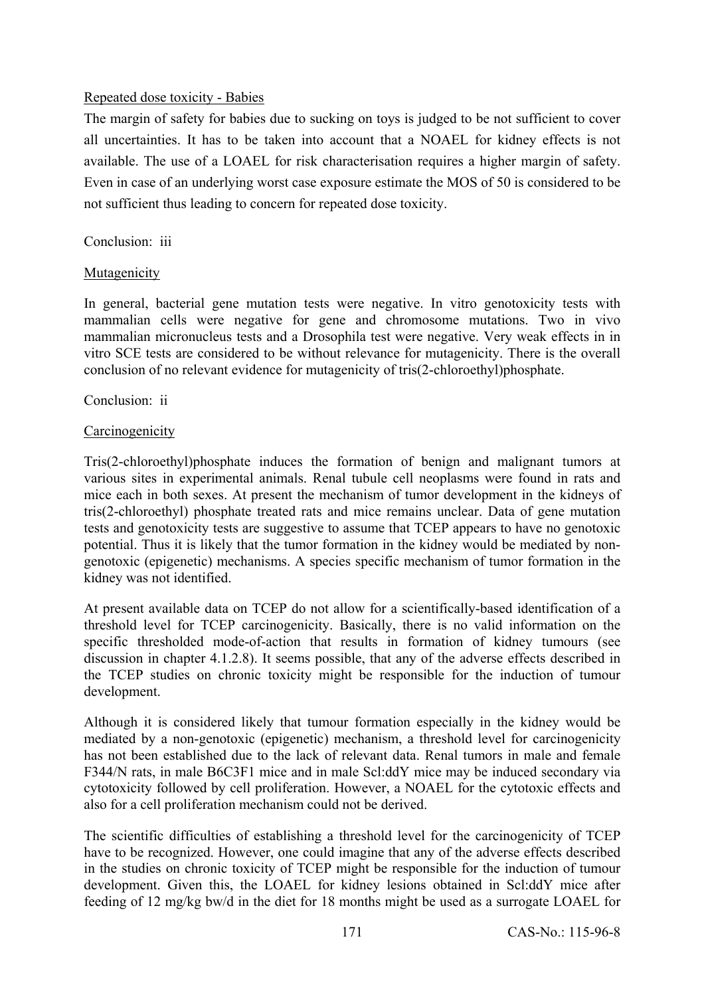## Repeated dose toxicity - Babies

The margin of safety for babies due to sucking on toys is judged to be not sufficient to cover all uncertainties. It has to be taken into account that a NOAEL for kidney effects is not available. The use of a LOAEL for risk characterisation requires a higher margin of safety. Even in case of an underlying worst case exposure estimate the MOS of 50 is considered to be not sufficient thus leading to concern for repeated dose toxicity.

#### Conclusion: iii

#### Mutagenicity

In general, bacterial gene mutation tests were negative. In vitro genotoxicity tests with mammalian cells were negative for gene and chromosome mutations. Two in vivo mammalian micronucleus tests and a Drosophila test were negative. Very weak effects in in vitro SCE tests are considered to be without relevance for mutagenicity. There is the overall conclusion of no relevant evidence for mutagenicity of tris(2-chloroethyl)phosphate.

#### Conclusion: ii

#### **Carcinogenicity**

Tris(2-chloroethyl)phosphate induces the formation of benign and malignant tumors at various sites in experimental animals. Renal tubule cell neoplasms were found in rats and mice each in both sexes. At present the mechanism of tumor development in the kidneys of tris(2-chloroethyl) phosphate treated rats and mice remains unclear. Data of gene mutation tests and genotoxicity tests are suggestive to assume that TCEP appears to have no genotoxic potential. Thus it is likely that the tumor formation in the kidney would be mediated by nongenotoxic (epigenetic) mechanisms. A species specific mechanism of tumor formation in the kidney was not identified.

At present available data on TCEP do not allow for a scientifically-based identification of a threshold level for TCEP carcinogenicity. Basically, there is no valid information on the specific thresholded mode-of-action that results in formation of kidney tumours (see discussion in chapter 4.1.2.8). It seems possible, that any of the adverse effects described in the TCEP studies on chronic toxicity might be responsible for the induction of tumour development.

Although it is considered likely that tumour formation especially in the kidney would be mediated by a non-genotoxic (epigenetic) mechanism, a threshold level for carcinogenicity has not been established due to the lack of relevant data. Renal tumors in male and female F344/N rats, in male B6C3F1 mice and in male Scl:ddY mice may be induced secondary via cytotoxicity followed by cell proliferation. However, a NOAEL for the cytotoxic effects and also for a cell proliferation mechanism could not be derived.

The scientific difficulties of establishing a threshold level for the carcinogenicity of TCEP have to be recognized. However, one could imagine that any of the adverse effects described in the studies on chronic toxicity of TCEP might be responsible for the induction of tumour development. Given this, the LOAEL for kidney lesions obtained in Scl:ddY mice after feeding of 12 mg/kg bw/d in the diet for 18 months might be used as a surrogate LOAEL for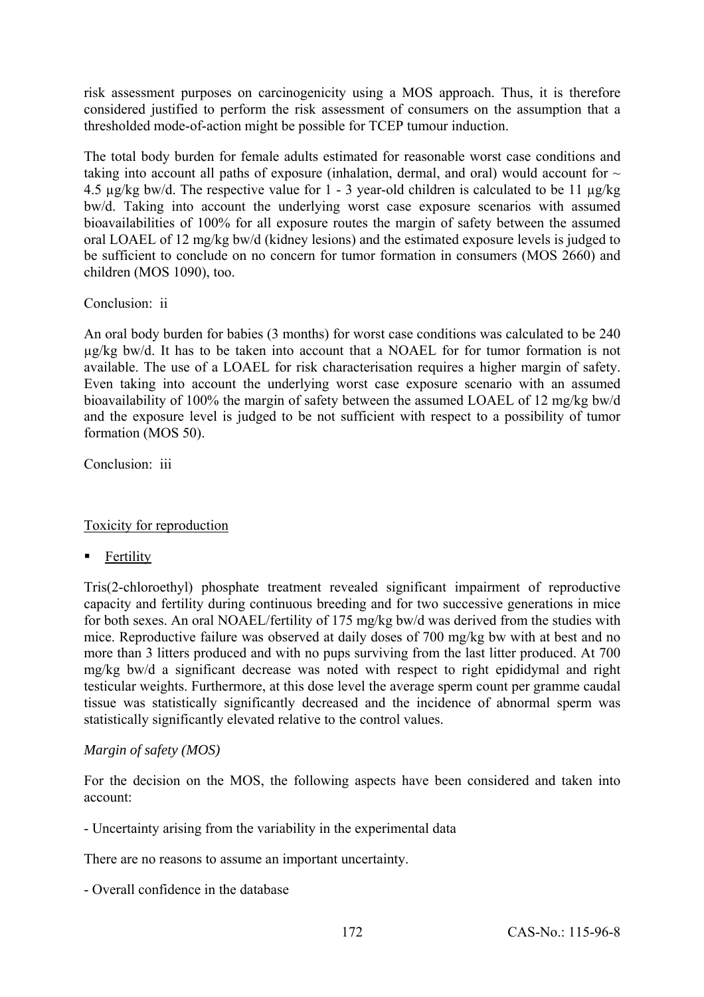risk assessment purposes on carcinogenicity using a MOS approach. Thus, it is therefore considered justified to perform the risk assessment of consumers on the assumption that a thresholded mode-of-action might be possible for TCEP tumour induction.

The total body burden for female adults estimated for reasonable worst case conditions and taking into account all paths of exposure (inhalation, dermal, and oral) would account for  $\sim$ 4.5  $\mu$ g/kg bw/d. The respective value for 1 - 3 year-old children is calculated to be 11  $\mu$ g/kg bw/d. Taking into account the underlying worst case exposure scenarios with assumed bioavailabilities of 100% for all exposure routes the margin of safety between the assumed oral LOAEL of 12 mg/kg bw/d (kidney lesions) and the estimated exposure levels is judged to be sufficient to conclude on no concern for tumor formation in consumers (MOS 2660) and children (MOS 1090), too.

Conclusion: ii

An oral body burden for babies (3 months) for worst case conditions was calculated to be 240 µg/kg bw/d. It has to be taken into account that a NOAEL for for tumor formation is not available. The use of a LOAEL for risk characterisation requires a higher margin of safety. Even taking into account the underlying worst case exposure scenario with an assumed bioavailability of 100% the margin of safety between the assumed LOAEL of 12 mg/kg bw/d and the exposure level is judged to be not sufficient with respect to a possibility of tumor formation (MOS 50).

Conclusion: iii

### Toxicity for reproduction

Fertility

Tris(2-chloroethyl) phosphate treatment revealed significant impairment of reproductive capacity and fertility during continuous breeding and for two successive generations in mice for both sexes. An oral NOAEL/fertility of 175 mg/kg bw/d was derived from the studies with mice. Reproductive failure was observed at daily doses of 700 mg/kg bw with at best and no more than 3 litters produced and with no pups surviving from the last litter produced. At 700 mg/kg bw/d a significant decrease was noted with respect to right epididymal and right testicular weights. Furthermore, at this dose level the average sperm count per gramme caudal tissue was statistically significantly decreased and the incidence of abnormal sperm was statistically significantly elevated relative to the control values.

#### *Margin of safety (MOS)*

For the decision on the MOS, the following aspects have been considered and taken into account:

- Uncertainty arising from the variability in the experimental data

There are no reasons to assume an important uncertainty.

- Overall confidence in the database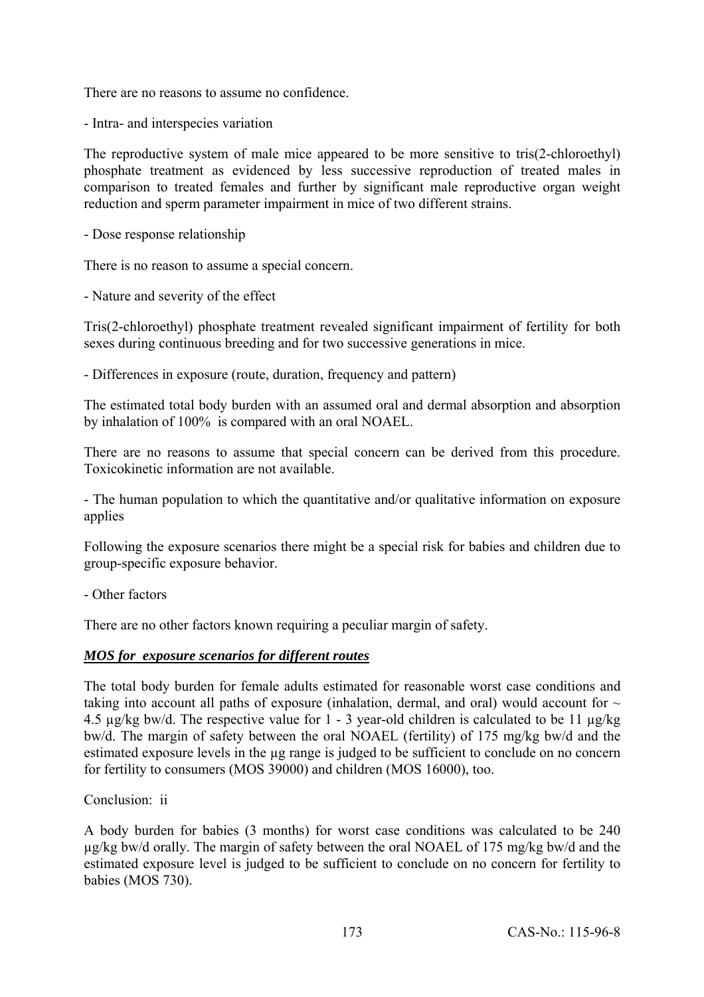There are no reasons to assume no confidence.

- Intra- and interspecies variation

The reproductive system of male mice appeared to be more sensitive to tris(2-chloroethyl) phosphate treatment as evidenced by less successive reproduction of treated males in comparison to treated females and further by significant male reproductive organ weight reduction and sperm parameter impairment in mice of two different strains.

- Dose response relationship

There is no reason to assume a special concern.

- Nature and severity of the effect

Tris(2-chloroethyl) phosphate treatment revealed significant impairment of fertility for both sexes during continuous breeding and for two successive generations in mice.

- Differences in exposure (route, duration, frequency and pattern)

The estimated total body burden with an assumed oral and dermal absorption and absorption by inhalation of 100% is compared with an oral NOAEL.

There are no reasons to assume that special concern can be derived from this procedure. Toxicokinetic information are not available.

- The human population to which the quantitative and/or qualitative information on exposure applies

Following the exposure scenarios there might be a special risk for babies and children due to group-specific exposure behavior.

- Other factors

There are no other factors known requiring a peculiar margin of safety.

#### *MOS for exposure scenarios for different routes*

The total body burden for female adults estimated for reasonable worst case conditions and taking into account all paths of exposure (inhalation, dermal, and oral) would account for  $\sim$ 4.5 µg/kg bw/d. The respective value for 1 - 3 year-old children is calculated to be 11 µg/kg bw/d. The margin of safety between the oral NOAEL (fertility) of 175 mg/kg bw/d and the estimated exposure levels in the µg range is judged to be sufficient to conclude on no concern for fertility to consumers (MOS 39000) and children (MOS 16000), too.

Conclusion: ii

A body burden for babies (3 months) for worst case conditions was calculated to be 240 µg/kg bw/d orally. The margin of safety between the oral NOAEL of 175 mg/kg bw/d and the estimated exposure level is judged to be sufficient to conclude on no concern for fertility to babies (MOS 730).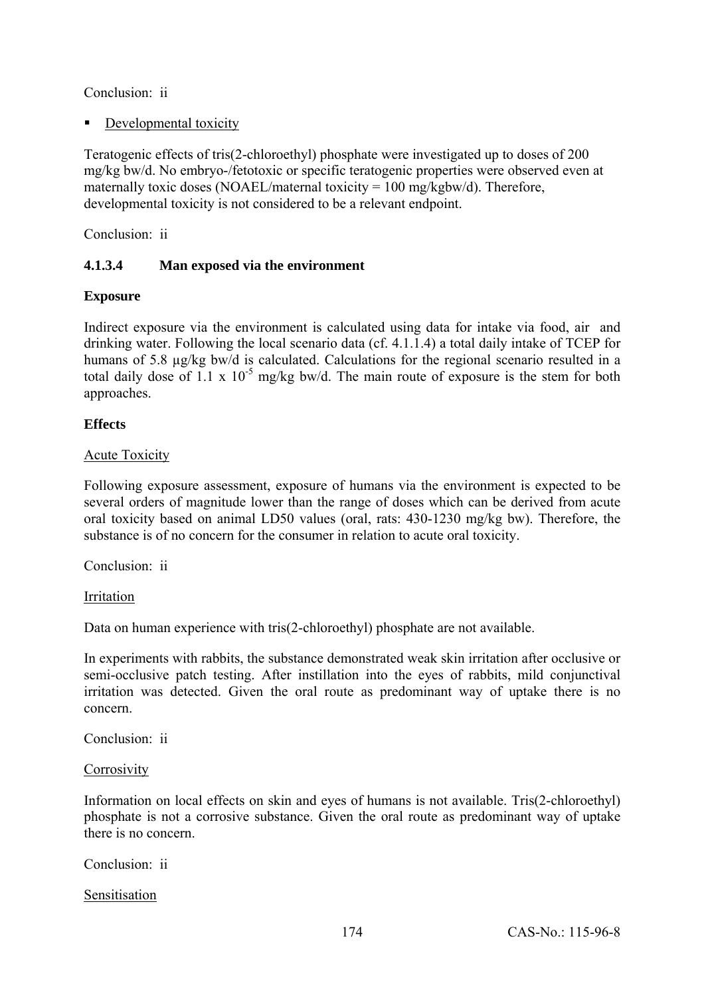Conclusion: ii

Developmental toxicity

Teratogenic effects of tris(2-chloroethyl) phosphate were investigated up to doses of 200 mg/kg bw/d. No embryo-/fetotoxic or specific teratogenic properties were observed even at maternally toxic doses (NOAEL/maternal toxicity = 100 mg/kgbw/d). Therefore, developmental toxicity is not considered to be a relevant endpoint.

Conclusion: ii

## **4.1.3.4 Man exposed via the environment**

## **Exposure**

Indirect exposure via the environment is calculated using data for intake via food, air and drinking water. Following the local scenario data (cf. 4.1.1.4) a total daily intake of TCEP for humans of 5.8  $\mu$ g/kg bw/d is calculated. Calculations for the regional scenario resulted in a total daily dose of 1.1 x  $10^{-5}$  mg/kg bw/d. The main route of exposure is the stem for both approaches.

## **Effects**

## Acute Toxicity

Following exposure assessment, exposure of humans via the environment is expected to be several orders of magnitude lower than the range of doses which can be derived from acute oral toxicity based on animal LD50 values (oral, rats: 430-1230 mg/kg bw). Therefore, the substance is of no concern for the consumer in relation to acute oral toxicity.

Conclusion: ii

### Irritation

Data on human experience with tris(2-chloroethyl) phosphate are not available.

In experiments with rabbits, the substance demonstrated weak skin irritation after occlusive or semi-occlusive patch testing. After instillation into the eyes of rabbits, mild conjunctival irritation was detected. Given the oral route as predominant way of uptake there is no concern.

Conclusion: ii

### **Corrosivity**

Information on local effects on skin and eyes of humans is not available. Tris(2-chloroethyl) phosphate is not a corrosive substance. Given the oral route as predominant way of uptake there is no concern.

Conclusion: ii

Sensitisation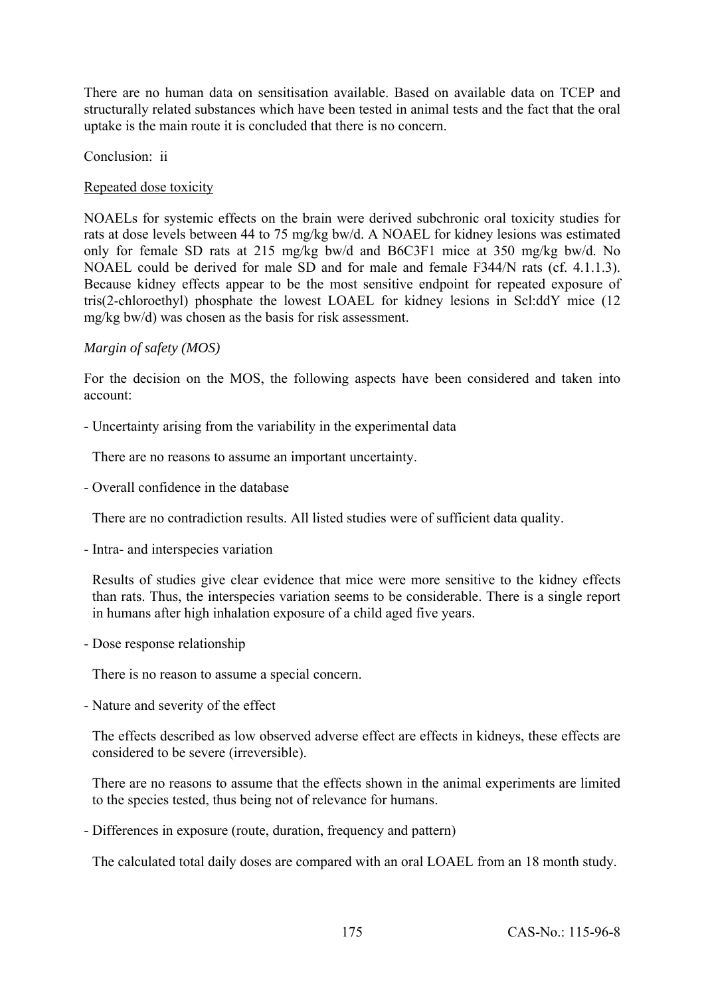There are no human data on sensitisation available. Based on available data on TCEP and structurally related substances which have been tested in animal tests and the fact that the oral uptake is the main route it is concluded that there is no concern.

#### Conclusion: ii

#### Repeated dose toxicity

NOAELs for systemic effects on the brain were derived subchronic oral toxicity studies for rats at dose levels between 44 to 75 mg/kg bw/d. A NOAEL for kidney lesions was estimated only for female SD rats at 215 mg/kg bw/d and B6C3F1 mice at 350 mg/kg bw/d. No NOAEL could be derived for male SD and for male and female F344/N rats (cf. 4.1.1.3). Because kidney effects appear to be the most sensitive endpoint for repeated exposure of tris(2-chloroethyl) phosphate the lowest LOAEL for kidney lesions in Scl:ddY mice (12 mg/kg bw/d) was chosen as the basis for risk assessment.

#### *Margin of safety (MOS)*

For the decision on the MOS, the following aspects have been considered and taken into account:

- Uncertainty arising from the variability in the experimental data

There are no reasons to assume an important uncertainty.

- Overall confidence in the database

There are no contradiction results. All listed studies were of sufficient data quality.

- Intra- and interspecies variation

Results of studies give clear evidence that mice were more sensitive to the kidney effects than rats. Thus, the interspecies variation seems to be considerable. There is a single report in humans after high inhalation exposure of a child aged five years.

- Dose response relationship

There is no reason to assume a special concern.

- Nature and severity of the effect

The effects described as low observed adverse effect are effects in kidneys, these effects are considered to be severe (irreversible).

There are no reasons to assume that the effects shown in the animal experiments are limited to the species tested, thus being not of relevance for humans.

- Differences in exposure (route, duration, frequency and pattern)

The calculated total daily doses are compared with an oral LOAEL from an 18 month study.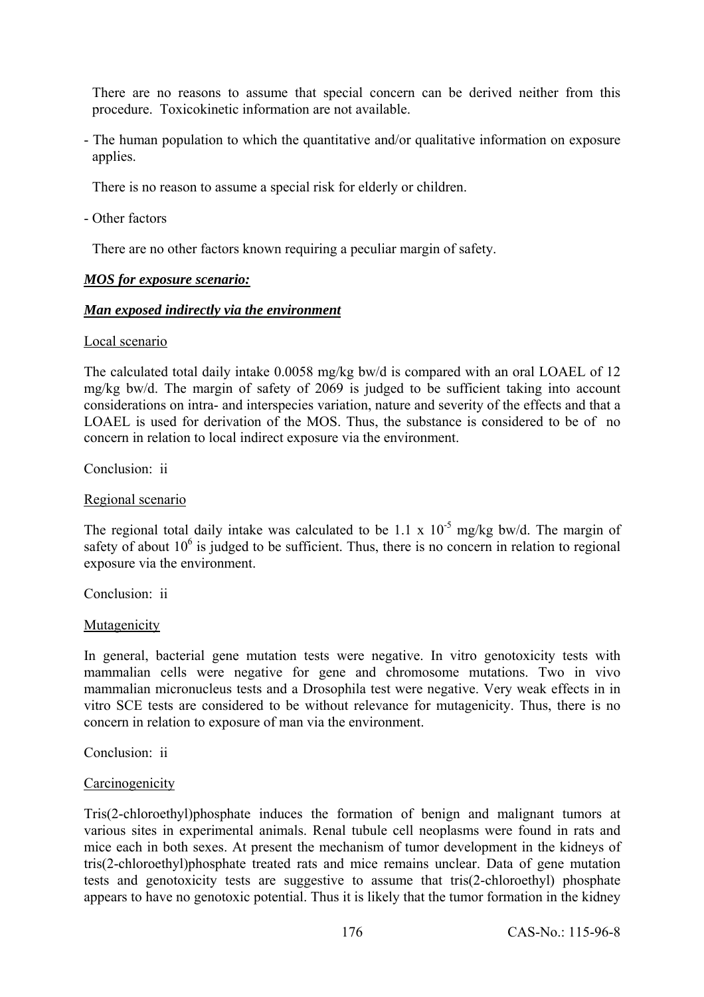There are no reasons to assume that special concern can be derived neither from this procedure. Toxicokinetic information are not available.

- The human population to which the quantitative and/or qualitative information on exposure applies.

There is no reason to assume a special risk for elderly or children.

- Other factors

There are no other factors known requiring a peculiar margin of safety.

#### *MOS for exposure scenario:*

#### *Man exposed indirectly via the environment*

#### Local scenario

The calculated total daily intake 0.0058 mg/kg bw/d is compared with an oral LOAEL of 12 mg/kg bw/d. The margin of safety of 2069 is judged to be sufficient taking into account considerations on intra- and interspecies variation, nature and severity of the effects and that a LOAEL is used for derivation of the MOS. Thus, the substance is considered to be of no concern in relation to local indirect exposure via the environment.

Conclusion: ii

#### Regional scenario

The regional total daily intake was calculated to be 1.1 x  $10^{-5}$  mg/kg bw/d. The margin of safety of about  $10<sup>6</sup>$  is judged to be sufficient. Thus, there is no concern in relation to regional exposure via the environment.

Conclusion: ii

#### Mutagenicity

In general, bacterial gene mutation tests were negative. In vitro genotoxicity tests with mammalian cells were negative for gene and chromosome mutations. Two in vivo mammalian micronucleus tests and a Drosophila test were negative. Very weak effects in in vitro SCE tests are considered to be without relevance for mutagenicity. Thus, there is no concern in relation to exposure of man via the environment.

Conclusion: ii

#### **Carcinogenicity**

Tris(2-chloroethyl)phosphate induces the formation of benign and malignant tumors at various sites in experimental animals. Renal tubule cell neoplasms were found in rats and mice each in both sexes. At present the mechanism of tumor development in the kidneys of tris(2-chloroethyl)phosphate treated rats and mice remains unclear. Data of gene mutation tests and genotoxicity tests are suggestive to assume that tris(2-chloroethyl) phosphate appears to have no genotoxic potential. Thus it is likely that the tumor formation in the kidney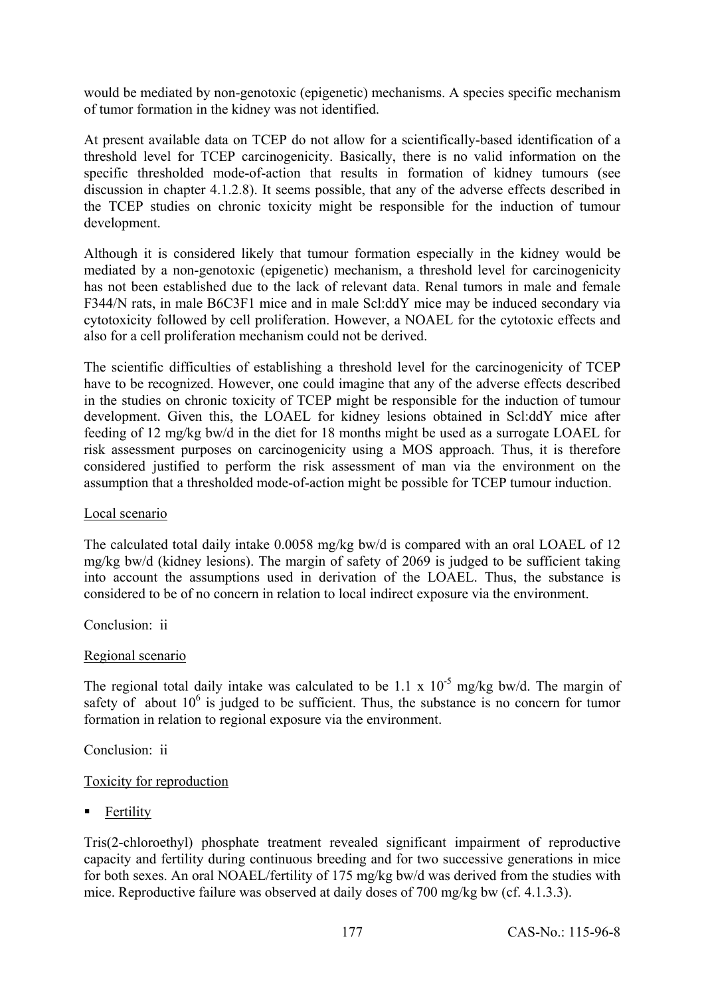would be mediated by non-genotoxic (epigenetic) mechanisms. A species specific mechanism of tumor formation in the kidney was not identified.

At present available data on TCEP do not allow for a scientifically-based identification of a threshold level for TCEP carcinogenicity. Basically, there is no valid information on the specific thresholded mode-of-action that results in formation of kidney tumours (see discussion in chapter 4.1.2.8). It seems possible, that any of the adverse effects described in the TCEP studies on chronic toxicity might be responsible for the induction of tumour development.

Although it is considered likely that tumour formation especially in the kidney would be mediated by a non-genotoxic (epigenetic) mechanism, a threshold level for carcinogenicity has not been established due to the lack of relevant data. Renal tumors in male and female F344/N rats, in male B6C3F1 mice and in male Scl:ddY mice may be induced secondary via cytotoxicity followed by cell proliferation. However, a NOAEL for the cytotoxic effects and also for a cell proliferation mechanism could not be derived.

The scientific difficulties of establishing a threshold level for the carcinogenicity of TCEP have to be recognized. However, one could imagine that any of the adverse effects described in the studies on chronic toxicity of TCEP might be responsible for the induction of tumour development. Given this, the LOAEL for kidney lesions obtained in Scl:ddY mice after feeding of 12 mg/kg bw/d in the diet for 18 months might be used as a surrogate LOAEL for risk assessment purposes on carcinogenicity using a MOS approach. Thus, it is therefore considered justified to perform the risk assessment of man via the environment on the assumption that a thresholded mode-of-action might be possible for TCEP tumour induction.

#### Local scenario

The calculated total daily intake 0.0058 mg/kg bw/d is compared with an oral LOAEL of 12 mg/kg bw/d (kidney lesions). The margin of safety of 2069 is judged to be sufficient taking into account the assumptions used in derivation of the LOAEL. Thus, the substance is considered to be of no concern in relation to local indirect exposure via the environment.

Conclusion: ii

### Regional scenario

The regional total daily intake was calculated to be 1.1 x  $10^{-5}$  mg/kg bw/d. The margin of safety of about  $10^6$  is judged to be sufficient. Thus, the substance is no concern for tumor formation in relation to regional exposure via the environment.

Conclusion: ii

### Toxicity for reproduction

**Fertility** 

Tris(2-chloroethyl) phosphate treatment revealed significant impairment of reproductive capacity and fertility during continuous breeding and for two successive generations in mice for both sexes. An oral NOAEL/fertility of 175 mg/kg bw/d was derived from the studies with mice. Reproductive failure was observed at daily doses of 700 mg/kg bw (cf. 4.1.3.3).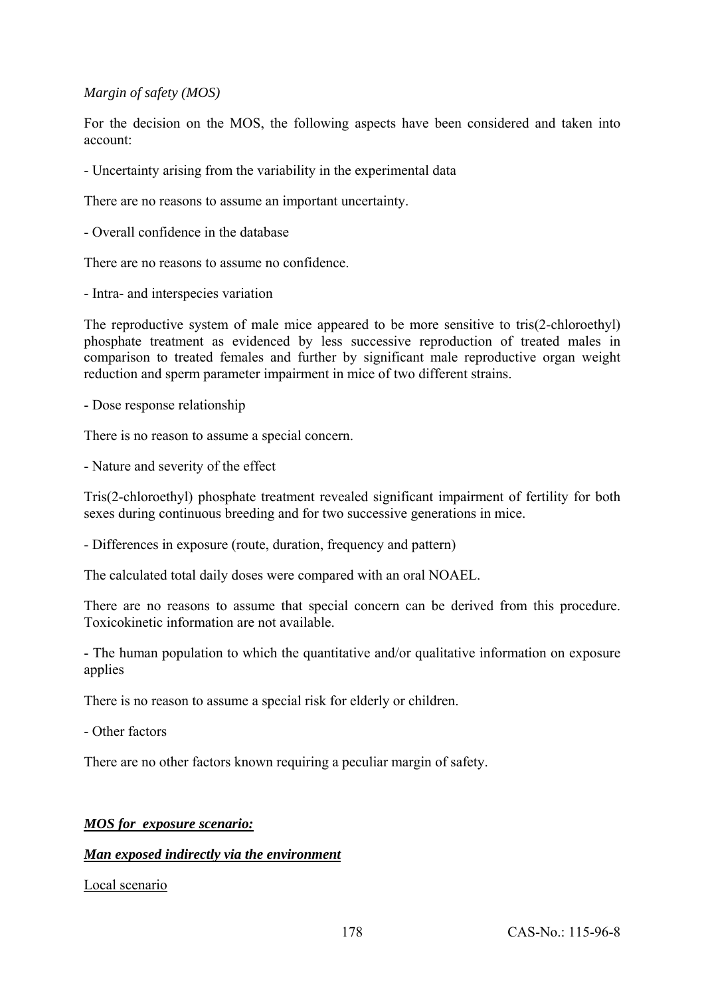*Margin of safety (MOS)* 

For the decision on the MOS, the following aspects have been considered and taken into account:

- Uncertainty arising from the variability in the experimental data

There are no reasons to assume an important uncertainty.

- Overall confidence in the database

There are no reasons to assume no confidence.

- Intra- and interspecies variation

The reproductive system of male mice appeared to be more sensitive to tris(2-chloroethyl) phosphate treatment as evidenced by less successive reproduction of treated males in comparison to treated females and further by significant male reproductive organ weight reduction and sperm parameter impairment in mice of two different strains.

- Dose response relationship

There is no reason to assume a special concern.

- Nature and severity of the effect

Tris(2-chloroethyl) phosphate treatment revealed significant impairment of fertility for both sexes during continuous breeding and for two successive generations in mice.

- Differences in exposure (route, duration, frequency and pattern)

The calculated total daily doses were compared with an oral NOAEL.

There are no reasons to assume that special concern can be derived from this procedure. Toxicokinetic information are not available.

- The human population to which the quantitative and/or qualitative information on exposure applies

There is no reason to assume a special risk for elderly or children.

- Other factors

There are no other factors known requiring a peculiar margin of safety.

#### *MOS for exposure scenario:*

#### *Man exposed indirectly via the environment*

Local scenario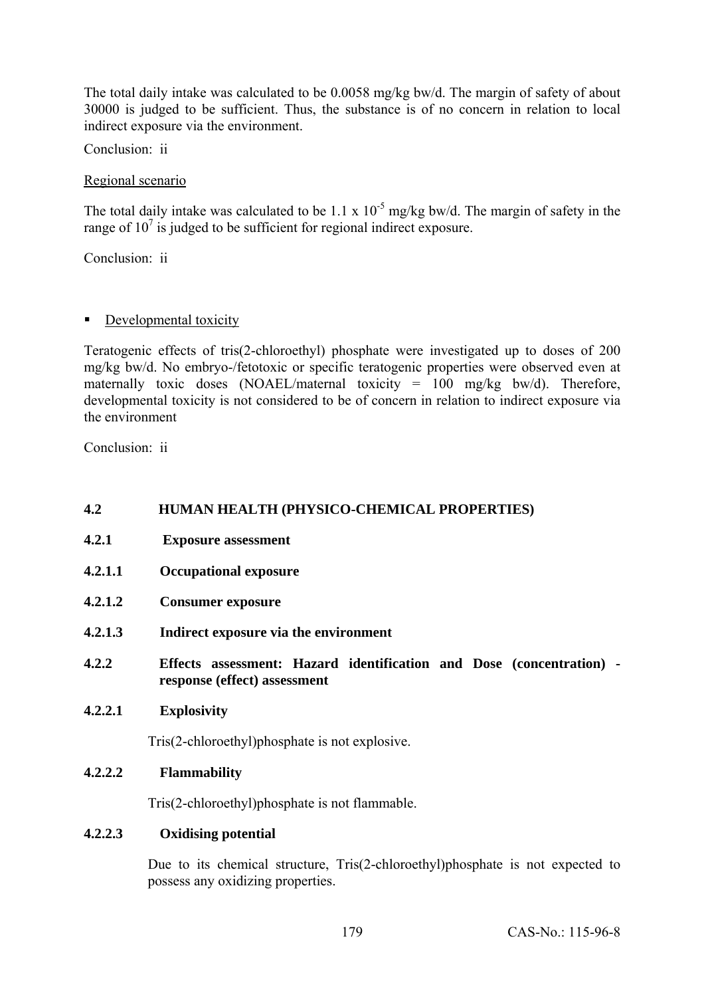The total daily intake was calculated to be 0.0058 mg/kg bw/d. The margin of safety of about 30000 is judged to be sufficient. Thus, the substance is of no concern in relation to local indirect exposure via the environment.

Conclusion: ii

Regional scenario

The total daily intake was calculated to be 1.1 x  $10^{-5}$  mg/kg bw/d. The margin of safety in the range of  $10^7$  is judged to be sufficient for regional indirect exposure.

Conclusion: ii

### Developmental toxicity

Teratogenic effects of tris(2-chloroethyl) phosphate were investigated up to doses of 200 mg/kg bw/d. No embryo-/fetotoxic or specific teratogenic properties were observed even at maternally toxic doses (NOAEL/maternal toxicity =  $100$  mg/kg bw/d). Therefore, developmental toxicity is not considered to be of concern in relation to indirect exposure via the environment

Conclusion: ii

### **4.2 HUMAN HEALTH (PHYSICO-CHEMICAL PROPERTIES)**

- **4.2.1 Exposure assessment**
- **4.2.1.1 Occupational exposure**
- **4.2.1.2 Consumer exposure**
- **4.2.1.3 Indirect exposure via the environment**
- **4.2.2 Effects assessment: Hazard identification and Dose (concentration) response (effect) assessment**
- **4.2.2.1 Explosivity**

Tris(2-chloroethyl)phosphate is not explosive.

#### **4.2.2.2 Flammability**

Tris(2-chloroethyl)phosphate is not flammable.

#### **4.2.2.3 Oxidising potential**

Due to its chemical structure, Tris(2-chloroethyl)phosphate is not expected to possess any oxidizing properties.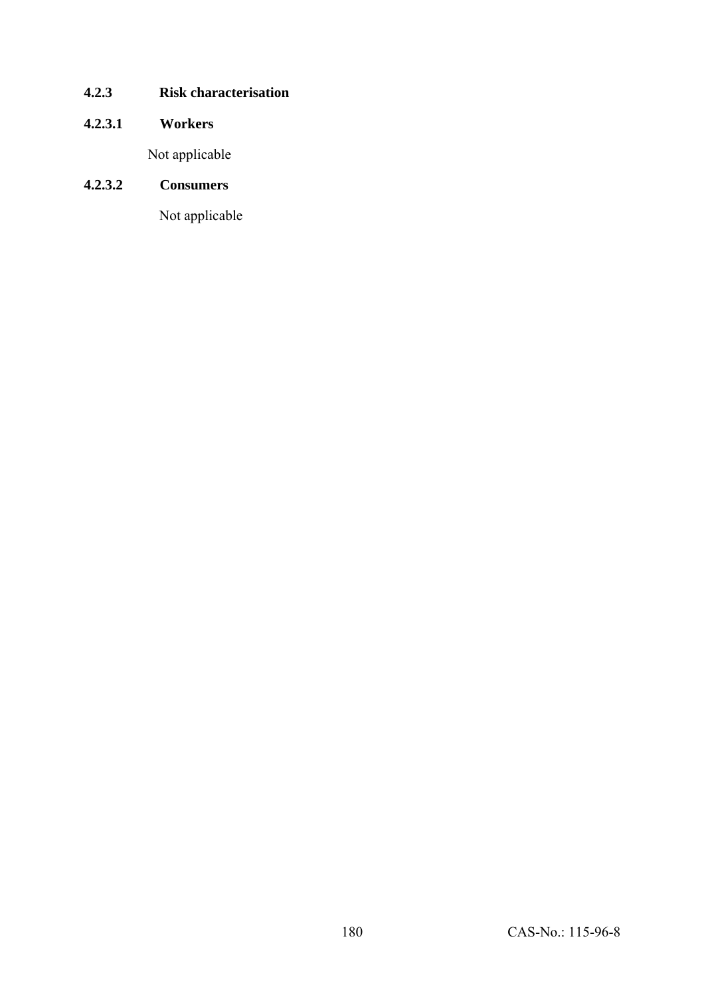## **4.2.3 Risk characterisation**

## **4.2.3.1 Workers**

Not applicable

# **4.2.3.2 Consumers**

Not applicable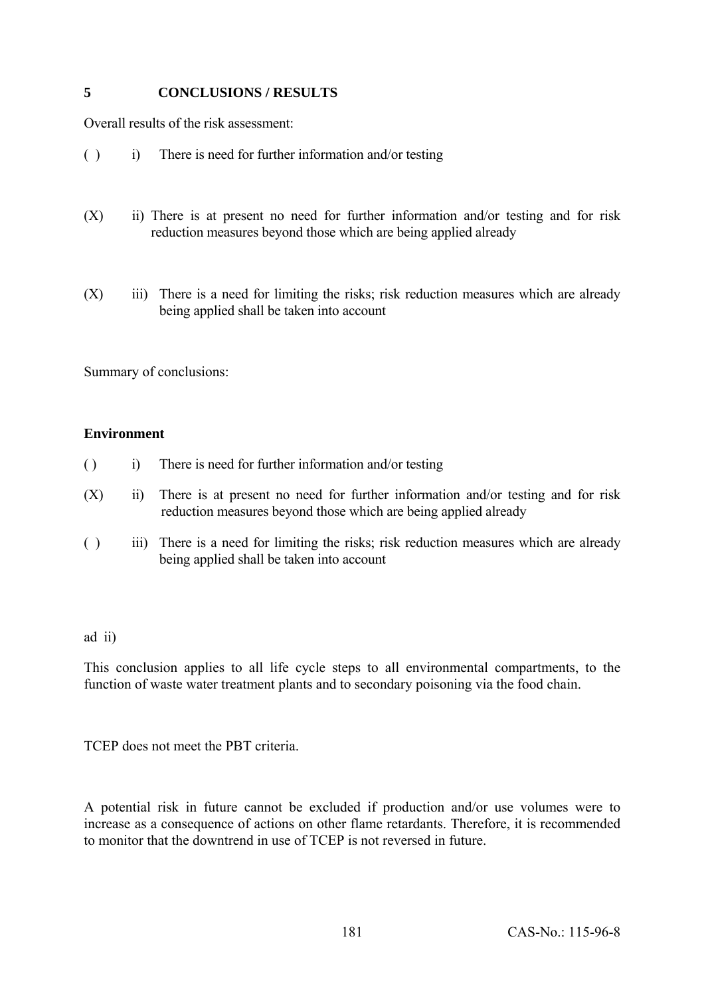### **5 CONCLUSIONS / RESULTS**

Overall results of the risk assessment:

- ( ) i) There is need for further information and/or testing
- $(X)$  ii) There is at present no need for further information and/or testing and for risk reduction measures beyond those which are being applied already
- $(X)$  iii) There is a need for limiting the risks; risk reduction measures which are already being applied shall be taken into account

Summary of conclusions:

#### **Environment**

- ( ) i) There is need for further information and/or testing
- $(X)$  ii) There is at present no need for further information and/or testing and for risk reduction measures beyond those which are being applied already
- ( ) iii) There is a need for limiting the risks; risk reduction measures which are already being applied shall be taken into account

#### ad ii)

This conclusion applies to all life cycle steps to all environmental compartments, to the function of waste water treatment plants and to secondary poisoning via the food chain.

TCEP does not meet the PBT criteria.

A potential risk in future cannot be excluded if production and/or use volumes were to increase as a consequence of actions on other flame retardants. Therefore, it is recommended to monitor that the downtrend in use of TCEP is not reversed in future.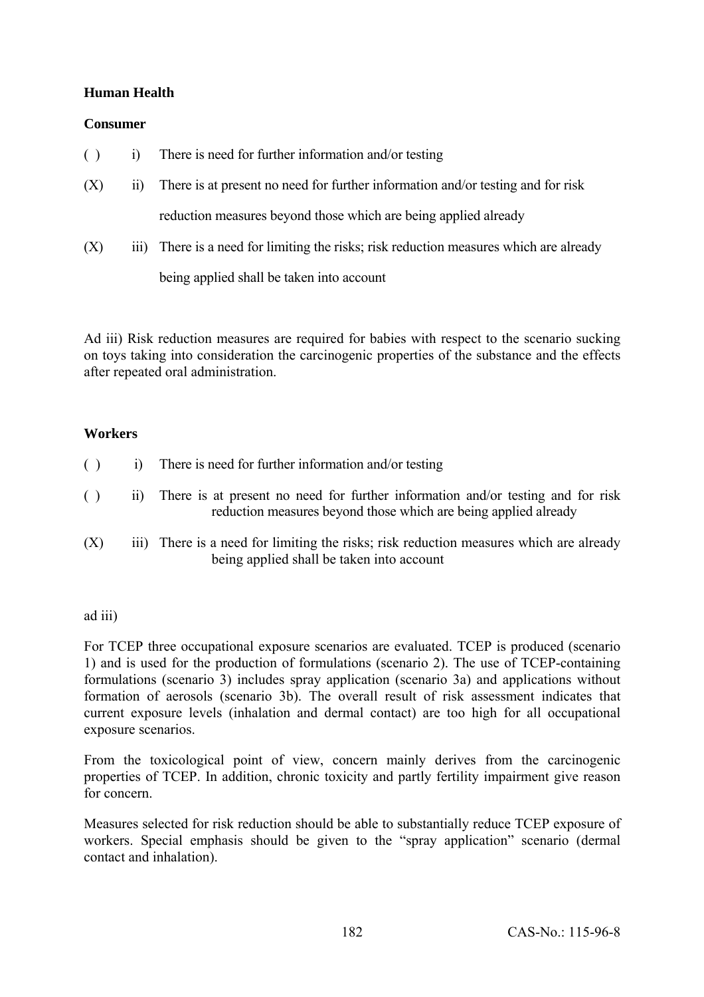## **Human Health**

### **Consumer**

- $(i)$  i) There is need for further information and/or testing
- $(X)$  ii) There is at present no need for further information and/or testing and for risk reduction measures beyond those which are being applied already
- $(X)$  iii) There is a need for limiting the risks; risk reduction measures which are already

being applied shall be taken into account

Ad iii) Risk reduction measures are required for babies with respect to the scenario sucking on toys taking into consideration the carcinogenic properties of the substance and the effects after repeated oral administration.

## **Workers**

- $( )$  i) There is need for further information and/or testing
- ( ) ii) There is at present no need for further information and/or testing and for risk reduction measures beyond those which are being applied already
- $(X)$  iii) There is a need for limiting the risks; risk reduction measures which are already being applied shall be taken into account

ad iii)

For TCEP three occupational exposure scenarios are evaluated. TCEP is produced (scenario 1) and is used for the production of formulations (scenario 2). The use of TCEP-containing formulations (scenario 3) includes spray application (scenario 3a) and applications without formation of aerosols (scenario 3b). The overall result of risk assessment indicates that current exposure levels (inhalation and dermal contact) are too high for all occupational exposure scenarios.

From the toxicological point of view, concern mainly derives from the carcinogenic properties of TCEP. In addition, chronic toxicity and partly fertility impairment give reason for concern.

Measures selected for risk reduction should be able to substantially reduce TCEP exposure of workers. Special emphasis should be given to the "spray application" scenario (dermal contact and inhalation).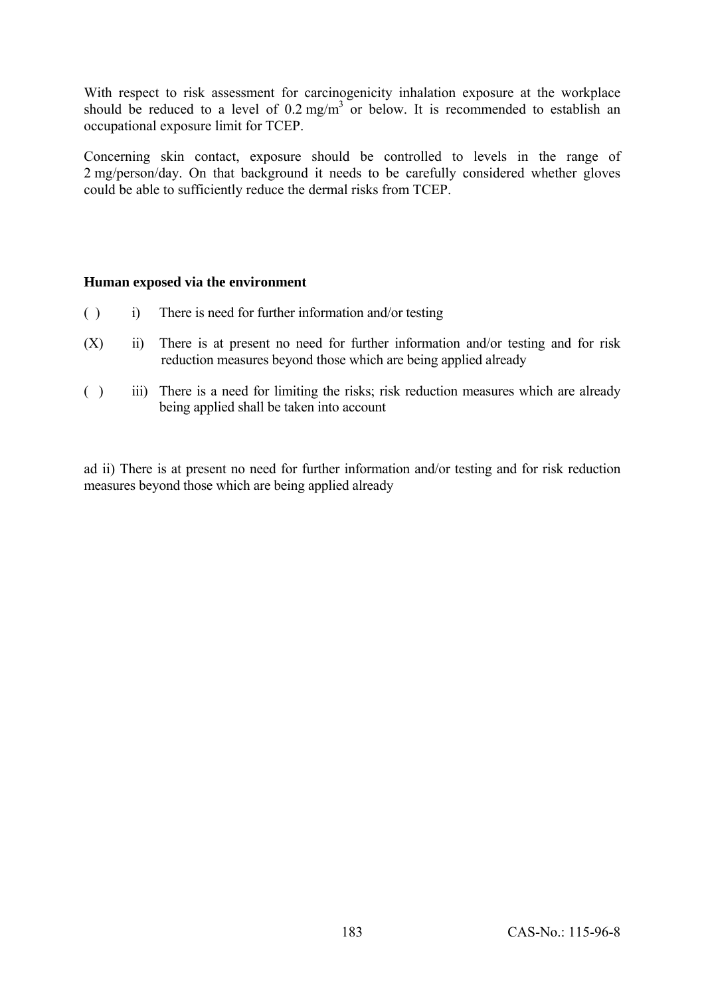With respect to risk assessment for carcinogenicity inhalation exposure at the workplace should be reduced to a level of  $0.2 \text{ mg/m}^3$  or below. It is recommended to establish an occupational exposure limit for TCEP.

Concerning skin contact, exposure should be controlled to levels in the range of 2 mg/person/day. On that background it needs to be carefully considered whether gloves could be able to sufficiently reduce the dermal risks from TCEP.

### **Human exposed via the environment**

- $( )$  i) There is need for further information and/or testing
- $(X)$  ii) There is at present no need for further information and/or testing and for risk reduction measures beyond those which are being applied already
- ( ) iii) There is a need for limiting the risks; risk reduction measures which are already being applied shall be taken into account

ad ii) There is at present no need for further information and/or testing and for risk reduction measures beyond those which are being applied already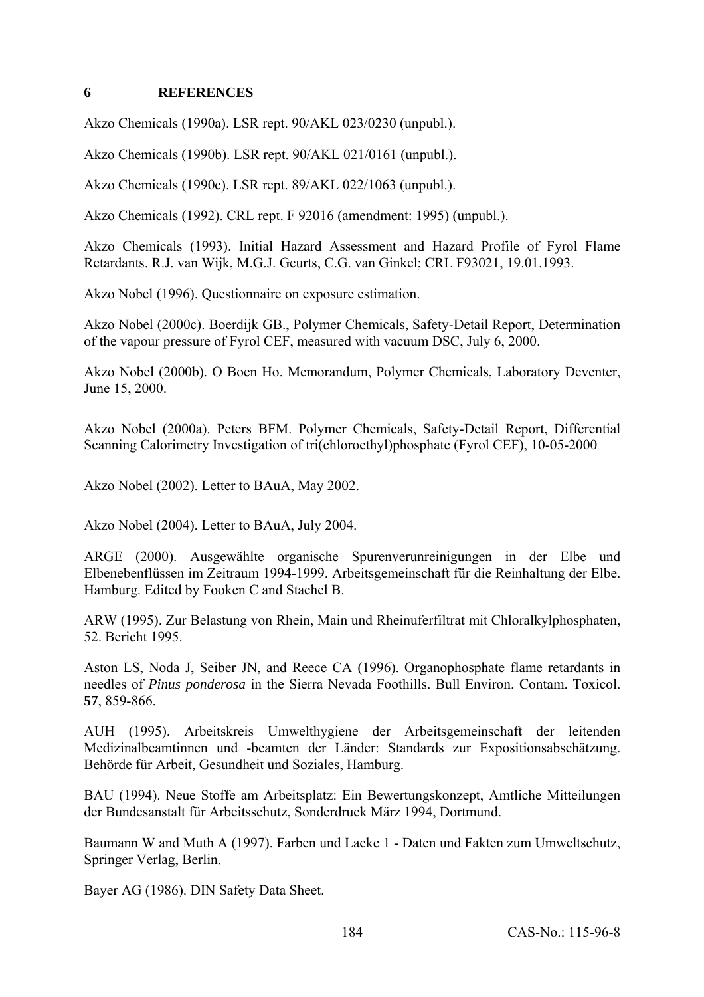#### **6 REFERENCES**

Akzo Chemicals (1990a). LSR rept. 90/AKL 023/0230 (unpubl.).

Akzo Chemicals (1990b). LSR rept. 90/AKL 021/0161 (unpubl.).

Akzo Chemicals (1990c). LSR rept. 89/AKL 022/1063 (unpubl.).

Akzo Chemicals (1992). CRL rept. F 92016 (amendment: 1995) (unpubl.).

Akzo Chemicals (1993). Initial Hazard Assessment and Hazard Profile of Fyrol Flame Retardants. R.J. van Wijk, M.G.J. Geurts, C.G. van Ginkel; CRL F93021, 19.01.1993.

Akzo Nobel (1996). Questionnaire on exposure estimation.

Akzo Nobel (2000c). Boerdijk GB., Polymer Chemicals, Safety-Detail Report, Determination of the vapour pressure of Fyrol CEF, measured with vacuum DSC, July 6, 2000.

Akzo Nobel (2000b). O Boen Ho. Memorandum, Polymer Chemicals, Laboratory Deventer, June 15, 2000.

Akzo Nobel (2000a). Peters BFM. Polymer Chemicals, Safety-Detail Report, Differential Scanning Calorimetry Investigation of tri(chloroethyl)phosphate (Fyrol CEF), 10-05-2000

Akzo Nobel (2002). Letter to BAuA, May 2002.

Akzo Nobel (2004). Letter to BAuA, July 2004.

ARGE (2000). Ausgewählte organische Spurenverunreinigungen in der Elbe und Elbenebenflüssen im Zeitraum 1994-1999. Arbeitsgemeinschaft für die Reinhaltung der Elbe. Hamburg. Edited by Fooken C and Stachel B.

ARW (1995). Zur Belastung von Rhein, Main und Rheinuferfiltrat mit Chloralkylphosphaten, 52. Bericht 1995.

Aston LS, Noda J, Seiber JN, and Reece CA (1996). Organophosphate flame retardants in needles of *Pinus ponderosa* in the Sierra Nevada Foothills. Bull Environ. Contam. Toxicol. **57**, 859-866.

AUH (1995). Arbeitskreis Umwelthygiene der Arbeitsgemeinschaft der leitenden Medizinalbeamtinnen und -beamten der Länder: Standards zur Expositionsabschätzung. Behörde für Arbeit, Gesundheit und Soziales, Hamburg.

BAU (1994). Neue Stoffe am Arbeitsplatz: Ein Bewertungskonzept, Amtliche Mitteilungen der Bundesanstalt für Arbeitsschutz, Sonderdruck März 1994, Dortmund.

Baumann W and Muth A (1997). Farben und Lacke 1 - Daten und Fakten zum Umweltschutz, Springer Verlag, Berlin.

Bayer AG (1986). DIN Safety Data Sheet.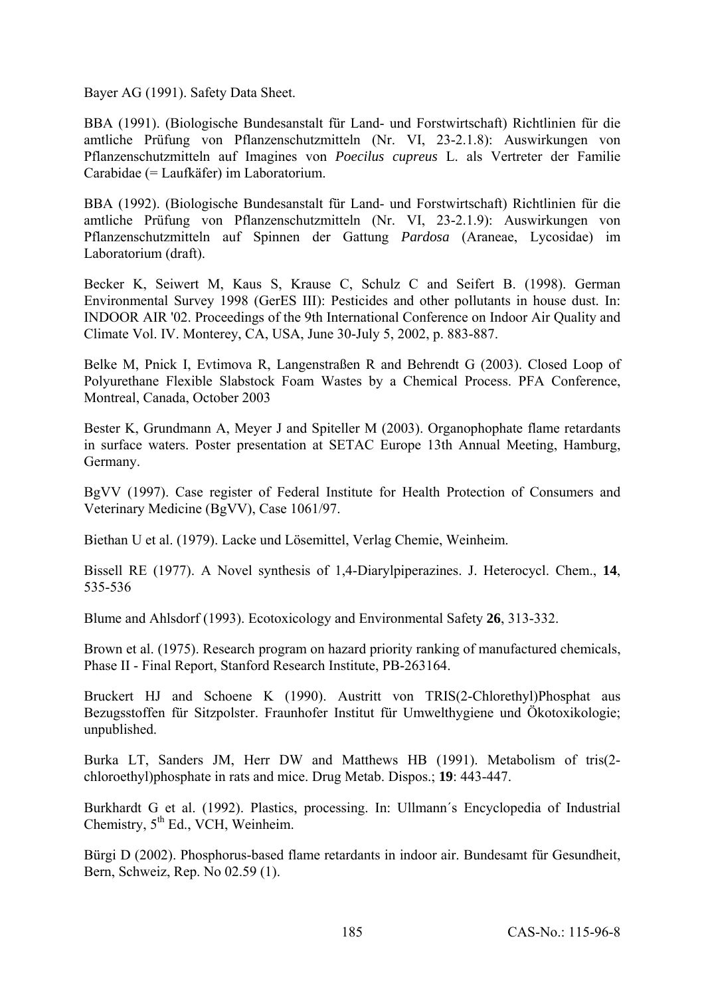Bayer AG (1991). Safety Data Sheet.

BBA (1991). (Biologische Bundesanstalt für Land- und Forstwirtschaft) Richtlinien für die amtliche Prüfung von Pflanzenschutzmitteln (Nr. VI, 23-2.1.8): Auswirkungen von Pflanzenschutzmitteln auf Imagines von *Poecilus cupreus* L. als Vertreter der Familie Carabidae (= Laufkäfer) im Laboratorium.

BBA (1992). (Biologische Bundesanstalt für Land- und Forstwirtschaft) Richtlinien für die amtliche Prüfung von Pflanzenschutzmitteln (Nr. VI, 23-2.1.9): Auswirkungen von Pflanzenschutzmitteln auf Spinnen der Gattung *Pardosa* (Araneae, Lycosidae) im Laboratorium (draft).

Becker K, Seiwert M, Kaus S, Krause C, Schulz C and Seifert B. (1998). German Environmental Survey 1998 (GerES III): Pesticides and other pollutants in house dust. In: INDOOR AIR '02. Proceedings of the 9th International Conference on Indoor Air Quality and Climate Vol. IV. Monterey, CA, USA, June 30-July 5, 2002, p. 883-887.

Belke M, Pnick I, Evtimova R, Langenstraßen R and Behrendt G (2003). Closed Loop of Polyurethane Flexible Slabstock Foam Wastes by a Chemical Process. PFA Conference, Montreal, Canada, October 2003

Bester K, Grundmann A, Meyer J and Spiteller M (2003). Organophophate flame retardants in surface waters. Poster presentation at SETAC Europe 13th Annual Meeting, Hamburg, Germany.

BgVV (1997). Case register of Federal Institute for Health Protection of Consumers and Veterinary Medicine (BgVV), Case 1061/97.

Biethan U et al. (1979). Lacke und Lösemittel, Verlag Chemie, Weinheim.

Bissell RE (1977). A Novel synthesis of 1,4-Diarylpiperazines. J. Heterocycl. Chem., **14**, 535-536

Blume and Ahlsdorf (1993). Ecotoxicology and Environmental Safety **26**, 313-332.

Brown et al. (1975). Research program on hazard priority ranking of manufactured chemicals, Phase II - Final Report, Stanford Research Institute, PB-263164.

Bruckert HJ and Schoene K (1990). Austritt von TRIS(2-Chlorethyl)Phosphat aus Bezugsstoffen für Sitzpolster. Fraunhofer Institut für Umwelthygiene und Ökotoxikologie; unpublished.

Burka LT, Sanders JM, Herr DW and Matthews HB (1991). Metabolism of tris(2 chloroethyl)phosphate in rats and mice. Drug Metab. Dispos.; **19**: 443-447.

Burkhardt G et al. (1992). Plastics, processing. In: Ullmann´s Encyclopedia of Industrial Chemistry, 5<sup>th</sup> Ed., VCH, Weinheim.

Bürgi D (2002). Phosphorus-based flame retardants in indoor air. Bundesamt für Gesundheit, Bern, Schweiz, Rep. No 02.59 (1).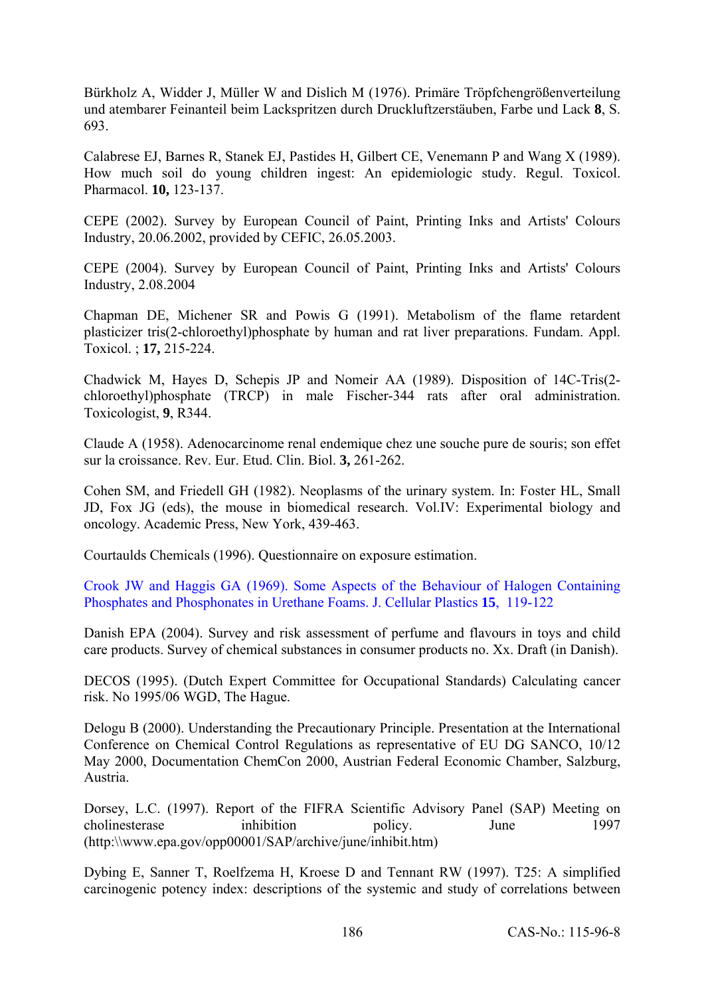Bürkholz A, Widder J, Müller W and Dislich M (1976). Primäre Tröpfchengrößenverteilung und atembarer Feinanteil beim Lackspritzen durch Druckluftzerstäuben, Farbe und Lack **8**, S. 693.

Calabrese EJ, Barnes R, Stanek EJ, Pastides H, Gilbert CE, Venemann P and Wang X (1989). How much soil do young children ingest: An epidemiologic study. Regul. Toxicol. Pharmacol. **10,** 123-137.

CEPE (2002). Survey by European Council of Paint, Printing Inks and Artists' Colours Industry, 20.06.2002, provided by CEFIC, 26.05.2003.

CEPE (2004). Survey by European Council of Paint, Printing Inks and Artists' Colours Industry, 2.08.2004

Chapman DE, Michener SR and Powis G (1991). Metabolism of the flame retardent plasticizer tris(2-chloroethyl)phosphate by human and rat liver preparations. Fundam. Appl. Toxicol. ; **17,** 215-224.

Chadwick M, Hayes D, Schepis JP and Nomeir AA (1989). Disposition of 14C-Tris(2 chloroethyl)phosphate (TRCP) in male Fischer-344 rats after oral administration. Toxicologist, **9**, R344.

Claude A (1958). Adenocarcinome renal endemique chez une souche pure de souris; son effet sur la croissance. Rev. Eur. Etud. Clin. Biol. **3,** 261-262.

Cohen SM, and Friedell GH (1982). Neoplasms of the urinary system. In: Foster HL, Small JD, Fox JG (eds), the mouse in biomedical research. Vol.IV: Experimental biology and oncology. Academic Press, New York, 439-463.

Courtaulds Chemicals (1996). Questionnaire on exposure estimation.

Crook JW and Haggis GA (1969). Some Aspects of the Behaviour of Halogen Containing Phosphates and Phosphonates in Urethane Foams. J. Cellular Plastics **15**, 119-122

Danish EPA (2004). Survey and risk assessment of perfume and flavours in toys and child care products. Survey of chemical substances in consumer products no. Xx. Draft (in Danish).

DECOS (1995). (Dutch Expert Committee for Occupational Standards) Calculating cancer risk. No 1995/06 WGD, The Hague.

Delogu B (2000). Understanding the Precautionary Principle. Presentation at the International Conference on Chemical Control Regulations as representative of EU DG SANCO, 10/12 May 2000, Documentation ChemCon 2000, Austrian Federal Economic Chamber, Salzburg, Austria.

Dorsey, L.C. (1997). Report of the FIFRA Scientific Advisory Panel (SAP) Meeting on cholinesterase inhibition policy June 1997 (http:\\www.epa.gov/opp00001/SAP/archive/june/inhibit.htm)

Dybing E, Sanner T, Roelfzema H, Kroese D and Tennant RW (1997). T25: A simplified carcinogenic potency index: descriptions of the systemic and study of correlations between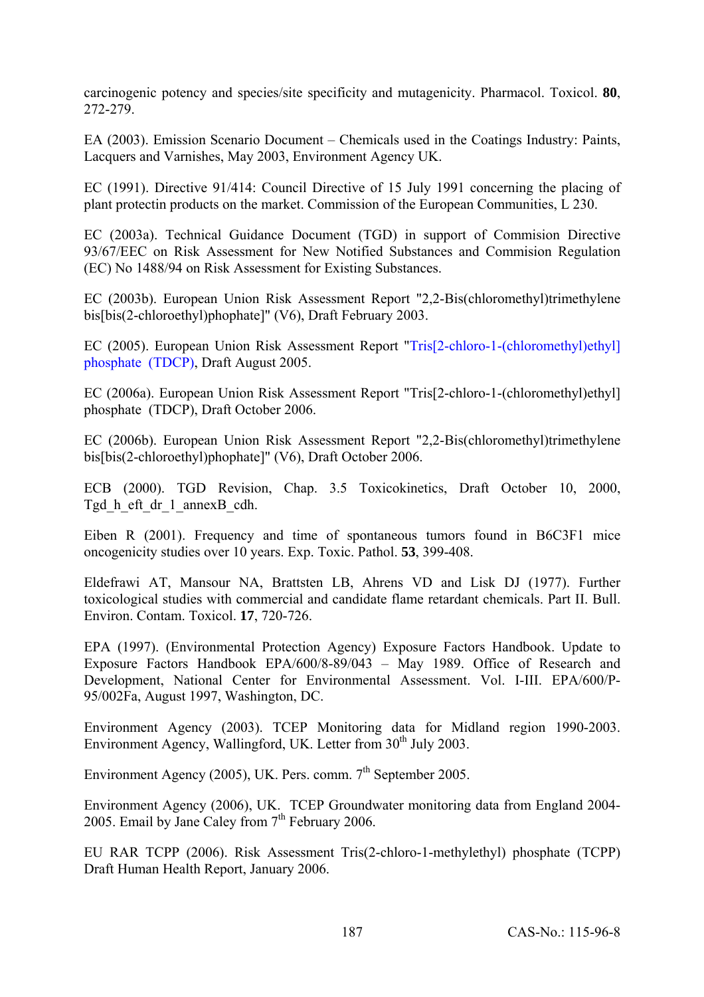carcinogenic potency and species/site specificity and mutagenicity. Pharmacol. Toxicol. **80**, 272-279.

EA (2003). Emission Scenario Document – Chemicals used in the Coatings Industry: Paints, Lacquers and Varnishes, May 2003, Environment Agency UK.

EC (1991). Directive 91/414: Council Directive of 15 July 1991 concerning the placing of plant protectin products on the market. Commission of the European Communities, L 230.

EC (2003a). Technical Guidance Document (TGD) in support of Commision Directive 93/67/EEC on Risk Assessment for New Notified Substances and Commision Regulation (EC) No 1488/94 on Risk Assessment for Existing Substances.

EC (2003b). European Union Risk Assessment Report "2,2-Bis(chloromethyl)trimethylene bis[bis(2-chloroethyl)phophate]" (V6), Draft February 2003.

EC (2005). European Union Risk Assessment Report "Tris[2-chloro-1-(chloromethyl)ethyl] phosphate (TDCP), Draft August 2005.

EC (2006a). European Union Risk Assessment Report "Tris[2-chloro-1-(chloromethyl)ethyl] phosphate (TDCP), Draft October 2006.

EC (2006b). European Union Risk Assessment Report "2,2-Bis(chloromethyl)trimethylene bis[bis(2-chloroethyl)phophate]" (V6), Draft October 2006.

ECB (2000). TGD Revision, Chap. 3.5 Toxicokinetics, Draft October 10, 2000, Tgd h eft dr 1 annexB cdh.

Eiben R (2001). Frequency and time of spontaneous tumors found in B6C3F1 mice oncogenicity studies over 10 years. Exp. Toxic. Pathol. **53**, 399-408.

Eldefrawi AT, Mansour NA, Brattsten LB, Ahrens VD and Lisk DJ (1977). Further toxicological studies with commercial and candidate flame retardant chemicals. Part II. Bull. Environ. Contam. Toxicol. **17**, 720-726.

EPA (1997). (Environmental Protection Agency) Exposure Factors Handbook. Update to Exposure Factors Handbook EPA/600/8-89/043 – May 1989. Office of Research and Development, National Center for Environmental Assessment. Vol. I-III. EPA/600/P-95/002Fa, August 1997, Washington, DC.

Environment Agency (2003). TCEP Monitoring data for Midland region 1990-2003. Environment Agency, Wallingford, UK. Letter from 30<sup>th</sup> July 2003.

Environment Agency (2005), UK. Pers. comm. 7<sup>th</sup> September 2005.

Environment Agency (2006), UK. TCEP Groundwater monitoring data from England 2004- 2005. Email by Jane Caley from  $7<sup>th</sup>$  February 2006.

EU RAR TCPP (2006). Risk Assessment Tris(2-chloro-1-methylethyl) phosphate (TCPP) Draft Human Health Report, January 2006.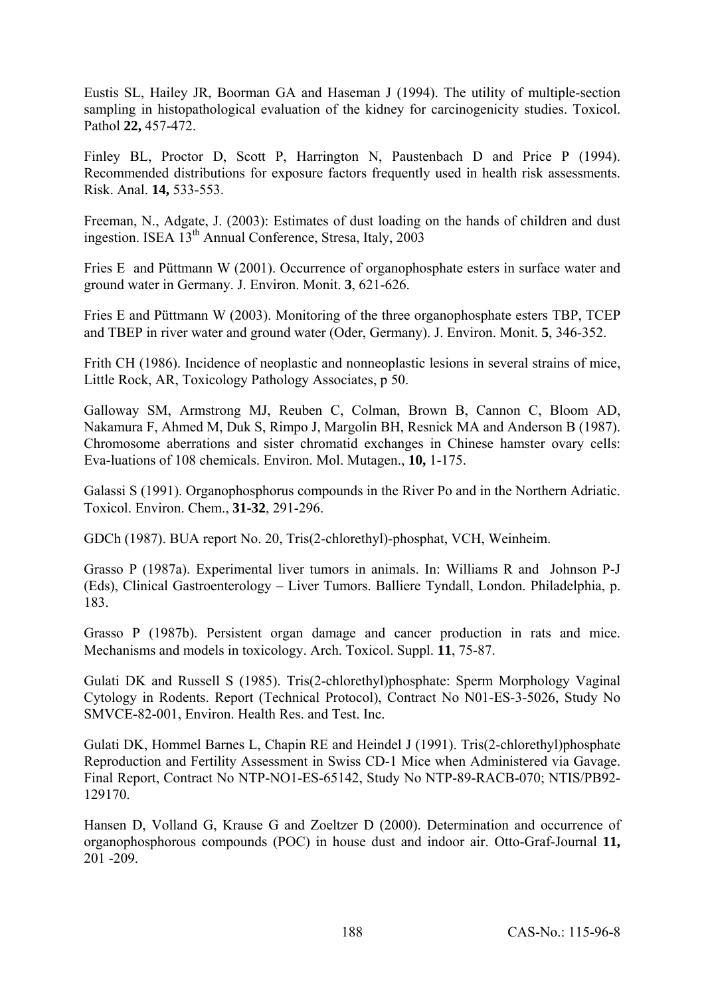Eustis SL, Hailey JR, Boorman GA and Haseman J (1994). The utility of multiple-section sampling in histopathological evaluation of the kidney for carcinogenicity studies. Toxicol. Pathol **22,** 457-472.

Finley BL, Proctor D, Scott P, Harrington N, Paustenbach D and Price P (1994). Recommended distributions for exposure factors frequently used in health risk assessments. Risk. Anal. **14,** 533-553.

Freeman, N., Adgate, J. (2003): Estimates of dust loading on the hands of children and dust ingestion. ISEA 13<sup>th</sup> Annual Conference, Stresa, Italy, 2003

Fries E and Püttmann W (2001). Occurrence of organophosphate esters in surface water and ground water in Germany. J. Environ. Monit. **3**, 621-626.

Fries E and Püttmann W (2003). Monitoring of the three organophosphate esters TBP, TCEP and TBEP in river water and ground water (Oder, Germany). J. Environ. Monit. **5**, 346-352.

Frith CH (1986). Incidence of neoplastic and nonneoplastic lesions in several strains of mice, Little Rock, AR, Toxicology Pathology Associates, p 50.

Galloway SM, Armstrong MJ, Reuben C, Colman, Brown B, Cannon C, Bloom AD, Nakamura F, Ahmed M, Duk S, Rimpo J, Margolin BH, Resnick MA and Anderson B (1987). Chromosome aberrations and sister chromatid exchanges in Chinese hamster ovary cells: Eva-luations of 108 chemicals. Environ. Mol. Mutagen., **10,** 1-175.

Galassi S (1991). Organophosphorus compounds in the River Po and in the Northern Adriatic. Toxicol. Environ. Chem., **31-32**, 291-296.

GDCh (1987). BUA report No. 20, Tris(2-chlorethyl)-phosphat, VCH, Weinheim.

Grasso P (1987a). Experimental liver tumors in animals. In: Williams R and Johnson P-J (Eds), Clinical Gastroenterology – Liver Tumors. Balliere Tyndall, London. Philadelphia, p. 183.

Grasso P (1987b). Persistent organ damage and cancer production in rats and mice. Mechanisms and models in toxicology. Arch. Toxicol. Suppl. **11**, 75-87.

Gulati DK and Russell S (1985). Tris(2-chlorethyl)phosphate: Sperm Morphology Vaginal Cytology in Rodents. Report (Technical Protocol), Contract No N01-ES-3-5026, Study No SMVCE-82-001, Environ. Health Res. and Test. Inc.

Gulati DK, Hommel Barnes L, Chapin RE and Heindel J (1991). Tris(2-chlorethyl)phosphate Reproduction and Fertility Assessment in Swiss CD-1 Mice when Administered via Gavage. Final Report, Contract No NTP-NO1-ES-65142, Study No NTP-89-RACB-070; NTIS/PB92- 129170.

Hansen D, Volland G, Krause G and Zoeltzer D (2000). Determination and occurrence of organophosphorous compounds (POC) in house dust and indoor air. Otto-Graf-Journal **11,** 201 -209.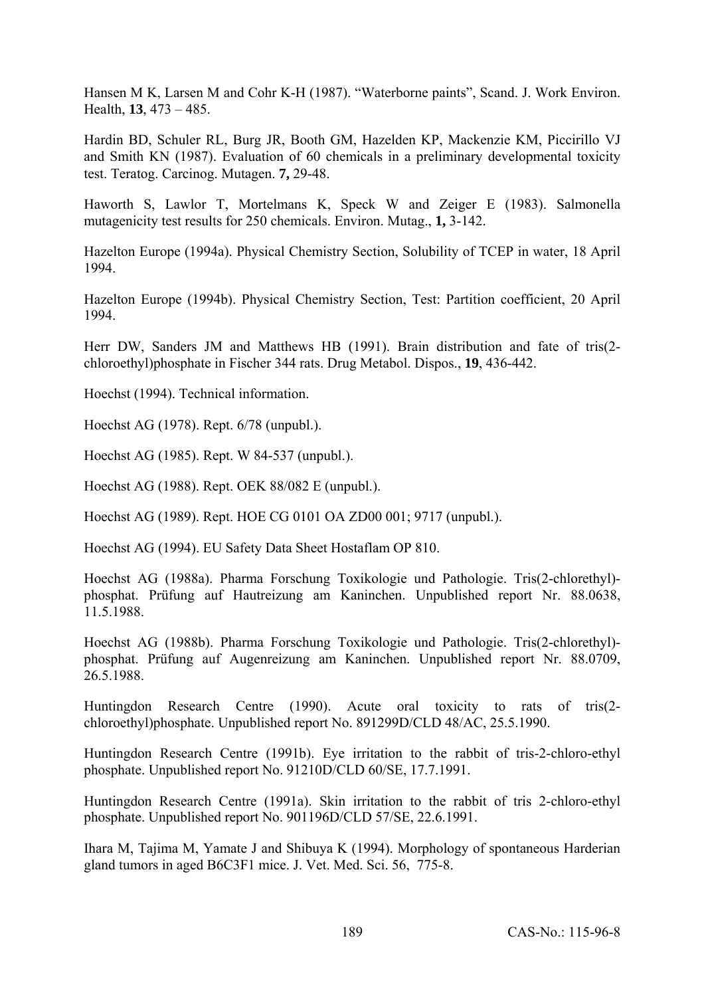Hansen M K, Larsen M and Cohr K-H (1987). "Waterborne paints", Scand. J. Work Environ. Health, **13**, 473 – 485.

Hardin BD, Schuler RL, Burg JR, Booth GM, Hazelden KP, Mackenzie KM, Piccirillo VJ and Smith KN (1987). Evaluation of 60 chemicals in a preliminary developmental toxicity test. Teratog. Carcinog. Mutagen. **7,** 29-48.

Haworth S, Lawlor T, Mortelmans K, Speck W and Zeiger E (1983). Salmonella mutagenicity test results for 250 chemicals. Environ. Mutag., **1,** 3-142.

Hazelton Europe (1994a). Physical Chemistry Section, Solubility of TCEP in water, 18 April 1994.

Hazelton Europe (1994b). Physical Chemistry Section, Test: Partition coefficient, 20 April 1994.

Herr DW, Sanders JM and Matthews HB (1991). Brain distribution and fate of tris(2 chloroethyl)phosphate in Fischer 344 rats. Drug Metabol. Dispos., **19**, 436-442.

Hoechst (1994). Technical information.

Hoechst AG (1978). Rept. 6/78 (unpubl.).

Hoechst AG (1985). Rept. W 84-537 (unpubl.).

Hoechst AG (1988). Rept. OEK 88/082 E (unpubl.).

Hoechst AG (1989). Rept. HOE CG 0101 OA ZD00 001; 9717 (unpubl.).

Hoechst AG (1994). EU Safety Data Sheet Hostaflam OP 810.

Hoechst AG (1988a). Pharma Forschung Toxikologie und Pathologie. Tris(2-chlorethyl) phosphat. Prüfung auf Hautreizung am Kaninchen. Unpublished report Nr. 88.0638, 11.5.1988.

Hoechst AG (1988b). Pharma Forschung Toxikologie und Pathologie. Tris(2-chlorethyl) phosphat. Prüfung auf Augenreizung am Kaninchen. Unpublished report Nr. 88.0709, 26.5.1988.

Huntingdon Research Centre (1990). Acute oral toxicity to rats of tris(2 chloroethyl)phosphate. Unpublished report No. 891299D/CLD 48/AC, 25.5.1990.

Huntingdon Research Centre (1991b). Eye irritation to the rabbit of tris-2-chloro-ethyl phosphate. Unpublished report No. 91210D/CLD 60/SE, 17.7.1991.

Huntingdon Research Centre (1991a). Skin irritation to the rabbit of tris 2-chloro-ethyl phosphate. Unpublished report No. 901196D/CLD 57/SE, 22.6.1991.

Ihara M, Tajima M, Yamate J and Shibuya K (1994). Morphology of spontaneous Harderian gland tumors in aged B6C3F1 mice. J. Vet. Med. Sci. 56, 775-8.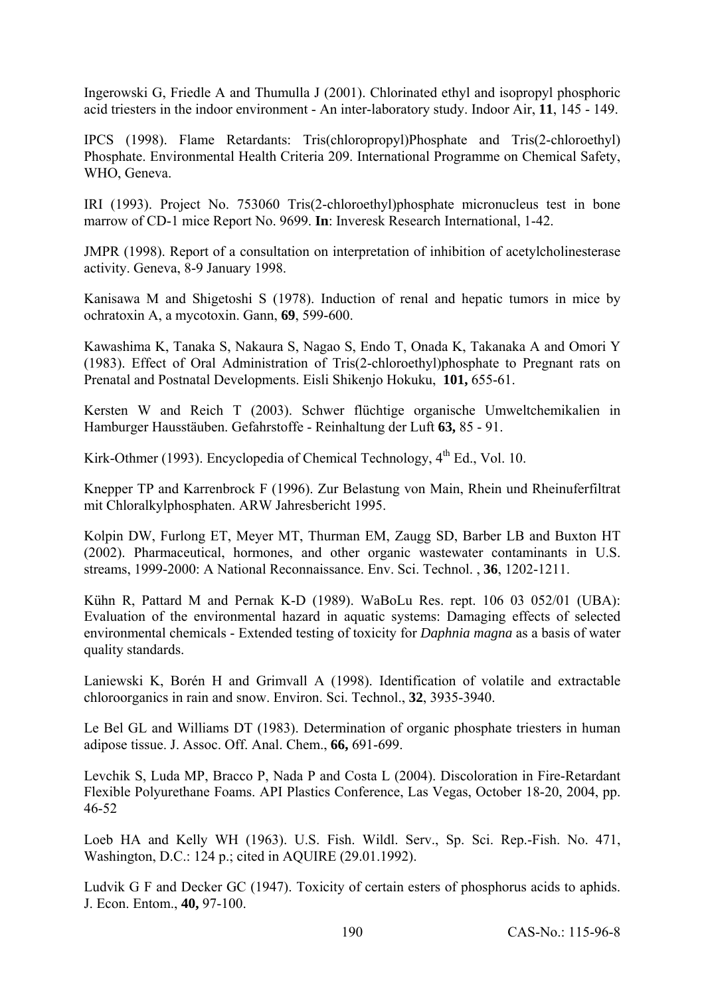Ingerowski G, Friedle A and Thumulla J (2001). Chlorinated ethyl and isopropyl phosphoric acid triesters in the indoor environment - An inter-laboratory study. Indoor Air, **11**, 145 - 149.

IPCS (1998). Flame Retardants: Tris(chloropropyl)Phosphate and Tris(2-chloroethyl) Phosphate. Environmental Health Criteria 209. International Programme on Chemical Safety, WHO, Geneva.

IRI (1993). Project No. 753060 Tris(2-chloroethyl)phosphate micronucleus test in bone marrow of CD-1 mice Report No. 9699. **In**: Inveresk Research International, 1-42.

JMPR (1998). Report of a consultation on interpretation of inhibition of acetylcholinesterase activity. Geneva, 8-9 January 1998.

Kanisawa M and Shigetoshi S (1978). Induction of renal and hepatic tumors in mice by ochratoxin A, a mycotoxin. Gann, **69**, 599-600.

Kawashima K, Tanaka S, Nakaura S, Nagao S, Endo T, Onada K, Takanaka A and Omori Y (1983). Effect of Oral Administration of Tris(2-chloroethyl)phosphate to Pregnant rats on Prenatal and Postnatal Developments. Eisli Shikenjo Hokuku, **101,** 655-61.

Kersten W and Reich T (2003). Schwer flüchtige organische Umweltchemikalien in Hamburger Hausstäuben. Gefahrstoffe - Reinhaltung der Luft **63,** 85 - 91.

Kirk-Othmer (1993). Encyclopedia of Chemical Technology,  $4<sup>th</sup>$  Ed., Vol. 10.

Knepper TP and Karrenbrock F (1996). Zur Belastung von Main, Rhein und Rheinuferfiltrat mit Chloralkylphosphaten. ARW Jahresbericht 1995.

Kolpin DW, Furlong ET, Meyer MT, Thurman EM, Zaugg SD, Barber LB and Buxton HT (2002). Pharmaceutical, hormones, and other organic wastewater contaminants in U.S. streams, 1999-2000: A National Reconnaissance. Env. Sci. Technol. , **36**, 1202-1211.

Kühn R, Pattard M and Pernak K-D (1989). WaBoLu Res. rept. 106 03 052/01 (UBA): Evaluation of the environmental hazard in aquatic systems: Damaging effects of selected environmental chemicals - Extended testing of toxicity for *Daphnia magna* as a basis of water quality standards.

Laniewski K, Borén H and Grimvall A (1998). Identification of volatile and extractable chloroorganics in rain and snow. Environ. Sci. Technol., **32**, 3935-3940.

Le Bel GL and Williams DT (1983). Determination of organic phosphate triesters in human adipose tissue. J. Assoc. Off. Anal. Chem., **66,** 691-699.

Levchik S, Luda MP, Bracco P, Nada P and Costa L (2004). Discoloration in Fire-Retardant Flexible Polyurethane Foams. API Plastics Conference, Las Vegas, October 18-20, 2004, pp. 46-52

Loeb HA and Kelly WH (1963). U.S. Fish. Wildl. Serv., Sp. Sci. Rep.-Fish. No. 471, Washington, D.C.: 124 p.; cited in AQUIRE (29.01.1992).

Ludvik G F and Decker GC (1947). Toxicity of certain esters of phosphorus acids to aphids. J. Econ. Entom., **40,** 97-100.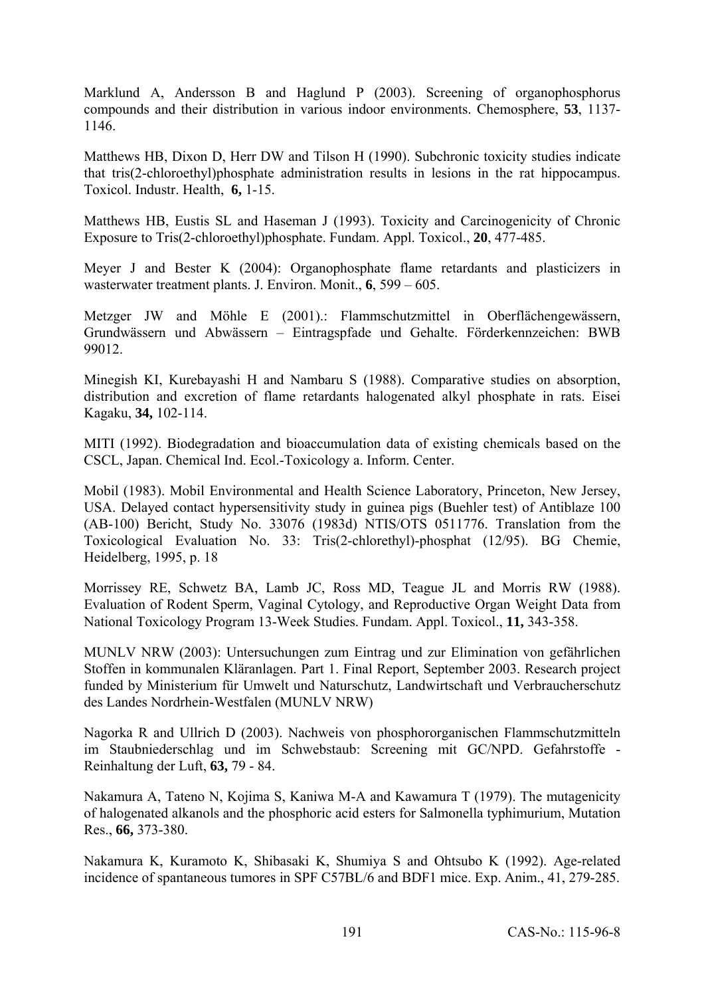Marklund A, Andersson B and Haglund P (2003). Screening of organophosphorus compounds and their distribution in various indoor environments. Chemosphere, **53**, 1137- 1146.

Matthews HB, Dixon D, Herr DW and Tilson H (1990). Subchronic toxicity studies indicate that tris(2-chloroethyl)phosphate administration results in lesions in the rat hippocampus. Toxicol. Industr. Health, **6,** 1-15.

Matthews HB, Eustis SL and Haseman J (1993). Toxicity and Carcinogenicity of Chronic Exposure to Tris(2-chloroethyl)phosphate. Fundam. Appl. Toxicol., **20**, 477-485.

Meyer J and Bester K (2004): Organophosphate flame retardants and plasticizers in wasterwater treatment plants. J. Environ. Monit., **6**, 599 – 605.

Metzger JW and Möhle E (2001).: Flammschutzmittel in Oberflächengewässern, Grundwässern und Abwässern – Eintragspfade und Gehalte. Förderkennzeichen: BWB 99012.

Minegish KI, Kurebayashi H and Nambaru S (1988). Comparative studies on absorption, distribution and excretion of flame retardants halogenated alkyl phosphate in rats. Eisei Kagaku, **34,** 102-114.

MITI (1992). Biodegradation and bioaccumulation data of existing chemicals based on the CSCL, Japan. Chemical Ind. Ecol.-Toxicology a. Inform. Center.

Mobil (1983). Mobil Environmental and Health Science Laboratory, Princeton, New Jersey, USA. Delayed contact hypersensitivity study in guinea pigs (Buehler test) of Antiblaze 100 (AB-100) Bericht, Study No. 33076 (1983d) NTIS/OTS 0511776. Translation from the Toxicological Evaluation No. 33: Tris(2-chlorethyl)-phosphat (12/95). BG Chemie, Heidelberg, 1995, p. 18

Morrissey RE, Schwetz BA, Lamb JC, Ross MD, Teague JL and Morris RW (1988). Evaluation of Rodent Sperm, Vaginal Cytology, and Reproductive Organ Weight Data from National Toxicology Program 13-Week Studies. Fundam. Appl. Toxicol., **11,** 343-358.

MUNLV NRW (2003): Untersuchungen zum Eintrag und zur Elimination von gefährlichen Stoffen in kommunalen Kläranlagen. Part 1. Final Report, September 2003. Research project funded by Ministerium für Umwelt und Naturschutz, Landwirtschaft und Verbraucherschutz des Landes Nordrhein-Westfalen (MUNLV NRW)

Nagorka R and Ullrich D (2003). Nachweis von phosphororganischen Flammschutzmitteln im Staubniederschlag und im Schwebstaub: Screening mit GC/NPD. Gefahrstoffe - Reinhaltung der Luft, **63,** 79 - 84.

Nakamura A, Tateno N, Kojima S, Kaniwa M-A and Kawamura T (1979). The mutagenicity of halogenated alkanols and the phosphoric acid esters for Salmonella typhimurium, Mutation Res., **66,** 373-380.

Nakamura K, Kuramoto K, Shibasaki K, Shumiya S and Ohtsubo K (1992). Age-related incidence of spantaneous tumores in SPF C57BL/6 and BDF1 mice. Exp. Anim., 41, 279-285.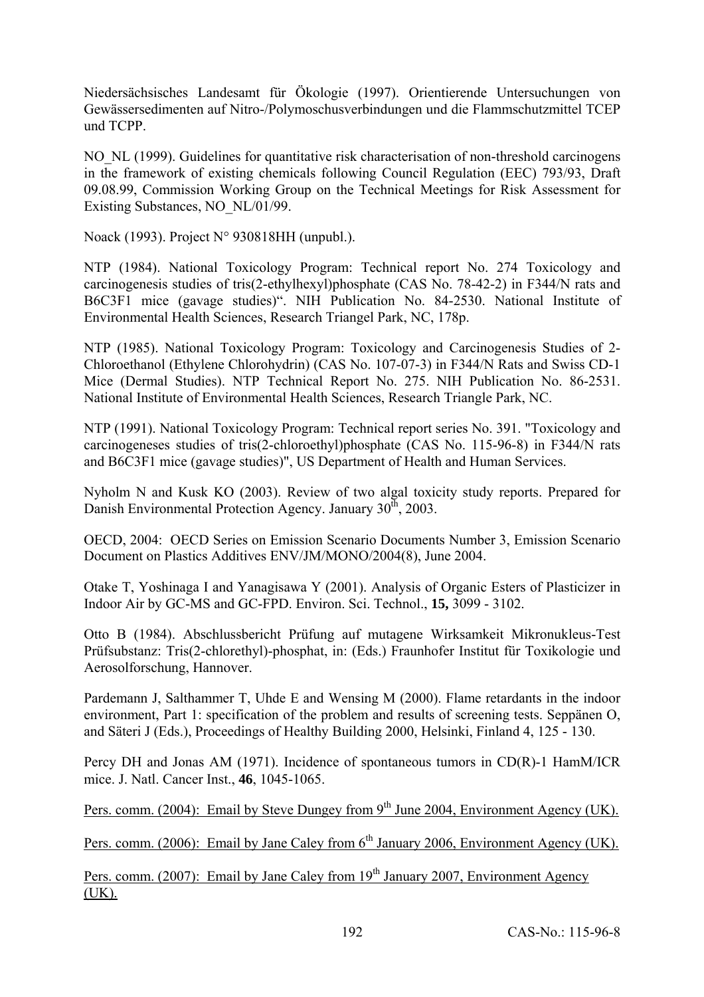Niedersächsisches Landesamt für Ökologie (1997). Orientierende Untersuchungen von Gewässersedimenten auf Nitro-/Polymoschusverbindungen und die Flammschutzmittel TCEP und TCPP.

NO\_NL (1999). Guidelines for quantitative risk characterisation of non-threshold carcinogens in the framework of existing chemicals following Council Regulation (EEC) 793/93, Draft 09.08.99, Commission Working Group on the Technical Meetings for Risk Assessment for Existing Substances, NO\_NL/01/99.

Noack (1993). Project N° 930818HH (unpubl.).

NTP (1984). National Toxicology Program: Technical report No. 274 Toxicology and carcinogenesis studies of tris(2-ethylhexyl)phosphate (CAS No. 78-42-2) in F344/N rats and B6C3F1 mice (gavage studies)". NIH Publication No. 84-2530. National Institute of Environmental Health Sciences, Research Triangel Park, NC, 178p.

NTP (1985). National Toxicology Program: Toxicology and Carcinogenesis Studies of 2- Chloroethanol (Ethylene Chlorohydrin) (CAS No. 107-07-3) in F344/N Rats and Swiss CD-1 Mice (Dermal Studies). NTP Technical Report No. 275. NIH Publication No. 86-2531. National Institute of Environmental Health Sciences, Research Triangle Park, NC.

NTP (1991). National Toxicology Program: Technical report series No. 391. "Toxicology and carcinogeneses studies of tris(2-chloroethyl)phosphate (CAS No. 115-96-8) in F344/N rats and B6C3F1 mice (gavage studies)", US Department of Health and Human Services.

Nyholm N and Kusk KO (2003). Review of two algal toxicity study reports. Prepared for Danish Environmental Protection Agency. January 30<sup>th</sup>, 2003.

OECD, 2004: OECD Series on Emission Scenario Documents Number 3, Emission Scenario Document on Plastics Additives ENV/JM/MONO/2004(8), June 2004.

Otake T, Yoshinaga I and Yanagisawa Y (2001). Analysis of Organic Esters of Plasticizer in Indoor Air by GC-MS and GC-FPD. Environ. Sci. Technol., **15,** 3099 - 3102.

Otto B (1984). Abschlussbericht Prüfung auf mutagene Wirksamkeit Mikronukleus-Test Prüfsubstanz: Tris(2-chlorethyl)-phosphat, in: (Eds.) Fraunhofer Institut für Toxikologie und Aerosolforschung, Hannover.

Pardemann J, Salthammer T, Uhde E and Wensing M (2000). Flame retardants in the indoor environment, Part 1: specification of the problem and results of screening tests. Seppänen O, and Säteri J (Eds.), Proceedings of Healthy Building 2000, Helsinki, Finland 4, 125 - 130.

Percy DH and Jonas AM (1971). Incidence of spontaneous tumors in CD(R)-1 HamM/ICR mice. J. Natl. Cancer Inst., **46**, 1045-1065.

Pers. comm. (2004): Email by Steve Dungey from  $9<sup>th</sup>$  June 2004, Environment Agency (UK).

Pers. comm. (2006): Email by Jane Caley from  $6<sup>th</sup>$  January 2006, Environment Agency (UK).

Pers. comm. (2007): Email by Jane Caley from  $19<sup>th</sup>$  January 2007, Environment Agency (UK).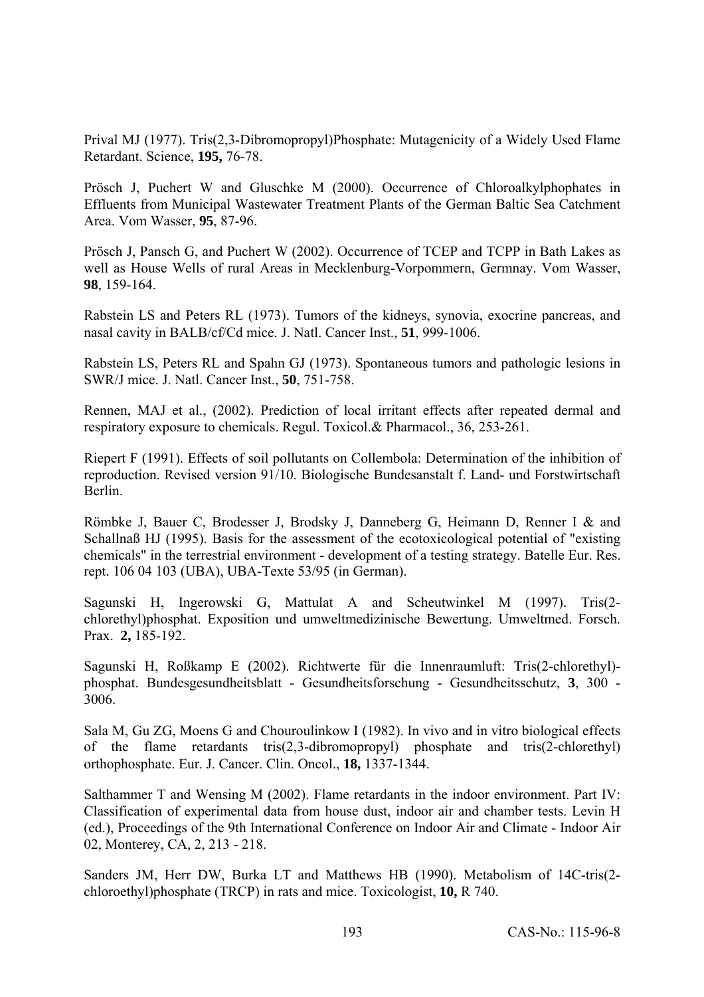Prival MJ (1977). Tris(2,3-Dibromopropyl)Phosphate: Mutagenicity of a Widely Used Flame Retardant. Science, **195,** 76-78.

Prösch J, Puchert W and Gluschke M (2000). Occurrence of Chloroalkylphophates in Effluents from Municipal Wastewater Treatment Plants of the German Baltic Sea Catchment Area. Vom Wasser, **95**, 87-96.

Prösch J, Pansch G, and Puchert W (2002). Occurrence of TCEP and TCPP in Bath Lakes as well as House Wells of rural Areas in Mecklenburg-Vorpommern, Germnay. Vom Wasser, **98**, 159-164.

Rabstein LS and Peters RL (1973). Tumors of the kidneys, synovia, exocrine pancreas, and nasal cavity in BALB/cf/Cd mice. J. Natl. Cancer Inst., **51**, 999-1006.

Rabstein LS, Peters RL and Spahn GJ (1973). Spontaneous tumors and pathologic lesions in SWR/J mice. J. Natl. Cancer Inst., **50**, 751-758.

Rennen, MAJ et al., (2002). Prediction of local irritant effects after repeated dermal and respiratory exposure to chemicals. Regul. Toxicol.& Pharmacol., 36, 253-261.

Riepert F (1991). Effects of soil pollutants on Collembola: Determination of the inhibition of reproduction. Revised version 91/10. Biologische Bundesanstalt f. Land- und Forstwirtschaft Berlin.

Römbke J, Bauer C, Brodesser J, Brodsky J, Danneberg G, Heimann D, Renner I & and Schallnaß HJ (1995). Basis for the assessment of the ecotoxicological potential of "existing chemicals" in the terrestrial environment - development of a testing strategy. Batelle Eur. Res. rept. 106 04 103 (UBA), UBA-Texte 53/95 (in German).

Sagunski H, Ingerowski G, Mattulat A and Scheutwinkel M (1997). Tris(2 chlorethyl)phosphat. Exposition und umweltmedizinische Bewertung. Umweltmed. Forsch. Prax. **2,** 185-192.

Sagunski H, Roßkamp E (2002). Richtwerte für die Innenraumluft: Tris(2-chlorethyl) phosphat. Bundesgesundheitsblatt - Gesundheitsforschung - Gesundheitsschutz, **3**, 300 - 3006.

Sala M, Gu ZG, Moens G and Chouroulinkow I (1982). In vivo and in vitro biological effects of the flame retardants tris(2,3-dibromopropyl) phosphate and tris(2-chlorethyl) orthophosphate. Eur. J. Cancer. Clin. Oncol., **18,** 1337-1344.

Salthammer T and Wensing M (2002). Flame retardants in the indoor environment. Part IV: Classification of experimental data from house dust, indoor air and chamber tests. Levin H (ed.), Proceedings of the 9th International Conference on Indoor Air and Climate - Indoor Air 02, Monterey, CA, 2, 213 - 218.

Sanders JM, Herr DW, Burka LT and Matthews HB (1990). Metabolism of 14C-tris(2 chloroethyl)phosphate (TRCP) in rats and mice. Toxicologist, **10,** R 740.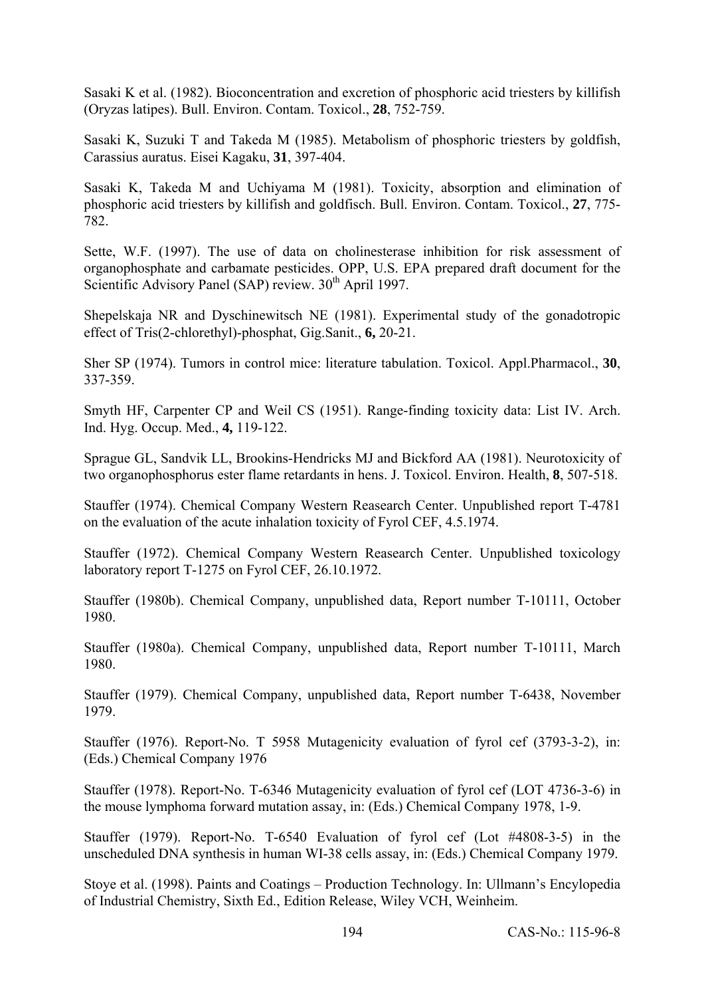Sasaki K et al. (1982). Bioconcentration and excretion of phosphoric acid triesters by killifish (Oryzas latipes). Bull. Environ. Contam. Toxicol., **28**, 752-759.

Sasaki K, Suzuki T and Takeda M (1985). Metabolism of phosphoric triesters by goldfish, Carassius auratus. Eisei Kagaku, **31**, 397-404.

Sasaki K, Takeda M and Uchiyama M (1981). Toxicity, absorption and elimination of phosphoric acid triesters by killifish and goldfisch. Bull. Environ. Contam. Toxicol., **27**, 775- 782.

Sette, W.F. (1997). The use of data on cholinesterase inhibition for risk assessment of organophosphate and carbamate pesticides. OPP, U.S. EPA prepared draft document for the Scientific Advisory Panel (SAP) review.  $30<sup>th</sup>$  April 1997.

Shepelskaja NR and Dyschinewitsch NE (1981). Experimental study of the gonadotropic effect of Tris(2-chlorethyl)-phosphat, Gig.Sanit., **6,** 20-21.

Sher SP (1974). Tumors in control mice: literature tabulation. Toxicol. Appl.Pharmacol., **30**, 337-359.

Smyth HF, Carpenter CP and Weil CS (1951). Range-finding toxicity data: List IV. Arch. Ind. Hyg. Occup. Med., **4,** 119-122.

Sprague GL, Sandvik LL, Brookins-Hendricks MJ and Bickford AA (1981). Neurotoxicity of two organophosphorus ester flame retardants in hens. J. Toxicol. Environ. Health, **8**, 507-518.

Stauffer (1974). Chemical Company Western Reasearch Center. Unpublished report T-4781 on the evaluation of the acute inhalation toxicity of Fyrol CEF, 4.5.1974.

Stauffer (1972). Chemical Company Western Reasearch Center. Unpublished toxicology laboratory report T-1275 on Fyrol CEF, 26.10.1972.

Stauffer (1980b). Chemical Company, unpublished data, Report number T-10111, October 1980.

Stauffer (1980a). Chemical Company, unpublished data, Report number T-10111, March 1980.

Stauffer (1979). Chemical Company, unpublished data, Report number T-6438, November 1979.

Stauffer (1976). Report-No. T 5958 Mutagenicity evaluation of fyrol cef (3793-3-2), in: (Eds.) Chemical Company 1976

Stauffer (1978). Report-No. T-6346 Mutagenicity evaluation of fyrol cef (LOT 4736-3-6) in the mouse lymphoma forward mutation assay, in: (Eds.) Chemical Company 1978, 1-9.

Stauffer (1979). Report-No. T-6540 Evaluation of fyrol cef (Lot #4808-3-5) in the unscheduled DNA synthesis in human WI-38 cells assay, in: (Eds.) Chemical Company 1979.

Stoye et al. (1998). Paints and Coatings – Production Technology. In: Ullmann's Encylopedia of Industrial Chemistry, Sixth Ed., Edition Release, Wiley VCH, Weinheim.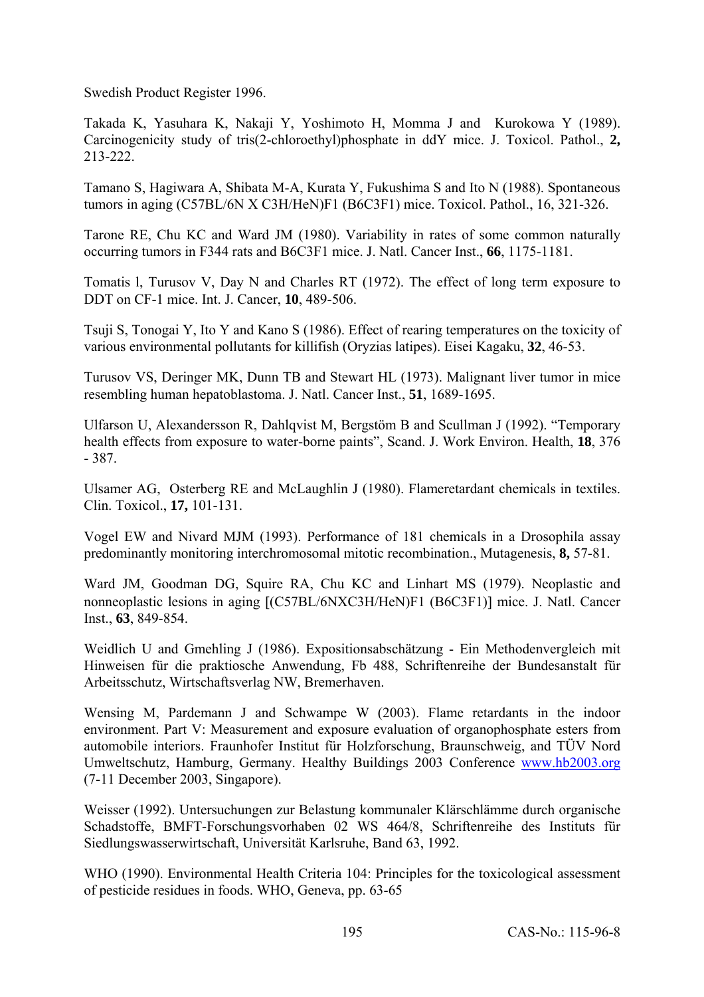Swedish Product Register 1996.

Takada K, Yasuhara K, Nakaji Y, Yoshimoto H, Momma J and Kurokowa Y (1989). Carcinogenicity study of tris(2-chloroethyl)phosphate in ddY mice. J. Toxicol. Pathol., **2,** 213-222.

Tamano S, Hagiwara A, Shibata M-A, Kurata Y, Fukushima S and Ito N (1988). Spontaneous tumors in aging (C57BL/6N X C3H/HeN)F1 (B6C3F1) mice. Toxicol. Pathol., 16, 321-326.

Tarone RE, Chu KC and Ward JM (1980). Variability in rates of some common naturally occurring tumors in F344 rats and B6C3F1 mice. J. Natl. Cancer Inst., **66**, 1175-1181.

Tomatis l, Turusov V, Day N and Charles RT (1972). The effect of long term exposure to DDT on CF-1 mice. Int. J. Cancer, **10**, 489-506.

Tsuji S, Tonogai Y, Ito Y and Kano S (1986). Effect of rearing temperatures on the toxicity of various environmental pollutants for killifish (Oryzias latipes). Eisei Kagaku, **32**, 46-53.

Turusov VS, Deringer MK, Dunn TB and Stewart HL (1973). Malignant liver tumor in mice resembling human hepatoblastoma. J. Natl. Cancer Inst., **51**, 1689-1695.

Ulfarson U, Alexandersson R, Dahlqvist M, Bergstöm B and Scullman J (1992). "Temporary health effects from exposure to water-borne paints", Scand. J. Work Environ. Health, **18**, 376 - 387.

Ulsamer AG, Osterberg RE and McLaughlin J (1980). Flameretardant chemicals in textiles. Clin. Toxicol., **17,** 101-131.

Vogel EW and Nivard MJM (1993). Performance of 181 chemicals in a Drosophila assay predominantly monitoring interchromosomal mitotic recombination., Mutagenesis, **8,** 57-81.

Ward JM, Goodman DG, Squire RA, Chu KC and Linhart MS (1979). Neoplastic and nonneoplastic lesions in aging [(C57BL/6NXC3H/HeN)F1 (B6C3F1)] mice. J. Natl. Cancer Inst., **63**, 849-854.

Weidlich U and Gmehling J (1986). Expositionsabschätzung - Ein Methodenvergleich mit Hinweisen für die praktiosche Anwendung, Fb 488, Schriftenreihe der Bundesanstalt für Arbeitsschutz, Wirtschaftsverlag NW, Bremerhaven.

Wensing M, Pardemann J and Schwampe W (2003). Flame retardants in the indoor environment. Part V: Measurement and exposure evaluation of organophosphate esters from automobile interiors. Fraunhofer Institut für Holzforschung, Braunschweig, and TÜV Nord Umweltschutz, Hamburg, Germany. Healthy Buildings 2003 Conference [www.hb2003.org](http://www.hb2003.org/) (7-11 December 2003, Singapore).

Weisser (1992). Untersuchungen zur Belastung kommunaler Klärschlämme durch organische Schadstoffe, BMFT-Forschungsvorhaben 02 WS 464/8, Schriftenreihe des Instituts für Siedlungswasserwirtschaft, Universität Karlsruhe, Band 63, 1992.

WHO (1990). Environmental Health Criteria 104: Principles for the toxicological assessment of pesticide residues in foods. WHO, Geneva, pp. 63-65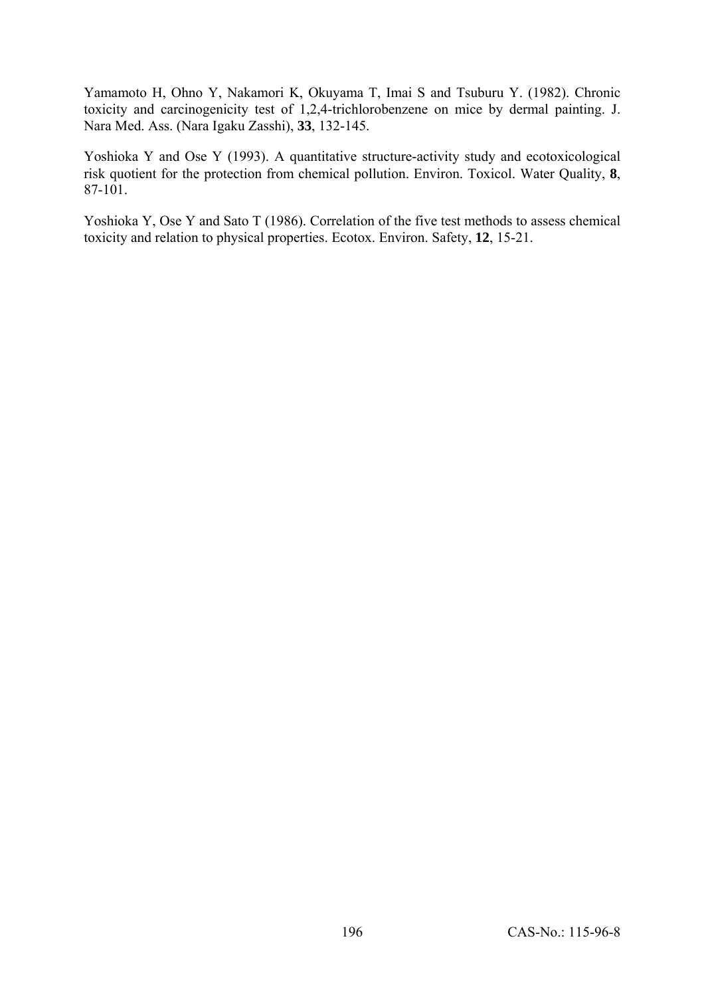Yamamoto H, Ohno Y, Nakamori K, Okuyama T, Imai S and Tsuburu Y. (1982). Chronic toxicity and carcinogenicity test of 1,2,4-trichlorobenzene on mice by dermal painting. J. Nara Med. Ass. (Nara Igaku Zasshi), **33**, 132-145.

Yoshioka Y and Ose Y (1993). A quantitative structure-activity study and ecotoxicological risk quotient for the protection from chemical pollution. Environ. Toxicol. Water Quality, **8**, 87-101.

Yoshioka Y, Ose Y and Sato T (1986). Correlation of the five test methods to assess chemical toxicity and relation to physical properties. Ecotox. Environ. Safety, **12**, 15-21.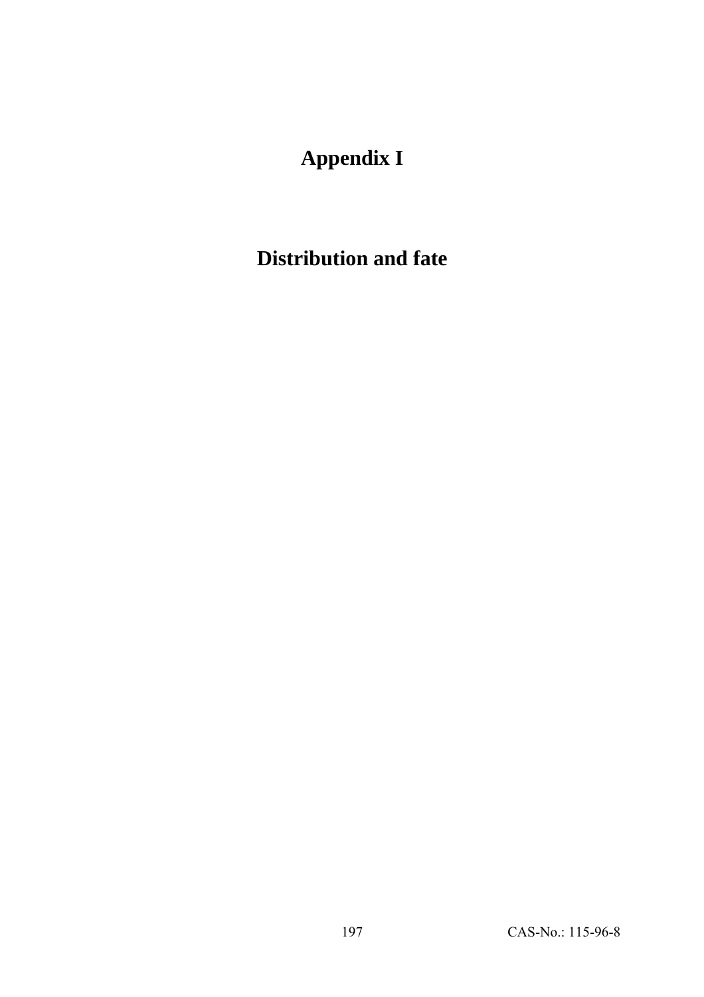# **Appendix I**

# **Distribution and fate**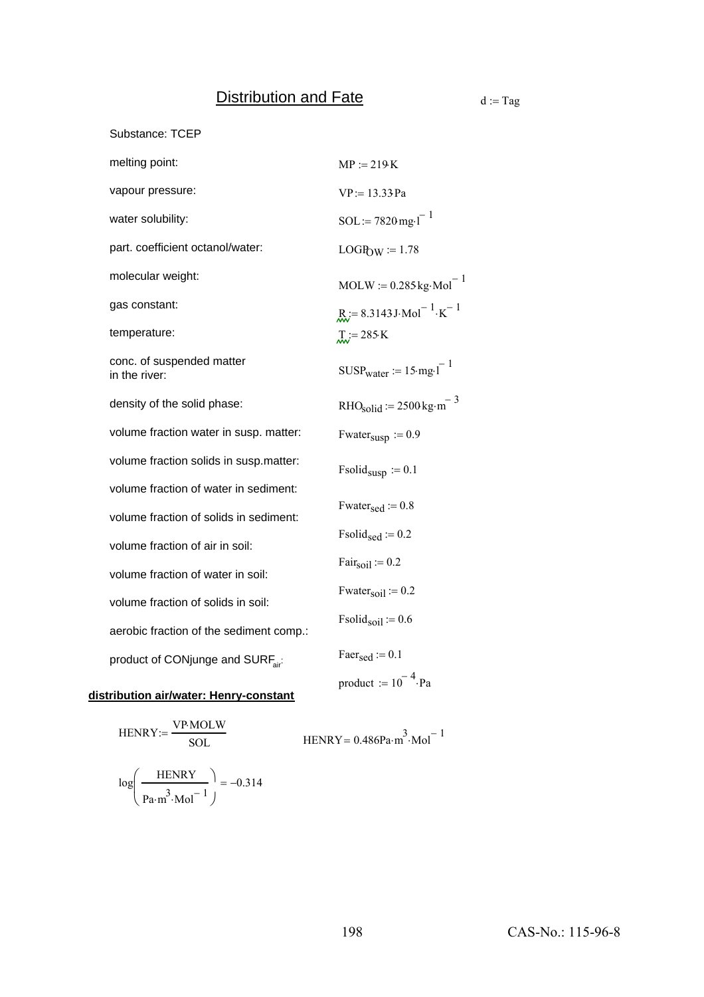## Distribution and Fate d Tag is the d

Substance: TCEP melting point: vapour pressure: water solubility: part. coefficient octanol/water: molecular weight: gas constant: temperature: conc. of suspended matter in the river: density of the solid phase: volume fraction water in susp. matter: volume fraction solids in susp.matter: volume fraction of water in sediment: volume fraction of solids in sediment: volume fraction of air in soil: volume fraction of water in soil: volume fraction of solids in soil: aerobic fraction of the sediment comp.: product of CONjunge and SURF<sub>air</sub>:  $MP := 219K$  $VP := 13.33 Pa$  $SOL := 7820$  mg·l<sup>-1</sup>  $LOGP_{OW} := 1.78$  $MOLW := 0.285 \text{kg} \cdot \text{Mol}^{-1}$  $T_i = 285$  K Fwater $_{\text{susp}} \coloneq 0.9$  $Fsolid_{\text{SUB}} := 0.1$ Fwater $\text{sed} := 0.8$  $Fsolid<sub>sed</sub> := 0.2$  $Fair<sub>soil</sub> := 0.2$ Fwater $_{\rm soil} := 0.2$  $Fsolid<sub>soil</sub> := 0.6$ Faer<sub>sed</sub> :=  $0.1$ 

#### **distribution air/water: Henry-constant**

$$
HENRY := \frac{VP MOLW}{SOL}
$$

$$
\log \left(\frac{HENRY}{Pa \cdot m^{3} \cdot Mol^{-1}}\right) = -0.314
$$

 $R := 8.3143 J \cdot \text{Mol}^{-1} \cdot K^{-1}$  $\text{SUBPwater} \coloneqq 15 \text{ mg·l}^{-1}$  $RHO<sub>solid</sub> := 2500 \text{ kg} \cdot \text{m}^{-3}$ 

$$
\text{Faer}_{\text{sed}} := 0.1
$$
\nproduct :=  $10^{-4} \cdot \text{Pa}$ 

 $HENRY = 0.486Pa·m<sup>3</sup>·Mol<sup>-1</sup>$ 

$$
:= Tag
$$

198 CAS-No.: 115-96-8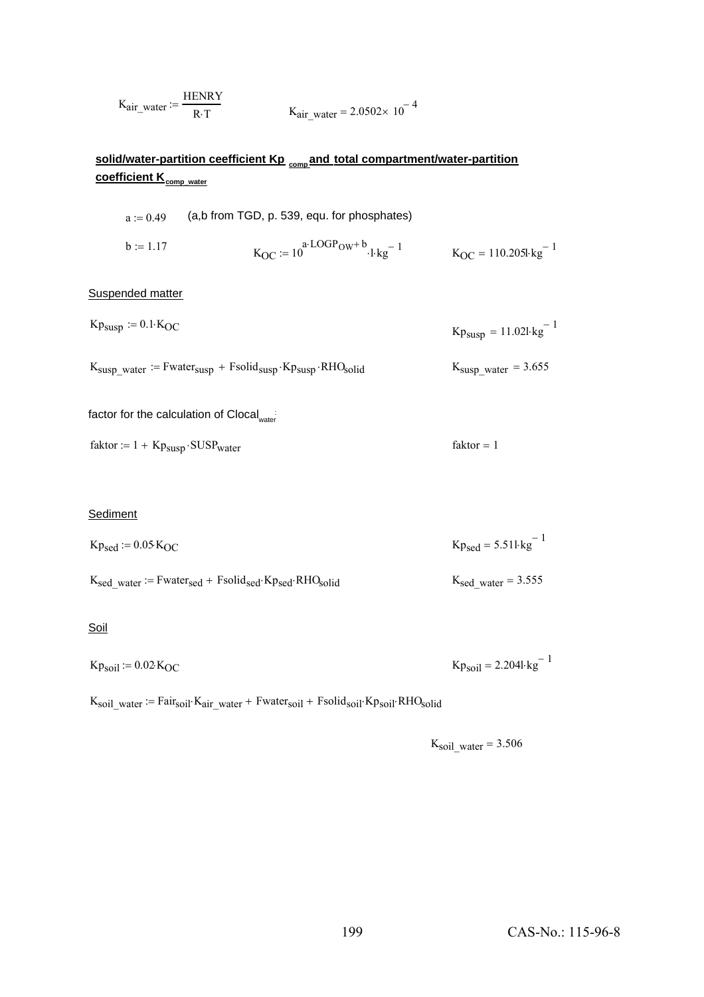| <b>HENRY</b>              |  |                                      |
|---------------------------|--|--------------------------------------|
| $K_{\text{air water}} :=$ |  | Kair water = $2.0502 \times 10^{-4}$ |

# **solid/water-partition ceefficient Kp comp and total compartment/water-partition coefficient K**<sub>comp\_water</sub>

| $a := 0.49$ | (a,b from TGD, p. 539, equ. for phosphates)                                              |                                         |
|-------------|------------------------------------------------------------------------------------------|-----------------------------------------|
| $b := 1.17$ | $K_{\text{OC}} := 10^{a \cdot \text{LOGP}}_{\text{OW}} + b \cdot l \cdot \text{kg}^{-1}$ | $K_{\rm OC} = 110.2051 \text{ kg}^{-1}$ |

#### Suspended matter

| $Kp_{\text{SUBp}} := 0.1 \cdot K_{\text{OC}}$                                                                          | $Kp_{\text{susp}} = 11.021 \text{ kg}^{-1}$ |
|------------------------------------------------------------------------------------------------------------------------|---------------------------------------------|
| $K_{\text{susp water}} :=$ Fwater <sub>susp</sub> + Fsolid <sub>susp</sub> · Kp <sub>susp</sub> · RHO <sub>solid</sub> | $K_{\text{susp water}} = 3.655$             |
| factor for the calculation of Clocal <sub>water</sub>                                                                  |                                             |
| $faktor := 1 + Kp_{\text{susp}} \cdot \text{SUSP}_{\text{water}}$                                                      | faktor $= 1$                                |

#### Sediment

| $Kp_{\text{sed}} := 0.05 \,\text{K}_{\text{OC}}$                                                               | $Kp_{\text{sed}} = 5.511 \text{ kg}^{-1}$ |
|----------------------------------------------------------------------------------------------------------------|-------------------------------------------|
| $K_{\text{sed}}$ water := Fwater <sub>sed</sub> + Fsolid <sub>sed</sub> $Kp_{\text{sed}}$ RHO <sub>solid</sub> | $K_{\text{sed water}} = 3.555$            |
|                                                                                                                |                                           |

#### Soil

| $Kp_{\text{sol}} := 0.02 K_{\text{OC}}$ | $Kp_{\text{soil}} = 2.2041 \text{ kg}^{-1}$ |
|-----------------------------------------|---------------------------------------------|
|                                         |                                             |

 $K_{soil\_water} := \text{Fair}_{soil} \cdot K_{air\_water} + \text{Fwater}_{soil} + \text{Fsolid}_{soil} \cdot K_{Posoil} \cdot RHO_{solid}$ 

 $K_{\text{solid water}} = 3.506$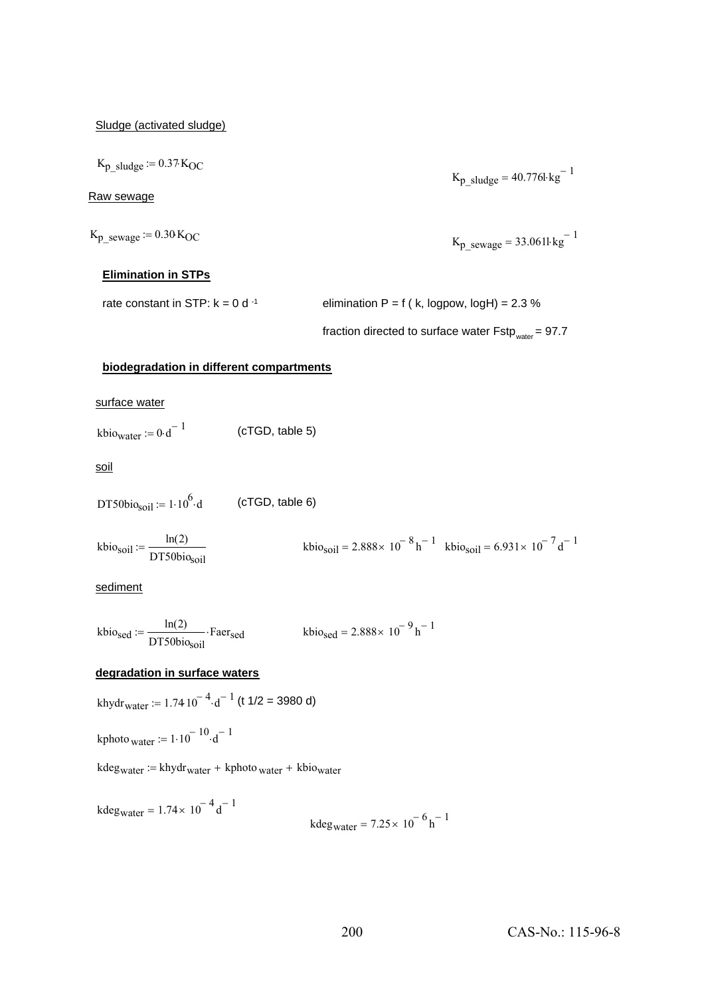#### Sludge (activated sludge)

 $K_p$ <sub>sludge</sub> := 0.37 K<sub>OC</sub>

#### Raw sewage

 $K_{p\_sewage}$  := 0.30 K<sub>OC</sub>  $K_{p\_sewage} = 33.0611 \text{ kg}^{-1}$ 

$$
= 1
$$

 $K_{p\_sludge} = 40.776 \cdot \text{kg}^{-1}$ 

#### **Elimination in STPs**

| rate constant in STP: $k = 0$ d <sup>-1</sup> | elimination $P = f(k, logpow, logH) = 2.3 %$ |
|-----------------------------------------------|----------------------------------------------|
|                                               |                                              |

fraction directed to surface water  $Fstp_{water} = 97.7$ 

#### **biodegradation in different compartments**

surface water

kbio<sub>water</sub> :=  $0 \cdot d^{-1}$  (cTGD, table 5)

soil

DT50bio $_{\rm soil}$  := 1 $\cdot 10^6$  d (cTGD, table 6)

kbio<sub>soil</sub> :=  $\frac{\ln(2)}{\text{DT501}}$ DT50bio<sub>soil</sub>  $=$   $\frac{\ln(2)}{\text{DF50}}$   $\frac{\text{kbo}}{\text{N}} = 2.888 \times 10^{-8} \text{ h}^{-1}$   $\text{kbo}$   $\frac{\text{kbo}}{\text{N}} = 6.931 \times 10^{-7} \text{ d}^{-1}$ 

#### sediment

kbio<sub>sed</sub> :=  $\frac{\ln(2)}{\text{DT50L}}$ DT50bio<sub>soil</sub>  $\frac{\ln(2)}{\text{DF50}}$ . Faer<sub>sed</sub> kbio<sub>sed</sub> = 2.888× 10<sup>-9</sup> h<sup>-1</sup>

#### **degradation in surface waters**

khydr<sub>water</sub> := 1.74 10<sup>-4</sup> ⋅ d<sup>-1</sup> (t 1/2 = 3980 d)

kphoto <sub>water</sub> :=  $1.10^{-10} \cdot d^{-1}$ 

 $kdeg_{water} := khydr_{water} + kphoto_{water} + kbio_{water}$ 

 $kdeg_{water} = 1.74 \times 10^{-4} d^{-1}$ 

$$
kdeg_{water} = 7.25 \times 10^{-6} h^{-1}
$$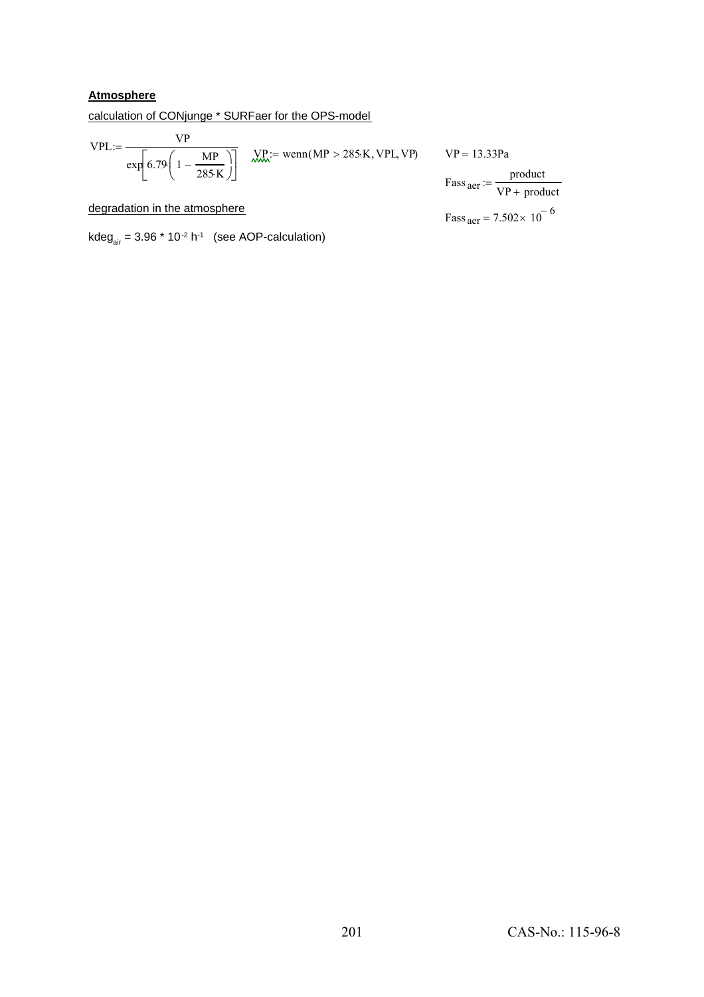#### **Atmosphere**

calculation of CONjunge \* SURFaer for the OPS-model

$$
VPL := \frac{VP}{\exp\left[6.79\left(1 - \frac{MP}{285 \text{ K}}\right)\right]} \quad \text{MSE} = \text{wenn}(MP > 285 \text{ K}, VPL, VP) \qquad VP = 13.33 \text{ Pa}
$$
\n
$$
\text{Fass}_{\text{a} \text{er}} := \frac{\text{product}}{\text{production}}
$$

Fass  $_{\text{aer}} \coloneqq \frac{\text{product}}{\sum_{i=1}^{n} a_i}$  $VP + product$ := degradation in the atmosphere Fass  $_{\text{aer}} = 7.502 \times 10^{-6}$ 

kdeg<sub>air</sub> =  $3.96 * 10^{-2}$  h<sup>-1</sup> (see AOP-calculation)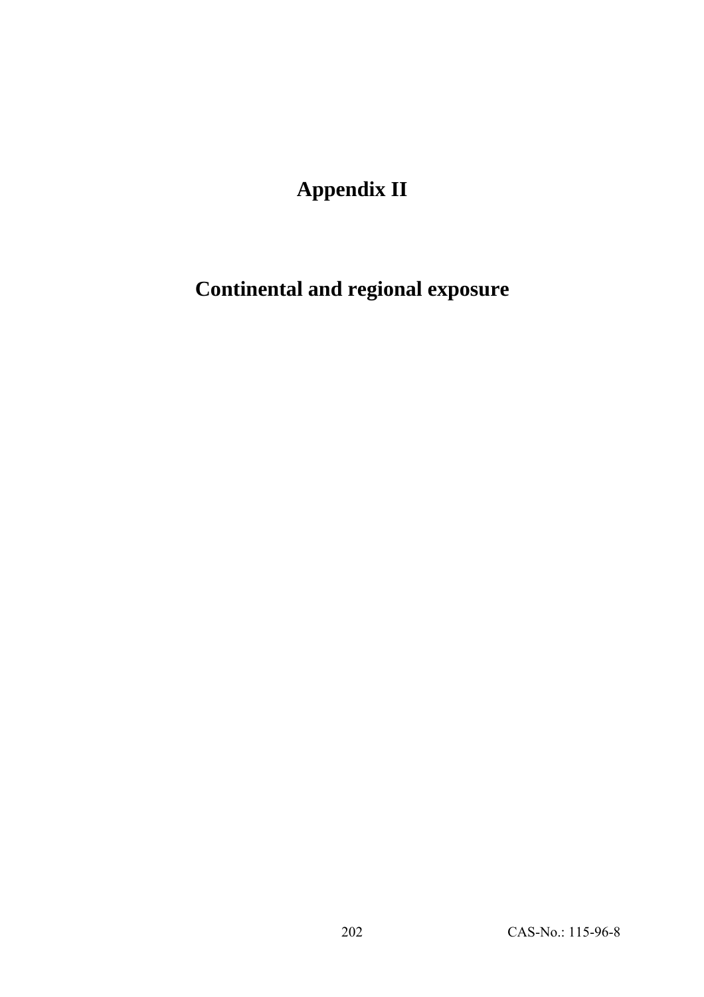# **Appendix II**

**Continental and regional exposure**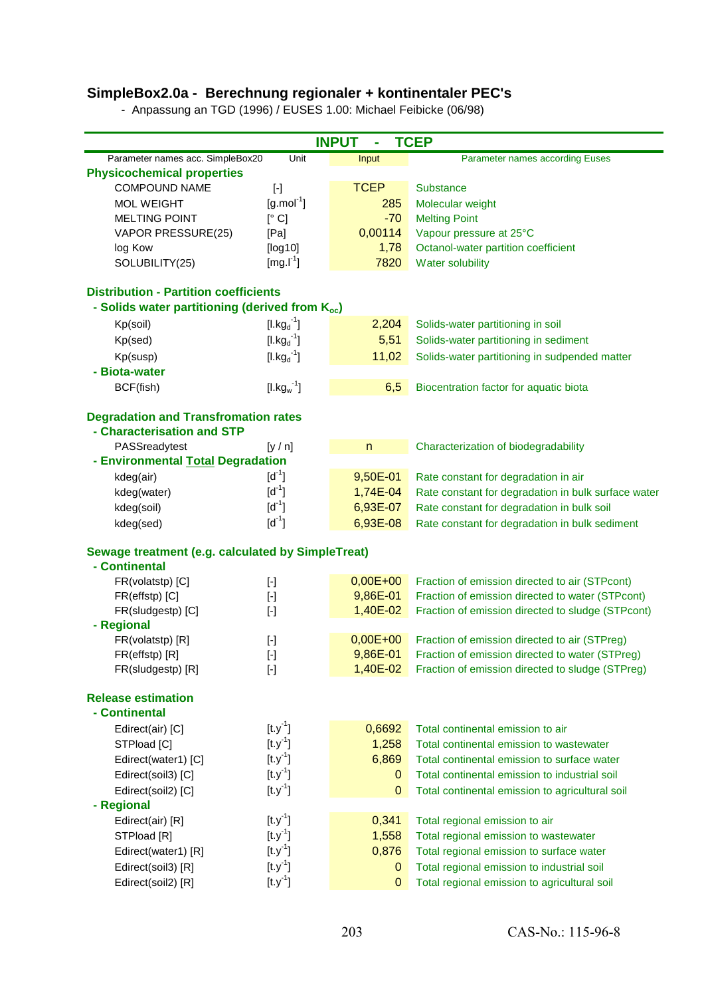### **SimpleBox2.0a - Berechnung regionaler + kontinentaler PEC's**

- Anpassung an TGD (1996) / EUSES 1.00: Michael Feibicke (06/98)

| <b>INPUT</b><br><b>TCEP</b>                                 |                                                                                                                                                                                                                                                                                                                                                                                                                                                                                                                                                                                                                                                                                                                                                                                                                                                                                          |                         |                                                     |
|-------------------------------------------------------------|------------------------------------------------------------------------------------------------------------------------------------------------------------------------------------------------------------------------------------------------------------------------------------------------------------------------------------------------------------------------------------------------------------------------------------------------------------------------------------------------------------------------------------------------------------------------------------------------------------------------------------------------------------------------------------------------------------------------------------------------------------------------------------------------------------------------------------------------------------------------------------------|-------------------------|-----------------------------------------------------|
| Parameter names acc. SimpleBox20                            | Unit                                                                                                                                                                                                                                                                                                                                                                                                                                                                                                                                                                                                                                                                                                                                                                                                                                                                                     | Input                   | Parameter names according Euses                     |
| <b>Physicochemical properties</b>                           |                                                                                                                                                                                                                                                                                                                                                                                                                                                                                                                                                                                                                                                                                                                                                                                                                                                                                          |                         |                                                     |
| <b>COMPOUND NAME</b>                                        | $[\cdot]$                                                                                                                                                                                                                                                                                                                                                                                                                                                                                                                                                                                                                                                                                                                                                                                                                                                                                | <b>TCEP</b>             | Substance                                           |
| <b>MOL WEIGHT</b>                                           | $\left[\text{g.mol}^{\text{-1}}\right]$                                                                                                                                                                                                                                                                                                                                                                                                                                                                                                                                                                                                                                                                                                                                                                                                                                                  | 285                     | Molecular weight                                    |
| <b>MELTING POINT</b>                                        | [°C]                                                                                                                                                                                                                                                                                                                                                                                                                                                                                                                                                                                                                                                                                                                                                                                                                                                                                     | $-70$                   | <b>Melting Point</b>                                |
| VAPOR PRESSURE(25)                                          | [Pa]                                                                                                                                                                                                                                                                                                                                                                                                                                                                                                                                                                                                                                                                                                                                                                                                                                                                                     | 0,00114                 | Vapour pressure at 25°C                             |
| log Kow                                                     | [log10]                                                                                                                                                                                                                                                                                                                                                                                                                                                                                                                                                                                                                                                                                                                                                                                                                                                                                  | 1,78                    | Octanol-water partition coefficient                 |
| SOLUBILITY(25)                                              | $[mg.I^1]$                                                                                                                                                                                                                                                                                                                                                                                                                                                                                                                                                                                                                                                                                                                                                                                                                                                                               | 7820                    | Water solubility                                    |
| <b>Distribution - Partition coefficients</b>                |                                                                                                                                                                                                                                                                                                                                                                                                                                                                                                                                                                                                                                                                                                                                                                                                                                                                                          |                         |                                                     |
| - Solids water partitioning (derived from K <sub>oc</sub> ) |                                                                                                                                                                                                                                                                                                                                                                                                                                                                                                                                                                                                                                                                                                                                                                                                                                                                                          |                         |                                                     |
| Kp(soil)                                                    | $[1.kg_d^{-1}]$                                                                                                                                                                                                                                                                                                                                                                                                                                                                                                                                                                                                                                                                                                                                                                                                                                                                          | 2,204                   | Solids-water partitioning in soil                   |
| Kp(sed)                                                     | $[1.kg_d^{-1}]$                                                                                                                                                                                                                                                                                                                                                                                                                                                                                                                                                                                                                                                                                                                                                                                                                                                                          | 5,51                    | Solids-water partitioning in sediment               |
| Kp(susp)                                                    | $[1.kg_d^{-1}]$                                                                                                                                                                                                                                                                                                                                                                                                                                                                                                                                                                                                                                                                                                                                                                                                                                                                          | 11,02                   | Solids-water partitioning in sudpended matter       |
| - Biota-water                                               |                                                                                                                                                                                                                                                                                                                                                                                                                                                                                                                                                                                                                                                                                                                                                                                                                                                                                          |                         |                                                     |
|                                                             | $[l.kg_w^{-1}]$                                                                                                                                                                                                                                                                                                                                                                                                                                                                                                                                                                                                                                                                                                                                                                                                                                                                          |                         |                                                     |
| BCF(fish)                                                   |                                                                                                                                                                                                                                                                                                                                                                                                                                                                                                                                                                                                                                                                                                                                                                                                                                                                                          | 6,5                     | Biocentration factor for aquatic biota              |
| <b>Degradation and Transfromation rates</b>                 |                                                                                                                                                                                                                                                                                                                                                                                                                                                                                                                                                                                                                                                                                                                                                                                                                                                                                          |                         |                                                     |
| - Characterisation and STP                                  |                                                                                                                                                                                                                                                                                                                                                                                                                                                                                                                                                                                                                                                                                                                                                                                                                                                                                          |                         |                                                     |
| PASSreadytest                                               | [y/n]                                                                                                                                                                                                                                                                                                                                                                                                                                                                                                                                                                                                                                                                                                                                                                                                                                                                                    | $\overline{\mathsf{n}}$ | Characterization of biodegradability                |
| - Environmental Total Degradation                           |                                                                                                                                                                                                                                                                                                                                                                                                                                                                                                                                                                                                                                                                                                                                                                                                                                                                                          |                         |                                                     |
| kdeg(air)                                                   | $[d^{-1}]$                                                                                                                                                                                                                                                                                                                                                                                                                                                                                                                                                                                                                                                                                                                                                                                                                                                                               | 9,50E-01                | Rate constant for degradation in air                |
| kdeg(water)                                                 | $[d^{-1}]$                                                                                                                                                                                                                                                                                                                                                                                                                                                                                                                                                                                                                                                                                                                                                                                                                                                                               | 1,74E-04                | Rate constant for degradation in bulk surface water |
| kdeg(soil)                                                  | $[d^{-1}]$                                                                                                                                                                                                                                                                                                                                                                                                                                                                                                                                                                                                                                                                                                                                                                                                                                                                               | 6,93E-07                | Rate constant for degradation in bulk soil          |
| kdeg(sed)                                                   | $[d^{-1}]$                                                                                                                                                                                                                                                                                                                                                                                                                                                                                                                                                                                                                                                                                                                                                                                                                                                                               | 6,93E-08                | Rate constant for degradation in bulk sediment      |
| Sewage treatment (e.g. calculated by SimpleTreat)           |                                                                                                                                                                                                                                                                                                                                                                                                                                                                                                                                                                                                                                                                                                                                                                                                                                                                                          |                         |                                                     |
| - Continental                                               |                                                                                                                                                                                                                                                                                                                                                                                                                                                                                                                                                                                                                                                                                                                                                                                                                                                                                          |                         |                                                     |
| FR(volatstp) [C]                                            | $[\cdot] % \centering \includegraphics[width=0.9\textwidth]{images/TrDiM-Architecture.png} % \caption{The first two different values of $S$ and $S$ are shown in the left and right.} \label{TrDiS} %$                                                                                                                                                                                                                                                                                                                                                                                                                                                                                                                                                                                                                                                                                   | $0,00E+00$              | Fraction of emission directed to air (STPcont)      |
| FR(effstp) [C]                                              | $[\cdot] % \centering \includegraphics[width=0.9\textwidth]{images/TrDiS/N-Architecture.png} % \caption{The first two different values of $N$ in the \mbox{thick model} and the second two different values of $N$ in the \mbox{thick model} and the second two different values of $N$ in the \mbox{thick model} and the second two different values of $N$ in the \mbox{thick model} and the second two different values of $N$ in the \mbox{thick model} and the second two different values of $N$ in the \mbox{thick model} and the third two different values of $N$ in the \mbox{thick model} and the third two different values of $N$ in the \mbox{thick model} and the third two different values of $N$ in the \mbox{thick model} and the third two different values$                                                                                                         | 9,86E-01                | Fraction of emission directed to water (STPcont)    |
| FR(sludgestp) [C]                                           | $[\cdot] % \centering \includegraphics[width=0.9\textwidth]{images/TrDiS/N-Architecture.png} % \caption{The first two different values of $N$ in the left and right.} \label{TrDiS/N-Architecture} %$                                                                                                                                                                                                                                                                                                                                                                                                                                                                                                                                                                                                                                                                                    | 1,40E-02                | Fraction of emission directed to sludge (STPcont)   |
| - Regional                                                  |                                                                                                                                                                                                                                                                                                                                                                                                                                                                                                                                                                                                                                                                                                                                                                                                                                                                                          |                         |                                                     |
| FR(volatstp) [R]                                            | $[\cdot] % \centering \includegraphics[width=0.9\textwidth]{images/TrDiM-Architecture.png} % \caption{The first two different values of $S$ and $S$ is the same as in Figure \ref{fig:map}(a) and the second two different values of $S$ and $S$ is the same as in Figure \ref{fig:map}(b) and the third two different values of $S$ and $S$ are the same as in Figure \ref{fig:map}(c) and the third two different values of $S$ are the same as in Figure \ref{fig:map}(d) and the third two different values of $S$ are the same as inFigure \ref{fig:map}(e) and the third two different values of $S$ are the same as inFigure \ref{fig:map}(e) and the third two different values of $S$ are the same as inFigure \ref{fig:map}(f)$                                                                                                                                                | $0,00E+00$              | Fraction of emission directed to air (STPreg)       |
| FR(effstp) [R]                                              | $[\cdot] % \centering \includegraphics[width=0.9\textwidth]{images/TrDiS/N-Architecture.png} % \caption{The first two different values of $N$ in the left and right.} \label{TrDiS/N-Architecture} %$                                                                                                                                                                                                                                                                                                                                                                                                                                                                                                                                                                                                                                                                                    | 9,86E-01                | Fraction of emission directed to water (STPreg)     |
| FR(sludgestp) [R]                                           | $[\cdot] % \centering \includegraphics[width=0.9\textwidth]{images/TrDiM-Architecture.png} % \caption{The first two different values of $S$ and $S$ are shown in the left, the first two different values of $S$ and $S$ are shown in the right, and the second two different values of $S$ are shown in the right, and the second two different values of $S$ are shown in the right, and the second two different values of $S$ are shown in the right, and the third two different values of $S$ are shown in the right, and the third two different values of $S$ are shown in the right, and the third two different values of $S$ are shown in the right, and the third two different values of $S$ are shown in the right, and the third two different values of $S$ are shown in the right, and the third two different values of $S$ are shown in the right, and the third two$ | 1,40E-02                | Fraction of emission directed to sludge (STPreg)    |
| <b>Release estimation</b>                                   |                                                                                                                                                                                                                                                                                                                                                                                                                                                                                                                                                                                                                                                                                                                                                                                                                                                                                          |                         |                                                     |
| - Continental                                               |                                                                                                                                                                                                                                                                                                                                                                                                                                                                                                                                                                                                                                                                                                                                                                                                                                                                                          |                         |                                                     |
| Edirect(air) [C]                                            | [t.y']                                                                                                                                                                                                                                                                                                                                                                                                                                                                                                                                                                                                                                                                                                                                                                                                                                                                                   | 0,6692                  | Total continental emission to air                   |
| STPload [C]                                                 | $[t.y-1]$                                                                                                                                                                                                                                                                                                                                                                                                                                                                                                                                                                                                                                                                                                                                                                                                                                                                                | 1,258                   | Total continental emission to wastewater            |
| Edirect(water1) [C]                                         | $[t.y-1]$                                                                                                                                                                                                                                                                                                                                                                                                                                                                                                                                                                                                                                                                                                                                                                                                                                                                                | 6,869                   | Total continental emission to surface water         |
| Edirect(soil3) [C]                                          | $[t.y^{-1}]$                                                                                                                                                                                                                                                                                                                                                                                                                                                                                                                                                                                                                                                                                                                                                                                                                                                                             | $\mathbf 0$             | Total continental emission to industrial soil       |
| Edirect(soil2) [C]                                          | $[t.y-1]$                                                                                                                                                                                                                                                                                                                                                                                                                                                                                                                                                                                                                                                                                                                                                                                                                                                                                | $\pmb{0}$               | Total continental emission to agricultural soil     |
| - Regional                                                  |                                                                                                                                                                                                                                                                                                                                                                                                                                                                                                                                                                                                                                                                                                                                                                                                                                                                                          |                         |                                                     |
| Edirect(air) [R]                                            | $[t.y-1]$                                                                                                                                                                                                                                                                                                                                                                                                                                                                                                                                                                                                                                                                                                                                                                                                                                                                                | 0,341                   | Total regional emission to air                      |
| STPload [R]                                                 | $[t.y-1]$                                                                                                                                                                                                                                                                                                                                                                                                                                                                                                                                                                                                                                                                                                                                                                                                                                                                                | 1,558                   | Total regional emission to wastewater               |
| Edirect(water1) [R]                                         | $[t.y-1]$                                                                                                                                                                                                                                                                                                                                                                                                                                                                                                                                                                                                                                                                                                                                                                                                                                                                                | 0,876                   | Total regional emission to surface water            |
| Edirect(soil3) [R]                                          | $[t.y-1]$                                                                                                                                                                                                                                                                                                                                                                                                                                                                                                                                                                                                                                                                                                                                                                                                                                                                                | $\mathbf 0$             | Total regional emission to industrial soil          |
| Edirect(soil2) [R]                                          | $[t.y-1]$                                                                                                                                                                                                                                                                                                                                                                                                                                                                                                                                                                                                                                                                                                                                                                                                                                                                                | $\mathbf{0}$            | Total regional emission to agricultural soil        |
|                                                             |                                                                                                                                                                                                                                                                                                                                                                                                                                                                                                                                                                                                                                                                                                                                                                                                                                                                                          |                         |                                                     |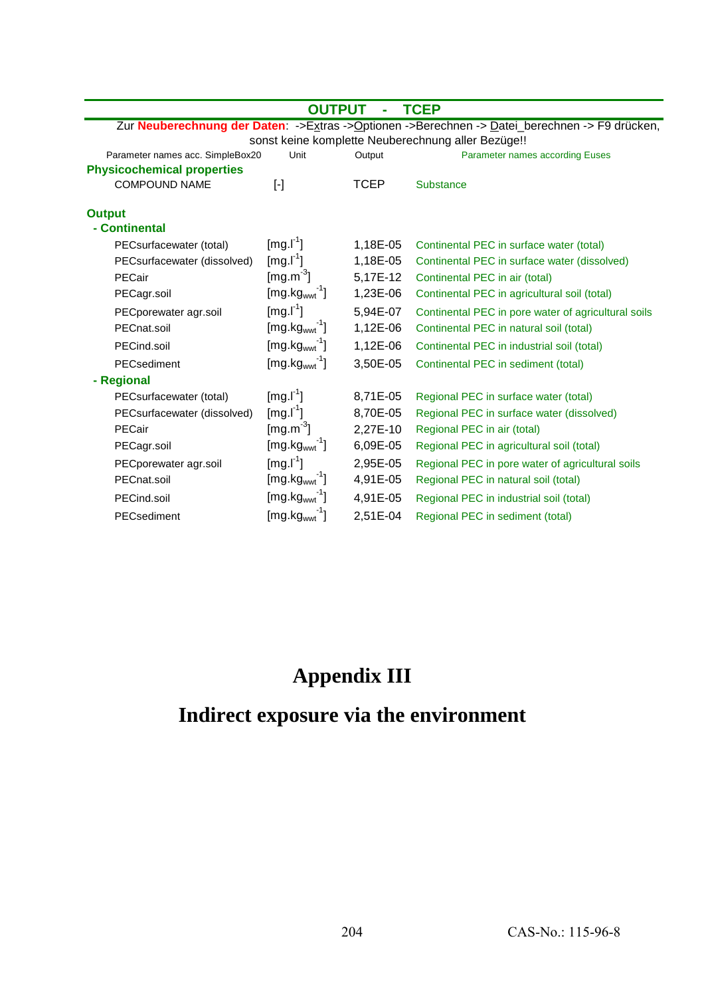| <b>OUTPUT</b><br><b>TCEP</b><br>$\blacksquare$                                                 |                     |          |                                                     |
|------------------------------------------------------------------------------------------------|---------------------|----------|-----------------------------------------------------|
| Zur Neuberechnung der Daten: ->Extras ->Optionen ->Berechnen -> Datei_berechnen -> F9 drücken, |                     |          |                                                     |
|                                                                                                |                     |          | sonst keine komplette Neuberechnung aller Bezüge!!  |
| Parameter names acc. SimpleBox20                                                               | Unit                | Output   | Parameter names according Euses                     |
| <b>Physicochemical properties</b>                                                              |                     |          |                                                     |
| <b>COMPOUND NAME</b>                                                                           | $[\cdot]$           | TCEP     | <b>Substance</b>                                    |
| <b>Output</b>                                                                                  |                     |          |                                                     |
| - Continental                                                                                  |                     |          |                                                     |
| PECsurfacewater (total)                                                                        | $[mg.]-1]$          | 1,18E-05 | Continental PEC in surface water (total)            |
| PECsurfacewater (dissolved)                                                                    | $[mg.I^1]$          | 1,18E-05 | Continental PEC in surface water (dissolved)        |
| PECair                                                                                         | $\text{[mg.m}^{3}]$ | 5,17E-12 | Continental PEC in air (total)                      |
| PECagr.soil                                                                                    | $[mg.kgwwt]-1]$     | 1,23E-06 | Continental PEC in agricultural soil (total)        |
| PECporewater agr.soil                                                                          | $[mg.I^1]$          | 5,94E-07 | Continental PEC in pore water of agricultural soils |
| PECnat.soil                                                                                    | $[mg.kgwwt]-1]$     | 1,12E-06 | Continental PEC in natural soil (total)             |
| PECind.soil                                                                                    | $[mg.kgwwt-1]$      | 1,12E-06 | Continental PEC in industrial soil (total)          |
| PECsediment                                                                                    | $[mg.kgwwt]-1]$     | 3,50E-05 | Continental PEC in sediment (total)                 |
| - Regional                                                                                     |                     |          |                                                     |
| PECsurfacewater (total)                                                                        | [mg. <sup>1</sup> ] | 8,71E-05 | Regional PEC in surface water (total)               |
| PECsurfacewater (dissolved)                                                                    | $[mg.l^1]$          | 8,70E-05 | Regional PEC in surface water (dissolved)           |
| PECair                                                                                         | [mg.m $3$ ]         | 2,27E-10 | Regional PEC in air (total)                         |
| PECagr.soil                                                                                    | $[mg.kgwwt]-1]$     | 6,09E-05 | Regional PEC in agricultural soil (total)           |
| PECporewater agr.soil                                                                          | $[mg.I^1]$          | 2,95E-05 | Regional PEC in pore water of agricultural soils    |
| PECnat.soil                                                                                    | $[mg.kgwwt]-1]$     | 4,91E-05 | Regional PEC in natural soil (total)                |
| PECind.soil                                                                                    | $[mg.kgwwt]-1]$     | 4,91E-05 | Regional PEC in industrial soil (total)             |
| PECsediment                                                                                    | $[mg.kgwwt-1]$      | 2,51E-04 | Regional PEC in sediment (total)                    |

# **Appendix III**

# **Indirect exposure via the environment**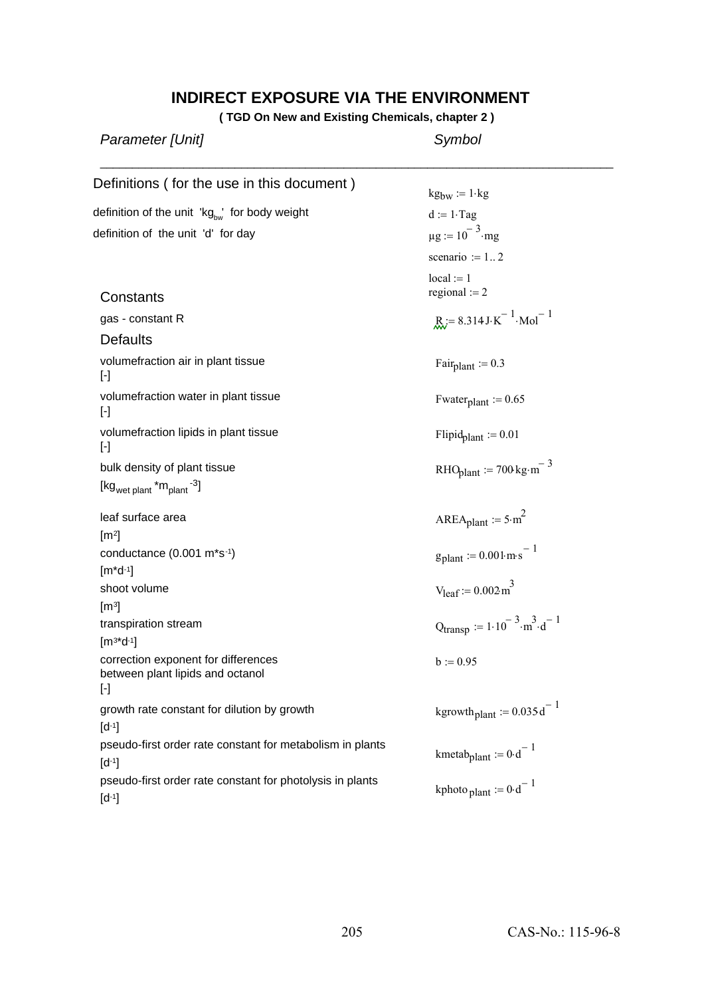# **INDIRECT EXPOSURE VIA THE ENVIRONMENT**

 **( TGD On New and Existing Chemicals, chapter 2 )**

\_\_\_\_\_\_\_\_\_\_\_\_\_\_\_\_\_\_\_\_\_\_\_\_\_\_\_\_\_\_\_\_\_\_\_\_\_\_\_\_\_\_\_\_\_\_\_\_\_\_\_\_\_\_\_\_\_\_\_\_\_\_\_\_\_\_\_\_\_\_\_\_\_\_\_\_\_\_\_\_

# Parameter [Unit] **Symbol**

| Definitions (for the use in this document)                                           | $kgbw := 1 \cdot kg$                                         |
|--------------------------------------------------------------------------------------|--------------------------------------------------------------|
| definition of the unit 'kg <sub>bw</sub> ' for body weight                           | $d := 1$ Tag                                                 |
| definition of the unit 'd' for day                                                   | $\mu g := 10^{-3}$ ·mg                                       |
|                                                                                      | scenario := $1 2$                                            |
|                                                                                      | $local := 1$                                                 |
| Constants                                                                            | regional $:= 2$                                              |
| gas - constant R                                                                     | $R_i = 8.314 J \cdot K^{-1} \cdot \text{Mol}^{-1}$           |
| <b>Defaults</b>                                                                      |                                                              |
| volumefraction air in plant tissue<br>$[\cdot]$                                      | Fair <sub>plant</sub> := $0.3$                               |
| volumefraction water in plant tissue<br>$[\cdot]$                                    | Fwater $_{\text{plant}} := 0.65$                             |
| volumefraction lipids in plant tissue<br>$[\cdot]$                                   | Flipid <sub>plant</sub> := $0.01$                            |
| bulk density of plant tissue                                                         | RHO <sub>plant</sub> := $700 \text{ kg} \cdot \text{m}^{-3}$ |
| $[kgwet plant * mplant -3]$                                                          |                                                              |
| leaf surface area                                                                    | AREA <sub>plant</sub> := $5 \cdot m^2$                       |
| [m <sup>2</sup> ]<br>conductance (0.001 m*s-1)                                       | $g_{\text{plant}} := 0.001 \text{ m} \cdot \text{s}^{-1}$    |
| $[m*d-1]$<br>shoot volume                                                            | $V_{leaf} := 0.002 \text{ m}^3$                              |
| $\left[\mathsf{m}^3\right]$                                                          |                                                              |
| transpiration stream<br>$[m^{3*}d^{-1}]$                                             | $Q_{\text{transp}} := 1.10^{-3} \cdot m^{3} \cdot d^{-1}$    |
| correction exponent for differences<br>between plant lipids and octanol<br>$[\cdot]$ | $b := 0.95$                                                  |
| growth rate constant for dilution by growth<br>$[d^{-1}]$                            | kgrowth plant $:= 0.035 d^{-1}$                              |
| pseudo-first order rate constant for metabolism in plants<br>$[d^{-1}]$              | kmetab <sub>plant</sub> := $0 \cdot d^{-1}$                  |
| pseudo-first order rate constant for photolysis in plants<br>$[d^{-1}]$              | kphoto plant $:= 0 \cdot d^{-1}$                             |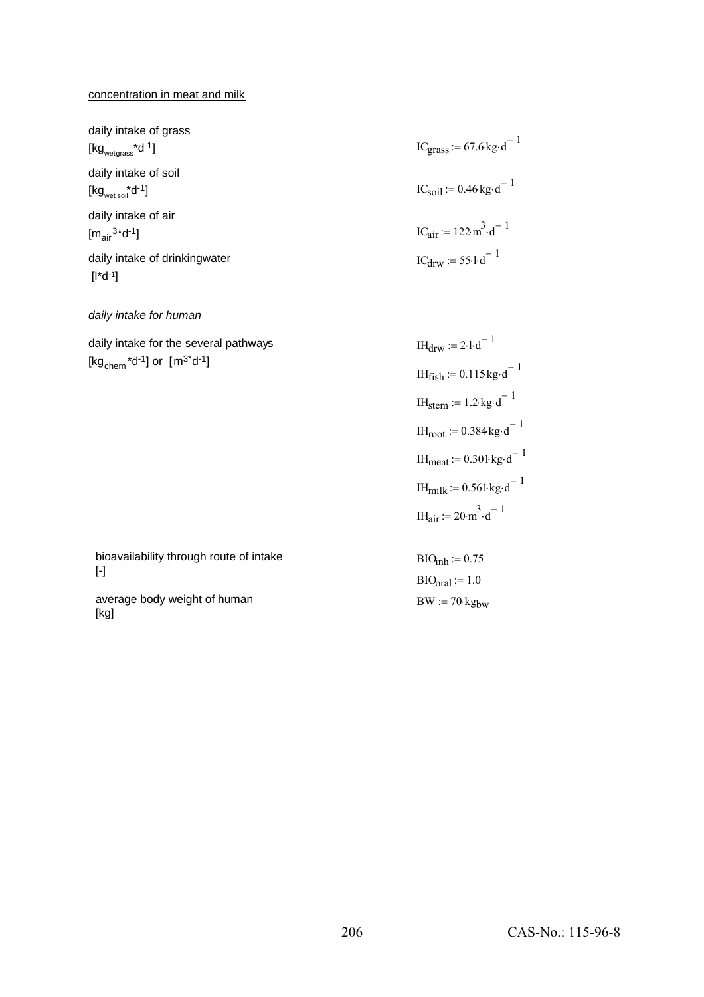#### concentration in meat and milk

daily intake of grass  $\frac{1}{\text{Kg}_{\text{wet grass}} \cdot \text{s} \cdot \text{d}^{-1}}$  IC<sub>grass</sub> = 67.6 kg ⋅ d<sup>-1</sup> daily intake of soil  $\log_{\text{wetscoil}} t^{-1}$  IC<sub>soil</sub> =  $0.46 \text{ kg} \cdot \text{d}^{-1}$ daily intake of air  $[m_{air}^{3*}d^{-1}]$  $3***d**^{-1}$  IC<sub>air</sub> := 122 m<sup>3</sup> ·  $$ daily intake of drinkingwater  $[|^{*}d^{-1}]$ 

*daily intake for human*

daily intake for the several pathways  $[kg_{chem} * d^{-1}]$  or  $[m^{3*} d^{-1}]$ 

 $IC_{\text{drw}} := 55 \cdot 1 \cdot d^{-1}$ 

IH<sub>drw</sub> := 2·l·d<sup>-1</sup> IHfish  $:= 0.115 \text{kg} \cdot \text{d}^{-1}$ IH<sub>stem</sub> := 1.2 kg ·  $d^{-1}$  $IH_{root} := 0.384 \text{ kg} \cdot \text{d}^{-1}$ IH<sub>meat</sub> :=  $0.301 \text{ kg} \cdot \text{d}^{-1}$ IH<sub>milk</sub> :=  $0.561$ ·kg·d<sup>-1</sup>  $IH_{air} := 20 \cdot m^3 \cdot d^{-1}$ 

| $BIOinh := 0.75$                  |
|-----------------------------------|
| $BIOoral := 1.0$                  |
| $BW := 70 \text{ kg}_{\text{bw}}$ |
|                                   |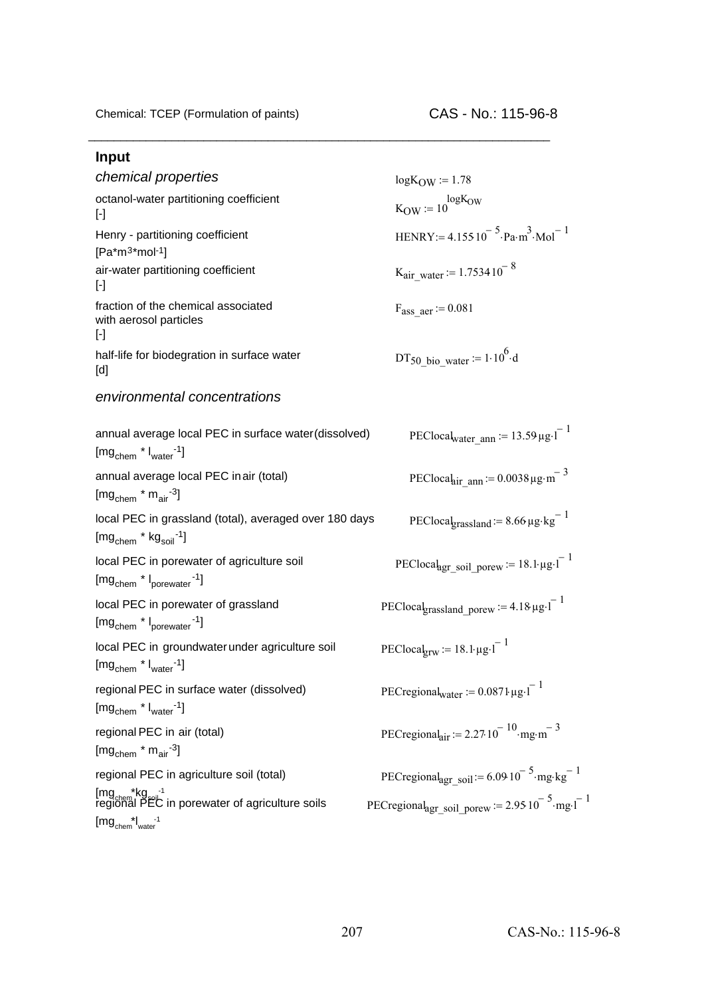Chemical: TCEP (Formulation of paints) CAS - No.: 115-96-8

| <b>Input</b>                                                                                                                        |                                                                                    |
|-------------------------------------------------------------------------------------------------------------------------------------|------------------------------------------------------------------------------------|
| chemical properties                                                                                                                 | $logK_{\text{OW}} := 1.78$                                                         |
| octanol-water partitioning coefficient<br>$[\cdot]$                                                                                 | $\rm K_{OW}:=10\rm \frac{logK_{OW}}{}$                                             |
| Henry - partitioning coefficient<br>$[Pa*3*mol-1]$                                                                                  | HENRY:= $4.15510^{-5}$ ·Pa·m <sup>3</sup> ·Mol <sup>-1</sup>                       |
| air-water partitioning coefficient<br>$[\cdot]$                                                                                     | $K_{\text{air}\_\text{water}} := 1.753410^{-8}$                                    |
| fraction of the chemical associated<br>with aerosol particles<br>$[\cdot]$                                                          | $F_{\text{ass}}$ aer := 0.081                                                      |
| half-life for biodegration in surface water<br>[d]                                                                                  | DT <sub>50_bio</sub> water $:= 1.10^{6} \text{·d}$                                 |
| environmental concentrations                                                                                                        |                                                                                    |
| annual average local PEC in surface water(dissolved)<br>$[mg_{chem} * I_{water}]$                                                   | PEClocal <sub>water</sub> ann $= 13.59 \mu g \cdot l^{-1}$                         |
| annual average local PEC in air (total)<br>$[mg_{chem}$ * $m_{air}$ <sup>-3</sup> ]                                                 | PEClocal <sub>air_ann</sub> := $0.0038 \mu g \cdot m^{-3}$                         |
| local PEC in grassland (total), averaged over 180 days<br>$[mg_{chem} * kg_{soil} -1]$                                              | PEClocal <sub>grassland</sub> := $8.66 \mu g \cdot kg^{-1}$                        |
| local PEC in porewater of agriculture soil<br>$[mg_{chem} * I_{power} - 1]$                                                         | PEClocal <sub>agr_soil_porew</sub> := $18.1 \mu g \cdot l^{-1}$                    |
| local PEC in porewater of grassland<br>$[mgchem * Ipower -1]$                                                                       | PEClocal <sub>grassland_porew</sub> := $4.18 \mu g \cdot l^{-1}$                   |
| local PEC in groundwater under agriculture soil<br>$[mg_{chem} * I_{water}^{-1}]$                                                   | PEClocal <sub>grw</sub> := 18.1 · $\mu$ g · $I^{-1}$                               |
| regional PEC in surface water (dissolved)<br>$[mg_{chem} * I_{water}^{-1}]$                                                         | PECregional <sub>water</sub> := $0.0871 \mu g \cdot l^{-1}$                        |
| regional PEC in air (total)<br>$[mgchem * mair -3]$                                                                                 | PECregional <sub>air</sub> := 2.27 10 <sup>-10</sup> ·mg·m <sup>-3</sup>           |
| regional PEC in agriculture soil (total)                                                                                            | PECregional <sub>agr_soil</sub> := $6.0910^{-5}$ ·mg·kg <sup>-1</sup>              |
| [mg *kg i]<br>regional PEC in porewater of agriculture soils<br>$\left[\text{mg}_{\text{chem}}\right]_{\text{water}}$ <sup>-1</sup> | PECregional <sub>agr_soil_porew</sub> := 2.95 10 <sup>-5</sup> ·mg·l <sup>-1</sup> |

\_\_\_\_\_\_\_\_\_\_\_\_\_\_\_\_\_\_\_\_\_\_\_\_\_\_\_\_\_\_\_\_\_\_\_\_\_\_\_\_\_\_\_\_\_\_\_\_\_\_\_\_\_\_\_\_\_\_\_\_\_\_\_\_\_\_\_\_\_\_\_\_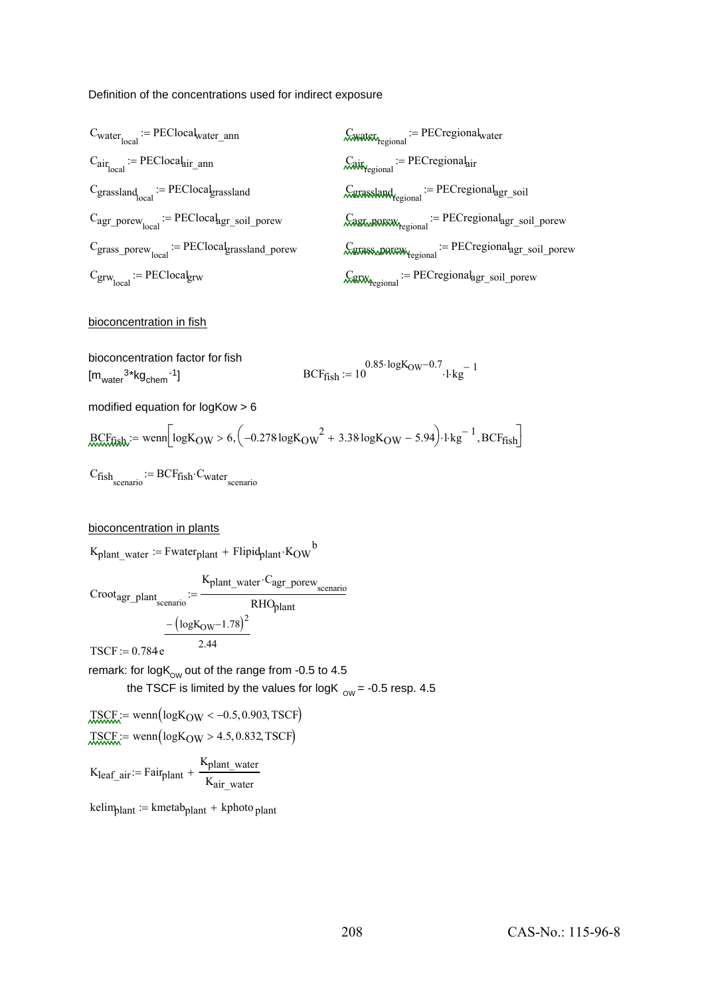#### Definition of the concentrations used for indirect exposure

| $C_{\text{water}}$ = PEClocal <sub>water_ann</sub>                                  | $\frac{C_{\text{Watter}}}{C_{\text{negional}}}$ = PEC regional <sub>Water</sub>                                                    |
|-------------------------------------------------------------------------------------|------------------------------------------------------------------------------------------------------------------------------------|
| $C_{\text{air}}$ = PEClocal <sub>air_ann</sub>                                      | $\text{Cay}_{\text{Regional}} := \text{PEC}$ regional <sub>air</sub>                                                               |
| $C_{\text{grassland}}$ = PEClocal grassland                                         | $\text{Cay} = \text{PEC}$ regional = PECregional $_{\text{agr\_soil}}$                                                             |
| $C_{\text{agr\_porew}_{\text{local}}} := \text{PEClocal}_{\text{agr\_soil\_porew}}$ | $\text{Cag}$ = PEC regional agr_soil_porew                                                                                         |
| $C_{\text{grass\_porew}_{local}} := \text{PEClocal}_{\text{grassland\_porew}}$      | $\mathcal{L}_{\text{grav} \rightarrow \text{vac}}$ = PECregional <sub>agr_soil_porew</sub>                                         |
| $C_{\text{grw}}$ = PEClocal <sub>grw</sub>                                          | $\underset{\text{WgWW}_{\text{negional}}}{{\bf \text{G}\text{gymal}}}\coloneqq {\rm PEC} {\rm regional}_{\text{agr\_soil\_porew}}$ |

#### bioconcentration in fish

bioconcentration factor for fish  
\n
$$
[m_{\text{water}}^{3*}kg_{\text{chem}}^{-1}]
$$
\n
$$
BCF_{fish} := 10
$$
\n
$$
0.85 \log K_{OW} - 0.7
$$
\n
$$
1 \log^{-1} 1
$$

modified equation for logKow > 6

$$
\text{BCF} \text{first} = \text{wenn} \Big[ \log K_{OW} > 6, \Big( -0.278 \log K_{OW}^2 + 3.38 \log K_{OW} - 5.94 \Big) \cdot \text{1 kg}^{-1}, \text{BCF} \text{first} \Big]
$$

 $\mathbf{t}$ 

$$
C_{fish_{scenario}} := BCF_{fish} \cdot C_{water_{scenario}}
$$

#### bioconcentration in plants

$$
K_{\text{plant}\_\text{water}} := \text{Fwater}_{\text{plant}} + \text{Flipid}_{\text{plant}} \cdot \text{KOW}^{\text{U}}
$$

K<sub>plant\_water</sub> C<sub>agr\_porew</sup><sub>scenario</sub></sub> :=

$$
Crootagr_planct := \frac{\overbrace{RHOplanct}}{RHOplanct}
$$

$$
\frac{-\left(\log K_{OW}-1.78\right)^{2}}{2.44}
$$

 $TSCF := 0.784 e$ 

remark: for log $K_{\text{OW}}$  out of the range from -0.5 to 4.5 the TSCF is limited by the values for logK  $_{\text{OW}}$  = -0.5 resp. 4.5

 $TSCF_i =$  wenn $(\text{logK}_{OW} < -0.5, 0.903, TSCF)$  $TSCF =$  wenn(logK<sub>OW</sub> > 4.5, 0.832, TSCF)

 $K_{leaf}$  air  $=$  Fair<sub>plant</sub> K<sub>plant</sub> water K<sub>air water</sub>  $:=$  Fair<sub>plant</sub> +

 $kelim_{plant} := kmetab_{plant} + kphoto_{plant}$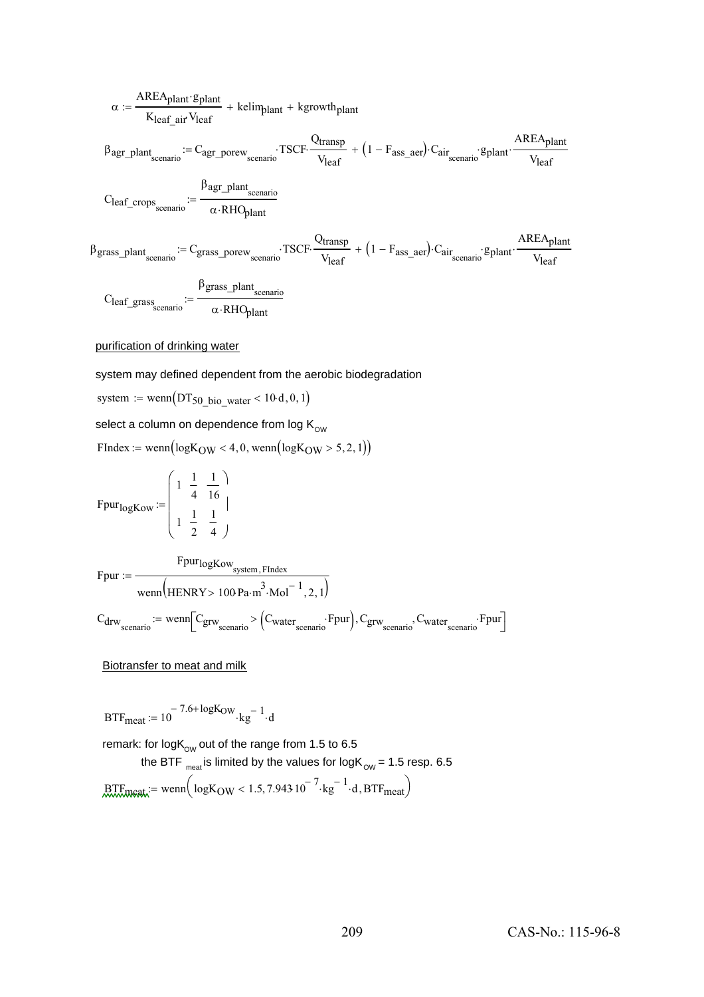$$
\alpha := \frac{AREAplant·gplant + kelimplant + kgrowthplant
$$
  
\n
$$
\betaagr_plantscenario := Cagr_powerscenario · TSCF· $\frac{Qtransp}{Vleaf} + (1 - Fass_after) · Cairscenario · gplant · MEEAplant$   
\n
$$
Cleaf_cropsscenario := \frac{\betaagr_plantscenario}{\alpha \cdot RHOplant}
$$
$$

$$
\beta_{\text{grass\_plant}} := C_{\text{grass\_power}_{\text{scenario}}}\cdot TSCF \cdot \frac{Q_{\text{transport}}}{V_{\text{leaf}}} + (1 - F_{\text{ass\_aer}}) \cdot C_{\text{air}_{\text{scenario}}} \cdot g_{\text{plant}} \cdot \frac{AREA_{\text{plant}}}{V_{\text{leaf}}}
$$
  

$$
C_{\text{leaf\_grass}_{\text{scenario}}} := \frac{\beta_{\text{grass\_plant}_{\text{scenario}}}}{\alpha \cdot RHC_{\text{short}}}
$$

$$
f_{\text{grass}_{\text{scenario}}} := \frac{f_{\text{seen}}}{\alpha \cdot \text{RHO}_{\text{plant}}}
$$

#### purification of drinking water

system may defined dependent from the aerobic biodegradation

system := wenn $(DT_{50}$  bio water < 10 d, 0, 1)

select a column on dependence from  $log K_{ow}$ 

FIndex := wenn  $\left( \log K_{\text{OW}} < 4, 0, \text{ wenn} \left( \log K_{\text{OW}} > 5, 2, 1 \right) \right)$ 

$$
Fpur_{logKow} := \begin{pmatrix} 1 & \frac{1}{4} & \frac{1}{16} \\ 1 & \frac{1}{2} & \frac{1}{4} \end{pmatrix}
$$

$$
\text{Fpur} := \frac{\text{Fpur} \cdot \text{logKow}_{\text{system, FIndex}}}{\text{wenn} \cdot (\text{HENRY} > 100 \cdot \text{Pa} \cdot \text{m}^3 \cdot \text{Mol}^{-1}, 2, 1)}
$$
\n
$$
\text{Cdrwscenario := \text{wenn} \left[ \text{Cgrwscenario} \right] \left( \text{Cwaterscenario} \cdot \text{Fpur} \right), \text{Cgrwscenario} \cdot \text{Cwaterscenario} \cdot \text{Fpur}
$$

Biotransfer to meat and milk

$$
\text{BTF}_{\text{meat}} := 10^{-7.6 + \log K_{\text{OW}}}{\cdot}\text{kg}^{-1}{\cdot}\text{d}
$$

remark: for log $\mathsf{K}_\mathsf{ow}$  out of the range from 1.5 to 6.5

the BTF  $_{\sf{meat}}$  is limited by the values for logK  $_{\sf{OW}}$  = 1.5 resp. 6.5  $\text{BTE}_{\text{meat}} = \text{wenn} \left( \log K_{\text{OW}} < 1.5, 7.943 \, 10^{-7} \, \text{kg}^{-1} \cdot d, \text{BTF}_{\text{meat}} \right)$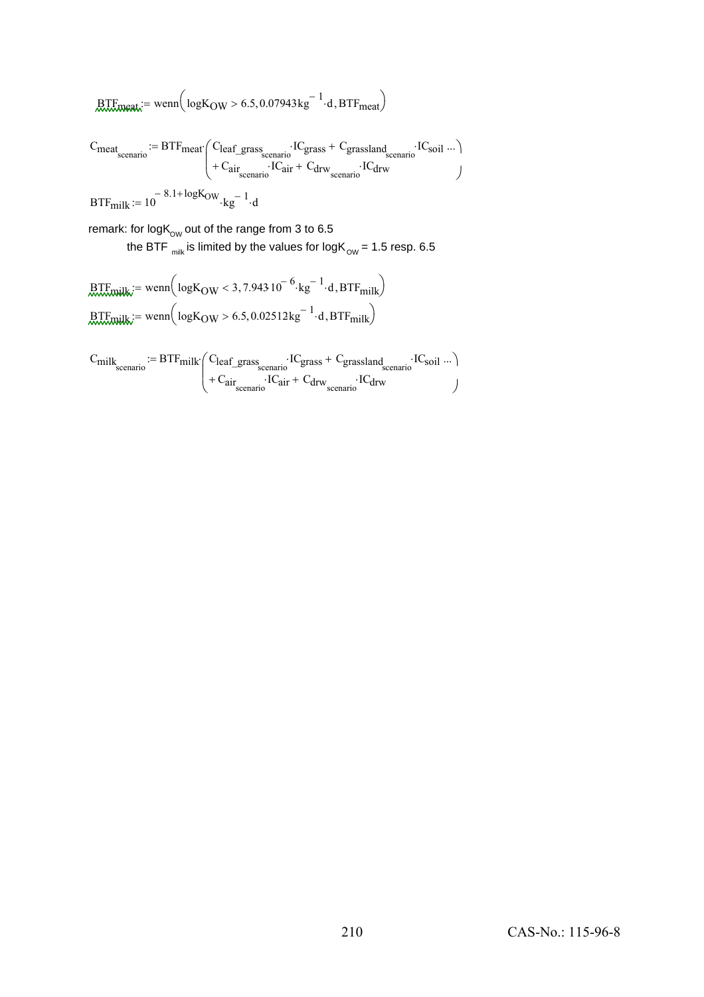$$
\text{BTE}_{\text{mseat}} = \text{wenn} \Big( \log K_{\text{OW}} > 6.5, 0.07943 \,\text{kg}^{-1} \cdot \text{d}, \text{BTF}_{\text{meat}} \Big)
$$

$$
C_{\text{meat}_{\text{scenario}}} := \text{BTF}_{\text{meat}} \left( \begin{array}{c} C_{\text{leaf\_grass}} \cdot IC_{\text{grass}} + C_{\text{grassland}_{\text{scenario}}} \cdot IC_{\text{soil}} \dots \\ + C_{\text{air}_{\text{scenario}}} \cdot IC_{\text{air}} + C_{\text{drw}_{\text{scenario}}} \cdot IC_{\text{drw}} \end{array} \right)
$$

 $\text{BTF}_{\text{milk}} := 10^{-8.1 + \log K_{\text{OW}}}\cdot \text{kg}^{-1} \cdot \text{d}$ 

remark: for  $\log k_{\text{ow}}$  out of the range from 3 to 6.5

the BTF  $_{milk}$  is limited by the values for logK<sub>oW</sub> = 1.5 resp. 6.5

$$
\underbrace{\text{BTEmilk}}_{\text{BTEmilk}} = \text{wenn}\left(\log K_{\text{OW}} < 3, 7.943 \, 10^{-6} \, \text{kg}^{-1} \cdot \text{d}, \text{BTFmilk}\right)
$$
\n
$$
\underbrace{\text{BTEmilk}}_{\text{W}} = \text{wenn}\left(\log K_{\text{OW}} > 6.5, 0.02512 \, \text{kg}^{-1} \cdot \text{d}, \text{BTFmilk}\right)
$$

$$
C_{milk_{scenario}} := \text{BTFmilk} \begin{pmatrix} C_{leaf\_grass} & C_{grass} + C_{grassland_{scenario}} \cdot IC_{soil} \dots \\ + C_{air_{scenario}} \cdot IC_{air} + C_{drw_{scenario}} \cdot IC_{drw} \end{pmatrix}
$$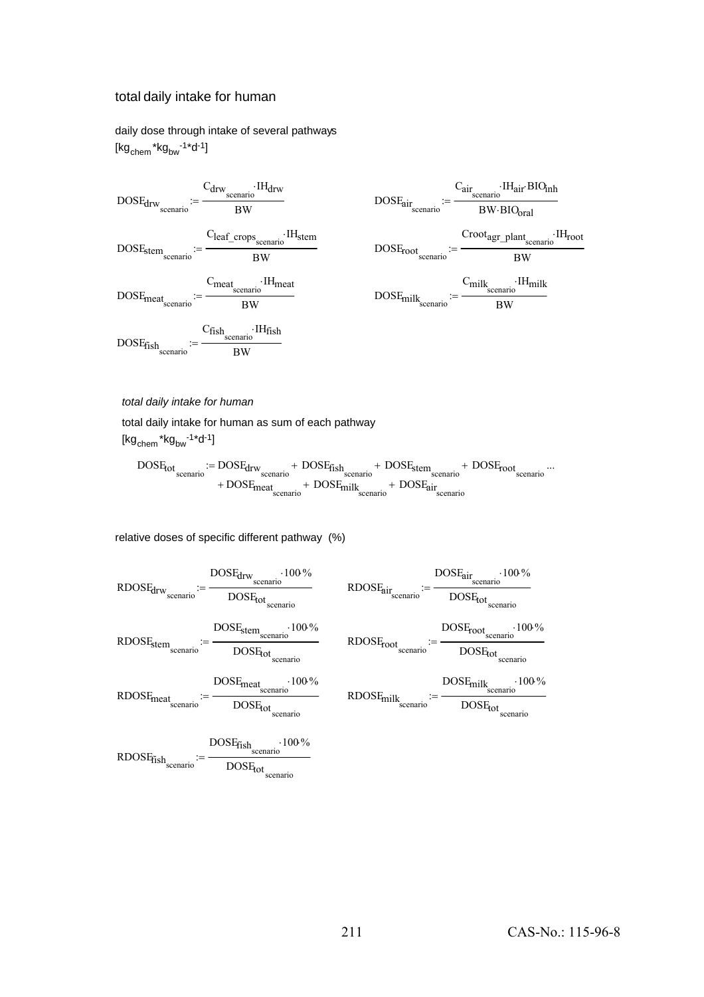#### total daily intake for human

daily dose through intake of several pathways [kg<sub>chem</sub> \*kg<sub>bw</sub>-1\*d<sup>-1</sup>]

$$
DOSE_{drw}_{scenario} := \frac{C_{drw}_{scenario} \cdot IH_{drw}}{BW} \qquad \qquad DOSE_{air}_{scenario} := \frac{C_{air}_{scenario} \cdot IH_{air} BIO_{inh}}{BW \cdot BIO_{oral}}
$$
\n
$$
DOSE_{stem}_{scenario} := \frac{C_{leaf\_crops_{scenario} \cdot IH_{stem}}{BW} \qquad \qquad DOSE_{root}_{scenario} := \frac{Croot_{agr\_plant_{scenario} \cdot IH_{root}}{BW}}{BW}
$$
\n
$$
DOSE_{meat}_{scenario} := \frac{C_{meat_{scenario} \cdot IH_{meat}}}{BW} \qquad \qquad DOSE_{milk}_{scenario} := \frac{C_{milk_{scenario} \cdot IH_{milk}}}{BW}
$$
\n
$$
DOSE_{fish_{scenario}} := \frac{C_{fish_{scenario} \cdot IH_{fish}}}{BW}
$$

*total daily intake for human*

total daily intake for human as sum of each pathway [kg<sub>chem</sub>\*kg<sub>bw</sub><sup>-1</sup>\*d<sup>-1</sup>]

$$
\text{DOSE}_{\text{tot}} := \text{DOSE}_{\text{drw}_{\text{scenario}}} + \text{DOSE}_{\text{fish}_{\text{scenario}}} + \text{DOSE}_{\text{stem}_{\text{scenario}}} + \text{DOSE}_{\text{re} + \text{DOSE}_{\text{meation}}} + \text{DOSE}_{\text{meation}} + \text{DOSE}_{\text{meation}} + \text{DOSE}_{\text{meation}} + \text{DOSE}_{\text{meation}} + \text{DOSE}_{\text{meation}} + \text{DOSE}_{\text{meation}} + \text{DOSE}_{\text{meation}} + \text{DOSE}_{\text{meation}} + \text{DOSE}_{\text{meation}} + \text{DOSE}_{\text{meation}} + \text{DOSE}_{\text{meation}} + \text{DOSE}_{\text{meation}} + \text{DOSE}_{\text{meation}} + \text{DOSE}_{\text{meation}} + \text{DOSE}_{\text{meation}} + \text{DOSE}_{\text{meation}} + \text{DOSE}_{\text{meation}} + \text{DOSE}_{\text{meation}} + \text{DOSE}_{\text{meation}} + \text{DOSE}_{\text{meation}} + \text{DOSE}_{\text{meation}} + \text{DOSE}_{\text{meation}} + \text{DOSE}_{\text{meation}} + \text{DOSE}_{\text{meation}} + \text{DOSE}_{\text{meation}} + \text{DUSE}_{\text{meation}} + \text{DUSE}_{\text{meation}} + \text{DUSE}_{\text{meation}} + \text{DUSE}_{\text{meation}} + \text{DUSE}_{\text{meation}} + \text{DUSE}_{\text{meation}} + \text{DUSE}_{\text{meation}} + \text{DUSE}_{\text{meation}} + \text{DUSE}_{\text{meation}} + \text{DUSE}_{\text{meation}} + \text{DUSE}_{\text{meation}} + \text{DUSE}_{\text{meation}} + \text{DUSE}_{\text{meation}} + \text{DUSE}_{\text{meation}} + \text{DUSE}_{\text{meation}} + \text{DUSE}_{\text{meation}} + \text{DUSE}_{\text{meation}} + \text{DUSE}_{\text{meation}} + \text{DUSE}_{\text{meation}} + \text{DUSE}_{\text{meation}} + \text{DUSE}_{\text{meation}} + \text{DUSE}_{\text{meation}} + \text{DUSE}_{\text{meation}} + \text{DUSE}_{\text{meation}} + \text{DUSE}_{\text{meation}} + \text{DUSE}_{\text{meation}} + \text{DUSE}_{\
$$

#### $RDOSE<sub>drw</sub>$ scenario<br> $DOSE<sub>tot</sub>$ scenario<br>scenario DOSE<sub>drwscenario</sub> 100 % DOSE<sub>air<sub>scenario</sub> 100 %</sub> DOSE<sub>tot</sub><sub>scenario</sub> :=  $RDOSE_{\text{stem}} := \frac{S}{DOSE_{\text{tot}}}}$  RDOSE<sub>root</sub> scenario DOSE<sub>stem</sub> 100 % DOSE<sub>root scenario</sub> 100 % DOSE<sub>tot</sub><sub>scenario</sub> :=  $RDOSE_{\text{meat}} := \frac{1}{DOSE_{\text{tot}}}\n POSE_{\text{milk}}$  RDOSE $\text{milk}_{\text{scenario}}$ DOSE<sub>meat</sup>scenario<sup>100</sup>%</sub> DOSE<sub>milkscenario</sub>⋅100 % DOSE<sub>tot</sub><sub>scenario</sub> := RDOSE<sub>fish<sub>scenario</sub></sub>  $\mathrm{DOSE}_{\mathrm{fish}_{\mathrm{scenario}}}$ . 100 % DOSE<sub>tot</sub><sub>scenario</sub> :=

#### relative doses of specific different pathway (%)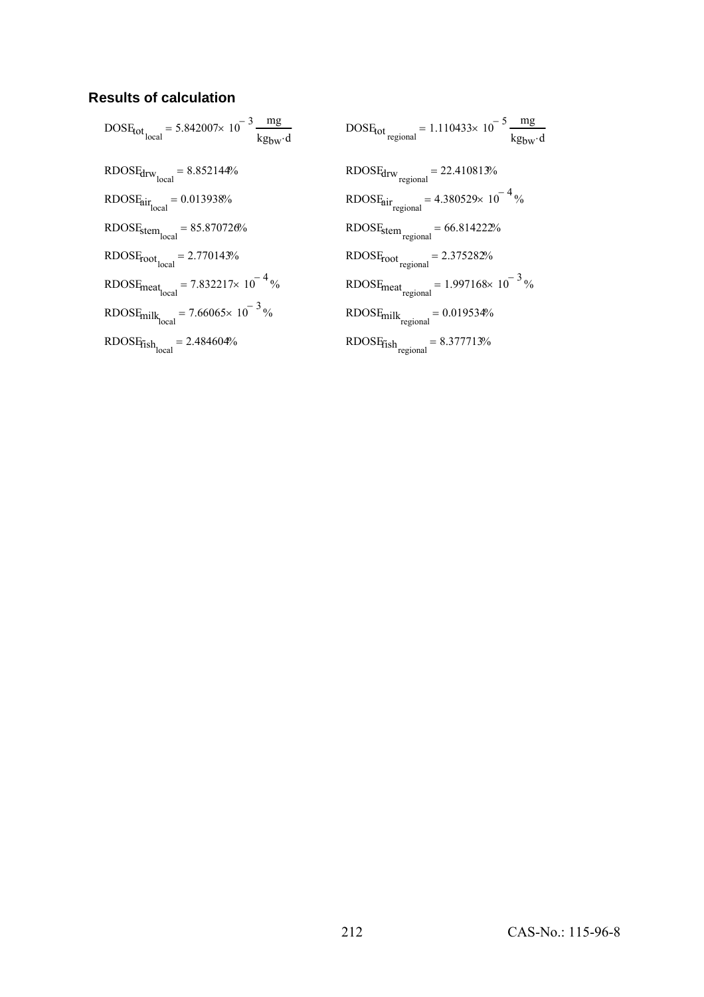# **Results of calculation**

| $\text{DOSE}_{\text{tot}} = 5.842007 \times 10^{-3} \frac{\text{mg}}{\text{kg}_{\text{bw}} \cdot \text{d}}$ | $\text{DOSE}_{\text{tot}}_{\text{regional}} = 1.110433 \times 10^{-5} \frac{\text{mg}}{\text{kg}_{\text{bw}} \cdot \text{d}}$ |
|-------------------------------------------------------------------------------------------------------------|-------------------------------------------------------------------------------------------------------------------------------|
| $\text{RDOSE}_{\text{drw}} = 8.852144\%$                                                                    | $\text{RDOSE}_{\text{drw}} = 22.410813\%$                                                                                     |
| $\text{RDOSE}_{\text{air}} = 0.013938\%$                                                                    | RDOSE <sub>air</sub> = $4.380529 \times 10^{-4}$ %                                                                            |
| $\text{RDOSE}_{\text{stem}} = 85.870720\%$                                                                  | $\text{RDOSE}_{\text{stem}}$ = 66.814222%                                                                                     |
| $\text{RDOSE}_{\text{root}} = 2.770143\%$                                                                   | $\mathrm{RDOSE}_{\mathrm{root}} = 2.375282\%$                                                                                 |
| RDOSE <sub>meat<sub>local</sub> = 7.832217× 10<sup>-4</sup>%</sub>                                          | RDOSE <sub>meatregional</sub> = $1.997168 \times 10^{-3}$ %                                                                   |
| RDOSE <sub>milklocal</sub> = 7.66065× 10 <sup>-3</sup> %                                                    | $\text{RDOSE}_{\text{milk}} = 0.019534\%$                                                                                     |
| $\text{RDOSE}_{\text{fish}} = 2.484604\%$                                                                   | $\text{RDOSE}_{\text{fish}}$ = 8.377713%                                                                                      |